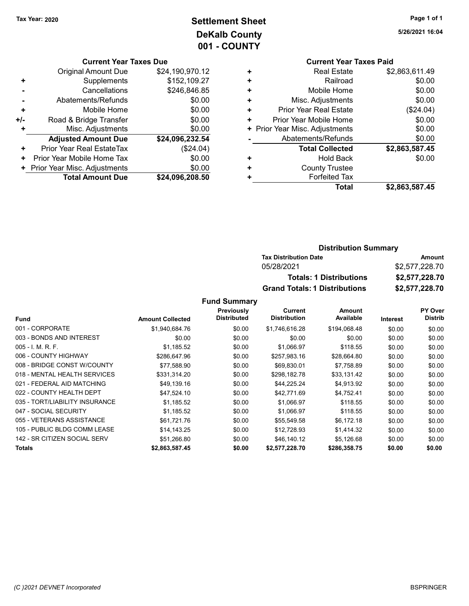## Tax Year: 2020 **Page 1 of 1 Settlement Sheet Constant Constant Constant Constant Constant Constant Constant Constant Constant Constant Constant Constant Page 1 of 1** DeKalb County 001 - COUNTY

#### Current Year Taxes Due

|       | <b>Original Amount Due</b>   | \$24,190,970.12 |
|-------|------------------------------|-----------------|
| ٠     | Supplements                  | \$152,109.27    |
|       | Cancellations                | \$246,846.85    |
|       | Abatements/Refunds           | \$0.00          |
| ٠     | Mobile Home                  | \$0.00          |
| +/-   | Road & Bridge Transfer       | \$0.00          |
| ٠     | Misc. Adjustments            | \$0.00          |
|       | <b>Adjusted Amount Due</b>   | \$24,096,232.54 |
| ٠     | Prior Year Real EstateTax    | (\$24.04)       |
| ٠     | Prior Year Mobile Home Tax   | \$0.00          |
| $\pm$ | Prior Year Misc. Adjustments | \$0.00          |
|       | <b>Total Amount Due</b>      | \$24,096,208.50 |

|   | <b>Current Year Taxes Paid</b> |                |  |  |  |
|---|--------------------------------|----------------|--|--|--|
| ÷ | <b>Real Estate</b>             | \$2,863,611.49 |  |  |  |
| ÷ | Railroad                       | \$0.00         |  |  |  |
| ٠ | Mobile Home                    | \$0.00         |  |  |  |
| ÷ | Misc. Adjustments              | \$0.00         |  |  |  |
| ٠ | Prior Year Real Estate         | $(\$24.04)$    |  |  |  |
| ٠ | Prior Year Mobile Home         | \$0.00         |  |  |  |
|   | + Prior Year Misc. Adjustments | \$0.00         |  |  |  |
|   | Abatements/Refunds             | \$0.00         |  |  |  |
|   | <b>Total Collected</b>         | \$2,863,587.45 |  |  |  |
| ٠ | Hold Back                      | \$0.00         |  |  |  |
| ٠ | <b>County Trustee</b>          |                |  |  |  |
| ٠ | <b>Forfeited Tax</b>           |                |  |  |  |
|   | Total                          | \$2,863,587.45 |  |  |  |

#### Distribution Summary Tax Distribution Date **Amount** 05/28/2021 \$2,577,228.70 Totals: 1 Distributions \$2,577,228.70 Grand Totals: 1 Distributions \$2,577,228.70

#### Fund Summary

|                                |                         | Previously         | Current             | Amount       |          | <b>PY Over</b> |
|--------------------------------|-------------------------|--------------------|---------------------|--------------|----------|----------------|
| <b>Fund</b>                    | <b>Amount Collected</b> | <b>Distributed</b> | <b>Distribution</b> | Available    | Interest | <b>Distrib</b> |
| 001 - CORPORATE                | \$1,940,684.76          | \$0.00             | \$1,746,616.28      | \$194,068.48 | \$0.00   | \$0.00         |
| 003 - BONDS AND INTEREST       | \$0.00                  | \$0.00             | \$0.00              | \$0.00       | \$0.00   | \$0.00         |
| $005 - I. M. R. F.$            | \$1,185.52              | \$0.00             | \$1,066.97          | \$118.55     | \$0.00   | \$0.00         |
| 006 - COUNTY HIGHWAY           | \$286,647.96            | \$0.00             | \$257,983.16        | \$28,664.80  | \$0.00   | \$0.00         |
| 008 - BRIDGE CONST W/COUNTY    | \$77.588.90             | \$0.00             | \$69.830.01         | \$7,758.89   | \$0.00   | \$0.00         |
| 018 - MENTAL HEALTH SERVICES   | \$331,314.20            | \$0.00             | \$298,182.78        | \$33,131.42  | \$0.00   | \$0.00         |
| 021 - FEDERAL AID MATCHING     | \$49,139.16             | \$0.00             | \$44,225.24         | \$4,913.92   | \$0.00   | \$0.00         |
| 022 - COUNTY HEALTH DEPT       | \$47,524.10             | \$0.00             | \$42,771.69         | \$4,752.41   | \$0.00   | \$0.00         |
| 035 - TORT/LIABILITY INSURANCE | \$1,185.52              | \$0.00             | \$1,066.97          | \$118.55     | \$0.00   | \$0.00         |
| 047 - SOCIAL SECURITY          | \$1,185.52              | \$0.00             | \$1,066.97          | \$118.55     | \$0.00   | \$0.00         |
| 055 - VETERANS ASSISTANCE      | \$61,721.76             | \$0.00             | \$55,549.58         | \$6,172.18   | \$0.00   | \$0.00         |
| 105 - PUBLIC BLDG COMM LEASE   | \$14,143.25             | \$0.00             | \$12.728.93         | \$1.414.32   | \$0.00   | \$0.00         |
| 142 - SR CITIZEN SOCIAL SERV   | \$51,266.80             | \$0.00             | \$46,140.12         | \$5,126.68   | \$0.00   | \$0.00         |
| Totals                         | \$2,863,587.45          | \$0.00             | \$2,577,228.70      | \$286,358.75 | \$0.00   | \$0.00         |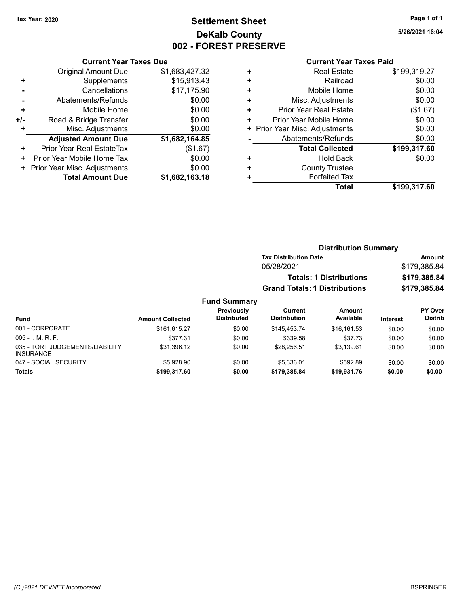## Tax Year: 2020 **Page 1 of 1 Settlement Sheet Constant Constant Constant Constant Constant Constant Constant Constant Constant Constant Constant Constant Page 1 of 1** DeKalb County 002 - FOREST PRESERVE

5/26/2021 16:04

|     | <b>Current Year Taxes Due</b> |                |  |  |
|-----|-------------------------------|----------------|--|--|
|     | <b>Original Amount Due</b>    | \$1,683,427.32 |  |  |
| ٠   | Supplements                   | \$15,913.43    |  |  |
|     | Cancellations                 | \$17,175.90    |  |  |
|     | Abatements/Refunds            | \$0.00         |  |  |
| ٠   | Mobile Home                   | \$0.00         |  |  |
| +/- | Road & Bridge Transfer        | \$0.00         |  |  |
|     | Misc. Adjustments             | \$0.00         |  |  |
|     | <b>Adjusted Amount Due</b>    | \$1,682,164.85 |  |  |
| ٠   | Prior Year Real EstateTax     | (\$1.67)       |  |  |
| ٠   | Prior Year Mobile Home Tax    | \$0.00         |  |  |
|     | Prior Year Misc. Adjustments  | \$0.00         |  |  |
|     | <b>Total Amount Due</b>       | \$1,682,163.18 |  |  |

|   | <b>Total</b>                   | \$199,317.60 |
|---|--------------------------------|--------------|
| ٠ | <b>Forfeited Tax</b>           |              |
| ٠ | <b>County Trustee</b>          |              |
| ٠ | <b>Hold Back</b>               | \$0.00       |
|   | <b>Total Collected</b>         | \$199,317.60 |
|   | Abatements/Refunds             | \$0.00       |
|   | + Prior Year Misc. Adjustments | \$0.00       |
| ٠ | Prior Year Mobile Home         | \$0.00       |
| ٠ | Prior Year Real Estate         | (\$1.67)     |
| ٠ | Misc. Adjustments              | \$0.00       |
| ٠ | Mobile Home                    | \$0.00       |
| ÷ | Railroad                       | \$0.00       |
| ٠ | <b>Real Estate</b>             | \$199,319.27 |
|   |                                |              |

|                     | <b>Distribution Summary</b>          |              |
|---------------------|--------------------------------------|--------------|
|                     | <b>Tax Distribution Date</b>         | Amount       |
|                     | 05/28/2021                           | \$179,385.84 |
|                     | <b>Totals: 1 Distributions</b>       | \$179,385.84 |
|                     | <b>Grand Totals: 1 Distributions</b> | \$179,385.84 |
| <b>Fund Summary</b> |                                      |              |

| <b>Fund</b>                                         | <b>Amount Collected</b> | Previously<br><b>Distributed</b> | Current<br><b>Distribution</b> | Amount<br>Available | <b>Interest</b> | <b>PY Over</b><br><b>Distrib</b> |
|-----------------------------------------------------|-------------------------|----------------------------------|--------------------------------|---------------------|-----------------|----------------------------------|
| 001 - CORPORATE                                     | \$161.615.27            | \$0.00                           | \$145.453.74                   | \$16.161.53         | \$0.00          | \$0.00                           |
| $005 - I$ , M, R, F,                                | \$377.31                | \$0.00                           | \$339.58                       | \$37.73             | \$0.00          | \$0.00                           |
| 035 - TORT JUDGEMENTS/LIABILITY<br><b>INSURANCE</b> | \$31.396.12             | \$0.00                           | \$28.256.51                    | \$3.139.61          | \$0.00          | \$0.00                           |
| 047 - SOCIAL SECURITY                               | \$5,928.90              | \$0.00                           | \$5.336.01                     | \$592.89            | \$0.00          | \$0.00                           |
| Totals                                              | \$199,317.60            | \$0.00                           | \$179.385.84                   | \$19,931.76         | \$0.00          | \$0.00                           |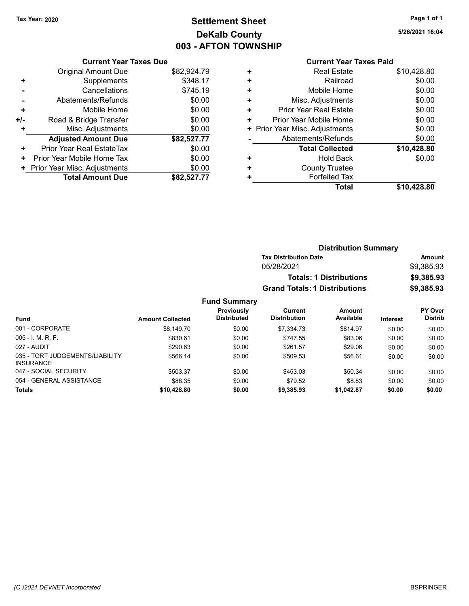# Tax Year: 2020 **Page 1 of 1 Settlement Sheet Constant Constant Constant Constant Constant Constant Constant Constant Constant Constant Constant Constant Page 1 of 1** DeKalb County 003 - AFTON TOWNSHIP

Current Year Taxes Due

|     | <b>Total Amount Due</b>        | \$82,527.77 |
|-----|--------------------------------|-------------|
|     | + Prior Year Misc. Adjustments | \$0.00      |
| ٠   | Prior Year Mobile Home Tax     | \$0.00      |
| ٠   | Prior Year Real EstateTax      | \$0.00      |
|     | <b>Adjusted Amount Due</b>     | \$82,527.77 |
| ٠   | Misc. Adjustments              | \$0.00      |
| +/- | Road & Bridge Transfer         | \$0.00      |
| ٠   | Mobile Home                    | \$0.00      |
|     | Abatements/Refunds             | \$0.00      |
|     | Cancellations                  | \$745.19    |
| ٠   | Supplements                    | \$348.17    |
|     | <b>Original Amount Due</b>     | \$82,924.79 |
|     |                                |             |

#### Current Year Taxes Paid +<br>Real Estate \$10,428.80<br>Pailroad \$0.00 + Railroad \$0.00

|   | Total                          | \$10,428.80 |
|---|--------------------------------|-------------|
|   | <b>Forfeited Tax</b>           |             |
| ÷ | <b>County Trustee</b>          |             |
|   | <b>Hold Back</b>               | \$0.00      |
|   | <b>Total Collected</b>         | \$10,428.80 |
|   | Abatements/Refunds             | \$0.00      |
|   | + Prior Year Misc. Adjustments | \$0.00      |
| ÷ | Prior Year Mobile Home         | \$0.00      |
| ٠ | <b>Prior Year Real Estate</b>  | \$0.00      |
| ٠ | Misc. Adjustments              | \$0.00      |
| ÷ | Mobile Home                    | \$0.00      |
| ÷ | Railroad                       | \$0.00      |

| <b>Distribution Summary</b>          |            |  |  |
|--------------------------------------|------------|--|--|
| <b>Tax Distribution Date</b>         | Amount     |  |  |
| 05/28/2021                           | \$9.385.93 |  |  |
| <b>Totals: 1 Distributions</b>       | \$9,385.93 |  |  |
| <b>Grand Totals: 1 Distributions</b> | \$9,385.93 |  |  |

#### Fund Summary

|                                                     |                         | <b>Previously</b>  | Current             | Amount     |          | <b>PY Over</b> |
|-----------------------------------------------------|-------------------------|--------------------|---------------------|------------|----------|----------------|
| <b>Fund</b>                                         | <b>Amount Collected</b> | <b>Distributed</b> | <b>Distribution</b> | Available  | Interest | <b>Distrib</b> |
| 001 - CORPORATE                                     | \$8.149.70              | \$0.00             | \$7.334.73          | \$814.97   | \$0.00   | \$0.00         |
| $005 - I. M. R. F.$                                 | \$830.61                | \$0.00             | \$747.55            | \$83.06    | \$0.00   | \$0.00         |
| 027 - AUDIT                                         | \$290.63                | \$0.00             | \$261.57            | \$29.06    | \$0.00   | \$0.00         |
| 035 - TORT JUDGEMENTS/LIABILITY<br><b>INSURANCE</b> | \$566.14                | \$0.00             | \$509.53            | \$56.61    | \$0.00   | \$0.00         |
| 047 - SOCIAL SECURITY                               | \$503.37                | \$0.00             | \$453.03            | \$50.34    | \$0.00   | \$0.00         |
| 054 - GENERAL ASSISTANCE                            | \$88.35                 | \$0.00             | \$79.52             | \$8.83     | \$0.00   | \$0.00         |
| <b>Totals</b>                                       | \$10,428.80             | \$0.00             | \$9,385.93          | \$1.042.87 | \$0.00   | \$0.00         |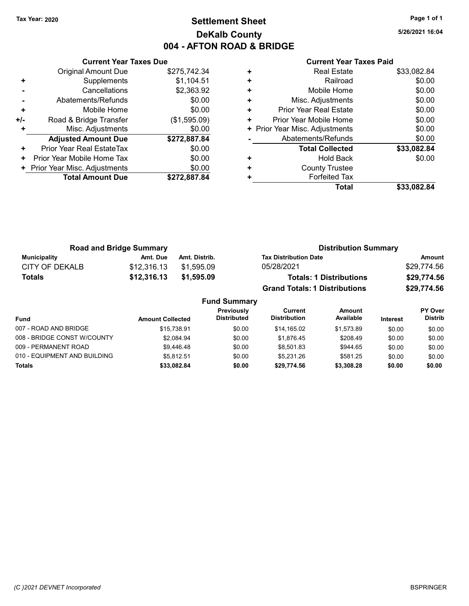### Tax Year: 2020 **Page 1 of 1 Settlement Sheet Constant Constant Constant Constant Constant Constant Constant Constant Constant Constant Constant Constant Page 1 of 1** DeKalb County 004 - AFTON ROAD & BRIDGE

5/26/2021 16:04

|     | <b>Current Year Taxes Due</b> |              |  |  |
|-----|-------------------------------|--------------|--|--|
|     | Original Amount Due           | \$275,742.34 |  |  |
| ٠   | Supplements                   | \$1,104.51   |  |  |
|     | Cancellations                 | \$2,363.92   |  |  |
|     | Abatements/Refunds            | \$0.00       |  |  |
| ÷   | \$0.00<br>Mobile Home         |              |  |  |
| +/- | Road & Bridge Transfer        | (\$1,595.09) |  |  |
| ٠   | Misc. Adjustments             | \$0.00       |  |  |
|     | <b>Adjusted Amount Due</b>    | \$272,887.84 |  |  |
| ÷   | Prior Year Real EstateTax     | \$0.00       |  |  |
| ٠   | Prior Year Mobile Home Tax    | \$0.00       |  |  |
| ٠   | Prior Year Misc. Adjustments  | \$0.00       |  |  |
|     | <b>Total Amount Due</b>       | \$272,887.84 |  |  |
|     |                               |              |  |  |

| ٠ | <b>Real Estate</b>           | \$33,082.84 |
|---|------------------------------|-------------|
| ٠ | Railroad                     | \$0.00      |
| ٠ | Mobile Home                  | \$0.00      |
| ٠ | Misc. Adjustments            | \$0.00      |
| ٠ | Prior Year Real Estate       | \$0.00      |
| ٠ | Prior Year Mobile Home       | \$0.00      |
| ٠ | Prior Year Misc. Adjustments | \$0.00      |
|   | Abatements/Refunds           | \$0.00      |
|   | <b>Total Collected</b>       | \$33,082.84 |
| ٠ | Hold Back                    | \$0.00      |
| ٠ | <b>County Trustee</b>        |             |
| ٠ | <b>Forfeited Tax</b>         |             |
|   | Total                        | \$33,082.84 |

| <b>Road and Bridge Summary</b> |             |               | <b>Distribution Summary</b>          |             |
|--------------------------------|-------------|---------------|--------------------------------------|-------------|
| Municipality                   | Amt. Due    | Amt. Distrib. | <b>Tax Distribution Date</b>         | Amount      |
| CITY OF DEKALB                 | \$12.316.13 | \$1.595.09    | 05/28/2021                           | \$29.774.56 |
| Totals                         | \$12,316.13 | \$1,595.09    | <b>Totals: 1 Distributions</b>       | \$29,774.56 |
|                                |             |               | <b>Grand Totals: 1 Distributions</b> | \$29,774.56 |

|                              |                         | <b>Fund Summary</b>              |                                |                     |                 |                                  |
|------------------------------|-------------------------|----------------------------------|--------------------------------|---------------------|-----------------|----------------------------------|
| <b>Fund</b>                  | <b>Amount Collected</b> | Previously<br><b>Distributed</b> | Current<br><b>Distribution</b> | Amount<br>Available | <b>Interest</b> | <b>PY Over</b><br><b>Distrib</b> |
| 007 - ROAD AND BRIDGE        | \$15,738.91             | \$0.00                           | \$14.165.02                    | \$1.573.89          | \$0.00          | \$0.00                           |
| 008 - BRIDGE CONST W/COUNTY  | \$2.084.94              | \$0.00                           | \$1.876.45                     | \$208.49            | \$0.00          | \$0.00                           |
| 009 - PERMANENT ROAD         | \$9,446.48              | \$0.00                           | \$8.501.83                     | \$944.65            | \$0.00          | \$0.00                           |
| 010 - EQUIPMENT AND BUILDING | \$5.812.51              | \$0.00                           | \$5.231.26                     | \$581.25            | \$0.00          | \$0.00                           |
| <b>Totals</b>                | \$33,082.84             | \$0.00                           | \$29.774.56                    | \$3,308.28          | \$0.00          | \$0.00                           |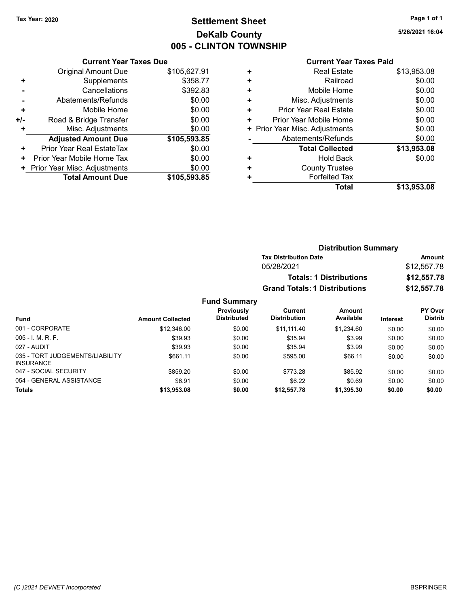INSURANCE

035 - TORT JUDGEMENTS/LIABILITY

### Tax Year: 2020 **Page 1 of 1 Settlement Sheet Constant Constant Constant Constant Constant Constant Constant Constant Constant Constant Constant Constant Page 1 of 1** DeKalb County 005 - CLINTON TOWNSHIP

027 - AUDIT \$39.93 \$0.00 \$35.94 \$3.99 \$0.00 \$0.00

047 - SOCIAL SECURITY \$859.20 \$773.28 \$85.92 \$0.00 \$0.00 054 - GENERAL ASSISTANCE 60.00 \$6.91 \$6.91 \$0.00 \$6.22 \$0.69 \$0.00 \$0.00 \$0.00 Totals \$0.00 \$0.00 \$13,953.08 \$0.00 \$12,557.78 \$1,395.30

5/26/2021 16:04

#### Current Year Taxes Paid

|     | <b>Current Year Taxes Due</b> |              |  |  |  |
|-----|-------------------------------|--------------|--|--|--|
|     | <b>Original Amount Due</b>    | \$105,627.91 |  |  |  |
| ٠   | Supplements                   | \$358.77     |  |  |  |
|     | Cancellations                 | \$392.83     |  |  |  |
|     | Abatements/Refunds            | \$0.00       |  |  |  |
| ÷   | Mobile Home                   | \$0.00       |  |  |  |
| +/- | Road & Bridge Transfer        | \$0.00       |  |  |  |
|     | Misc. Adjustments             | \$0.00       |  |  |  |
|     | <b>Adjusted Amount Due</b>    | \$105,593.85 |  |  |  |
| ٠   | Prior Year Real EstateTax     | \$0.00       |  |  |  |
| ٠   | Prior Year Mobile Home Tax    | \$0.00       |  |  |  |
| ٠   | Prior Year Misc. Adjustments  | \$0.00       |  |  |  |
|     | <b>Total Amount Due</b>       | \$105,593.85 |  |  |  |

|   | Total                          | \$13,953.08 |
|---|--------------------------------|-------------|
| ٠ | <b>Forfeited Tax</b>           |             |
| ٠ | <b>County Trustee</b>          |             |
| ٠ | <b>Hold Back</b>               | \$0.00      |
|   | <b>Total Collected</b>         | \$13,953.08 |
|   | Abatements/Refunds             | \$0.00      |
|   | + Prior Year Misc. Adjustments | \$0.00      |
| ٠ | Prior Year Mobile Home         | \$0.00      |
| ٠ | <b>Prior Year Real Estate</b>  | \$0.00      |
| ٠ | Misc. Adjustments              | \$0.00      |
| ٠ | Mobile Home                    | \$0.00      |
| ٠ | Railroad                       | \$0.00      |
| ٠ | <b>Real Estate</b>             | \$13,953.08 |
|   |                                |             |

|                   |                         |                                  |                                      | <b>Distribution Summary</b>    |                 |                                  |
|-------------------|-------------------------|----------------------------------|--------------------------------------|--------------------------------|-----------------|----------------------------------|
|                   |                         |                                  | <b>Tax Distribution Date</b>         |                                |                 | Amount                           |
|                   |                         |                                  | 05/28/2021                           |                                |                 | \$12,557.78                      |
|                   |                         |                                  |                                      | <b>Totals: 1 Distributions</b> |                 | \$12,557.78                      |
|                   |                         |                                  | <b>Grand Totals: 1 Distributions</b> |                                |                 | \$12,557.78                      |
|                   |                         | <b>Fund Summary</b>              |                                      |                                |                 |                                  |
| <b>Fund</b>       | <b>Amount Collected</b> | Previously<br><b>Distributed</b> | Current<br><b>Distribution</b>       | Amount<br>Available            | <b>Interest</b> | <b>PY Over</b><br><b>Distrib</b> |
| 001 - CORPORATE   | \$12,346.00             | \$0.00                           | \$11.111.40                          | \$1,234.60                     | \$0.00          | \$0.00                           |
| 005 - I. M. R. F. | \$39.93                 | \$0.00                           | \$35.94                              | \$3.99                         | \$0.00          | \$0.00                           |

\$661.11 \$0.00 \$595.00 \$66.11 \$0.00 \$0.00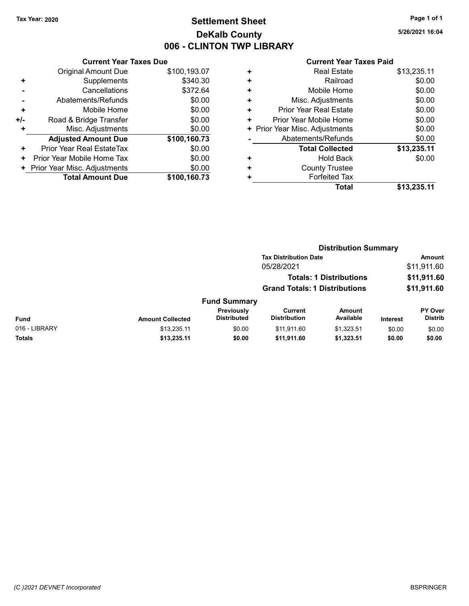## Tax Year: 2020 **Page 1 of 1 Settlement Sheet Constant Constant Constant Constant Constant Constant Constant Constant Constant Constant Constant Constant Page 1 of 1** DeKalb County 006 - CLINTON TWP LIBRARY

5/26/2021 16:04

|     | <b>Current Year Taxes Due</b> |              |  |  |  |
|-----|-------------------------------|--------------|--|--|--|
|     | Original Amount Due           | \$100,193.07 |  |  |  |
| ٠   | Supplements                   | \$340.30     |  |  |  |
|     | Cancellations                 | \$372.64     |  |  |  |
|     | Abatements/Refunds            | \$0.00       |  |  |  |
| ٠   | Mobile Home                   | \$0.00       |  |  |  |
| +/- | Road & Bridge Transfer        | \$0.00       |  |  |  |
|     | Misc. Adjustments             | \$0.00       |  |  |  |
|     | <b>Adjusted Amount Due</b>    | \$100,160.73 |  |  |  |
| ٠   | Prior Year Real EstateTax     | \$0.00       |  |  |  |
| ٠   | Prior Year Mobile Home Tax    | \$0.00       |  |  |  |
| ٠   | Prior Year Misc. Adjustments  | \$0.00       |  |  |  |
|     | <b>Total Amount Due</b>       | \$100,160.73 |  |  |  |

|   | <b>Real Estate</b>             | \$13,235.11 |
|---|--------------------------------|-------------|
| ٠ | Railroad                       | \$0.00      |
| ٠ | Mobile Home                    | \$0.00      |
| ٠ | Misc. Adjustments              | \$0.00      |
| ٠ | Prior Year Real Estate         | \$0.00      |
| ٠ | Prior Year Mobile Home         | \$0.00      |
|   | + Prior Year Misc. Adjustments | \$0.00      |
|   | Abatements/Refunds             | \$0.00      |
|   | <b>Total Collected</b>         | \$13,235.11 |
| ٠ | <b>Hold Back</b>               | \$0.00      |
| ٠ | <b>County Trustee</b>          |             |
| ٠ | <b>Forfeited Tax</b>           |             |
|   | Total                          | \$13,235.11 |
|   |                                |             |

|               |                         |                                  |                                       | <b>Distribution Summary</b>    |                 |                           |
|---------------|-------------------------|----------------------------------|---------------------------------------|--------------------------------|-----------------|---------------------------|
|               |                         |                                  | <b>Tax Distribution Date</b>          |                                |                 | <b>Amount</b>             |
|               |                         |                                  | 05/28/2021                            |                                |                 | \$11,911.60               |
|               |                         |                                  |                                       | <b>Totals: 1 Distributions</b> |                 | \$11,911.60               |
|               |                         |                                  | <b>Grand Totals: 1 Distributions</b>  |                                |                 | \$11,911.60               |
|               |                         | <b>Fund Summary</b>              |                                       |                                |                 |                           |
| Fund          | <b>Amount Collected</b> | Previously<br><b>Distributed</b> | <b>Current</b><br><b>Distribution</b> | <b>Amount</b><br>Available     | <b>Interest</b> | PY Over<br><b>Distrib</b> |
| 016 - LIBRARY | \$13,235.11             | \$0.00                           | \$11,911.60                           | \$1,323.51                     | \$0.00          | \$0.00                    |
| Totals        | \$13,235.11             | \$0.00                           | \$11,911.60                           | \$1,323.51                     | \$0.00          | \$0.00                    |
|               |                         |                                  |                                       |                                |                 |                           |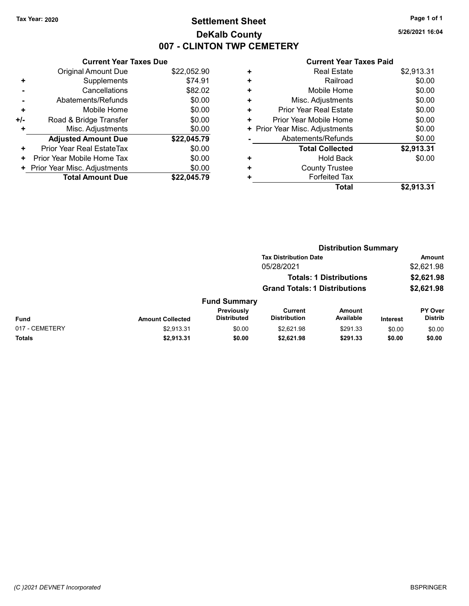### Tax Year: 2020 **Page 1 of 1 Settlement Sheet Constant Constant Constant Constant Constant Constant Constant Constant Constant Constant Constant Constant Page 1 of 1** DeKalb County 007 - CLINTON TWP CEMETERY

5/26/2021 16:04

|     | <b>Current Year Taxes Due</b> |             |  |  |  |
|-----|-------------------------------|-------------|--|--|--|
|     | <b>Original Amount Due</b>    | \$22,052.90 |  |  |  |
| ٠   | Supplements                   | \$74.91     |  |  |  |
|     | Cancellations                 | \$82.02     |  |  |  |
|     | Abatements/Refunds            | \$0.00      |  |  |  |
| ٠   | Mobile Home                   | \$0.00      |  |  |  |
| +/- | Road & Bridge Transfer        | \$0.00      |  |  |  |
| ٠   | Misc. Adjustments             | \$0.00      |  |  |  |
|     | <b>Adjusted Amount Due</b>    | \$22,045.79 |  |  |  |
| ÷   | Prior Year Real EstateTax     | \$0.00      |  |  |  |
| ٠   | Prior Year Mobile Home Tax    | \$0.00      |  |  |  |
| ٠   | Prior Year Misc. Adjustments  | \$0.00      |  |  |  |
|     | <b>Total Amount Due</b>       | \$22.045.79 |  |  |  |

|   | Total                          | \$2,913.31 |
|---|--------------------------------|------------|
| ٠ | <b>Forfeited Tax</b>           |            |
| ٠ | <b>County Trustee</b>          |            |
| ٠ | <b>Hold Back</b>               | \$0.00     |
|   | <b>Total Collected</b>         | \$2,913.31 |
|   | Abatements/Refunds             | \$0.00     |
|   | + Prior Year Misc. Adjustments | \$0.00     |
| ٠ | Prior Year Mobile Home         | \$0.00     |
| ٠ | <b>Prior Year Real Estate</b>  | \$0.00     |
| ٠ | Misc. Adjustments              | \$0.00     |
| ÷ | Mobile Home                    | \$0.00     |
| ٠ | Railroad                       | \$0.00     |
| ٠ | <b>Real Estate</b>             | \$2,913.31 |
|   |                                |            |

|                |                         |                                  | <b>Distribution Summary</b>           |                                |          |                           |
|----------------|-------------------------|----------------------------------|---------------------------------------|--------------------------------|----------|---------------------------|
|                |                         |                                  | <b>Tax Distribution Date</b>          |                                |          | Amount                    |
|                |                         |                                  | 05/28/2021                            |                                |          | \$2,621.98                |
|                |                         |                                  |                                       | <b>Totals: 1 Distributions</b> |          | \$2,621.98                |
|                |                         |                                  | <b>Grand Totals: 1 Distributions</b>  |                                |          | \$2,621.98                |
|                |                         | <b>Fund Summary</b>              |                                       |                                |          |                           |
| Fund           | <b>Amount Collected</b> | Previously<br><b>Distributed</b> | <b>Current</b><br><b>Distribution</b> | <b>Amount</b><br>Available     | Interest | PY Over<br><b>Distrib</b> |
| 017 - CEMETERY | \$2,913.31              | \$0.00                           | \$2.621.98                            | \$291.33                       | \$0.00   | \$0.00                    |
| <b>Totals</b>  | \$2,913.31              | \$0.00                           | \$2,621.98                            | \$291.33                       | \$0.00   | \$0.00                    |
|                |                         |                                  |                                       |                                |          |                           |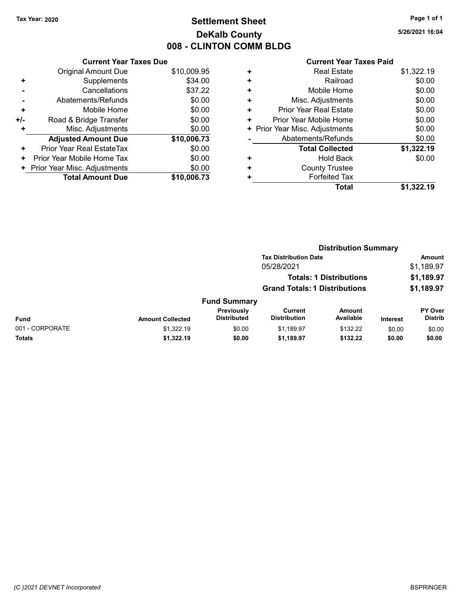## Tax Year: 2020 **Page 1 of 1 Settlement Sheet Constant Constant Constant Constant Constant Constant Constant Constant Constant Constant Constant Constant Page 1 of 1** DeKalb County 008 - CLINTON COMM BLDG

5/26/2021 16:04

|     | <b>Current Year Taxes Due</b> |             |  |  |  |
|-----|-------------------------------|-------------|--|--|--|
|     | Original Amount Due           | \$10,009.95 |  |  |  |
| ٠   | Supplements                   | \$34.00     |  |  |  |
|     | Cancellations                 | \$37.22     |  |  |  |
|     | Abatements/Refunds            | \$0.00      |  |  |  |
| ÷   | Mobile Home                   | \$0.00      |  |  |  |
| +/- | Road & Bridge Transfer        | \$0.00      |  |  |  |
|     | Misc. Adjustments             | \$0.00      |  |  |  |
|     | <b>Adjusted Amount Due</b>    | \$10,006.73 |  |  |  |
| ÷   | Prior Year Real EstateTax     | \$0.00      |  |  |  |
| ٠   | Prior Year Mobile Home Tax    | \$0.00      |  |  |  |
| ٠   | Prior Year Misc. Adjustments  | \$0.00      |  |  |  |
|     | <b>Total Amount Due</b>       | \$10,006.73 |  |  |  |

| ٠ | <b>Real Estate</b>             | \$1,322.19 |
|---|--------------------------------|------------|
| ٠ | Railroad                       | \$0.00     |
| ٠ | Mobile Home                    | \$0.00     |
| ٠ | Misc. Adjustments              | \$0.00     |
| ٠ | Prior Year Real Estate         | \$0.00     |
| ٠ | Prior Year Mobile Home         | \$0.00     |
|   | + Prior Year Misc. Adjustments | \$0.00     |
|   | Abatements/Refunds             | \$0.00     |
|   | <b>Total Collected</b>         | \$1,322.19 |
| ٠ | Hold Back                      | \$0.00     |
| ٠ | <b>County Trustee</b>          |            |
| ٠ | <b>Forfeited Tax</b>           |            |
|   | Total                          | \$1,322.19 |
|   |                                |            |

|                 |                         |                                         | <b>Distribution Summary</b>          |                                |                 |                           |
|-----------------|-------------------------|-----------------------------------------|--------------------------------------|--------------------------------|-----------------|---------------------------|
|                 |                         |                                         | <b>Tax Distribution Date</b>         |                                |                 | Amount                    |
|                 |                         |                                         | 05/28/2021                           |                                |                 | \$1,189.97                |
|                 |                         |                                         |                                      | <b>Totals: 1 Distributions</b> |                 | \$1,189.97                |
|                 |                         |                                         | <b>Grand Totals: 1 Distributions</b> |                                |                 | \$1,189.97                |
|                 |                         | <b>Fund Summary</b>                     |                                      |                                |                 |                           |
| Fund            | <b>Amount Collected</b> | <b>Previously</b><br><b>Distributed</b> | Current<br><b>Distribution</b>       | Amount<br>Available            | <b>Interest</b> | PY Over<br><b>Distrib</b> |
| 001 - CORPORATE | \$1,322.19              | \$0.00                                  | \$1,189.97                           | \$132.22                       | \$0.00          | \$0.00                    |
| Totals          | \$1,322.19              | \$0.00                                  | \$1,189.97                           | \$132.22                       | \$0.00          | \$0.00                    |
|                 |                         |                                         |                                      |                                |                 |                           |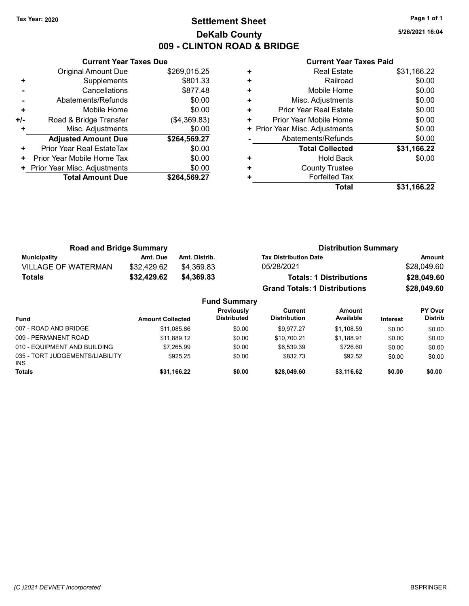### Tax Year: 2020 **Page 1 of 1 Settlement Sheet Constant Constant Constant Constant Constant Constant Constant Constant Constant Constant Constant Constant Page 1 of 1** DeKalb County 009 - CLINTON ROAD & BRIDGE

5/26/2021 16:04

|     | <b>Current Year Taxes Due</b> |              |  |  |  |
|-----|-------------------------------|--------------|--|--|--|
|     | <b>Original Amount Due</b>    | \$269.015.25 |  |  |  |
| ٠   | Supplements                   | \$801.33     |  |  |  |
|     | Cancellations                 | \$877.48     |  |  |  |
|     | Abatements/Refunds            | \$0.00       |  |  |  |
| ÷   | Mobile Home                   | \$0.00       |  |  |  |
| +/- | Road & Bridge Transfer        | (\$4,369.83) |  |  |  |
| ÷   | Misc. Adjustments             | \$0.00       |  |  |  |
|     | <b>Adjusted Amount Due</b>    | \$264,569.27 |  |  |  |
| ٠   | Prior Year Real EstateTax     | \$0.00       |  |  |  |
| ٠   | Prior Year Mobile Home Tax    | \$0.00       |  |  |  |
|     | Prior Year Misc. Adjustments  | \$0.00       |  |  |  |
|     | <b>Total Amount Due</b>       | \$264.569.27 |  |  |  |
|     |                               |              |  |  |  |

| ٠ | <b>Real Estate</b>             | \$31,166.22 |
|---|--------------------------------|-------------|
| ٠ | Railroad                       | \$0.00      |
| ٠ | Mobile Home                    | \$0.00      |
| ٠ | Misc. Adjustments              | \$0.00      |
| ٠ | Prior Year Real Estate         | \$0.00      |
| ٠ | Prior Year Mobile Home         | \$0.00      |
|   | + Prior Year Misc. Adjustments | \$0.00      |
|   | Abatements/Refunds             | \$0.00      |
|   | <b>Total Collected</b>         | \$31,166.22 |
| ٠ | <b>Hold Back</b>               | \$0.00      |
| ٠ | <b>County Trustee</b>          |             |
| ٠ | <b>Forfeited Tax</b>           |             |
|   | Total                          | \$31.166.22 |

| <b>Road and Bridge Summary</b> |             |                     | <b>Distribution Summary</b>          |             |  |
|--------------------------------|-------------|---------------------|--------------------------------------|-------------|--|
| <b>Municipality</b>            | Amt. Due    | Amt. Distrib.       | <b>Tax Distribution Date</b>         | Amount      |  |
| <b>VILLAGE OF WATERMAN</b>     | \$32,429.62 | \$4.369.83          | 05/28/2021                           | \$28,049.60 |  |
| <b>Totals</b>                  | \$32,429.62 | \$4,369.83          | <b>Totals: 1 Distributions</b>       | \$28,049.60 |  |
|                                |             |                     | <b>Grand Totals: 1 Distributions</b> | \$28,049.60 |  |
|                                |             | <b>Fund Summary</b> |                                      |             |  |

| <b>Fund</b>                                   | <b>Amount Collected</b> | Previously<br><b>Distributed</b> | Current<br><b>Distribution</b> | <b>Amount</b><br>Available | <b>Interest</b> | <b>PY Over</b><br><b>Distrib</b> |
|-----------------------------------------------|-------------------------|----------------------------------|--------------------------------|----------------------------|-----------------|----------------------------------|
| 007 - ROAD AND BRIDGE                         | \$11,085.86             | \$0.00                           | \$9.977.27                     | \$1.108.59                 | \$0.00          | \$0.00                           |
| 009 - PERMANENT ROAD                          | \$11.889.12             | \$0.00                           | \$10,700.21                    | \$1.188.91                 | \$0.00          | \$0.00                           |
| 010 - EQUIPMENT AND BUILDING                  | \$7.265.99              | \$0.00                           | \$6.539.39                     | \$726.60                   | \$0.00          | \$0.00                           |
| 035 - TORT JUDGEMENTS/LIABILITY<br><b>INS</b> | \$925.25                | \$0.00                           | \$832.73                       | \$92.52                    | \$0.00          | \$0.00                           |
| <b>Totals</b>                                 | \$31,166.22             | \$0.00                           | \$28,049.60                    | \$3.116.62                 | \$0.00          | \$0.00                           |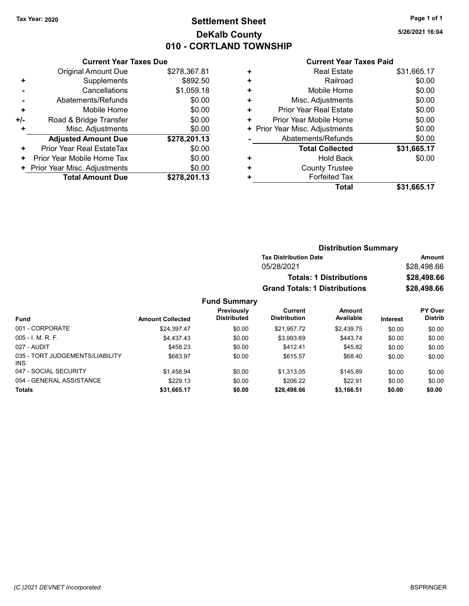### Tax Year: 2020 **Page 1 of 1 Settlement Sheet Constant Constant Constant Constant Constant Constant Constant Constant Constant Constant Constant Constant Page 1 of 1** DeKalb County 010 - CORTLAND TOWNSHIP

5/26/2021 16:04

|     | <b>Current Year Taxes Due</b> |              |  |  |  |
|-----|-------------------------------|--------------|--|--|--|
|     | <b>Original Amount Due</b>    | \$278,367.81 |  |  |  |
| ٠   | Supplements                   | \$892.50     |  |  |  |
|     | Cancellations                 | \$1,059.18   |  |  |  |
|     | Abatements/Refunds            | \$0.00       |  |  |  |
| ٠   | Mobile Home                   | \$0.00       |  |  |  |
| +/- | Road & Bridge Transfer        | \$0.00       |  |  |  |
| ٠   | Misc. Adjustments             | \$0.00       |  |  |  |
|     | <b>Adjusted Amount Due</b>    | \$278,201.13 |  |  |  |
| ٠   | Prior Year Real EstateTax     | \$0.00       |  |  |  |
| ٠   | Prior Year Mobile Home Tax    | \$0.00       |  |  |  |
|     | Prior Year Misc. Adjustments  | \$0.00       |  |  |  |
|     | <b>Total Amount Due</b>       | \$278,201.13 |  |  |  |

| ٠ | <b>Real Estate</b>            | \$31,665.17 |
|---|-------------------------------|-------------|
| ٠ | Railroad                      | \$0.00      |
| ٠ | Mobile Home                   | \$0.00      |
| ÷ | Misc. Adjustments             | \$0.00      |
| ÷ | <b>Prior Year Real Estate</b> | \$0.00      |
| ٠ | Prior Year Mobile Home        | \$0.00      |
| ٠ | Prior Year Misc. Adjustments  | \$0.00      |
|   | Abatements/Refunds            | \$0.00      |
|   | <b>Total Collected</b>        | \$31,665.17 |
| ٠ | <b>Hold Back</b>              | \$0.00      |
| ٠ | <b>County Trustee</b>         |             |
|   | <b>Forfeited Tax</b>          |             |
|   | Total                         | \$31,665.17 |
|   |                               |             |

|       |                     |                                      | <b>Distribution Summary</b>    |                 |                |
|-------|---------------------|--------------------------------------|--------------------------------|-----------------|----------------|
|       |                     | <b>Tax Distribution Date</b>         |                                |                 | Amount         |
|       |                     | 05/28/2021                           |                                |                 | \$28,498.66    |
|       |                     |                                      | <b>Totals: 1 Distributions</b> |                 | \$28,498.66    |
|       |                     | <b>Grand Totals: 1 Distributions</b> |                                |                 | \$28,498.66    |
|       | <b>Fund Summary</b> |                                      |                                |                 |                |
|       | Previously          | <b>Current</b>                       | <b>Amount</b>                  |                 | <b>PY Over</b> |
| ected | <b>Distributed</b>  | <b>Distribution</b>                  | Available                      | <b>Interest</b> | <b>Distrib</b> |
|       |                     |                                      |                                |                 |                |

| <b>Fund</b>                                   | <b>Amount Collected</b> | <b>Distributed</b> | <b>Distribution</b> | Available  | <b>Interest</b> | <b>Distrib</b> |
|-----------------------------------------------|-------------------------|--------------------|---------------------|------------|-----------------|----------------|
| 001 - CORPORATE                               | \$24.397.47             | \$0.00             | \$21.957.72         | \$2.439.75 | \$0.00          | \$0.00         |
| $005 - I. M. R. F.$                           | \$4.437.43              | \$0.00             | \$3.993.69          | \$443.74   | \$0.00          | \$0.00         |
| 027 - AUDIT                                   | \$458.23                | \$0.00             | \$412.41            | \$45.82    | \$0.00          | \$0.00         |
| 035 - TORT JUDGEMENTS/LIABILITY<br><b>INS</b> | \$683.97                | \$0.00             | \$615.57            | \$68.40    | \$0.00          | \$0.00         |
| 047 - SOCIAL SECURITY                         | \$1.458.94              | \$0.00             | \$1.313.05          | \$145.89   | \$0.00          | \$0.00         |
| 054 - GENERAL ASSISTANCE                      | \$229.13                | \$0.00             | \$206.22            | \$22.91    | \$0.00          | \$0.00         |
| <b>Totals</b>                                 | \$31,665.17             | \$0.00             | \$28,498.66         | \$3,166.51 | \$0.00          | \$0.00         |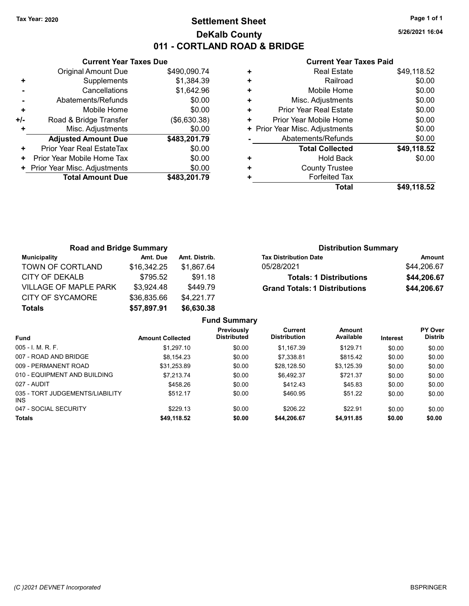### Tax Year: 2020 **Page 1 of 1 Settlement Sheet Constant Constant Constant Constant Constant Constant Constant Constant Constant Constant Constant Constant Page 1 of 1** DeKalb County 011 - CORTLAND ROAD & BRIDGE

5/26/2021 16:04

|                | <b>Current Year Taxes Due</b>       |              |  |  |  |
|----------------|-------------------------------------|--------------|--|--|--|
|                | Original Amount Due                 | \$490,090.74 |  |  |  |
| ٠              | Supplements                         | \$1,384.39   |  |  |  |
|                | Cancellations                       | \$1,642.96   |  |  |  |
| $\blacksquare$ | Abatements/Refunds                  | \$0.00       |  |  |  |
| ÷              | Mobile Home                         | \$0.00       |  |  |  |
| +/-            | Road & Bridge Transfer              | (\$6,630.38) |  |  |  |
| ٠              | Misc. Adjustments                   | \$0.00       |  |  |  |
|                | <b>Adjusted Amount Due</b>          | \$483,201.79 |  |  |  |
| ٠              | Prior Year Real EstateTax           | \$0.00       |  |  |  |
| ٠              | Prior Year Mobile Home Tax          | \$0.00       |  |  |  |
|                | <b>Prior Year Misc. Adjustments</b> | \$0.00       |  |  |  |
|                | <b>Total Amount Due</b>             | \$483,201.79 |  |  |  |

| + Prior Year Misc. Adjustments<br>Abatements/Refunds<br><b>Total Collected</b><br><b>Hold Back</b><br><b>County Trustee</b><br><b>Forfeited Tax</b> | \$0.00<br>\$0.00<br>\$49,118.52<br>\$0.00 |
|-----------------------------------------------------------------------------------------------------------------------------------------------------|-------------------------------------------|
|                                                                                                                                                     |                                           |
|                                                                                                                                                     |                                           |
|                                                                                                                                                     |                                           |
|                                                                                                                                                     |                                           |
|                                                                                                                                                     |                                           |
|                                                                                                                                                     |                                           |
| Prior Year Mobile Home                                                                                                                              | \$0.00                                    |
| <b>Prior Year Real Estate</b>                                                                                                                       | \$0.00                                    |
| Misc. Adjustments                                                                                                                                   | \$0.00                                    |
| Mobile Home                                                                                                                                         | \$0.00                                    |
| Railroad                                                                                                                                            | \$0.00                                    |
| <b>Real Estate</b>                                                                                                                                  | \$49,118.52                               |
|                                                                                                                                                     |                                           |

| <b>Road and Bridge Summary</b> |             |               | <b>Distribution Summary</b>          |             |  |
|--------------------------------|-------------|---------------|--------------------------------------|-------------|--|
| Municipality                   | Amt. Due    | Amt. Distrib. | <b>Tax Distribution Date</b>         | Amount      |  |
| TOWN OF CORTLAND               | \$16,342.25 | \$1.867.64    | 05/28/2021                           | \$44,206.67 |  |
| CITY OF DEKALB                 | \$795.52    | \$91.18       | <b>Totals: 1 Distributions</b>       | \$44,206.67 |  |
| <b>VILLAGE OF MAPLE PARK</b>   | \$3,924.48  | \$449.79      | <b>Grand Totals: 1 Distributions</b> | \$44,206.67 |  |
| <b>CITY OF SYCAMORE</b>        | \$36,835.66 | \$4,221.77    |                                      |             |  |
| <b>Totals</b>                  | \$57,897.91 | \$6,630.38    |                                      |             |  |

|                                         |                         | <b>Fund Summary</b>                     |                                |                            |          |                                  |
|-----------------------------------------|-------------------------|-----------------------------------------|--------------------------------|----------------------------|----------|----------------------------------|
| <b>Fund</b>                             | <b>Amount Collected</b> | <b>Previously</b><br><b>Distributed</b> | Current<br><b>Distribution</b> | <b>Amount</b><br>Available | Interest | <b>PY Over</b><br><b>Distrib</b> |
| $005 - I$ , M, R, F,                    | \$1.297.10              | \$0.00                                  | \$1.167.39                     | \$129.71                   | \$0.00   | \$0.00                           |
| 007 - ROAD AND BRIDGE                   | \$8.154.23              | \$0.00                                  | \$7,338.81                     | \$815.42                   | \$0.00   | \$0.00                           |
| 009 - PERMANENT ROAD                    | \$31.253.89             | \$0.00                                  | \$28.128.50                    | \$3.125.39                 | \$0.00   | \$0.00                           |
| 010 - EQUIPMENT AND BUILDING            | \$7.213.74              | \$0.00                                  | \$6.492.37                     | \$721.37                   | \$0.00   | \$0.00                           |
| 027 - AUDIT                             | \$458.26                | \$0.00                                  | \$412.43                       | \$45.83                    | \$0.00   | \$0.00                           |
| 035 - TORT JUDGEMENTS/LIABILITY<br>INS. | \$512.17                | \$0.00                                  | \$460.95                       | \$51.22                    | \$0.00   | \$0.00                           |
| 047 - SOCIAL SECURITY                   | \$229.13                | \$0.00                                  | \$206.22                       | \$22.91                    | \$0.00   | \$0.00                           |
| <b>Totals</b>                           | \$49,118.52             | \$0.00                                  | \$44,206.67                    | \$4,911.85                 | \$0.00   | \$0.00                           |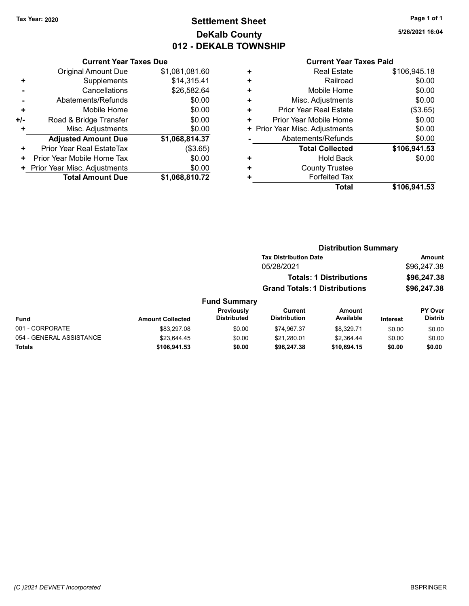### Tax Year: 2020 **Page 1 of 1 Settlement Sheet Constant Constant Constant Constant Constant Constant Constant Constant Constant Constant Constant Constant Page 1 of 1** DeKalb County 012 - DEKALB TOWNSHIP

5/26/2021 16:04

|       | <b>Current Year Taxes Due</b> |                |  |  |  |  |  |
|-------|-------------------------------|----------------|--|--|--|--|--|
|       | <b>Original Amount Due</b>    | \$1,081,081.60 |  |  |  |  |  |
| ٠     | Supplements                   | \$14,315.41    |  |  |  |  |  |
|       | Cancellations                 | \$26,582.64    |  |  |  |  |  |
|       | \$0.00<br>Abatements/Refunds  |                |  |  |  |  |  |
| ÷     | Mobile Home                   | \$0.00         |  |  |  |  |  |
| $+/-$ | Road & Bridge Transfer        | \$0.00         |  |  |  |  |  |
|       | Misc. Adjustments             | \$0.00         |  |  |  |  |  |
|       | <b>Adjusted Amount Due</b>    | \$1,068,814.37 |  |  |  |  |  |
| ٠     | Prior Year Real EstateTax     | (\$3.65)       |  |  |  |  |  |
| ٠     | Prior Year Mobile Home Tax    | \$0.00         |  |  |  |  |  |
|       | Prior Year Misc. Adjustments  | \$0.00         |  |  |  |  |  |
|       | <b>Total Amount Due</b>       | \$1,068,810.72 |  |  |  |  |  |

|   | <b>Real Estate</b>             | \$106,945.18 |
|---|--------------------------------|--------------|
| ٠ | Railroad                       | \$0.00       |
| ٠ | Mobile Home                    | \$0.00       |
| ٠ | Misc. Adjustments              | \$0.00       |
| ٠ | Prior Year Real Estate         | (\$3.65)     |
| ٠ | Prior Year Mobile Home         | \$0.00       |
|   | + Prior Year Misc. Adjustments | \$0.00       |
|   | Abatements/Refunds             | \$0.00       |
|   | <b>Total Collected</b>         | \$106,941.53 |
| ٠ | <b>Hold Back</b>               | \$0.00       |
| ٠ | <b>County Trustee</b>          |              |
| ٠ | <b>Forfeited Tax</b>           |              |
|   | Total                          | \$106,941.53 |
|   |                                |              |

| <b>Distribution Summary</b>    |                     |                                                                                                        |                           |
|--------------------------------|---------------------|--------------------------------------------------------------------------------------------------------|---------------------------|
|                                |                     |                                                                                                        | <b>Amount</b>             |
| 05/28/2021                     |                     |                                                                                                        | \$96,247.38               |
|                                |                     |                                                                                                        | \$96,247.38               |
|                                |                     |                                                                                                        | \$96,247.38               |
|                                |                     |                                                                                                        |                           |
| Current<br><b>Distribution</b> | Amount<br>Available | Interest                                                                                               | PY Over<br><b>Distrib</b> |
| \$74.967.37                    | \$8.329.71          | \$0.00                                                                                                 | \$0.00                    |
| \$21.280.01                    | \$2.364.44          | \$0.00                                                                                                 | \$0.00                    |
| \$96,247.38                    | \$10.694.15         | \$0.00                                                                                                 | \$0.00                    |
|                                |                     | <b>Tax Distribution Date</b><br><b>Totals: 1 Distributions</b><br><b>Grand Totals: 1 Distributions</b> |                           |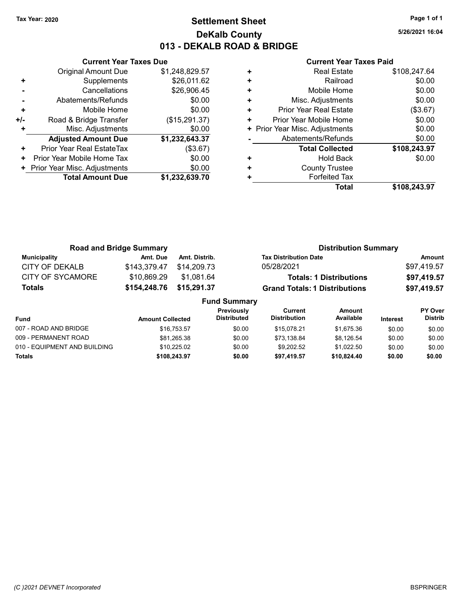### Tax Year: 2020 **Page 1 of 1 Settlement Sheet Constant Constant Constant Constant Constant Constant Constant Constant Constant Constant Constant Constant Page 1 of 1** DeKalb County 013 - DEKALB ROAD & BRIDGE

5/26/2021 16:04

|     | <b>Current Year Taxes Due</b> |                |  |  |  |  |  |
|-----|-------------------------------|----------------|--|--|--|--|--|
|     | <b>Original Amount Due</b>    | \$1,248,829.57 |  |  |  |  |  |
| ٠   | Supplements                   | \$26,011.62    |  |  |  |  |  |
|     | Cancellations                 | \$26,906.45    |  |  |  |  |  |
|     | \$0.00<br>Abatements/Refunds  |                |  |  |  |  |  |
| ÷   | Mobile Home                   | \$0.00         |  |  |  |  |  |
| +/- | Road & Bridge Transfer        | (\$15,291.37)  |  |  |  |  |  |
| ٠   | Misc. Adjustments             | \$0.00         |  |  |  |  |  |
|     | <b>Adjusted Amount Due</b>    | \$1,232,643.37 |  |  |  |  |  |
| ٠   | Prior Year Real EstateTax     | (\$3.67)       |  |  |  |  |  |
| ٠   | Prior Year Mobile Home Tax    | \$0.00         |  |  |  |  |  |
|     | Prior Year Misc. Adjustments  | \$0.00         |  |  |  |  |  |
|     | <b>Total Amount Due</b>       | \$1,232,639.70 |  |  |  |  |  |
|     |                               |                |  |  |  |  |  |

|   | <b>Real Estate</b>             | \$108,247.64 |
|---|--------------------------------|--------------|
| ٠ | Railroad                       | \$0.00       |
| ٠ | Mobile Home                    | \$0.00       |
| ٠ | Misc. Adjustments              | \$0.00       |
| ٠ | Prior Year Real Estate         | (\$3.67)     |
| ٠ | Prior Year Mobile Home         | \$0.00       |
|   | + Prior Year Misc. Adjustments | \$0.00       |
|   | Abatements/Refunds             | \$0.00       |
|   | <b>Total Collected</b>         | \$108,243.97 |
| ٠ | <b>Hold Back</b>               | \$0.00       |
| ٠ | <b>County Trustee</b>          |              |
|   | <b>Forfeited Tax</b>           |              |
|   | Total                          | \$108.243.97 |

| <b>Road and Bridge Summary</b> |              |                     |                                                       | <b>Distribution Summary</b>    |  |                                  |
|--------------------------------|--------------|---------------------|-------------------------------------------------------|--------------------------------|--|----------------------------------|
| <b>Municipality</b>            | Amt. Due     | Amt. Distrib.       | <b>Tax Distribution Date</b>                          |                                |  | Amount                           |
| <b>CITY OF DEKALB</b>          | \$143,379.47 | \$14,209.73         | 05/28/2021                                            |                                |  | \$97,419.57                      |
| CITY OF SYCAMORE               | \$10.869.29  | \$1.081.64          |                                                       | <b>Totals: 1 Distributions</b> |  | \$97,419.57                      |
| <b>Totals</b>                  | \$154,248.76 | \$15,291.37         | <b>Grand Totals: 1 Distributions</b>                  |                                |  | \$97,419.57                      |
|                                |              | <b>Fund Summary</b> |                                                       |                                |  |                                  |
|                                |              |                     | Previously<br>Current<br>Diateibutaal<br>Diateibutian | <b>Amount</b><br>A             |  | <b>PY Over</b><br><b>Distrib</b> |

| Fund                         | <b>Amount Collected</b> | <b>FIGVIOUSIV</b><br><b>Distributed</b> | vunent<br><b>Distribution</b> | AIIVUIIL<br>Available | <b>Interest</b> | г і меі<br><b>Distrib</b> |
|------------------------------|-------------------------|-----------------------------------------|-------------------------------|-----------------------|-----------------|---------------------------|
| 007 - ROAD AND BRIDGE        | \$16.753.57             | \$0.00                                  | \$15,078.21                   | \$1.675.36            | \$0.00          | \$0.00                    |
| 009 - PERMANENT ROAD         | \$81.265.38             | \$0.00                                  | \$73.138.84                   | \$8.126.54            | \$0.00          | \$0.00                    |
| 010 - EQUIPMENT AND BUILDING | \$10.225.02             | \$0.00                                  | \$9.202.52                    | \$1.022.50            | \$0.00          | \$0.00                    |
| <b>Totals</b>                | \$108.243.97            | \$0.00                                  | \$97,419.57                   | \$10,824.40           | \$0.00          | \$0.00                    |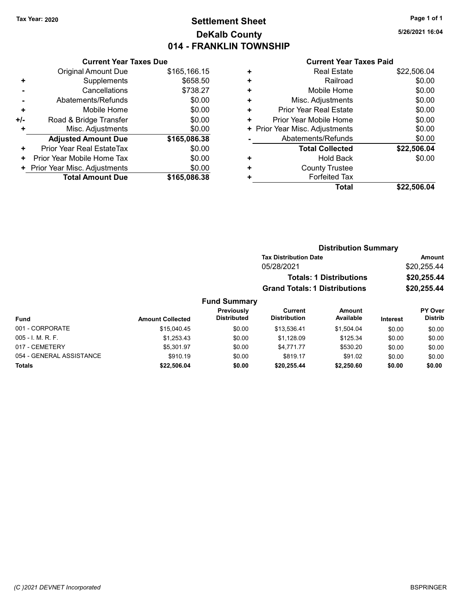## Tax Year: 2020 **Page 1 of 1 Settlement Sheet Constant Constant Constant Constant Constant Constant Constant Constant Constant Constant Constant Constant Page 1 of 1** DeKalb County 014 - FRANKLIN TOWNSHIP

5/26/2021 16:04

#### Current Year Taxes Paid

|     | <b>Current Year Taxes Due</b> |              |  |  |  |  |  |
|-----|-------------------------------|--------------|--|--|--|--|--|
|     | <b>Original Amount Due</b>    | \$165,166.15 |  |  |  |  |  |
| ٠   | Supplements                   | \$658.50     |  |  |  |  |  |
|     | Cancellations                 | \$738.27     |  |  |  |  |  |
|     | \$0.00<br>Abatements/Refunds  |              |  |  |  |  |  |
| ÷   | Mobile Home                   | \$0.00       |  |  |  |  |  |
| +/- | Road & Bridge Transfer        | \$0.00       |  |  |  |  |  |
|     | Misc. Adjustments             | \$0.00       |  |  |  |  |  |
|     | <b>Adjusted Amount Due</b>    | \$165,086.38 |  |  |  |  |  |
| ٠   | Prior Year Real EstateTax     | \$0.00       |  |  |  |  |  |
| ٠   | Prior Year Mobile Home Tax    | \$0.00       |  |  |  |  |  |
| ٠   | Prior Year Misc. Adjustments  | \$0.00       |  |  |  |  |  |
|     | <b>Total Amount Due</b>       | \$165,086,38 |  |  |  |  |  |

|   | <b>Total</b>                   | \$22,506.04 |
|---|--------------------------------|-------------|
| ٠ | <b>Forfeited Tax</b>           |             |
| ٠ | <b>County Trustee</b>          |             |
| ٠ | Hold Back                      | \$0.00      |
|   | <b>Total Collected</b>         | \$22,506.04 |
|   | Abatements/Refunds             | \$0.00      |
|   | + Prior Year Misc. Adjustments | \$0.00      |
| ٠ | Prior Year Mobile Home         | \$0.00      |
| ٠ | Prior Year Real Estate         | \$0.00      |
| ÷ | Misc. Adjustments              | \$0.00      |
| ٠ | Mobile Home                    | \$0.00      |
| ٠ | Railroad                       | \$0.00      |
| ٠ | <b>Real Estate</b>             | \$22,506.04 |
|   |                                |             |

| <b>Distribution Summary</b> |                         |                                         |                                      |                                |          |                           |  |
|-----------------------------|-------------------------|-----------------------------------------|--------------------------------------|--------------------------------|----------|---------------------------|--|
|                             |                         |                                         | <b>Tax Distribution Date</b>         |                                |          | Amount                    |  |
|                             |                         |                                         | 05/28/2021                           |                                |          | \$20,255.44               |  |
|                             |                         |                                         |                                      | <b>Totals: 1 Distributions</b> |          | \$20,255.44               |  |
|                             |                         |                                         | <b>Grand Totals: 1 Distributions</b> |                                |          | \$20,255.44               |  |
|                             |                         | <b>Fund Summary</b>                     |                                      |                                |          |                           |  |
| Fund                        | <b>Amount Collected</b> | <b>Previously</b><br><b>Distributed</b> | Current<br><b>Distribution</b>       | Amount<br>Available            | Interest | PY Over<br><b>Distrib</b> |  |
| 001 - CORPORATE             | \$15,040.45             | \$0.00                                  | \$13.536.41                          | \$1,504.04                     | \$0.00   | \$0.00                    |  |
| 005 - I. M. R. F.           | \$1,253.43              | \$0.00                                  | \$1,128.09                           | \$125.34                       | \$0.00   | \$0.00                    |  |
| 017 - CEMETERY              | \$5.301.97              | \$0.00                                  | \$4.771.77                           | \$530.20                       | \$0.00   | \$0.00                    |  |

054 - GENERAL ASSISTANCE \$910.19 \$819.17 \$91.02 \$0.00 \$0.00 Totals \$0.00 \$0.00 \$22,506.04 \$0.00 \$20,255.44 \$2,250.60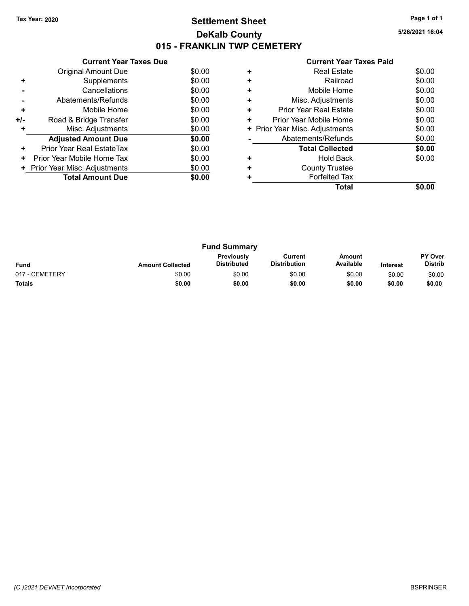## Tax Year: 2020 **Page 1 of 1 Settlement Sheet Constant Constant Constant Constant Constant Constant Constant Constant Constant Constant Constant Constant Page 1 of 1** DeKalb County 015 - FRANKLIN TWP CEMETERY

5/26/2021 16:04

| <b>Current Year Taxes Paid</b> |
|--------------------------------|
|--------------------------------|

|     | <b>Current Year Taxes Due</b> |        |
|-----|-------------------------------|--------|
|     | Original Amount Due           | \$0.00 |
| ٠   | Supplements                   | \$0.00 |
|     | Cancellations                 | \$0.00 |
|     | Abatements/Refunds            | \$0.00 |
| ٠   | Mobile Home                   | \$0.00 |
| +/- | Road & Bridge Transfer        | \$0.00 |
| ٠   | Misc. Adjustments             | \$0.00 |
|     | <b>Adjusted Amount Due</b>    | \$0.00 |
| ٠   | Prior Year Real EstateTax     | \$0.00 |
| ÷   | Prior Year Mobile Home Tax    | \$0.00 |
| ٠   | Prior Year Misc. Adjustments  | \$0.00 |
|     | <b>Total Amount Due</b>       | \$0.00 |
|     |                               |        |

|   | Total                          |        |
|---|--------------------------------|--------|
|   | <b>Forfeited Tax</b>           |        |
| ٠ | <b>County Trustee</b>          |        |
|   | <b>Hold Back</b>               | \$0.00 |
|   | <b>Total Collected</b>         | \$0.00 |
|   | Abatements/Refunds             | \$0.00 |
|   | + Prior Year Misc. Adjustments | \$0.00 |
| ٠ | Prior Year Mobile Home         | \$0.00 |
| ٠ | <b>Prior Year Real Estate</b>  | \$0.00 |
| ٠ | Misc. Adjustments              | \$0.00 |
| ٠ | Mobile Home                    | \$0.00 |
| ٠ | Railroad                       | \$0.00 |
|   | <b>Real Estate</b>             | \$0.00 |
|   |                                |        |

|                |                         | <b>Fund Summary</b>                     |                                |                     |                 |                                  |
|----------------|-------------------------|-----------------------------------------|--------------------------------|---------------------|-----------------|----------------------------------|
| <b>Fund</b>    | <b>Amount Collected</b> | <b>Previously</b><br><b>Distributed</b> | Current<br><b>Distribution</b> | Amount<br>Available | <b>Interest</b> | <b>PY Over</b><br><b>Distrib</b> |
| 017 - CEMETERY | \$0.00                  | \$0.00                                  | \$0.00                         | \$0.00              | \$0.00          | \$0.00                           |
| <b>Totals</b>  | \$0.00                  | \$0.00                                  | \$0.00                         | \$0.00              | \$0.00          | \$0.00                           |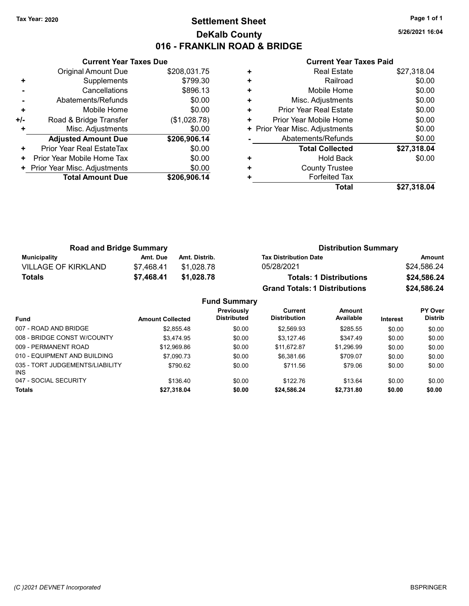### Tax Year: 2020 **Page 1 of 1 Settlement Sheet Constant Constant Constant Constant Constant Constant Constant Constant Constant Constant Constant Constant Page 1 of 1** DeKalb County 016 - FRANKLIN ROAD & BRIDGE

5/26/2021 16:04

|     | <b>Current Year Taxes Due</b> |              |  |  |  |  |  |
|-----|-------------------------------|--------------|--|--|--|--|--|
|     | Original Amount Due           | \$208,031.75 |  |  |  |  |  |
| ٠   | Supplements                   | \$799.30     |  |  |  |  |  |
|     | Cancellations                 | \$896.13     |  |  |  |  |  |
|     | Abatements/Refunds            | \$0.00       |  |  |  |  |  |
| ÷   | Mobile Home                   | \$0.00       |  |  |  |  |  |
| +/- | Road & Bridge Transfer        | (\$1,028.78) |  |  |  |  |  |
|     | Misc. Adjustments             | \$0.00       |  |  |  |  |  |
|     | <b>Adjusted Amount Due</b>    | \$206,906.14 |  |  |  |  |  |
| ٠   | Prior Year Real EstateTax     | \$0.00       |  |  |  |  |  |
| ٠   | Prior Year Mobile Home Tax    | \$0.00       |  |  |  |  |  |
|     | Prior Year Misc. Adjustments  | \$0.00       |  |  |  |  |  |
|     | <b>Total Amount Due</b>       | \$206,906.14 |  |  |  |  |  |
|     |                               |              |  |  |  |  |  |

| ٠ | <b>Real Estate</b>             | \$27,318.04 |
|---|--------------------------------|-------------|
| ٠ | Railroad                       | \$0.00      |
| ٠ | Mobile Home                    | \$0.00      |
|   |                                |             |
| ٠ | Misc. Adjustments              | \$0.00      |
| ٠ | <b>Prior Year Real Estate</b>  | \$0.00      |
| ٠ | Prior Year Mobile Home         | \$0.00      |
|   | + Prior Year Misc. Adjustments | \$0.00      |
|   | Abatements/Refunds             | \$0.00      |
|   | <b>Total Collected</b>         | \$27,318.04 |
| ٠ | <b>Hold Back</b>               | \$0.00      |
| ٠ | <b>County Trustee</b>          |             |
|   | <b>Forfeited Tax</b>           |             |
|   | Total                          | \$27,318.04 |
|   |                                |             |

| <b>Road and Bridge Summary</b> |            |               | <b>Distribution Summary</b>          |             |  |
|--------------------------------|------------|---------------|--------------------------------------|-------------|--|
| <b>Municipality</b>            | Amt. Due   | Amt. Distrib. | <b>Tax Distribution Date</b>         | Amount      |  |
| <b>VILLAGE OF KIRKLAND</b>     | \$7.468.41 | \$1.028.78    | 05/28/2021                           | \$24,586.24 |  |
| Totals                         | \$7.468.41 | \$1.028.78    | <b>Totals: 1 Distributions</b>       | \$24,586.24 |  |
|                                |            |               | <b>Grand Totals: 1 Distributions</b> | \$24,586.24 |  |

|                                         |                         | <b>Fund Summary</b>              |                                |                     |          |                                  |
|-----------------------------------------|-------------------------|----------------------------------|--------------------------------|---------------------|----------|----------------------------------|
| <b>Fund</b>                             | <b>Amount Collected</b> | Previously<br><b>Distributed</b> | Current<br><b>Distribution</b> | Amount<br>Available | Interest | <b>PY Over</b><br><b>Distrib</b> |
| 007 - ROAD AND BRIDGE                   | \$2,855.48              | \$0.00                           | \$2,569.93                     | \$285.55            | \$0.00   | \$0.00                           |
| 008 - BRIDGE CONST W/COUNTY             | \$3.474.95              | \$0.00                           | \$3.127.46                     | \$347.49            | \$0.00   | \$0.00                           |
| 009 - PERMANENT ROAD                    | \$12,969.86             | \$0.00                           | \$11.672.87                    | \$1.296.99          | \$0.00   | \$0.00                           |
| 010 - EQUIPMENT AND BUILDING            | \$7.090.73              | \$0.00                           | \$6.381.66                     | \$709.07            | \$0.00   | \$0.00                           |
| 035 - TORT JUDGEMENTS/LIABILITY<br>INS. | \$790.62                | \$0.00                           | \$711.56                       | \$79.06             | \$0.00   | \$0.00                           |
| 047 - SOCIAL SECURITY                   | \$136.40                | \$0.00                           | \$122.76                       | \$13.64             | \$0.00   | \$0.00                           |
| <b>Totals</b>                           | \$27,318.04             | \$0.00                           | \$24,586.24                    | \$2,731.80          | \$0.00   | \$0.00                           |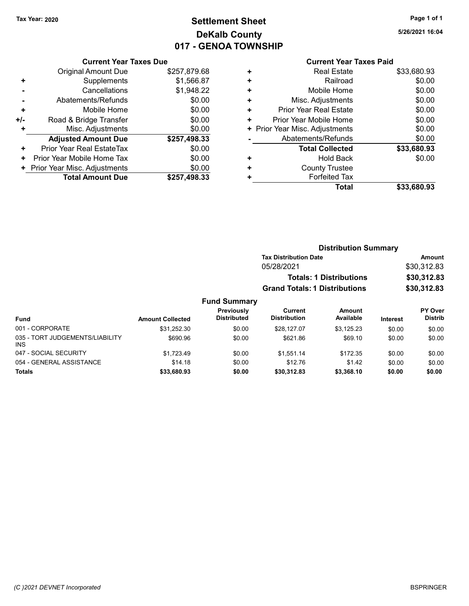# Tax Year: 2020 **Page 1 of 1 Settlement Sheet Constant Constant Constant Constant Constant Constant Constant Constant Constant Constant Constant Constant Page 1 of 1** DeKalb County 017 - GENOA TOWNSHIP

5/26/2021 16:04

#### Current Year Taxes Paid

|     | <b>Current Year Taxes Due</b> |              |  |  |  |  |  |
|-----|-------------------------------|--------------|--|--|--|--|--|
|     | <b>Original Amount Due</b>    | \$257,879.68 |  |  |  |  |  |
| ٠   | Supplements                   | \$1,566.87   |  |  |  |  |  |
|     | Cancellations                 | \$1,948.22   |  |  |  |  |  |
|     | Abatements/Refunds            | \$0.00       |  |  |  |  |  |
| ٠   | Mobile Home                   | \$0.00       |  |  |  |  |  |
| +/- | Road & Bridge Transfer        | \$0.00       |  |  |  |  |  |
|     | Misc. Adjustments             | \$0.00       |  |  |  |  |  |
|     | <b>Adjusted Amount Due</b>    | \$257,498.33 |  |  |  |  |  |
| ٠   | Prior Year Real EstateTax     | \$0.00       |  |  |  |  |  |
| ٠   | Prior Year Mobile Home Tax    | \$0.00       |  |  |  |  |  |
|     | Prior Year Misc. Adjustments  | \$0.00       |  |  |  |  |  |
|     | <b>Total Amount Due</b>       | \$257,498.33 |  |  |  |  |  |

|   | <b>Real Estate</b>             | \$33,680.93 |
|---|--------------------------------|-------------|
| ٠ | Railroad                       | \$0.00      |
| ٠ | Mobile Home                    | \$0.00      |
| ٠ | Misc. Adjustments              | \$0.00      |
| ٠ | Prior Year Real Estate         | \$0.00      |
| ٠ | Prior Year Mobile Home         | \$0.00      |
|   | + Prior Year Misc. Adjustments | \$0.00      |
|   | Abatements/Refunds             | \$0.00      |
|   | <b>Total Collected</b>         | \$33,680.93 |
| ٠ | <b>Hold Back</b>               | \$0.00      |
| ٠ | <b>County Trustee</b>          |             |
| ٠ | <b>Forfeited Tax</b>           |             |
|   | Total                          | \$33,680.93 |
|   |                                |             |

|                                               |                         |                                  |                                                                                      | <b>Distribution Summary</b>                         |                 |                                  |
|-----------------------------------------------|-------------------------|----------------------------------|--------------------------------------------------------------------------------------|-----------------------------------------------------|-----------------|----------------------------------|
|                                               |                         |                                  | <b>Tax Distribution Date</b>                                                         | Amount<br>\$30,312.83<br>\$30,312.83<br>\$30,312.83 |                 |                                  |
|                                               |                         |                                  | 05/28/2021<br><b>Totals: 1 Distributions</b><br><b>Grand Totals: 1 Distributions</b> |                                                     |                 |                                  |
|                                               |                         |                                  |                                                                                      |                                                     |                 |                                  |
|                                               |                         |                                  |                                                                                      |                                                     |                 |                                  |
|                                               |                         | <b>Fund Summary</b>              |                                                                                      |                                                     |                 |                                  |
| <b>Fund</b>                                   | <b>Amount Collected</b> | Previously<br><b>Distributed</b> | Current<br><b>Distribution</b>                                                       | Amount<br>Available                                 | <b>Interest</b> | <b>PY Over</b><br><b>Distrib</b> |
| 001 - CORPORATE                               | \$31,252.30             | \$0.00                           | \$28.127.07                                                                          | \$3,125.23                                          | \$0.00          | \$0.00                           |
| 035 - TORT JUDGEMENTS/LIABILITY<br><b>INS</b> | \$690.96                | \$0.00                           | \$621.86                                                                             | \$69.10                                             | \$0.00          | \$0.00                           |
| 047 - SOCIAL SECURITY                         | \$1,723.49              | \$0.00                           | \$1,551.14                                                                           | \$172.35                                            | \$0.00          | \$0.00                           |
| 054 - GENERAL ASSISTANCE                      | \$14.18                 | \$0.00                           | \$12.76                                                                              | \$1.42                                              | \$0.00          | \$0.00                           |

Totals \$0.00 \$0.00 \$33,680.93 \$0.00 \$30,312.83 \$3,368.10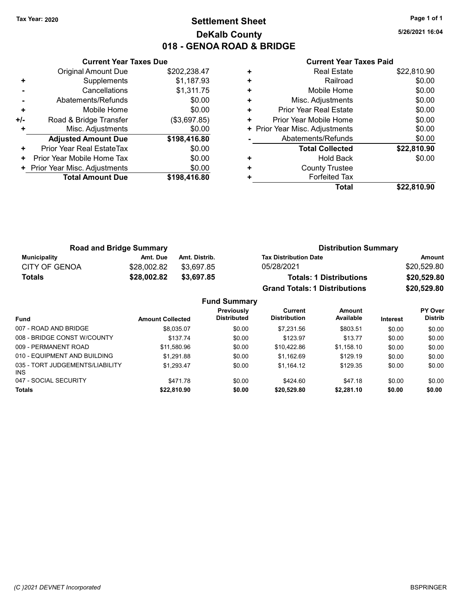## Tax Year: 2020 **Page 1 of 1 Settlement Sheet Constant Constant Constant Constant Constant Constant Constant Constant Constant Constant Constant Constant Page 1 of 1** DeKalb County 018 - GENOA ROAD & BRIDGE

5/26/2021 16:04

|     | <b>Current Year Taxes Due</b> |              |
|-----|-------------------------------|--------------|
|     | Original Amount Due           | \$202,238.47 |
| ٠   | Supplements                   | \$1,187.93   |
|     | Cancellations                 | \$1,311.75   |
|     | Abatements/Refunds            | \$0.00       |
| ÷   | Mobile Home                   | \$0.00       |
| +/- | Road & Bridge Transfer        | (\$3,697.85) |
|     | Misc. Adjustments             | \$0.00       |
|     | <b>Adjusted Amount Due</b>    | \$198,416.80 |
| ٠   | Prior Year Real EstateTax     | \$0.00       |
| ÷   | Prior Year Mobile Home Tax    | \$0.00       |
|     | Prior Year Misc. Adjustments  | \$0.00       |
|     | <b>Total Amount Due</b>       | \$198,416.80 |
|     |                               |              |

| <b>Real Estate</b>     | \$22,810.90                    |
|------------------------|--------------------------------|
| Railroad               | \$0.00                         |
| Mobile Home            | \$0.00                         |
| Misc. Adjustments      | \$0.00                         |
| Prior Year Real Estate | \$0.00                         |
| Prior Year Mobile Home | \$0.00                         |
|                        | \$0.00                         |
| Abatements/Refunds     | \$0.00                         |
| <b>Total Collected</b> | \$22,810.90                    |
| <b>Hold Back</b>       | \$0.00                         |
| <b>County Trustee</b>  |                                |
| <b>Forfeited Tax</b>   |                                |
| Total                  | \$22.810.90                    |
|                        | + Prior Year Misc. Adjustments |

| <b>Road and Bridge Summary</b> |             |               | <b>Distribution Summary</b>          |             |  |
|--------------------------------|-------------|---------------|--------------------------------------|-------------|--|
| Municipality                   | Amt. Due    | Amt. Distrib. | <b>Tax Distribution Date</b>         | Amount      |  |
| <b>CITY OF GENOA</b>           | \$28,002.82 | \$3.697.85    | 05/28/2021                           | \$20.529.80 |  |
| <b>Totals</b>                  | \$28,002.82 | \$3,697.85    | <b>Totals: 1 Distributions</b>       | \$20,529.80 |  |
|                                |             |               | <b>Grand Totals: 1 Distributions</b> | \$20,529.80 |  |

| <b>Amount Collected</b> | Previously<br><b>Distributed</b> | Current<br><b>Distribution</b> | Amount<br>Available | <b>Interest</b> | <b>PY Over</b><br><b>Distrib</b> |
|-------------------------|----------------------------------|--------------------------------|---------------------|-----------------|----------------------------------|
| \$8,035.07              | \$0.00                           | \$7,231.56                     | \$803.51            | \$0.00          | \$0.00                           |
| \$137.74                | \$0.00                           | \$123.97                       | \$13.77             | \$0.00          | \$0.00                           |
| \$11.580.96             | \$0.00                           | \$10.422.86                    | \$1,158.10          | \$0.00          | \$0.00                           |
| \$1.291.88              | \$0.00                           | \$1.162.69                     | \$129.19            | \$0.00          | \$0.00                           |
| \$1,293.47              | \$0.00                           | \$1.164.12                     | \$129.35            | \$0.00          | \$0.00                           |
| \$471.78                | \$0.00                           | \$424.60                       | \$47.18             | \$0.00          | \$0.00                           |
| \$22,810.90             | \$0.00                           | \$20,529.80                    | \$2,281.10          | \$0.00          | \$0.00                           |
|                         |                                  | <b>Fund Summary</b>            |                     |                 |                                  |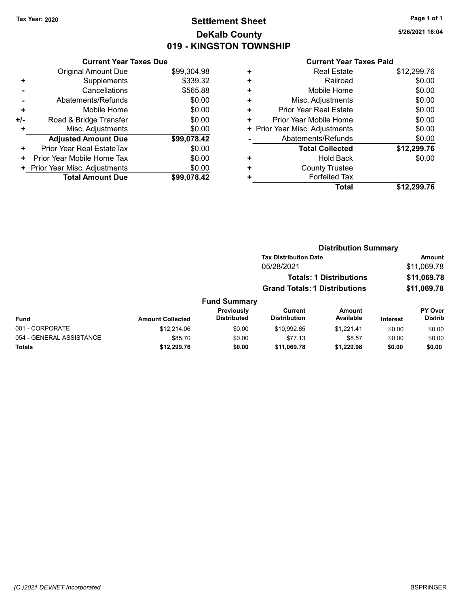## Tax Year: 2020 **Page 1 of 1 Settlement Sheet Constant Constant Constant Constant Constant Constant Constant Constant Constant Constant Constant Constant Page 1 of 1** DeKalb County 019 - KINGSTON TOWNSHIP

5/26/2021 16:04

|     | <b>Current Year Taxes Due</b> |             |
|-----|-------------------------------|-------------|
|     | Original Amount Due           | \$99,304.98 |
| ٠   | Supplements                   | \$339.32    |
|     | Cancellations                 | \$565.88    |
|     | Abatements/Refunds            | \$0.00      |
| ٠   | Mobile Home                   | \$0.00      |
| +/- | Road & Bridge Transfer        | \$0.00      |
|     | Misc. Adjustments             | \$0.00      |
|     | <b>Adjusted Amount Due</b>    | \$99,078.42 |
| ٠   | Prior Year Real EstateTax     | \$0.00      |
| ٠   | Prior Year Mobile Home Tax    | \$0.00      |
| ٠   | Prior Year Misc. Adjustments  | \$0.00      |
|     | <b>Total Amount Due</b>       | \$99,078,42 |

| ٠ | <b>Real Estate</b>           | \$12,299.76 |
|---|------------------------------|-------------|
| ٠ | Railroad                     | \$0.00      |
| ٠ | Mobile Home                  | \$0.00      |
| ٠ | Misc. Adjustments            | \$0.00      |
| ٠ | Prior Year Real Estate       | \$0.00      |
| ٠ | Prior Year Mobile Home       | \$0.00      |
| ٠ | Prior Year Misc. Adjustments | \$0.00      |
|   | Abatements/Refunds           | \$0.00      |
|   | <b>Total Collected</b>       | \$12,299.76 |
| ٠ | <b>Hold Back</b>             | \$0.00      |
| ٠ | <b>County Trustee</b>        |             |
| ٠ | <b>Forfeited Tax</b>         |             |
|   | Total                        | \$12,299.76 |
|   |                              |             |

|                          |                         |                                         |                                      | <b>Distribution Summary</b>    |                 |                           |
|--------------------------|-------------------------|-----------------------------------------|--------------------------------------|--------------------------------|-----------------|---------------------------|
|                          |                         |                                         | <b>Tax Distribution Date</b>         |                                |                 | <b>Amount</b>             |
|                          |                         |                                         | 05/28/2021                           |                                |                 | \$11,069.78               |
|                          |                         |                                         |                                      | <b>Totals: 1 Distributions</b> |                 | \$11,069.78               |
|                          |                         |                                         | <b>Grand Totals: 1 Distributions</b> |                                |                 | \$11,069.78               |
|                          |                         | <b>Fund Summary</b>                     |                                      |                                |                 |                           |
| Fund                     | <b>Amount Collected</b> | <b>Previously</b><br><b>Distributed</b> | Current<br><b>Distribution</b>       | Amount<br>Available            | <b>Interest</b> | PY Over<br><b>Distrib</b> |
| 001 - CORPORATE          | \$12,214.06             | \$0.00                                  | \$10.992.65                          | \$1.221.41                     | \$0.00          | \$0.00                    |
| 054 - GENERAL ASSISTANCE | \$85.70                 | \$0.00                                  | \$77.13                              | \$8.57                         | \$0.00          | \$0.00                    |
| Totals                   | \$12,299.76             | \$0.00                                  | \$11,069.78                          | \$1,229.98                     | \$0.00          | \$0.00                    |
|                          |                         |                                         |                                      |                                |                 |                           |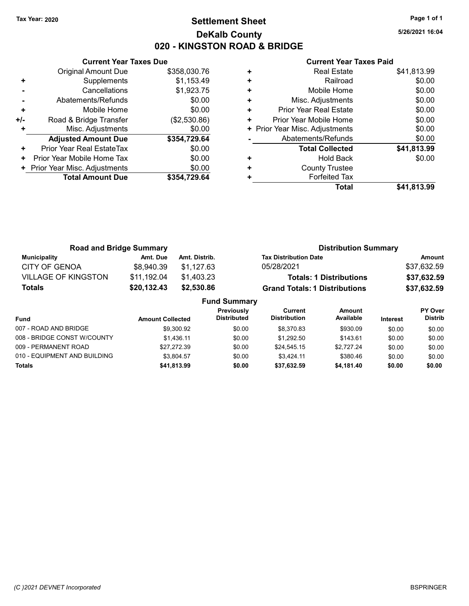### Tax Year: 2020 **Page 1 of 1 Settlement Sheet Constant Constant Constant Constant Constant Constant Constant Constant Constant Constant Constant Constant Page 1 of 1** DeKalb County 020 - KINGSTON ROAD & BRIDGE

5/26/2021 16:04

|     | <b>Current Year Taxes Due</b> |              |
|-----|-------------------------------|--------------|
|     | Original Amount Due           | \$358,030.76 |
| ٠   | Supplements                   | \$1,153.49   |
|     | Cancellations                 | \$1,923.75   |
|     | Abatements/Refunds            | \$0.00       |
| ÷   | Mobile Home                   | \$0.00       |
| +/- | Road & Bridge Transfer        | (\$2,530.86) |
| ٠   | Misc. Adjustments             | \$0.00       |
|     | <b>Adjusted Amount Due</b>    | \$354,729.64 |
| ٠   | Prior Year Real EstateTax     | \$0.00       |
| ٠   | Prior Year Mobile Home Tax    | \$0.00       |
|     | Prior Year Misc. Adjustments  | \$0.00       |
|     | <b>Total Amount Due</b>       | \$354,729.64 |
|     |                               |              |

| ٠ | <b>Real Estate</b>             | \$41,813.99 |
|---|--------------------------------|-------------|
| ٠ | Railroad                       | \$0.00      |
| ٠ | Mobile Home                    | \$0.00      |
| ٠ | Misc. Adjustments              | \$0.00      |
| ٠ | <b>Prior Year Real Estate</b>  | \$0.00      |
| ٠ | Prior Year Mobile Home         | \$0.00      |
|   | + Prior Year Misc. Adjustments | \$0.00      |
|   | Abatements/Refunds             | \$0.00      |
|   | <b>Total Collected</b>         | \$41,813.99 |
| ٠ | <b>Hold Back</b>               | \$0.00      |
| ٠ | <b>County Trustee</b>          |             |
| ٠ | <b>Forfeited Tax</b>           |             |
|   | Total                          | \$41,813.99 |
|   |                                |             |

| <b>Road and Bridge Summary</b> |                         | <b>Distribution Summary</b> |                                           |                                |                 |                |
|--------------------------------|-------------------------|-----------------------------|-------------------------------------------|--------------------------------|-----------------|----------------|
| <b>Municipality</b>            | Amt. Due                | Amt. Distrib.               | <b>Tax Distribution Date</b>              |                                |                 | Amount         |
| <b>CITY OF GENOA</b>           | \$8,940.39              | \$1.127.63                  | 05/28/2021                                |                                |                 | \$37,632.59    |
| <b>VILLAGE OF KINGSTON</b>     | \$11,192.04             | \$1,403.23                  |                                           | <b>Totals: 1 Distributions</b> |                 | \$37,632.59    |
| Totals                         | \$20,132.43             | \$2,530.86                  | <b>Grand Totals: 1 Distributions</b>      |                                |                 | \$37,632.59    |
|                                |                         |                             | <b>Fund Summary</b>                       |                                |                 |                |
|                                |                         |                             | Previously<br>Current                     | <b>Amount</b>                  |                 | PY Over        |
| <b>Fund</b>                    | <b>Amount Collected</b> |                             | <b>Distributed</b><br><b>Distribution</b> | Available                      | <b>Interest</b> | <b>Distrib</b> |

| .                            | ANDUNIK YUNGULU |        |             |            |        |        |
|------------------------------|-----------------|--------|-------------|------------|--------|--------|
| 007 - ROAD AND BRIDGE        | \$9.300.92      | \$0.00 | \$8.370.83  | \$930.09   | \$0.00 | \$0.00 |
| 008 - BRIDGE CONST W/COUNTY  | \$1.436.11      | \$0.00 | \$1.292.50  | \$143.61   | \$0.00 | \$0.00 |
| 009 - PERMANENT ROAD         | \$27.272.39     | \$0.00 | \$24.545.15 | \$2.727.24 | \$0.00 | \$0.00 |
| 010 - EQUIPMENT AND BUILDING | \$3.804.57      | \$0.00 | \$3.424.11  | \$380.46   | \$0.00 | \$0.00 |
| <b>Totals</b>                | \$41,813.99     | \$0.00 | \$37.632.59 | \$4.181.40 | \$0.00 | \$0.00 |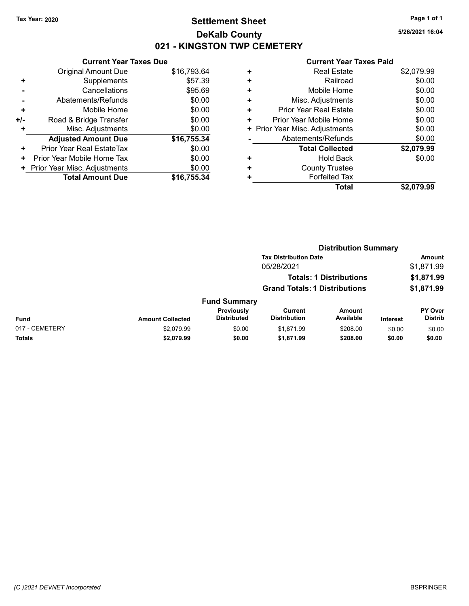## Tax Year: 2020 **Page 1 of 1 Settlement Sheet Constant Constant Constant Constant Constant Constant Constant Constant Constant Constant Constant Constant Page 1 of 1** DeKalb County 021 - KINGSTON TWP CEMETERY

5/26/2021 16:04

|     | <b>Current Year Taxes Due</b> |             |
|-----|-------------------------------|-------------|
|     | Original Amount Due           | \$16,793.64 |
| ٠   | Supplements                   | \$57.39     |
|     | Cancellations                 | \$95.69     |
|     | Abatements/Refunds            | \$0.00      |
| ÷   | Mobile Home                   | \$0.00      |
| +/- | Road & Bridge Transfer        | \$0.00      |
| ٠   | Misc. Adjustments             | \$0.00      |
|     | <b>Adjusted Amount Due</b>    | \$16,755.34 |
| ÷   | Prior Year Real EstateTax     | \$0.00      |
| ٠   | Prior Year Mobile Home Tax    | \$0.00      |
| ٠   | Prior Year Misc. Adjustments  | \$0.00      |
|     | <b>Total Amount Due</b>       | \$16.755.34 |

|   | Total                          | \$2.079.99 |
|---|--------------------------------|------------|
|   | <b>Forfeited Tax</b>           |            |
| ٠ | <b>County Trustee</b>          |            |
| ٠ | <b>Hold Back</b>               | \$0.00     |
|   | <b>Total Collected</b>         | \$2,079.99 |
|   | Abatements/Refunds             | \$0.00     |
|   | + Prior Year Misc. Adjustments | \$0.00     |
| ٠ | Prior Year Mobile Home         | \$0.00     |
| ٠ | Prior Year Real Estate         | \$0.00     |
| ÷ | Misc. Adjustments              | \$0.00     |
| ٠ | Mobile Home                    | \$0.00     |
| ٠ | Railroad                       | \$0.00     |
| ٠ | <b>Real Estate</b>             | \$2,079.99 |
|   |                                |            |

|                |                         |                                  |                                      | <b>Distribution Summary</b>    |                 |                           |  |
|----------------|-------------------------|----------------------------------|--------------------------------------|--------------------------------|-----------------|---------------------------|--|
|                |                         |                                  | <b>Tax Distribution Date</b>         |                                |                 | <b>Amount</b>             |  |
|                |                         |                                  | 05/28/2021                           |                                |                 | \$1,871.99                |  |
|                |                         |                                  |                                      | <b>Totals: 1 Distributions</b> |                 | \$1,871.99                |  |
|                |                         |                                  | <b>Grand Totals: 1 Distributions</b> |                                |                 | \$1,871.99                |  |
|                |                         | <b>Fund Summary</b>              |                                      |                                |                 |                           |  |
| Fund           | <b>Amount Collected</b> | Previously<br><b>Distributed</b> | Current<br><b>Distribution</b>       | <b>Amount</b><br>Available     | <b>Interest</b> | PY Over<br><b>Distrib</b> |  |
| 017 - CEMETERY | \$2,079.99              | \$0.00                           | \$1.871.99                           | \$208.00                       | \$0.00          | \$0.00                    |  |
| Totals         | \$2,079.99              | \$0.00                           | \$1,871.99                           | \$208.00                       | \$0.00          | \$0.00                    |  |
|                |                         |                                  |                                      |                                |                 |                           |  |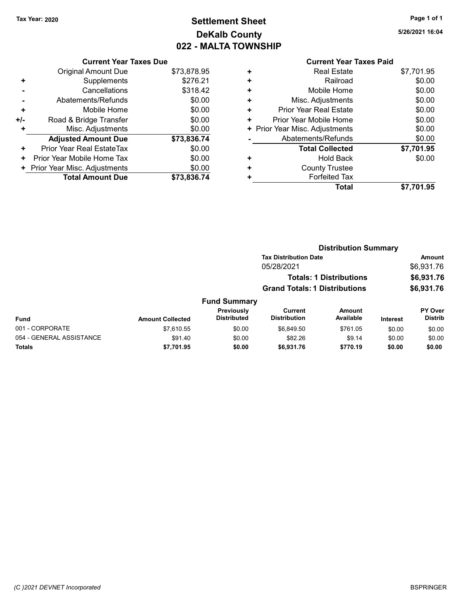# Tax Year: 2020 **Page 1 of 1 Settlement Sheet Constant Constant Constant Constant Constant Constant Constant Constant Constant Constant Constant Constant Page 1 of 1** DeKalb County 022 - MALTA TOWNSHIP

5/26/2021 16:04

|     | <b>Current Year Taxes Due</b> |             |
|-----|-------------------------------|-------------|
|     | <b>Original Amount Due</b>    | \$73,878.95 |
| ٠   | Supplements                   | \$276.21    |
|     | Cancellations                 | \$318.42    |
|     | Abatements/Refunds            | \$0.00      |
| ٠   | Mobile Home                   | \$0.00      |
| +/- | Road & Bridge Transfer        | \$0.00      |
|     | Misc. Adjustments             | \$0.00      |
|     | <b>Adjusted Amount Due</b>    | \$73,836.74 |
| ٠   | Prior Year Real EstateTax     | \$0.00      |
| ٠   | Prior Year Mobile Home Tax    | \$0.00      |
| ٠   | Prior Year Misc. Adjustments  | \$0.00      |
|     | <b>Total Amount Due</b>       | \$73,836.74 |

|   | OUITUIL TUUT TUAUJ LUIU        |            |
|---|--------------------------------|------------|
| ٠ | <b>Real Estate</b>             | \$7,701.95 |
| ٠ | Railroad                       | \$0.00     |
| ٠ | Mobile Home                    | \$0.00     |
| ٠ | Misc. Adjustments              | \$0.00     |
| ٠ | <b>Prior Year Real Estate</b>  | \$0.00     |
| ٠ | Prior Year Mobile Home         | \$0.00     |
|   | + Prior Year Misc. Adjustments | \$0.00     |
|   | Abatements/Refunds             | \$0.00     |
|   | <b>Total Collected</b>         | \$7,701.95 |
| ٠ | <b>Hold Back</b>               | \$0.00     |
| ٠ | <b>County Trustee</b>          |            |
|   | <b>Forfeited Tax</b>           |            |
|   | Total                          | \$7.701.95 |
|   |                                |            |

|                          |                         |                                         | <b>Distribution Summary</b>          |                                |                 |                                  |
|--------------------------|-------------------------|-----------------------------------------|--------------------------------------|--------------------------------|-----------------|----------------------------------|
|                          |                         |                                         | <b>Tax Distribution Date</b>         |                                |                 | Amount                           |
|                          |                         |                                         | 05/28/2021                           |                                |                 | \$6,931.76                       |
|                          |                         |                                         |                                      | <b>Totals: 1 Distributions</b> |                 | \$6,931.76                       |
|                          |                         |                                         | <b>Grand Totals: 1 Distributions</b> |                                |                 | \$6,931.76                       |
|                          |                         | <b>Fund Summary</b>                     |                                      |                                |                 |                                  |
| Fund                     | <b>Amount Collected</b> | <b>Previously</b><br><b>Distributed</b> | Current<br><b>Distribution</b>       | Amount<br>Available            | <b>Interest</b> | <b>PY Over</b><br><b>Distrib</b> |
| 001 - CORPORATE          | \$7.610.55              | \$0.00                                  | \$6.849.50                           | \$761.05                       | \$0.00          | \$0.00                           |
| 054 - GENERAL ASSISTANCE | \$91.40                 | \$0.00                                  | \$82.26                              | \$9.14                         | \$0.00          | \$0.00                           |
| <b>Totals</b>            | \$7,701.95              | \$0.00                                  | \$6,931.76                           | \$770.19                       | \$0.00          | \$0.00                           |
|                          |                         |                                         |                                      |                                |                 |                                  |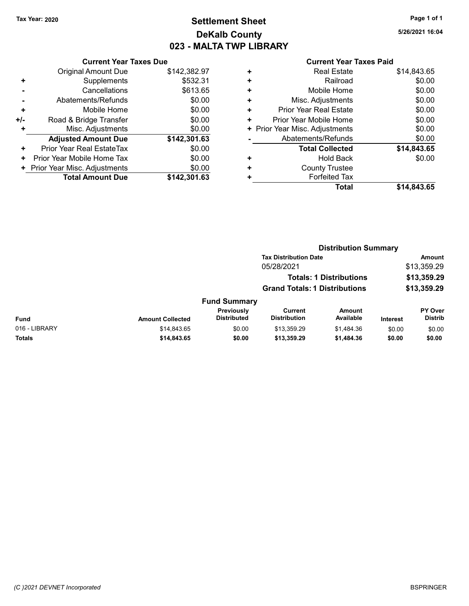## Tax Year: 2020 **Page 1 of 1 Settlement Sheet Constant Constant Constant Constant Constant Constant Constant Constant Constant Constant Constant Constant Page 1 of 1** DeKalb County 023 - MALTA TWP LIBRARY

5/26/2021 16:04

|     | <b>Current Year Taxes Due</b>              |              |  |  |  |  |  |
|-----|--------------------------------------------|--------------|--|--|--|--|--|
|     | \$142,382.97<br><b>Original Amount Due</b> |              |  |  |  |  |  |
| ٠   | Supplements                                | \$532.31     |  |  |  |  |  |
|     | Cancellations                              | \$613.65     |  |  |  |  |  |
|     | Abatements/Refunds                         | \$0.00       |  |  |  |  |  |
| ÷   | Mobile Home                                | \$0.00       |  |  |  |  |  |
| +/- | Road & Bridge Transfer                     | \$0.00       |  |  |  |  |  |
| ٠   | Misc. Adjustments                          | \$0.00       |  |  |  |  |  |
|     | <b>Adjusted Amount Due</b>                 | \$142,301.63 |  |  |  |  |  |
| ٠   | Prior Year Real EstateTax                  | \$0.00       |  |  |  |  |  |
| ٠   | Prior Year Mobile Home Tax                 | \$0.00       |  |  |  |  |  |
| ٠   | Prior Year Misc. Adjustments               | \$0.00       |  |  |  |  |  |
|     | <b>Total Amount Due</b>                    | \$142.301.63 |  |  |  |  |  |

|   | <b>Total</b>                   | \$14,843.65 |
|---|--------------------------------|-------------|
| ٠ | <b>Forfeited Tax</b>           |             |
| ٠ | <b>County Trustee</b>          |             |
| ٠ | Hold Back                      | \$0.00      |
|   | <b>Total Collected</b>         | \$14,843.65 |
|   | Abatements/Refunds             | \$0.00      |
|   | + Prior Year Misc. Adjustments | \$0.00      |
| ٠ | Prior Year Mobile Home         | \$0.00      |
| ٠ | Prior Year Real Estate         | \$0.00      |
| ٠ | Misc. Adjustments              | \$0.00      |
| ÷ | Mobile Home                    | \$0.00      |
| ٠ | Railroad                       | \$0.00      |
| ٠ | <b>Real Estate</b>             | \$14.843.65 |
|   |                                |             |

|               | <b>Distribution Summary</b> |                                         |                                                                        |                            |                 |                           |
|---------------|-----------------------------|-----------------------------------------|------------------------------------------------------------------------|----------------------------|-----------------|---------------------------|
|               |                             |                                         | <b>Tax Distribution Date</b>                                           |                            | <b>Amount</b>   |                           |
|               |                             |                                         | 05/28/2021                                                             |                            |                 | \$13,359.29               |
|               |                             |                                         | <b>Totals: 1 Distributions</b><br><b>Grand Totals: 1 Distributions</b> |                            |                 | \$13,359.29               |
|               |                             |                                         |                                                                        |                            | \$13,359.29     |                           |
|               |                             | <b>Fund Summary</b>                     |                                                                        |                            |                 |                           |
| Fund          | <b>Amount Collected</b>     | <b>Previously</b><br><b>Distributed</b> | Current<br><b>Distribution</b>                                         | <b>Amount</b><br>Available | <b>Interest</b> | PY Over<br><b>Distrib</b> |
| 016 - LIBRARY | \$14,843.65                 | \$0.00                                  | \$13,359.29                                                            | \$1,484.36                 | \$0.00          | \$0.00                    |
| Totals        | \$14,843.65                 | \$0.00                                  | \$13,359.29                                                            | \$1,484.36                 | \$0.00          | \$0.00                    |
|               |                             |                                         |                                                                        |                            |                 |                           |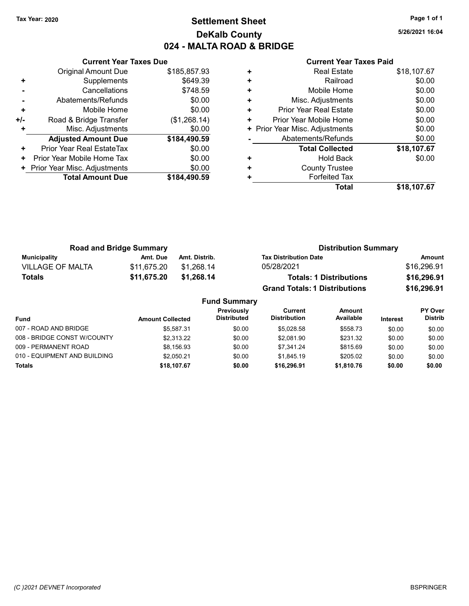### Tax Year: 2020 **Page 1 of 1 Settlement Sheet Constant Constant Constant Constant Constant Constant Constant Constant Constant Constant Constant Constant Page 1 of 1** DeKalb County 024 - MALTA ROAD & BRIDGE

5/26/2021 16:04

|     | <b>Current Year Taxes Due</b> |              |  |  |  |  |
|-----|-------------------------------|--------------|--|--|--|--|
|     | Original Amount Due           | \$185,857.93 |  |  |  |  |
| ٠   | Supplements                   | \$649.39     |  |  |  |  |
|     | Cancellations                 | \$748.59     |  |  |  |  |
|     | Abatements/Refunds            | \$0.00       |  |  |  |  |
| ÷   | Mobile Home                   | \$0.00       |  |  |  |  |
| +/- | Road & Bridge Transfer        | (\$1,268.14) |  |  |  |  |
| ٠   | Misc. Adjustments             | \$0.00       |  |  |  |  |
|     | <b>Adjusted Amount Due</b>    | \$184,490.59 |  |  |  |  |
| ٠   | Prior Year Real EstateTax     | \$0.00       |  |  |  |  |
| ٠   | Prior Year Mobile Home Tax    | \$0.00       |  |  |  |  |
|     | Prior Year Misc. Adjustments  | \$0.00       |  |  |  |  |
|     | <b>Total Amount Due</b>       | \$184,490.59 |  |  |  |  |
|     |                               |              |  |  |  |  |

| ٠<br>٠ | <b>County Trustee</b><br><b>Forfeited Tax</b> |             |
|--------|-----------------------------------------------|-------------|
| ٠      | <b>Hold Back</b>                              | \$0.00      |
|        | <b>Total Collected</b>                        | \$18,107.67 |
|        | Abatements/Refunds                            | \$0.00      |
|        | + Prior Year Misc. Adjustments                | \$0.00      |
| ٠      | Prior Year Mobile Home                        | \$0.00      |
| ÷      | <b>Prior Year Real Estate</b>                 | \$0.00      |
| ٠      | Misc. Adjustments                             | \$0.00      |
| ٠      | Mobile Home                                   | \$0.00      |
| ٠      | Railroad                                      | \$0.00      |
| ٠      | <b>Real Estate</b>                            | \$18,107.67 |
|        |                                               |             |

| <b>Road and Bridge Summary</b> |             |               | <b>Distribution Summary</b>          |             |  |  |
|--------------------------------|-------------|---------------|--------------------------------------|-------------|--|--|
| Municipality                   | Amt. Due    | Amt. Distrib. | <b>Tax Distribution Date</b>         | Amount      |  |  |
| <b>VILLAGE OF MALTA</b>        | \$11.675.20 | \$1.268.14    | 05/28/2021                           | \$16,296.91 |  |  |
| Totals                         | \$11,675.20 | \$1.268.14    | <b>Totals: 1 Distributions</b>       | \$16,296.91 |  |  |
|                                |             |               | <b>Grand Totals: 1 Distributions</b> | \$16,296.91 |  |  |

|                              |                         | <b>Fund Summary</b>       |                                |                            |                 |                                  |
|------------------------------|-------------------------|---------------------------|--------------------------------|----------------------------|-----------------|----------------------------------|
| <b>Fund</b>                  | <b>Amount Collected</b> | Previously<br>Distributed | Current<br><b>Distribution</b> | <b>Amount</b><br>Available | <b>Interest</b> | <b>PY Over</b><br><b>Distrib</b> |
| 007 - ROAD AND BRIDGE        | \$5.587.31              | \$0.00                    | \$5.028.58                     | \$558.73                   | \$0.00          | \$0.00                           |
| 008 - BRIDGE CONST W/COUNTY  | \$2,313.22              | \$0.00                    | \$2.081.90                     | \$231.32                   | \$0.00          | \$0.00                           |
| 009 - PERMANENT ROAD         | \$8.156.93              | \$0.00                    | \$7.341.24                     | \$815.69                   | \$0.00          | \$0.00                           |
| 010 - EQUIPMENT AND BUILDING | \$2.050.21              | \$0.00                    | \$1.845.19                     | \$205.02                   | \$0.00          | \$0.00                           |
| <b>Totals</b>                | \$18,107.67             | \$0.00                    | \$16,296.91                    | \$1,810.76                 | \$0.00          | \$0.00                           |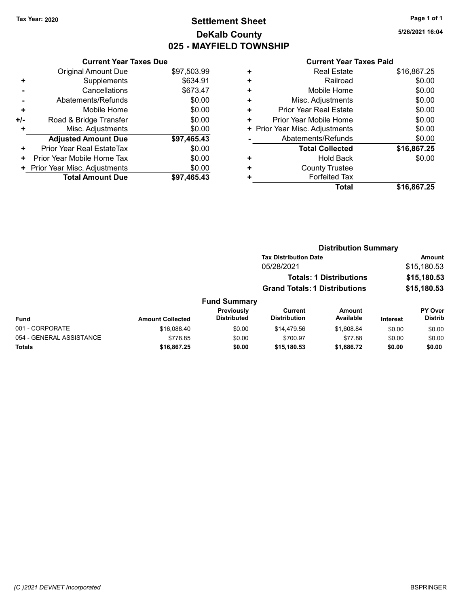## Tax Year: 2020 **Page 1 of 1 Settlement Sheet Constant Constant Constant Constant Constant Constant Constant Constant Constant Constant Constant Constant Page 1 of 1** DeKalb County 025 - MAYFIELD TOWNSHIP

5/26/2021 16:04

|     | <b>Current Year Taxes Due</b> |             |
|-----|-------------------------------|-------------|
|     | Original Amount Due           | \$97,503.99 |
| ٠   | Supplements                   | \$634.91    |
|     | Cancellations                 | \$673.47    |
|     | Abatements/Refunds            | \$0.00      |
| ٠   | Mobile Home                   | \$0.00      |
| +/- | Road & Bridge Transfer        | \$0.00      |
| ٠   | Misc. Adjustments             | \$0.00      |
|     | <b>Adjusted Amount Due</b>    | \$97,465.43 |
| ÷   | Prior Year Real EstateTax     | \$0.00      |
| ٠   | Prior Year Mobile Home Tax    | \$0.00      |
| ٠   | Prior Year Misc. Adjustments  | \$0.00      |
|     | <b>Total Amount Due</b>       | \$97.465.43 |

|   | Total                          | \$16,867.25 |
|---|--------------------------------|-------------|
|   | <b>Forfeited Tax</b>           |             |
| ٠ | <b>County Trustee</b>          |             |
| ٠ | <b>Hold Back</b>               | \$0.00      |
|   | <b>Total Collected</b>         | \$16,867.25 |
|   | Abatements/Refunds             | \$0.00      |
|   | + Prior Year Misc. Adjustments | \$0.00      |
| ٠ | Prior Year Mobile Home         | \$0.00      |
| ٠ | <b>Prior Year Real Estate</b>  | \$0.00      |
| ٠ | Misc. Adjustments              | \$0.00      |
| ٠ | Mobile Home                    | \$0.00      |
| ٠ | Railroad                       | \$0.00      |
| ٠ | <b>Real Estate</b>             | \$16,867.25 |
|   |                                |             |

|                          |                         |                                  | <b>Distribution Summary</b>          |                                |                 |                           |
|--------------------------|-------------------------|----------------------------------|--------------------------------------|--------------------------------|-----------------|---------------------------|
|                          |                         |                                  | <b>Tax Distribution Date</b>         |                                |                 | <b>Amount</b>             |
|                          |                         |                                  | 05/28/2021                           |                                |                 | \$15,180.53               |
|                          |                         |                                  |                                      | <b>Totals: 1 Distributions</b> |                 | \$15,180.53               |
|                          |                         |                                  | <b>Grand Totals: 1 Distributions</b> |                                |                 | \$15,180.53               |
|                          |                         | <b>Fund Summary</b>              |                                      |                                |                 |                           |
| Fund                     | <b>Amount Collected</b> | Previously<br><b>Distributed</b> | Current<br><b>Distribution</b>       | Amount<br>Available            | <b>Interest</b> | PY Over<br><b>Distrib</b> |
| 001 - CORPORATE          | \$16,088,40             | \$0.00                           | \$14,479.56                          | \$1,608.84                     | \$0.00          | \$0.00                    |
| 054 - GENERAL ASSISTANCE | \$778.85                | \$0.00                           | \$700.97                             | \$77.88                        | \$0.00          | \$0.00                    |
| Totals                   | \$16,867.25             | \$0.00                           | \$15,180.53                          | \$1,686.72                     | \$0.00          | \$0.00                    |
|                          |                         |                                  |                                      |                                |                 |                           |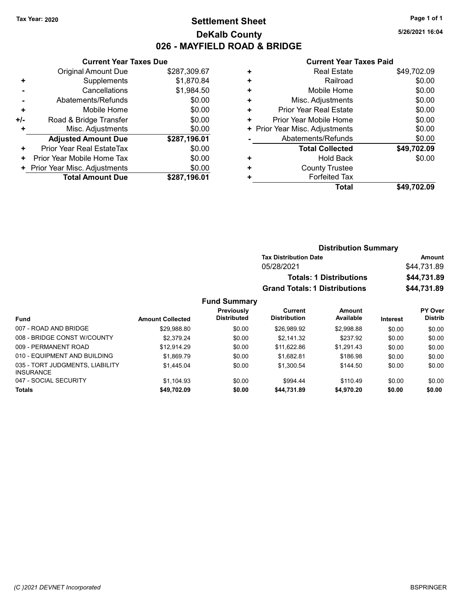### Tax Year: 2020 **Page 1 of 1 Settlement Sheet Constant Constant Constant Constant Constant Constant Constant Constant Constant Constant Constant Constant Page 1 of 1** DeKalb County 026 - MAYFIELD ROAD & BRIDGE

5/26/2021 16:04

#### Current Year Taxes Paid

|     | <b>Current Year Taxes Due</b> |              |
|-----|-------------------------------|--------------|
|     | <b>Original Amount Due</b>    | \$287,309.67 |
| ٠   | Supplements                   | \$1,870.84   |
|     | Cancellations                 | \$1,984.50   |
|     | Abatements/Refunds            | \$0.00       |
| ٠   | Mobile Home                   | \$0.00       |
| +/- | Road & Bridge Transfer        | \$0.00       |
|     | Misc. Adjustments             | \$0.00       |
|     | <b>Adjusted Amount Due</b>    | \$287,196.01 |
| ٠   | Prior Year Real EstateTax     | \$0.00       |
| ٠   | Prior Year Mobile Home Tax    | \$0.00       |
|     | Prior Year Misc. Adjustments  | \$0.00       |
|     | <b>Total Amount Due</b>       | \$287,196.01 |

|   | Total                          | \$49,702.09 |
|---|--------------------------------|-------------|
| ٠ | <b>Forfeited Tax</b>           |             |
| ٠ | <b>County Trustee</b>          |             |
| ٠ | <b>Hold Back</b>               | \$0.00      |
|   | <b>Total Collected</b>         | \$49,702.09 |
|   | Abatements/Refunds             | \$0.00      |
|   | + Prior Year Misc. Adjustments | \$0.00      |
| ٠ | Prior Year Mobile Home         | \$0.00      |
| ٠ | Prior Year Real Estate         | \$0.00      |
| ÷ | Misc. Adjustments              | \$0.00      |
| ٠ | Mobile Home                    | \$0.00      |
| ٠ | Railroad                       | \$0.00      |
| ٠ | <b>Real Estate</b>             | \$49,702.09 |
|   |                                |             |

|                                                     |                         |                                  | <b>Distribution Summary</b>          |                                |             |                                  |
|-----------------------------------------------------|-------------------------|----------------------------------|--------------------------------------|--------------------------------|-------------|----------------------------------|
|                                                     |                         |                                  | <b>Tax Distribution Date</b>         |                                | Amount      |                                  |
|                                                     |                         |                                  | 05/28/2021                           |                                | \$44,731.89 |                                  |
|                                                     |                         |                                  |                                      | <b>Totals: 1 Distributions</b> |             | \$44,731.89                      |
|                                                     |                         |                                  | <b>Grand Totals: 1 Distributions</b> |                                |             | \$44,731.89                      |
|                                                     |                         | <b>Fund Summary</b>              |                                      |                                |             |                                  |
| <b>Fund</b>                                         | <b>Amount Collected</b> | Previously<br><b>Distributed</b> | Current<br><b>Distribution</b>       | <b>Amount</b><br>Available     | Interest    | <b>PY Over</b><br><b>Distrib</b> |
| 007 - ROAD AND BRIDGE                               | \$29,988.80             | \$0.00                           | \$26,989.92                          | \$2,998.88                     | \$0.00      | \$0.00                           |
| 008 - BRIDGE CONST W/COUNTY                         | \$2,379.24              | \$0.00                           | \$2,141.32                           | \$237.92                       | \$0.00      | \$0.00                           |
| 009 - PERMANENT ROAD                                | \$12.914.29             | \$0.00                           | \$11,622.86                          | \$1,291.43                     | \$0.00      | \$0.00                           |
| 010 - EQUIPMENT AND BUILDING                        | \$1,869.79              | \$0.00                           | \$1,682.81                           | \$186.98                       | \$0.00      | \$0.00                           |
| 035 - TORT JUDGMENTS, LIABILITY<br><b>INSURANCE</b> | \$1.445.04              | \$0.00                           | \$1,300.54                           | \$144.50                       | \$0.00      | \$0.00                           |
| 047 - SOCIAL SECURITY                               | \$1.104.93              | \$0.00                           | \$994.44                             | \$110.49                       | \$0.00      | \$0.00                           |

Totals \$0.00 \$0.00 \$49,702.09 \$0.00 \$44,731.89 \$4,970.20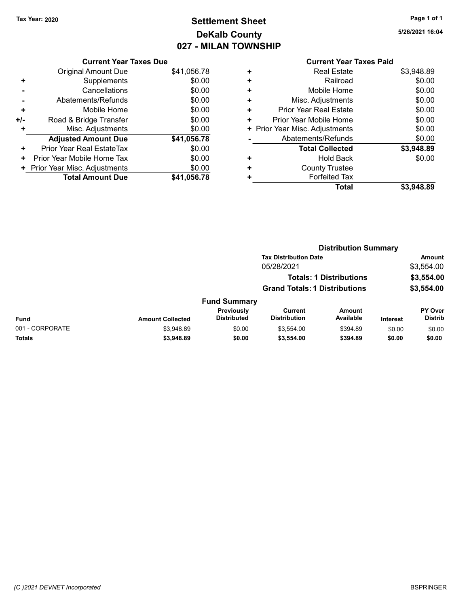# Tax Year: 2020 **Page 1 of 1 Settlement Sheet Constant Constant Constant Constant Constant Constant Constant Constant Constant Constant Constant Constant Page 1 of 1** DeKalb County 027 - MILAN TOWNSHIP

5/26/2021 16:04

|     | <b>Current Year Taxes Due</b> |             |
|-----|-------------------------------|-------------|
|     | Original Amount Due           | \$41,056.78 |
| ٠   | Supplements                   | \$0.00      |
|     | Cancellations                 | \$0.00      |
|     | Abatements/Refunds            | \$0.00      |
| ٠   | Mobile Home                   | \$0.00      |
| +/- | Road & Bridge Transfer        | \$0.00      |
|     | Misc. Adjustments             | \$0.00      |
|     | <b>Adjusted Amount Due</b>    | \$41,056.78 |
| ٠   | Prior Year Real EstateTax     | \$0.00      |
| ٠   | Prior Year Mobile Home Tax    | \$0.00      |
| ٠   | Prior Year Misc. Adjustments  | \$0.00      |
|     | <b>Total Amount Due</b>       | \$41.056.78 |

|   | OUITGIIL I GAI TAAGS TAIW      |            |
|---|--------------------------------|------------|
| ٠ | <b>Real Estate</b>             | \$3,948.89 |
| ÷ | Railroad                       | \$0.00     |
| ٠ | Mobile Home                    | \$0.00     |
| ٠ | Misc. Adjustments              | \$0.00     |
| ٠ | <b>Prior Year Real Estate</b>  | \$0.00     |
| ٠ | Prior Year Mobile Home         | \$0.00     |
|   | + Prior Year Misc. Adjustments | \$0.00     |
|   | Abatements/Refunds             | \$0.00     |
|   | <b>Total Collected</b>         | \$3,948.89 |
| ٠ | <b>Hold Back</b>               | \$0.00     |
| ٠ | <b>County Trustee</b>          |            |
| ٠ | <b>Forfeited Tax</b>           |            |
|   | Total                          | \$3,948.89 |
|   |                                |            |

|                 | <b>Distribution Summary</b> |                                  |                                       |                                |                 |                           |  |
|-----------------|-----------------------------|----------------------------------|---------------------------------------|--------------------------------|-----------------|---------------------------|--|
|                 |                             |                                  | <b>Tax Distribution Date</b>          |                                |                 | <b>Amount</b>             |  |
|                 |                             |                                  | 05/28/2021                            |                                |                 | \$3,554.00                |  |
|                 |                             |                                  |                                       | <b>Totals: 1 Distributions</b> |                 | \$3,554.00                |  |
|                 |                             |                                  | <b>Grand Totals: 1 Distributions</b>  |                                |                 | \$3,554.00                |  |
|                 |                             | <b>Fund Summary</b>              |                                       |                                |                 |                           |  |
| Fund            | <b>Amount Collected</b>     | Previously<br><b>Distributed</b> | <b>Current</b><br><b>Distribution</b> | <b>Amount</b><br>Available     | <b>Interest</b> | PY Over<br><b>Distrib</b> |  |
| 001 - CORPORATE | \$3,948.89                  | \$0.00                           | \$3,554.00                            | \$394.89                       | \$0.00          | \$0.00                    |  |
| Totals          | \$3,948.89                  | \$0.00                           | \$3,554.00                            | \$394.89                       | \$0.00          | \$0.00                    |  |
|                 |                             |                                  |                                       |                                |                 |                           |  |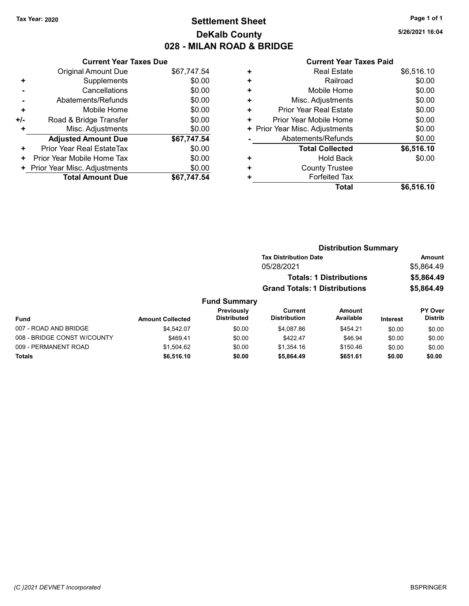## Tax Year: 2020 **Page 1 of 1 Settlement Sheet Constant Constant Constant Constant Constant Constant Constant Constant Constant Constant Constant Constant Page 1 of 1** DeKalb County 028 - MILAN ROAD & BRIDGE

5/26/2021 16:04

|     | <b>Current Year Taxes Due</b> |             |
|-----|-------------------------------|-------------|
|     | <b>Original Amount Due</b>    | \$67,747.54 |
| ٠   | Supplements                   | \$0.00      |
|     | Cancellations                 | \$0.00      |
|     | Abatements/Refunds            | \$0.00      |
| ٠   | Mobile Home                   | \$0.00      |
| +/- | Road & Bridge Transfer        | \$0.00      |
| ٠   | Misc. Adjustments             | \$0.00      |
|     | <b>Adjusted Amount Due</b>    | \$67,747.54 |
| ٠   | Prior Year Real EstateTax     | \$0.00      |
| ٠   | Prior Year Mobile Home Tax    | \$0.00      |
| ٠   | Prior Year Misc. Adjustments  | \$0.00      |
|     | <b>Total Amount Due</b>       | \$67.747.54 |

|   | Total                          | \$6,516.10 |
|---|--------------------------------|------------|
| ٠ | <b>Forfeited Tax</b>           |            |
| ٠ | <b>County Trustee</b>          |            |
| ٠ | <b>Hold Back</b>               | \$0.00     |
|   | <b>Total Collected</b>         | \$6,516.10 |
|   | Abatements/Refunds             | \$0.00     |
|   | + Prior Year Misc. Adjustments | \$0.00     |
| ٠ | Prior Year Mobile Home         | \$0.00     |
| ٠ | Prior Year Real Estate         | \$0.00     |
| ٠ | Misc. Adjustments              | \$0.00     |
| ٠ | Mobile Home                    | \$0.00     |
| ٠ | Railroad                       | \$0.00     |
| ٠ | <b>Real Estate</b>             | \$6,516.10 |
|   |                                |            |

|                             |                         |                                  | <b>Distribution Summary</b>           |                                |                 |                                  |
|-----------------------------|-------------------------|----------------------------------|---------------------------------------|--------------------------------|-----------------|----------------------------------|
|                             |                         |                                  | <b>Tax Distribution Date</b>          |                                |                 | <b>Amount</b>                    |
|                             |                         |                                  | 05/28/2021                            |                                |                 | \$5,864.49                       |
|                             |                         |                                  |                                       | <b>Totals: 1 Distributions</b> |                 | \$5,864.49                       |
|                             |                         |                                  | <b>Grand Totals: 1 Distributions</b>  |                                |                 | \$5,864.49                       |
|                             |                         | <b>Fund Summary</b>              |                                       |                                |                 |                                  |
| Fund                        | <b>Amount Collected</b> | Previously<br><b>Distributed</b> | <b>Current</b><br><b>Distribution</b> | <b>Amount</b><br>Available     | <b>Interest</b> | <b>PY Over</b><br><b>Distrib</b> |
| 007 - ROAD AND BRIDGE       | \$4.542.07              | \$0.00                           | \$4.087.86                            | \$454.21                       | \$0.00          | \$0.00                           |
| 008 - BRIDGE CONST W/COUNTY | \$469.41                | \$0.00                           | \$422.47                              | \$46.94                        | \$0.00          | \$0.00                           |
| 009 - PERMANENT ROAD        | \$1.504.62              | \$0.00                           | \$1.354.16                            | \$150.46                       | \$0.00          | \$0.00                           |
| Totals                      | \$6,516.10              | \$0.00                           | \$5,864.49                            | \$651.61                       | \$0.00          | \$0.00                           |
|                             |                         |                                  |                                       |                                |                 |                                  |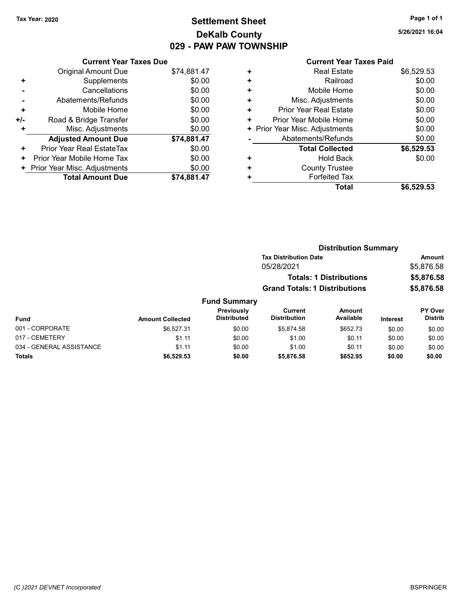## Tax Year: 2020 **Page 1 of 1 Settlement Sheet Constant Constant Constant Constant Constant Constant Constant Constant Constant Constant Constant Constant Page 1 of 1** DeKalb County 029 - PAW PAW TOWNSHIP

5/26/2021 16:04

|     | <b>Current Year Taxes Due</b> |             |  |  |  |  |
|-----|-------------------------------|-------------|--|--|--|--|
|     | Original Amount Due           | \$74,881.47 |  |  |  |  |
| ٠   | Supplements                   | \$0.00      |  |  |  |  |
|     | Cancellations                 | \$0.00      |  |  |  |  |
|     | Abatements/Refunds            | \$0.00      |  |  |  |  |
| ٠   | Mobile Home                   | \$0.00      |  |  |  |  |
| +/- | Road & Bridge Transfer        | \$0.00      |  |  |  |  |
| ٠   | Misc. Adjustments             | \$0.00      |  |  |  |  |
|     | <b>Adjusted Amount Due</b>    | \$74,881.47 |  |  |  |  |
| ٠   | Prior Year Real EstateTax     | \$0.00      |  |  |  |  |
| ٠   | Prior Year Mobile Home Tax    | \$0.00      |  |  |  |  |
| ٠   | Prior Year Misc. Adjustments  | \$0.00      |  |  |  |  |
|     | <b>Total Amount Due</b>       | \$74,881.47 |  |  |  |  |

|   | Total                          | \$6,529.53 |
|---|--------------------------------|------------|
| ٠ | <b>Forfeited Tax</b>           |            |
| ٠ | <b>County Trustee</b>          |            |
| ٠ | <b>Hold Back</b>               | \$0.00     |
|   | <b>Total Collected</b>         | \$6,529.53 |
|   | Abatements/Refunds             | \$0.00     |
|   | + Prior Year Misc. Adjustments | \$0.00     |
| ٠ | Prior Year Mobile Home         | \$0.00     |
| ٠ | <b>Prior Year Real Estate</b>  | \$0.00     |
| ÷ | Misc. Adjustments              | \$0.00     |
| ٠ | Mobile Home                    | \$0.00     |
| ٠ | Railroad                       | \$0.00     |
| ٠ | <b>Real Estate</b>             | \$6,529.53 |
|   |                                |            |

|                          | <b>Distribution Summary</b> |                                  |                                       |                                |                 |                           |
|--------------------------|-----------------------------|----------------------------------|---------------------------------------|--------------------------------|-----------------|---------------------------|
|                          |                             |                                  | <b>Tax Distribution Date</b>          |                                |                 | <b>Amount</b>             |
|                          |                             |                                  | 05/28/2021                            |                                |                 | \$5,876.58                |
|                          |                             |                                  |                                       | <b>Totals: 1 Distributions</b> |                 | \$5,876.58                |
|                          |                             |                                  | <b>Grand Totals: 1 Distributions</b>  |                                |                 | \$5,876.58                |
|                          |                             | <b>Fund Summary</b>              |                                       |                                |                 |                           |
| Fund                     | <b>Amount Collected</b>     | Previously<br><b>Distributed</b> | <b>Current</b><br><b>Distribution</b> | <b>Amount</b><br>Available     | <b>Interest</b> | PY Over<br><b>Distrib</b> |
| 001 - CORPORATE          | \$6.527.31                  | \$0.00                           | \$5.874.58                            | \$652.73                       | \$0.00          | \$0.00                    |
| 017 - CEMETERY           | \$1.11                      | \$0.00                           | \$1.00                                | \$0.11                         | \$0.00          | \$0.00                    |
| 034 - GENERAL ASSISTANCE | \$1.11                      | \$0.00                           | \$1.00                                | \$0.11                         | \$0.00          | \$0.00                    |
| Totals                   | \$6,529.53                  | \$0.00                           | \$5,876.58                            | \$652.95                       | \$0.00          | \$0.00                    |
|                          |                             |                                  |                                       |                                |                 |                           |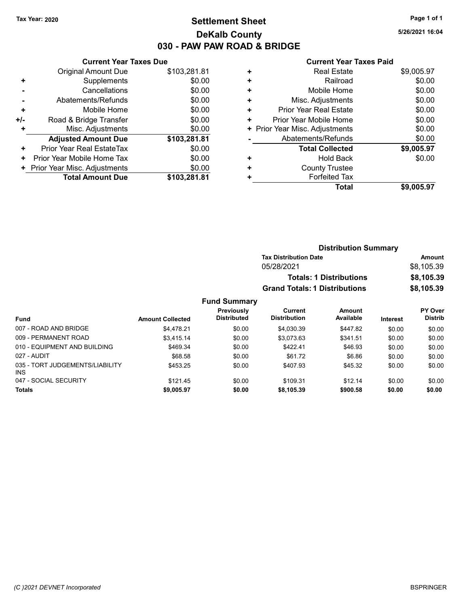### Tax Year: 2020 **Page 1 of 1 Settlement Sheet Constant Constant Constant Constant Constant Constant Constant Constant Constant Constant Constant Constant Page 1 of 1** DeKalb County 030 - PAW PAW ROAD & BRIDGE

5/26/2021 16:04

#### Current Year Taxes Paid

|     | <b>Current Year Taxes Due</b> |              |  |  |  |
|-----|-------------------------------|--------------|--|--|--|
|     | Original Amount Due           | \$103,281.81 |  |  |  |
| ٠   | Supplements                   | \$0.00       |  |  |  |
|     | Cancellations                 | \$0.00       |  |  |  |
|     | Abatements/Refunds            | \$0.00       |  |  |  |
| ٠   | Mobile Home                   | \$0.00       |  |  |  |
| +/- | Road & Bridge Transfer        | \$0.00       |  |  |  |
| ÷   | Misc. Adjustments             | \$0.00       |  |  |  |
|     | <b>Adjusted Amount Due</b>    | \$103,281.81 |  |  |  |
| ٠   | Prior Year Real EstateTax     | \$0.00       |  |  |  |
| ٠   | Prior Year Mobile Home Tax    | \$0.00       |  |  |  |
|     | Prior Year Misc. Adjustments  | \$0.00       |  |  |  |
|     | <b>Total Amount Due</b>       | \$103,281.81 |  |  |  |

|   | Total                          | \$9,005.97 |
|---|--------------------------------|------------|
| ٠ | <b>Forfeited Tax</b>           |            |
| ٠ | <b>County Trustee</b>          |            |
| ٠ | <b>Hold Back</b>               | \$0.00     |
|   | <b>Total Collected</b>         | \$9,005.97 |
|   | Abatements/Refunds             | \$0.00     |
|   | + Prior Year Misc. Adjustments | \$0.00     |
| ٠ | Prior Year Mobile Home         | \$0.00     |
| ٠ | Prior Year Real Estate         | \$0.00     |
| ٠ | Misc. Adjustments              | \$0.00     |
| ٠ | Mobile Home                    | \$0.00     |
| ÷ | Railroad                       | \$0.00     |
| ٠ | <b>Real Estate</b>             | \$9,005.97 |
|   |                                |            |

|                                         |                         |                                  | <b>Distribution Summary</b>           |                                |                 |                                  |  |
|-----------------------------------------|-------------------------|----------------------------------|---------------------------------------|--------------------------------|-----------------|----------------------------------|--|
|                                         |                         |                                  | <b>Tax Distribution Date</b>          |                                |                 | Amount                           |  |
|                                         |                         |                                  | 05/28/2021                            |                                |                 | \$8,105.39                       |  |
|                                         |                         |                                  |                                       | <b>Totals: 1 Distributions</b> |                 | \$8,105.39                       |  |
|                                         |                         |                                  | <b>Grand Totals: 1 Distributions</b>  |                                |                 | \$8,105.39                       |  |
|                                         |                         | <b>Fund Summary</b>              |                                       |                                |                 |                                  |  |
| <b>Fund</b>                             | <b>Amount Collected</b> | Previously<br><b>Distributed</b> | <b>Current</b><br><b>Distribution</b> | <b>Amount</b><br>Available     | <b>Interest</b> | <b>PY Over</b><br><b>Distrib</b> |  |
| 007 - ROAD AND BRIDGE                   | \$4,478.21              | \$0.00                           | \$4,030.39                            | \$447.82                       | \$0.00          | \$0.00                           |  |
| 009 - PERMANENT ROAD                    | \$3,415.14              | \$0.00                           | \$3,073.63                            | \$341.51                       | \$0.00          | \$0.00                           |  |
| 010 - EQUIPMENT AND BUILDING            | \$469.34                | \$0.00                           | \$422.41                              | \$46.93                        | \$0.00          | \$0.00                           |  |
| 027 - AUDIT                             | \$68.58                 | \$0.00                           | \$61.72                               | \$6.86                         | \$0.00          | \$0.00                           |  |
| 035 - TORT JUDGEMENTS/LIABILITY<br>INS. | \$453.25                | \$0.00                           | \$407.93                              | \$45.32                        | \$0.00          | \$0.00                           |  |
| 047 - SOCIAL SECURITY                   | \$121.45                | \$0.00                           | \$109.31                              | \$12.14                        | \$0.00          | \$0.00                           |  |
| <b>Totals</b>                           | \$9,005.97              | \$0.00                           | \$8,105.39                            | \$900.58                       | \$0.00          | \$0.00                           |  |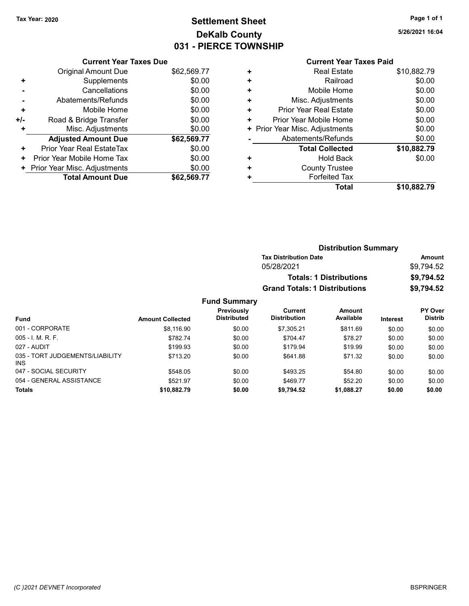# Tax Year: 2020 **Page 1 of 1 Settlement Sheet Constant Constant Constant Constant Constant Constant Constant Constant Constant Constant Constant Constant Page 1 of 1** DeKalb County 031 - PIERCE TOWNSHIP

5/26/2021 16:04

#### Current Year Taxes Paid

|     | <b>Current Year Taxes Due</b> |             |  |  |  |
|-----|-------------------------------|-------------|--|--|--|
|     | Original Amount Due           | \$62,569.77 |  |  |  |
| ٠   | Supplements                   | \$0.00      |  |  |  |
|     | Cancellations                 | \$0.00      |  |  |  |
|     | Abatements/Refunds            | \$0.00      |  |  |  |
| ٠   | Mobile Home                   | \$0.00      |  |  |  |
| +/- | Road & Bridge Transfer        | \$0.00      |  |  |  |
| ÷   | Misc. Adjustments             | \$0.00      |  |  |  |
|     | <b>Adjusted Amount Due</b>    | \$62,569.77 |  |  |  |
| ٠   | Prior Year Real EstateTax     | \$0.00      |  |  |  |
| ٠   | Prior Year Mobile Home Tax    | \$0.00      |  |  |  |
| ٠   | Prior Year Misc. Adjustments  | \$0.00      |  |  |  |
|     | <b>Total Amount Due</b>       | \$62.569.77 |  |  |  |

|   | Total                         | \$10,882.79 |
|---|-------------------------------|-------------|
| ٠ | <b>Forfeited Tax</b>          |             |
| ٠ | <b>County Trustee</b>         |             |
| ٠ | <b>Hold Back</b>              | \$0.00      |
|   | <b>Total Collected</b>        | \$10,882.79 |
|   | Abatements/Refunds            | \$0.00      |
| ٠ | Prior Year Misc. Adjustments  | \$0.00      |
| ٠ | Prior Year Mobile Home        | \$0.00      |
| ٠ | <b>Prior Year Real Estate</b> | \$0.00      |
| ٠ | Misc. Adjustments             | \$0.00      |
| ٠ | Mobile Home                   | \$0.00      |
| ٠ | Railroad                      | \$0.00      |
| ٠ | <b>Real Estate</b>            | \$10,882.79 |
|   |                               |             |

|                                         |                         |                                  | <b>Distribution Summary</b>          |                                |                 |                           |
|-----------------------------------------|-------------------------|----------------------------------|--------------------------------------|--------------------------------|-----------------|---------------------------|
|                                         |                         |                                  | <b>Tax Distribution Date</b>         |                                |                 | Amount                    |
|                                         |                         |                                  | 05/28/2021                           |                                |                 | \$9,794.52                |
|                                         |                         |                                  |                                      | <b>Totals: 1 Distributions</b> |                 | \$9,794.52                |
|                                         |                         |                                  | <b>Grand Totals: 1 Distributions</b> |                                |                 | \$9,794.52                |
|                                         |                         | <b>Fund Summary</b>              |                                      |                                |                 |                           |
| <b>Fund</b>                             | <b>Amount Collected</b> | Previously<br><b>Distributed</b> | Current<br><b>Distribution</b>       | Amount<br>Available            | <b>Interest</b> | PY Over<br><b>Distrib</b> |
| 001 - CORPORATE                         | \$8,116.90              | \$0.00                           | \$7,305.21                           | \$811.69                       | \$0.00          | \$0.00                    |
| $005 - I. M. R. F.$                     | \$782.74                | \$0.00                           | \$704.47                             | \$78.27                        | \$0.00          | \$0.00                    |
| 027 - AUDIT                             | \$199.93                | \$0.00                           | \$179.94                             | \$19.99                        | \$0.00          | \$0.00                    |
| 035 - TORT JUDGEMENTS/LIABILITY<br>INS. | \$713.20                | \$0.00                           | \$641.88                             | \$71.32                        | \$0.00          | \$0.00                    |
| 047 - SOCIAL SECURITY                   | \$548.05                | \$0.00                           | \$493.25                             | \$54.80                        | \$0.00          | \$0.00                    |

054 - GENERAL ASSISTANCE 60.00 \$521.97 \$0.00 \$469.77 \$52.20 \$0.00 \$0.00 Totals \$0.00 \$0.00 \$10,882.79 \$0.00 \$9,794.52 \$1,088.27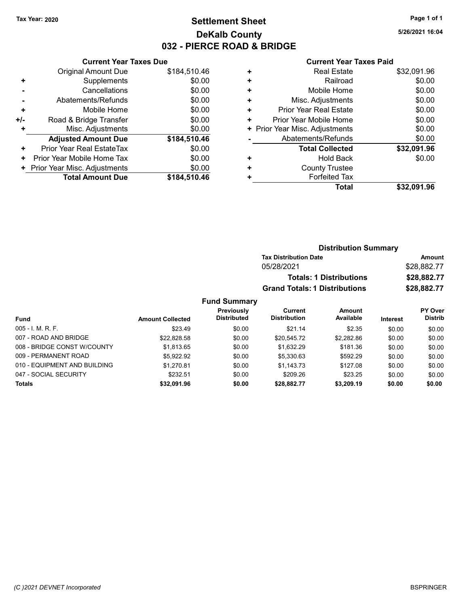## Tax Year: 2020 **Page 1 of 1 Settlement Sheet Constant Constant Constant Constant Constant Constant Constant Constant Constant Constant Constant Constant Page 1 of 1** DeKalb County 032 - PIERCE ROAD & BRIDGE

5/26/2021 16:04

|     | <b>Current Year Taxes Due</b> |              |  |  |  |
|-----|-------------------------------|--------------|--|--|--|
|     | Original Amount Due           | \$184,510.46 |  |  |  |
| ٠   | Supplements                   | \$0.00       |  |  |  |
|     | Cancellations                 | \$0.00       |  |  |  |
|     | Abatements/Refunds            | \$0.00       |  |  |  |
| ٠   | Mobile Home                   | \$0.00       |  |  |  |
| +/- | Road & Bridge Transfer        | \$0.00       |  |  |  |
| ٠   | Misc. Adjustments             | \$0.00       |  |  |  |
|     | <b>Adjusted Amount Due</b>    | \$184,510.46 |  |  |  |
| ٠   | Prior Year Real EstateTax     | \$0.00       |  |  |  |
| ٠   | Prior Year Mobile Home Tax    | \$0.00       |  |  |  |
| ٠   | Prior Year Misc. Adjustments  | \$0.00       |  |  |  |
|     | <b>Total Amount Due</b>       | \$184.510.46 |  |  |  |

|   | Total                          | \$32,091.96 |
|---|--------------------------------|-------------|
| ٠ | <b>Forfeited Tax</b>           |             |
| ٠ | <b>County Trustee</b>          |             |
| ٠ | <b>Hold Back</b>               | \$0.00      |
|   | <b>Total Collected</b>         | \$32,091.96 |
|   | Abatements/Refunds             | \$0.00      |
|   | + Prior Year Misc. Adjustments | \$0.00      |
| ٠ | Prior Year Mobile Home         | \$0.00      |
| ٠ | <b>Prior Year Real Estate</b>  | \$0.00      |
| ٠ | Misc. Adjustments              | \$0.00      |
| ٠ | Mobile Home                    | \$0.00      |
| ٠ | Railroad                       | \$0.00      |
| ٠ | <b>Real Estate</b>             | \$32,091.96 |
|   |                                |             |

|          |                                  |                                      | <b>Distribution Summary</b>    |                 |                                  |
|----------|----------------------------------|--------------------------------------|--------------------------------|-----------------|----------------------------------|
|          |                                  | <b>Tax Distribution Date</b>         |                                |                 | Amount                           |
|          |                                  | 05/28/2021                           |                                |                 | \$28,882.77                      |
|          |                                  |                                      | <b>Totals: 1 Distributions</b> |                 | \$28,882.77                      |
|          |                                  | <b>Grand Totals: 1 Distributions</b> |                                |                 | \$28,882.77                      |
|          | <b>Fund Summary</b>              |                                      |                                |                 |                                  |
| ollected | Previously<br><b>Distributed</b> | Current<br><b>Distribution</b>       | Amount<br>Available            | <b>Interest</b> | <b>PY Over</b><br><b>Distrib</b> |

| Fund                         | <b>Amount Collected</b> | <b>Distributed</b> | <b>Distribution</b> | Available  | <b>Interest</b> | <b>Distrib</b> |
|------------------------------|-------------------------|--------------------|---------------------|------------|-----------------|----------------|
| $005 - 1$ , M, R, F,         | \$23.49                 | \$0.00             | \$21.14             | \$2.35     | \$0.00          | \$0.00         |
| 007 - ROAD AND BRIDGE        | \$22.828.58             | \$0.00             | \$20.545.72         | \$2,282.86 | \$0.00          | \$0.00         |
| 008 - BRIDGE CONST W/COUNTY  | \$1.813.65              | \$0.00             | \$1.632.29          | \$181.36   | \$0.00          | \$0.00         |
| 009 - PERMANENT ROAD         | \$5.922.92              | \$0.00             | \$5.330.63          | \$592.29   | \$0.00          | \$0.00         |
| 010 - EQUIPMENT AND BUILDING | \$1.270.81              | \$0.00             | \$1.143.73          | \$127.08   | \$0.00          | \$0.00         |
| 047 - SOCIAL SECURITY        | \$232.51                | \$0.00             | \$209.26            | \$23.25    | \$0.00          | \$0.00         |
| <b>Totals</b>                | \$32,091.96             | \$0.00             | \$28,882.77         | \$3,209.19 | \$0.00          | \$0.00         |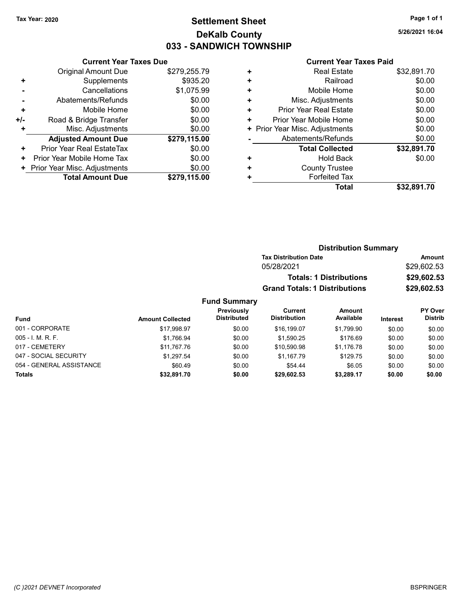## Tax Year: 2020 **Page 1 of 1 Settlement Sheet Constant Constant Constant Constant Constant Constant Constant Constant Constant Constant Constant Constant Page 1 of 1** DeKalb County 033 - SANDWICH TOWNSHIP

5/26/2021 16:04

#### Current Year Taxes Due

|       | VUITEIIL I GAI TAAGS DUG       |              |
|-------|--------------------------------|--------------|
|       | Original Amount Due            | \$279,255.79 |
| ٠     | Supplements                    | \$935.20     |
|       | Cancellations                  | \$1,075.99   |
|       | Abatements/Refunds             | \$0.00       |
| ٠     | Mobile Home                    | \$0.00       |
| $+/-$ | Road & Bridge Transfer         | \$0.00       |
|       | Misc. Adjustments              | \$0.00       |
|       | <b>Adjusted Amount Due</b>     | \$279,115.00 |
| ٠     | Prior Year Real EstateTax      | \$0.00       |
| ٠     | Prior Year Mobile Home Tax     | \$0.00       |
|       | + Prior Year Misc. Adjustments | \$0.00       |
|       | <b>Total Amount Due</b>        | \$279,115.00 |
|       |                                |              |

#### Current Year Taxes Paid

| ٠ | <b>Real Estate</b>             | \$32,891.70 |
|---|--------------------------------|-------------|
| ٠ | Railroad                       | \$0.00      |
| ٠ | Mobile Home                    | \$0.00      |
| ٠ | Misc. Adjustments              | \$0.00      |
| ٠ | Prior Year Real Estate         | \$0.00      |
| ٠ | Prior Year Mobile Home         | \$0.00      |
|   | + Prior Year Misc. Adjustments | \$0.00      |
|   | Abatements/Refunds             | \$0.00      |
|   | <b>Total Collected</b>         | \$32,891.70 |
| ٠ | <b>Hold Back</b>               | \$0.00      |
| ٠ | <b>County Trustee</b>          |             |
|   | <b>Forfeited Tax</b>           |             |
|   | Total                          | \$32.891.70 |
|   |                                |             |

### Distribution Summary Tax Distribution Date **Amount** 05/28/2021 \$29,602.53 Totals: 1 Distributions \$29,602.53 Grand Totals: 1 Distributions \$29,602.53 Fund Summary

| Fund                     | <b>Amount Collected</b> | Previously<br><b>Distributed</b> | Current<br><b>Distribution</b> | Amount<br>Available | <b>Interest</b> | <b>PY Over</b><br><b>Distrib</b> |
|--------------------------|-------------------------|----------------------------------|--------------------------------|---------------------|-----------------|----------------------------------|
| 001 - CORPORATE          | \$17.998.97             | \$0.00                           | \$16,199.07                    | \$1.799.90          | \$0.00          | \$0.00                           |
| $005 - I. M. R. F.$      | \$1.766.94              | \$0.00                           | \$1.590.25                     | \$176.69            | \$0.00          | \$0.00                           |
| 017 - CEMETERY           | \$11.767.76             | \$0.00                           | \$10.590.98                    | \$1.176.78          | \$0.00          | \$0.00                           |
| 047 - SOCIAL SECURITY    | \$1.297.54              | \$0.00                           | \$1.167.79                     | \$129.75            | \$0.00          | \$0.00                           |
| 054 - GENERAL ASSISTANCE | \$60.49                 | \$0.00                           | \$54.44                        | \$6.05              | \$0.00          | \$0.00                           |
| <b>Totals</b>            | \$32.891.70             | \$0.00                           | \$29,602.53                    | \$3,289.17          | \$0.00          | \$0.00                           |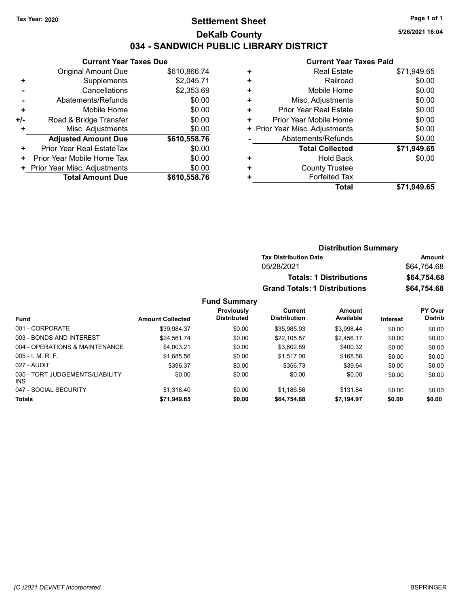### Tax Year: 2020 **Page 1 of 1 Settlement Sheet Constant Constant Constant Constant Constant Constant Constant Constant Constant Constant Constant Constant Page 1 of 1** DeKalb County 034 - SANDWICH PUBLIC LIBRARY DISTRICT

5/26/2021 16:04

### Current Year Taxes Paid

|       | <b>Current Year Taxes Due</b> |              |
|-------|-------------------------------|--------------|
|       | Original Amount Due           | \$610,866.74 |
| ٠     | Supplements                   | \$2,045.71   |
|       | Cancellations                 | \$2,353.69   |
|       | Abatements/Refunds            | \$0.00       |
| ٠     | Mobile Home                   | \$0.00       |
| $+/-$ | Road & Bridge Transfer        | \$0.00       |
| ٠     | Misc. Adjustments             | \$0.00       |
|       | <b>Adjusted Amount Due</b>    | \$610,558.76 |
| ٠     | Prior Year Real EstateTax     | \$0.00       |
| ٠     | Prior Year Mobile Home Tax    | \$0.00       |
| ÷.    | Prior Year Misc. Adjustments  | \$0.00       |
|       | <b>Total Amount Due</b>       | \$610,558.76 |

|   | Total                         | \$71.949.65 |
|---|-------------------------------|-------------|
|   | <b>Forfeited Tax</b>          |             |
| ٠ | <b>County Trustee</b>         |             |
| ٠ | <b>Hold Back</b>              | \$0.00      |
|   | <b>Total Collected</b>        | \$71,949.65 |
|   | Abatements/Refunds            | \$0.00      |
| ٠ | Prior Year Misc. Adjustments  | \$0.00      |
| ٠ | Prior Year Mobile Home        | \$0.00      |
| ٠ | <b>Prior Year Real Estate</b> | \$0.00      |
| ٠ | Misc. Adjustments             | \$0.00      |
| ٠ | Mobile Home                   | \$0.00      |
| ٠ | Railroad                      | \$0.00      |
| ٠ | <b>Real Estate</b>            | \$71,949.65 |
|   |                               |             |

| <b>Distribution Summary</b>          |             |
|--------------------------------------|-------------|
| <b>Tax Distribution Date</b>         | Amount      |
| 05/28/2021                           | \$64.754.68 |
| <b>Totals: 1 Distributions</b>       | \$64,754.68 |
| <b>Grand Totals: 1 Distributions</b> | \$64,754.68 |

### Fund Summary

|                                         |                         | Previously         | Current             | Amount     |                 | <b>PY Over</b> |
|-----------------------------------------|-------------------------|--------------------|---------------------|------------|-----------------|----------------|
| Fund                                    | <b>Amount Collected</b> | <b>Distributed</b> | <b>Distribution</b> | Available  | <b>Interest</b> | <b>Distrib</b> |
| 001 - CORPORATE                         | \$39,984.37             | \$0.00             | \$35,985.93         | \$3,998.44 | \$0.00          | \$0.00         |
| 003 - BONDS AND INTEREST                | \$24,561.74             | \$0.00             | \$22,105.57         | \$2,456.17 | \$0.00          | \$0.00         |
| 004 - OPERATIONS & MAINTENANCE          | \$4.003.21              | \$0.00             | \$3.602.89          | \$400.32   | \$0.00          | \$0.00         |
| $005 - I$ , M, R, F,                    | \$1,685.56              | \$0.00             | \$1,517.00          | \$168.56   | \$0.00          | \$0.00         |
| 027 - AUDIT                             | \$396.37                | \$0.00             | \$356.73            | \$39.64    | \$0.00          | \$0.00         |
| 035 - TORT JUDGEMENTS/LIABILITY<br>INS. | \$0.00                  | \$0.00             | \$0.00              | \$0.00     | \$0.00          | \$0.00         |
| 047 - SOCIAL SECURITY                   | \$1.318.40              | \$0.00             | \$1,186.56          | \$131.84   | \$0.00          | \$0.00         |
| <b>Totals</b>                           | \$71,949.65             | \$0.00             | \$64,754.68         | \$7,194.97 | \$0.00          | \$0.00         |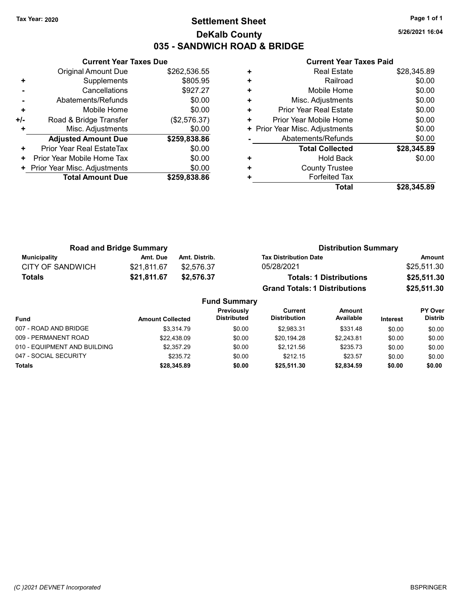### Tax Year: 2020 **Page 1 of 1 Settlement Sheet Constant Constant Constant Constant Constant Constant Constant Constant Constant Constant Constant Constant Page 1 of 1** DeKalb County 035 - SANDWICH ROAD & BRIDGE

5/26/2021 16:04

| \$262,536.55<br>Original Amount Due<br>\$805.95<br>Supplements<br>٠<br>\$927.27<br>Cancellations<br>\$0.00<br>Abatements/Refunds<br>\$0.00<br>Mobile Home<br>٠<br>(\$2,576.37)<br>Road & Bridge Transfer<br>+/-<br>\$0.00<br>Misc. Adjustments<br>\$259,838.86<br><b>Adjusted Amount Due</b><br>\$0.00<br>Prior Year Real EstateTax<br>÷<br>\$0.00<br>Prior Year Mobile Home Tax<br>٠<br>\$0.00<br>Prior Year Misc. Adjustments | <b>Current Year Taxes Due</b> |              |
|---------------------------------------------------------------------------------------------------------------------------------------------------------------------------------------------------------------------------------------------------------------------------------------------------------------------------------------------------------------------------------------------------------------------------------|-------------------------------|--------------|
|                                                                                                                                                                                                                                                                                                                                                                                                                                 |                               |              |
|                                                                                                                                                                                                                                                                                                                                                                                                                                 |                               |              |
|                                                                                                                                                                                                                                                                                                                                                                                                                                 |                               |              |
|                                                                                                                                                                                                                                                                                                                                                                                                                                 |                               |              |
|                                                                                                                                                                                                                                                                                                                                                                                                                                 |                               |              |
|                                                                                                                                                                                                                                                                                                                                                                                                                                 |                               |              |
|                                                                                                                                                                                                                                                                                                                                                                                                                                 |                               |              |
|                                                                                                                                                                                                                                                                                                                                                                                                                                 |                               |              |
|                                                                                                                                                                                                                                                                                                                                                                                                                                 |                               |              |
|                                                                                                                                                                                                                                                                                                                                                                                                                                 |                               |              |
|                                                                                                                                                                                                                                                                                                                                                                                                                                 |                               |              |
|                                                                                                                                                                                                                                                                                                                                                                                                                                 | <b>Total Amount Due</b>       | \$259,838.86 |

|   | Total                          | \$28.345.89 |
|---|--------------------------------|-------------|
|   | <b>Forfeited Tax</b>           |             |
| ٠ | <b>County Trustee</b>          |             |
| ٠ | <b>Hold Back</b>               | \$0.00      |
|   | <b>Total Collected</b>         | \$28,345.89 |
|   | Abatements/Refunds             | \$0.00      |
|   | + Prior Year Misc. Adjustments | \$0.00      |
| ٠ | Prior Year Mobile Home         | \$0.00      |
| ٠ | <b>Prior Year Real Estate</b>  | \$0.00      |
| ٠ | Misc. Adjustments              | \$0.00      |
| ٠ | Mobile Home                    | \$0.00      |
| ٠ | Railroad                       | \$0.00      |
| ٠ | <b>Real Estate</b>             | \$28,345.89 |
|   |                                |             |

|                     | <b>Road and Bridge Summary</b> |                     | <b>Distribution Summary</b>          |             |
|---------------------|--------------------------------|---------------------|--------------------------------------|-------------|
| <b>Municipality</b> | Amt. Due                       | Amt. Distrib.       | <b>Tax Distribution Date</b>         | Amount      |
| CITY OF SANDWICH    | \$21,811.67                    | \$2,576.37          | 05/28/2021                           | \$25,511.30 |
| <b>Totals</b>       | \$21,811.67                    | \$2,576.37          | <b>Totals: 1 Distributions</b>       | \$25,511.30 |
|                     |                                |                     | <b>Grand Totals: 1 Distributions</b> | \$25,511.30 |
|                     |                                | <b>Fund Summary</b> |                                      |             |

| <b>Fund</b>                  | <b>Amount Collected</b> | Previously<br><b>Distributed</b> | Current<br><b>Distribution</b> | <b>Amount</b><br>Available | <b>Interest</b> | <b>PY Over</b><br><b>Distrib</b> |
|------------------------------|-------------------------|----------------------------------|--------------------------------|----------------------------|-----------------|----------------------------------|
| 007 - ROAD AND BRIDGE        | \$3.314.79              | \$0.00                           | \$2.983.31                     | \$331.48                   | \$0.00          | \$0.00                           |
| 009 - PERMANENT ROAD         | \$22.438.09             | \$0.00                           | \$20.194.28                    | \$2.243.81                 | \$0.00          | \$0.00                           |
| 010 - EQUIPMENT AND BUILDING | \$2,357.29              | \$0.00                           | \$2.121.56                     | \$235.73                   | \$0.00          | \$0.00                           |
| 047 - SOCIAL SECURITY        | \$235.72                | \$0.00                           | \$212.15                       | \$23.57                    | \$0.00          | \$0.00                           |
| <b>Totals</b>                | \$28,345.89             | \$0.00                           | \$25,511.30                    | \$2,834.59                 | \$0.00          | \$0.00                           |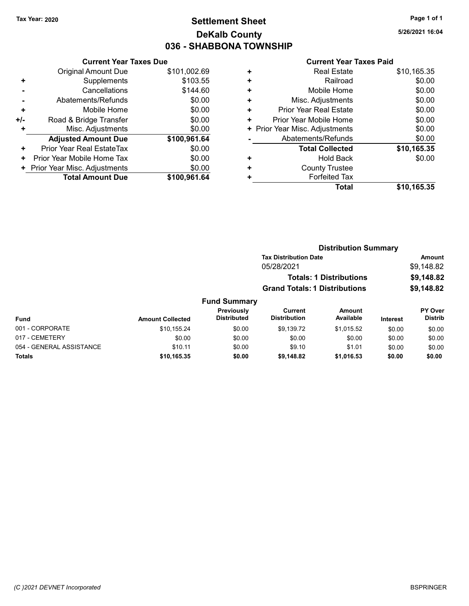## Tax Year: 2020 **Page 1 of 1 Settlement Sheet Constant Constant Constant Constant Constant Constant Constant Constant Constant Constant Constant Constant Page 1 of 1** DeKalb County 036 - SHABBONA TOWNSHIP

5/26/2021 16:04

|     | <b>Current Year Taxes Due</b> |              |  |  |  |  |  |
|-----|-------------------------------|--------------|--|--|--|--|--|
|     | <b>Original Amount Due</b>    | \$101,002.69 |  |  |  |  |  |
| ٠   | Supplements                   | \$103.55     |  |  |  |  |  |
|     | Cancellations                 | \$144.60     |  |  |  |  |  |
|     | \$0.00<br>Abatements/Refunds  |              |  |  |  |  |  |
| ٠   | \$0.00<br>Mobile Home         |              |  |  |  |  |  |
| +/- | Road & Bridge Transfer        | \$0.00       |  |  |  |  |  |
| ÷   | Misc. Adjustments             | \$0.00       |  |  |  |  |  |
|     | <b>Adjusted Amount Due</b>    | \$100,961.64 |  |  |  |  |  |
| ٠   | Prior Year Real EstateTax     | \$0.00       |  |  |  |  |  |
| ٠   | Prior Year Mobile Home Tax    | \$0.00       |  |  |  |  |  |
| ٠   | Prior Year Misc. Adjustments  | \$0.00       |  |  |  |  |  |
|     | <b>Total Amount Due</b>       | \$100,961.64 |  |  |  |  |  |

|   | Total                         | \$10,165.35 |
|---|-------------------------------|-------------|
| ٠ | <b>Forfeited Tax</b>          |             |
| ٠ | <b>County Trustee</b>         |             |
| ٠ | <b>Hold Back</b>              | \$0.00      |
|   | <b>Total Collected</b>        | \$10,165.35 |
|   | Abatements/Refunds            | \$0.00      |
| ٠ | Prior Year Misc. Adjustments  | \$0.00      |
| ٠ | Prior Year Mobile Home        | \$0.00      |
| ٠ | <b>Prior Year Real Estate</b> | \$0.00      |
| ٠ | Misc. Adjustments             | \$0.00      |
| ٠ | Mobile Home                   | \$0.00      |
| ٠ | Railroad                      | \$0.00      |
| ٠ | <b>Real Estate</b>            | \$10,165.35 |
|   |                               |             |

|                          |                         |                                  |                                                                                                                      | <b>Distribution Summary</b> |          |                                           |
|--------------------------|-------------------------|----------------------------------|----------------------------------------------------------------------------------------------------------------------|-----------------------------|----------|-------------------------------------------|
|                          |                         |                                  | <b>Tax Distribution Date</b><br>05/28/2021<br><b>Totals: 1 Distributions</b><br><b>Grand Totals: 1 Distributions</b> |                             |          | <b>Amount</b><br>\$9,148.82<br>\$9,148.82 |
|                          |                         |                                  |                                                                                                                      |                             |          |                                           |
|                          |                         |                                  |                                                                                                                      |                             |          |                                           |
|                          |                         |                                  |                                                                                                                      |                             |          | \$9,148.82                                |
|                          |                         | <b>Fund Summary</b>              |                                                                                                                      |                             |          |                                           |
| Fund                     | <b>Amount Collected</b> | Previously<br><b>Distributed</b> | <b>Current</b><br><b>Distribution</b>                                                                                | <b>Amount</b><br>Available  | Interest | <b>PY Over</b><br><b>Distrib</b>          |
| 001 - CORPORATE          | \$10,155.24             | \$0.00                           | \$9.139.72                                                                                                           | \$1,015.52                  | \$0.00   | \$0.00                                    |
| 017 - CEMETERY           | \$0.00                  | \$0.00                           | \$0.00                                                                                                               | \$0.00                      | \$0.00   | \$0.00                                    |
| 054 - GENERAL ASSISTANCE | \$10.11                 | \$0.00                           | \$9.10                                                                                                               | \$1.01                      | \$0.00   | \$0.00                                    |
| Totals                   | \$10,165.35             | \$0.00                           | \$9,148.82                                                                                                           | \$1,016.53                  | \$0.00   | \$0.00                                    |
|                          |                         |                                  |                                                                                                                      |                             |          |                                           |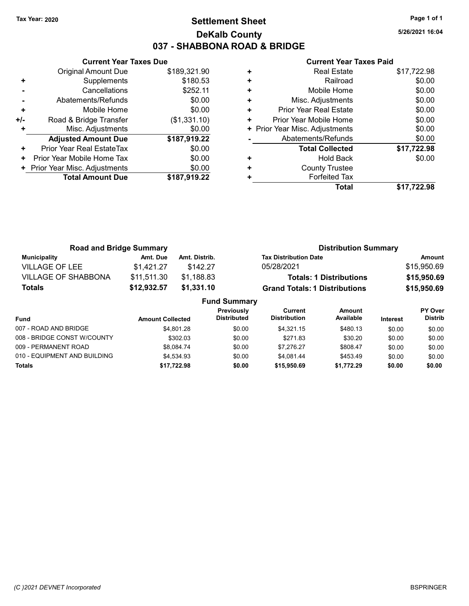# Tax Year: 2020 **Page 1 of 1 Settlement Sheet Constant Constant Constant Constant Constant Constant Constant Constant Constant Constant Constant Constant Page 1 of 1** DeKalb County 037 - SHABBONA ROAD & BRIDGE

5/26/2021 16:04

|     | <b>Current Year Taxes Due</b> |              |
|-----|-------------------------------|--------------|
|     | Original Amount Due           | \$189,321.90 |
| ٠   | Supplements                   | \$180.53     |
|     | Cancellations                 | \$252.11     |
|     | Abatements/Refunds            | \$0.00       |
| ÷   | Mobile Home                   | \$0.00       |
| +/- | Road & Bridge Transfer        | (\$1,331.10) |
| ٠   | Misc. Adjustments             | \$0.00       |
|     | <b>Adjusted Amount Due</b>    | \$187,919.22 |
| ٠   | Prior Year Real EstateTax     | \$0.00       |
| ٠   | Prior Year Mobile Home Tax    | \$0.00       |
|     | Prior Year Misc. Adjustments  | \$0.00       |
|     | <b>Total Amount Due</b>       | \$187,919.22 |
|     |                               |              |

|   | Total                          | \$17,722.98 |
|---|--------------------------------|-------------|
| ٠ | <b>Forfeited Tax</b>           |             |
| ٠ | <b>County Trustee</b>          |             |
| ٠ | <b>Hold Back</b>               | \$0.00      |
|   | <b>Total Collected</b>         | \$17,722.98 |
|   | Abatements/Refunds             | \$0.00      |
|   | + Prior Year Misc. Adjustments | \$0.00      |
| ٠ | Prior Year Mobile Home         | \$0.00      |
| ٠ | <b>Prior Year Real Estate</b>  | \$0.00      |
| ٠ | Misc. Adjustments              | \$0.00      |
| ٠ | Mobile Home                    | \$0.00      |
| ٠ | Railroad                       | \$0.00      |
| ٠ | <b>Real Estate</b>             | \$17,722.98 |
|   |                                |             |

| <b>Road and Bridge Summary</b> |                         | <b>Distribution Summary</b> |                                           |                                |                 |                |
|--------------------------------|-------------------------|-----------------------------|-------------------------------------------|--------------------------------|-----------------|----------------|
| Municipality                   | Amt. Due                | Amt. Distrib.               | <b>Tax Distribution Date</b>              |                                |                 | <b>Amount</b>  |
| <b>VILLAGE OF LEE</b>          | \$1.421.27              | \$142.27                    | 05/28/2021                                |                                |                 | \$15,950.69    |
| <b>VILLAGE OF SHABBONA</b>     | \$11,511.30             | \$1,188.83                  |                                           | <b>Totals: 1 Distributions</b> |                 | \$15,950.69    |
| <b>Totals</b>                  | \$12,932.57             | \$1,331.10                  | <b>Grand Totals: 1 Distributions</b>      |                                |                 | \$15,950.69    |
|                                |                         |                             | <b>Fund Summary</b>                       |                                |                 |                |
|                                |                         |                             | <b>Previously</b><br>Current              | <b>Amount</b>                  |                 | <b>PY Over</b> |
| <b>Fund</b>                    | <b>Amount Collected</b> |                             | <b>Distributed</b><br><b>Distribution</b> | Available                      | <b>Interest</b> | <b>Distrib</b> |

| Fund                         | <b>Amount Collected</b> | Distributed | DISINDULION | Avanable   | Interest | <b>DISITID</b> |
|------------------------------|-------------------------|-------------|-------------|------------|----------|----------------|
| 007 - ROAD AND BRIDGE        | \$4.801.28              | \$0.00      | \$4.321.15  | \$480.13   | \$0.00   | \$0.00         |
| 008 - BRIDGE CONST W/COUNTY  | \$302.03                | \$0.00      | \$271.83    | \$30.20    | \$0.00   | \$0.00         |
| 009 - PERMANENT ROAD         | \$8.084.74              | \$0.00      | \$7.276.27  | \$808.47   | \$0.00   | \$0.00         |
| 010 - EQUIPMENT AND BUILDING | \$4.534.93              | \$0.00      | \$4.081.44  | \$453.49   | \$0.00   | \$0.00         |
| <b>Totals</b>                | \$17,722.98             | \$0.00      | \$15,950.69 | \$1.772.29 | \$0.00   | \$0.00         |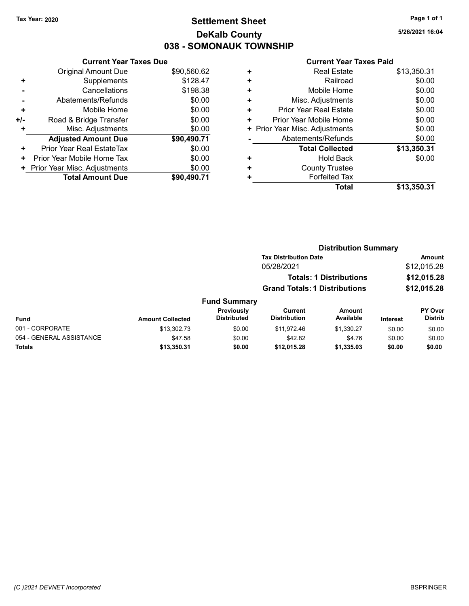# Tax Year: 2020 **Page 1 of 1 Settlement Sheet Constant Constant Constant Constant Constant Constant Constant Constant Constant Constant Constant Constant Page 1 of 1** DeKalb County 038 - SOMONAUK TOWNSHIP

5/26/2021 16:04

|     | <b>Current Year Taxes Due</b> |             |
|-----|-------------------------------|-------------|
|     | Original Amount Due           | \$90,560.62 |
| ٠   | Supplements                   | \$128.47    |
|     | Cancellations                 | \$198.38    |
|     | Abatements/Refunds            | \$0.00      |
| ٠   | Mobile Home                   | \$0.00      |
| +/- | Road & Bridge Transfer        | \$0.00      |
| ٠   | Misc. Adjustments             | \$0.00      |
|     | <b>Adjusted Amount Due</b>    | \$90,490.71 |
| ٠   | Prior Year Real EstateTax     | \$0.00      |
| ٠   | Prior Year Mobile Home Tax    | \$0.00      |
| ٠   | Prior Year Misc. Adjustments  | \$0.00      |
|     | <b>Total Amount Due</b>       | \$90.490.71 |

| ٠ | <b>Real Estate</b>           | \$13,350.31 |
|---|------------------------------|-------------|
| ٠ | Railroad                     | \$0.00      |
| ٠ | Mobile Home                  | \$0.00      |
| ٠ | Misc. Adjustments            | \$0.00      |
| ÷ | Prior Year Real Estate       | \$0.00      |
| ٠ | Prior Year Mobile Home       | \$0.00      |
| ٠ | Prior Year Misc. Adjustments | \$0.00      |
|   | Abatements/Refunds           | \$0.00      |
|   | <b>Total Collected</b>       | \$13,350.31 |
| ٠ | <b>Hold Back</b>             | \$0.00      |
| ٠ | <b>County Trustee</b>        |             |
| ٠ | <b>Forfeited Tax</b>         |             |
|   | <b>Total</b>                 | \$13,350.31 |
|   |                              |             |

|                          |                         |                                  |                                      | <b>Distribution Summary</b>    |                 |                                  |
|--------------------------|-------------------------|----------------------------------|--------------------------------------|--------------------------------|-----------------|----------------------------------|
|                          |                         |                                  | <b>Tax Distribution Date</b>         |                                |                 | <b>Amount</b>                    |
|                          |                         |                                  | 05/28/2021                           |                                |                 | \$12,015.28                      |
|                          |                         |                                  |                                      | <b>Totals: 1 Distributions</b> |                 | \$12,015.28                      |
|                          |                         |                                  | <b>Grand Totals: 1 Distributions</b> |                                |                 | \$12,015.28                      |
|                          |                         | <b>Fund Summary</b>              |                                      |                                |                 |                                  |
| Fund                     | <b>Amount Collected</b> | Previously<br><b>Distributed</b> | Current<br><b>Distribution</b>       | Amount<br>Available            | <b>Interest</b> | <b>PY Over</b><br><b>Distrib</b> |
| 001 - CORPORATE          | \$13,302.73             | \$0.00                           | \$11.972.46                          | \$1,330.27                     | \$0.00          | \$0.00                           |
| 054 - GENERAL ASSISTANCE | \$47.58                 | \$0.00                           | \$42.82                              | \$4.76                         | \$0.00          | \$0.00                           |
| Totals                   | \$13,350.31             | \$0.00                           | \$12,015.28                          | \$1,335.03                     | \$0.00          | \$0.00                           |
|                          |                         |                                  |                                      |                                |                 |                                  |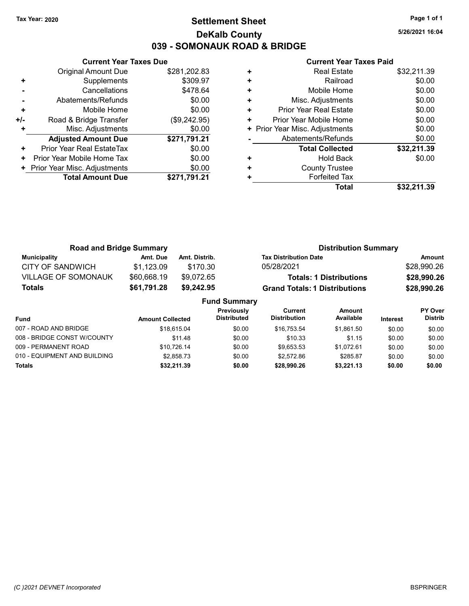# Tax Year: 2020 **Page 1 of 1 Settlement Sheet Constant Constant Constant Constant Constant Constant Constant Constant Constant Constant Constant Constant Page 1 of 1** DeKalb County 039 - SOMONAUK ROAD & BRIDGE

5/26/2021 16:04

|     | <b>Current Year Taxes Due</b> |              |
|-----|-------------------------------|--------------|
|     | <b>Original Amount Due</b>    | \$281,202.83 |
| ٠   | Supplements                   | \$309.97     |
|     | Cancellations                 | \$478.64     |
|     | Abatements/Refunds            | \$0.00       |
| ÷   | Mobile Home                   | \$0.00       |
| +/- | Road & Bridge Transfer        | (\$9,242.95) |
|     | Misc. Adjustments             | \$0.00       |
|     | <b>Adjusted Amount Due</b>    | \$271,791.21 |
| ٠   | Prior Year Real EstateTax     | \$0.00       |
| ٠   | Prior Year Mobile Home Tax    | \$0.00       |
|     | Prior Year Misc. Adjustments  | \$0.00       |
|     | <b>Total Amount Due</b>       | \$271,791.21 |

| ٠ | <b>Real Estate</b>             | \$32,211.39 |
|---|--------------------------------|-------------|
| ٠ | Railroad                       | \$0.00      |
| ٠ | Mobile Home                    | \$0.00      |
| ٠ | Misc. Adjustments              | \$0.00      |
| ٠ | Prior Year Real Estate         | \$0.00      |
| ٠ | Prior Year Mobile Home         | \$0.00      |
|   | + Prior Year Misc. Adjustments | \$0.00      |
|   | Abatements/Refunds             | \$0.00      |
|   | <b>Total Collected</b>         | \$32,211.39 |
| ٠ | <b>Hold Back</b>               | \$0.00      |
| ٠ | <b>County Trustee</b>          |             |
| ٠ | <b>Forfeited Tax</b>           |             |
|   | Total                          | \$32.211.39 |
|   |                                |             |

| <b>Road and Bridge Summary</b> |                         |                                 |                                  | <b>Distribution Summary</b>          |                                |                 |                                  |
|--------------------------------|-------------------------|---------------------------------|----------------------------------|--------------------------------------|--------------------------------|-----------------|----------------------------------|
| <b>Municipality</b>            | Amt. Due                | Amt. Distrib.                   |                                  | <b>Tax Distribution Date</b>         |                                |                 | <b>Amount</b>                    |
| <b>CITY OF SANDWICH</b>        | \$1,123.09              | \$170.30                        |                                  | 05/28/2021                           |                                |                 | \$28,990.26                      |
| <b>VILLAGE OF SOMONAUK</b>     | \$60,668.19             | \$9,072.65                      |                                  |                                      | <b>Totals: 1 Distributions</b> |                 | \$28,990.26                      |
| Totals                         | \$61,791.28             | \$9,242.95                      |                                  | <b>Grand Totals: 1 Distributions</b> |                                |                 | \$28,990.26                      |
|                                |                         |                                 | <b>Fund Summary</b>              |                                      |                                |                 |                                  |
| <b>Fund</b>                    | <b>Amount Collected</b> |                                 | Previously<br><b>Distributed</b> | Current<br><b>Distribution</b>       | <b>Amount</b><br>Available     | <b>Interest</b> | <b>PY Over</b><br><b>Distrib</b> |
| $0.2.5$ DOAD AND RODOC         |                         | $A$ $A$ $A$ $A$ $B$ $A$ $A$ $A$ | 0 <sup>n</sup>                   | $A \cap T \cap T$                    | $A$ $A$ $A$ $A$                | 0000            | 0 <sub>0</sub>                   |

| Totals                       | \$32,211.39 | \$0.00 | \$28,990.26 | \$3.221.13 | \$0.00 | \$0.00 |
|------------------------------|-------------|--------|-------------|------------|--------|--------|
| 010 - EQUIPMENT AND BUILDING | \$2.858.73  | \$0.00 | \$2.572.86  | \$285.87   | \$0.00 | \$0.00 |
| 009 - PERMANENT ROAD         | \$10.726.14 | \$0.00 | \$9.653.53  | \$1.072.61 | \$0.00 | \$0.00 |
| 008 - BRIDGE CONST W/COUNTY  | \$11.48     | \$0.00 | \$10.33     | \$1.15     | \$0.00 | \$0.00 |
| 007 - ROAD AND BRIDGE        | \$18.615.04 | \$0.00 | \$16.753.54 | \$1.861.50 | \$0.00 | \$0.00 |
|                              |             |        |             |            |        |        |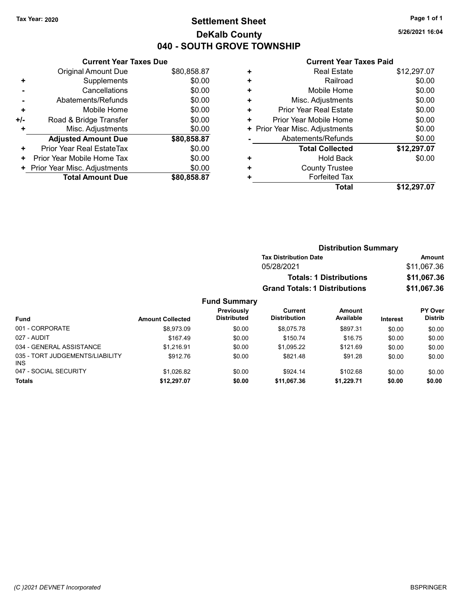# Tax Year: 2020 **Page 1 of 1 Settlement Sheet Constant Constant Constant Constant Constant Constant Constant Constant Constant Constant Constant Constant Page 1 of 1** DeKalb County 040 - SOUTH GROVE TOWNSHIP

5/26/2021 16:04

### Current Year Taxes Paid

|                | <b>Current Year Taxes Due</b> |             |  |  |  |  |  |
|----------------|-------------------------------|-------------|--|--|--|--|--|
|                | Original Amount Due           | \$80,858.87 |  |  |  |  |  |
| ٠              | Supplements                   | \$0.00      |  |  |  |  |  |
|                | \$0.00<br>Cancellations       |             |  |  |  |  |  |
| $\blacksquare$ | Abatements/Refunds            | \$0.00      |  |  |  |  |  |
| ٠              | Mobile Home                   | \$0.00      |  |  |  |  |  |
| +/-            | Road & Bridge Transfer        | \$0.00      |  |  |  |  |  |
|                | Misc. Adjustments             | \$0.00      |  |  |  |  |  |
|                | <b>Adjusted Amount Due</b>    | \$80,858.87 |  |  |  |  |  |
| ÷              | Prior Year Real EstateTax     | \$0.00      |  |  |  |  |  |
| ٠              | Prior Year Mobile Home Tax    | \$0.00      |  |  |  |  |  |
| ٠              | Prior Year Misc. Adjustments  | \$0.00      |  |  |  |  |  |
|                | <b>Total Amount Due</b>       | \$80,858,87 |  |  |  |  |  |

|   | <b>Total</b>                   | \$12,297.07 |
|---|--------------------------------|-------------|
|   | <b>Forfeited Tax</b>           |             |
| ٠ | <b>County Trustee</b>          |             |
| ٠ | <b>Hold Back</b>               | \$0.00      |
|   | <b>Total Collected</b>         | \$12,297.07 |
|   | Abatements/Refunds             | \$0.00      |
|   | + Prior Year Misc. Adjustments | \$0.00      |
| ٠ | Prior Year Mobile Home         | \$0.00      |
| ٠ | <b>Prior Year Real Estate</b>  | \$0.00      |
| ٠ | Misc. Adjustments              | \$0.00      |
| ٠ | Mobile Home                    | \$0.00      |
| ٠ | Railroad                       | \$0.00      |
| ٠ | <b>Real Estate</b>             | \$12,297.07 |
|   |                                |             |

|                                 |                         | <b>Distribution Summary</b>      |                                      |                                |          |                                  |
|---------------------------------|-------------------------|----------------------------------|--------------------------------------|--------------------------------|----------|----------------------------------|
|                                 |                         |                                  | <b>Tax Distribution Date</b>         |                                |          | Amount                           |
|                                 |                         |                                  | 05/28/2021                           |                                |          | \$11,067.36                      |
|                                 |                         |                                  |                                      | <b>Totals: 1 Distributions</b> |          | \$11,067.36                      |
|                                 |                         |                                  | <b>Grand Totals: 1 Distributions</b> |                                |          | \$11,067.36                      |
|                                 |                         | <b>Fund Summary</b>              |                                      |                                |          |                                  |
| <b>Fund</b>                     | <b>Amount Collected</b> | Previously<br><b>Distributed</b> | Current<br><b>Distribution</b>       | Amount<br>Available            | Interest | <b>PY Over</b><br><b>Distrib</b> |
| 001 - CORPORATE                 | \$8.973.09              | \$0.00                           | \$8.075.78                           | \$897.31                       | \$0.00   | \$0.00                           |
| 027 - AUDIT                     | \$167.49                | \$0.00                           | \$150.74                             | \$16.75                        | \$0.00   | \$0.00                           |
| 034 - GENERAL ASSISTANCE        | \$1,216.91              | \$0.00                           | \$1,095.22                           | \$121.69                       | \$0.00   | \$0.00                           |
| 035 - TORT JUDGEMENTS/LIABILITY | \$912.76                | \$0.00                           | \$821.48                             | \$91.28                        | \$0.00   | \$0.00                           |

047 - SOCIAL SECURITY \$1,026.82 \$0.00 \$924.14 \$102.68 \$0.00 \$0.00 Totals \$0.00 \$0.00 \$12,297.07 \$0.00 \$11,067.36 \$1,229.71

INS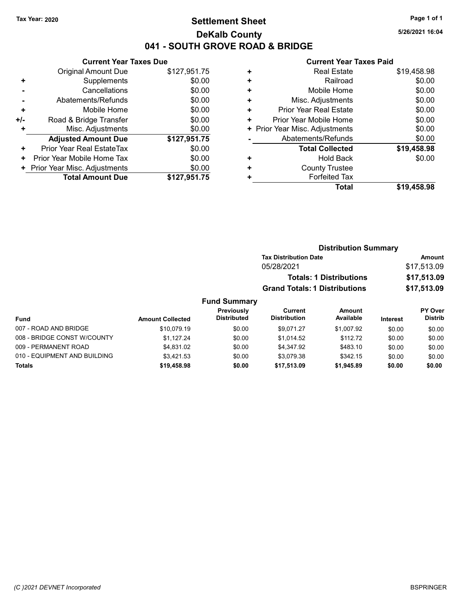# Tax Year: 2020 **Page 1 of 1 Settlement Sheet Constant Constant Constant Constant Constant Constant Constant Constant Constant Constant Constant Constant Page 1 of 1** DeKalb County 041 - SOUTH GROVE ROAD & BRIDGE

5/26/2021 16:04

#### Current Year Taxes Paid

|     | <b>Current Year Taxes Due</b> |              |  |  |  |
|-----|-------------------------------|--------------|--|--|--|
|     | Original Amount Due           | \$127,951.75 |  |  |  |
| ٠   | Supplements                   | \$0.00       |  |  |  |
|     | Cancellations                 | \$0.00       |  |  |  |
|     | Abatements/Refunds            | \$0.00       |  |  |  |
| ٠   | Mobile Home                   | \$0.00       |  |  |  |
| +/- | Road & Bridge Transfer        | \$0.00       |  |  |  |
|     | Misc. Adjustments             | \$0.00       |  |  |  |
|     | <b>Adjusted Amount Due</b>    | \$127,951.75 |  |  |  |
| ٠   | Prior Year Real EstateTax     | \$0.00       |  |  |  |
| ٠   | Prior Year Mobile Home Tax    | \$0.00       |  |  |  |
| ٠   | Prior Year Misc. Adjustments  | \$0.00       |  |  |  |
|     | <b>Total Amount Due</b>       | \$127,951.75 |  |  |  |

| ٠ | <b>Real Estate</b>             | \$19.458.98 |
|---|--------------------------------|-------------|
| ٠ | Railroad                       | \$0.00      |
| ٠ | Mobile Home                    | \$0.00      |
| ÷ | Misc. Adjustments              | \$0.00      |
| ٠ | <b>Prior Year Real Estate</b>  | \$0.00      |
| ٠ | Prior Year Mobile Home         | \$0.00      |
|   | + Prior Year Misc. Adjustments | \$0.00      |
|   | Abatements/Refunds             | \$0.00      |
|   | <b>Total Collected</b>         | \$19,458.98 |
| ٠ | <b>Hold Back</b>               | \$0.00      |
| ٠ | <b>County Trustee</b>          |             |
| ٠ | <b>Forfeited Tax</b>           |             |
|   | Total                          | \$19,458.98 |
|   |                                |             |

|                             |                         |                                         | <b>Distribution Summary</b>          |                                |             |                                  |
|-----------------------------|-------------------------|-----------------------------------------|--------------------------------------|--------------------------------|-------------|----------------------------------|
|                             |                         |                                         | <b>Tax Distribution Date</b>         |                                | Amount      |                                  |
|                             |                         |                                         | 05/28/2021                           |                                |             | \$17,513.09                      |
|                             |                         |                                         |                                      | <b>Totals: 1 Distributions</b> |             | \$17,513.09                      |
|                             |                         |                                         | <b>Grand Totals: 1 Distributions</b> |                                | \$17,513.09 |                                  |
|                             |                         | <b>Fund Summary</b>                     |                                      |                                |             |                                  |
| <b>Fund</b>                 | <b>Amount Collected</b> | <b>Previously</b><br><b>Distributed</b> | Current<br><b>Distribution</b>       | Amount<br>Available            | Interest    | <b>PY Over</b><br><b>Distrib</b> |
| 007 - ROAD AND BRIDGE       | \$10.079.19             | \$0.00                                  | \$9.071.27                           | \$1.007.92                     | \$0.00      | \$0.00                           |
| 008 - BRIDGE CONST W/COUNTY | \$1.127.24              | \$0.00                                  | \$1.014.52                           | \$112.72                       | \$0.00      | \$0.00                           |
| 009 - PERMANENT ROAD        | \$4.831.02              | \$0.00                                  | \$4,347.92                           | \$483.10                       | \$0.00      | \$0.00                           |

010 - EQUIPMENT AND BUILDING \$3,421.53 \$0.00 \$3,079.38 \$342.15 \$0.00 \$0.00 Totals \$0.00 \$0.00 \$19,458.98 \$0.00 \$17,513.09 \$1,945.89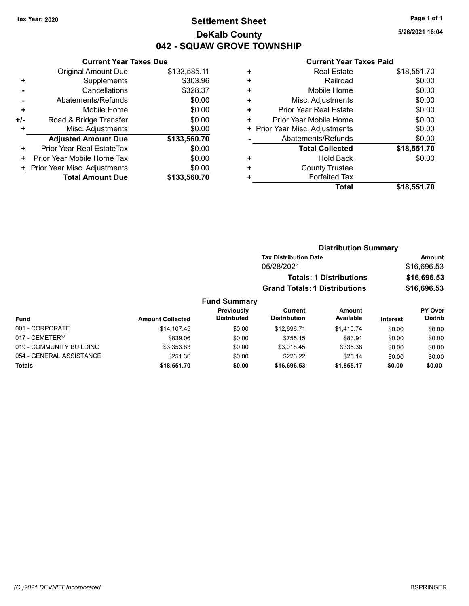# Tax Year: 2020 **Page 1 of 1 Settlement Sheet Constant Constant Constant Constant Constant Constant Constant Constant Constant Constant Constant Constant Page 1 of 1** DeKalb County 042 - SQUAW GROVE TOWNSHIP

019 - COMMUNITY BUILDING \$3,353.83 \$0.00 \$3,018.45 \$335.38 \$0.00 \$0.00 054 - GENERAL ASSISTANCE \$251.36 \$0.00 \$226.22 \$25.14 \$0.00 \$0.00 Totals \$0.00 \$0.00 \$18,551.70 \$0.00 \$16,696.53 \$1,855.17

5/26/2021 16:04

|     | <b>Current Year Taxes Due</b> |              |
|-----|-------------------------------|--------------|
|     | <b>Original Amount Due</b>    | \$133,585.11 |
| ٠   | Supplements                   | \$303.96     |
|     | Cancellations                 | \$328.37     |
|     | Abatements/Refunds            | \$0.00       |
| ٠   | Mobile Home                   | \$0.00       |
| +/- | Road & Bridge Transfer        | \$0.00       |
| ٠   | Misc. Adjustments             | \$0.00       |
|     | <b>Adjusted Amount Due</b>    | \$133,560.70 |
| ٠   | Prior Year Real EstateTax     | \$0.00       |
| ٠   | Prior Year Mobile Home Tax    | \$0.00       |
| ٠   | Prior Year Misc. Adjustments  | \$0.00       |
|     | <b>Total Amount Due</b>       | \$133,560.70 |

|   | Total                          | \$18,551.70 |
|---|--------------------------------|-------------|
|   | <b>Forfeited Tax</b>           |             |
| ٠ | <b>County Trustee</b>          |             |
| ٠ | <b>Hold Back</b>               | \$0.00      |
|   | <b>Total Collected</b>         | \$18,551.70 |
|   | Abatements/Refunds             | \$0.00      |
|   | + Prior Year Misc. Adjustments | \$0.00      |
| ٠ | Prior Year Mobile Home         | \$0.00      |
| ٠ | <b>Prior Year Real Estate</b>  | \$0.00      |
| ٠ | Misc. Adjustments              | \$0.00      |
| ٠ | Mobile Home                    | \$0.00      |
| ٠ | Railroad                       | \$0.00      |
| ٠ | <b>Real Estate</b>             | \$18,551.70 |
|   |                                |             |

|                 | <b>Distribution Summary</b> |                                  |                                      |                                |                 |                           |  |
|-----------------|-----------------------------|----------------------------------|--------------------------------------|--------------------------------|-----------------|---------------------------|--|
|                 |                             |                                  | <b>Tax Distribution Date</b>         |                                |                 | Amount                    |  |
|                 |                             |                                  | 05/28/2021                           |                                |                 | \$16,696.53               |  |
|                 |                             |                                  |                                      | <b>Totals: 1 Distributions</b> |                 | \$16,696.53               |  |
|                 |                             |                                  | <b>Grand Totals: 1 Distributions</b> |                                |                 | \$16,696.53               |  |
|                 |                             | <b>Fund Summary</b>              |                                      |                                |                 |                           |  |
| <b>Fund</b>     | <b>Amount Collected</b>     | Previously<br><b>Distributed</b> | Current<br><b>Distribution</b>       | <b>Amount</b><br>Available     | <b>Interest</b> | PY Over<br><b>Distrib</b> |  |
| 001 - CORPORATE | \$14,107.45                 | \$0.00                           | \$12,696.71                          | \$1,410.74                     | \$0.00          | \$0.00                    |  |
| 017 - CEMETERY  | \$839.06                    | \$0.00                           | \$755.15                             | \$83.91                        | \$0.00          | \$0.00                    |  |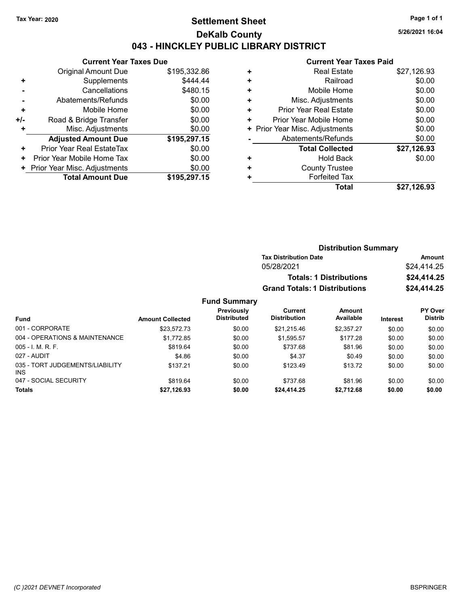### Tax Year: 2020 **Page 1 of 1 Settlement Sheet Constant Constant Constant Constant Constant Constant Constant Constant Constant Constant Constant Constant Page 1 of 1** DeKalb County 043 - HINCKLEY PUBLIC LIBRARY DISTRICT

5/26/2021 16:04

# Current Year Taxes Paid

| <b>Current Year Taxes Due</b> |              |  |  |
|-------------------------------|--------------|--|--|
| Original Amount Due           | \$195,332.86 |  |  |
| Supplements                   | \$444.44     |  |  |
| Cancellations                 | \$480.15     |  |  |
| Abatements/Refunds            | \$0.00       |  |  |
| Mobile Home                   | \$0.00       |  |  |
| Road & Bridge Transfer        | \$0.00       |  |  |
| Misc. Adjustments             | \$0.00       |  |  |
| <b>Adjusted Amount Due</b>    | \$195,297.15 |  |  |
| Prior Year Real EstateTax     | \$0.00       |  |  |
| Prior Year Mobile Home Tax    | \$0.00       |  |  |
| Prior Year Misc. Adjustments  | \$0.00       |  |  |
| <b>Total Amount Due</b>       | \$195,297.15 |  |  |
|                               |              |  |  |

|   | Gullellt Teal Taxes Falu       |             |
|---|--------------------------------|-------------|
| ٠ | <b>Real Estate</b>             | \$27,126.93 |
| ÷ | Railroad                       | \$0.00      |
| ٠ | Mobile Home                    | \$0.00      |
| ٠ | Misc. Adjustments              | \$0.00      |
| ٠ | <b>Prior Year Real Estate</b>  | \$0.00      |
| ٠ | Prior Year Mobile Home         | \$0.00      |
|   | + Prior Year Misc. Adjustments | \$0.00      |
|   | Abatements/Refunds             | \$0.00      |
|   | <b>Total Collected</b>         | \$27,126.93 |
| ٠ | <b>Hold Back</b>               | \$0.00      |
| ٠ | <b>County Trustee</b>          |             |
| ٠ | <b>Forfeited Tax</b>           |             |
|   | <b>Total</b>                   | \$27,126.93 |
|   |                                |             |

| <b>Distribution Summary</b> |
|-----------------------------|
| Amount                      |
| \$24.414.25                 |
| \$24,414.25                 |
| \$24,414.25                 |
|                             |

### Fund Summary

|                                        |                         | Previously         | Current             | Amount     |                 | <b>PY Over</b> |
|----------------------------------------|-------------------------|--------------------|---------------------|------------|-----------------|----------------|
| Fund                                   | <b>Amount Collected</b> | <b>Distributed</b> | <b>Distribution</b> | Available  | <b>Interest</b> | <b>Distrib</b> |
| 001 - CORPORATE                        | \$23.572.73             | \$0.00             | \$21.215.46         | \$2.357.27 | \$0.00          | \$0.00         |
| 004 - OPERATIONS & MAINTENANCE         | \$1,772.85              | \$0.00             | \$1,595.57          | \$177.28   | \$0.00          | \$0.00         |
| $005 - I. M. R. F.$                    | \$819.64                | \$0.00             | \$737.68            | \$81.96    | \$0.00          | \$0.00         |
| 027 - AUDIT                            | \$4.86                  | \$0.00             | \$4.37              | \$0.49     | \$0.00          | \$0.00         |
| 035 - TORT JUDGEMENTS/LIABILITY<br>INS | \$137.21                | \$0.00             | \$123.49            | \$13.72    | \$0.00          | \$0.00         |
| 047 - SOCIAL SECURITY                  | \$819.64                | \$0.00             | \$737.68            | \$81.96    | \$0.00          | \$0.00         |
| <b>Totals</b>                          | \$27,126.93             | \$0.00             | \$24,414.25         | \$2,712.68 | \$0.00          | \$0.00         |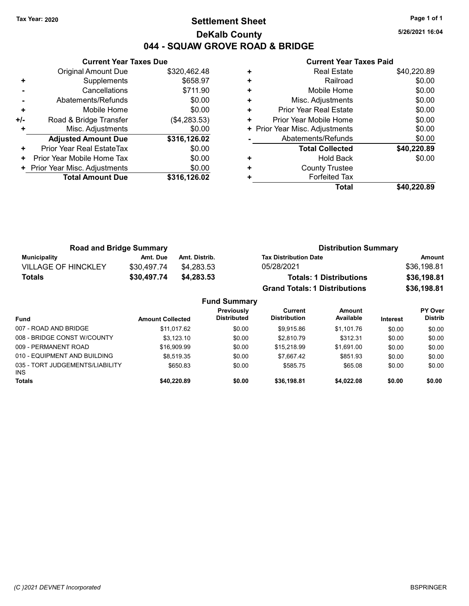### Tax Year: 2020 **Page 1 of 1 Settlement Sheet Constant Constant Constant Constant Constant Constant Constant Constant Constant Constant Constant Constant Page 1 of 1** DeKalb County 044 - SQUAW GROVE ROAD & BRIDGE

5/26/2021 16:04

|     | <b>Current Year Taxes Due</b> |              |
|-----|-------------------------------|--------------|
|     | Original Amount Due           | \$320,462.48 |
| ٠   | Supplements                   | \$658.97     |
|     | Cancellations                 | \$711.90     |
|     | Abatements/Refunds            | \$0.00       |
| ÷   | Mobile Home                   | \$0.00       |
| +/- | Road & Bridge Transfer        | (\$4,283.53) |
|     | Misc. Adjustments             | \$0.00       |
|     | <b>Adjusted Amount Due</b>    | \$316,126.02 |
| ٠   | Prior Year Real EstateTax     | \$0.00       |
| ٠   | Prior Year Mobile Home Tax    | \$0.00       |
|     | Prior Year Misc. Adjustments  | \$0.00       |
|     | <b>Total Amount Due</b>       | \$316,126.02 |
|     |                               |              |

|   | Total                          | \$40.220.89 |
|---|--------------------------------|-------------|
| ٠ | <b>Forfeited Tax</b>           |             |
| ٠ | <b>County Trustee</b>          |             |
| ٠ | <b>Hold Back</b>               | \$0.00      |
|   | <b>Total Collected</b>         | \$40,220.89 |
|   | Abatements/Refunds             | \$0.00      |
|   | + Prior Year Misc. Adjustments | \$0.00      |
| ٠ | Prior Year Mobile Home         | \$0.00      |
| ÷ | Prior Year Real Estate         | \$0.00      |
| ٠ | Misc. Adjustments              | \$0.00      |
| ٠ | Mobile Home                    | \$0.00      |
| ٠ | Railroad                       | \$0.00      |
| ٠ | <b>Real Estate</b>             | \$40,220.89 |
|   |                                |             |

| <b>Road and Bridge Summary</b> |             |                     | <b>Distribution Summary</b>          |             |
|--------------------------------|-------------|---------------------|--------------------------------------|-------------|
| <b>Municipality</b>            | Amt. Due    | Amt. Distrib.       | <b>Tax Distribution Date</b>         | Amount      |
| <b>VILLAGE OF HINCKLEY</b>     | \$30.497.74 | \$4.283.53          | 05/28/2021                           | \$36,198.81 |
| Totals                         | \$30,497.74 | \$4,283,53          | <b>Totals: 1 Distributions</b>       | \$36,198.81 |
|                                |             |                     | <b>Grand Totals: 1 Distributions</b> | \$36,198.81 |
|                                |             | <b>Fund Summary</b> |                                      |             |

|                         | unu Junniary                            |                                |                     |                 |                           |
|-------------------------|-----------------------------------------|--------------------------------|---------------------|-----------------|---------------------------|
| <b>Amount Collected</b> | <b>Previously</b><br><b>Distributed</b> | Current<br><b>Distribution</b> | Amount<br>Available | <b>Interest</b> | PY Over<br><b>Distrib</b> |
| \$11.017.62             | \$0.00                                  | \$9.915.86                     | \$1.101.76          | \$0.00          | \$0.00                    |
| \$3.123.10              | \$0.00                                  | \$2.810.79                     | \$312.31            | \$0.00          | \$0.00                    |
| \$16,909.99             | \$0.00                                  | \$15,218.99                    | \$1.691.00          | \$0.00          | \$0.00                    |
| \$8.519.35              | \$0.00                                  | \$7.667.42                     | \$851.93            | \$0.00          | \$0.00                    |
| \$650.83                | \$0.00                                  | \$585.75                       | \$65.08             | \$0.00          | \$0.00                    |
| \$40,220.89             | \$0.00                                  | \$36,198.81                    | \$4,022.08          | \$0.00          | \$0.00                    |
|                         |                                         |                                |                     |                 |                           |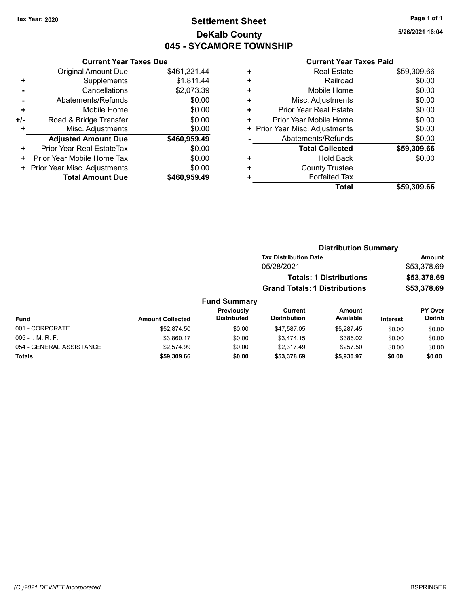# Tax Year: 2020 **Page 1 of 1 Settlement Sheet Constant Constant Constant Constant Constant Constant Constant Constant Constant Constant Constant Constant Page 1 of 1** DeKalb County 045 - SYCAMORE TOWNSHIP

5/26/2021 16:04

# Current Year Taxes Due

|     | Gurient Tear Taxes Due       |              |
|-----|------------------------------|--------------|
|     | Original Amount Due          | \$461,221.44 |
| ٠   | Supplements                  | \$1,811.44   |
|     | Cancellations                | \$2,073.39   |
|     | Abatements/Refunds           | \$0.00       |
| ٠   | Mobile Home                  | \$0.00       |
| +/- | Road & Bridge Transfer       | \$0.00       |
| ٠   | Misc. Adjustments            | \$0.00       |
|     | <b>Adjusted Amount Due</b>   | \$460,959.49 |
| ٠   | Prior Year Real EstateTax    | \$0.00       |
| ٠   | Prior Year Mobile Home Tax   | \$0.00       |
|     | Prior Year Misc. Adjustments | \$0.00       |
|     | <b>Total Amount Due</b>      | \$460,959.49 |

### Current Year Taxes Paid

| ٠ | <b>Real Estate</b>             | \$59,309.66 |
|---|--------------------------------|-------------|
| ٠ | Railroad                       | \$0.00      |
| ٠ | Mobile Home                    | \$0.00      |
| ٠ | Misc. Adjustments              | \$0.00      |
| ٠ | <b>Prior Year Real Estate</b>  | \$0.00      |
| ٠ | Prior Year Mobile Home         | \$0.00      |
|   | + Prior Year Misc. Adjustments | \$0.00      |
|   | Abatements/Refunds             | \$0.00      |
|   | <b>Total Collected</b>         | \$59,309.66 |
| ٠ | <b>Hold Back</b>               | \$0.00      |
| ٠ | <b>County Trustee</b>          |             |
| ٠ | <b>Forfeited Tax</b>           |             |
|   | <b>Total</b>                   | \$59,309.66 |

#### Distribution Summary Tax Distribution Date **Amount** 05/28/2021 \$53,378.69 Totals: 1 Distributions \$53,378.69 Grand Totals: 1 Distributions \$53,378.69 Fund Summary PY Over Distrib Amount Available Current Distribution Previously

| Fund                     | <b>Amount Collected</b> | ---------<br><b>Distributed</b> | <b>Distribution</b> | Available  | <b>Interest</b> | <b>Distrib</b> |
|--------------------------|-------------------------|---------------------------------|---------------------|------------|-----------------|----------------|
| 001 - CORPORATE          | \$52,874.50             | \$0.00                          | \$47.587.05         | \$5.287.45 | \$0.00          | \$0.00         |
| $005 - I. M. R. F.$      | \$3.860.17              | \$0.00                          | \$3.474.15          | \$386.02   | \$0.00          | \$0.00         |
| 054 - GENERAL ASSISTANCE | \$2.574.99              | \$0.00                          | \$2.317.49          | \$257.50   | \$0.00          | \$0.00         |
| Totals                   | \$59,309.66             | \$0.00                          | \$53,378.69         | \$5,930.97 | \$0.00          | \$0.00         |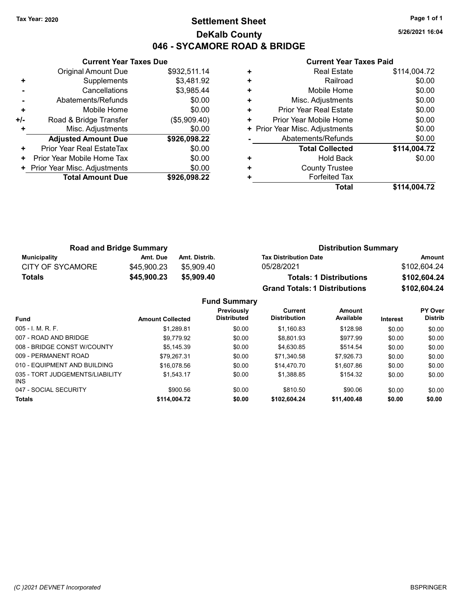# Tax Year: 2020 **Page 1 of 1 Settlement Sheet Constant Constant Constant Constant Constant Constant Constant Constant Constant Constant Constant Constant Page 1 of 1** DeKalb County 046 - SYCAMORE ROAD & BRIDGE

5/26/2021 16:04

|     | <b>Current Year Taxes Due</b>  |              |           |
|-----|--------------------------------|--------------|-----------|
|     | <b>Original Amount Due</b>     | \$932,511.14 | ÷         |
|     | Supplements                    | \$3,481.92   | ٠         |
|     | Cancellations                  | \$3,985.44   | ÷         |
|     | Abatements/Refunds             | \$0.00       | ٠         |
|     | Mobile Home                    | \$0.00       | ÷         |
| +/- | Road & Bridge Transfer         | (\$5,909.40) | Р         |
|     | Misc. Adjustments              | \$0.00       | + Prior Y |
|     | <b>Adjusted Amount Due</b>     | \$926,098.22 |           |
|     | Prior Year Real EstateTax      | \$0.00       |           |
| ٠   | Prior Year Mobile Home Tax     | \$0.00       | ٠         |
|     | + Prior Year Misc. Adjustments | \$0.00       |           |
|     | <b>Total Amount Due</b>        | \$926,098.22 |           |
|     |                                |              |           |

|   | <b>Real Estate</b>             | \$114,004.72 |
|---|--------------------------------|--------------|
| ٠ | Railroad                       | \$0.00       |
| ٠ | Mobile Home                    | \$0.00       |
| ٠ | Misc. Adjustments              | \$0.00       |
| ٠ | Prior Year Real Estate         | \$0.00       |
| ٠ | Prior Year Mobile Home         | \$0.00       |
|   | + Prior Year Misc. Adjustments | \$0.00       |
|   | Abatements/Refunds             | \$0.00       |
|   | <b>Total Collected</b>         | \$114,004.72 |
| ٠ | <b>Hold Back</b>               | \$0.00       |
| ٠ | <b>County Trustee</b>          |              |
|   | <b>Forfeited Tax</b>           |              |
|   | Total                          | \$114.004.72 |

| <b>Road and Bridge Summary</b> |             |               | <b>Distribution Summary</b>          |              |  |
|--------------------------------|-------------|---------------|--------------------------------------|--------------|--|
| <b>Municipality</b>            | Amt. Due    | Amt. Distrib. | <b>Tax Distribution Date</b>         | Amount       |  |
| <b>CITY OF SYCAMORE</b>        | \$45,900.23 | \$5.909.40    | 05/28/2021                           | \$102.604.24 |  |
| <b>Totals</b>                  | \$45,900.23 | \$5,909,40    | <b>Totals: 1 Distributions</b>       | \$102,604.24 |  |
|                                |             |               | <b>Grand Totals: 1 Distributions</b> | \$102,604.24 |  |

|                                         |                         | <b>Fund Summary</b>              |                                |                     |                 |                           |
|-----------------------------------------|-------------------------|----------------------------------|--------------------------------|---------------------|-----------------|---------------------------|
| <b>Fund</b>                             | <b>Amount Collected</b> | Previously<br><b>Distributed</b> | Current<br><b>Distribution</b> | Amount<br>Available | <b>Interest</b> | PY Over<br><b>Distrib</b> |
| 005 - I. M. R. F.                       | \$1.289.81              | \$0.00                           | \$1.160.83                     | \$128.98            | \$0.00          | \$0.00                    |
| 007 - ROAD AND BRIDGE                   | \$9.779.92              | \$0.00                           | \$8,801.93                     | \$977.99            | \$0.00          | \$0.00                    |
| 008 - BRIDGE CONST W/COUNTY             | \$5.145.39              | \$0.00                           | \$4.630.85                     | \$514.54            | \$0.00          | \$0.00                    |
| 009 - PERMANENT ROAD                    | \$79.267.31             | \$0.00                           | \$71.340.58                    | \$7.926.73          | \$0.00          | \$0.00                    |
| 010 - EQUIPMENT AND BUILDING            | \$16.078.56             | \$0.00                           | \$14,470.70                    | \$1,607.86          | \$0.00          | \$0.00                    |
| 035 - TORT JUDGEMENTS/LIABILITY<br>INS. | \$1.543.17              | \$0.00                           | \$1.388.85                     | \$154.32            | \$0.00          | \$0.00                    |
| 047 - SOCIAL SECURITY                   | \$900.56                | \$0.00                           | \$810.50                       | \$90.06             | \$0.00          | \$0.00                    |
| Totals                                  | \$114.004.72            | \$0.00                           | \$102.604.24                   | \$11,400.48         | \$0.00          | \$0.00                    |
|                                         |                         |                                  |                                |                     |                 |                           |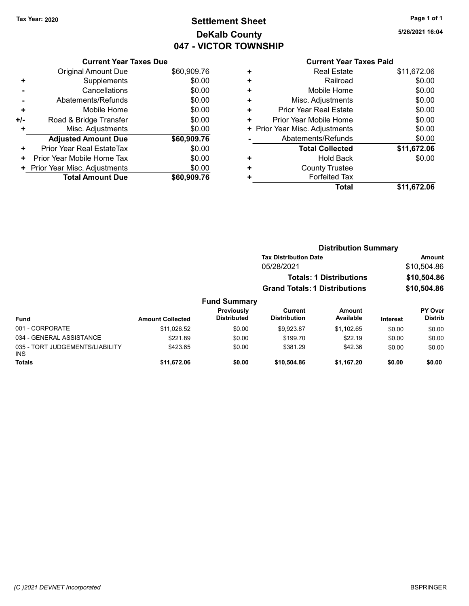# Tax Year: 2020 **Page 1 of 1 Settlement Sheet Constant Constant Constant Constant Constant Constant Constant Constant Constant Constant Constant Constant Page 1 of 1** DeKalb County 047 - VICTOR TOWNSHIP

5/26/2021 16:04

### Current Year Taxes Paid

|     | <b>Current Year Taxes Due</b> |             |
|-----|-------------------------------|-------------|
|     | <b>Original Amount Due</b>    | \$60,909.76 |
| ٠   | Supplements                   | \$0.00      |
|     | Cancellations                 | \$0.00      |
|     | Abatements/Refunds            | \$0.00      |
| ٠   | Mobile Home                   | \$0.00      |
| +/- | Road & Bridge Transfer        | \$0.00      |
|     | Misc. Adjustments             | \$0.00      |
|     | <b>Adjusted Amount Due</b>    | \$60,909.76 |
| ٠   | Prior Year Real EstateTax     | \$0.00      |
| ٠   | Prior Year Mobile Home Tax    | \$0.00      |
| ٠   | Prior Year Misc. Adjustments  | \$0.00      |
|     | <b>Total Amount Due</b>       | \$60,909.76 |

|   | OUITGIIL I GAI TAAGS TAIW      |             |
|---|--------------------------------|-------------|
| ٠ | <b>Real Estate</b>             | \$11,672.06 |
| ÷ | Railroad                       | \$0.00      |
| ÷ | Mobile Home                    | \$0.00      |
| ٠ | Misc. Adjustments              | \$0.00      |
| ÷ | <b>Prior Year Real Estate</b>  | \$0.00      |
| ٠ | Prior Year Mobile Home         | \$0.00      |
|   | + Prior Year Misc. Adjustments | \$0.00      |
|   | Abatements/Refunds             | \$0.00      |
|   | <b>Total Collected</b>         | \$11,672.06 |
| ٠ | <b>Hold Back</b>               | \$0.00      |
| ٠ | <b>County Trustee</b>          |             |
| ٠ | <b>Forfeited Tax</b>           |             |
|   | Total                          | \$11,672.06 |
|   |                                |             |

|                                         |                         |                                  |                                       | <b>Distribution Summary</b>    |             |                           |
|-----------------------------------------|-------------------------|----------------------------------|---------------------------------------|--------------------------------|-------------|---------------------------|
|                                         |                         |                                  | <b>Tax Distribution Date</b>          |                                | Amount      |                           |
|                                         |                         |                                  | 05/28/2021                            |                                |             | \$10,504.86               |
|                                         |                         |                                  |                                       | <b>Totals: 1 Distributions</b> |             | \$10,504.86               |
|                                         |                         |                                  | <b>Grand Totals: 1 Distributions</b>  |                                | \$10,504.86 |                           |
|                                         |                         | <b>Fund Summary</b>              |                                       |                                |             |                           |
| <b>Fund</b>                             | <b>Amount Collected</b> | Previously<br><b>Distributed</b> | <b>Current</b><br><b>Distribution</b> | <b>Amount</b><br>Available     | Interest    | PY Over<br><b>Distrib</b> |
| 001 - CORPORATE                         | \$11,026.52             | \$0.00                           | \$9.923.87                            | \$1.102.65                     | \$0.00      | \$0.00                    |
| 034 - GENERAL ASSISTANCE                | \$221.89                | \$0.00                           | \$199.70                              | \$22.19                        | \$0.00      | \$0.00                    |
| 035 - TORT JUDGEMENTS/LIABILITY<br>INS. | \$423.65                | \$0.00                           | \$381.29                              | \$42.36                        | \$0.00      | \$0.00                    |
| <b>Totals</b>                           | \$11,672.06             | \$0.00                           | \$10,504.86                           | \$1,167.20                     | \$0.00      | \$0.00                    |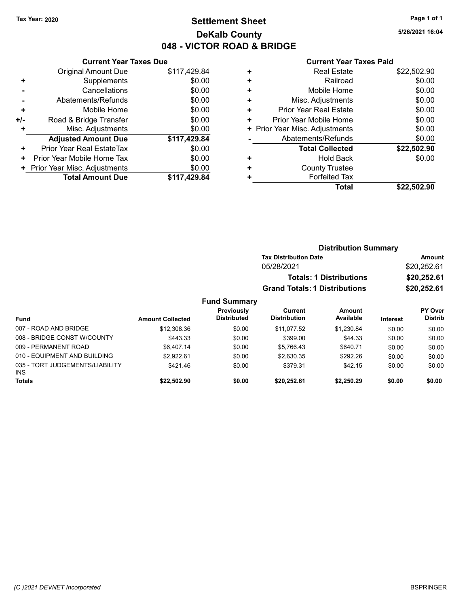# Tax Year: 2020 **Page 1 of 1 Settlement Sheet Constant Constant Constant Constant Constant Constant Constant Constant Constant Constant Constant Constant Page 1 of 1** DeKalb County 048 - VICTOR ROAD & BRIDGE

5/26/2021 16:04

|     | <b>Current Year Taxes Due</b>  |              |  |  |  |  |
|-----|--------------------------------|--------------|--|--|--|--|
|     | <b>Original Amount Due</b>     | \$117,429.84 |  |  |  |  |
| ٠   | Supplements                    | \$0.00       |  |  |  |  |
|     | Cancellations                  | \$0.00       |  |  |  |  |
|     | Abatements/Refunds             | \$0.00       |  |  |  |  |
| ٠   | Mobile Home                    | \$0.00       |  |  |  |  |
| +/- | Road & Bridge Transfer         | \$0.00       |  |  |  |  |
|     | Misc. Adjustments              | \$0.00       |  |  |  |  |
|     | <b>Adjusted Amount Due</b>     | \$117,429.84 |  |  |  |  |
| ٠   | Prior Year Real EstateTax      | \$0.00       |  |  |  |  |
| ٠   | Prior Year Mobile Home Tax     | \$0.00       |  |  |  |  |
|     | + Prior Year Misc. Adjustments | \$0.00       |  |  |  |  |
|     | <b>Total Amount Due</b>        | \$117,429.84 |  |  |  |  |
|     |                                |              |  |  |  |  |

### Current Year Taxes Paid

| <b>Real Estate</b>             | \$22,502.90 |
|--------------------------------|-------------|
| Railroad                       | \$0.00      |
| Mobile Home                    | \$0.00      |
| Misc. Adjustments              | \$0.00      |
| Prior Year Real Estate         | \$0.00      |
| Prior Year Mobile Home         | \$0.00      |
| + Prior Year Misc. Adjustments | \$0.00      |
| Abatements/Refunds             | \$0.00      |
| <b>Total Collected</b>         | \$22,502.90 |
| <b>Hold Back</b>               | \$0.00      |
| <b>County Trustee</b>          |             |
| <b>Forfeited Tax</b>           |             |
| Total                          | \$22,502.90 |
|                                |             |

|                                 |                         | <b>Distribution Summary</b>      |                                       |                                |             |                                  |
|---------------------------------|-------------------------|----------------------------------|---------------------------------------|--------------------------------|-------------|----------------------------------|
|                                 |                         |                                  | <b>Tax Distribution Date</b>          |                                |             | Amount                           |
|                                 |                         |                                  | 05/28/2021                            |                                |             | \$20,252.61                      |
|                                 |                         |                                  |                                       | <b>Totals: 1 Distributions</b> |             | \$20,252.61                      |
|                                 |                         |                                  | <b>Grand Totals: 1 Distributions</b>  |                                | \$20,252.61 |                                  |
|                                 |                         | <b>Fund Summary</b>              |                                       |                                |             |                                  |
| <b>Fund</b>                     | <b>Amount Collected</b> | Previously<br><b>Distributed</b> | <b>Current</b><br><b>Distribution</b> | Amount<br>Available            | Interest    | <b>PY Over</b><br><b>Distrib</b> |
| 007 - ROAD AND BRIDGE           | \$12,308.36             | \$0.00                           | \$11.077.52                           | \$1,230.84                     | \$0.00      | \$0.00                           |
| 008 - BRIDGE CONST W/COUNTY     | \$443.33                | \$0.00                           | \$399.00                              | \$44.33                        | \$0.00      | \$0.00                           |
| 009 - PERMANENT ROAD            | \$6.407.14              | \$0.00                           | \$5.766.43                            | \$640.71                       | \$0.00      | \$0.00                           |
| 010 - EQUIPMENT AND BUILDING    | \$2.922.61              | \$0.00                           | \$2.630.35                            | \$292.26                       | \$0.00      | \$0.00                           |
| 035 - TORT JUDGEMENTS/LIABILITY | \$421.46                | \$0.00                           | \$379.31                              | \$42.15                        | \$0.00      | \$0.00                           |

Totals \$0.00 \$0.00 \$22,502.90 \$0.00 \$20,252.61 \$2,250.29

INS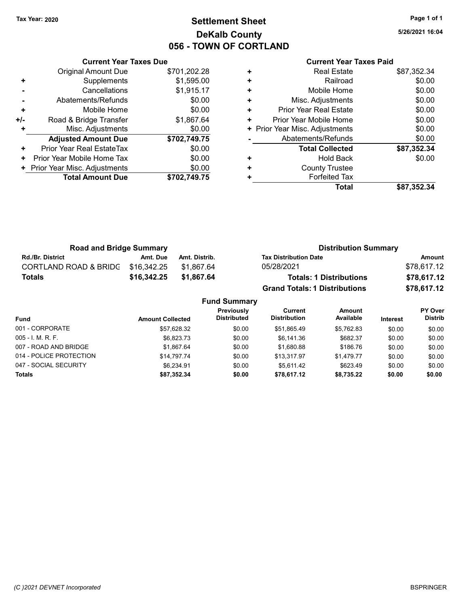# Tax Year: 2020 **Page 1 of 1 Settlement Sheet Constant Constant Constant Constant Constant Constant Constant Constant Constant Constant Constant Constant Page 1 of 1** DeKalb County 056 - TOWN OF CORTLAND

5/26/2021 16:04

|       | <b>Current Year Taxes Due</b>        |              |  |  |  |
|-------|--------------------------------------|--------------|--|--|--|
|       | <b>Original Amount Due</b>           | \$701,202.28 |  |  |  |
| ٠     | Supplements                          | \$1,595.00   |  |  |  |
|       | Cancellations                        | \$1,915.17   |  |  |  |
|       | \$0.00<br>Abatements/Refunds         |              |  |  |  |
| ٠     | Mobile Home                          | \$0.00       |  |  |  |
| $+/-$ | \$1,867.64<br>Road & Bridge Transfer |              |  |  |  |
|       | Misc. Adjustments                    | \$0.00       |  |  |  |
|       | <b>Adjusted Amount Due</b>           | \$702,749.75 |  |  |  |
| ÷     | Prior Year Real EstateTax            | \$0.00       |  |  |  |
| ٠     | Prior Year Mobile Home Tax           | \$0.00       |  |  |  |
|       | Prior Year Misc. Adjustments         | \$0.00       |  |  |  |
|       | <b>Total Amount Due</b>              | \$702,749.75 |  |  |  |
|       |                                      |              |  |  |  |

| ٠ | <b>Real Estate</b>             | \$87,352.34 |
|---|--------------------------------|-------------|
| ٠ | Railroad                       | \$0.00      |
| ٠ | Mobile Home                    | \$0.00      |
| ٠ | Misc. Adjustments              | \$0.00      |
| ٠ | Prior Year Real Estate         | \$0.00      |
| ٠ | Prior Year Mobile Home         | \$0.00      |
|   | + Prior Year Misc. Adjustments | \$0.00      |
|   | Abatements/Refunds             | \$0.00      |
|   | <b>Total Collected</b>         | \$87,352.34 |
| ٠ | <b>Hold Back</b>               | \$0.00      |
| ٠ | <b>County Trustee</b>          |             |
| ٠ | <b>Forfeited Tax</b>           |             |
|   | Total                          | \$87,352.34 |

| <b>Road and Bridge Summary</b>   |             |               | <b>Distribution Summary</b>          |             |  |
|----------------------------------|-------------|---------------|--------------------------------------|-------------|--|
| <b>Rd./Br. District</b>          | Amt. Due    | Amt. Distrib. | <b>Tax Distribution Date</b>         | Amount      |  |
| <b>CORTLAND ROAD &amp; BRIDG</b> | \$16.342.25 | \$1.867.64    | 05/28/2021                           | \$78,617.12 |  |
| Totals                           | \$16,342.25 | \$1.867.64    | <b>Totals: 1 Distributions</b>       | \$78,617.12 |  |
|                                  |             |               | <b>Grand Totals: 1 Distributions</b> | \$78,617.12 |  |

| <b>Fund Summary</b>     |                         |                                  |                                |                            |          |                                  |  |
|-------------------------|-------------------------|----------------------------------|--------------------------------|----------------------------|----------|----------------------------------|--|
| <b>Fund</b>             | <b>Amount Collected</b> | Previously<br><b>Distributed</b> | Current<br><b>Distribution</b> | <b>Amount</b><br>Available | Interest | <b>PY Over</b><br><b>Distrib</b> |  |
| 001 - CORPORATE         | \$57,628.32             | \$0.00                           | \$51,865.49                    | \$5.762.83                 | \$0.00   | \$0.00                           |  |
| 005 - I. M. R. F.       | \$6.823.73              | \$0.00                           | \$6,141.36                     | \$682.37                   | \$0.00   | \$0.00                           |  |
| 007 - ROAD AND BRIDGE   | \$1.867.64              | \$0.00                           | \$1,680.88                     | \$186.76                   | \$0.00   | \$0.00                           |  |
| 014 - POLICE PROTECTION | \$14,797.74             | \$0.00                           | \$13.317.97                    | \$1.479.77                 | \$0.00   | \$0.00                           |  |
| 047 - SOCIAL SECURITY   | \$6.234.91              | \$0.00                           | \$5.611.42                     | \$623.49                   | \$0.00   | \$0.00                           |  |
| <b>Totals</b>           | \$87.352.34             | \$0.00                           | \$78,617.12                    | \$8.735.22                 | \$0.00   | \$0.00                           |  |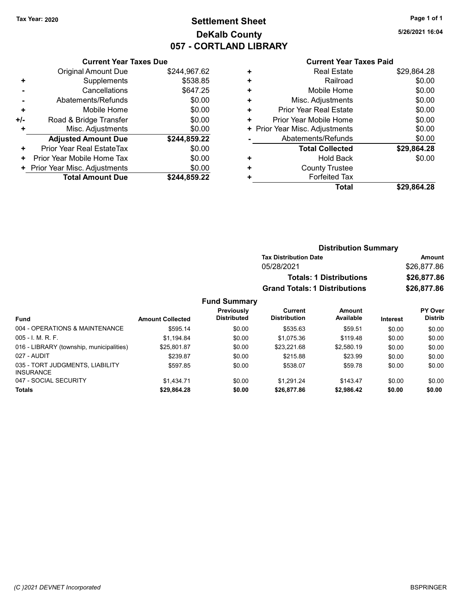# Tax Year: 2020 **Page 1 of 1 Settlement Sheet Constant Constant Constant Constant Constant Constant Constant Constant Constant Constant Constant Constant Page 1 of 1** DeKalb County 057 - CORTLAND LIBRARY

5/26/2021 16:04

|     | <b>Current Year Taxes Due</b> |              |  |  |  |  |  |
|-----|-------------------------------|--------------|--|--|--|--|--|
|     | <b>Original Amount Due</b>    | \$244,967.62 |  |  |  |  |  |
| ٠   | Supplements                   | \$538.85     |  |  |  |  |  |
|     | Cancellations                 | \$647.25     |  |  |  |  |  |
|     | Abatements/Refunds            | \$0.00       |  |  |  |  |  |
| ٠   | Mobile Home                   | \$0.00       |  |  |  |  |  |
| +/- | Road & Bridge Transfer        | \$0.00       |  |  |  |  |  |
|     | Misc. Adjustments             | \$0.00       |  |  |  |  |  |
|     | <b>Adjusted Amount Due</b>    | \$244,859.22 |  |  |  |  |  |
| ٠   | Prior Year Real EstateTax     | \$0.00       |  |  |  |  |  |
|     | Prior Year Mobile Home Tax    | \$0.00       |  |  |  |  |  |
| ٠   | Prior Year Misc. Adjustments  |              |  |  |  |  |  |
|     | <b>Total Amount Due</b>       | \$244.859.22 |  |  |  |  |  |

|   | OUITCHL TCUL TUACS LUIU       |             |
|---|-------------------------------|-------------|
| ٠ | <b>Real Estate</b>            | \$29,864.28 |
| ٠ | Railroad                      | \$0.00      |
| ٠ | Mobile Home                   | \$0.00      |
| ٠ | Misc. Adjustments             | \$0.00      |
| ٠ | <b>Prior Year Real Estate</b> | \$0.00      |
| ٠ | Prior Year Mobile Home        | \$0.00      |
| ٠ | Prior Year Misc. Adjustments  | \$0.00      |
|   | Abatements/Refunds            | \$0.00      |
|   | <b>Total Collected</b>        | \$29,864.28 |
| ٠ | <b>Hold Back</b>              | \$0.00      |
| ٠ | <b>County Trustee</b>         |             |
| ٠ | <b>Forfeited Tax</b>          |             |
|   | Total                         | \$29.864.28 |
|   |                               |             |

|    |                                         |                                      | <b>Distribution Summary</b>    |                 |                                  |  |
|----|-----------------------------------------|--------------------------------------|--------------------------------|-----------------|----------------------------------|--|
|    |                                         | <b>Tax Distribution Date</b>         | Amount                         |                 |                                  |  |
|    |                                         | 05/28/2021                           |                                |                 | \$26,877.86                      |  |
|    |                                         |                                      | <b>Totals: 1 Distributions</b> |                 | \$26,877.86                      |  |
|    |                                         | <b>Grand Totals: 1 Distributions</b> |                                |                 | \$26,877.86                      |  |
|    | <b>Fund Summary</b>                     |                                      |                                |                 |                                  |  |
| ed | <b>Previously</b><br><b>Distributed</b> | Current<br><b>Distribution</b>       | Amount<br>Available            | <b>Interest</b> | <b>PY Over</b><br><b>Distrib</b> |  |

| Fund                                                | <b>Amount Collected</b> | .<br><b>Distributed</b> | <b>Distribution</b> | Available  | <b>Interest</b> | <b>Distrib</b> |
|-----------------------------------------------------|-------------------------|-------------------------|---------------------|------------|-----------------|----------------|
| 004 - OPERATIONS & MAINTENANCE                      | \$595.14                | \$0.00                  | \$535.63            | \$59.51    | \$0.00          | \$0.00         |
| $005 - I. M. R. F.$                                 | \$1.194.84              | \$0.00                  | \$1,075.36          | \$119.48   | \$0.00          | \$0.00         |
| 016 - LIBRARY (township, municipalities)            | \$25.801.87             | \$0.00                  | \$23.221.68         | \$2,580.19 | \$0.00          | \$0.00         |
| 027 - AUDIT                                         | \$239.87                | \$0.00                  | \$215.88            | \$23.99    | \$0.00          | \$0.00         |
| 035 - TORT JUDGMENTS, LIABILITY<br><b>INSURANCE</b> | \$597.85                | \$0.00                  | \$538.07            | \$59.78    | \$0.00          | \$0.00         |
| 047 - SOCIAL SECURITY                               | \$1.434.71              | \$0.00                  | \$1.291.24          | \$143.47   | \$0.00          | \$0.00         |
| <b>Totals</b>                                       | \$29.864.28             | \$0.00                  | \$26,877.86         | \$2.986.42 | \$0.00          | \$0.00         |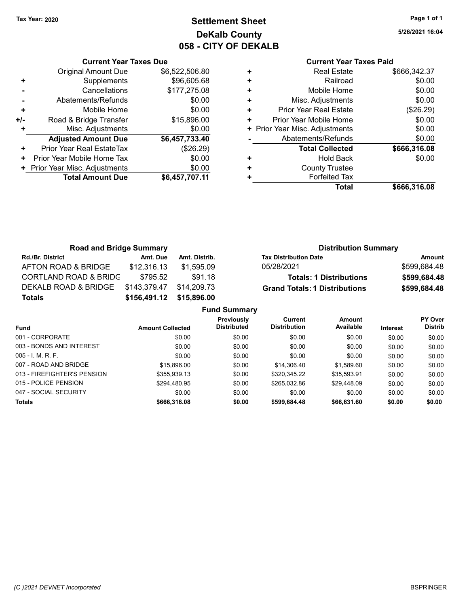# Tax Year: 2020 **Page 1 of 1 Settlement Sheet Constant Constant Constant Constant Constant Constant Constant Constant Constant Constant Constant Constant Page 1 of 1** DeKalb County 058 - CITY OF DEKALB

5/26/2021 16:04

|     | <b>Current Year Taxes Due</b>  |                |  |  |  |  |  |
|-----|--------------------------------|----------------|--|--|--|--|--|
|     | Original Amount Due            | \$6,522,506.80 |  |  |  |  |  |
| ٠   | Supplements                    | \$96,605.68    |  |  |  |  |  |
|     | Cancellations                  | \$177,275.08   |  |  |  |  |  |
|     | Abatements/Refunds             | \$0.00         |  |  |  |  |  |
| ٠   | Mobile Home                    | \$0.00         |  |  |  |  |  |
| +/- | Road & Bridge Transfer         | \$15,896.00    |  |  |  |  |  |
| ٠   | Misc. Adjustments              | \$0.00         |  |  |  |  |  |
|     | <b>Adjusted Amount Due</b>     | \$6,457,733.40 |  |  |  |  |  |
| ٠   | Prior Year Real EstateTax      | (\$26.29)      |  |  |  |  |  |
| ÷   | Prior Year Mobile Home Tax     | \$0.00         |  |  |  |  |  |
|     | + Prior Year Misc. Adjustments | \$0.00         |  |  |  |  |  |
|     | <b>Total Amount Due</b>        | \$6,457,707.11 |  |  |  |  |  |
|     |                                |                |  |  |  |  |  |

|   | Total                          | \$666,316.08 |
|---|--------------------------------|--------------|
| ٠ | <b>Forfeited Tax</b>           |              |
| ٠ | <b>County Trustee</b>          |              |
| ٠ | <b>Hold Back</b>               | \$0.00       |
|   | <b>Total Collected</b>         | \$666,316.08 |
|   | Abatements/Refunds             | \$0.00       |
|   | + Prior Year Misc. Adjustments | \$0.00       |
| ٠ | Prior Year Mobile Home         | \$0.00       |
| ٠ | Prior Year Real Estate         | (\$26.29)    |
| ٠ | Misc. Adjustments              | \$0.00       |
| ٠ | Mobile Home                    | \$0.00       |
| ٠ | Railroad                       | \$0.00       |
| ٠ | <b>Real Estate</b>             | \$666.342.37 |
|   |                                |              |

| <b>Road and Bridge Summary</b>   |              |               | <b>Distribution Summary</b>                          |
|----------------------------------|--------------|---------------|------------------------------------------------------|
| <b>Rd./Br. District</b>          | Amt. Due     | Amt. Distrib. | <b>Tax Distribution Date</b><br>Amount               |
| AFTON ROAD & BRIDGE              | \$12,316.13  | \$1,595.09    | \$599,684.48<br>05/28/2021                           |
| <b>CORTLAND ROAD &amp; BRIDG</b> | \$795.52     | \$91.18       | \$599,684.48<br><b>Totals: 1 Distributions</b>       |
| DEKALB ROAD & BRIDGE             | \$143,379.47 | \$14.209.73   | \$599,684.48<br><b>Grand Totals: 1 Distributions</b> |
| Totals                           | \$156,491.12 | \$15,896.00   |                                                      |
|                                  |              |               | <b>Fund Summary</b>                                  |

|                         | Fully Sullillialy                |                                       |                     |          |                                  |
|-------------------------|----------------------------------|---------------------------------------|---------------------|----------|----------------------------------|
| <b>Amount Collected</b> | Previously<br><b>Distributed</b> | <b>Current</b><br><b>Distribution</b> | Amount<br>Available | Interest | <b>PY Over</b><br><b>Distrib</b> |
| \$0.00                  | \$0.00                           | \$0.00                                | \$0.00              | \$0.00   | \$0.00                           |
| \$0.00                  | \$0.00                           | \$0.00                                | \$0.00              | \$0.00   | \$0.00                           |
| \$0.00                  | \$0.00                           | \$0.00                                | \$0.00              | \$0.00   | \$0.00                           |
| \$15,896,00             | \$0.00                           | \$14,306.40                           | \$1,589.60          | \$0.00   | \$0.00                           |
| \$355,939.13            | \$0.00                           | \$320,345.22                          | \$35,593.91         | \$0.00   | \$0.00                           |
| \$294.480.95            | \$0.00                           | \$265.032.86                          | \$29.448.09         | \$0.00   | \$0.00                           |
| \$0.00                  | \$0.00                           | \$0.00                                | \$0.00              | \$0.00   | \$0.00                           |
| \$666,316.08            | \$0.00                           | \$599,684.48                          | \$66,631.60         | \$0.00   | \$0.00                           |
|                         |                                  |                                       |                     |          |                                  |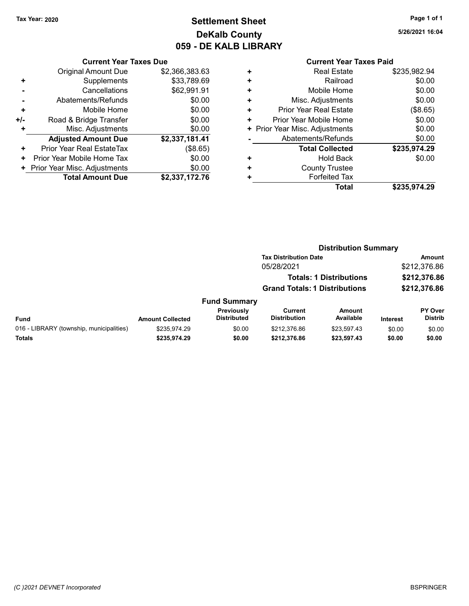# Tax Year: 2020 **Page 1 of 1 Settlement Sheet Constant Constant Constant Constant Constant Constant Constant Constant Constant Constant Constant Constant Page 1 of 1** DeKalb County 059 - DE KALB LIBRARY

5/26/2021 16:04

|     | <b>Current Year Taxes Due</b> |                |  |  |  |  |
|-----|-------------------------------|----------------|--|--|--|--|
|     | Original Amount Due           | \$2,366,383.63 |  |  |  |  |
| ٠   | Supplements                   | \$33,789.69    |  |  |  |  |
|     | Cancellations                 | \$62,991.91    |  |  |  |  |
|     | Abatements/Refunds            | \$0.00         |  |  |  |  |
| ٠   | Mobile Home                   | \$0.00         |  |  |  |  |
| +/- | Road & Bridge Transfer        | \$0.00         |  |  |  |  |
|     | Misc. Adjustments             | \$0.00         |  |  |  |  |
|     | <b>Adjusted Amount Due</b>    | \$2,337,181.41 |  |  |  |  |
| ÷   | Prior Year Real EstateTax     | (\$8.65)       |  |  |  |  |
| ٠   | Prior Year Mobile Home Tax    | \$0.00         |  |  |  |  |
|     | Prior Year Misc. Adjustments  | \$0.00         |  |  |  |  |
|     | <b>Total Amount Due</b>       | \$2,337,172.76 |  |  |  |  |

|   | Total                          | \$235,974.29 |
|---|--------------------------------|--------------|
| ٠ | <b>Forfeited Tax</b>           |              |
| ٠ | <b>County Trustee</b>          |              |
| ٠ | <b>Hold Back</b>               | \$0.00       |
|   | <b>Total Collected</b>         | \$235,974.29 |
|   | Abatements/Refunds             | \$0.00       |
|   | + Prior Year Misc. Adjustments | \$0.00       |
| ٠ | Prior Year Mobile Home         | \$0.00       |
| ٠ | <b>Prior Year Real Estate</b>  | (\$8.65)     |
| ٠ | Misc. Adjustments              | \$0.00       |
| ٠ | Mobile Home                    | \$0.00       |
| ٠ | Railroad                       | \$0.00       |
| ٠ | <b>Real Estate</b>             | \$235,982.94 |
|   |                                |              |

|                                          |                         |                                  | <b>Distribution Summary</b>           |                                |                 |                           |
|------------------------------------------|-------------------------|----------------------------------|---------------------------------------|--------------------------------|-----------------|---------------------------|
|                                          |                         |                                  | <b>Tax Distribution Date</b>          |                                |                 | Amount                    |
|                                          |                         |                                  | 05/28/2021                            |                                |                 | \$212,376.86              |
|                                          |                         |                                  |                                       | <b>Totals: 1 Distributions</b> |                 | \$212,376.86              |
|                                          |                         |                                  | <b>Grand Totals: 1 Distributions</b>  |                                |                 | \$212,376.86              |
|                                          |                         | <b>Fund Summary</b>              |                                       |                                |                 |                           |
| Fund                                     | <b>Amount Collected</b> | Previously<br><b>Distributed</b> | <b>Current</b><br><b>Distribution</b> | <b>Amount</b><br>Available     | <b>Interest</b> | PY Over<br><b>Distrib</b> |
| 016 - LIBRARY (township, municipalities) | \$235,974.29            | \$0.00                           | \$212,376.86                          | \$23,597.43                    | \$0.00          | \$0.00                    |
| Totals                                   | \$235,974.29            | \$0.00                           | \$212,376.86                          | \$23,597.43                    | \$0.00          | \$0.00                    |
|                                          |                         |                                  |                                       |                                |                 |                           |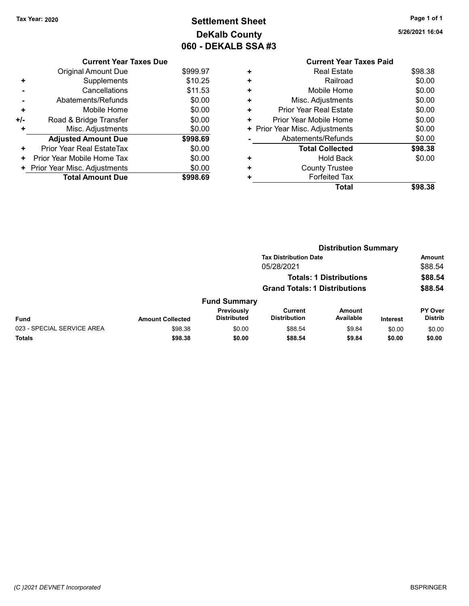# Tax Year: 2020 **Page 1 of 1 Settlement Sheet Constant Constant Constant Constant Constant Constant Constant Constant Constant Constant Constant Constant Page 1 of 1** DeKalb County 060 - DEKALB SSA #3

5/26/2021 16:04

|     | <b>Current Year Taxes Due</b> |          |
|-----|-------------------------------|----------|
|     | Original Amount Due           | \$999.97 |
| ٠   | Supplements                   | \$10.25  |
|     | Cancellations                 | \$11.53  |
|     | Abatements/Refunds            | \$0.00   |
| ٠   | Mobile Home                   | \$0.00   |
| +/- | Road & Bridge Transfer        | \$0.00   |
| ٠   | Misc. Adjustments             | \$0.00   |
|     | <b>Adjusted Amount Due</b>    | \$998.69 |
| ٠   | Prior Year Real EstateTax     | \$0.00   |
| ٠   | Prior Year Mobile Home Tax    | \$0.00   |
|     | Prior Year Misc. Adjustments  | \$0.00   |
|     | <b>Total Amount Due</b>       | \$998.69 |

|   | <b>Current Year Taxes Paid</b> |         |
|---|--------------------------------|---------|
| ٠ | <b>Real Estate</b>             | \$98.38 |
|   | Railroad                       | \$0.00  |
|   | Mobile Home                    | \$0.00  |
|   | Misc. Adjustments              | \$0.00  |
| ٠ | Prior Year Real Estate         | \$0.00  |
| ٠ | Prior Year Mobile Home         | \$0.00  |
| ٠ | Prior Year Misc. Adjustments   | \$0.00  |
|   | Abatements/Refunds             | \$0.00  |
|   | <b>Total Collected</b>         | \$98.38 |
| ٠ | Hold Back                      | \$0.00  |
|   | <b>County Trustee</b>          |         |
|   | <b>Forfeited Tax</b>           |         |
|   | Total                          | \$98.38 |
|   |                                |         |

|                            |                         |                                  | <b>Distribution Summary</b>          |                                |                 |                           |
|----------------------------|-------------------------|----------------------------------|--------------------------------------|--------------------------------|-----------------|---------------------------|
|                            |                         |                                  | <b>Tax Distribution Date</b>         |                                |                 | Amount                    |
|                            |                         |                                  | 05/28/2021                           |                                |                 | \$88.54                   |
|                            |                         |                                  |                                      | <b>Totals: 1 Distributions</b> |                 | \$88.54                   |
|                            |                         |                                  | <b>Grand Totals: 1 Distributions</b> |                                |                 | \$88.54                   |
|                            |                         | <b>Fund Summary</b>              |                                      |                                |                 |                           |
| <b>Fund</b>                | <b>Amount Collected</b> | Previously<br><b>Distributed</b> | Current<br><b>Distribution</b>       | Amount<br>Available            | <b>Interest</b> | PY Over<br><b>Distrib</b> |
| 023 - SPECIAL SERVICE AREA | \$98.38                 | \$0.00                           | \$88.54                              | \$9.84                         | \$0.00          | \$0.00                    |
| <b>Totals</b>              | \$98.38                 | \$0.00                           | \$88.54                              | \$9.84                         | \$0.00          | \$0.00                    |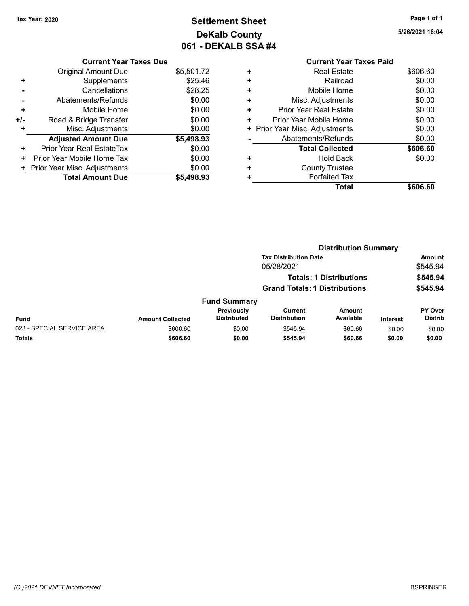Current Year Taxes Due Original Amount Due \$5,501.72

Adjusted Amount Due \$5,498.93

+ Supplements \$25.46 - Cancellations \$28.25 - Abatements/Refunds \$0.00 + Mobile Home \$0.00 +/- Road & Bridge Transfer \$0.00 + Misc. Adjustments \$0.00

+ Prior Year Real EstateTax \$0.00 + Prior Year Mobile Home Tax \$0.00 + Prior Year Misc. Adjustments \$0.00<br>Total Amount Due \$5,498.93

Total Amount Due

# Tax Year: 2020 **Page 1 of 1 Settlement Sheet Constant Constant Constant Constant Constant Constant Constant Constant Constant Constant Constant Constant Page 1 of 1** DeKalb County 061 - DEKALB SSA #4

5/26/2021 16:04

| ٠ | <b>Real Estate</b>             | \$606.60 |
|---|--------------------------------|----------|
| ٠ | Railroad                       | \$0.00   |
| ٠ | Mobile Home                    | \$0.00   |
| ٠ | Misc. Adjustments              | \$0.00   |
| ÷ | Prior Year Real Estate         | \$0.00   |
| ٠ | Prior Year Mobile Home         | \$0.00   |
|   | + Prior Year Misc. Adjustments | \$0.00   |
|   | Abatements/Refunds             | \$0.00   |
|   | <b>Total Collected</b>         | \$606.60 |
| ٠ | <b>Hold Back</b>               | \$0.00   |
| ٠ | <b>County Trustee</b>          |          |
| ٠ | <b>Forfeited Tax</b>           |          |
|   | Total                          | \$606.60 |

Distribution Summary

|                            |                         |                                         | <b>Tax Distribution Date</b>         |                                |                 | Amount                           |
|----------------------------|-------------------------|-----------------------------------------|--------------------------------------|--------------------------------|-----------------|----------------------------------|
|                            |                         |                                         | 05/28/2021                           |                                |                 | \$545.94                         |
|                            |                         |                                         |                                      | <b>Totals: 1 Distributions</b> |                 | \$545.94                         |
|                            |                         |                                         | <b>Grand Totals: 1 Distributions</b> |                                |                 | \$545.94                         |
|                            |                         | <b>Fund Summary</b>                     |                                      |                                |                 |                                  |
| Fund                       | <b>Amount Collected</b> | <b>Previously</b><br><b>Distributed</b> | Current<br><b>Distribution</b>       | <b>Amount</b><br>Available     | <b>Interest</b> | <b>PY Over</b><br><b>Distrib</b> |
| 023 - SPECIAL SERVICE AREA | \$606.60                | \$0.00                                  | \$545.94                             | \$60.66                        | \$0.00          | \$0.00                           |
| <b>Totals</b>              | \$606.60                | \$0.00                                  | \$545.94                             | \$60.66                        | \$0.00          | \$0.00                           |
|                            |                         |                                         |                                      |                                |                 |                                  |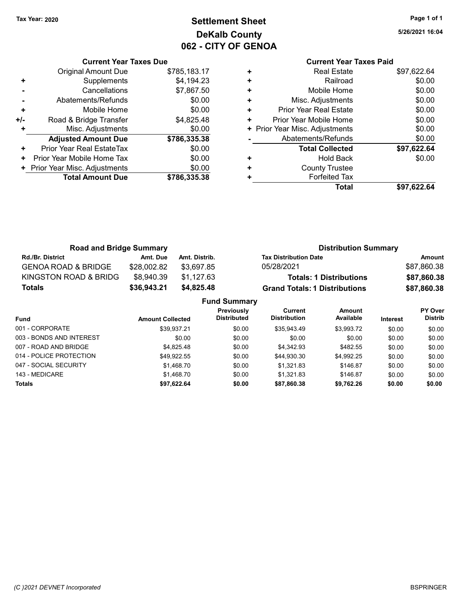Current Year Taxes Due Original Amount Due \$785,183.17

Adjusted Amount Due \$786,335.38

+ Supplements \$4,194.23 - Cancellations \$7,867.50 - Abatements/Refunds \$0.00 + Mobile Home \$0.00 +/- Road & Bridge Transfer \$4,825.48 + Misc. Adjustments \$0.00

+ Prior Year Real EstateTax \$0.00 + Prior Year Mobile Home Tax \$0.00 + Prior Year Misc. Adjustments \$0.00<br>
Total Amount Due \$786,335.38

**Total Amount Due** 

# Tax Year: 2020 **Page 1 of 1 Settlement Sheet Constant Constant Constant Constant Constant Constant Constant Constant Constant Constant Constant Constant Page 1 of 1** DeKalb County 062 - CITY OF GENOA

5/26/2021 16:04

### Current Year Taxes Paid + Real Estate \$97,622.64 + Railroad \$0.00 + Mobile Home \$0.00 + Misc. Adjustments \$0.00 + Prior Year Real Estate \$0.00 + Prior Year Mobile Home \$0.00 + Prior Year Misc. Adjustments  $$0.00$ - Abatements/Refunds \$0.00 Total Collected  $$97,622.64$ + Hold Back \$0.00 + County Trustee + Forfeited Tax Total \$97,622.64

| <b>Road and Bridge Summary</b> |                         |               |                                  |                                      | <b>Distribution Summary</b>    |                 |                           |
|--------------------------------|-------------------------|---------------|----------------------------------|--------------------------------------|--------------------------------|-----------------|---------------------------|
| Rd./Br. District               | Amt. Due                | Amt. Distrib. |                                  | <b>Tax Distribution Date</b>         |                                |                 | <b>Amount</b>             |
| <b>GENOA ROAD &amp; BRIDGE</b> | \$28,002.82             | \$3,697.85    |                                  | 05/28/2021                           |                                |                 | \$87,860.38               |
| KINGSTON ROAD & BRIDG          | \$8,940.39              | \$1,127.63    |                                  |                                      | <b>Totals: 1 Distributions</b> |                 | \$87,860.38               |
| <b>Totals</b>                  | \$36,943.21             | \$4,825.48    |                                  | <b>Grand Totals: 1 Distributions</b> |                                |                 | \$87,860.38               |
|                                |                         |               | <b>Fund Summary</b>              |                                      |                                |                 |                           |
| Fund                           | <b>Amount Collected</b> |               | Previously<br><b>Distributed</b> | Current<br><b>Distribution</b>       | <b>Amount</b><br>Available     | <b>Interest</b> | PY Over<br><b>Distrib</b> |
| 001 - CORPORATE                |                         | \$39.937.21   | \$0.00                           | \$35.943.49                          | \$3.993.72                     | \$0.00          | \$0.00                    |

| <b>Totals</b>            | \$97.622.64 | \$0.00 | \$87,860.38 | \$9.762.26 | \$0.00 | \$0.00 |
|--------------------------|-------------|--------|-------------|------------|--------|--------|
| 143 - MEDICARE           | \$1.468.70  | \$0.00 | \$1.321.83  | \$146.87   | \$0.00 | \$0.00 |
| 047 - SOCIAL SECURITY    | \$1.468.70  | \$0.00 | \$1.321.83  | \$146.87   | \$0.00 | \$0.00 |
| 014 - POLICE PROTECTION  | \$49,922.55 | \$0.00 | \$44,930.30 | \$4.992.25 | \$0.00 | \$0.00 |
| 007 - ROAD AND BRIDGE    | \$4.825.48  | \$0.00 | \$4.342.93  | \$482.55   | \$0.00 | \$0.00 |
| 003 - BONDS AND INTEREST | \$0.00      | \$0.00 | \$0.00      | \$0.00     | \$0.00 | \$0.00 |
| 001 - CORPORATE          | \$39.937.21 | \$0.00 | \$35.943.49 | \$3.993.72 | \$0.00 | \$0.00 |

### (C )2021 DEVNET Incorporated BSPRINGER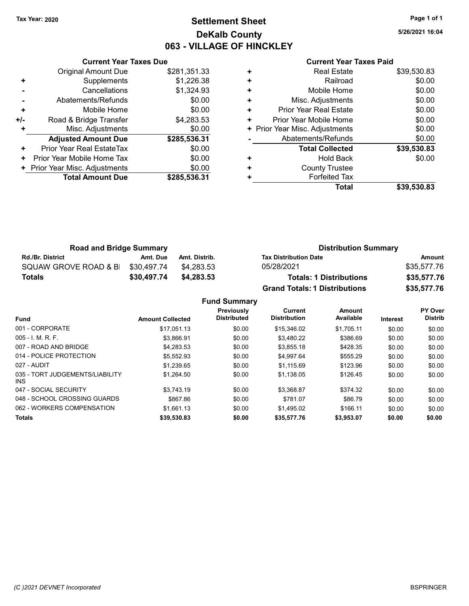# Tax Year: 2020 **Page 1 of 1 Settlement Sheet Constant Constant Constant Constant Constant Constant Constant Constant Constant Constant Constant Constant Page 1 of 1** DeKalb County 063 - VILLAGE OF HINCKLEY

5/26/2021 16:04

#### Current Year Taxes Paid

|     | <b>Current Year Taxes Due</b> |              |
|-----|-------------------------------|--------------|
|     | <b>Original Amount Due</b>    | \$281,351.33 |
| ٠   | Supplements                   | \$1,226.38   |
|     | Cancellations                 | \$1,324.93   |
|     | Abatements/Refunds            | \$0.00       |
| ÷   | Mobile Home                   | \$0.00       |
| +/- | Road & Bridge Transfer        | \$4,283.53   |
| ÷   | Misc. Adjustments             | \$0.00       |
|     | <b>Adjusted Amount Due</b>    | \$285,536.31 |
| ٠   | Prior Year Real EstateTax     | \$0.00       |
| ٠   | Prior Year Mobile Home Tax    | \$0.00       |
|     | Prior Year Misc. Adjustments  | \$0.00       |
|     | <b>Total Amount Due</b>       | \$285,536,31 |
|     |                               |              |

|   | <b>Real Estate</b>             | \$39,530.83 |
|---|--------------------------------|-------------|
| ٠ | Railroad                       | \$0.00      |
| ٠ | Mobile Home                    | \$0.00      |
| ٠ | Misc. Adjustments              | \$0.00      |
| ٠ | Prior Year Real Estate         | \$0.00      |
| ٠ | Prior Year Mobile Home         | \$0.00      |
|   | + Prior Year Misc. Adjustments | \$0.00      |
|   | Abatements/Refunds             | \$0.00      |
|   | <b>Total Collected</b>         | \$39,530.83 |
| ٠ | <b>Hold Back</b>               | \$0.00      |
| ٠ | <b>County Trustee</b>          |             |
| ٠ | <b>Forfeited Tax</b>           |             |
|   | Total                          | \$39,530.83 |

| <b>Road and Bridge Summary</b> |             |               | <b>Distribution Summary</b>          |             |  |  |
|--------------------------------|-------------|---------------|--------------------------------------|-------------|--|--|
| <b>Rd./Br. District</b>        | Amt. Due    | Amt. Distrib. | <b>Tax Distribution Date</b>         | Amount      |  |  |
| SQUAW GROVE ROAD & B           | \$30.497.74 | \$4.283.53    | 05/28/2021                           | \$35,577.76 |  |  |
| <b>Totals</b>                  | \$30,497.74 | \$4,283,53    | <b>Totals: 1 Distributions</b>       | \$35,577.76 |  |  |
|                                |             |               | <b>Grand Totals: 1 Distributions</b> | \$35,577.76 |  |  |

Fund Summary

| <b>Fund</b>                             | <b>Amount Collected</b> | Previously<br><b>Distributed</b> | Current<br><b>Distribution</b> | <b>Amount</b><br>Available | <b>Interest</b> | PY Over<br><b>Distrib</b> |
|-----------------------------------------|-------------------------|----------------------------------|--------------------------------|----------------------------|-----------------|---------------------------|
|                                         |                         |                                  |                                |                            |                 |                           |
| 001 - CORPORATE                         | \$17,051.13             | \$0.00                           | \$15,346.02                    | \$1.705.11                 | \$0.00          | \$0.00                    |
| $005 - I$ , M, R, F,                    | \$3.866.91              | \$0.00                           | \$3.480.22                     | \$386.69                   | \$0.00          | \$0.00                    |
| 007 - ROAD AND BRIDGE                   | \$4.283.53              | \$0.00                           | \$3,855.18                     | \$428.35                   | \$0.00          | \$0.00                    |
| 014 - POLICE PROTECTION                 | \$5.552.93              | \$0.00                           | \$4,997.64                     | \$555.29                   | \$0.00          | \$0.00                    |
| 027 - AUDIT                             | \$1.239.65              | \$0.00                           | \$1.115.69                     | \$123.96                   | \$0.00          | \$0.00                    |
| 035 - TORT JUDGEMENTS/LIABILITY<br>INS. | \$1.264.50              | \$0.00                           | \$1.138.05                     | \$126.45                   | \$0.00          | \$0.00                    |
| 047 - SOCIAL SECURITY                   | \$3.743.19              | \$0.00                           | \$3,368.87                     | \$374.32                   | \$0.00          | \$0.00                    |
| 048 - SCHOOL CROSSING GUARDS            | \$867.86                | \$0.00                           | \$781.07                       | \$86.79                    | \$0.00          | \$0.00                    |
| 062 - WORKERS COMPENSATION              | \$1.661.13              | \$0.00                           | \$1,495.02                     | \$166.11                   | \$0.00          | \$0.00                    |
| <b>Totals</b>                           | \$39,530.83             | \$0.00                           | \$35,577.76                    | \$3,953.07                 | \$0.00          | \$0.00                    |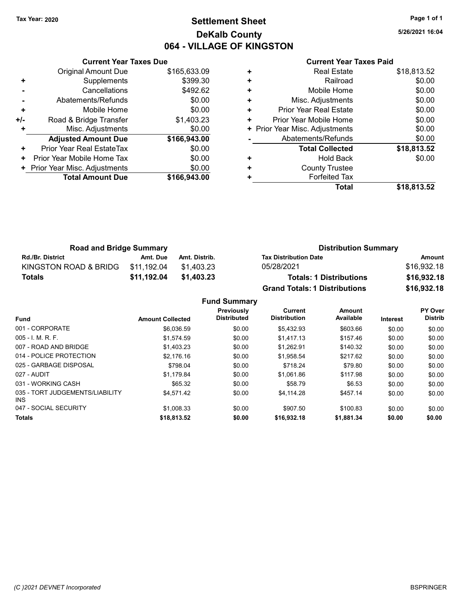# Tax Year: 2020 **Page 1 of 1 Settlement Sheet Constant Constant Constant Constant Constant Constant Constant Constant Constant Constant Constant Constant Page 1 of 1** DeKalb County 064 - VILLAGE OF KINGSTON

5/26/2021 16:04

#### Current Year Taxes Paid

|     | <b>Current Year Taxes Due</b> |              |
|-----|-------------------------------|--------------|
|     | Original Amount Due           | \$165,633.09 |
| ٠   | Supplements                   | \$399.30     |
|     | Cancellations                 | \$492.62     |
|     | Abatements/Refunds            | \$0.00       |
| ÷   | Mobile Home                   | \$0.00       |
| +/- | Road & Bridge Transfer        | \$1,403.23   |
| ٠   | Misc. Adjustments             | \$0.00       |
|     | <b>Adjusted Amount Due</b>    | \$166,943.00 |
| ٠   | Prior Year Real EstateTax     | \$0.00       |
| ٠   | Prior Year Mobile Home Tax    | \$0.00       |
|     | Prior Year Misc. Adjustments  | \$0.00       |
|     | <b>Total Amount Due</b>       | \$166,943.00 |
|     |                               |              |

|   | Total                          | \$18.813.52 |
|---|--------------------------------|-------------|
|   | <b>Forfeited Tax</b>           |             |
| ٠ | <b>County Trustee</b>          |             |
| ٠ | <b>Hold Back</b>               | \$0.00      |
|   | <b>Total Collected</b>         | \$18,813.52 |
|   | Abatements/Refunds             | \$0.00      |
|   | + Prior Year Misc. Adjustments | \$0.00      |
| ٠ | Prior Year Mobile Home         | \$0.00      |
| ٠ | <b>Prior Year Real Estate</b>  | \$0.00      |
| ÷ | Misc. Adjustments              | \$0.00      |
| ٠ | Mobile Home                    | \$0.00      |
| ٠ | Railroad                       | \$0.00      |
| ٠ | <b>Real Estate</b>             | \$18,813.52 |
|   |                                |             |

| <b>Road and Bridge Summary</b> |             |               | <b>Distribution Summary</b>          |             |  |  |
|--------------------------------|-------------|---------------|--------------------------------------|-------------|--|--|
| <b>Rd./Br. District</b>        | Amt. Due    | Amt. Distrib. | <b>Tax Distribution Date</b>         | Amount      |  |  |
| KINGSTON ROAD & BRIDG          | \$11.192.04 | \$1.403.23    | 05/28/2021                           | \$16,932.18 |  |  |
| <b>Totals</b>                  | \$11,192.04 | \$1.403.23    | <b>Totals: 1 Distributions</b>       | \$16,932.18 |  |  |
|                                |             |               | <b>Grand Totals: 1 Distributions</b> | \$16,932.18 |  |  |

Fund Summary

| <b>Amount Collected</b> | Previously<br><b>Distributed</b> | Current<br><b>Distribution</b> | Amount<br>Available | <b>Interest</b> | PY Over<br><b>Distrib</b> |
|-------------------------|----------------------------------|--------------------------------|---------------------|-----------------|---------------------------|
| \$6.036.59              | \$0.00                           | \$5.432.93                     | \$603.66            | \$0.00          | \$0.00                    |
| \$1,574.59              | \$0.00                           | \$1,417.13                     | \$157.46            | \$0.00          | \$0.00                    |
| \$1.403.23              | \$0.00                           | \$1.262.91                     | \$140.32            | \$0.00          | \$0.00                    |
| \$2.176.16              | \$0.00                           | \$1,958.54                     | \$217.62            | \$0.00          | \$0.00                    |
| \$798.04                | \$0.00                           | \$718.24                       | \$79.80             | \$0.00          | \$0.00                    |
| \$1.179.84              | \$0.00                           | \$1.061.86                     | \$117.98            | \$0.00          | \$0.00                    |
| \$65.32                 | \$0.00                           | \$58.79                        | \$6.53              | \$0.00          | \$0.00                    |
| \$4.571.42              | \$0.00                           | \$4,114.28                     | \$457.14            | \$0.00          | \$0.00                    |
| \$1.008.33              | \$0.00                           | \$907.50                       | \$100.83            | \$0.00          | \$0.00                    |
| \$18,813.52             | \$0.00                           | \$16,932.18                    | \$1,881.34          | \$0.00          | \$0.00                    |
|                         |                                  |                                |                     |                 |                           |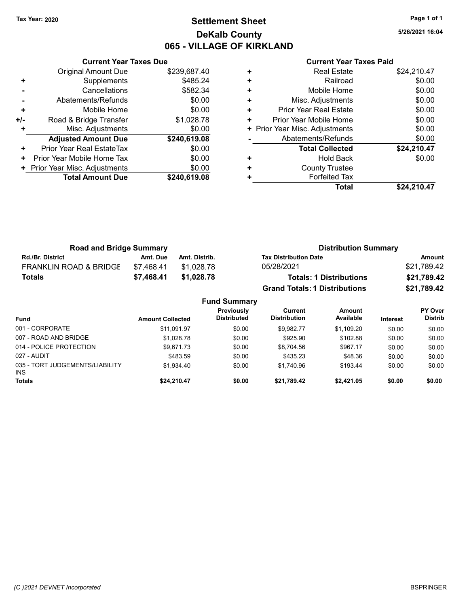# Tax Year: 2020 **Page 1 of 1 Settlement Sheet Constant Constant Constant Constant Constant Constant Constant Constant Constant Constant Constant Constant Page 1 of 1** DeKalb County 065 - VILLAGE OF KIRKLAND

5/26/2021 16:04

|     | <b>Current Year Taxes Due</b> |              |
|-----|-------------------------------|--------------|
|     | Original Amount Due           | \$239,687.40 |
| ٠   | Supplements                   | \$485.24     |
|     | Cancellations                 | \$582.34     |
|     | Abatements/Refunds            | \$0.00       |
| ٠   | Mobile Home                   | \$0.00       |
| +/- | Road & Bridge Transfer        | \$1,028.78   |
|     | Misc. Adjustments             | \$0.00       |
|     | <b>Adjusted Amount Due</b>    | \$240,619.08 |
| ٠   | Prior Year Real EstateTax     | \$0.00       |
| ٠   | Prior Year Mobile Home Tax    | \$0.00       |
|     | Prior Year Misc. Adjustments  | \$0.00       |
|     | <b>Total Amount Due</b>       | \$240,619.08 |
|     |                               |              |

| ٠ | <b>Real Estate</b>             | \$24,210.47 |
|---|--------------------------------|-------------|
| ٠ | Railroad                       | \$0.00      |
| ÷ | Mobile Home                    | \$0.00      |
| ٠ | Misc. Adjustments              | \$0.00      |
| ٠ | Prior Year Real Estate         | \$0.00      |
| ٠ | Prior Year Mobile Home         | \$0.00      |
|   | + Prior Year Misc. Adjustments | \$0.00      |
|   | Abatements/Refunds             | \$0.00      |
|   | <b>Total Collected</b>         | \$24,210.47 |
| ٠ | <b>Hold Back</b>               | \$0.00      |
| ٠ | <b>County Trustee</b>          |             |
| ٠ | <b>Forfeited Tax</b>           |             |
|   | Total                          | \$24,210.47 |

| <b>Road and Bridge Summary</b>    |            |               | <b>Distribution Summary</b>          |             |  |  |
|-----------------------------------|------------|---------------|--------------------------------------|-------------|--|--|
| <b>Rd./Br. District</b>           | Amt. Due   | Amt. Distrib. | <b>Tax Distribution Date</b>         | Amount      |  |  |
| <b>FRANKLIN ROAD &amp; BRIDGE</b> | \$7.468.41 | \$1.028.78    | 05/28/2021                           | \$21.789.42 |  |  |
| Totals                            | \$7.468.41 | \$1,028,78    | <b>Totals: 1 Distributions</b>       | \$21,789.42 |  |  |
|                                   |            |               | <b>Grand Totals: 1 Distributions</b> | \$21,789.42 |  |  |

| <b>Fund Summary</b>                     |                         |                                  |                                |                            |                 |                           |  |
|-----------------------------------------|-------------------------|----------------------------------|--------------------------------|----------------------------|-----------------|---------------------------|--|
| <b>Fund</b>                             | <b>Amount Collected</b> | Previously<br><b>Distributed</b> | Current<br><b>Distribution</b> | <b>Amount</b><br>Available | <b>Interest</b> | PY Over<br><b>Distrib</b> |  |
| 001 - CORPORATE                         | \$11,091.97             | \$0.00                           | \$9.982.77                     | \$1,109.20                 | \$0.00          | \$0.00                    |  |
| 007 - ROAD AND BRIDGE                   | \$1.028.78              | \$0.00                           | \$925.90                       | \$102.88                   | \$0.00          | \$0.00                    |  |
| 014 - POLICE PROTECTION                 | \$9,671.73              | \$0.00                           | \$8,704.56                     | \$967.17                   | \$0.00          | \$0.00                    |  |
| 027 - AUDIT                             | \$483.59                | \$0.00                           | \$435.23                       | \$48.36                    | \$0.00          | \$0.00                    |  |
| 035 - TORT JUDGEMENTS/LIABILITY<br>INS. | \$1.934.40              | \$0.00                           | \$1.740.96                     | \$193.44                   | \$0.00          | \$0.00                    |  |
| <b>Totals</b>                           | \$24,210.47             | \$0.00                           | \$21,789.42                    | \$2,421.05                 | \$0.00          | \$0.00                    |  |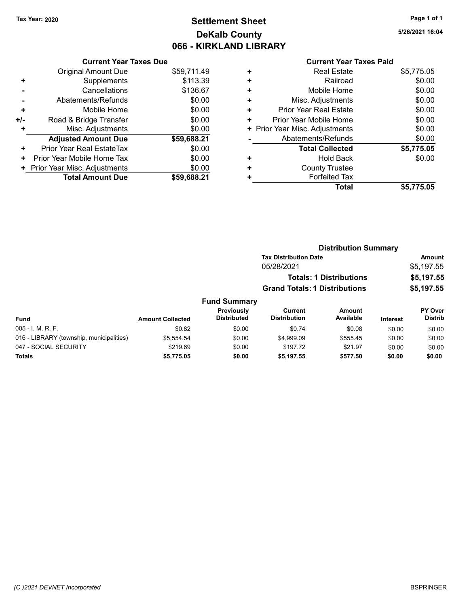# Tax Year: 2020 **Page 1 of 1 Settlement Sheet Constant Constant Constant Constant Constant Constant Constant Constant Constant Constant Constant Constant Page 1 of 1** DeKalb County 066 - KIRKLAND LIBRARY

5/26/2021 16:04

|     | <b>Current Year Taxes Due</b> |             |
|-----|-------------------------------|-------------|
|     | Original Amount Due           | \$59,711.49 |
| ٠   | Supplements                   | \$113.39    |
|     | Cancellations                 | \$136.67    |
|     | Abatements/Refunds            | \$0.00      |
| ٠   | Mobile Home                   | \$0.00      |
| +/- | Road & Bridge Transfer        | \$0.00      |
| ÷   | Misc. Adjustments             | \$0.00      |
|     | <b>Adjusted Amount Due</b>    | \$59,688.21 |
| ٠   | Prior Year Real EstateTax     | \$0.00      |
| ٠   | Prior Year Mobile Home Tax    | \$0.00      |
| ٠   | Prior Year Misc. Adjustments  | \$0.00      |
|     | <b>Total Amount Due</b>       | \$59,688.21 |

|   | Total                          | \$5,775.05 |
|---|--------------------------------|------------|
| ٠ | <b>Forfeited Tax</b>           |            |
| ٠ | <b>County Trustee</b>          |            |
| ٠ | Hold Back                      | \$0.00     |
|   | <b>Total Collected</b>         | \$5,775.05 |
|   | Abatements/Refunds             | \$0.00     |
|   | + Prior Year Misc. Adjustments | \$0.00     |
| ٠ | Prior Year Mobile Home         | \$0.00     |
| ÷ | <b>Prior Year Real Estate</b>  | \$0.00     |
| ٠ | Misc. Adjustments              | \$0.00     |
| ٠ | Mobile Home                    | \$0.00     |
| ٠ | Railroad                       | \$0.00     |
| ٠ | <b>Real Estate</b>             | \$5,775.05 |
|   |                                |            |

|                                          |                         |                                         | <b>Distribution Summary</b>          |                            |                 |                                  |
|------------------------------------------|-------------------------|-----------------------------------------|--------------------------------------|----------------------------|-----------------|----------------------------------|
|                                          |                         |                                         | <b>Tax Distribution Date</b>         |                            |                 | Amount                           |
|                                          |                         |                                         | 05/28/2021                           |                            |                 | \$5,197.55                       |
|                                          |                         |                                         | <b>Totals: 1 Distributions</b>       |                            |                 | \$5,197.55                       |
|                                          |                         |                                         | <b>Grand Totals: 1 Distributions</b> |                            | \$5,197.55      |                                  |
|                                          |                         | <b>Fund Summary</b>                     |                                      |                            |                 |                                  |
| <b>Fund</b>                              | <b>Amount Collected</b> | <b>Previously</b><br><b>Distributed</b> | Current<br><b>Distribution</b>       | <b>Amount</b><br>Available | <b>Interest</b> | <b>PY Over</b><br><b>Distrib</b> |
| 005 - I. M. R. F.                        | \$0.82                  | \$0.00                                  | \$0.74                               | \$0.08                     | \$0.00          | \$0.00                           |
| 016 - LIBRARY (township, municipalities) | \$5,554.54              | \$0.00                                  | \$4,999.09                           | \$555.45                   | \$0.00          | \$0.00                           |
| 047 - SOCIAL SECURITY                    | \$219.69                | \$0.00                                  | \$197.72                             | \$21.97                    | \$0.00          | \$0.00                           |
| <b>Totals</b>                            | \$5.775.05              | \$0.00                                  | \$5.197.55                           | \$577.50                   | \$0.00          | \$0.00                           |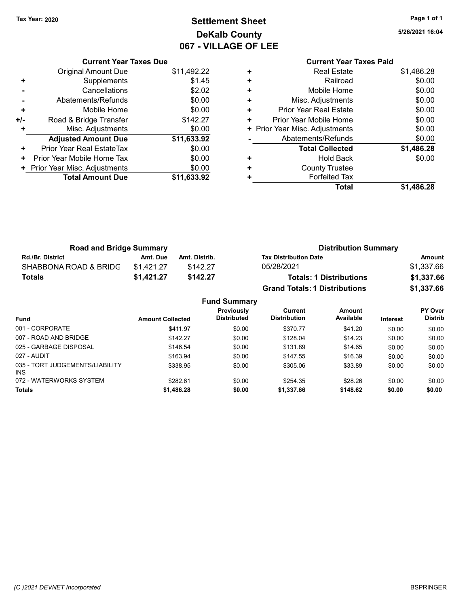# Tax Year: 2020 **Page 1 of 1 Settlement Sheet Constant Constant Constant Constant Constant Constant Constant Constant Constant Constant Constant Constant Page 1 of 1** DeKalb County 067 - VILLAGE OF LEE

5/26/2021 16:04

### Current Year Taxes Due Original Amount Due \$11,492.22 + Supplements \$1.45 - Cancellations \$2.02 - Abatements/Refunds \$0.00 + Mobile Home \$0.00 +/- Road & Bridge Transfer \$142.27 + Misc. Adjustments \$0.00 Adjusted Amount Due \$11,633.92 + Prior Year Real EstateTax \$0.00 + Prior Year Mobile Home Tax \$0.00 + Prior Year Misc. Adjustments \$0.00<br>Total Amount Due \$11,633.92 **Total Amount Due**

### Current Year Taxes Paid + Real Estate \$1,486.28 + Railroad \$0.00 + Mobile Home \$0.00 + Misc. Adjustments \$0.00 + Prior Year Real Estate \$0.00 + Prior Year Mobile Home \$0.00 + Prior Year Misc. Adjustments  $$0.00$ - Abatements/Refunds \$0.00 Total Collected \$1,486.28 + Hold Back \$0.00 + County Trustee + Forfeited Tax Total \$1,486.28

| <b>Road and Bridge Summary</b> |                  |               |                                                                           | <b>Distribution Summary</b>          |          |                                  |  |
|--------------------------------|------------------|---------------|---------------------------------------------------------------------------|--------------------------------------|----------|----------------------------------|--|
| <b>Rd./Br. District</b>        | Amt. Due         | Amt. Distrib. | <b>Tax Distribution Date</b>                                              |                                      |          | <b>Amount</b>                    |  |
| SHABBONA ROAD & BRIDC          | \$1,421.27       | \$142.27      | 05/28/2021                                                                |                                      |          | \$1,337.66                       |  |
| <b>Totals</b>                  | \$1,421.27       | \$142.27      | <b>Totals: 1 Distributions</b>                                            |                                      |          | \$1,337.66                       |  |
|                                |                  |               |                                                                           | <b>Grand Totals: 1 Distributions</b> |          | \$1,337.66                       |  |
|                                |                  |               | <b>Fund Summary</b>                                                       |                                      |          |                                  |  |
| Fund                           | Amount Collected |               | <b>Previously</b><br>Current<br><b>Distribution</b><br><b>Distributed</b> | <b>Amount</b><br>Available           | Interest | <b>PY Over</b><br><b>Distrib</b> |  |

| <b>Fund</b>                             | <b>Amount Collected</b> | <b>Distributed</b> | <b>Distribution</b> | Available | <b>Interest</b> | <b>Distrib</b> |
|-----------------------------------------|-------------------------|--------------------|---------------------|-----------|-----------------|----------------|
| 001 - CORPORATE                         | \$411.97                | \$0.00             | \$370.77            | \$41.20   | \$0.00          | \$0.00         |
| 007 - ROAD AND BRIDGE                   | \$142.27                | \$0.00             | \$128.04            | \$14.23   | \$0.00          | \$0.00         |
| 025 - GARBAGE DISPOSAL                  | \$146.54                | \$0.00             | \$131.89            | \$14.65   | \$0.00          | \$0.00         |
| 027 - AUDIT                             | \$163.94                | \$0.00             | \$147.55            | \$16.39   | \$0.00          | \$0.00         |
| 035 - TORT JUDGEMENTS/LIABILITY<br>INS. | \$338.95                | \$0.00             | \$305.06            | \$33.89   | \$0.00          | \$0.00         |
| 072 - WATERWORKS SYSTEM                 | \$282.61                | \$0.00             | \$254.35            | \$28.26   | \$0.00          | \$0.00         |
| <b>Totals</b>                           | \$1,486.28              | \$0.00             | \$1,337.66          | \$148.62  | \$0.00          | \$0.00         |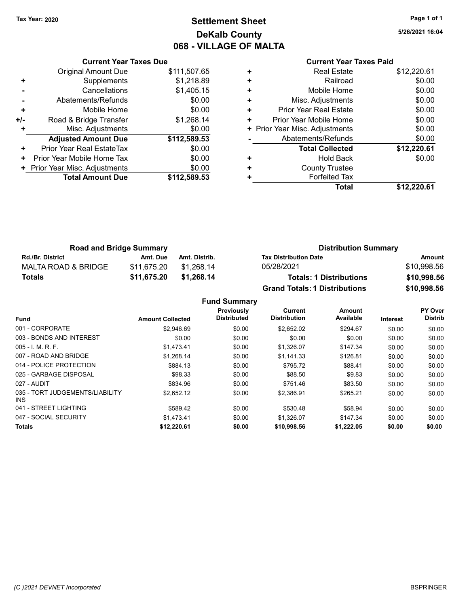# Tax Year: 2020 **Page 1 of 1 Settlement Sheet Constant Constant Constant Constant Constant Constant Constant Constant Constant Constant Constant Constant Page 1 of 1** DeKalb County 068 - VILLAGE OF MALTA

5/26/2021 16:04

|   | <b>Current Year Taxes Paid</b> |             |
|---|--------------------------------|-------------|
| ٠ | <b>Real Estate</b>             | \$12,220.61 |
| ٠ | Railroad                       | \$0.00      |
| ٠ | Mobile Home                    | \$0.00      |
| ٠ | Misc. Adjustments              | \$0.00      |
| ٠ | Prior Year Real Estate         | \$0.00      |
| ٠ | Prior Year Mobile Home         | \$0.00      |
|   | + Prior Year Misc. Adjustments | \$0.00      |
|   | Abatements/Refunds             | \$0.00      |
|   | <b>Total Collected</b>         | \$12,220.61 |
| ٠ | <b>Hold Back</b>               | \$0.00      |
| ٠ | <b>County Trustee</b>          |             |
|   | <b>Forfeited Tax</b>           |             |
|   | Total                          | \$12.220.61 |

|     | <b>Current Year Taxes Due</b>  |              |
|-----|--------------------------------|--------------|
|     | <b>Original Amount Due</b>     | \$111,507.65 |
| ٠   | Supplements                    | \$1,218.89   |
|     | Cancellations                  | \$1,405.15   |
|     | Abatements/Refunds             | \$0.00       |
| ÷   | Mobile Home                    | \$0.00       |
| +/- | Road & Bridge Transfer         | \$1,268.14   |
|     | Misc. Adjustments              | \$0.00       |
|     | <b>Adjusted Amount Due</b>     | \$112,589.53 |
| ٠   | Prior Year Real EstateTax      | \$0.00       |
| ٠   | Prior Year Mobile Home Tax     | \$0.00       |
|     | + Prior Year Misc. Adjustments | \$0.00       |
|     | <b>Total Amount Due</b>        | \$112,589.53 |
|     |                                |              |

| <b>Road and Bridge Summary</b> |             |               | <b>Distribution Summary</b>          |             |  |
|--------------------------------|-------------|---------------|--------------------------------------|-------------|--|
| <b>Rd./Br. District</b>        | Amt. Due    | Amt. Distrib. | <b>Tax Distribution Date</b>         | Amount      |  |
| MALTA ROAD & BRIDGE            | \$11.675.20 | \$1.268.14    | 05/28/2021                           | \$10,998.56 |  |
| <b>Totals</b>                  | \$11,675.20 | \$1.268.14    | <b>Totals: 1 Distributions</b>       | \$10,998.56 |  |
|                                |             |               | <b>Grand Totals: 1 Distributions</b> | \$10,998.56 |  |

Fund Summary

| <b>Fund</b>                             | <b>Amount Collected</b> | Previously<br><b>Distributed</b> | Current<br><b>Distribution</b> | Amount<br>Available | <b>Interest</b> | <b>PY Over</b><br><b>Distrib</b> |
|-----------------------------------------|-------------------------|----------------------------------|--------------------------------|---------------------|-----------------|----------------------------------|
| 001 - CORPORATE                         | \$2.946.69              | \$0.00                           | \$2.652.02                     | \$294.67            | \$0.00          | \$0.00                           |
| 003 - BONDS AND INTEREST                | \$0.00                  | \$0.00                           | \$0.00                         | \$0.00              | \$0.00          | \$0.00                           |
| $005 - 1$ , M, R, F,                    | \$1,473.41              | \$0.00                           | \$1,326.07                     | \$147.34            | \$0.00          | \$0.00                           |
| 007 - ROAD AND BRIDGE                   | \$1.268.14              | \$0.00                           | \$1.141.33                     | \$126.81            | \$0.00          | \$0.00                           |
| 014 - POLICE PROTECTION                 | \$884.13                | \$0.00                           | \$795.72                       | \$88.41             | \$0.00          | \$0.00                           |
| 025 - GARBAGE DISPOSAL                  | \$98.33                 | \$0.00                           | \$88.50                        | \$9.83              | \$0.00          | \$0.00                           |
| 027 - AUDIT                             | \$834.96                | \$0.00                           | \$751.46                       | \$83.50             | \$0.00          | \$0.00                           |
| 035 - TORT JUDGEMENTS/LIABILITY<br>INS. | \$2,652.12              | \$0.00                           | \$2,386.91                     | \$265.21            | \$0.00          | \$0.00                           |
| 041 - STREET LIGHTING                   | \$589.42                | \$0.00                           | \$530.48                       | \$58.94             | \$0.00          | \$0.00                           |
| 047 - SOCIAL SECURITY                   | \$1.473.41              | \$0.00                           | \$1,326.07                     | \$147.34            | \$0.00          | \$0.00                           |
| <b>Totals</b>                           | \$12,220.61             | \$0.00                           | \$10,998.56                    | \$1,222.05          | \$0.00          | \$0.00                           |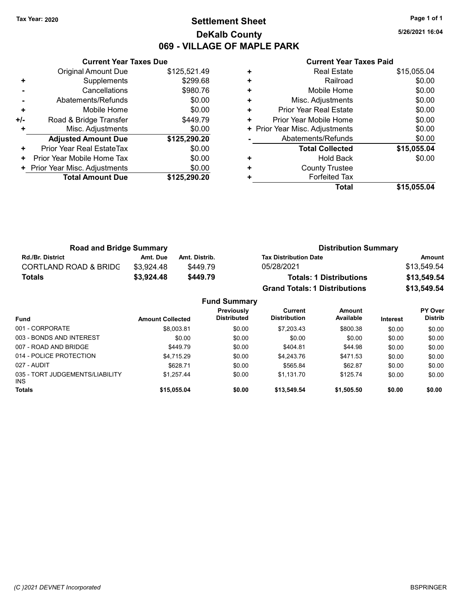### Tax Year: 2020 **Page 1 of 1 Settlement Sheet Constant Constant Constant Constant Constant Constant Constant Constant Constant Constant Constant Constant Page 1 of 1** DeKalb County 069 - VILLAGE OF MAPLE PARK

5/26/2021 16:04

|     | <b>Current Year Taxes Due</b> |              |  |  |  |
|-----|-------------------------------|--------------|--|--|--|
|     | <b>Original Amount Due</b>    | \$125,521.49 |  |  |  |
| ٠   | Supplements                   | \$299.68     |  |  |  |
|     | Cancellations                 | \$980.76     |  |  |  |
|     | Abatements/Refunds            | \$0.00       |  |  |  |
| ٠   | Mobile Home                   | \$0.00       |  |  |  |
| +/- | Road & Bridge Transfer        | \$449.79     |  |  |  |
|     | Misc. Adjustments             | \$0.00       |  |  |  |
|     | <b>Adjusted Amount Due</b>    | \$125,290.20 |  |  |  |
| ٠   | Prior Year Real EstateTax     | \$0.00       |  |  |  |
| ٠   | Prior Year Mobile Home Tax    | \$0.00       |  |  |  |
|     | Prior Year Misc. Adjustments  | \$0.00       |  |  |  |
|     | <b>Total Amount Due</b>       | \$125,290.20 |  |  |  |
|     |                               |              |  |  |  |

|   | <b>Real Estate</b>             | \$15,055.04 |
|---|--------------------------------|-------------|
| ٠ | Railroad                       | \$0.00      |
| ٠ | Mobile Home                    | \$0.00      |
| ٠ | Misc. Adjustments              | \$0.00      |
| ٠ | Prior Year Real Estate         | \$0.00      |
| ٠ | Prior Year Mobile Home         | \$0.00      |
|   | + Prior Year Misc. Adjustments | \$0.00      |
|   | Abatements/Refunds             | \$0.00      |
|   | <b>Total Collected</b>         | \$15,055.04 |
| ٠ | <b>Hold Back</b>               | \$0.00      |
| ٠ | <b>County Trustee</b>          |             |
|   | <b>Forfeited Tax</b>           |             |
|   | Total                          | \$15.055.04 |

| <b>Road and Bridge Summary</b>   |            |               | <b>Distribution Summary</b>          |             |  |
|----------------------------------|------------|---------------|--------------------------------------|-------------|--|
| <b>Rd./Br. District</b>          | Amt. Due   | Amt. Distrib. | <b>Tax Distribution Date</b>         | Amount      |  |
| <b>CORTLAND ROAD &amp; BRIDG</b> | \$3.924.48 | \$449.79      | 05/28/2021                           | \$13,549.54 |  |
| <b>Totals</b>                    | \$3,924.48 | \$449.79      | <b>Totals: 1 Distributions</b>       | \$13,549.54 |  |
|                                  |            |               | <b>Grand Totals: 1 Distributions</b> | \$13,549.54 |  |

|                                         |                         | <b>Fund Summary</b>              |                                |                     |                 |                                  |
|-----------------------------------------|-------------------------|----------------------------------|--------------------------------|---------------------|-----------------|----------------------------------|
| <b>Fund</b>                             | <b>Amount Collected</b> | Previously<br><b>Distributed</b> | Current<br><b>Distribution</b> | Amount<br>Available | <b>Interest</b> | <b>PY Over</b><br><b>Distrib</b> |
| 001 - CORPORATE                         | \$8,003.81              | \$0.00                           | \$7,203.43                     | \$800.38            | \$0.00          | \$0.00                           |
| 003 - BONDS AND INTEREST                | \$0.00                  | \$0.00                           | \$0.00                         | \$0.00              | \$0.00          | \$0.00                           |
| 007 - ROAD AND BRIDGE                   | \$449.79                | \$0.00                           | \$404.81                       | \$44.98             | \$0.00          | \$0.00                           |
| 014 - POLICE PROTECTION                 | \$4,715.29              | \$0.00                           | \$4,243.76                     | \$471.53            | \$0.00          | \$0.00                           |
| 027 - AUDIT                             | \$628.71                | \$0.00                           | \$565.84                       | \$62.87             | \$0.00          | \$0.00                           |
| 035 - TORT JUDGEMENTS/LIABILITY<br>INS. | \$1,257.44              | \$0.00                           | \$1,131.70                     | \$125.74            | \$0.00          | \$0.00                           |
| <b>Totals</b>                           | \$15,055.04             | \$0.00                           | \$13,549.54                    | \$1,505.50          | \$0.00          | \$0.00                           |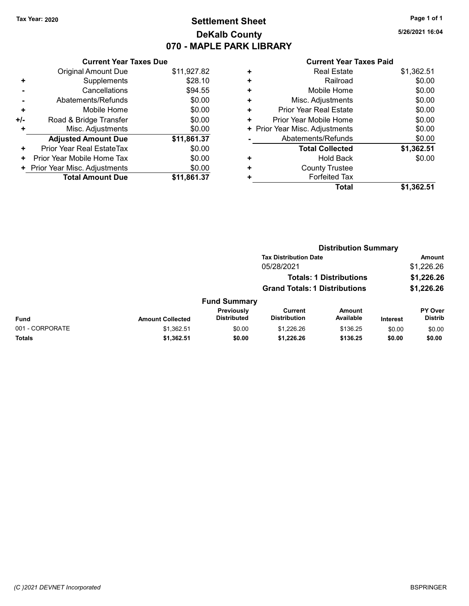# Tax Year: 2020 **Page 1 of 1 Settlement Sheet Constant Constant Constant Constant Constant Constant Constant Constant Constant Constant Constant Constant Page 1 of 1** DeKalb County 070 - MAPLE PARK LIBRARY

5/26/2021 16:04

|     | <b>Current Year Taxes Due</b> |             |  |  |  |  |
|-----|-------------------------------|-------------|--|--|--|--|
|     | Original Amount Due           | \$11,927.82 |  |  |  |  |
| ٠   | Supplements                   | \$28.10     |  |  |  |  |
|     | Cancellations                 | \$94.55     |  |  |  |  |
|     | Abatements/Refunds            | \$0.00      |  |  |  |  |
| ٠   | Mobile Home                   | \$0.00      |  |  |  |  |
| +/- | Road & Bridge Transfer        | \$0.00      |  |  |  |  |
| ٠   | Misc. Adjustments             | \$0.00      |  |  |  |  |
|     | <b>Adjusted Amount Due</b>    | \$11,861.37 |  |  |  |  |
| ٠   | Prior Year Real EstateTax     | \$0.00      |  |  |  |  |
| ÷   | Prior Year Mobile Home Tax    | \$0.00      |  |  |  |  |
| ٠   | Prior Year Misc. Adjustments  | \$0.00      |  |  |  |  |
|     | <b>Total Amount Due</b>       | \$11.861.37 |  |  |  |  |

| ٠ | <b>Real Estate</b>             | \$1,362.51 |
|---|--------------------------------|------------|
| ٠ | Railroad                       | \$0.00     |
| ٠ | Mobile Home                    | \$0.00     |
| ٠ | Misc. Adjustments              | \$0.00     |
| ٠ | Prior Year Real Estate         | \$0.00     |
| ٠ | Prior Year Mobile Home         | \$0.00     |
|   | + Prior Year Misc. Adjustments | \$0.00     |
|   | Abatements/Refunds             | \$0.00     |
|   | <b>Total Collected</b>         | \$1,362.51 |
| ٠ | <b>Hold Back</b>               | \$0.00     |
| ٠ | <b>County Trustee</b>          |            |
| ٠ | <b>Forfeited Tax</b>           |            |
|   | Total                          | \$1,362.51 |

|                 |                         |                                  | <b>Distribution Summary</b>          |                                |                 |                           |
|-----------------|-------------------------|----------------------------------|--------------------------------------|--------------------------------|-----------------|---------------------------|
|                 |                         |                                  | <b>Tax Distribution Date</b>         |                                |                 | <b>Amount</b>             |
|                 |                         |                                  | 05/28/2021                           |                                |                 | \$1,226.26                |
|                 |                         |                                  |                                      | <b>Totals: 1 Distributions</b> |                 | \$1,226.26                |
|                 |                         |                                  | <b>Grand Totals: 1 Distributions</b> |                                |                 | \$1,226.26                |
|                 |                         | <b>Fund Summary</b>              |                                      |                                |                 |                           |
| <b>Fund</b>     | <b>Amount Collected</b> | Previously<br><b>Distributed</b> | Current<br><b>Distribution</b>       | <b>Amount</b><br>Available     | <b>Interest</b> | PY Over<br><b>Distrib</b> |
| 001 - CORPORATE | \$1,362.51              | \$0.00                           | \$1.226.26                           | \$136.25                       | \$0.00          | \$0.00                    |
| <b>Totals</b>   | \$1,362.51              | \$0.00                           | \$1,226.26                           | \$136.25                       | \$0.00          | \$0.00                    |
|                 |                         |                                  |                                      |                                |                 |                           |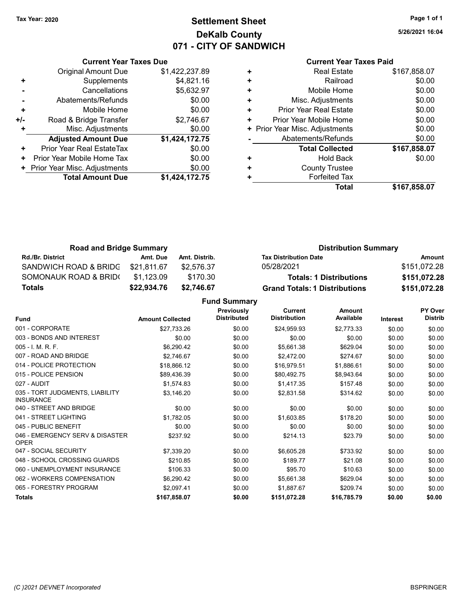# Tax Year: 2020 **Page 1 of 1 Settlement Sheet Constant Constant Constant Constant Constant Constant Constant Constant Constant Constant Constant Constant Page 1 of 1** DeKalb County 071 - CITY OF SANDWICH

5/26/2021 16:04

|       | <b>Current Year Taxes Due</b> |                |  |  |  |  |
|-------|-------------------------------|----------------|--|--|--|--|
|       | <b>Original Amount Due</b>    | \$1,422,237.89 |  |  |  |  |
| ٠     | Supplements                   | \$4,821.16     |  |  |  |  |
|       | Cancellations                 | \$5,632.97     |  |  |  |  |
|       | \$0.00<br>Abatements/Refunds  |                |  |  |  |  |
| ÷     | Mobile Home                   | \$0.00         |  |  |  |  |
| $+/-$ | Road & Bridge Transfer        | \$2,746.67     |  |  |  |  |
|       | Misc. Adjustments             | \$0.00         |  |  |  |  |
|       | <b>Adjusted Amount Due</b>    | \$1,424,172.75 |  |  |  |  |
| ٠     | Prior Year Real EstateTax     | \$0.00         |  |  |  |  |
| ٠     | Prior Year Mobile Home Tax    | \$0.00         |  |  |  |  |
|       | Prior Year Misc. Adjustments  | \$0.00         |  |  |  |  |
|       | <b>Total Amount Due</b>       | \$1.424.172.75 |  |  |  |  |
|       |                               |                |  |  |  |  |

### Current Year Taxes Paid

| ٠ | <b>Real Estate</b>             | \$167,858.07 |
|---|--------------------------------|--------------|
| ٠ | Railroad                       | \$0.00       |
| ٠ | Mobile Home                    | \$0.00       |
| ٠ | Misc. Adjustments              | \$0.00       |
| ٠ | <b>Prior Year Real Estate</b>  | \$0.00       |
| ٠ | Prior Year Mobile Home         | \$0.00       |
|   | + Prior Year Misc. Adjustments | \$0.00       |
|   | Abatements/Refunds             | \$0.00       |
|   | <b>Total Collected</b>         | \$167,858.07 |
| ٠ | <b>Hold Back</b>               | \$0.00       |
| ٠ | <b>County Trustee</b>          |              |
| ٠ | <b>Forfeited Tax</b>           |              |
|   | Total                          | \$167,858.07 |

| <b>Road and Bridge Summary</b> |             |               | <b>Distribution Summary</b>          |              |  |
|--------------------------------|-------------|---------------|--------------------------------------|--------------|--|
| <b>Rd./Br. District</b>        | Amt. Due    | Amt. Distrib. | <b>Tax Distribution Date</b>         | Amount       |  |
| SANDWICH ROAD & BRIDG          | \$21,811.67 | \$2.576.37    | 05/28/2021                           | \$151,072.28 |  |
| SOMONAUK ROAD & BRID(          | \$1.123.09  | \$170.30      | <b>Totals: 1 Distributions</b>       | \$151,072.28 |  |
| Totals                         | \$22,934.76 | \$2.746.67    | <b>Grand Totals: 1 Distributions</b> | \$151,072.28 |  |

Fund Summary

|                                                     |                         | Previously         | Current             | Amount      |                 | PY Over        |
|-----------------------------------------------------|-------------------------|--------------------|---------------------|-------------|-----------------|----------------|
| Fund                                                | <b>Amount Collected</b> | <b>Distributed</b> | <b>Distribution</b> | Available   | <b>Interest</b> | <b>Distrib</b> |
| 001 - CORPORATE                                     | \$27,733.26             | \$0.00             | \$24,959.93         | \$2,773.33  | \$0.00          | \$0.00         |
| 003 - BONDS AND INTEREST                            | \$0.00                  | \$0.00             | \$0.00              | \$0.00      | \$0.00          | \$0.00         |
| 005 - I. M. R. F.                                   | \$6,290.42              | \$0.00             | \$5,661.38          | \$629.04    | \$0.00          | \$0.00         |
| 007 - ROAD AND BRIDGE                               | \$2,746.67              | \$0.00             | \$2,472.00          | \$274.67    | \$0.00          | \$0.00         |
| 014 - POLICE PROTECTION                             | \$18,866.12             | \$0.00             | \$16,979.51         | \$1,886.61  | \$0.00          | \$0.00         |
| 015 - POLICE PENSION                                | \$89,436.39             | \$0.00             | \$80,492.75         | \$8,943.64  | \$0.00          | \$0.00         |
| 027 - AUDIT                                         | \$1,574.83              | \$0.00             | \$1,417.35          | \$157.48    | \$0.00          | \$0.00         |
| 035 - TORT JUDGMENTS, LIABILITY<br><b>INSURANCE</b> | \$3,146.20              | \$0.00             | \$2,831.58          | \$314.62    | \$0.00          | \$0.00         |
| 040 - STREET AND BRIDGE                             | \$0.00                  | \$0.00             | \$0.00              | \$0.00      | \$0.00          | \$0.00         |
| 041 - STREET LIGHTING                               | \$1,782.05              | \$0.00             | \$1,603.85          | \$178.20    | \$0.00          | \$0.00         |
| 045 - PUBLIC BENEFIT                                | \$0.00                  | \$0.00             | \$0.00              | \$0.00      | \$0.00          | \$0.00         |
| 046 - EMERGENCY SERV & DISASTER<br><b>OPER</b>      | \$237.92                | \$0.00             | \$214.13            | \$23.79     | \$0.00          | \$0.00         |
| 047 - SOCIAL SECURITY                               | \$7,339.20              | \$0.00             | \$6,605.28          | \$733.92    | \$0.00          | \$0.00         |
| 048 - SCHOOL CROSSING GUARDS                        | \$210.85                | \$0.00             | \$189.77            | \$21.08     | \$0.00          | \$0.00         |
| 060 - UNEMPLOYMENT INSURANCE                        | \$106.33                | \$0.00             | \$95.70             | \$10.63     | \$0.00          | \$0.00         |
| 062 - WORKERS COMPENSATION                          | \$6,290.42              | \$0.00             | \$5,661.38          | \$629.04    | \$0.00          | \$0.00         |
| 065 - FORESTRY PROGRAM                              | \$2,097.41              | \$0.00             | \$1,887.67          | \$209.74    | \$0.00          | \$0.00         |
| <b>Totals</b>                                       | \$167,858.07            | \$0.00             | \$151,072.28        | \$16,785.79 | \$0.00          | \$0.00         |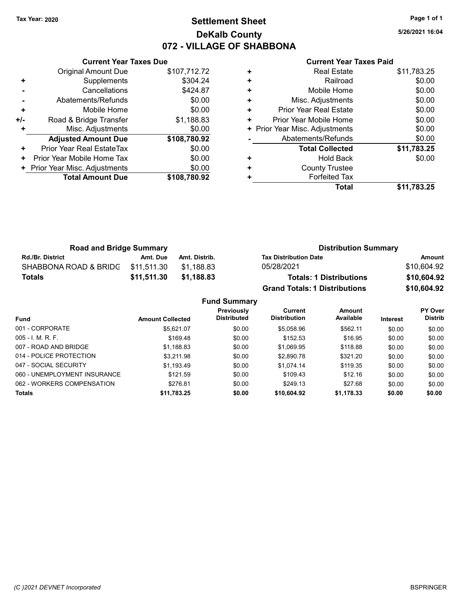# Tax Year: 2020 **Page 1 of 1 Settlement Sheet Constant Constant Constant Constant Constant Constant Constant Constant Constant Constant Constant Constant Page 1 of 1** DeKalb County 072 - VILLAGE OF SHABBONA

5/26/2021 16:04

#### Current Year Taxes Paid

|     | <b>Current Year Taxes Due</b> |              |  |  |  |  |
|-----|-------------------------------|--------------|--|--|--|--|
|     | <b>Original Amount Due</b>    | \$107,712.72 |  |  |  |  |
| ٠   | Supplements                   | \$304.24     |  |  |  |  |
|     | Cancellations                 | \$424.87     |  |  |  |  |
|     | Abatements/Refunds            | \$0.00       |  |  |  |  |
| ٠   | Mobile Home                   | \$0.00       |  |  |  |  |
| +/- | Road & Bridge Transfer        | \$1,188.83   |  |  |  |  |
| ٠   | Misc. Adjustments             | \$0.00       |  |  |  |  |
|     | <b>Adjusted Amount Due</b>    | \$108,780.92 |  |  |  |  |
| ٠   | Prior Year Real EstateTax     | \$0.00       |  |  |  |  |
| ٠   | Prior Year Mobile Home Tax    | \$0.00       |  |  |  |  |
|     | Prior Year Misc. Adjustments  | \$0.00       |  |  |  |  |
|     | <b>Total Amount Due</b>       | \$108,780,92 |  |  |  |  |
|     |                               |              |  |  |  |  |

| ٠ | <b>Real Estate</b>             | \$11,783.25 |
|---|--------------------------------|-------------|
| ٠ | Railroad                       | \$0.00      |
| ٠ | Mobile Home                    | \$0.00      |
| ٠ | Misc. Adjustments              | \$0.00      |
| ٠ | Prior Year Real Estate         | \$0.00      |
| ٠ | Prior Year Mobile Home         | \$0.00      |
|   | + Prior Year Misc. Adjustments | \$0.00      |
|   | Abatements/Refunds             | \$0.00      |
|   | <b>Total Collected</b>         | \$11,783.25 |
| ٠ | Hold Back                      | \$0.00      |
| ٠ | <b>County Trustee</b>          |             |
| ٠ | <b>Forfeited Tax</b>           |             |
|   | Total                          | \$11,783.25 |

| <b>Road and Bridge Summary</b> |             |               | <b>Distribution Summary</b>          |             |
|--------------------------------|-------------|---------------|--------------------------------------|-------------|
| <b>Rd./Br. District</b>        | Amt. Due    | Amt. Distrib. | <b>Tax Distribution Date</b>         | Amount      |
| SHABBONA ROAD & BRIDG          | \$11.511.30 | \$1.188.83    | 05/28/2021                           | \$10,604.92 |
| <b>Totals</b>                  | \$11,511.30 | \$1.188.83    | <b>Totals: 1 Distributions</b>       | \$10,604.92 |
|                                |             |               | <b>Grand Totals: 1 Distributions</b> | \$10,604.92 |

Fund Summary Fund Interest Amount Collected Distributed PY Over Distrib Amount Available Current Distribution Previously 001 - CORPORATE 60.00 \$5,621.07 \$5,621.07 \$0.00 \$5,058.96 \$562.11 \$0.00 \$0.00 005 - I. M. R. F. Channel Company of the state of the state of the state of the state of the state of the state o 007 - ROAD AND BRIDGE \$1,188.83 \$1,188.83 \$0.00 \$1,069.95 \$118.88 \$0.00 \$0.00 014 - POLICE PROTECTION \$3,211.98 \$3,211.98 \$0.00 \$2,890.78 \$321.20 \$0.00 \$0.00 047 - SOCIAL SECURITY \$1,193.49 \$0.00 \$1,074.14 \$119.35 \$0.00 \$0.00 060 - UNEMPLOYMENT INSURANCE \$121.59 \$0.00 \$109.43 \$12.16 \$0.00 \$0.00 062 - WORKERS COMPENSATION \$276.81 \$0.00 \$249.13 \$27.68 \$0.00 \$0.00 Totals \$0.00 \$0.00 \$11,783.25 \$0.00 \$10,604.92 \$1,178.33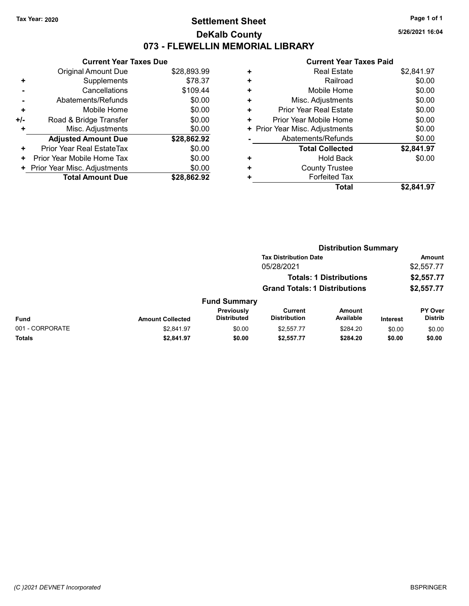### Tax Year: 2020 **Page 1 of 1 Settlement Sheet Constant Constant Constant Constant Constant Constant Constant Constant Constant Constant Constant Constant Page 1 of 1** DeKalb County 073 - FLEWELLIN MEMORIAL LIBRARY

5/26/2021 16:04

|                | <b>Current Year Taxes Due</b> |             |
|----------------|-------------------------------|-------------|
|                | Original Amount Due           | \$28,893.99 |
| ٠              | Supplements                   | \$78.37     |
|                | Cancellations                 | \$109.44    |
| $\blacksquare$ | Abatements/Refunds            | \$0.00      |
| ٠              | Mobile Home                   | \$0.00      |
| +/-            | Road & Bridge Transfer        | \$0.00      |
| ÷              | Misc. Adjustments             | \$0.00      |
|                | <b>Adjusted Amount Due</b>    | \$28,862.92 |
| ٠              | Prior Year Real EstateTax     | \$0.00      |
| ٠              | Prior Year Mobile Home Tax    | \$0.00      |
| ٠              | Prior Year Misc. Adjustments  | \$0.00      |
|                | <b>Total Amount Due</b>       | \$28,862.92 |

| ٠ | <b>Real Estate</b>           | \$2,841.97 |
|---|------------------------------|------------|
| ٠ | Railroad                     | \$0.00     |
| ٠ | Mobile Home                  | \$0.00     |
| ٠ | Misc. Adjustments            | \$0.00     |
| ÷ | Prior Year Real Estate       | \$0.00     |
| ٠ | Prior Year Mobile Home       | \$0.00     |
| ٠ | Prior Year Misc. Adjustments | \$0.00     |
|   | Abatements/Refunds           | \$0.00     |
|   | <b>Total Collected</b>       | \$2,841.97 |
| ٠ | <b>Hold Back</b>             | \$0.00     |
| ٠ | <b>County Trustee</b>        |            |
| ٠ | <b>Forfeited Tax</b>         |            |
|   | <b>Total</b>                 | \$2,841.97 |
|   |                              |            |

|                 |                         | <b>Distribution Summary</b>      |                                      |                                |                 |                           |
|-----------------|-------------------------|----------------------------------|--------------------------------------|--------------------------------|-----------------|---------------------------|
|                 |                         |                                  | <b>Tax Distribution Date</b>         |                                |                 | Amount                    |
|                 |                         |                                  | 05/28/2021                           |                                |                 | \$2,557.77                |
|                 |                         |                                  |                                      | <b>Totals: 1 Distributions</b> |                 | \$2,557.77                |
|                 |                         |                                  | <b>Grand Totals: 1 Distributions</b> |                                |                 | \$2,557.77                |
|                 |                         | <b>Fund Summary</b>              |                                      |                                |                 |                           |
| <b>Fund</b>     | <b>Amount Collected</b> | Previously<br><b>Distributed</b> | Current<br><b>Distribution</b>       | Amount<br>Available            | <b>Interest</b> | PY Over<br><b>Distrib</b> |
| 001 - CORPORATE | \$2,841.97              | \$0.00                           | \$2.557.77                           | \$284.20                       | \$0.00          | \$0.00                    |
| Totals          | \$2,841.97              | \$0.00                           | \$2,557.77                           | \$284.20                       | \$0.00          | \$0.00                    |
|                 |                         |                                  |                                      |                                |                 |                           |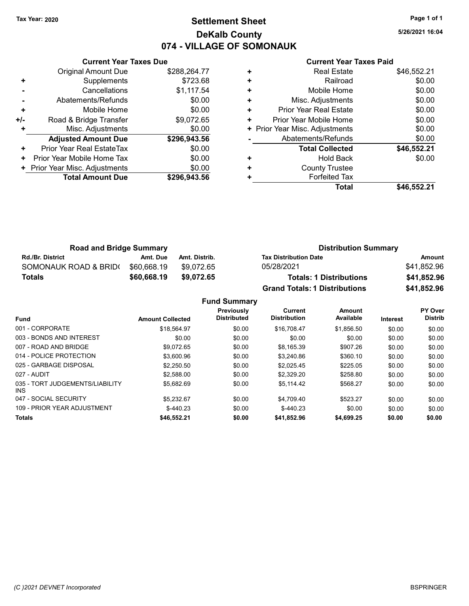# Tax Year: 2020 **Page 1 of 1 Settlement Sheet Constant Constant Constant Constant Constant Constant Constant Constant Constant Constant Constant Constant Page 1 of 1** DeKalb County 074 - VILLAGE OF SOMONAUK

5/26/2021 16:04

#### Current Year Taxes Paid

|     | <b>Current Year Taxes Due</b> |              |
|-----|-------------------------------|--------------|
|     | Original Amount Due           | \$288,264.77 |
| ٠   | Supplements                   | \$723.68     |
|     | Cancellations                 | \$1,117.54   |
|     | Abatements/Refunds            | \$0.00       |
| ÷   | Mobile Home                   | \$0.00       |
| +/- | Road & Bridge Transfer        | \$9,072.65   |
|     | Misc. Adjustments             | \$0.00       |
|     | <b>Adjusted Amount Due</b>    | \$296,943.56 |
| ٠   | Prior Year Real EstateTax     | \$0.00       |
| ٠   | Prior Year Mobile Home Tax    | \$0.00       |
|     | Prior Year Misc. Adjustments  | \$0.00       |
|     | <b>Total Amount Due</b>       | \$296,943.56 |
|     |                               |              |

| ٠ | <b>Real Estate</b>             | \$46,552.21 |
|---|--------------------------------|-------------|
| ٠ | Railroad                       | \$0.00      |
| ٠ | Mobile Home                    | \$0.00      |
| ٠ | Misc. Adjustments              | \$0.00      |
| ٠ | Prior Year Real Estate         | \$0.00      |
| ٠ | Prior Year Mobile Home         | \$0.00      |
|   | + Prior Year Misc. Adjustments | \$0.00      |
|   | Abatements/Refunds             | \$0.00      |
|   | <b>Total Collected</b>         | \$46,552.21 |
| ٠ | <b>Hold Back</b>               | \$0.00      |
| ٠ | <b>County Trustee</b>          |             |
| ٠ | <b>Forfeited Tax</b>           |             |
|   | Total                          | \$46,552.21 |

| <b>Road and Bridge Summary</b> |             |               | <b>Distribution Summary</b>          |             |  |
|--------------------------------|-------------|---------------|--------------------------------------|-------------|--|
| <b>Rd./Br. District</b>        | Amt. Due    | Amt. Distrib. | <b>Tax Distribution Date</b>         | Amount      |  |
| SOMONAUK ROAD & BRID(          | \$60.668.19 | \$9.072.65    | 05/28/2021                           | \$41.852.96 |  |
| <b>Totals</b>                  | \$60,668.19 | \$9,072.65    | <b>Totals: 1 Distributions</b>       | \$41,852.96 |  |
|                                |             |               | <b>Grand Totals: 1 Distributions</b> | \$41,852.96 |  |

Fund Summary

| <b>Fund</b>                             | <b>Amount Collected</b> | Previously<br><b>Distributed</b> | Current<br><b>Distribution</b> | Amount<br>Available | <b>Interest</b> | PY Over<br><b>Distrib</b> |
|-----------------------------------------|-------------------------|----------------------------------|--------------------------------|---------------------|-----------------|---------------------------|
| 001 - CORPORATE                         | \$18.564.97             | \$0.00                           | \$16,708.47                    | \$1,856.50          | \$0.00          | \$0.00                    |
| 003 - BONDS AND INTEREST                | \$0.00                  | \$0.00                           | \$0.00                         | \$0.00              | \$0.00          | \$0.00                    |
| 007 - ROAD AND BRIDGE                   | \$9.072.65              | \$0.00                           | \$8,165.39                     | \$907.26            | \$0.00          | \$0.00                    |
| 014 - POLICE PROTECTION                 | \$3,600.96              | \$0.00                           | \$3,240.86                     | \$360.10            | \$0.00          | \$0.00                    |
| 025 - GARBAGE DISPOSAL                  | \$2,250.50              | \$0.00                           | \$2.025.45                     | \$225.05            | \$0.00          | \$0.00                    |
| 027 - AUDIT                             | \$2,588.00              | \$0.00                           | \$2.329.20                     | \$258.80            | \$0.00          | \$0.00                    |
| 035 - TORT JUDGEMENTS/LIABILITY<br>INS. | \$5.682.69              | \$0.00                           | \$5.114.42                     | \$568.27            | \$0.00          | \$0.00                    |
| 047 - SOCIAL SECURITY                   | \$5.232.67              | \$0.00                           | \$4.709.40                     | \$523.27            | \$0.00          | \$0.00                    |
| 109 - PRIOR YEAR ADJUSTMENT             | $$-440.23$              | \$0.00                           | $$-440.23$                     | \$0.00              | \$0.00          | \$0.00                    |
| <b>Totals</b>                           | \$46,552.21             | \$0.00                           | \$41,852.96                    | \$4,699.25          | \$0.00          | \$0.00                    |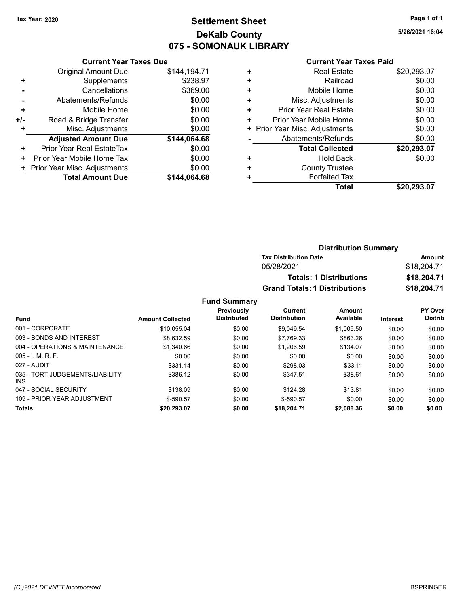# Tax Year: 2020 **Page 1 of 1 Settlement Sheet Constant Constant Constant Constant Constant Constant Constant Constant Constant Constant Constant Constant Page 1 of 1** DeKalb County 075 - SOMONAUK LIBRARY

5/26/2021 16:04

#### Current Year Taxes Paid

|     | <b>Current Year Taxes Due</b> |              |
|-----|-------------------------------|--------------|
|     | <b>Original Amount Due</b>    | \$144,194.71 |
| ٠   | Supplements                   | \$238.97     |
|     | Cancellations                 | \$369.00     |
|     | Abatements/Refunds            | \$0.00       |
| ٠   | Mobile Home                   | \$0.00       |
| +/- | Road & Bridge Transfer        | \$0.00       |
| ÷   | Misc. Adjustments             | \$0.00       |
|     | <b>Adjusted Amount Due</b>    | \$144,064.68 |
| ٠   | Prior Year Real EstateTax     | \$0.00       |
| ٠   | Prior Year Mobile Home Tax    | \$0.00       |
| ٠   | Prior Year Misc. Adjustments  | \$0.00       |
|     | <b>Total Amount Due</b>       | \$144.064.68 |

|   | <b>Real Estate</b>             | \$20,293.07 |
|---|--------------------------------|-------------|
| ٠ | Railroad                       | \$0.00      |
| ٠ | Mobile Home                    | \$0.00      |
| ٠ | Misc. Adjustments              | \$0.00      |
| ٠ | Prior Year Real Estate         | \$0.00      |
| ٠ | Prior Year Mobile Home         | \$0.00      |
|   | + Prior Year Misc. Adjustments | \$0.00      |
|   | Abatements/Refunds             | \$0.00      |
|   | <b>Total Collected</b>         | \$20,293.07 |
| ٠ | Hold Back                      | \$0.00      |
| ٠ | <b>County Trustee</b>          |             |
| ٠ | <b>Forfeited Tax</b>           |             |
|   | Total                          | \$20,293.07 |
|   |                                |             |

| <b>Distribution Summary</b>          |             |
|--------------------------------------|-------------|
| <b>Tax Distribution Date</b>         | Amount      |
| 05/28/2021                           | \$18,204.71 |
| <b>Totals: 1 Distributions</b>       | \$18,204.71 |
| <b>Grand Totals: 1 Distributions</b> | \$18,204.71 |

### Fund Summary

|                                         |                         | Previously         | Current             | Amount     |          | <b>PY Over</b> |
|-----------------------------------------|-------------------------|--------------------|---------------------|------------|----------|----------------|
| <b>Fund</b>                             | <b>Amount Collected</b> | <b>Distributed</b> | <b>Distribution</b> | Available  | Interest | <b>Distrib</b> |
| 001 - CORPORATE                         | \$10.055.04             | \$0.00             | \$9.049.54          | \$1.005.50 | \$0.00   | \$0.00         |
| 003 - BONDS AND INTEREST                | \$8.632.59              | \$0.00             | \$7,769.33          | \$863.26   | \$0.00   | \$0.00         |
| 004 - OPERATIONS & MAINTENANCE          | \$1,340.66              | \$0.00             | \$1,206.59          | \$134.07   | \$0.00   | \$0.00         |
| $005 - 1$ , M, R, F,                    | \$0.00                  | \$0.00             | \$0.00              | \$0.00     | \$0.00   | \$0.00         |
| 027 - AUDIT                             | \$331.14                | \$0.00             | \$298.03            | \$33.11    | \$0.00   | \$0.00         |
| 035 - TORT JUDGEMENTS/LIABILITY<br>INS. | \$386.12                | \$0.00             | \$347.51            | \$38.61    | \$0.00   | \$0.00         |
| 047 - SOCIAL SECURITY                   | \$138.09                | \$0.00             | \$124.28            | \$13.81    | \$0.00   | \$0.00         |
| 109 - PRIOR YEAR ADJUSTMENT             | $$-590.57$              | \$0.00             | $$-590.57$          | \$0.00     | \$0.00   | \$0.00         |
| <b>Totals</b>                           | \$20,293.07             | \$0.00             | \$18,204.71         | \$2,088.36 | \$0.00   | \$0.00         |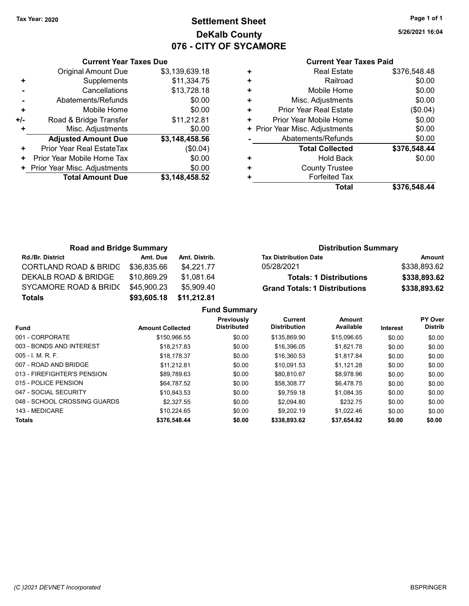# Tax Year: 2020 **Page 1 of 1 Settlement Sheet Constant Constant Constant Constant Constant Constant Constant Constant Constant Constant Constant Constant Page 1 of 1** DeKalb County 076 - CITY OF SYCAMORE

5/26/2021 16:04

|     | <b>Current Year Taxes Due</b> |                |  |  |  |  |  |
|-----|-------------------------------|----------------|--|--|--|--|--|
|     | <b>Original Amount Due</b>    | \$3,139,639.18 |  |  |  |  |  |
| ٠   | Supplements                   | \$11,334.75    |  |  |  |  |  |
|     | Cancellations                 | \$13,728.18    |  |  |  |  |  |
|     | Abatements/Refunds            | \$0.00         |  |  |  |  |  |
| ÷   | Mobile Home                   | \$0.00         |  |  |  |  |  |
| +/- | Road & Bridge Transfer        | \$11,212.81    |  |  |  |  |  |
| ÷   | Misc. Adjustments             | \$0.00         |  |  |  |  |  |
|     | <b>Adjusted Amount Due</b>    | \$3,148,458.56 |  |  |  |  |  |
| ٠   | Prior Year Real EstateTax     | (\$0.04)       |  |  |  |  |  |
| ٠   | Prior Year Mobile Home Tax    | \$0.00         |  |  |  |  |  |
|     | Prior Year Misc. Adjustments  | \$0.00         |  |  |  |  |  |
|     | <b>Total Amount Due</b>       | \$3,148,458.52 |  |  |  |  |  |
|     |                               |                |  |  |  |  |  |

|   | <b>Real Estate</b>             | \$376,548.48 |
|---|--------------------------------|--------------|
| ٠ | Railroad                       | \$0.00       |
| ٠ | Mobile Home                    | \$0.00       |
| ٠ | Misc. Adjustments              | \$0.00       |
| ٠ | Prior Year Real Estate         | (\$0.04)     |
| ٠ | Prior Year Mobile Home         | \$0.00       |
|   | + Prior Year Misc. Adjustments | \$0.00       |
|   | Abatements/Refunds             | \$0.00       |
|   | <b>Total Collected</b>         | \$376,548.44 |
| ٠ | <b>Hold Back</b>               | \$0.00       |
|   | <b>County Trustee</b>          |              |
|   | <b>Forfeited Tax</b>           |              |
|   | Total                          | \$376.548.44 |

| <b>Road and Bridge Summary</b>   |             |               | <b>Distribution Summary</b>          |              |
|----------------------------------|-------------|---------------|--------------------------------------|--------------|
| <b>Rd./Br. District</b>          | Amt. Due    | Amt. Distrib. | <b>Tax Distribution Date</b>         | Amount       |
| <b>CORTLAND ROAD &amp; BRIDG</b> | \$36,835.66 | \$4.221.77    | 05/28/2021                           | \$338,893.62 |
| DEKALB ROAD & BRIDGE             | \$10.869.29 | \$1.081.64    | <b>Totals: 1 Distributions</b>       | \$338,893.62 |
| SYCAMORE ROAD & BRIDO            | \$45,900.23 | \$5.909.40    | <b>Grand Totals: 1 Distributions</b> | \$338,893.62 |
| Totals                           | \$93,605.18 | \$11,212.81   |                                      |              |

|                              |                         | <b>Fund Summary</b>              |                                |                     |                 |                                  |
|------------------------------|-------------------------|----------------------------------|--------------------------------|---------------------|-----------------|----------------------------------|
| <b>Fund</b>                  | <b>Amount Collected</b> | Previously<br><b>Distributed</b> | Current<br><b>Distribution</b> | Amount<br>Available | <b>Interest</b> | <b>PY Over</b><br><b>Distrib</b> |
| 001 - CORPORATE              | \$150,966.55            | \$0.00                           | \$135,869.90                   | \$15,096.65         | \$0.00          | \$0.00                           |
| 003 - BONDS AND INTEREST     | \$18.217.83             | \$0.00                           | \$16,396.05                    | \$1.821.78          | \$0.00          | \$0.00                           |
| $005 - 1$ , M, R, F,         | \$18,178.37             | \$0.00                           | \$16.360.53                    | \$1.817.84          | \$0.00          | \$0.00                           |
| 007 - ROAD AND BRIDGE        | \$11.212.81             | \$0.00                           | \$10.091.53                    | \$1.121.28          | \$0.00          | \$0.00                           |
| 013 - FIREFIGHTER'S PENSION  | \$89.789.63             | \$0.00                           | \$80.810.67                    | \$8.978.96          | \$0.00          | \$0.00                           |
| 015 - POLICE PENSION         | \$64.787.52             | \$0.00                           | \$58,308.77                    | \$6.478.75          | \$0.00          | \$0.00                           |
| 047 - SOCIAL SECURITY        | \$10.843.53             | \$0.00                           | \$9.759.18                     | \$1.084.35          | \$0.00          | \$0.00                           |
| 048 - SCHOOL CROSSING GUARDS | \$2,327.55              | \$0.00                           | \$2.094.80                     | \$232.75            | \$0.00          | \$0.00                           |
| 143 - MEDICARE               | \$10.224.65             | \$0.00                           | \$9,202.19                     | \$1.022.46          | \$0.00          | \$0.00                           |
| <b>Totals</b>                | \$376,548.44            | \$0.00                           | \$338,893.62                   | \$37,654.82         | \$0.00          | \$0.00                           |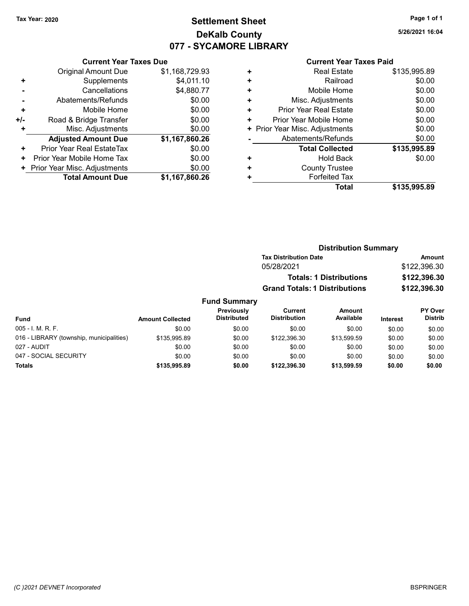# Tax Year: 2020 **Page 1 of 1 Settlement Sheet Constant Constant Constant Constant Constant Constant Constant Constant Constant Constant Constant Constant Page 1 of 1** DeKalb County 077 - SYCAMORE LIBRARY

5/26/2021 16:04

#### Current Year Taxes Paid

|     | <b>Current Year Taxes Due</b>          |                |  |  |  |  |  |
|-----|----------------------------------------|----------------|--|--|--|--|--|
|     | <b>Original Amount Due</b>             | \$1,168,729.93 |  |  |  |  |  |
| ٠   | Supplements                            | \$4,011.10     |  |  |  |  |  |
|     | Cancellations                          | \$4,880.77     |  |  |  |  |  |
|     | Abatements/Refunds                     | \$0.00         |  |  |  |  |  |
| ٠   | Mobile Home                            | \$0.00         |  |  |  |  |  |
| +/- | Road & Bridge Transfer                 | \$0.00         |  |  |  |  |  |
| ٠   | Misc. Adjustments                      | \$0.00         |  |  |  |  |  |
|     | <b>Adjusted Amount Due</b>             | \$1,167,860.26 |  |  |  |  |  |
| ٠   | Prior Year Real EstateTax              | \$0.00         |  |  |  |  |  |
| ٠   | Prior Year Mobile Home Tax             | \$0.00         |  |  |  |  |  |
|     | \$0.00<br>Prior Year Misc. Adjustments |                |  |  |  |  |  |
|     | <b>Total Amount Due</b>                | \$1,167,860.26 |  |  |  |  |  |

| <b>Real Estate</b>             | \$135,995.89 |
|--------------------------------|--------------|
| Railroad                       | \$0.00       |
| Mobile Home                    | \$0.00       |
| Misc. Adjustments              | \$0.00       |
| <b>Prior Year Real Estate</b>  | \$0.00       |
| Prior Year Mobile Home         | \$0.00       |
| + Prior Year Misc. Adjustments | \$0.00       |
| Abatements/Refunds             | \$0.00       |
| <b>Total Collected</b>         | \$135,995.89 |
| Hold Back                      | \$0.00       |
| <b>County Trustee</b>          |              |
| <b>Forfeited Tax</b>           |              |
| <b>Total</b>                   | \$135,995.89 |
|                                |              |

| <b>Distribution Summary</b>          |              |
|--------------------------------------|--------------|
| <b>Tax Distribution Date</b>         | Amount       |
| 05/28/2021                           | \$122,396.30 |
| <b>Totals: 1 Distributions</b>       | \$122,396.30 |
| <b>Grand Totals: 1 Distributions</b> | \$122,396.30 |
|                                      |              |

#### Fund Summary Fund Interest Amount Collected Distributed PY Over Distrib Amount Available Current Distribution Previously 005 - I. M. R. F. Channel Communication of the South South South South South South South South South South South South South South South South South South South South South South South South South South South South South S 016 - LIBRARY (township, municipalities) \$135,995.89 \$0.00 \$122,396.30 \$13,599.59 \$0.00 \$0.00 027 - AUDIT \$0.00 \$0.00 \$0.00 \$0.00 \$0.00 \$0.00 047 - SOCIAL SECURITY \$0.00 \$0.00 \$0.00 \$0.00 \$0.00 \$0.00 Totals \$0.00 \$0.00 \$135,995.89 \$0.00 \$122,396.30 \$13,599.59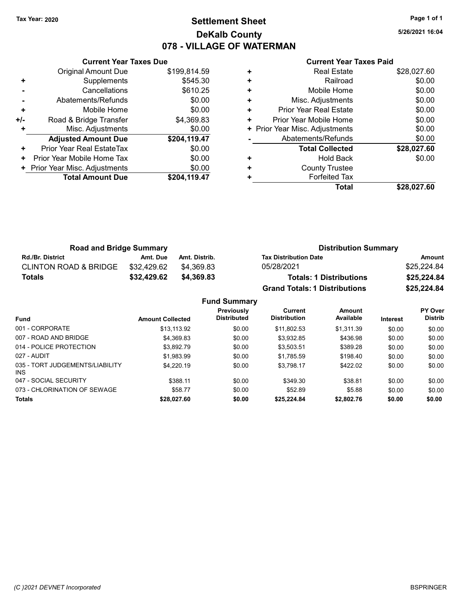# Tax Year: 2020 **Page 1 of 1 Settlement Sheet Constant Constant Constant Constant Constant Constant Constant Constant Constant Constant Constant Constant Page 1 of 1** DeKalb County 078 - VILLAGE OF WATERMAN

5/26/2021 16:04

|     | <b>Current Year Taxes Due</b> |              |  |  |  |  |  |
|-----|-------------------------------|--------------|--|--|--|--|--|
|     | Original Amount Due           | \$199,814.59 |  |  |  |  |  |
| ٠   | Supplements                   | \$545.30     |  |  |  |  |  |
|     | Cancellations                 | \$610.25     |  |  |  |  |  |
|     | Abatements/Refunds            | \$0.00       |  |  |  |  |  |
| ٠   | Mobile Home                   | \$0.00       |  |  |  |  |  |
| +/- | Road & Bridge Transfer        | \$4,369.83   |  |  |  |  |  |
| ÷   | Misc. Adjustments             | \$0.00       |  |  |  |  |  |
|     | <b>Adjusted Amount Due</b>    | \$204,119.47 |  |  |  |  |  |
| ÷   | Prior Year Real EstateTax     | \$0.00       |  |  |  |  |  |
| ٠   | Prior Year Mobile Home Tax    | \$0.00       |  |  |  |  |  |
|     | Prior Year Misc. Adjustments  | \$0.00       |  |  |  |  |  |
|     | <b>Total Amount Due</b>       | \$204,119.47 |  |  |  |  |  |
|     |                               |              |  |  |  |  |  |

|   | Total                         | \$28,027.60 |
|---|-------------------------------|-------------|
| ٠ | <b>Forfeited Tax</b>          |             |
| ٠ | <b>County Trustee</b>         |             |
| ٠ | <b>Hold Back</b>              | \$0.00      |
|   | <b>Total Collected</b>        | \$28,027.60 |
|   | Abatements/Refunds            | \$0.00      |
| ٠ | Prior Year Misc. Adjustments  | \$0.00      |
| ٠ | Prior Year Mobile Home        | \$0.00      |
| ٠ | <b>Prior Year Real Estate</b> | \$0.00      |
| ٠ | Misc. Adjustments             | \$0.00      |
| ٠ | Mobile Home                   | \$0.00      |
| ٠ | Railroad                      | \$0.00      |
| ٠ | <b>Real Estate</b>            | \$28,027.60 |
|   |                               |             |

| <b>Road and Bridge Summary</b>   |             |               | <b>Distribution Summary</b>          |             |  |
|----------------------------------|-------------|---------------|--------------------------------------|-------------|--|
| <b>Rd./Br. District</b>          | Amt. Due    | Amt. Distrib. | <b>Tax Distribution Date</b>         | Amount      |  |
| <b>CLINTON ROAD &amp; BRIDGE</b> | \$32.429.62 | \$4.369.83    | 05/28/2021                           | \$25,224.84 |  |
| <b>Totals</b>                    | \$32,429.62 | \$4,369,83    | <b>Totals: 1 Distributions</b>       | \$25,224.84 |  |
|                                  |             |               | <b>Grand Totals: 1 Distributions</b> | \$25,224.84 |  |

|                                         |                         | <b>Fund Summary</b>              |                                       |                     |          |                                  |
|-----------------------------------------|-------------------------|----------------------------------|---------------------------------------|---------------------|----------|----------------------------------|
| <b>Fund</b>                             | <b>Amount Collected</b> | Previously<br><b>Distributed</b> | <b>Current</b><br><b>Distribution</b> | Amount<br>Available | Interest | <b>PY Over</b><br><b>Distrib</b> |
| 001 - CORPORATE                         | \$13.113.92             | \$0.00                           | \$11.802.53                           | \$1.311.39          | \$0.00   | \$0.00                           |
| 007 - ROAD AND BRIDGE                   | \$4.369.83              | \$0.00                           | \$3.932.85                            | \$436.98            | \$0.00   | \$0.00                           |
| 014 - POLICE PROTECTION                 | \$3.892.79              | \$0.00                           | \$3.503.51                            | \$389.28            | \$0.00   | \$0.00                           |
| 027 - AUDIT                             | \$1.983.99              | \$0.00                           | \$1,785.59                            | \$198.40            | \$0.00   | \$0.00                           |
| 035 - TORT JUDGEMENTS/LIABILITY<br>INS. | \$4,220.19              | \$0.00                           | \$3.798.17                            | \$422.02            | \$0.00   | \$0.00                           |
| 047 - SOCIAL SECURITY                   | \$388.11                | \$0.00                           | \$349.30                              | \$38.81             | \$0.00   | \$0.00                           |
| 073 - CHLORINATION OF SEWAGE            | \$58.77                 | \$0.00                           | \$52.89                               | \$5.88              | \$0.00   | \$0.00                           |
| <b>Totals</b>                           | \$28,027.60             | \$0.00                           | \$25,224.84                           | \$2,802.76          | \$0.00   | \$0.00                           |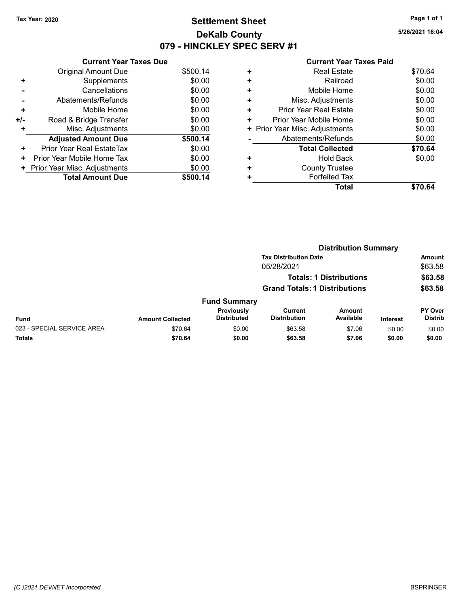# Tax Year: 2020 **Page 1 of 1 Settlement Sheet Constant Constant Constant Constant Constant Constant Constant Constant Constant Constant Constant Constant Page 1 of 1** DeKalb County 079 - HINCKLEY SPEC SERV #1

5/26/2021 16:04

|     | <b>Current Year Taxes Due</b> |          |
|-----|-------------------------------|----------|
|     | <b>Original Amount Due</b>    | \$500.14 |
| ٠   | Supplements                   | \$0.00   |
|     | Cancellations                 | \$0.00   |
|     | Abatements/Refunds            | \$0.00   |
| ٠   | Mobile Home                   | \$0.00   |
| +/- | Road & Bridge Transfer        | \$0.00   |
| ٠   | Misc. Adjustments             | \$0.00   |
|     | <b>Adjusted Amount Due</b>    | \$500.14 |
| ٠   | Prior Year Real EstateTax     | \$0.00   |
| ٠   | Prior Year Mobile Home Tax    | \$0.00   |
| ٠   | Prior Year Misc. Adjustments  | \$0.00   |
|     | <b>Total Amount Due</b>       | \$500.14 |

| ٠ | Real Estate                   | \$70.64 |
|---|-------------------------------|---------|
| ٠ | Railroad                      | \$0.00  |
| ٠ | Mobile Home                   | \$0.00  |
| ٠ | Misc. Adjustments             | \$0.00  |
| ٠ | <b>Prior Year Real Estate</b> | \$0.00  |
| ٠ | Prior Year Mobile Home        | \$0.00  |
| ٠ | Prior Year Misc. Adjustments  | \$0.00  |
|   | Abatements/Refunds            | \$0.00  |
|   | <b>Total Collected</b>        | \$70.64 |
| ٠ | <b>Hold Back</b>              | \$0.00  |
| ٠ | <b>County Trustee</b>         |         |
| ٠ | <b>Forfeited Tax</b>          |         |
|   | Total                         | \$70.64 |
|   |                               |         |

|                            |                              |                                      | <b>Distribution Summary</b>    |                     |                 |                                  |
|----------------------------|------------------------------|--------------------------------------|--------------------------------|---------------------|-----------------|----------------------------------|
|                            | <b>Tax Distribution Date</b> |                                      |                                | Amount              |                 |                                  |
|                            |                              |                                      | 05/28/2021                     |                     |                 | \$63.58                          |
|                            |                              |                                      | <b>Totals: 1 Distributions</b> |                     |                 | \$63.58<br>\$63.58               |
|                            |                              | <b>Grand Totals: 1 Distributions</b> |                                |                     |                 |                                  |
|                            |                              | <b>Fund Summary</b>                  |                                |                     |                 |                                  |
| <b>Fund</b>                | <b>Amount Collected</b>      | Previously<br><b>Distributed</b>     | Current<br><b>Distribution</b> | Amount<br>Available | <b>Interest</b> | <b>PY Over</b><br><b>Distrib</b> |
| 023 - SPECIAL SERVICE AREA | \$70.64                      | \$0.00                               | \$63.58                        | \$7.06              | \$0.00          | \$0.00                           |
| Totals                     | \$70.64                      | \$0.00                               | \$63.58                        | \$7.06              | \$0.00          | \$0.00                           |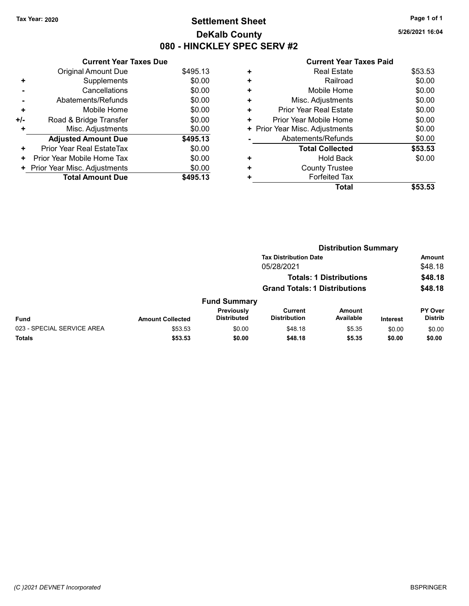# Tax Year: 2020 **Page 1 of 1 Settlement Sheet Constant Constant Constant Constant Constant Constant Constant Constant Constant Constant Constant Constant Page 1 of 1** DeKalb County 080 - HINCKLEY SPEC SERV #2

5/26/2021 16:04

|     | <b>Current Year Taxes Due</b> |          |
|-----|-------------------------------|----------|
|     | Original Amount Due           | \$495.13 |
| ٠   | Supplements                   | \$0.00   |
|     | Cancellations                 | \$0.00   |
|     | Abatements/Refunds            | \$0.00   |
| ٠   | Mobile Home                   | \$0.00   |
| +/- | Road & Bridge Transfer        | \$0.00   |
| ٠   | Misc. Adjustments             | \$0.00   |
|     | <b>Adjusted Amount Due</b>    | \$495.13 |
| ٠   | Prior Year Real EstateTax     | \$0.00   |
| ٠   | Prior Year Mobile Home Tax    | \$0.00   |
| ٠   | Prior Year Misc. Adjustments  | \$0.00   |
|     | <b>Total Amount Due</b>       | \$495.13 |

|   | <b>Total</b>                   | \$53.53 |
|---|--------------------------------|---------|
| ٠ | <b>Forfeited Tax</b>           |         |
| ٠ | <b>County Trustee</b>          |         |
| ٠ | <b>Hold Back</b>               | \$0.00  |
|   | <b>Total Collected</b>         | \$53.53 |
|   | Abatements/Refunds             | \$0.00  |
|   | + Prior Year Misc. Adjustments | \$0.00  |
| ٠ | Prior Year Mobile Home         | \$0.00  |
| ٠ | <b>Prior Year Real Estate</b>  | \$0.00  |
| ٠ | Misc. Adjustments              | \$0.00  |
| ٠ | Mobile Home                    | \$0.00  |
| ٠ | Railroad                       | \$0.00  |
| ٠ | <b>Real Estate</b>             | \$53.53 |
|   |                                |         |

|                            |                         |                                  |                                      | <b>Distribution Summary</b>    |                 |                           |
|----------------------------|-------------------------|----------------------------------|--------------------------------------|--------------------------------|-----------------|---------------------------|
|                            |                         |                                  | <b>Tax Distribution Date</b>         |                                |                 | <b>Amount</b>             |
|                            |                         |                                  | 05/28/2021                           |                                |                 | \$48.18                   |
|                            |                         |                                  |                                      | <b>Totals: 1 Distributions</b> |                 | \$48.18                   |
|                            |                         |                                  | <b>Grand Totals: 1 Distributions</b> |                                |                 | \$48.18                   |
|                            |                         | <b>Fund Summary</b>              |                                      |                                |                 |                           |
| <b>Fund</b>                | <b>Amount Collected</b> | Previously<br><b>Distributed</b> | Current<br><b>Distribution</b>       | Amount<br>Available            | <b>Interest</b> | PY Over<br><b>Distrib</b> |
| 023 - SPECIAL SERVICE AREA | \$53.53                 | \$0.00                           | \$48.18                              | \$5.35                         | \$0.00          | \$0.00                    |
| <b>Totals</b>              | \$53.53                 | \$0.00                           | \$48.18                              | \$5.35                         | \$0.00          | \$0.00                    |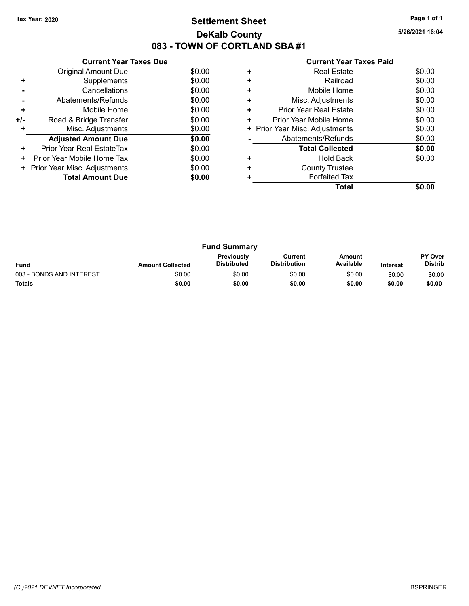# Tax Year: 2020 **Page 1 of 1 Settlement Sheet Constant Constant Constant Constant Constant Constant Constant Constant Constant Constant Constant Constant Page 1 of 1** DeKalb County 083 - TOWN OF CORTLAND SBA #1

5/26/2021 16:04

| <b>Current Year Taxes Paid</b> |  |  |
|--------------------------------|--|--|
|                                |  |  |

|       | <b>Current Year Taxes Due</b> |        |
|-------|-------------------------------|--------|
|       | Original Amount Due           | \$0.00 |
| ٠     | Supplements                   | \$0.00 |
|       | Cancellations                 | \$0.00 |
|       | Abatements/Refunds            | \$0.00 |
| ÷     | Mobile Home                   | \$0.00 |
| $+/-$ | Road & Bridge Transfer        | \$0.00 |
|       | Misc. Adjustments             | \$0.00 |
|       | <b>Adjusted Amount Due</b>    | \$0.00 |
| ٠     | Prior Year Real EstateTax     | \$0.00 |
| ٠     | Prior Year Mobile Home Tax    | \$0.00 |
| ٠     | Prior Year Misc. Adjustments  | \$0.00 |
|       | <b>Total Amount Due</b>       | \$0.00 |
|       |                               |        |

|   | Total                          |        |
|---|--------------------------------|--------|
|   | <b>Forfeited Tax</b>           |        |
| ٠ | <b>County Trustee</b>          |        |
|   | <b>Hold Back</b>               | \$0.00 |
|   | <b>Total Collected</b>         | \$0.00 |
|   | Abatements/Refunds             | \$0.00 |
|   | + Prior Year Misc. Adjustments | \$0.00 |
| ٠ | Prior Year Mobile Home         | \$0.00 |
| ٠ | <b>Prior Year Real Estate</b>  | \$0.00 |
| ٠ | Misc. Adjustments              | \$0.00 |
|   | Mobile Home                    | \$0.00 |
| ٠ | Railroad                       | \$0.00 |
|   | <b>Real Estate</b>             | \$0.00 |
|   |                                |        |

|                          |                         | <b>Fund Summary</b>                     |                                |                     |                 |                                  |
|--------------------------|-------------------------|-----------------------------------------|--------------------------------|---------------------|-----------------|----------------------------------|
| <b>Fund</b>              | <b>Amount Collected</b> | <b>Previously</b><br><b>Distributed</b> | Current<br><b>Distribution</b> | Amount<br>Available | <b>Interest</b> | <b>PY Over</b><br><b>Distrib</b> |
| 003 - BONDS AND INTEREST | \$0.00                  | \$0.00                                  | \$0.00                         | \$0.00              | \$0.00          | \$0.00                           |
| <b>Totals</b>            | \$0.00                  | \$0.00                                  | \$0.00                         | \$0.00              | \$0.00          | \$0.00                           |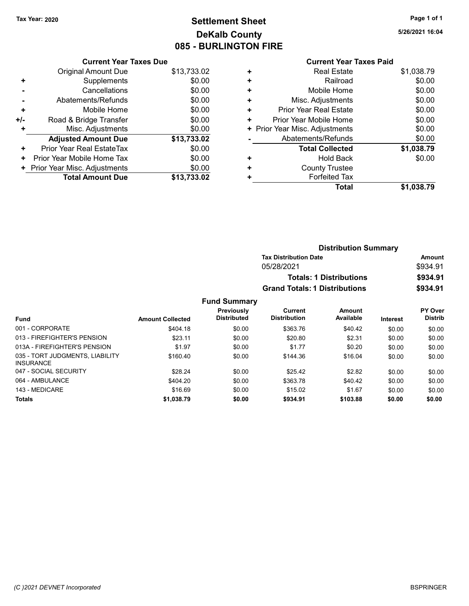# Tax Year: 2020 **Page 1 of 1 Settlement Sheet Constant Constant Constant Constant Constant Constant Constant Constant Constant Constant Constant Constant Page 1 of 1** DeKalb County 085 - BURLINGTON FIRE

5/26/2021 16:04

|                | <b>Current Year Taxes Due</b> |             |
|----------------|-------------------------------|-------------|
|                | <b>Original Amount Due</b>    | \$13,733.02 |
| ٠              | Supplements                   | \$0.00      |
|                | Cancellations                 | \$0.00      |
| $\blacksquare$ | Abatements/Refunds            | \$0.00      |
| ٠              | Mobile Home                   | \$0.00      |
| +/-            | Road & Bridge Transfer        | \$0.00      |
|                | Misc. Adjustments             | \$0.00      |
|                | <b>Adjusted Amount Due</b>    | \$13,733.02 |
| ٠              | Prior Year Real EstateTax     | \$0.00      |
| ٠              | Prior Year Mobile Home Tax    | \$0.00      |
|                | Prior Year Misc. Adjustments  | \$0.00      |
|                | <b>Total Amount Due</b>       | \$13.733.02 |

| ٠ | <b>Real Estate</b>            | \$1,038.79 |
|---|-------------------------------|------------|
| ٠ | Railroad                      | \$0.00     |
| ٠ | Mobile Home                   | \$0.00     |
| ٠ | Misc. Adjustments             | \$0.00     |
| ÷ | <b>Prior Year Real Estate</b> | \$0.00     |
| ٠ | Prior Year Mobile Home        | \$0.00     |
| ٠ | Prior Year Misc. Adjustments  | \$0.00     |
|   | Abatements/Refunds            | \$0.00     |
|   | <b>Total Collected</b>        | \$1,038.79 |
| ٠ | <b>Hold Back</b>              | \$0.00     |
| ٠ | <b>County Trustee</b>         |            |
|   | <b>Forfeited Tax</b>          |            |
|   | Total                         | \$1,038.79 |
|   |                               |            |

|                     |                                      | <b>Distribution Summary</b>    |                 |                |
|---------------------|--------------------------------------|--------------------------------|-----------------|----------------|
|                     | <b>Tax Distribution Date</b>         |                                |                 | Amount         |
|                     | 05/28/2021                           |                                |                 | \$934.91       |
|                     |                                      | <b>Totals: 1 Distributions</b> |                 | \$934.91       |
|                     | <b>Grand Totals: 1 Distributions</b> |                                |                 | \$934.91       |
| <b>Fund Summary</b> |                                      |                                |                 |                |
| Previously          | Current                              | Amount                         |                 | <b>PY Over</b> |
| <b>Distributed</b>  | <b>Distribution</b>                  | Available                      | <b>Interest</b> | <b>Distrib</b> |

| <b>Fund</b>                                         | <b>Amount Collected</b> | .<br><b>Distributed</b> | <b>Distribution</b> | Available | <b>Interest</b> | <b>Distrib</b> |
|-----------------------------------------------------|-------------------------|-------------------------|---------------------|-----------|-----------------|----------------|
| 001 - CORPORATE                                     | \$404.18                | \$0.00                  | \$363.76            | \$40.42   | \$0.00          | \$0.00         |
| 013 - FIREFIGHTER'S PENSION                         | \$23.11                 | \$0.00                  | \$20.80             | \$2.31    | \$0.00          | \$0.00         |
| 013A - FIREFIGHTER'S PENSION                        | \$1.97                  | \$0.00                  | \$1.77              | \$0.20    | \$0.00          | \$0.00         |
| 035 - TORT JUDGMENTS, LIABILITY<br><b>INSURANCE</b> | \$160.40                | \$0.00                  | \$144.36            | \$16.04   | \$0.00          | \$0.00         |
| 047 - SOCIAL SECURITY                               | \$28.24                 | \$0.00                  | \$25.42             | \$2.82    | \$0.00          | \$0.00         |
| 064 - AMBULANCE                                     | \$404.20                | \$0.00                  | \$363.78            | \$40.42   | \$0.00          | \$0.00         |
| 143 - MEDICARE                                      | \$16.69                 | \$0.00                  | \$15.02             | \$1.67    | \$0.00          | \$0.00         |
| <b>Totals</b>                                       | \$1,038.79              | \$0.00                  | \$934.91            | \$103.88  | \$0.00          | \$0.00         |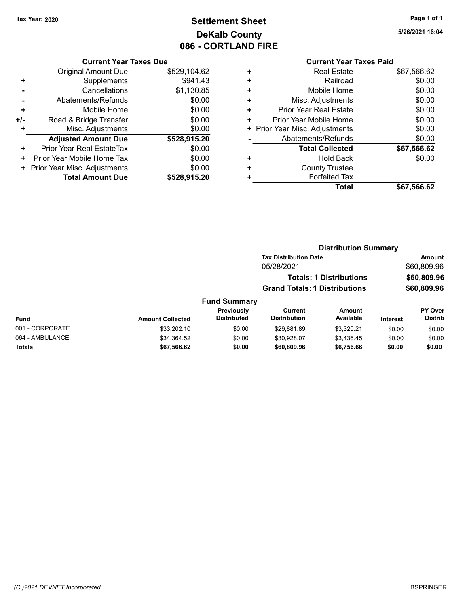# Tax Year: 2020 **Page 1 of 1 Settlement Sheet Constant Constant Constant Constant Constant Constant Constant Constant Constant Constant Constant Constant Page 1 of 1** DeKalb County 086 - CORTLAND FIRE

5/26/2021 16:04

|     | <b>UUITULIU IGAU TAAGU DUG</b> |              |
|-----|--------------------------------|--------------|
|     | Original Amount Due            | \$529,104.62 |
| ٠   | Supplements                    | \$941.43     |
|     | Cancellations                  | \$1,130.85   |
|     | Abatements/Refunds             | \$0.00       |
| ٠   | Mobile Home                    | \$0.00       |
| +/- | Road & Bridge Transfer         | \$0.00       |
| ٠   | Misc. Adjustments              | \$0.00       |
|     | <b>Adjusted Amount Due</b>     | \$528,915.20 |
| ٠   | Prior Year Real EstateTax      | \$0.00       |
| ٠   | Prior Year Mobile Home Tax     | \$0.00       |
|     | + Prior Year Misc. Adjustments | \$0.00       |
|     | <b>Total Amount Due</b>        | \$528,915.20 |
|     |                                |              |

|   | OUITCHL TCUL TUACS LUIU       |             |
|---|-------------------------------|-------------|
| ٠ | <b>Real Estate</b>            | \$67,566.62 |
| ٠ | Railroad                      | \$0.00      |
| ٠ | Mobile Home                   | \$0.00      |
| ٠ | Misc. Adjustments             | \$0.00      |
| ٠ | <b>Prior Year Real Estate</b> | \$0.00      |
| ٠ | Prior Year Mobile Home        | \$0.00      |
| ٠ | Prior Year Misc. Adjustments  | \$0.00      |
|   | Abatements/Refunds            | \$0.00      |
|   | <b>Total Collected</b>        | \$67,566.62 |
| ٠ | <b>Hold Back</b>              | \$0.00      |
| ٠ | <b>County Trustee</b>         |             |
| ٠ | <b>Forfeited Tax</b>          |             |
|   | Total                         | \$67,566.62 |
|   |                               |             |

|                 |                         |                                  | <b>Distribution Summary</b>           |                                |                 |                                  |
|-----------------|-------------------------|----------------------------------|---------------------------------------|--------------------------------|-----------------|----------------------------------|
|                 |                         |                                  | <b>Tax Distribution Date</b>          |                                |                 | Amount                           |
|                 |                         |                                  | 05/28/2021                            |                                |                 | \$60,809.96                      |
|                 |                         |                                  |                                       | <b>Totals: 1 Distributions</b> |                 | \$60,809.96                      |
|                 |                         |                                  | <b>Grand Totals: 1 Distributions</b>  |                                |                 | \$60,809.96                      |
|                 |                         | <b>Fund Summary</b>              |                                       |                                |                 |                                  |
| <b>Fund</b>     | <b>Amount Collected</b> | Previously<br><b>Distributed</b> | <b>Current</b><br><b>Distribution</b> | Amount<br>Available            | <b>Interest</b> | <b>PY Over</b><br><b>Distrib</b> |
| 001 - CORPORATE | \$33,202.10             | \$0.00                           | \$29.881.89                           | \$3.320.21                     | \$0.00          | \$0.00                           |
| 064 - AMBULANCE | \$34,364.52             | \$0.00                           | \$30.928.07                           | \$3,436.45                     | \$0.00          | \$0.00                           |
| <b>Totals</b>   | \$67.566.62             | \$0.00                           | \$60,809.96                           | \$6,756.66                     | \$0.00          | \$0.00                           |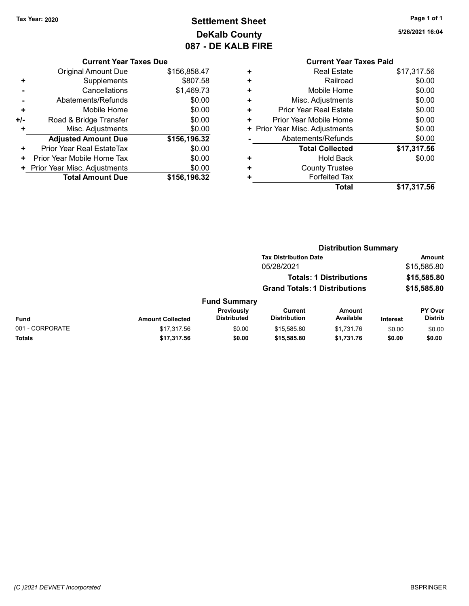# Tax Year: 2020 **Page 1 of 1 Settlement Sheet Constant Constant Constant Constant Constant Constant Constant Constant Constant Constant Constant Constant Page 1 of 1** DeKalb County 087 - DE KALB FIRE

5/26/2021 16:04

#### Current Year Taxes Due

|       | <b>Original Amount Due</b>       | \$156,858.47 |
|-------|----------------------------------|--------------|
| ٠     | Supplements                      | \$807.58     |
|       | Cancellations                    | \$1,469.73   |
|       | Abatements/Refunds               | \$0.00       |
| ÷     | Mobile Home                      | \$0.00       |
| $+/-$ | Road & Bridge Transfer           | \$0.00       |
| ٠     | Misc. Adjustments                | \$0.00       |
|       | <b>Adjusted Amount Due</b>       | \$156,196.32 |
| ٠     | <b>Prior Year Real EstateTax</b> | \$0.00       |
| ٠     | Prior Year Mobile Home Tax       | \$0.00       |
|       | + Prior Year Misc. Adjustments   | \$0.00       |
|       | <b>Total Amount Due</b>          | \$156,196.32 |

| <b>Real Estate</b><br>٠<br>Railroad<br>٠<br>Mobile Home<br>٠<br>Misc. Adjustments<br>٠<br><b>Prior Year Real Estate</b><br>٠<br>Prior Year Mobile Home<br>٠<br>\$0.00<br>+ Prior Year Misc. Adjustments<br>Abatements/Refunds | \$17,317.56<br>\$0.00<br>\$0.00<br>\$0.00<br>\$0.00<br>\$0.00 |  |
|-------------------------------------------------------------------------------------------------------------------------------------------------------------------------------------------------------------------------------|---------------------------------------------------------------|--|
|                                                                                                                                                                                                                               |                                                               |  |
|                                                                                                                                                                                                                               |                                                               |  |
|                                                                                                                                                                                                                               |                                                               |  |
|                                                                                                                                                                                                                               |                                                               |  |
|                                                                                                                                                                                                                               |                                                               |  |
|                                                                                                                                                                                                                               |                                                               |  |
|                                                                                                                                                                                                                               |                                                               |  |
|                                                                                                                                                                                                                               | \$0.00                                                        |  |
| <b>Total Collected</b>                                                                                                                                                                                                        | \$17,317.56                                                   |  |
| <b>Hold Back</b><br>÷                                                                                                                                                                                                         | \$0.00                                                        |  |
| <b>County Trustee</b><br>٠                                                                                                                                                                                                    |                                                               |  |
| <b>Forfeited Tax</b>                                                                                                                                                                                                          |                                                               |  |
| Total                                                                                                                                                                                                                         | \$17,317.56                                                   |  |

|                 |                         |                                  | <b>Distribution Summary</b>           |                                |                 |                           |
|-----------------|-------------------------|----------------------------------|---------------------------------------|--------------------------------|-----------------|---------------------------|
|                 |                         |                                  | <b>Tax Distribution Date</b>          |                                |                 | Amount                    |
|                 |                         |                                  | 05/28/2021                            |                                |                 | \$15,585.80               |
|                 |                         |                                  |                                       | <b>Totals: 1 Distributions</b> |                 | \$15,585.80               |
|                 |                         |                                  | <b>Grand Totals: 1 Distributions</b>  |                                |                 | \$15,585.80               |
|                 |                         | <b>Fund Summary</b>              |                                       |                                |                 |                           |
| Fund            | <b>Amount Collected</b> | Previously<br><b>Distributed</b> | <b>Current</b><br><b>Distribution</b> | <b>Amount</b><br>Available     | <b>Interest</b> | PY Over<br><b>Distrib</b> |
| 001 - CORPORATE | \$17,317.56             | \$0.00                           | \$15,585.80                           | \$1,731.76                     | \$0.00          | \$0.00                    |
| Totals          | \$17,317.56             | \$0.00                           | \$15,585.80                           | \$1,731.76                     | \$0.00          | \$0.00                    |
|                 |                         |                                  |                                       |                                |                 |                           |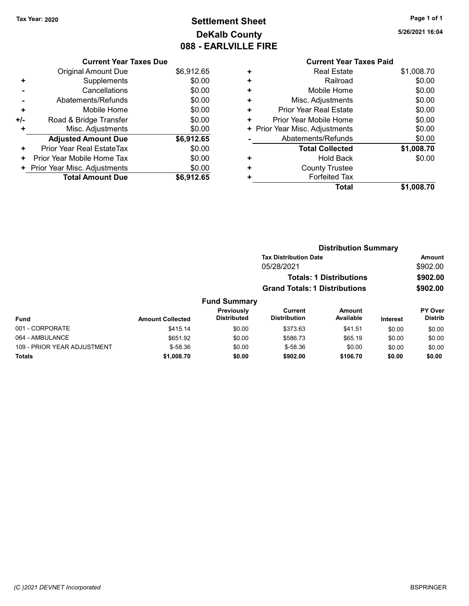# Tax Year: 2020 **Page 1 of 1 Settlement Sheet Constant Constant Constant Constant Constant Constant Constant Constant Constant Constant Constant Constant Page 1 of 1** DeKalb County 088 - EARLVILLE FIRE

5/26/2021 16:04

#### Current Year Taxes Paid + Real Estate \$1,008.70 + Railroad \$0.00 + Mobile Home \$0.00 + Misc. Adjustments \$0.00 + Prior Year Real Estate \$0.00 + Prior Year Mobile Home \$0.00 + Prior Year Misc. Adjustments \$0.00 - Abatements/Refunds \$0.00 Total Collected \$1,008.70 + Hold Back \$0.00 + County Trustee + Forfeited Tax Total \$1,008.70

Distribution Summary

|     | <b>Current Year Taxes Due</b> |            |
|-----|-------------------------------|------------|
|     | Original Amount Due           | \$6,912.65 |
| ٠   | Supplements                   | \$0.00     |
|     | Cancellations                 | \$0.00     |
|     | Abatements/Refunds            | \$0.00     |
| ٠   | Mobile Home                   | \$0.00     |
| +/- | Road & Bridge Transfer        | \$0.00     |
| ٠   | Misc. Adjustments             | \$0.00     |
|     | <b>Adjusted Amount Due</b>    | \$6,912.65 |
| ٠   | Prior Year Real EstateTax     | \$0.00     |
| ٠   | Prior Year Mobile Home Tax    | \$0.00     |
| ٠   | Prior Year Misc. Adjustments  | \$0.00     |
|     | <b>Total Amount Due</b>       | \$6,912.65 |

| <b>PISUINGUOIL OGIIIIIIGI V</b> |                         |                                  |                                       |                                |                 |                                  |
|---------------------------------|-------------------------|----------------------------------|---------------------------------------|--------------------------------|-----------------|----------------------------------|
|                                 |                         |                                  | <b>Tax Distribution Date</b>          |                                |                 | Amount                           |
|                                 |                         |                                  | 05/28/2021                            |                                |                 | \$902.00                         |
|                                 |                         |                                  |                                       | <b>Totals: 1 Distributions</b> |                 | \$902.00                         |
|                                 |                         |                                  | <b>Grand Totals: 1 Distributions</b>  |                                |                 | \$902.00                         |
|                                 |                         | <b>Fund Summary</b>              |                                       |                                |                 |                                  |
| <b>Fund</b>                     | <b>Amount Collected</b> | Previously<br><b>Distributed</b> | <b>Current</b><br><b>Distribution</b> | Amount<br>Available            | <b>Interest</b> | <b>PY Over</b><br><b>Distrib</b> |
| 001 - CORPORATE                 | \$415.14                | \$0.00                           | \$373.63                              | \$41.51                        | \$0.00          | \$0.00                           |
| 064 - AMBULANCE                 | \$651.92                | \$0.00                           | \$586.73                              | \$65.19                        | \$0.00          | \$0.00                           |
| 109 - PRIOR YEAR ADJUSTMENT     | $$-58.36$               | \$0.00                           | $$-58.36$                             | \$0.00                         | \$0.00          | \$0.00                           |
| <b>Totals</b>                   | \$1,008.70              | \$0.00                           | \$902.00                              | \$106.70                       | \$0.00          | \$0.00                           |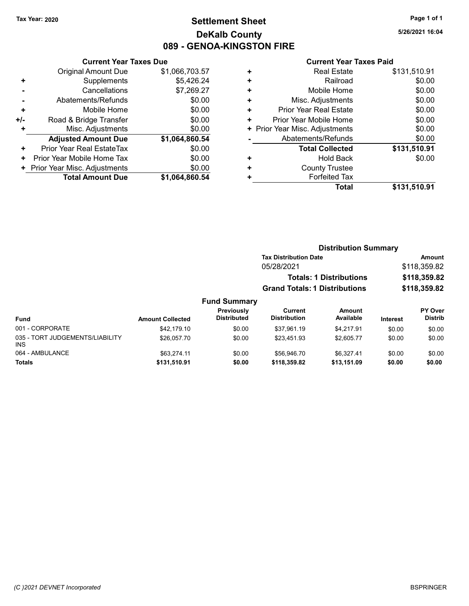# Tax Year: 2020 **Page 1 of 1 Settlement Sheet Constant Constant Constant Constant Constant Constant Constant Constant Constant Constant Constant Constant Page 1 of 1** DeKalb County 089 - GENOA-KINGSTON FIRE

5/26/2021 16:04

|     | <b>Current Year Taxes Due</b> |                |
|-----|-------------------------------|----------------|
|     | Original Amount Due           | \$1,066,703.57 |
| ٠   | Supplements                   | \$5,426.24     |
|     | Cancellations                 | \$7,269.27     |
|     | Abatements/Refunds            | \$0.00         |
| ٠   | Mobile Home                   | \$0.00         |
| +/- | Road & Bridge Transfer        | \$0.00         |
| ٠   | Misc. Adjustments             | \$0.00         |
|     | <b>Adjusted Amount Due</b>    | \$1,064,860.54 |
| ÷   | Prior Year Real EstateTax     | \$0.00         |
| ٠   | Prior Year Mobile Home Tax    | \$0.00         |
| ٠   | Prior Year Misc. Adjustments  | \$0.00         |
|     | <b>Total Amount Due</b>       | \$1,064,860.54 |

| ٠ | <b>Real Estate</b>             | \$131,510.91 |
|---|--------------------------------|--------------|
| ٠ | Railroad                       | \$0.00       |
| ٠ | Mobile Home                    | \$0.00       |
| ٠ | Misc. Adjustments              | \$0.00       |
| ٠ | Prior Year Real Estate         | \$0.00       |
| ٠ | Prior Year Mobile Home         | \$0.00       |
|   | + Prior Year Misc. Adjustments | \$0.00       |
|   | Abatements/Refunds             | \$0.00       |
|   | <b>Total Collected</b>         | \$131,510.91 |
| ٠ | <b>Hold Back</b>               | \$0.00       |
| ٠ | <b>County Trustee</b>          |              |
| ٠ | <b>Forfeited Tax</b>           |              |
|   | Total                          | \$131,510.91 |
|   |                                |              |

|                                               |                         |                                  | <b>Distribution Summary</b>           |                            |              |                                  |
|-----------------------------------------------|-------------------------|----------------------------------|---------------------------------------|----------------------------|--------------|----------------------------------|
|                                               |                         |                                  | <b>Tax Distribution Date</b>          |                            |              | <b>Amount</b>                    |
|                                               |                         |                                  | 05/28/2021                            |                            |              | \$118,359.82                     |
|                                               |                         |                                  | <b>Totals: 1 Distributions</b>        |                            | \$118,359.82 |                                  |
|                                               |                         |                                  | <b>Grand Totals: 1 Distributions</b>  |                            |              | \$118,359.82                     |
|                                               |                         | <b>Fund Summary</b>              |                                       |                            |              |                                  |
| <b>Fund</b>                                   | <b>Amount Collected</b> | Previously<br><b>Distributed</b> | <b>Current</b><br><b>Distribution</b> | <b>Amount</b><br>Available | Interest     | <b>PY Over</b><br><b>Distrib</b> |
| 001 - CORPORATE                               | \$42,179.10             | \$0.00                           | \$37,961.19                           | \$4.217.91                 | \$0.00       | \$0.00                           |
| 035 - TORT JUDGEMENTS/LIABILITY<br><b>INS</b> | \$26,057.70             | \$0.00                           | \$23.451.93                           | \$2,605.77                 | \$0.00       | \$0.00                           |
| 064 - AMBULANCE                               | \$63,274.11             | \$0.00                           | \$56,946.70                           | \$6.327.41                 | \$0.00       | \$0.00                           |
| <b>Totals</b>                                 | \$131,510.91            | \$0.00                           | \$118,359.82                          | \$13,151.09                | \$0.00       | \$0.00                           |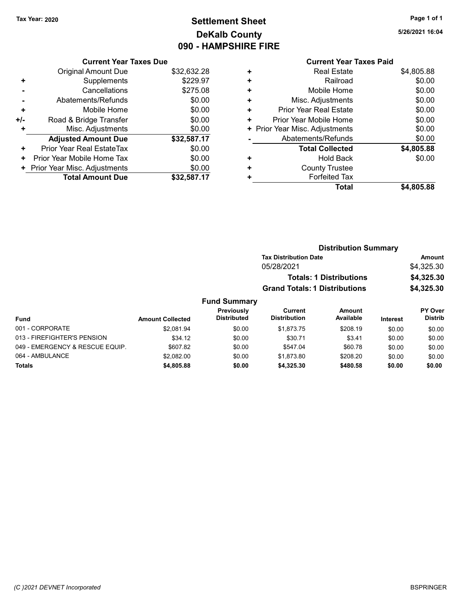# Tax Year: 2020 **Page 1 of 1 Settlement Sheet Constant Constant Constant Constant Constant Constant Constant Constant Constant Constant Constant Constant Page 1 of 1** DeKalb County 090 - HAMPSHIRE FIRE

Current Year Taxes Due

|     | <b>Original Amount Due</b>     | \$32,632.28 |
|-----|--------------------------------|-------------|
| ٠   | Supplements                    | \$229.97    |
|     | Cancellations                  | \$275.08    |
|     | Abatements/Refunds             | \$0.00      |
| ٠   | Mobile Home                    | \$0.00      |
| +/- | Road & Bridge Transfer         | \$0.00      |
| ٠   | Misc. Adjustments              | \$0.00      |
|     | <b>Adjusted Amount Due</b>     | \$32,587.17 |
| ÷   | Prior Year Real EstateTax      | \$0.00      |
| ٠   | Prior Year Mobile Home Tax     | \$0.00      |
|     | + Prior Year Misc. Adjustments | \$0.00      |
|     | <b>Total Amount Due</b>        | \$32,587.17 |
|     |                                |             |

|           | Gullellt I cal Taxes Falu    |            |
|-----------|------------------------------|------------|
| ٠         | <b>Real Estate</b>           | \$4,805.88 |
| $\ddot{}$ | Railroad                     | \$0.00     |
| ٠         | Mobile Home                  | \$0.00     |
| ٠         | Misc. Adjustments            | \$0.00     |
| ÷         | Prior Year Real Estate       | \$0.00     |
| ٠         | Prior Year Mobile Home       | \$0.00     |
| ٠         | Prior Year Misc. Adjustments | \$0.00     |
|           | Abatements/Refunds           | \$0.00     |
|           | <b>Total Collected</b>       | \$4,805.88 |
| ٠         | <b>Hold Back</b>             | \$0.00     |
| ÷         | <b>County Trustee</b>        |            |
|           | <b>Forfeited Tax</b>         |            |
|           | Total                        | \$4,805.88 |
|           |                              |            |

|                                 |                         |                                  | <b>Distribution Summary</b>          |                                |                 |                           |
|---------------------------------|-------------------------|----------------------------------|--------------------------------------|--------------------------------|-----------------|---------------------------|
|                                 |                         |                                  | <b>Tax Distribution Date</b>         |                                |                 | <b>Amount</b>             |
|                                 |                         |                                  | 05/28/2021                           |                                |                 | \$4,325.30                |
|                                 |                         |                                  |                                      | <b>Totals: 1 Distributions</b> |                 | \$4,325.30                |
|                                 |                         |                                  | <b>Grand Totals: 1 Distributions</b> |                                |                 | \$4,325.30                |
|                                 |                         | <b>Fund Summary</b>              |                                      |                                |                 |                           |
| <b>Fund</b>                     | <b>Amount Collected</b> | Previously<br><b>Distributed</b> | Current<br><b>Distribution</b>       | Amount<br>Available            | <b>Interest</b> | PY Over<br><b>Distrib</b> |
| 001 - CORPORATE                 | \$2.081.94              | \$0.00                           | \$1.873.75                           | \$208.19                       | \$0.00          | \$0.00                    |
| 013 - FIREFIGHTER'S PENSION     | \$34.12                 | \$0.00                           | \$30.71                              | \$3.41                         | \$0.00          | \$0.00                    |
| 049 - EMERGENCY & RESCUE EQUIP. | \$607.82                | \$0.00                           | \$547.04                             | \$60.78                        | \$0.00          | \$0.00                    |

064 - AMBULANCE \$2,082.00 \$2,082.00 \$0.00 \$1,873.80 \$208.20 \$0.00 \$0.00 Totals \$0.00 \$0.00 \$4,805.88 \$0.00 \$4,325.30 \$480.58

5/26/2021 16:04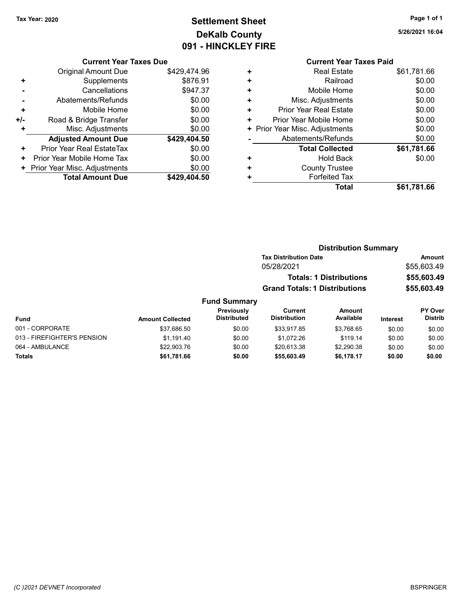# Tax Year: 2020 **Page 1 of 1 Settlement Sheet Constant Constant Constant Constant Constant Constant Constant Constant Constant Constant Constant Constant Page 1 of 1** DeKalb County 091 - HINCKLEY FIRE

5/26/2021 16:04

### Current Year Taxes Due

|     | <b>Original Amount Due</b>       | \$429,474.96 |
|-----|----------------------------------|--------------|
| ٠   | Supplements                      | \$876.91     |
|     | Cancellations                    | \$947.37     |
|     | Abatements/Refunds               | \$0.00       |
| ٠   | Mobile Home                      | \$0.00       |
| +/- | Road & Bridge Transfer           | \$0.00       |
| ٠   | Misc. Adjustments                | \$0.00       |
|     | <b>Adjusted Amount Due</b>       | \$429,404.50 |
| ٠   | <b>Prior Year Real EstateTax</b> | \$0.00       |
| ٠   | Prior Year Mobile Home Tax       | \$0.00       |
|     | + Prior Year Misc. Adjustments   | \$0.00       |
|     | <b>Total Amount Due</b>          | \$429.404.50 |
|     |                                  |              |

|   | <b>Current Year Taxes Paid</b> |             |
|---|--------------------------------|-------------|
| ٠ | <b>Real Estate</b>             | \$61,781.66 |
| ٠ | Railroad                       | \$0.00      |
| ٠ | Mobile Home                    | \$0.00      |
| ٠ | Misc. Adjustments              | \$0.00      |
| ٠ | <b>Prior Year Real Estate</b>  | \$0.00      |
| ٠ | Prior Year Mobile Home         | \$0.00      |
|   | + Prior Year Misc. Adjustments | \$0.00      |
|   | Abatements/Refunds             | \$0.00      |
|   | <b>Total Collected</b>         | \$61,781.66 |
| ٠ | <b>Hold Back</b>               | \$0.00      |
| ٠ | <b>County Trustee</b>          |             |
| ٠ | <b>Forfeited Tax</b>           |             |
|   | Total                          | \$61,781.66 |

#### Distribution Summary Tax Distribution Date **Amount** 05/28/2021 \$55,603.49 Totals: 1 Distributions \$55,603.49 Grand Totals: 1 Distributions \$55,603.49 Fund Summary PY Over Distrib Amount Available Current Distribution Previously

| Fund                        | <b>Amount Collected</b> | .<br><b>Distributed</b> | -------<br><b>Distribution</b> | .<br>Available | <b>Interest</b> | .<br><b>Distrib</b> |
|-----------------------------|-------------------------|-------------------------|--------------------------------|----------------|-----------------|---------------------|
| 001 - CORPORATE             | \$37,686.50             | \$0.00                  | \$33.917.85                    | \$3.768.65     | \$0.00          | \$0.00              |
| 013 - FIREFIGHTER'S PENSION | \$1.191.40              | \$0.00                  | \$1.072.26                     | \$119.14       | \$0.00          | \$0.00              |
| 064 - AMBULANCE             | \$22,903.76             | \$0.00                  | \$20.613.38                    | \$2,290.38     | \$0.00          | \$0.00              |
| <b>Totals</b>               | \$61,781.66             | \$0.00                  | \$55,603.49                    | \$6.178.17     | \$0.00          | \$0.00              |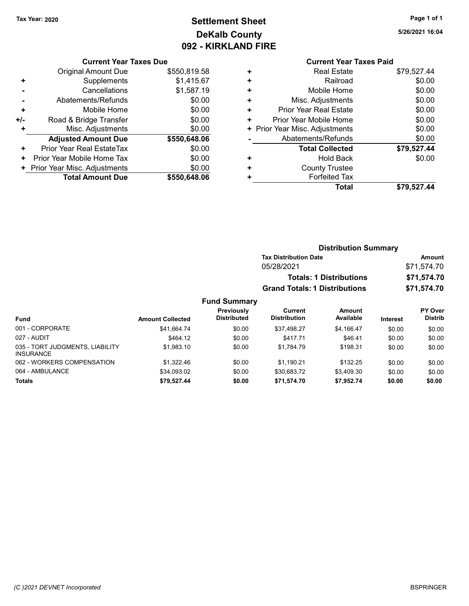INSURANCE

# Tax Year: 2020 **Page 1 of 1 Settlement Sheet Constant Constant Constant Constant Constant Constant Constant Constant Constant Constant Constant Constant Page 1 of 1** DeKalb County 092 - KIRKLAND FIRE

5/26/2021 16:04

#### Current Year Taxes Due

|     | <b>Original Amount Due</b>     | \$550,819.58 |
|-----|--------------------------------|--------------|
| ٠   | Supplements                    | \$1,415.67   |
|     | Cancellations                  | \$1,587.19   |
|     | Abatements/Refunds             | \$0.00       |
| ٠   | Mobile Home                    | \$0.00       |
| +/- | Road & Bridge Transfer         | \$0.00       |
| ٠   | Misc. Adjustments              | \$0.00       |
|     | <b>Adjusted Amount Due</b>     | \$550,648.06 |
| ÷   | Prior Year Real EstateTax      | \$0.00       |
| ٠   | Prior Year Mobile Home Tax     | \$0.00       |
|     | + Prior Year Misc. Adjustments | \$0.00       |
|     | <b>Total Amount Due</b>        | \$550,648,06 |

|   | <b>Current Year Taxes Paid</b> |             |
|---|--------------------------------|-------------|
| ٠ | <b>Real Estate</b>             | \$79,527.44 |
| ٠ | Railroad                       | \$0.00      |
| ٠ | Mobile Home                    | \$0.00      |
| ٠ | Misc. Adjustments              | \$0.00      |
| ٠ | Prior Year Real Estate         | \$0.00      |
| ٠ | Prior Year Mobile Home         | \$0.00      |
| ٠ | Prior Year Misc. Adjustments   | \$0.00      |
|   | Abatements/Refunds             | \$0.00      |
|   | <b>Total Collected</b>         | \$79,527.44 |
| ٠ | Hold Back                      | \$0.00      |
| ÷ | <b>County Trustee</b>          |             |
|   | <b>Forfeited Tax</b>           |             |
|   | <b>Total</b>                   | \$79,527.44 |
|   |                                |             |

|                                                     |                         |                                         |                                       | <b>Distribution Summary</b>    |                 |                                  |
|-----------------------------------------------------|-------------------------|-----------------------------------------|---------------------------------------|--------------------------------|-----------------|----------------------------------|
|                                                     |                         |                                         | <b>Tax Distribution Date</b>          |                                |                 | Amount                           |
|                                                     |                         |                                         | 05/28/2021                            |                                |                 | \$71,574.70                      |
|                                                     |                         |                                         |                                       | <b>Totals: 1 Distributions</b> |                 | \$71,574.70                      |
|                                                     |                         |                                         | <b>Grand Totals: 1 Distributions</b>  |                                |                 | \$71,574.70                      |
|                                                     |                         | <b>Fund Summary</b>                     |                                       |                                |                 |                                  |
| <b>Fund</b>                                         | <b>Amount Collected</b> | <b>Previously</b><br><b>Distributed</b> | <b>Current</b><br><b>Distribution</b> | Amount<br>Available            | <b>Interest</b> | <b>PY Over</b><br><b>Distrib</b> |
| 001 - CORPORATE                                     | \$41.664.74             | \$0.00                                  | \$37,498.27                           | \$4,166.47                     | \$0.00          | \$0.00                           |
| 027 - AUDIT                                         | \$464.12                | \$0.00                                  | \$417.71                              | \$46.41                        | \$0.00          | \$0.00                           |
| 035 - TORT JUDGMENTS, LIABILITY<br><b>INSURANCE</b> | \$1.983.10              | \$0.00                                  | \$1.784.79                            | \$198.31                       | \$0.00          | \$0.00                           |

062 - WORKERS COMPENSATION \$1,322.46 \$0.00 \$1,190.21 \$132.25 \$0.00 \$0.00 064 - AMBULANCE \$34,093.02 \$0.00 \$30,683.72 \$3,409.30 \$0.00 \$0.00 Totals \$0.00 \$0.00 \$79,527.44 \$0.00 \$71,574.70 \$7,952.74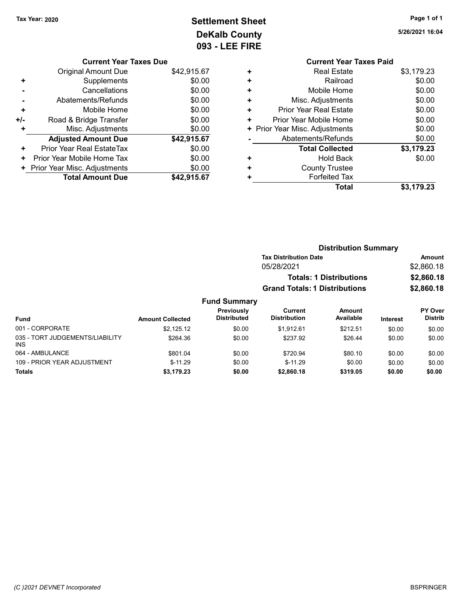# Tax Year: 2020 **Page 1 of 1 Settlement Sheet Constant Constant Constant Constant Constant Constant Constant Constant Constant Constant Constant Constant Page 1 of 1** DeKalb County 093 - LEE FIRE

5/26/2021 16:04

|   | <b>Current Year Taxes Paid</b> |            |
|---|--------------------------------|------------|
| ٠ | <b>Real Estate</b>             | \$3,179.23 |
| ÷ | Railroad                       | \$0.00     |
| ٠ | Mobile Home                    | \$0.00     |
| ٠ | Misc. Adjustments              | \$0.00     |
| ٠ | <b>Prior Year Real Estate</b>  | \$0.00     |
| ٠ | Prior Year Mobile Home         | \$0.00     |
|   | + Prior Year Misc. Adjustments | \$0.00     |
|   | Abatements/Refunds             | \$0.00     |
|   | <b>Total Collected</b>         | \$3,179.23 |
|   | <b>Hold Back</b>               | \$0.00     |
| ٠ | <b>County Trustee</b>          |            |
|   | <b>Forfeited Tax</b>           |            |
|   | Total                          | \$3.179.23 |

|     | <b>Current Year Taxes Due</b> |             |
|-----|-------------------------------|-------------|
|     | Original Amount Due           | \$42,915.67 |
| ٠   | Supplements                   | \$0.00      |
|     | Cancellations                 | \$0.00      |
|     | Abatements/Refunds            | \$0.00      |
| ٠   | Mobile Home                   | \$0.00      |
| +/- | Road & Bridge Transfer        | \$0.00      |
| ٠   | Misc. Adjustments             | \$0.00      |
|     | <b>Adjusted Amount Due</b>    | \$42,915.67 |
| ٠   | Prior Year Real EstateTax     | \$0.00      |
| ٠   | Prior Year Mobile Home Tax    | \$0.00      |
| ٠   | Prior Year Misc. Adjustments  | \$0.00      |
|     | <b>Total Amount Due</b>       | \$42,915.67 |

|                                         |                         |                                  | <b>Distribution Summary</b>          |                                |          |                           |
|-----------------------------------------|-------------------------|----------------------------------|--------------------------------------|--------------------------------|----------|---------------------------|
|                                         |                         |                                  | <b>Tax Distribution Date</b>         |                                |          | Amount                    |
|                                         |                         |                                  | 05/28/2021                           |                                |          | \$2,860.18                |
|                                         |                         |                                  |                                      | <b>Totals: 1 Distributions</b> |          | \$2,860.18                |
|                                         |                         |                                  | <b>Grand Totals: 1 Distributions</b> |                                |          | \$2,860.18                |
|                                         |                         | <b>Fund Summary</b>              |                                      |                                |          |                           |
| <b>Fund</b>                             | <b>Amount Collected</b> | Previously<br><b>Distributed</b> | Current<br><b>Distribution</b>       | Amount<br>Available            | Interest | PY Over<br><b>Distrib</b> |
| 001 - CORPORATE                         | \$2,125.12              | \$0.00                           | \$1.912.61                           | \$212.51                       | \$0.00   | \$0.00                    |
| 035 - TORT JUDGEMENTS/LIABILITY<br>INS. | \$264.36                | \$0.00                           | \$237.92                             | \$26.44                        | \$0.00   | \$0.00                    |
| 064 - AMBULANCE                         | \$801.04                | \$0.00                           | \$720.94                             | \$80.10                        | \$0.00   | \$0.00                    |
| 109 - PRIOR YEAR ADJUSTMENT             | $$-11.29$               | \$0.00                           | $$-11.29$                            | \$0.00                         | \$0.00   | \$0.00                    |
| <b>Totals</b>                           | \$3,179.23              | \$0.00                           | \$2,860.18                           | \$319.05                       | \$0.00   | \$0.00                    |

#### (C )2021 DEVNET Incorporated BSPRINGER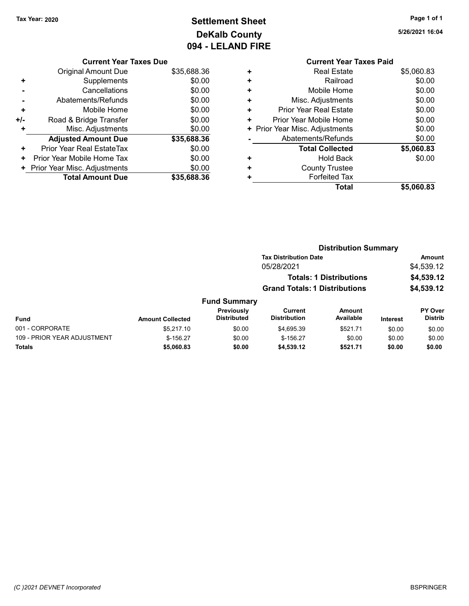# Tax Year: 2020 **Page 1 of 1 Settlement Sheet Constant Constant Constant Constant Constant Constant Constant Constant Constant Constant Constant Constant Page 1 of 1** DeKalb County 094 - LELAND FIRE

5/26/2021 16:04

|       | <b>Current Year Taxes Due</b> |             |
|-------|-------------------------------|-------------|
|       | <b>Original Amount Due</b>    | \$35,688.36 |
| ٠     | Supplements                   | \$0.00      |
|       | Cancellations                 | \$0.00      |
|       | Abatements/Refunds            | \$0.00      |
| ٠     | Mobile Home                   | \$0.00      |
| $+/-$ | Road & Bridge Transfer        | \$0.00      |
| ÷     | Misc. Adjustments             | \$0.00      |
|       | <b>Adjusted Amount Due</b>    | \$35,688.36 |
| ٠     | Prior Year Real EstateTax     | \$0.00      |
| ٠     | Prior Year Mobile Home Tax    | \$0.00      |
|       | Prior Year Misc. Adjustments  | \$0.00      |
|       | <b>Total Amount Due</b>       | \$35.688.36 |

|   | <b>Current Year Taxes Paid</b> |            |
|---|--------------------------------|------------|
| ٠ | <b>Real Estate</b>             | \$5,060.83 |
| ÷ | Railroad                       | \$0.00     |
|   | Mobile Home                    | \$0.00     |
| ٠ | Misc. Adjustments              | \$0.00     |
| ÷ | Prior Year Real Estate         | \$0.00     |
| ٠ | Prior Year Mobile Home         | \$0.00     |
| ٠ | Prior Year Misc. Adjustments   | \$0.00     |
|   | Abatements/Refunds             | \$0.00     |
|   | <b>Total Collected</b>         | \$5,060.83 |
|   | Hold Back                      | \$0.00     |
| ٠ | <b>County Trustee</b>          |            |
|   | <b>Forfeited Tax</b>           |            |
|   | Total                          | \$5,060.83 |
|   |                                |            |

|                             |                         |                                  | <b>Distribution Summary</b>          |                                |          |                           |  |
|-----------------------------|-------------------------|----------------------------------|--------------------------------------|--------------------------------|----------|---------------------------|--|
|                             |                         |                                  | <b>Tax Distribution Date</b>         |                                |          | <b>Amount</b>             |  |
|                             |                         |                                  | 05/28/2021                           |                                |          | \$4,539.12                |  |
|                             |                         |                                  |                                      | <b>Totals: 1 Distributions</b> |          | \$4,539.12                |  |
|                             |                         |                                  | <b>Grand Totals: 1 Distributions</b> |                                |          | \$4,539.12                |  |
|                             |                         | <b>Fund Summary</b>              |                                      |                                |          |                           |  |
| Fund                        | <b>Amount Collected</b> | Previously<br><b>Distributed</b> | Current<br><b>Distribution</b>       | Amount<br>Available            | Interest | PY Over<br><b>Distrib</b> |  |
| 001 - CORPORATE             | \$5.217.10              | \$0.00                           | \$4.695.39                           | \$521.71                       | \$0.00   | \$0.00                    |  |
| 109 - PRIOR YEAR ADJUSTMENT | $$-156.27$              | \$0.00                           | $$-156.27$                           | \$0.00                         | \$0.00   | \$0.00                    |  |
| Totals                      | \$5,060.83              | \$0.00                           | \$4,539.12                           | \$521.71                       | \$0.00   | \$0.00                    |  |
|                             |                         |                                  |                                      |                                |          |                           |  |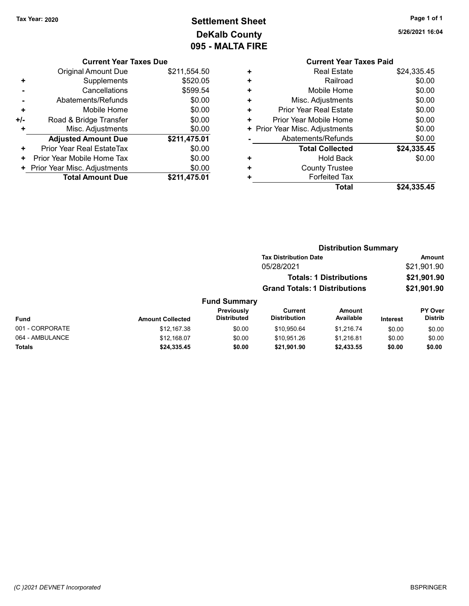# Tax Year: 2020 **Page 1 of 1 Settlement Sheet Constant Constant Constant Constant Constant Constant Constant Constant Constant Constant Constant Constant Page 1 of 1** DeKalb County 095 - MALTA FIRE

5/26/2021 16:04

#### Current Year Taxes Paid + Real Estate \$24,335.45 + Railroad \$0.00 + Mobile Home \$0.00 + Misc. Adjustments \$0.00 + Prior Year Real Estate \$0.00 + Prior Year Mobile Home \$0.00 + Prior Year Misc. Adjustments  $$0.00$ - Abatements/Refunds \$0.00 Total Collected  $$24,335.45$ + Hold Back \$0.00 + County Trustee + Forfeited Tax Total \$24,335.45

Distribution Summary

#### Current Year Taxes Due Original Amount Due \$211,554.50 + Supplements \$520.05 - Cancellations \$599.54 - Abatements/Refunds \$0.00 + Mobile Home \$0.00 +/- Road & Bridge Transfer \$0.00 + Misc. Adjustments \$0.00 Adjusted Amount Due \$211,475.01 + Prior Year Real EstateTax \$0.00 + Prior Year Mobile Home Tax \$0.00 + Prior Year Misc. Adjustments \$0.00<br>Total Amount Due \$211,475.01 **Total Amount Due**

|                 |                         |                                      | <b>Tax Distribution Date</b>   |                            |                 | <b>Amount</b>             |
|-----------------|-------------------------|--------------------------------------|--------------------------------|----------------------------|-----------------|---------------------------|
|                 |                         |                                      | 05/28/2021                     |                            |                 | \$21,901.90               |
|                 |                         |                                      | <b>Totals: 1 Distributions</b> |                            |                 | \$21,901.90               |
|                 |                         | <b>Grand Totals: 1 Distributions</b> |                                | \$21,901.90                |                 |                           |
|                 |                         | <b>Fund Summary</b>                  |                                |                            |                 |                           |
| Fund            | <b>Amount Collected</b> | Previously<br><b>Distributed</b>     | Current<br><b>Distribution</b> | <b>Amount</b><br>Available | <b>Interest</b> | PY Over<br><b>Distrib</b> |
| 001 - CORPORATE | \$12,167.38             | \$0.00                               | \$10,950.64                    | \$1,216.74                 | \$0.00          | \$0.00                    |
| 064 - AMBULANCE | \$12,168.07             | \$0.00                               | \$10.951.26                    | \$1,216.81                 | \$0.00          | \$0.00                    |
| Totals          | \$24,335.45             | \$0.00                               | \$21,901.90                    | \$2,433.55                 | \$0.00          | \$0.00                    |
|                 |                         |                                      |                                |                            |                 |                           |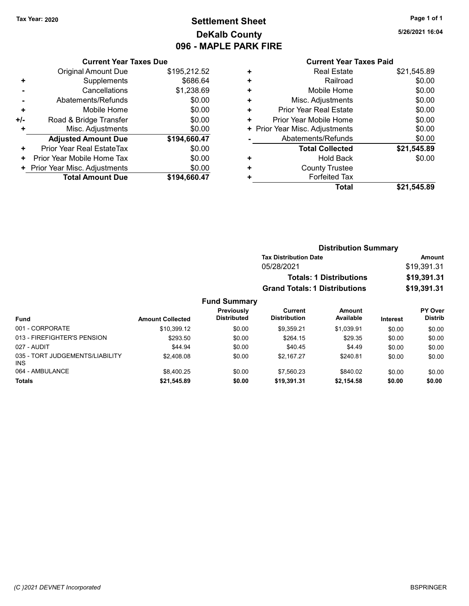# Tax Year: 2020 **Page 1 of 1 Settlement Sheet Constant Constant Constant Constant Constant Constant Constant Constant Constant Constant Constant Constant Page 1 of 1** DeKalb County 096 - MAPLE PARK FIRE

5/26/2021 16:04

|                | <b>Current Year Taxes Due</b> |              |
|----------------|-------------------------------|--------------|
|                | <b>Original Amount Due</b>    | \$195,212.52 |
| ٠              | Supplements                   | \$686.64     |
|                | Cancellations                 | \$1,238.69   |
| $\blacksquare$ | Abatements/Refunds            | \$0.00       |
| ٠              | Mobile Home                   | \$0.00       |
| +/-            | Road & Bridge Transfer        | \$0.00       |
|                | Misc. Adjustments             | \$0.00       |
|                | <b>Adjusted Amount Due</b>    | \$194,660.47 |
| ٠              | Prior Year Real EstateTax     | \$0.00       |
| ٠              | Prior Year Mobile Home Tax    | \$0.00       |
|                | Prior Year Misc. Adjustments  | \$0.00       |
|                | <b>Total Amount Due</b>       | \$194.660.47 |

| ٠ | <b>Real Estate</b>             | \$21,545.89 |
|---|--------------------------------|-------------|
| ٠ | Railroad                       | \$0.00      |
| ٠ | Mobile Home                    | \$0.00      |
| ٠ | Misc. Adjustments              | \$0.00      |
| ٠ | <b>Prior Year Real Estate</b>  | \$0.00      |
| ٠ | Prior Year Mobile Home         | \$0.00      |
|   | + Prior Year Misc. Adjustments | \$0.00      |
|   | Abatements/Refunds             | \$0.00      |
|   | <b>Total Collected</b>         | \$21,545.89 |
| ٠ | <b>Hold Back</b>               | \$0.00      |
| ٠ | <b>County Trustee</b>          |             |
| ٠ | <b>Forfeited Tax</b>           |             |
|   | Total                          | \$21,545.89 |
|   |                                |             |

|                 |                                  | <b>Distribution Summary</b>    |                                      |                 |                                  |  |
|-----------------|----------------------------------|--------------------------------|--------------------------------------|-----------------|----------------------------------|--|
|                 |                                  | <b>Tax Distribution Date</b>   |                                      |                 | Amount                           |  |
|                 |                                  | 05/28/2021                     |                                      | \$19,391.31     |                                  |  |
|                 |                                  |                                | <b>Totals: 1 Distributions</b>       |                 | \$19,391.31                      |  |
|                 |                                  |                                | <b>Grand Totals: 1 Distributions</b> |                 |                                  |  |
|                 | <b>Fund Summary</b>              |                                |                                      |                 |                                  |  |
| nount Collected | Previously<br><b>Distributed</b> | Current<br><b>Distribution</b> | Amount<br>Available                  | <b>Interest</b> | <b>PY Over</b><br><b>Distrib</b> |  |
| \$10,399.12     | \$0.00                           | \$9,359.21                     | \$1,039.91                           | \$0.00          | \$0.00                           |  |

| Fund                                          | <b>Amount Collected</b> | <b>Distributed</b> | <b>Distribution</b> | Available  | <b>Interest</b> | <b>Distrib</b> |
|-----------------------------------------------|-------------------------|--------------------|---------------------|------------|-----------------|----------------|
| 001 - CORPORATE                               | \$10.399.12             | \$0.00             | \$9.359.21          | \$1.039.91 | \$0.00          | \$0.00         |
| 013 - FIREFIGHTER'S PENSION                   | \$293.50                | \$0.00             | \$264.15            | \$29.35    | \$0.00          | \$0.00         |
| 027 - AUDIT                                   | \$44.94                 | \$0.00             | \$40.45             | \$4.49     | \$0.00          | \$0.00         |
| 035 - TORT JUDGEMENTS/LIABILITY<br><b>INS</b> | \$2.408.08              | \$0.00             | \$2.167.27          | \$240.81   | \$0.00          | \$0.00         |
| 064 - AMBULANCE                               | \$8.400.25              | \$0.00             | \$7.560.23          | \$840.02   | \$0.00          | \$0.00         |
| <b>Totals</b>                                 | \$21,545.89             | \$0.00             | \$19,391.31         | \$2,154.58 | \$0.00          | \$0.00         |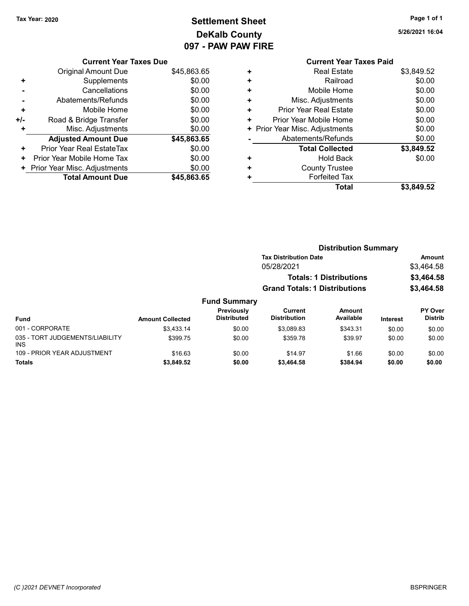# Tax Year: 2020 **Page 1 of 1 Settlement Sheet Constant Constant Constant Constant Constant Constant Constant Constant Constant Constant Constant Constant Page 1 of 1** DeKalb County 097 - PAW PAW FIRE

5/26/2021 16:04

#### Current Year Taxes Due

|       | <b>Original Amount Due</b>       | \$45,863.65 |
|-------|----------------------------------|-------------|
| ٠     | Supplements                      | \$0.00      |
|       | Cancellations                    | \$0.00      |
|       | Abatements/Refunds               | \$0.00      |
| ÷     | Mobile Home                      | \$0.00      |
| $+/-$ | Road & Bridge Transfer           | \$0.00      |
| ٠     | Misc. Adjustments                | \$0.00      |
|       | <b>Adjusted Amount Due</b>       | \$45,863.65 |
| ٠     | <b>Prior Year Real EstateTax</b> | \$0.00      |
| ٠     | Prior Year Mobile Home Tax       | \$0.00      |
|       | + Prior Year Misc. Adjustments   | \$0.00      |
|       | <b>Total Amount Due</b>          | \$45,863.65 |

| <b>Real Estate</b>     | \$3,849.52                     |
|------------------------|--------------------------------|
| Railroad               | \$0.00                         |
| Mobile Home            | \$0.00                         |
| Misc. Adjustments      | \$0.00                         |
| Prior Year Real Estate | \$0.00                         |
| Prior Year Mobile Home | \$0.00                         |
|                        | \$0.00                         |
| Abatements/Refunds     | \$0.00                         |
| <b>Total Collected</b> | \$3,849.52                     |
| <b>Hold Back</b>       | \$0.00                         |
| <b>County Trustee</b>  |                                |
| <b>Forfeited Tax</b>   |                                |
| <b>Total</b>           | \$3,849.52                     |
|                        | + Prior Year Misc. Adjustments |

|                                               |                         | <b>Distribution Summary</b>      |                                                                        |                            |                 |                           |
|-----------------------------------------------|-------------------------|----------------------------------|------------------------------------------------------------------------|----------------------------|-----------------|---------------------------|
|                                               |                         |                                  | <b>Tax Distribution Date</b>                                           |                            |                 | <b>Amount</b>             |
|                                               |                         |                                  | 05/28/2021                                                             |                            |                 | \$3,464.58                |
|                                               |                         |                                  | <b>Totals: 1 Distributions</b><br><b>Grand Totals: 1 Distributions</b> |                            |                 | \$3,464.58                |
|                                               |                         |                                  |                                                                        |                            |                 | \$3,464.58                |
|                                               |                         | <b>Fund Summary</b>              |                                                                        |                            |                 |                           |
| <b>Fund</b>                                   | <b>Amount Collected</b> | Previously<br><b>Distributed</b> | Current<br><b>Distribution</b>                                         | <b>Amount</b><br>Available | <b>Interest</b> | PY Over<br><b>Distrib</b> |
| 001 - CORPORATE                               | \$3.433.14              | \$0.00                           | \$3,089.83                                                             | \$343.31                   | \$0.00          | \$0.00                    |
| 035 - TORT JUDGEMENTS/LIABILITY<br><b>INS</b> | \$399.75                | \$0.00                           | \$359.78                                                               | \$39.97                    | \$0.00          | \$0.00                    |
| 109 - PRIOR YEAR ADJUSTMENT                   | \$16.63                 | \$0.00                           | \$14.97                                                                | \$1.66                     | \$0.00          | \$0.00                    |
| <b>Totals</b>                                 | \$3,849.52              | \$0.00                           | \$3,464.58                                                             | \$384.94                   | \$0.00          | \$0.00                    |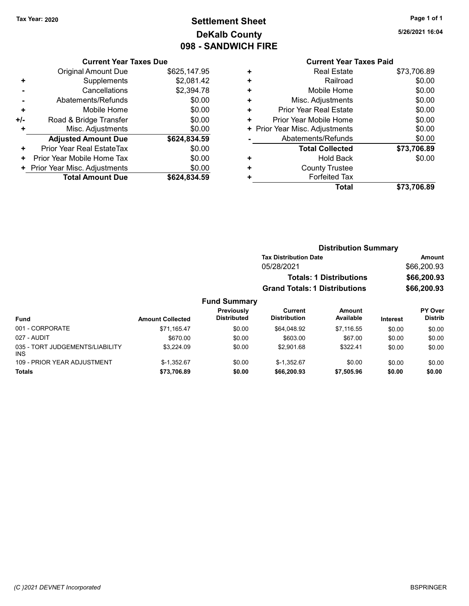# Tax Year: 2020 **Page 1 of 1 Settlement Sheet Constant Constant Constant Constant Constant Constant Constant Constant Constant Constant Constant Constant Page 1 of 1** DeKalb County 098 - SANDWICH FIRE

5/26/2021 16:04

#### Current Year Taxes Due

|       | <b>Original Amount Due</b>       | \$625,147.95 |
|-------|----------------------------------|--------------|
| ٠     | Supplements                      | \$2,081.42   |
|       | Cancellations                    | \$2,394.78   |
|       | Abatements/Refunds               | \$0.00       |
| ٠     | Mobile Home                      | \$0.00       |
| $+/-$ | Road & Bridge Transfer           | \$0.00       |
| ٠     | Misc. Adjustments                | \$0.00       |
|       | <b>Adjusted Amount Due</b>       | \$624,834.59 |
| ٠     | <b>Prior Year Real EstateTax</b> | \$0.00       |
| ٠     | Prior Year Mobile Home Tax       | \$0.00       |
|       | + Prior Year Misc. Adjustments   | \$0.00       |
|       | <b>Total Amount Due</b>          | \$624.834.59 |

|   | <b>Current Year Taxes Paid</b> |             |
|---|--------------------------------|-------------|
| ٠ | <b>Real Estate</b>             | \$73,706.89 |
| ÷ | Railroad                       | \$0.00      |
|   | Mobile Home                    | \$0.00      |
| ٠ | Misc. Adjustments              | \$0.00      |
| ٠ | <b>Prior Year Real Estate</b>  | \$0.00      |
| ÷ | Prior Year Mobile Home         | \$0.00      |
| ٠ | Prior Year Misc. Adjustments   | \$0.00      |
|   | Abatements/Refunds             | \$0.00      |
|   | <b>Total Collected</b>         | \$73,706.89 |
| ٠ | <b>Hold Back</b>               | \$0.00      |
|   | <b>County Trustee</b>          |             |
|   | <b>Forfeited Tax</b>           |             |
|   | Total                          | \$73,706.89 |
|   |                                |             |

### Distribution Summary Tax Distribution Date **Amount** 05/28/2021 \$66,200.93 Totals: 1 Distributions \$66,200.93 Grand Totals: 1 Distributions \$66,200.93 Fund Summary

| <b>Fund</b>                                   | <b>Amount Collected</b> | Previously<br><b>Distributed</b> | Current<br><b>Distribution</b> | Amount<br>Available | <b>Interest</b> | <b>PY Over</b><br><b>Distrib</b> |
|-----------------------------------------------|-------------------------|----------------------------------|--------------------------------|---------------------|-----------------|----------------------------------|
| 001 - CORPORATE                               | \$71.165.47             | \$0.00                           | \$64.048.92                    | \$7.116.55          | \$0.00          | \$0.00                           |
| 027 - AUDIT                                   | \$670.00                | \$0.00                           | \$603.00                       | \$67.00             | \$0.00          | \$0.00                           |
| 035 - TORT JUDGEMENTS/LIABILITY<br><b>INS</b> | \$3,224.09              | \$0.00                           | \$2.901.68                     | \$322.41            | \$0.00          | \$0.00                           |
| 109 - PRIOR YEAR ADJUSTMENT                   | $$-1.352.67$            | \$0.00                           | $$-1.352.67$                   | \$0.00              | \$0.00          | \$0.00                           |
| Totals                                        | \$73,706.89             | \$0.00                           | \$66,200.93                    | \$7,505.96          | \$0.00          | \$0.00                           |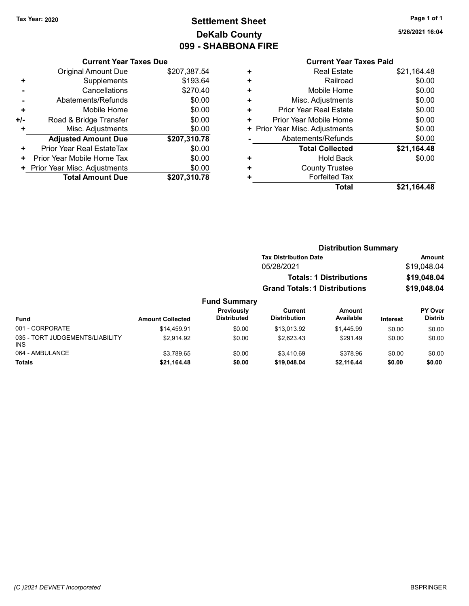INS

# Tax Year: 2020 **Page 1 of 1 Settlement Sheet Constant Constant Constant Constant Constant Constant Constant Constant Constant Constant Constant Constant Page 1 of 1** DeKalb County 099 - SHABBONA FIRE

064 - AMBULANCE 60.00 \$3,789.65 \$3,789.65 \$0.00 \$3,410.69 \$378.96 \$0.00 \$0.00 Totals \$0.00 \$0.00 \$21,164.48 \$0.00 \$19,048.04 \$2,116.44

5/26/2021 16:04

#### Current Year Taxes Due

|     | <b>Original Amount Due</b>     | \$207,387.54 |
|-----|--------------------------------|--------------|
|     | Supplements                    | \$193.64     |
|     | Cancellations                  | \$270.40     |
|     | Abatements/Refunds             | \$0.00       |
| ٠   | Mobile Home                    | \$0.00       |
| +/- | Road & Bridge Transfer         | \$0.00       |
| ٠   | Misc. Adjustments              | \$0.00       |
|     | <b>Adjusted Amount Due</b>     | \$207,310.78 |
| ٠   | Prior Year Real EstateTax      | \$0.00       |
| ٠   | Prior Year Mobile Home Tax     | \$0.00       |
|     | + Prior Year Misc. Adjustments | \$0.00       |
|     | <b>Total Amount Due</b>        | \$207,310.78 |

| <b>Current Year Taxes Paid</b> |                                |
|--------------------------------|--------------------------------|
| <b>Real Estate</b>             | \$21,164.48                    |
| Railroad                       | \$0.00                         |
| Mobile Home                    | \$0.00                         |
| Misc. Adjustments              | \$0.00                         |
| <b>Prior Year Real Estate</b>  | \$0.00                         |
| Prior Year Mobile Home         | \$0.00                         |
|                                | \$0.00                         |
| Abatements/Refunds             | \$0.00                         |
| <b>Total Collected</b>         | \$21,164.48                    |
| <b>Hold Back</b>               | \$0.00                         |
| <b>County Trustee</b>          |                                |
| <b>Forfeited Tax</b>           |                                |
| Total                          | \$21,164.48                    |
|                                | + Prior Year Misc. Adjustments |

|                                 |                         |                                  |                                      | <b>Distribution Summary</b>    |                 |                           |
|---------------------------------|-------------------------|----------------------------------|--------------------------------------|--------------------------------|-----------------|---------------------------|
|                                 |                         |                                  | <b>Tax Distribution Date</b>         |                                |                 | Amount                    |
|                                 |                         |                                  | 05/28/2021                           |                                |                 | \$19,048.04               |
|                                 |                         |                                  |                                      | <b>Totals: 1 Distributions</b> |                 | \$19,048.04               |
|                                 |                         |                                  | <b>Grand Totals: 1 Distributions</b> |                                |                 | \$19,048.04               |
|                                 |                         | <b>Fund Summary</b>              |                                      |                                |                 |                           |
| <b>Fund</b>                     | <b>Amount Collected</b> | Previously<br><b>Distributed</b> | Current<br><b>Distribution</b>       | Amount<br>Available            | <b>Interest</b> | PY Over<br><b>Distrib</b> |
| 001 - CORPORATE                 | \$14,459.91             | \$0.00                           | \$13,013.92                          | \$1,445.99                     | \$0.00          | \$0.00                    |
| 035 - TORT JUDGEMENTS/LIABILITY | \$2.914.92              | \$0.00                           | \$2,623.43                           | \$291.49                       | \$0.00          | \$0.00                    |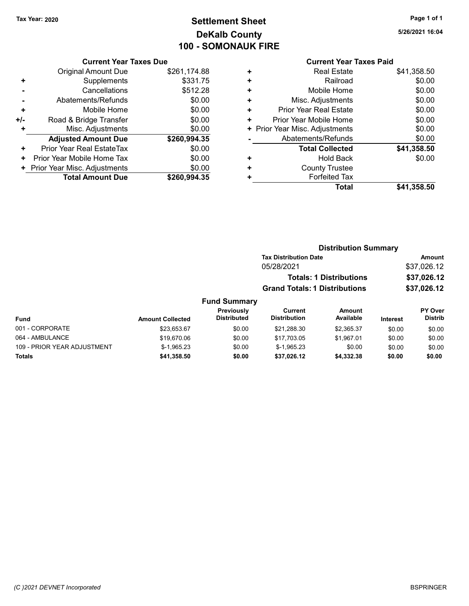# Tax Year: 2020 **Page 1 of 1 Settlement Sheet Constant Constant Constant Constant Constant Constant Constant Constant Constant Constant Constant Constant Page 1 of 1** DeKalb County 100 - SOMONAUK FIRE

Current Year Taxes Due

|     | <b>Original Amount Due</b>     | \$261,174.88 |
|-----|--------------------------------|--------------|
| ٠   | Supplements                    | \$331.75     |
|     | Cancellations                  | \$512.28     |
|     | Abatements/Refunds             | \$0.00       |
| ٠   | Mobile Home                    | \$0.00       |
| +/- | Road & Bridge Transfer         | \$0.00       |
| ٠   | Misc. Adjustments              | \$0.00       |
|     | <b>Adjusted Amount Due</b>     | \$260,994.35 |
| ٠   | Prior Year Real EstateTax      | \$0.00       |
| ٠   | Prior Year Mobile Home Tax     | \$0.00       |
|     | + Prior Year Misc. Adjustments | \$0.00       |
|     | <b>Total Amount Due</b>        | \$260,994.35 |
|     |                                |              |

### Current Year Taxes Paid

|   | Total                          | \$41,358.50 |
|---|--------------------------------|-------------|
| ٠ | <b>Forfeited Tax</b>           |             |
| ٠ | <b>County Trustee</b>          |             |
| ٠ | Hold Back                      | \$0.00      |
|   | <b>Total Collected</b>         | \$41,358.50 |
|   | Abatements/Refunds             | \$0.00      |
|   | + Prior Year Misc. Adjustments | \$0.00      |
| ٠ | Prior Year Mobile Home         | \$0.00      |
| ٠ | Prior Year Real Estate         | \$0.00      |
| ÷ | Misc. Adjustments              | \$0.00      |
| ÷ | Mobile Home                    | \$0.00      |
| ÷ | Railroad                       | \$0.00      |
| ٠ | <b>Real Estate</b>             | \$41,358.50 |
|   |                                |             |

| <b>Distribution Summary</b>  |             |
|------------------------------|-------------|
| <b>Tax Distribution Date</b> | Amount      |
| 05/28/2021                   | \$37,026.12 |
|                              |             |

| <b>Totals: 1 Distributions</b> | \$37,026.12 |
|--------------------------------|-------------|
| Grand Totals: 1 Distributions  | \$37,026.12 |

### Fund Summary

| <b>Fund</b>                 | <b>Amount Collected</b> | <b>Previously</b><br><b>Distributed</b> | Current<br><b>Distribution</b> | Amount<br>Available | <b>Interest</b> | <b>PY Over</b><br>Distrib |
|-----------------------------|-------------------------|-----------------------------------------|--------------------------------|---------------------|-----------------|---------------------------|
| 001 - CORPORATE             | \$23.653.67             | \$0.00                                  | \$21,288.30                    | \$2.365.37          | \$0.00          | \$0.00                    |
| 064 - AMBULANCE             | \$19,670.06             | \$0.00                                  | \$17,703.05                    | \$1.967.01          | \$0.00          | \$0.00                    |
| 109 - PRIOR YEAR ADJUSTMENT | $$-1.965.23$            | \$0.00                                  | $$-1.965.23$                   | \$0.00              | \$0.00          | \$0.00                    |
| <b>Totals</b>               | \$41,358.50             | \$0.00                                  | \$37,026.12                    | \$4,332.38          | \$0.00          | \$0.00                    |

5/26/2021 16:04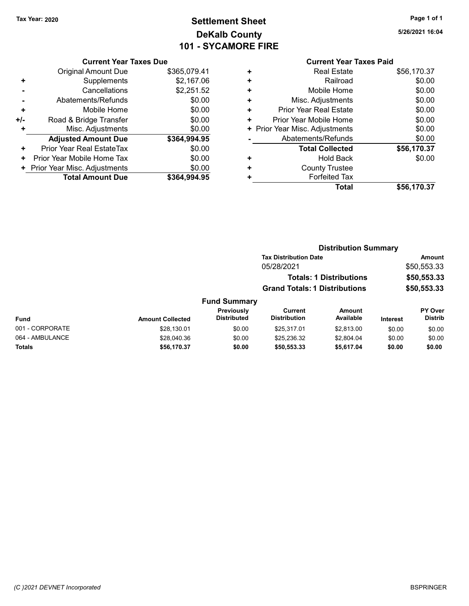# Tax Year: 2020 **Page 1 of 1 Settlement Sheet Constant Constant Constant Constant Constant Constant Constant Constant Constant Constant Constant Constant Page 1 of 1** DeKalb County 101 - SYCAMORE FIRE

|     | <b>Current Year Taxes Due</b> |              |
|-----|-------------------------------|--------------|
|     | <b>Original Amount Due</b>    | \$365,079.41 |
| ٠   | Supplements                   | \$2,167.06   |
|     | Cancellations                 | \$2,251.52   |
|     | Abatements/Refunds            | \$0.00       |
| ٠   | Mobile Home                   | \$0.00       |
| +/- | Road & Bridge Transfer        | \$0.00       |
| ÷   | Misc. Adjustments             | \$0.00       |
|     | <b>Adjusted Amount Due</b>    | \$364,994.95 |
| ٠   | Prior Year Real EstateTax     | \$0.00       |
| ٠   | Prior Year Mobile Home Tax    | \$0.00       |
| ٠   | Prior Year Misc. Adjustments  | \$0.00       |
|     | <b>Total Amount Due</b>       | \$364,994.95 |

#### Current Year Taxes Paid + Real Estate \$56,170.37 + Railroad \$0.00 + Mobile Home \$0.00 + Misc. Adjustments \$0.00 + Prior Year Real Estate \$0.00 + Prior Year Mobile Home \$0.00<br>
+ Prior Year Misc. Adjustments \$0.00 + Prior Year Misc. Adjustments - Abatements/Refunds \$0.00 Total Collected \$56,170.37 + Hold Back \$0.00

|   | <b>Total Collected</b> | \$56,170.37 |
|---|------------------------|-------------|
| ٠ | Hold Back              | \$0.00      |
| ٠ | <b>County Trustee</b>  |             |
| ٠ | <b>Forfeited Tax</b>   |             |
|   | Total                  | \$56,170.37 |

|                 |                         |                                  |                                      | <b>Distribution Summary</b>    |                 |                           |
|-----------------|-------------------------|----------------------------------|--------------------------------------|--------------------------------|-----------------|---------------------------|
|                 |                         |                                  | <b>Tax Distribution Date</b>         |                                |                 | <b>Amount</b>             |
|                 |                         |                                  | 05/28/2021                           |                                |                 | \$50,553.33               |
|                 |                         |                                  |                                      | <b>Totals: 1 Distributions</b> |                 | \$50,553.33               |
|                 |                         |                                  | <b>Grand Totals: 1 Distributions</b> |                                |                 | \$50,553.33               |
|                 |                         | <b>Fund Summary</b>              |                                      |                                |                 |                           |
| Fund            | <b>Amount Collected</b> | Previously<br><b>Distributed</b> | Current<br><b>Distribution</b>       | Amount<br>Available            | <b>Interest</b> | PY Over<br><b>Distrib</b> |
| 001 - CORPORATE | \$28,130.01             | \$0.00                           | \$25.317.01                          | \$2.813.00                     | \$0.00          | \$0.00                    |
| 064 - AMBULANCE | \$28,040.36             | \$0.00                           | \$25.236.32                          | \$2,804.04                     | \$0.00          | \$0.00                    |
| Totals          | \$56,170.37             | \$0.00                           | \$50,553.33                          | \$5,617.04                     | \$0.00          | \$0.00                    |
|                 |                         |                                  |                                      |                                |                 |                           |

5/26/2021 16:04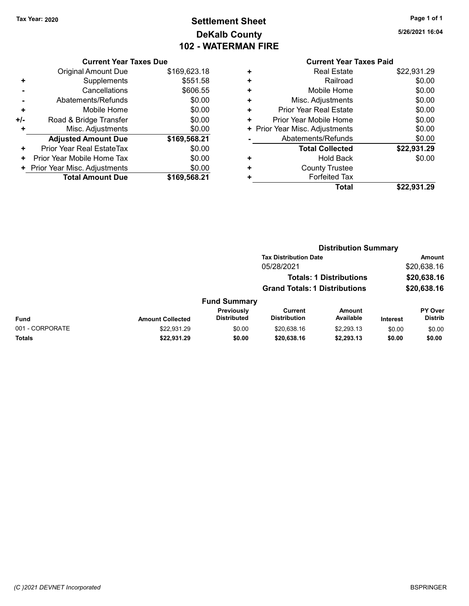# Tax Year: 2020 **Page 1 of 1 Settlement Sheet Constant Constant Constant Constant Constant Constant Constant Constant Constant Constant Constant Constant Page 1 of 1** DeKalb County 102 - WATERMAN FIRE

5/26/2021 16:04

#### Current Year Taxes Due

|       | <b>Total Amount Due</b>        | \$169,568.21 |
|-------|--------------------------------|--------------|
|       | + Prior Year Misc. Adjustments | \$0.00       |
| ٠     | Prior Year Mobile Home Tax     | \$0.00       |
| ٠     | Prior Year Real EstateTax      | \$0.00       |
|       | <b>Adjusted Amount Due</b>     | \$169,568.21 |
| ٠     | Misc. Adjustments              | \$0.00       |
| $+/-$ | Road & Bridge Transfer         | \$0.00       |
| ٠     | Mobile Home                    | \$0.00       |
|       | Abatements/Refunds             | \$0.00       |
|       | Cancellations                  | \$606.55     |
| ٠     | Supplements                    | \$551.58     |
|       | <b>Original Amount Due</b>     | \$169,623.18 |
|       |                                |              |

|   | <b>Current Year Taxes Paid</b> |             |
|---|--------------------------------|-------------|
| ٠ | <b>Real Estate</b>             | \$22,931.29 |
| ٠ | Railroad                       | \$0.00      |
| ٠ | Mobile Home                    | \$0.00      |
| ٠ | Misc. Adjustments              | \$0.00      |
| ٠ | Prior Year Real Estate         | \$0.00      |
| ÷ | Prior Year Mobile Home         | \$0.00      |
| ٠ | Prior Year Misc. Adjustments   | \$0.00      |
|   | Abatements/Refunds             | \$0.00      |
|   | <b>Total Collected</b>         | \$22,931.29 |
|   | <b>Hold Back</b>               | \$0.00      |
|   | <b>County Trustee</b>          |             |
|   | <b>Forfeited Tax</b>           |             |
|   | Total                          | \$22,931.29 |
|   |                                |             |

|                 |                         |                                  | <b>Distribution Summary</b>           |                                |                 |                           |
|-----------------|-------------------------|----------------------------------|---------------------------------------|--------------------------------|-----------------|---------------------------|
|                 |                         |                                  | <b>Tax Distribution Date</b>          |                                |                 | Amount                    |
|                 |                         |                                  | 05/28/2021                            |                                |                 | \$20,638.16               |
|                 |                         |                                  |                                       | <b>Totals: 1 Distributions</b> |                 | \$20,638.16               |
|                 |                         |                                  | <b>Grand Totals: 1 Distributions</b>  |                                |                 | \$20,638.16               |
|                 |                         | <b>Fund Summary</b>              |                                       |                                |                 |                           |
| Fund            | <b>Amount Collected</b> | Previously<br><b>Distributed</b> | <b>Current</b><br><b>Distribution</b> | <b>Amount</b><br>Available     | <b>Interest</b> | PY Over<br><b>Distrib</b> |
| 001 - CORPORATE | \$22,931.29             | \$0.00                           | \$20,638.16                           | \$2,293.13                     | \$0.00          | \$0.00                    |
| Totals          | \$22,931.29             | \$0.00                           | \$20,638.16                           | \$2,293.13                     | \$0.00          | \$0.00                    |
|                 |                         |                                  |                                       |                                |                 |                           |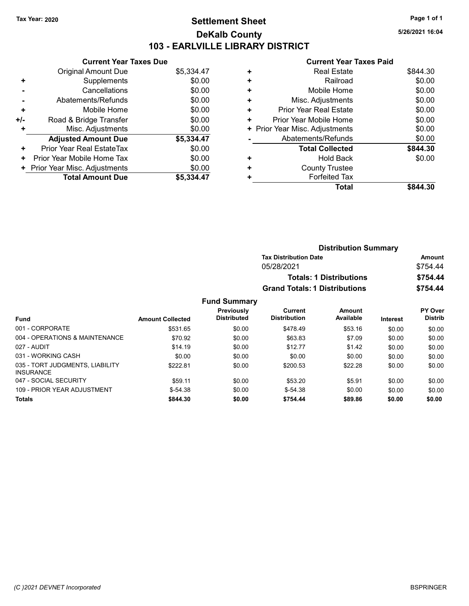# Tax Year: 2020 **Page 1 of 1 Settlement Sheet Constant Constant Constant Constant Constant Constant Constant Constant Constant Constant Constant Constant Page 1 of 1** DeKalb County 103 - EARLVILLE LIBRARY DISTRICT

5/26/2021 16:04

|     | <b>Current Year Taxes Due</b> |            |
|-----|-------------------------------|------------|
|     | Original Amount Due           | \$5,334.47 |
| ٠   | Supplements                   | \$0.00     |
|     | Cancellations                 | \$0.00     |
|     | Abatements/Refunds            | \$0.00     |
| ٠   | Mobile Home                   | \$0.00     |
| +/- | Road & Bridge Transfer        | \$0.00     |
| ÷   | Misc. Adjustments             | \$0.00     |
|     | <b>Adjusted Amount Due</b>    | \$5,334.47 |
| ٠   | Prior Year Real EstateTax     | \$0.00     |
| ٠   | Prior Year Mobile Home Tax    | \$0.00     |
|     | Prior Year Misc. Adjustments  | \$0.00     |
|     | <b>Total Amount Due</b>       | \$5.334.47 |

| ٠ | <b>Real Estate</b>            | \$844.30 |
|---|-------------------------------|----------|
| ٠ | Railroad                      | \$0.00   |
| ٠ | Mobile Home                   | \$0.00   |
| ٠ | Misc. Adjustments             | \$0.00   |
| ٠ | <b>Prior Year Real Estate</b> | \$0.00   |
| ٠ | Prior Year Mobile Home        | \$0.00   |
| ٠ | Prior Year Misc. Adjustments  | \$0.00   |
|   | Abatements/Refunds            | \$0.00   |
|   | <b>Total Collected</b>        | \$844.30 |
| ٠ | <b>Hold Back</b>              | \$0.00   |
| ٠ | <b>County Trustee</b>         |          |
| ٠ | <b>Forfeited Tax</b>          |          |
|   | Total                         | \$844.30 |
|   |                               |          |

|                     |                                      | <b>Distribution Summary</b>    |                |
|---------------------|--------------------------------------|--------------------------------|----------------|
|                     | <b>Tax Distribution Date</b>         |                                | Amount         |
|                     | 05/28/2021                           |                                | \$754.44       |
|                     |                                      | <b>Totals: 1 Distributions</b> | \$754.44       |
|                     | <b>Grand Totals: 1 Distributions</b> |                                | \$754.44       |
| <b>Fund Summary</b> |                                      |                                |                |
| Previously          | Current                              | Amount                         | <b>PY Over</b> |

| <b>Fund</b>                                         | <b>Amount Collected</b> | <b>Previously</b><br><b>Distributed</b> | Current<br><b>Distribution</b> | Amount<br>Available | <b>Interest</b> | <b>PY Over</b><br><b>Distrib</b> |
|-----------------------------------------------------|-------------------------|-----------------------------------------|--------------------------------|---------------------|-----------------|----------------------------------|
| 001 - CORPORATE                                     | \$531.65                | \$0.00                                  | \$478.49                       | \$53.16             | \$0.00          | \$0.00                           |
| 004 - OPERATIONS & MAINTENANCE                      | \$70.92                 | \$0.00                                  | \$63.83                        | \$7.09              | \$0.00          | \$0.00                           |
| 027 - AUDIT                                         | \$14.19                 | \$0.00                                  | \$12.77                        | \$1.42              | \$0.00          | \$0.00                           |
| 031 - WORKING CASH                                  | \$0.00                  | \$0.00                                  | \$0.00                         | \$0.00              | \$0.00          | \$0.00                           |
| 035 - TORT JUDGMENTS, LIABILITY<br><b>INSURANCE</b> | \$222.81                | \$0.00                                  | \$200.53                       | \$22.28             | \$0.00          | \$0.00                           |
| 047 - SOCIAL SECURITY                               | \$59.11                 | \$0.00                                  | \$53.20                        | \$5.91              | \$0.00          | \$0.00                           |
| 109 - PRIOR YEAR ADJUSTMENT                         | $$-54.38$               | \$0.00                                  | $$-54.38$                      | \$0.00              | \$0.00          | \$0.00                           |
| <b>Totals</b>                                       | \$844.30                | \$0.00                                  | \$754.44                       | \$89.86             | \$0.00          | \$0.00                           |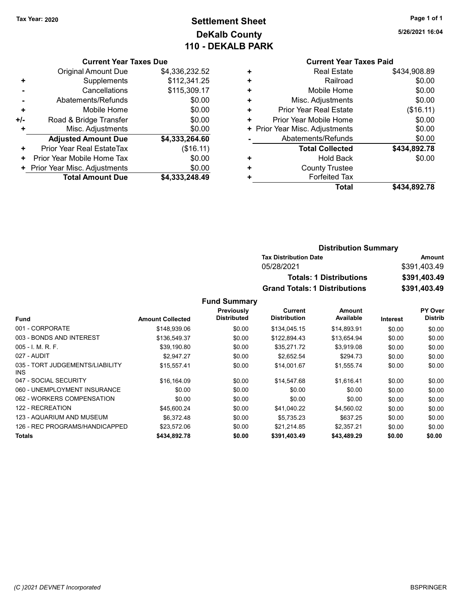# Tax Year: 2020 **Page 1 of 1 Settlement Sheet Constant Constant Constant Constant Constant Constant Constant Constant Constant Constant Constant Constant Page 1 of 1** DeKalb County 110 - DEKALB PARK

|     | <b>Current Year Taxes Due</b> |                |  |  |
|-----|-------------------------------|----------------|--|--|
|     | <b>Original Amount Due</b>    | \$4,336,232.52 |  |  |
| ٠   | Supplements                   | \$112,341.25   |  |  |
|     | Cancellations                 | \$115,309.17   |  |  |
|     | Abatements/Refunds            | \$0.00         |  |  |
| ٠   | Mobile Home                   | \$0.00         |  |  |
| +/- | Road & Bridge Transfer        | \$0.00         |  |  |
| ٠   | Misc. Adjustments             | \$0.00         |  |  |
|     | <b>Adjusted Amount Due</b>    | \$4,333,264.60 |  |  |
| ٠   | Prior Year Real EstateTax     | (\$16.11)      |  |  |
| ٠   | Prior Year Mobile Home Tax    | \$0.00         |  |  |
|     | Prior Year Misc. Adjustments  | \$0.00         |  |  |
|     | <b>Total Amount Due</b>       | \$4,333,248.49 |  |  |

### Current Year Taxes Paid

|   | <b>Real Estate</b>             | \$434,908.89 |
|---|--------------------------------|--------------|
| ÷ | Railroad                       | \$0.00       |
| ٠ | Mobile Home                    | \$0.00       |
| ٠ | Misc. Adjustments              | \$0.00       |
| ٠ | Prior Year Real Estate         | (\$16.11)    |
| ٠ | Prior Year Mobile Home         | \$0.00       |
|   | + Prior Year Misc. Adjustments | \$0.00       |
|   | Abatements/Refunds             | \$0.00       |
|   | <b>Total Collected</b>         | \$434,892.78 |
| ٠ | Hold Back                      | \$0.00       |
| ٠ | <b>County Trustee</b>          |              |
| ٠ | <b>Forfeited Tax</b>           |              |
|   | Total                          | \$434,892.78 |
|   |                                |              |

| <b>Distribution Summary</b>          |              |
|--------------------------------------|--------------|
| <b>Tax Distribution Date</b>         | Amount       |
| 05/28/2021                           | \$391,403.49 |
| <b>Totals: 1 Distributions</b>       | \$391,403.49 |
| <b>Grand Totals: 1 Distributions</b> | \$391,403.49 |

|                                               |                         | Previously         | Current             | Amount      |                 | PY Over        |
|-----------------------------------------------|-------------------------|--------------------|---------------------|-------------|-----------------|----------------|
| <b>Fund</b>                                   | <b>Amount Collected</b> | <b>Distributed</b> | <b>Distribution</b> | Available   | <b>Interest</b> | <b>Distrib</b> |
| 001 - CORPORATE                               | \$148,939.06            | \$0.00             | \$134,045.15        | \$14,893.91 | \$0.00          | \$0.00         |
| 003 - BONDS AND INTEREST                      | \$136,549.37            | \$0.00             | \$122,894.43        | \$13,654.94 | \$0.00          | \$0.00         |
| $005 - I$ , M, R, F.                          | \$39.190.80             | \$0.00             | \$35.271.72         | \$3.919.08  | \$0.00          | \$0.00         |
| 027 - AUDIT                                   | \$2.947.27              | \$0.00             | \$2,652.54          | \$294.73    | \$0.00          | \$0.00         |
| 035 - TORT JUDGEMENTS/LIABILITY<br><b>INS</b> | \$15,557.41             | \$0.00             | \$14,001.67         | \$1,555.74  | \$0.00          | \$0.00         |
| 047 - SOCIAL SECURITY                         | \$16,164.09             | \$0.00             | \$14,547.68         | \$1.616.41  | \$0.00          | \$0.00         |
| 060 - UNEMPLOYMENT INSURANCE                  | \$0.00                  | \$0.00             | \$0.00              | \$0.00      | \$0.00          | \$0.00         |
| 062 - WORKERS COMPENSATION                    | \$0.00                  | \$0.00             | \$0.00              | \$0.00      | \$0.00          | \$0.00         |
| 122 - RECREATION                              | \$45.600.24             | \$0.00             | \$41.040.22         | \$4.560.02  | \$0.00          | \$0.00         |
| 123 - AQUARIUM AND MUSEUM                     | \$6.372.48              | \$0.00             | \$5.735.23          | \$637.25    | \$0.00          | \$0.00         |
| 126 - REC PROGRAMS/HANDICAPPED                | \$23.572.06             | \$0.00             | \$21.214.85         | \$2.357.21  | \$0.00          | \$0.00         |
| <b>Totals</b>                                 | \$434.892.78            | \$0.00             | \$391,403.49        | \$43,489.29 | \$0.00          | \$0.00         |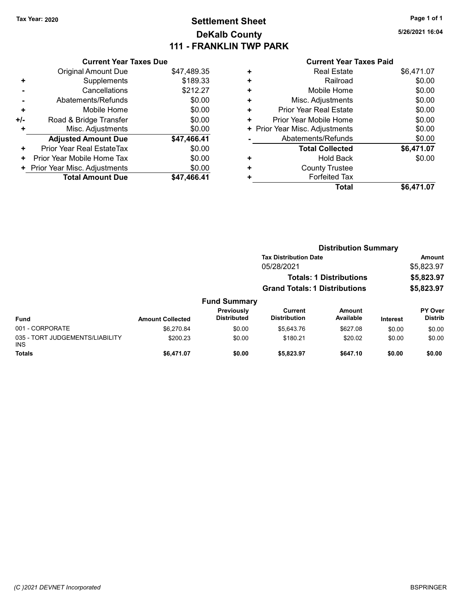# Tax Year: 2020 **Page 1 of 1 Settlement Sheet Constant Constant Constant Constant Constant Constant Constant Constant Constant Constant Constant Constant Page 1 of 1** DeKalb County 111 - FRANKLIN TWP PARK

5/26/2021 16:04

|     | <b>Current Year Taxes Due</b> |             |
|-----|-------------------------------|-------------|
|     | <b>Original Amount Due</b>    | \$47,489.35 |
| ٠   | Supplements                   | \$189.33    |
|     | Cancellations                 | \$212.27    |
|     | Abatements/Refunds            | \$0.00      |
| ٠   | Mobile Home                   | \$0.00      |
| +/- | Road & Bridge Transfer        | \$0.00      |
|     | Misc. Adjustments             | \$0.00      |
|     | <b>Adjusted Amount Due</b>    | \$47,466.41 |
| ٠   | Prior Year Real EstateTax     | \$0.00      |
| ٠   | Prior Year Mobile Home Tax    | \$0.00      |
| ٠   | Prior Year Misc. Adjustments  | \$0.00      |
|     | <b>Total Amount Due</b>       | \$47,466.41 |

|   | Total                          | \$6,471.07 |
|---|--------------------------------|------------|
| ٠ | <b>Forfeited Tax</b>           |            |
| ٠ | <b>County Trustee</b>          |            |
| ٠ | <b>Hold Back</b>               | \$0.00     |
|   | <b>Total Collected</b>         | \$6,471.07 |
|   | Abatements/Refunds             | \$0.00     |
|   | + Prior Year Misc. Adjustments | \$0.00     |
| ٠ | Prior Year Mobile Home         | \$0.00     |
| ٠ | Prior Year Real Estate         | \$0.00     |
| ٠ | Misc. Adjustments              | \$0.00     |
| ٠ | Mobile Home                    | \$0.00     |
| ٠ | Railroad                       | \$0.00     |
| ٠ | <b>Real Estate</b>             | \$6,471.07 |
|   |                                |            |

|                                         |                         |                                  | <b>Distribution Summary</b>           |                     |                 |                           |
|-----------------------------------------|-------------------------|----------------------------------|---------------------------------------|---------------------|-----------------|---------------------------|
|                                         |                         |                                  | <b>Tax Distribution Date</b>          |                     |                 | Amount                    |
|                                         |                         |                                  | 05/28/2021                            |                     |                 | \$5,823.97                |
|                                         |                         |                                  | <b>Totals: 1 Distributions</b>        |                     |                 | \$5,823.97                |
|                                         |                         |                                  | <b>Grand Totals: 1 Distributions</b>  |                     |                 | \$5,823.97                |
|                                         |                         | <b>Fund Summary</b>              |                                       |                     |                 |                           |
| <b>Fund</b>                             | <b>Amount Collected</b> | Previously<br><b>Distributed</b> | <b>Current</b><br><b>Distribution</b> | Amount<br>Available | <b>Interest</b> | PY Over<br><b>Distrib</b> |
| 001 - CORPORATE                         | \$6,270.84              | \$0.00                           | \$5.643.76                            | \$627.08            | \$0.00          | \$0.00                    |
| 035 - TORT JUDGEMENTS/LIABILITY<br>INS. | \$200.23                | \$0.00                           | \$180.21                              | \$20.02             | \$0.00          | \$0.00                    |
| <b>Totals</b>                           | \$6.471.07              | \$0.00                           | \$5.823.97                            | \$647.10            | \$0.00          | \$0.00                    |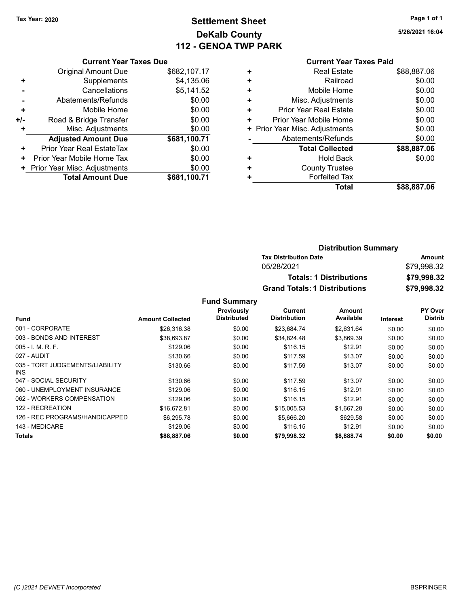# Tax Year: 2020 **Page 1 of 1 Settlement Sheet Constant Constant Constant Constant Constant Constant Constant Constant Constant Constant Constant Constant Page 1 of 1** DeKalb County 112 - GENOA TWP PARK

5/26/2021 16:04

#### Current Year Taxes Paid

|     | <b>Current Year Taxes Due</b> |              |
|-----|-------------------------------|--------------|
|     | Original Amount Due           | \$682,107.17 |
| ٠   | Supplements                   | \$4,135.06   |
|     | Cancellations                 | \$5,141.52   |
|     | Abatements/Refunds            | \$0.00       |
| ÷   | Mobile Home                   | \$0.00       |
| +/- | Road & Bridge Transfer        | \$0.00       |
| ٠   | Misc. Adjustments             | \$0.00       |
|     | <b>Adjusted Amount Due</b>    | \$681,100.71 |
| ٠   | Prior Year Real EstateTax     | \$0.00       |
| ٠   | Prior Year Mobile Home Tax    | \$0.00       |
|     | Prior Year Misc. Adjustments  | \$0.00       |
|     | <b>Total Amount Due</b>       | \$681.100.71 |

| ٠ | <b>Real Estate</b>            | \$88,887.06 |
|---|-------------------------------|-------------|
| ٠ | Railroad                      | \$0.00      |
| ٠ | Mobile Home                   | \$0.00      |
| ٠ | Misc. Adjustments             | \$0.00      |
| ٠ | <b>Prior Year Real Estate</b> | \$0.00      |
| ٠ | Prior Year Mobile Home        | \$0.00      |
| ٠ | Prior Year Misc. Adjustments  | \$0.00      |
|   | Abatements/Refunds            | \$0.00      |
|   | <b>Total Collected</b>        | \$88,887.06 |
| ٠ | <b>Hold Back</b>              | \$0.00      |
| ٠ | <b>County Trustee</b>         |             |
|   | <b>Forfeited Tax</b>          |             |
|   | Total                         | \$88,887.06 |
|   |                               |             |

| <b>Distribution Summary</b>          |             |  |  |  |
|--------------------------------------|-------------|--|--|--|
| <b>Tax Distribution Date</b>         | Amount      |  |  |  |
| 05/28/2021                           | \$79.998.32 |  |  |  |
| <b>Totals: 1 Distributions</b>       | \$79,998.32 |  |  |  |
| <b>Grand Totals: 1 Distributions</b> | \$79,998.32 |  |  |  |

|                                         |                         | Previously         | Current             | Amount     |                 | PY Over        |
|-----------------------------------------|-------------------------|--------------------|---------------------|------------|-----------------|----------------|
| <b>Fund</b>                             | <b>Amount Collected</b> | <b>Distributed</b> | <b>Distribution</b> | Available  | <b>Interest</b> | <b>Distrib</b> |
| 001 - CORPORATE                         | \$26,316.38             | \$0.00             | \$23.684.74         | \$2,631.64 | \$0.00          | \$0.00         |
| 003 - BONDS AND INTEREST                | \$38,693.87             | \$0.00             | \$34,824.48         | \$3,869.39 | \$0.00          | \$0.00         |
| $005 - I$ , M, R, F,                    | \$129.06                | \$0.00             | \$116.15            | \$12.91    | \$0.00          | \$0.00         |
| 027 - AUDIT                             | \$130.66                | \$0.00             | \$117.59            | \$13.07    | \$0.00          | \$0.00         |
| 035 - TORT JUDGEMENTS/LIABILITY<br>INS. | \$130.66                | \$0.00             | \$117.59            | \$13.07    | \$0.00          | \$0.00         |
| 047 - SOCIAL SECURITY                   | \$130.66                | \$0.00             | \$117.59            | \$13.07    | \$0.00          | \$0.00         |
| 060 - UNEMPLOYMENT INSURANCE            | \$129.06                | \$0.00             | \$116.15            | \$12.91    | \$0.00          | \$0.00         |
| 062 - WORKERS COMPENSATION              | \$129.06                | \$0.00             | \$116.15            | \$12.91    | \$0.00          | \$0.00         |
| 122 - RECREATION                        | \$16,672.81             | \$0.00             | \$15,005.53         | \$1,667.28 | \$0.00          | \$0.00         |
| 126 - REC PROGRAMS/HANDICAPPED          | \$6,295.78              | \$0.00             | \$5,666.20          | \$629.58   | \$0.00          | \$0.00         |
| 143 - MEDICARE                          | \$129.06                | \$0.00             | \$116.15            | \$12.91    | \$0.00          | \$0.00         |
| Totals                                  | \$88,887.06             | \$0.00             | \$79,998.32         | \$8,888.74 | \$0.00          | \$0.00         |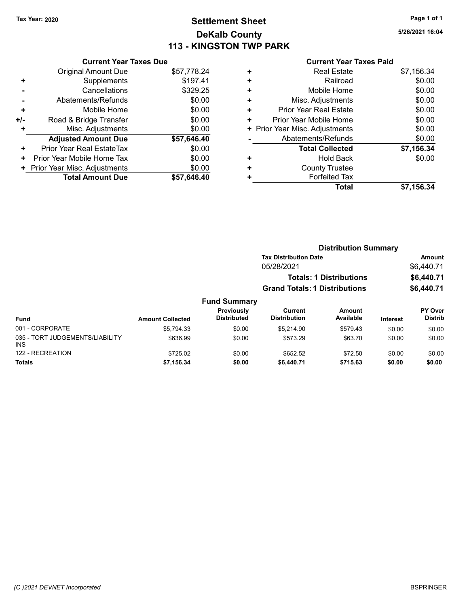# Tax Year: 2020 **Page 1 of 1 Settlement Sheet Constant Constant Constant Constant Constant Constant Constant Constant Constant Constant Constant Constant Page 1 of 1** DeKalb County 113 - KINGSTON TWP PARK

5/26/2021 16:04

|     | <b>Current Year Taxes Due</b> |             |  |  |  |  |
|-----|-------------------------------|-------------|--|--|--|--|
|     | <b>Original Amount Due</b>    | \$57,778.24 |  |  |  |  |
|     | Supplements                   | \$197.41    |  |  |  |  |
|     | \$329.25<br>Cancellations     |             |  |  |  |  |
|     | \$0.00<br>Abatements/Refunds  |             |  |  |  |  |
| ٠   | Mobile Home                   | \$0.00      |  |  |  |  |
| +/- | Road & Bridge Transfer        | \$0.00      |  |  |  |  |
| ÷   | Misc. Adjustments             | \$0.00      |  |  |  |  |
|     | <b>Adjusted Amount Due</b>    | \$57,646.40 |  |  |  |  |

|       | <b>Total Amount Due</b>        | \$57,646.40 |
|-------|--------------------------------|-------------|
|       | + Prior Year Misc. Adjustments | \$0.00      |
|       | + Prior Year Mobile Home Tax   | \$0.00      |
| $\pm$ | Prior Year Real EstateTax      | \$0.00      |
|       |                                |             |

| ٠ | <b>Real Estate</b>             | \$7,156.34 |
|---|--------------------------------|------------|
| ٠ | Railroad                       | \$0.00     |
| ٠ | Mobile Home                    | \$0.00     |
| ٠ | Misc. Adjustments              | \$0.00     |
| ٠ | Prior Year Real Estate         | \$0.00     |
| ٠ | Prior Year Mobile Home         | \$0.00     |
|   | + Prior Year Misc. Adjustments | \$0.00     |
|   | Abatements/Refunds             | \$0.00     |
|   | <b>Total Collected</b>         | \$7,156.34 |
| ٠ | <b>Hold Back</b>               | \$0.00     |
| ٠ | <b>County Trustee</b>          |            |
| ٠ | <b>Forfeited Tax</b>           |            |
|   | Total                          | \$7,156.34 |

|                                               |                         | <b>Distribution Summary</b>      |                                                                        |                     |                 |                           |
|-----------------------------------------------|-------------------------|----------------------------------|------------------------------------------------------------------------|---------------------|-----------------|---------------------------|
|                                               |                         |                                  | <b>Tax Distribution Date</b>                                           |                     |                 | <b>Amount</b>             |
|                                               |                         |                                  | 05/28/2021                                                             |                     |                 | \$6,440.71                |
|                                               |                         |                                  | <b>Totals: 1 Distributions</b><br><b>Grand Totals: 1 Distributions</b> |                     |                 | \$6,440.71                |
|                                               |                         |                                  |                                                                        |                     |                 | \$6,440.71                |
|                                               |                         | <b>Fund Summary</b>              |                                                                        |                     |                 |                           |
| <b>Fund</b>                                   | <b>Amount Collected</b> | Previously<br><b>Distributed</b> | Current<br><b>Distribution</b>                                         | Amount<br>Available | <b>Interest</b> | PY Over<br><b>Distrib</b> |
| 001 - CORPORATE                               | \$5,794.33              | \$0.00                           | \$5.214.90                                                             | \$579.43            | \$0.00          | \$0.00                    |
| 035 - TORT JUDGEMENTS/LIABILITY<br><b>INS</b> | \$636.99                | \$0.00                           | \$573.29                                                               | \$63.70             | \$0.00          | \$0.00                    |
| 122 - RECREATION                              | \$725.02                | \$0.00                           | \$652.52                                                               | \$72.50             | \$0.00          | \$0.00                    |
| <b>Totals</b>                                 | \$7,156.34              | \$0.00                           | \$6,440.71                                                             | \$715.63            | \$0.00          | \$0.00                    |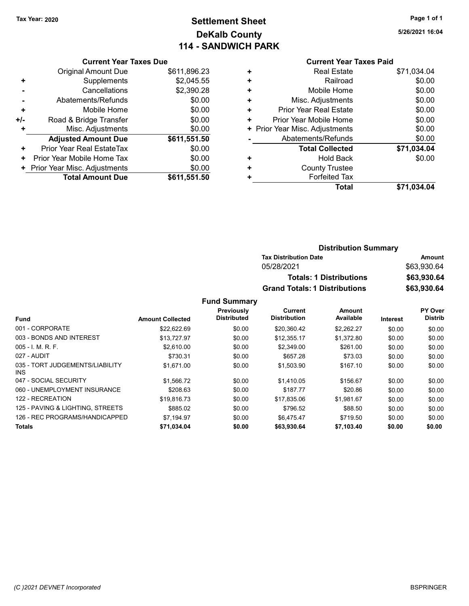# Tax Year: 2020 **Page 1 of 1 Settlement Sheet Constant Constant Constant Constant Constant Constant Constant Constant Constant Constant Constant Constant Page 1 of 1** DeKalb County 114 - SANDWICH PARK

5/26/2021 16:04

#### Current Year Taxes Due

|     | <b>Original Amount Due</b>     | \$611,896.23 |
|-----|--------------------------------|--------------|
| ٠   | Supplements                    | \$2,045.55   |
|     | Cancellations                  | \$2,390.28   |
|     | Abatements/Refunds             | \$0.00       |
| ٠   | Mobile Home                    | \$0.00       |
| +/- | Road & Bridge Transfer         | \$0.00       |
| ٠   | Misc. Adjustments              | \$0.00       |
|     | <b>Adjusted Amount Due</b>     | \$611,551.50 |
| ٠   | Prior Year Real EstateTax      | \$0.00       |
| ٠   | Prior Year Mobile Home Tax     | \$0.00       |
|     | + Prior Year Misc. Adjustments | \$0.00       |
|     | <b>Total Amount Due</b>        | \$611,551.50 |

# Current Year Taxes Paid + Real Estate \$71,034.04

|   | Railroad                       | \$0.00      |
|---|--------------------------------|-------------|
| ٠ | Mobile Home                    | \$0.00      |
| ٠ | Misc. Adjustments              | \$0.00      |
| ٠ | Prior Year Real Estate         | \$0.00      |
| ٠ | Prior Year Mobile Home         | \$0.00      |
|   | + Prior Year Misc. Adjustments | \$0.00      |
|   | Abatements/Refunds             | \$0.00      |
|   | <b>Total Collected</b>         | \$71,034.04 |
|   | <b>Hold Back</b>               | \$0.00      |
| ٠ | <b>County Trustee</b>          |             |
|   | <b>Forfeited Tax</b>           |             |
|   | Total                          | \$71,034.04 |

### Distribution Summary Tax Distribution Date **Amount** 05/28/2021 \$63,930.64 Totals: 1 Distributions \$63,930.64 Grand Totals: 1 Distributions \$63,930.64

|                                         |                         | Previously         | Current             | <b>Amount</b> |          | PY Over        |
|-----------------------------------------|-------------------------|--------------------|---------------------|---------------|----------|----------------|
| <b>Fund</b>                             | <b>Amount Collected</b> | <b>Distributed</b> | <b>Distribution</b> | Available     | Interest | <b>Distrib</b> |
| 001 - CORPORATE                         | \$22.622.69             | \$0.00             | \$20,360.42         | \$2,262.27    | \$0.00   | \$0.00         |
| 003 - BONDS AND INTEREST                | \$13,727.97             | \$0.00             | \$12.355.17         | \$1.372.80    | \$0.00   | \$0.00         |
| $005 - I. M. R. F.$                     | \$2.610.00              | \$0.00             | \$2,349.00          | \$261.00      | \$0.00   | \$0.00         |
| 027 - AUDIT                             | \$730.31                | \$0.00             | \$657.28            | \$73.03       | \$0.00   | \$0.00         |
| 035 - TORT JUDGEMENTS/LIABILITY<br>INS. | \$1,671.00              | \$0.00             | \$1,503.90          | \$167.10      | \$0.00   | \$0.00         |
| 047 - SOCIAL SECURITY                   | \$1.566.72              | \$0.00             | \$1.410.05          | \$156.67      | \$0.00   | \$0.00         |
| 060 - UNEMPLOYMENT INSURANCE            | \$208.63                | \$0.00             | \$187.77            | \$20.86       | \$0.00   | \$0.00         |
| 122 - RECREATION                        | \$19,816.73             | \$0.00             | \$17,835.06         | \$1.981.67    | \$0.00   | \$0.00         |
| 125 - PAVING & LIGHTING, STREETS        | \$885.02                | \$0.00             | \$796.52            | \$88.50       | \$0.00   | \$0.00         |
| 126 - REC PROGRAMS/HANDICAPPED          | \$7.194.97              | \$0.00             | \$6.475.47          | \$719.50      | \$0.00   | \$0.00         |
| <b>Totals</b>                           | \$71.034.04             | \$0.00             | \$63,930.64         | \$7.103.40    | \$0.00   | \$0.00         |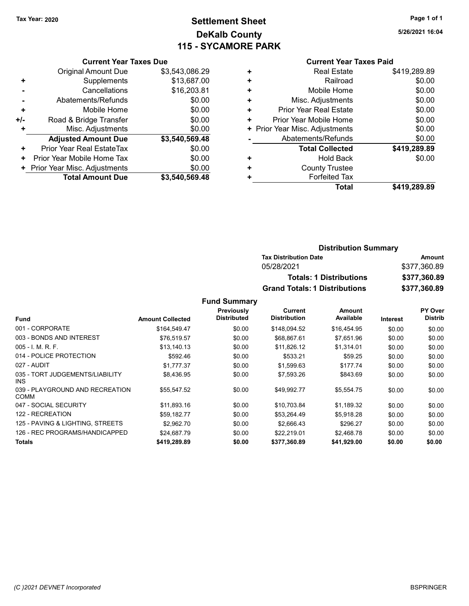# Tax Year: 2020 **Page 1 of 1 Settlement Sheet Constant Constant Constant Constant Constant Constant Constant Constant Constant Constant Constant Constant Page 1 of 1** DeKalb County 115 - SYCAMORE PARK

5/26/2021 16:04

#### Current Year Taxes Due

|     | <b>Total Amount Due</b>        | \$3,540,569.48 |
|-----|--------------------------------|----------------|
|     | + Prior Year Misc. Adjustments | \$0.00         |
| ٠   | Prior Year Mobile Home Tax     | \$0.00         |
| ٠   | Prior Year Real EstateTax      | \$0.00         |
|     | <b>Adjusted Amount Due</b>     | \$3,540,569.48 |
| ٠   | Misc. Adjustments              | \$0.00         |
| +/- | Road & Bridge Transfer         | \$0.00         |
| ٠   | Mobile Home                    | \$0.00         |
|     | Abatements/Refunds             | \$0.00         |
|     | Cancellations                  | \$16,203.81    |
| ٠   | Supplements                    | \$13,687.00    |
|     | <b>Original Amount Due</b>     | \$3,543,086.29 |
|     |                                |                |

#### Current Year Taxes Paid

| ٠ | <b>Real Estate</b>             | \$419,289.89 |
|---|--------------------------------|--------------|
| ٠ | Railroad                       | \$0.00       |
| ٠ | Mobile Home                    | \$0.00       |
| ٠ | Misc. Adjustments              | \$0.00       |
| ٠ | <b>Prior Year Real Estate</b>  | \$0.00       |
| ٠ | Prior Year Mobile Home         | \$0.00       |
|   | + Prior Year Misc. Adjustments | \$0.00       |
|   | Abatements/Refunds             | \$0.00       |
|   | <b>Total Collected</b>         | \$419,289.89 |
| ٠ | <b>Hold Back</b>               | \$0.00       |
| ٠ | <b>County Trustee</b>          |              |
| ٠ | <b>Forfeited Tax</b>           |              |
|   | Total                          | \$419,289.89 |

#### Distribution Summary Tax Distribution Date **Amount** 05/28/2021 \$377,360.89 Totals: 1 Distributions \$377,360.89 Grand Totals: 1 Distributions \$377,360.89

|                                                |                         | Previously         | Current             | Amount      |                 | <b>PY Over</b> |
|------------------------------------------------|-------------------------|--------------------|---------------------|-------------|-----------------|----------------|
| <b>Fund</b>                                    | <b>Amount Collected</b> | <b>Distributed</b> | <b>Distribution</b> | Available   | <b>Interest</b> | <b>Distrib</b> |
| 001 - CORPORATE                                | \$164.549.47            | \$0.00             | \$148.094.52        | \$16.454.95 | \$0.00          | \$0.00         |
| 003 - BONDS AND INTEREST                       | \$76,519.57             | \$0.00             | \$68,867.61         | \$7,651.96  | \$0.00          | \$0.00         |
| $005 - I. M. R. F.$                            | \$13,140.13             | \$0.00             | \$11,826.12         | \$1,314.01  | \$0.00          | \$0.00         |
| 014 - POLICE PROTECTION                        | \$592.46                | \$0.00             | \$533.21            | \$59.25     | \$0.00          | \$0.00         |
| 027 - AUDIT                                    | \$1,777.37              | \$0.00             | \$1,599.63          | \$177.74    | \$0.00          | \$0.00         |
| 035 - TORT JUDGEMENTS/LIABILITY<br>INS.        | \$8.436.95              | \$0.00             | \$7,593.26          | \$843.69    | \$0.00          | \$0.00         |
| 039 - PLAYGROUND AND RECREATION<br><b>COMM</b> | \$55.547.52             | \$0.00             | \$49.992.77         | \$5,554.75  | \$0.00          | \$0.00         |
| 047 - SOCIAL SECURITY                          | \$11,893.16             | \$0.00             | \$10,703.84         | \$1,189.32  | \$0.00          | \$0.00         |
| 122 - RECREATION                               | \$59,182.77             | \$0.00             | \$53.264.49         | \$5.918.28  | \$0.00          | \$0.00         |
| 125 - PAVING & LIGHTING, STREETS               | \$2,962.70              | \$0.00             | \$2.666.43          | \$296.27    | \$0.00          | \$0.00         |
| 126 - REC PROGRAMS/HANDICAPPED                 | \$24.687.79             | \$0.00             | \$22,219.01         | \$2.468.78  | \$0.00          | \$0.00         |
| <b>Totals</b>                                  | \$419.289.89            | \$0.00             | \$377.360.89        | \$41.929.00 | \$0.00          | \$0.00         |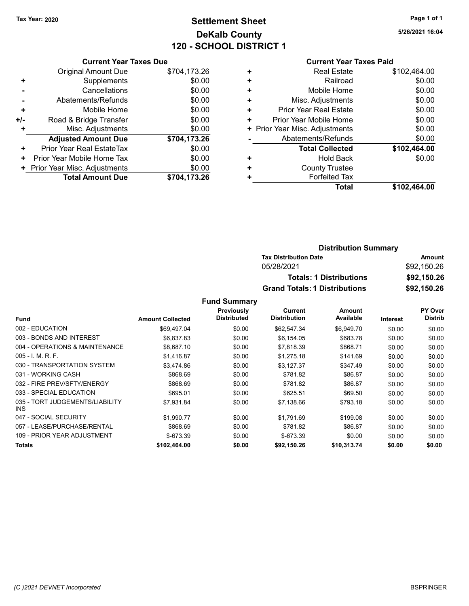# Tax Year: 2020 **Page 1 of 1 Settlement Sheet Constant Constant Constant Constant Constant Constant Constant Constant Constant Constant Constant Constant Page 1 of 1** DeKalb County 120 - SCHOOL DISTRICT 1

5/26/2021 16:04

#### Current Year Taxes Paid

|     | <b>Current Year Taxes Due</b> |              |  |  |  |
|-----|-------------------------------|--------------|--|--|--|
|     | <b>Original Amount Due</b>    | \$704,173.26 |  |  |  |
| ٠   | Supplements                   | \$0.00       |  |  |  |
|     | Cancellations                 | \$0.00       |  |  |  |
|     | Abatements/Refunds            | \$0.00       |  |  |  |
| ٠   | Mobile Home                   | \$0.00       |  |  |  |
| +/- | Road & Bridge Transfer        | \$0.00       |  |  |  |
| ٠   | Misc. Adjustments             | \$0.00       |  |  |  |
|     | <b>Adjusted Amount Due</b>    | \$704,173.26 |  |  |  |
| ٠   | Prior Year Real EstateTax     | \$0.00       |  |  |  |
| ٠   | Prior Year Mobile Home Tax    | \$0.00       |  |  |  |
|     | Prior Year Misc. Adjustments  | \$0.00       |  |  |  |
|     | <b>Total Amount Due</b>       | \$704.173.26 |  |  |  |

|   | <b>Total</b>                   | \$102,464.00 |
|---|--------------------------------|--------------|
| ٠ | <b>Forfeited Tax</b>           |              |
| ٠ | <b>County Trustee</b>          |              |
| ٠ | <b>Hold Back</b>               | \$0.00       |
|   | <b>Total Collected</b>         | \$102,464.00 |
|   | Abatements/Refunds             | \$0.00       |
|   | + Prior Year Misc. Adjustments | \$0.00       |
| ٠ | Prior Year Mobile Home         | \$0.00       |
| ٠ | Prior Year Real Estate         | \$0.00       |
| ٠ | Misc. Adjustments              | \$0.00       |
| ٠ | Mobile Home                    | \$0.00       |
| ÷ | Railroad                       | \$0.00       |
| ٠ | <b>Real Estate</b>             | \$102,464.00 |
|   |                                |              |

| <b>Distribution Summary</b>          |             |
|--------------------------------------|-------------|
| <b>Tax Distribution Date</b>         | Amount      |
| 05/28/2021                           | \$92,150.26 |
| <b>Totals: 1 Distributions</b>       | \$92,150.26 |
| <b>Grand Totals: 1 Distributions</b> | \$92,150.26 |

|                                               |                         | Previously         | Current             | Amount      |                 | <b>PY Over</b> |
|-----------------------------------------------|-------------------------|--------------------|---------------------|-------------|-----------------|----------------|
| <b>Fund</b>                                   | <b>Amount Collected</b> | <b>Distributed</b> | <b>Distribution</b> | Available   | <b>Interest</b> | <b>Distrib</b> |
| 002 - EDUCATION                               | \$69,497.04             | \$0.00             | \$62,547.34         | \$6,949.70  | \$0.00          | \$0.00         |
| 003 - BONDS AND INTEREST                      | \$6,837.83              | \$0.00             | \$6.154.05          | \$683.78    | \$0.00          | \$0.00         |
| 004 - OPERATIONS & MAINTENANCE                | \$8,687.10              | \$0.00             | \$7,818.39          | \$868.71    | \$0.00          | \$0.00         |
| $005 - I. M. R. F.$                           | \$1,416.87              | \$0.00             | \$1,275.18          | \$141.69    | \$0.00          | \$0.00         |
| 030 - TRANSPORTATION SYSTEM                   | \$3,474.86              | \$0.00             | \$3,127.37          | \$347.49    | \$0.00          | \$0.00         |
| 031 - WORKING CASH                            | \$868.69                | \$0.00             | \$781.82            | \$86.87     | \$0.00          | \$0.00         |
| 032 - FIRE PREV/SFTY/ENERGY                   | \$868.69                | \$0.00             | \$781.82            | \$86.87     | \$0.00          | \$0.00         |
| 033 - SPECIAL EDUCATION                       | \$695.01                | \$0.00             | \$625.51            | \$69.50     | \$0.00          | \$0.00         |
| 035 - TORT JUDGEMENTS/LIABILITY<br><b>INS</b> | \$7,931.84              | \$0.00             | \$7,138.66          | \$793.18    | \$0.00          | \$0.00         |
| 047 - SOCIAL SECURITY                         | \$1,990.77              | \$0.00             | \$1,791.69          | \$199.08    | \$0.00          | \$0.00         |
| 057 - LEASE/PURCHASE/RENTAL                   | \$868.69                | \$0.00             | \$781.82            | \$86.87     | \$0.00          | \$0.00         |
| 109 - PRIOR YEAR ADJUSTMENT                   | $$-673.39$              | \$0.00             | $$-673.39$          | \$0.00      | \$0.00          | \$0.00         |
| <b>Totals</b>                                 | \$102.464.00            | \$0.00             | \$92.150.26         | \$10.313.74 | \$0.00          | \$0.00         |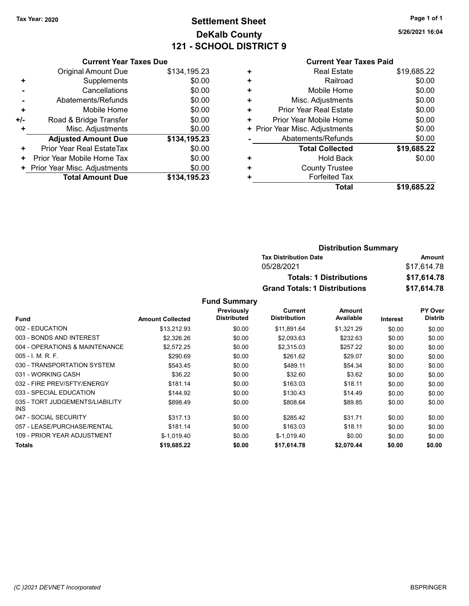# Tax Year: 2020 **Page 1 of 1 Settlement Sheet Constant Constant Constant Constant Constant Constant Constant Constant Constant Constant Constant Constant Page 1 of 1** DeKalb County 121 - SCHOOL DISTRICT 9

5/26/2021 16:04

#### Current Year Taxes Due

|       | <b>Original Amount Due</b>       | \$134,195.23 |
|-------|----------------------------------|--------------|
| ٠     | Supplements                      | \$0.00       |
|       | Cancellations                    | \$0.00       |
|       | Abatements/Refunds               | \$0.00       |
| ٠     | Mobile Home                      | \$0.00       |
| $+/-$ | Road & Bridge Transfer           | \$0.00       |
| ٠     | Misc. Adjustments                | \$0.00       |
|       | <b>Adjusted Amount Due</b>       | \$134,195.23 |
| ٠     | <b>Prior Year Real EstateTax</b> | \$0.00       |
| ٠     | Prior Year Mobile Home Tax       | \$0.00       |
|       | + Prior Year Misc. Adjustments   | \$0.00       |
|       | <b>Total Amount Due</b>          | \$134.195.23 |

#### Current Year Taxes Paid

| ٠ | <b>Real Estate</b>             | \$19,685.22 |
|---|--------------------------------|-------------|
| ٠ | Railroad                       | \$0.00      |
| ٠ | Mobile Home                    | \$0.00      |
| ٠ | Misc. Adjustments              | \$0.00      |
| ٠ | Prior Year Real Estate         | \$0.00      |
| ٠ | Prior Year Mobile Home         | \$0.00      |
|   | + Prior Year Misc. Adjustments | \$0.00      |
|   | Abatements/Refunds             | \$0.00      |
|   | <b>Total Collected</b>         | \$19,685.22 |
| ٠ | <b>Hold Back</b>               | \$0.00      |
| ٠ | <b>County Trustee</b>          |             |
| ٠ | <b>Forfeited Tax</b>           |             |
|   | Total                          | \$19.685.22 |

#### Distribution Summary Tax Distribution Date **Amount** 05/28/2021 \$17,614.78 Totals: 1 Distributions \$17,614.78 Grand Totals: 1 Distributions \$17,614.78

|                                         |                         | Previously         | Current             | Amount     |                 | <b>PY Over</b> |
|-----------------------------------------|-------------------------|--------------------|---------------------|------------|-----------------|----------------|
| <b>Fund</b>                             | <b>Amount Collected</b> | <b>Distributed</b> | <b>Distribution</b> | Available  | <b>Interest</b> | <b>Distrib</b> |
| 002 - EDUCATION                         | \$13.212.93             | \$0.00             | \$11,891.64         | \$1,321.29 | \$0.00          | \$0.00         |
| 003 - BONDS AND INTEREST                | \$2,326.26              | \$0.00             | \$2,093.63          | \$232.63   | \$0.00          | \$0.00         |
| 004 - OPERATIONS & MAINTENANCE          | \$2,572.25              | \$0.00             | \$2,315.03          | \$257.22   | \$0.00          | \$0.00         |
| $005 - I$ , M, R, F,                    | \$290.69                | \$0.00             | \$261.62            | \$29.07    | \$0.00          | \$0.00         |
| 030 - TRANSPORTATION SYSTEM             | \$543.45                | \$0.00             | \$489.11            | \$54.34    | \$0.00          | \$0.00         |
| 031 - WORKING CASH                      | \$36.22                 | \$0.00             | \$32.60             | \$3.62     | \$0.00          | \$0.00         |
| 032 - FIRE PREV/SFTY/ENERGY             | \$181.14                | \$0.00             | \$163.03            | \$18.11    | \$0.00          | \$0.00         |
| 033 - SPECIAL EDUCATION                 | \$144.92                | \$0.00             | \$130.43            | \$14.49    | \$0.00          | \$0.00         |
| 035 - TORT JUDGEMENTS/LIABILITY<br>INS. | \$898.49                | \$0.00             | \$808.64            | \$89.85    | \$0.00          | \$0.00         |
| 047 - SOCIAL SECURITY                   | \$317.13                | \$0.00             | \$285.42            | \$31.71    | \$0.00          | \$0.00         |
| 057 - LEASE/PURCHASE/RENTAL             | \$181.14                | \$0.00             | \$163.03            | \$18.11    | \$0.00          | \$0.00         |
| 109 - PRIOR YEAR ADJUSTMENT             | $$-1,019.40$            | \$0.00             | $$-1,019.40$        | \$0.00     | \$0.00          | \$0.00         |
| <b>Totals</b>                           | \$19,685.22             | \$0.00             | \$17,614.78         | \$2.070.44 | \$0.00          | \$0.00         |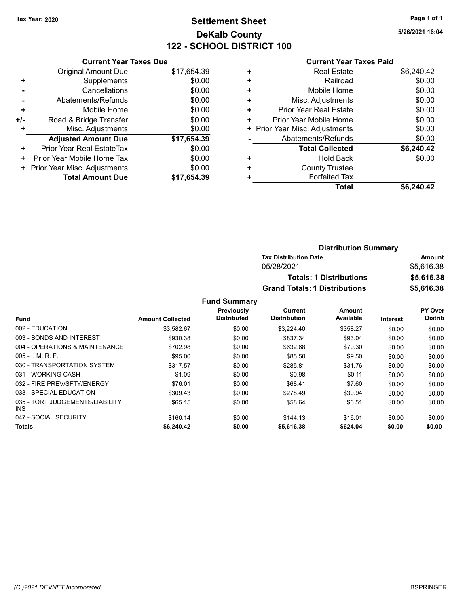# Tax Year: 2020 **Page 1 of 1 Settlement Sheet Constant Constant Constant Constant Constant Constant Constant Constant Constant Constant Constant Constant Page 1 of 1** DeKalb County 122 - SCHOOL DISTRICT 100

5/26/2021 16:04

|                |                                | 144 - SUNUUL DISTRIUT TUU     |   |                                |                                |
|----------------|--------------------------------|-------------------------------|---|--------------------------------|--------------------------------|
|                |                                | <b>Current Year Taxes Due</b> |   |                                | <b>Current Year Taxes Paid</b> |
|                | Original Amount Due            | \$17,654.39                   | ٠ | <b>Real Estate</b>             | \$6,240.42                     |
| ÷              | Supplements                    | \$0.00                        | ٠ | Railroad                       | \$0.00                         |
| $\blacksquare$ | Cancellations                  | \$0.00                        | ٠ | Mobile Home                    | \$0.00                         |
|                | Abatements/Refunds             | \$0.00                        | ٠ | Misc. Adjustments              | \$0.00                         |
| ٠              | Mobile Home                    | \$0.00                        | ٠ | <b>Prior Year Real Estate</b>  | \$0.00                         |
| I-             | Road & Bridge Transfer         | \$0.00                        | ٠ | Prior Year Mobile Home         | \$0.00                         |
| ÷              | Misc. Adjustments              | \$0.00                        |   | + Prior Year Misc. Adjustments | \$0.00                         |
|                | <b>Adjusted Amount Due</b>     | \$17,654.39                   |   | Abatements/Refunds             | \$0.00                         |
| ÷              | Prior Year Real EstateTax      | \$0.00                        |   | <b>Total Collected</b>         | \$6,240.42                     |
| $\ddot{}$      | Prior Year Mobile Home Tax     | \$0.00                        | ٠ | <b>Hold Back</b>               | \$0.00                         |
|                | + Prior Year Misc. Adjustments | \$0.00                        | ٠ | <b>County Trustee</b>          |                                |
|                | <b>Total Amount Due</b>        | \$17,654.39                   |   | <b>Forfeited Tax</b>           |                                |
|                |                                |                               |   | Total                          | \$6,240.42                     |

| <b>Distribution Summary</b>          |            |
|--------------------------------------|------------|
| <b>Tax Distribution Date</b>         | Amount     |
| 05/28/2021                           | \$5,616.38 |
| <b>Totals: 1 Distributions</b>       | \$5,616.38 |
| <b>Grand Totals: 1 Distributions</b> | \$5,616.38 |

|                                               |                         | Previously         | Current             | <b>Amount</b> |                 | PY Over        |
|-----------------------------------------------|-------------------------|--------------------|---------------------|---------------|-----------------|----------------|
| <b>Fund</b>                                   | <b>Amount Collected</b> | <b>Distributed</b> | <b>Distribution</b> | Available     | <b>Interest</b> | <b>Distrib</b> |
| 002 - EDUCATION                               | \$3.582.67              | \$0.00             | \$3.224.40          | \$358.27      | \$0.00          | \$0.00         |
| 003 - BONDS AND INTEREST                      | \$930.38                | \$0.00             | \$837.34            | \$93.04       | \$0.00          | \$0.00         |
| 004 - OPERATIONS & MAINTENANCE                | \$702.98                | \$0.00             | \$632.68            | \$70.30       | \$0.00          | \$0.00         |
| $005 - 1$ M.R.F.                              | \$95.00                 | \$0.00             | \$85.50             | \$9.50        | \$0.00          | \$0.00         |
| 030 - TRANSPORTATION SYSTEM                   | \$317.57                | \$0.00             | \$285.81            | \$31.76       | \$0.00          | \$0.00         |
| 031 - WORKING CASH                            | \$1.09                  | \$0.00             | \$0.98              | \$0.11        | \$0.00          | \$0.00         |
| 032 - FIRE PREV/SFTY/ENERGY                   | \$76.01                 | \$0.00             | \$68.41             | \$7.60        | \$0.00          | \$0.00         |
| 033 - SPECIAL EDUCATION                       | \$309.43                | \$0.00             | \$278.49            | \$30.94       | \$0.00          | \$0.00         |
| 035 - TORT JUDGEMENTS/LIABILITY<br><b>INS</b> | \$65.15                 | \$0.00             | \$58.64             | \$6.51        | \$0.00          | \$0.00         |
| 047 - SOCIAL SECURITY                         | \$160.14                | \$0.00             | \$144.13            | \$16.01       | \$0.00          | \$0.00         |
| <b>Totals</b>                                 | \$6,240.42              | \$0.00             | \$5,616.38          | \$624.04      | \$0.00          | \$0.00         |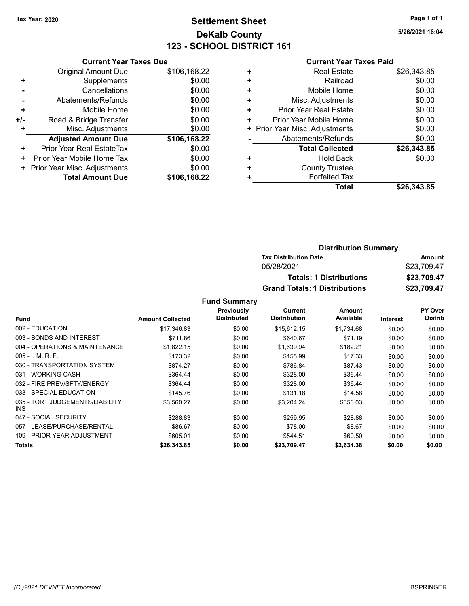# Tax Year: 2020 **Page 1 of 1 Settlement Sheet Constant Constant Constant Constant Constant Constant Constant Constant Constant Constant Constant Constant Page 1 of 1** DeKalb County 123 - SCHOOL DISTRICT 161

5/26/2021 16:04

|     | <b>Current Year Taxes Due</b> |              |
|-----|-------------------------------|--------------|
|     | Original Amount Due           | \$106,168.22 |
| ÷   | Supplements                   | \$0.00       |
|     | Cancellations                 | \$0.00       |
|     | Abatements/Refunds            | \$0.00       |
| ٠   | Mobile Home                   | \$0.00       |
| +/- | Road & Bridge Transfer        | \$0.00       |
|     | Misc. Adjustments             | \$0.00       |
|     | <b>Adjusted Amount Due</b>    | \$106,168.22 |
| ٠   | Prior Year Real EstateTax     | \$0.00       |
| ٠   | Prior Year Mobile Home Tax    | \$0.00       |
|     | Prior Year Misc. Adjustments  | \$0.00       |
|     | <b>Total Amount Due</b>       | \$106,168.22 |

|   | <b>Current Year Taxes Paid</b> |             |
|---|--------------------------------|-------------|
| ٠ | <b>Real Estate</b>             | \$26,343.85 |
| ٠ | Railroad                       | \$0.00      |
| ٠ | Mobile Home                    | \$0.00      |
| ٠ | Misc. Adjustments              | \$0.00      |
| ٠ | Prior Year Real Estate         | \$0.00      |
| ٠ | Prior Year Mobile Home         | \$0.00      |
| ٠ | Prior Year Misc. Adjustments   | \$0.00      |
|   | Abatements/Refunds             | \$0.00      |
|   | <b>Total Collected</b>         | \$26,343.85 |
| ٠ | Hold Back                      | \$0.00      |
|   | <b>County Trustee</b>          |             |
|   | <b>Forfeited Tax</b>           |             |
|   | Total                          | \$26,343.85 |

| <b>Distribution Summary</b>          |             |
|--------------------------------------|-------------|
| <b>Tax Distribution Date</b>         | Amount      |
| 05/28/2021                           | \$23,709.47 |
| <b>Totals: 1 Distributions</b>       | \$23,709.47 |
| <b>Grand Totals: 1 Distributions</b> | \$23,709.47 |

|                                         |                         | <b>Previously</b>  | Current             | Amount     |          | <b>PY Over</b> |
|-----------------------------------------|-------------------------|--------------------|---------------------|------------|----------|----------------|
| <b>Fund</b>                             | <b>Amount Collected</b> | <b>Distributed</b> | <b>Distribution</b> | Available  | Interest | <b>Distrib</b> |
| 002 - EDUCATION                         | \$17,346.83             | \$0.00             | \$15,612.15         | \$1,734.68 | \$0.00   | \$0.00         |
| 003 - BONDS AND INTEREST                | \$711.86                | \$0.00             | \$640.67            | \$71.19    | \$0.00   | \$0.00         |
| 004 - OPERATIONS & MAINTENANCE          | \$1,822.15              | \$0.00             | \$1,639.94          | \$182.21   | \$0.00   | \$0.00         |
| $005 - 1$ , M, R, F,                    | \$173.32                | \$0.00             | \$155.99            | \$17.33    | \$0.00   | \$0.00         |
| 030 - TRANSPORTATION SYSTEM             | \$874.27                | \$0.00             | \$786.84            | \$87.43    | \$0.00   | \$0.00         |
| 031 - WORKING CASH                      | \$364.44                | \$0.00             | \$328.00            | \$36.44    | \$0.00   | \$0.00         |
| 032 - FIRE PREV/SFTY/ENERGY             | \$364.44                | \$0.00             | \$328.00            | \$36.44    | \$0.00   | \$0.00         |
| 033 - SPECIAL EDUCATION                 | \$145.76                | \$0.00             | \$131.18            | \$14.58    | \$0.00   | \$0.00         |
| 035 - TORT JUDGEMENTS/LIABILITY<br>INS. | \$3,560.27              | \$0.00             | \$3,204.24          | \$356.03   | \$0.00   | \$0.00         |
| 047 - SOCIAL SECURITY                   | \$288.83                | \$0.00             | \$259.95            | \$28.88    | \$0.00   | \$0.00         |
| 057 - LEASE/PURCHASE/RENTAL             | \$86.67                 | \$0.00             | \$78.00             | \$8.67     | \$0.00   | \$0.00         |
| 109 - PRIOR YEAR ADJUSTMENT             | \$605.01                | \$0.00             | \$544.51            | \$60.50    | \$0.00   | \$0.00         |
| Totals                                  | \$26,343.85             | \$0.00             | \$23,709.47         | \$2,634.38 | \$0.00   | \$0.00         |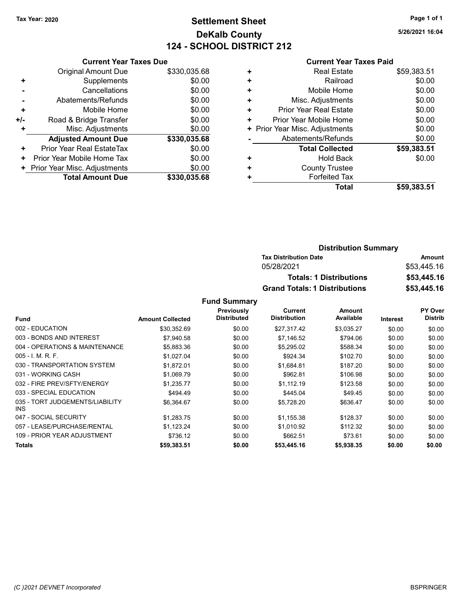# Tax Year: 2020 **Page 1 of 1 Settlement Sheet Constant Constant Constant Constant Constant Constant Constant Constant Constant Constant Constant Constant Page 1 of 1** DeKalb County 124 - SCHOOL DISTRICT 212

5/26/2021 16:04

### Current Year Taxes Paid

|                | <b>Current Year Taxes Due</b> |              |
|----------------|-------------------------------|--------------|
|                | Original Amount Due           | \$330,035.68 |
| ٠              | Supplements                   | \$0.00       |
|                | Cancellations                 | \$0.00       |
| $\blacksquare$ | Abatements/Refunds            | \$0.00       |
| ٠              | Mobile Home                   | \$0.00       |
| +/-            | Road & Bridge Transfer        | \$0.00       |
| ÷              | Misc. Adjustments             | \$0.00       |
|                | <b>Adjusted Amount Due</b>    | \$330,035.68 |
| ÷              | Prior Year Real EstateTax     | \$0.00       |
| ٠              | Prior Year Mobile Home Tax    | \$0.00       |
| ٠              | Prior Year Misc. Adjustments  | \$0.00       |
|                | <b>Total Amount Due</b>       | \$330,035.68 |

|   | Total                        | \$59,383.51 |
|---|------------------------------|-------------|
|   | <b>Forfeited Tax</b>         |             |
| ٠ | <b>County Trustee</b>        |             |
| ٠ | <b>Hold Back</b>             | \$0.00      |
|   | <b>Total Collected</b>       | \$59,383.51 |
|   | Abatements/Refunds           | \$0.00      |
| ٠ | Prior Year Misc. Adjustments | \$0.00      |
| ٠ | Prior Year Mobile Home       | \$0.00      |
| ٠ | Prior Year Real Estate       | \$0.00      |
| ٠ | Misc. Adjustments            | \$0.00      |
| ٠ | Mobile Home                  | \$0.00      |
| ٠ | Railroad                     | \$0.00      |
| ٠ | <b>Real Estate</b>           | \$59,383.51 |
|   |                              |             |

| <b>Distribution Summary</b>          |             |
|--------------------------------------|-------------|
| <b>Tax Distribution Date</b>         | Amount      |
| 05/28/2021                           | \$53,445.16 |
| <b>Totals: 1 Distributions</b>       | \$53,445.16 |
| <b>Grand Totals: 1 Distributions</b> | \$53,445.16 |

|                                         |                         | Previously         | Current             | Amount     |          | <b>PY Over</b> |
|-----------------------------------------|-------------------------|--------------------|---------------------|------------|----------|----------------|
| <b>Fund</b>                             | <b>Amount Collected</b> | <b>Distributed</b> | <b>Distribution</b> | Available  | Interest | <b>Distrib</b> |
| 002 - EDUCATION                         | \$30.352.69             | \$0.00             | \$27.317.42         | \$3,035.27 | \$0.00   | \$0.00         |
| 003 - BONDS AND INTEREST                | \$7,940.58              | \$0.00             | \$7,146.52          | \$794.06   | \$0.00   | \$0.00         |
| 004 - OPERATIONS & MAINTENANCE          | \$5,883.36              | \$0.00             | \$5,295.02          | \$588.34   | \$0.00   | \$0.00         |
| $005 - I. M. R. F.$                     | \$1,027.04              | \$0.00             | \$924.34            | \$102.70   | \$0.00   | \$0.00         |
| 030 - TRANSPORTATION SYSTEM             | \$1,872.01              | \$0.00             | \$1,684.81          | \$187.20   | \$0.00   | \$0.00         |
| 031 - WORKING CASH                      | \$1,069.79              | \$0.00             | \$962.81            | \$106.98   | \$0.00   | \$0.00         |
| 032 - FIRE PREV/SFTY/ENERGY             | \$1,235.77              | \$0.00             | \$1.112.19          | \$123.58   | \$0.00   | \$0.00         |
| 033 - SPECIAL EDUCATION                 | \$494.49                | \$0.00             | \$445.04            | \$49.45    | \$0.00   | \$0.00         |
| 035 - TORT JUDGEMENTS/LIABILITY<br>INS. | \$6,364.67              | \$0.00             | \$5,728.20          | \$636.47   | \$0.00   | \$0.00         |
| 047 - SOCIAL SECURITY                   | \$1,283.75              | \$0.00             | \$1,155.38          | \$128.37   | \$0.00   | \$0.00         |
| 057 - LEASE/PURCHASE/RENTAL             | \$1,123.24              | \$0.00             | \$1,010.92          | \$112.32   | \$0.00   | \$0.00         |
| 109 - PRIOR YEAR ADJUSTMENT             | \$736.12                | \$0.00             | \$662.51            | \$73.61    | \$0.00   | \$0.00         |
| <b>Totals</b>                           | \$59,383.51             | \$0.00             | \$53,445.16         | \$5,938.35 | \$0.00   | \$0.00         |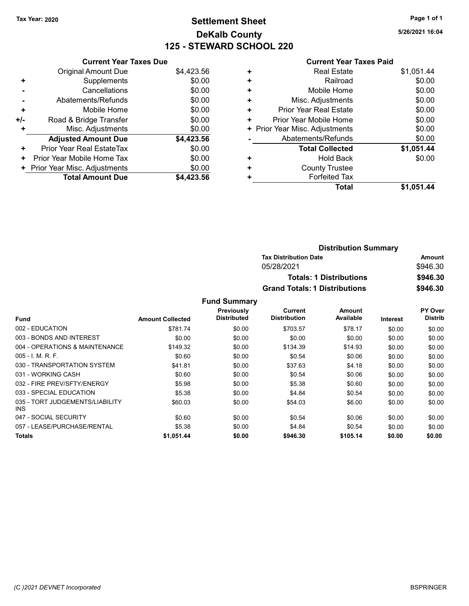# Tax Year: 2020 **Page 1 of 1 Settlement Sheet Constant Constant Constant Constant Constant Constant Constant Constant Constant Constant Constant Constant Page 1 of 1** DeKalb County 125 - STEWARD SCHOOL 220

5/26/2021 16:04

#### Current Year Taxes Paid

|     | <b>Current Year Taxes Due</b> |            |
|-----|-------------------------------|------------|
|     | Original Amount Due           | \$4,423.56 |
| ٠   | Supplements                   | \$0.00     |
|     | Cancellations                 | \$0.00     |
|     | Abatements/Refunds            | \$0.00     |
| ٠   | Mobile Home                   | \$0.00     |
| +/- | Road & Bridge Transfer        | \$0.00     |
|     | Misc. Adjustments             | \$0.00     |
|     | <b>Adjusted Amount Due</b>    | \$4,423.56 |
| ٠   | Prior Year Real EstateTax     | \$0.00     |
| ٠   | Prior Year Mobile Home Tax    | \$0.00     |
|     | Prior Year Misc. Adjustments  | \$0.00     |
|     | <b>Total Amount Due</b>       | \$4,423.56 |

| ٠ | <b>Real Estate</b>            | \$1,051.44 |
|---|-------------------------------|------------|
| ٠ | Railroad                      | \$0.00     |
| ٠ | Mobile Home                   | \$0.00     |
| ÷ | Misc. Adjustments             | \$0.00     |
| ÷ | <b>Prior Year Real Estate</b> | \$0.00     |
| ٠ | Prior Year Mobile Home        | \$0.00     |
| ٠ | Prior Year Misc. Adjustments  | \$0.00     |
|   | Abatements/Refunds            | \$0.00     |
|   | <b>Total Collected</b>        | \$1,051.44 |
| ٠ | <b>Hold Back</b>              | \$0.00     |
| ٠ | <b>County Trustee</b>         |            |
|   | <b>Forfeited Tax</b>          |            |
|   | Total                         | \$1.051.44 |
|   |                               |            |

| <b>Distribution Summary</b>          |          |  |
|--------------------------------------|----------|--|
| <b>Tax Distribution Date</b>         | Amount   |  |
| 05/28/2021                           | \$946.30 |  |
| <b>Totals: 1 Distributions</b>       | \$946.30 |  |
| <b>Grand Totals: 1 Distributions</b> | \$946.30 |  |

|                                         |                         | Previously         | Current             | Amount    |          | PY Over        |
|-----------------------------------------|-------------------------|--------------------|---------------------|-----------|----------|----------------|
| Fund                                    | <b>Amount Collected</b> | <b>Distributed</b> | <b>Distribution</b> | Available | Interest | <b>Distrib</b> |
| 002 - EDUCATION                         | \$781.74                | \$0.00             | \$703.57            | \$78.17   | \$0.00   | \$0.00         |
| 003 - BONDS AND INTEREST                | \$0.00                  | \$0.00             | \$0.00              | \$0.00    | \$0.00   | \$0.00         |
| 004 - OPERATIONS & MAINTENANCE          | \$149.32                | \$0.00             | \$134.39            | \$14.93   | \$0.00   | \$0.00         |
| $005 - I$ , M, R, F,                    | \$0.60                  | \$0.00             | \$0.54              | \$0.06    | \$0.00   | \$0.00         |
| 030 - TRANSPORTATION SYSTEM             | \$41.81                 | \$0.00             | \$37.63             | \$4.18    | \$0.00   | \$0.00         |
| 031 - WORKING CASH                      | \$0.60                  | \$0.00             | \$0.54              | \$0.06    | \$0.00   | \$0.00         |
| 032 - FIRE PREV/SFTY/ENERGY             | \$5.98                  | \$0.00             | \$5.38              | \$0.60    | \$0.00   | \$0.00         |
| 033 - SPECIAL EDUCATION                 | \$5.38                  | \$0.00             | \$4.84              | \$0.54    | \$0.00   | \$0.00         |
| 035 - TORT JUDGEMENTS/LIABILITY<br>INS. | \$60.03                 | \$0.00             | \$54.03             | \$6.00    | \$0.00   | \$0.00         |
| 047 - SOCIAL SECURITY                   | \$0.60                  | \$0.00             | \$0.54              | \$0.06    | \$0.00   | \$0.00         |
| 057 - LEASE/PURCHASE/RENTAL             | \$5.38                  | \$0.00             | \$4.84              | \$0.54    | \$0.00   | \$0.00         |
| Totals                                  | \$1,051.44              | \$0.00             | \$946.30            | \$105.14  | \$0.00   | \$0.00         |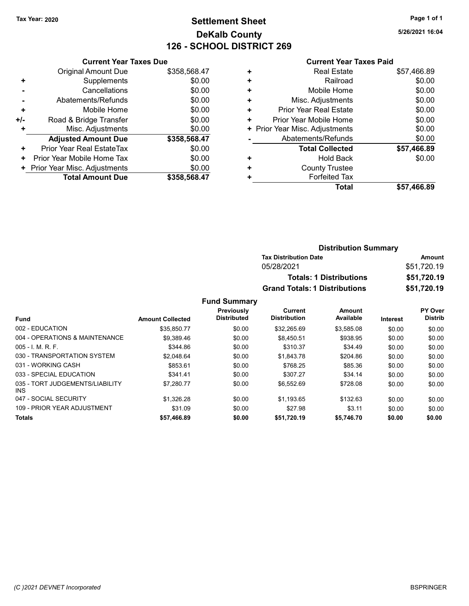# Tax Year: 2020 **Page 1 of 1 Settlement Sheet Constant Constant Constant Constant Constant Constant Constant Constant Constant Constant Constant Constant Page 1 of 1** DeKalb County 126 - SCHOOL DISTRICT 269

5/26/2021 16:04

#### Current Year Taxes Paid

|     | <b>Current Year Taxes Due</b> |              |
|-----|-------------------------------|--------------|
|     | Original Amount Due           | \$358,568.47 |
| ٠   | Supplements                   | \$0.00       |
|     | Cancellations                 | \$0.00       |
| -   | Abatements/Refunds            | \$0.00       |
| ٠   | Mobile Home                   | \$0.00       |
| +/- | Road & Bridge Transfer        | \$0.00       |
|     | Misc. Adjustments             | \$0.00       |
|     | <b>Adjusted Amount Due</b>    | \$358,568.47 |
| ٠   | Prior Year Real EstateTax     | \$0.00       |
| ٠   | Prior Year Mobile Home Tax    | \$0.00       |
| ٠   | Prior Year Misc. Adjustments  | \$0.00       |
|     | <b>Total Amount Due</b>       | \$358.568.47 |

|   | Total                          | \$57,466.89 |
|---|--------------------------------|-------------|
| ÷ | <b>Forfeited Tax</b>           |             |
| ٠ | <b>County Trustee</b>          |             |
| ٠ | Hold Back                      | \$0.00      |
|   | <b>Total Collected</b>         | \$57,466.89 |
|   | Abatements/Refunds             | \$0.00      |
|   | + Prior Year Misc. Adjustments | \$0.00      |
| ٠ | Prior Year Mobile Home         | \$0.00      |
| ٠ | Prior Year Real Estate         | \$0.00      |
| ٠ | Misc. Adjustments              | \$0.00      |
| ÷ | Mobile Home                    | \$0.00      |
| ٠ | Railroad                       | \$0.00      |
| ٠ | <b>Real Estate</b>             | \$57,466.89 |
|   |                                |             |

| <b>Distribution Summary</b>          |             |
|--------------------------------------|-------------|
| <b>Tax Distribution Date</b>         | Amount      |
| 05/28/2021                           | \$51,720.19 |
| <b>Totals: 1 Distributions</b>       | \$51,720.19 |
| <b>Grand Totals: 1 Distributions</b> | \$51,720.19 |

|                                         |                         | Previously         | Current             | <b>Amount</b> |          | PY Over        |
|-----------------------------------------|-------------------------|--------------------|---------------------|---------------|----------|----------------|
| <b>Fund</b>                             | <b>Amount Collected</b> | <b>Distributed</b> | <b>Distribution</b> | Available     | Interest | <b>Distrib</b> |
| 002 - EDUCATION                         | \$35.850.77             | \$0.00             | \$32.265.69         | \$3.585.08    | \$0.00   | \$0.00         |
| 004 - OPERATIONS & MAINTENANCE          | \$9.389.46              | \$0.00             | \$8.450.51          | \$938.95      | \$0.00   | \$0.00         |
| $005 - 1$ M, R, F.                      | \$344.86                | \$0.00             | \$310.37            | \$34.49       | \$0.00   | \$0.00         |
| 030 - TRANSPORTATION SYSTEM             | \$2.048.64              | \$0.00             | \$1.843.78          | \$204.86      | \$0.00   | \$0.00         |
| 031 - WORKING CASH                      | \$853.61                | \$0.00             | \$768.25            | \$85.36       | \$0.00   | \$0.00         |
| 033 - SPECIAL EDUCATION                 | \$341.41                | \$0.00             | \$307.27            | \$34.14       | \$0.00   | \$0.00         |
| 035 - TORT JUDGEMENTS/LIABILITY<br>INS. | \$7.280.77              | \$0.00             | \$6.552.69          | \$728.08      | \$0.00   | \$0.00         |
| 047 - SOCIAL SECURITY                   | \$1.326.28              | \$0.00             | \$1.193.65          | \$132.63      | \$0.00   | \$0.00         |
| 109 - PRIOR YEAR ADJUSTMENT             | \$31.09                 | \$0.00             | \$27.98             | \$3.11        | \$0.00   | \$0.00         |
| <b>Totals</b>                           | \$57,466.89             | \$0.00             | \$51.720.19         | \$5,746.70    | \$0.00   | \$0.00         |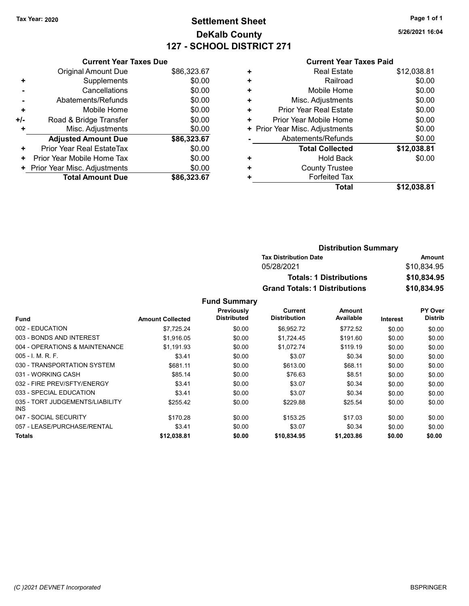# Tax Year: 2020 **Page 1 of 1 Settlement Sheet Constant Constant Constant Constant Constant Constant Constant Constant Constant Constant Constant Constant Page 1 of 1** DeKalb County 127 - SCHOOL DISTRICT 271

5/26/2021 16:04

#### Current Year Taxes Paid

|     | <b>Current Year Taxes Due</b> |             |
|-----|-------------------------------|-------------|
|     | Original Amount Due           | \$86,323.67 |
| ٠   | Supplements                   | \$0.00      |
|     | Cancellations                 | \$0.00      |
|     | Abatements/Refunds            | \$0.00      |
| ٠   | Mobile Home                   | \$0.00      |
| +/- | Road & Bridge Transfer        | \$0.00      |
|     | Misc. Adjustments             | \$0.00      |
|     | <b>Adjusted Amount Due</b>    | \$86,323.67 |
| ÷   | Prior Year Real EstateTax     | \$0.00      |
| ٠   | Prior Year Mobile Home Tax    | \$0.00      |
|     | Prior Year Misc. Adjustments  | \$0.00      |
|     | <b>Total Amount Due</b>       | \$86.323.67 |

|   | Total                        | \$12,038.81 |
|---|------------------------------|-------------|
| ٠ | <b>Forfeited Tax</b>         |             |
| ٠ | <b>County Trustee</b>        |             |
| ٠ | <b>Hold Back</b>             | \$0.00      |
|   | <b>Total Collected</b>       | \$12,038.81 |
|   | Abatements/Refunds           | \$0.00      |
| ٠ | Prior Year Misc. Adjustments | \$0.00      |
| ٠ | Prior Year Mobile Home       | \$0.00      |
| ٠ | Prior Year Real Estate       | \$0.00      |
| ٠ | Misc. Adjustments            | \$0.00      |
| ٠ | Mobile Home                  | \$0.00      |
| ٠ | Railroad                     | \$0.00      |
| ٠ | <b>Real Estate</b>           | \$12,038.81 |
|   |                              |             |

| <b>Distribution Summary</b>          |             |  |  |
|--------------------------------------|-------------|--|--|
| <b>Tax Distribution Date</b>         | Amount      |  |  |
| 05/28/2021                           | \$10,834.95 |  |  |
| <b>Totals: 1 Distributions</b>       | \$10,834.95 |  |  |
| <b>Grand Totals: 1 Distributions</b> | \$10,834.95 |  |  |

|                                         |                         | Previously         | Current             | <b>Amount</b> |                 | PY Over        |
|-----------------------------------------|-------------------------|--------------------|---------------------|---------------|-----------------|----------------|
| <b>Fund</b>                             | <b>Amount Collected</b> | <b>Distributed</b> | <b>Distribution</b> | Available     | <b>Interest</b> | <b>Distrib</b> |
| 002 - EDUCATION                         | \$7,725.24              | \$0.00             | \$6,952.72          | \$772.52      | \$0.00          | \$0.00         |
| 003 - BONDS AND INTEREST                | \$1,916.05              | \$0.00             | \$1,724.45          | \$191.60      | \$0.00          | \$0.00         |
| 004 - OPERATIONS & MAINTENANCE          | \$1.191.93              | \$0.00             | \$1,072.74          | \$119.19      | \$0.00          | \$0.00         |
| $005 - 1$ , M, R, F,                    | \$3.41                  | \$0.00             | \$3.07              | \$0.34        | \$0.00          | \$0.00         |
| 030 - TRANSPORTATION SYSTEM             | \$681.11                | \$0.00             | \$613.00            | \$68.11       | \$0.00          | \$0.00         |
| 031 - WORKING CASH                      | \$85.14                 | \$0.00             | \$76.63             | \$8.51        | \$0.00          | \$0.00         |
| 032 - FIRE PREV/SFTY/ENERGY             | \$3.41                  | \$0.00             | \$3.07              | \$0.34        | \$0.00          | \$0.00         |
| 033 - SPECIAL EDUCATION                 | \$3.41                  | \$0.00             | \$3.07              | \$0.34        | \$0.00          | \$0.00         |
| 035 - TORT JUDGEMENTS/LIABILITY<br>INS. | \$255.42                | \$0.00             | \$229.88            | \$25.54       | \$0.00          | \$0.00         |
| 047 - SOCIAL SECURITY                   | \$170.28                | \$0.00             | \$153.25            | \$17.03       | \$0.00          | \$0.00         |
| 057 - LEASE/PURCHASE/RENTAL             | \$3.41                  | \$0.00             | \$3.07              | \$0.34        | \$0.00          | \$0.00         |
| Totals                                  | \$12,038.81             | \$0.00             | \$10,834.95         | \$1,203.86    | \$0.00          | \$0.00         |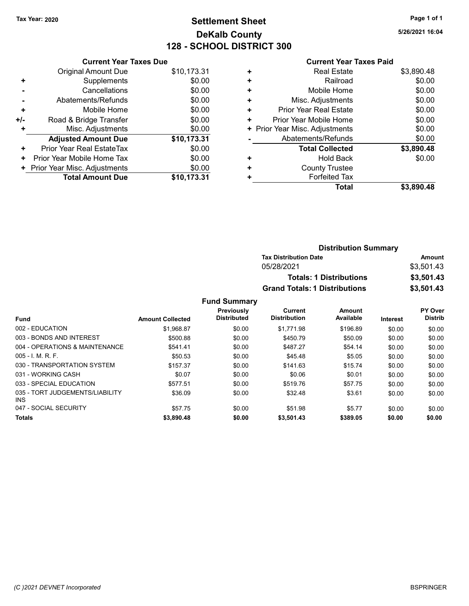**Original Amount Due** 

**Adjusted Amount Due** 

**Total Amount Due** 

+ Supplements - Cancellations - Abatements/Refunds + Mobile Home +/- Road & Bridge Transfer + Misc. Adjustments

+ Prior Year Real EstateTax \$0.00 + Prior Year Mobile Home Tax + Prior Year Misc. Adjustments

# Tax Year: 2020 **Page 1 of 1 Settlement Sheet Constant Constant Constant Constant Constant Constant Constant Constant Constant Constant Constant Constant Page 1 of 1** DeKalb County 128 - SCHOOL DISTRICT 300

5/26/2021 16:04

|                               | <u> 120 - JUNUUL DIJTINUT JUU</u> |   |                                |
|-------------------------------|-----------------------------------|---|--------------------------------|
| <b>Current Year Taxes Due</b> |                                   |   | <b>Current Year Ta</b>         |
| ıl Amount Due                 | \$10,173.31                       | ٠ | <b>Real Estate</b>             |
| Supplements                   | \$0.00                            | ٠ | Railroad                       |
| Cancellations                 | \$0.00                            | ٠ | Mobile Home                    |
| ıents/Refunds                 | \$0.00                            | ٠ | Misc. Adjustments              |
| Mobile Home                   | \$0.00                            | ٠ | <b>Prior Year Real Estate</b>  |
| ridge Transfer                | \$0.00                            | ÷ | Prior Year Mobile Home         |
| . Adjustments                 | \$0.00                            |   | + Prior Year Misc. Adjustments |
| <b>Amount Due</b>             | \$10,173.31                       |   | Abatements/Refunds             |
| leal EstateTax                | \$0.00                            |   | <b>Total Collected</b>         |
| pile Home Tax                 | \$0.00                            | ٠ | <b>Hold Back</b>               |
| . Adjustments                 | \$0.00                            | ٠ | <b>County Trustee</b>          |
| <b>Amount Due</b>             | \$10,173.31                       |   | <b>Forfeited Tax</b>           |
|                               |                                   |   | ----                           |

### axes Paid

| <b>Real Estate</b>     | \$3,890.48                     |
|------------------------|--------------------------------|
| Railroad               | \$0.00                         |
| Mobile Home            | \$0.00                         |
| Misc. Adjustments      | \$0.00                         |
| Prior Year Real Estate | \$0.00                         |
| Prior Year Mobile Home | \$0.00                         |
|                        | \$0.00                         |
| Abatements/Refunds     | \$0.00                         |
| <b>Total Collected</b> | \$3,890.48                     |
| <b>Hold Back</b>       | \$0.00                         |
| <b>County Trustee</b>  |                                |
| <b>Forfeited Tax</b>   |                                |
| Total                  | \$3.890.48                     |
|                        | + Prior Year Misc. Adjustments |

|                     | <b>Distribution Summary</b>          |            |
|---------------------|--------------------------------------|------------|
|                     | <b>Tax Distribution Date</b>         | Amount     |
|                     | 05/28/2021                           | \$3,501.43 |
|                     | <b>Totals: 1 Distributions</b>       | \$3,501.43 |
|                     | <b>Grand Totals: 1 Distributions</b> | \$3,501.43 |
| <b>Fund Summary</b> |                                      |            |

| <b>Fund</b>                                   | <b>Amount Collected</b> | Previously<br><b>Distributed</b> | Current<br><b>Distribution</b> | Amount<br>Available | <b>Interest</b> | <b>PY Over</b><br><b>Distrib</b> |
|-----------------------------------------------|-------------------------|----------------------------------|--------------------------------|---------------------|-----------------|----------------------------------|
| 002 - EDUCATION                               | \$1,968.87              | \$0.00                           | \$1.771.98                     | \$196.89            | \$0.00          | \$0.00                           |
| 003 - BONDS AND INTEREST                      | \$500.88                | \$0.00                           | \$450.79                       | \$50.09             | \$0.00          | \$0.00                           |
| 004 - OPERATIONS & MAINTENANCE                | \$541.41                | \$0.00                           | \$487.27                       | \$54.14             | \$0.00          | \$0.00                           |
| $005 - 1$ , M, R, F,                          | \$50.53                 | \$0.00                           | \$45.48                        | \$5.05              | \$0.00          | \$0.00                           |
| 030 - TRANSPORTATION SYSTEM                   | \$157.37                | \$0.00                           | \$141.63                       | \$15.74             | \$0.00          | \$0.00                           |
| 031 - WORKING CASH                            | \$0.07                  | \$0.00                           | \$0.06                         | \$0.01              | \$0.00          | \$0.00                           |
| 033 - SPECIAL EDUCATION                       | \$577.51                | \$0.00                           | \$519.76                       | \$57.75             | \$0.00          | \$0.00                           |
| 035 - TORT JUDGEMENTS/LIABILITY<br><b>INS</b> | \$36.09                 | \$0.00                           | \$32.48                        | \$3.61              | \$0.00          | \$0.00                           |
| 047 - SOCIAL SECURITY                         | \$57.75                 | \$0.00                           | \$51.98                        | \$5.77              | \$0.00          | \$0.00                           |
| <b>Totals</b>                                 | \$3,890.48              | \$0.00                           | \$3,501.43                     | \$389.05            | \$0.00          | \$0.00                           |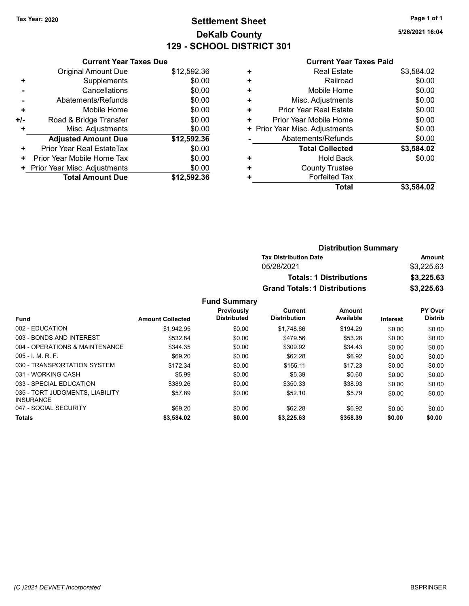# Tax Year: 2020 **Page 1 of 1 Settlement Sheet Constant Constant Constant Constant Constant Constant Constant Constant Constant Constant Constant Constant Page 1 of 1** DeKalb County 129 - SCHOOL DISTRICT 301

5/26/2021 16:04

#### Current Year Taxes Paid

|     | <b>Current Year Taxes Due</b> |             |
|-----|-------------------------------|-------------|
|     | Original Amount Due           | \$12,592.36 |
| ٠   | Supplements                   | \$0.00      |
|     | Cancellations                 | \$0.00      |
|     | Abatements/Refunds            | \$0.00      |
| ٠   | Mobile Home                   | \$0.00      |
| +/- | Road & Bridge Transfer        | \$0.00      |
| ÷   | Misc. Adjustments             | \$0.00      |
|     | <b>Adjusted Amount Due</b>    | \$12,592.36 |
| ٠   | Prior Year Real EstateTax     | \$0.00      |
| ٠   | Prior Year Mobile Home Tax    | \$0.00      |
|     | Prior Year Misc. Adjustments  | \$0.00      |
|     | <b>Total Amount Due</b>       | \$12,592,36 |

|   | <b>Total</b>                   | \$3,584.02 |
|---|--------------------------------|------------|
| ٠ | <b>Forfeited Tax</b>           |            |
| ٠ | <b>County Trustee</b>          |            |
| ٠ | <b>Hold Back</b>               | \$0.00     |
|   | <b>Total Collected</b>         | \$3,584.02 |
|   | Abatements/Refunds             | \$0.00     |
|   | + Prior Year Misc. Adjustments | \$0.00     |
| ٠ | Prior Year Mobile Home         | \$0.00     |
| ٠ | Prior Year Real Estate         | \$0.00     |
| ٠ | Misc. Adjustments              | \$0.00     |
| ٠ | Mobile Home                    | \$0.00     |
| ٠ | Railroad                       | \$0.00     |
| ٠ | <b>Real Estate</b>             | \$3,584.02 |
|   |                                |            |

| <b>Distribution Summary</b>          |            |
|--------------------------------------|------------|
| <b>Tax Distribution Date</b>         | Amount     |
| 05/28/2021                           | \$3,225.63 |
| <b>Totals: 1 Distributions</b>       | \$3,225.63 |
| <b>Grand Totals: 1 Distributions</b> | \$3,225.63 |

|                                                     |                         | <b>Previously</b>  | <b>Current</b>      | Amount    |          | PY Over        |
|-----------------------------------------------------|-------------------------|--------------------|---------------------|-----------|----------|----------------|
| Fund                                                | <b>Amount Collected</b> | <b>Distributed</b> | <b>Distribution</b> | Available | Interest | <b>Distrib</b> |
| 002 - EDUCATION                                     | \$1.942.95              | \$0.00             | \$1.748.66          | \$194.29  | \$0.00   | \$0.00         |
| 003 - BONDS AND INTEREST                            | \$532.84                | \$0.00             | \$479.56            | \$53.28   | \$0.00   | \$0.00         |
| 004 - OPERATIONS & MAINTENANCE                      | \$344.35                | \$0.00             | \$309.92            | \$34.43   | \$0.00   | \$0.00         |
| $005 - I$ , M, R, F,                                | \$69.20                 | \$0.00             | \$62.28             | \$6.92    | \$0.00   | \$0.00         |
| 030 - TRANSPORTATION SYSTEM                         | \$172.34                | \$0.00             | \$155.11            | \$17.23   | \$0.00   | \$0.00         |
| 031 - WORKING CASH                                  | \$5.99                  | \$0.00             | \$5.39              | \$0.60    | \$0.00   | \$0.00         |
| 033 - SPECIAL EDUCATION                             | \$389.26                | \$0.00             | \$350.33            | \$38.93   | \$0.00   | \$0.00         |
| 035 - TORT JUDGMENTS, LIABILITY<br><b>INSURANCE</b> | \$57.89                 | \$0.00             | \$52.10             | \$5.79    | \$0.00   | \$0.00         |
| 047 - SOCIAL SECURITY                               | \$69.20                 | \$0.00             | \$62.28             | \$6.92    | \$0.00   | \$0.00         |
| <b>Totals</b>                                       | \$3,584.02              | \$0.00             | \$3,225.63          | \$358.39  | \$0.00   | \$0.00         |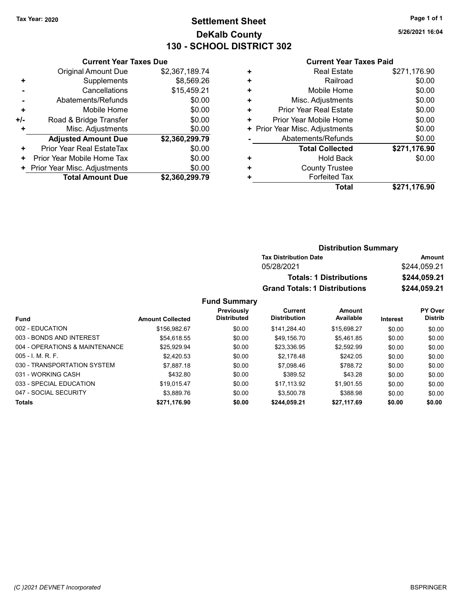### Tax Year: 2020 **Page 1 of 1 Settlement Sheet Constant Constant Constant Constant Constant Constant Constant Constant Constant Constant Constant Constant Page 1 of 1** DeKalb County 130 - SCHOOL DISTRICT 302

5/26/2021 16:04

#### Current Year Taxes Paid

|       | <b>Current Year Taxes Due</b> |                |  |  |  |
|-------|-------------------------------|----------------|--|--|--|
|       | Original Amount Due           | \$2,367,189.74 |  |  |  |
| ٠     | Supplements                   | \$8,569.26     |  |  |  |
|       | Cancellations                 | \$15,459.21    |  |  |  |
|       | Abatements/Refunds            | \$0.00         |  |  |  |
| ÷     | Mobile Home                   | \$0.00         |  |  |  |
| $+/-$ | Road & Bridge Transfer        | \$0.00         |  |  |  |
|       | Misc. Adjustments             | \$0.00         |  |  |  |
|       | <b>Adjusted Amount Due</b>    | \$2,360,299.79 |  |  |  |
| ٠     | Prior Year Real EstateTax     | \$0.00         |  |  |  |
| ٠     | Prior Year Mobile Home Tax    | \$0.00         |  |  |  |
|       | Prior Year Misc. Adjustments  | \$0.00         |  |  |  |
|       | <b>Total Amount Due</b>       | \$2,360,299.79 |  |  |  |

| <b>Real Estate</b>             | \$271,176.90 |
|--------------------------------|--------------|
| Railroad                       | \$0.00       |
| Mobile Home                    | \$0.00       |
| Misc. Adjustments              | \$0.00       |
| Prior Year Real Estate         | \$0.00       |
| Prior Year Mobile Home         | \$0.00       |
| + Prior Year Misc. Adjustments | \$0.00       |
| Abatements/Refunds             | \$0.00       |
| <b>Total Collected</b>         | \$271,176.90 |
| <b>Hold Back</b>               | \$0.00       |
| <b>County Trustee</b>          |              |
| <b>Forfeited Tax</b>           |              |
| Total                          | \$271,176.90 |
|                                |              |

| <b>Distribution Summary</b>          |              |  |  |  |
|--------------------------------------|--------------|--|--|--|
| <b>Tax Distribution Date</b>         | Amount       |  |  |  |
| 05/28/2021                           | \$244.059.21 |  |  |  |
| <b>Totals: 1 Distributions</b>       | \$244,059.21 |  |  |  |
| <b>Grand Totals: 1 Distributions</b> | \$244,059.21 |  |  |  |

|                                |                         | Previously         | Current             | Amount      |          | PY Over        |
|--------------------------------|-------------------------|--------------------|---------------------|-------------|----------|----------------|
| <b>Fund</b>                    | <b>Amount Collected</b> | <b>Distributed</b> | <b>Distribution</b> | Available   | Interest | <b>Distrib</b> |
| 002 - EDUCATION                | \$156.982.67            | \$0.00             | \$141.284.40        | \$15,698.27 | \$0.00   | \$0.00         |
| 003 - BONDS AND INTEREST       | \$54,618.55             | \$0.00             | \$49,156.70         | \$5.461.85  | \$0.00   | \$0.00         |
| 004 - OPERATIONS & MAINTENANCE | \$25.929.94             | \$0.00             | \$23.336.95         | \$2.592.99  | \$0.00   | \$0.00         |
| $005 - 1$ M, R, F.             | \$2.420.53              | \$0.00             | \$2.178.48          | \$242.05    | \$0.00   | \$0.00         |
| 030 - TRANSPORTATION SYSTEM    | \$7.887.18              | \$0.00             | \$7,098.46          | \$788.72    | \$0.00   | \$0.00         |
| 031 - WORKING CASH             | \$432.80                | \$0.00             | \$389.52            | \$43.28     | \$0.00   | \$0.00         |
| 033 - SPECIAL EDUCATION        | \$19.015.47             | \$0.00             | \$17.113.92         | \$1.901.55  | \$0.00   | \$0.00         |
| 047 - SOCIAL SECURITY          | \$3.889.76              | \$0.00             | \$3,500.78          | \$388.98    | \$0.00   | \$0.00         |
| <b>Totals</b>                  | \$271,176.90            | \$0.00             | \$244,059.21        | \$27,117.69 | \$0.00   | \$0.00         |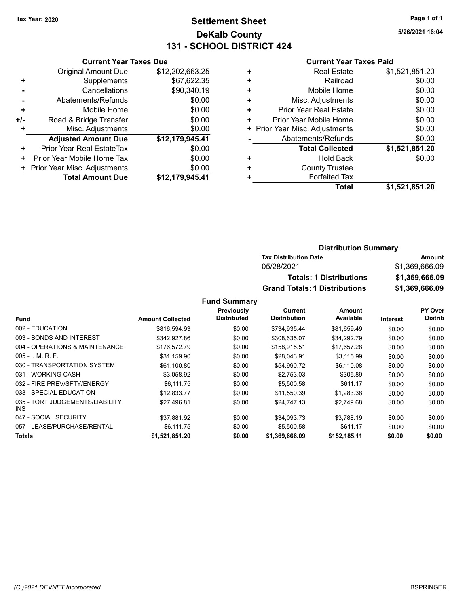### Tax Year: 2020 **Page 1 of 1 Settlement Sheet Constant Constant Constant Constant Constant Constant Constant Constant Constant Constant Constant Constant Page 1 of 1** DeKalb County 131 - SCHOOL DISTRICT 424

5/26/2021 16:04

#### Current Year Taxes Paid

|     | <b>Current Year Taxes Due</b> |                 |  |  |  |
|-----|-------------------------------|-----------------|--|--|--|
|     | <b>Original Amount Due</b>    | \$12,202,663.25 |  |  |  |
| ٠   | Supplements                   | \$67,622.35     |  |  |  |
|     | Cancellations                 | \$90,340.19     |  |  |  |
|     | Abatements/Refunds            | \$0.00          |  |  |  |
| ٠   | Mobile Home                   | \$0.00          |  |  |  |
| +/- | Road & Bridge Transfer        | \$0.00          |  |  |  |
| ٠   | Misc. Adjustments             | \$0.00          |  |  |  |
|     | <b>Adjusted Amount Due</b>    | \$12,179,945.41 |  |  |  |
| ٠   | Prior Year Real EstateTax     | \$0.00          |  |  |  |
| ٠   | Prior Year Mobile Home Tax    | \$0.00          |  |  |  |
|     | Prior Year Misc. Adjustments  | \$0.00          |  |  |  |
|     | <b>Total Amount Due</b>       | \$12,179,945.41 |  |  |  |

| ٠ | <b>Real Estate</b>             | \$1,521,851.20 |
|---|--------------------------------|----------------|
| ٠ | Railroad                       | \$0.00         |
| ٠ | Mobile Home                    | \$0.00         |
| ٠ | Misc. Adjustments              | \$0.00         |
| ٠ | Prior Year Real Estate         | \$0.00         |
| ٠ | Prior Year Mobile Home         | \$0.00         |
|   | + Prior Year Misc. Adjustments | \$0.00         |
|   | Abatements/Refunds             | \$0.00         |
|   | <b>Total Collected</b>         | \$1,521,851.20 |
| ٠ | Hold Back                      | \$0.00         |
| ٠ | <b>County Trustee</b>          |                |
|   | <b>Forfeited Tax</b>           |                |
|   | Total                          | \$1,521,851.20 |
|   |                                |                |

#### Distribution Summary Tax Distribution Date **Amount** 05/28/2021 \$1,369,666.09 Totals: 1 Distributions \$1,369,666.09 Grand Totals: 1 Distributions \$1,369,666.09

|                                         |                         | Previously         | Current             | <b>Amount</b> |                 | PY Over        |
|-----------------------------------------|-------------------------|--------------------|---------------------|---------------|-----------------|----------------|
| <b>Fund</b>                             | <b>Amount Collected</b> | <b>Distributed</b> | <b>Distribution</b> | Available     | <b>Interest</b> | <b>Distrib</b> |
| 002 - EDUCATION                         | \$816,594.93            | \$0.00             | \$734,935.44        | \$81,659.49   | \$0.00          | \$0.00         |
| 003 - BONDS AND INTEREST                | \$342,927.86            | \$0.00             | \$308.635.07        | \$34.292.79   | \$0.00          | \$0.00         |
| 004 - OPERATIONS & MAINTENANCE          | \$176.572.79            | \$0.00             | \$158.915.51        | \$17,657.28   | \$0.00          | \$0.00         |
| $005 - 1$ , M, R, F,                    | \$31.159.90             | \$0.00             | \$28,043.91         | \$3.115.99    | \$0.00          | \$0.00         |
| 030 - TRANSPORTATION SYSTEM             | \$61,100.80             | \$0.00             | \$54,990.72         | \$6,110.08    | \$0.00          | \$0.00         |
| 031 - WORKING CASH                      | \$3,058.92              | \$0.00             | \$2,753.03          | \$305.89      | \$0.00          | \$0.00         |
| 032 - FIRE PREV/SFTY/ENERGY             | \$6,111.75              | \$0.00             | \$5,500.58          | \$611.17      | \$0.00          | \$0.00         |
| 033 - SPECIAL EDUCATION                 | \$12.833.77             | \$0.00             | \$11,550.39         | \$1,283.38    | \$0.00          | \$0.00         |
| 035 - TORT JUDGEMENTS/LIABILITY<br>INS. | \$27.496.81             | \$0.00             | \$24,747.13         | \$2,749.68    | \$0.00          | \$0.00         |
| 047 - SOCIAL SECURITY                   | \$37,881.92             | \$0.00             | \$34,093.73         | \$3,788.19    | \$0.00          | \$0.00         |
| 057 - LEASE/PURCHASE/RENTAL             | \$6,111.75              | \$0.00             | \$5,500.58          | \$611.17      | \$0.00          | \$0.00         |
| <b>Totals</b>                           | \$1.521.851.20          | \$0.00             | \$1,369,666.09      | \$152.185.11  | \$0.00          | \$0.00         |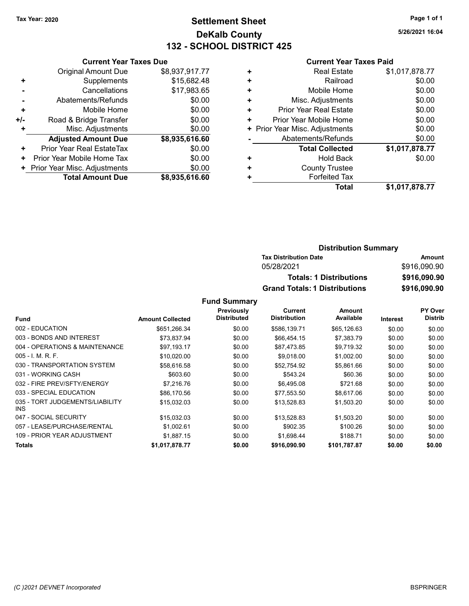### Tax Year: 2020 **Page 1 of 1 Settlement Sheet Constant Constant Constant Constant Constant Constant Constant Constant Constant Constant Constant Constant Page 1 of 1** DeKalb County 132 - SCHOOL DISTRICT 425

5/26/2021 16:04

#### Current Year Taxes Paid

|     | <b>Current Year Taxes Due</b> |                |  |  |  |
|-----|-------------------------------|----------------|--|--|--|
|     | <b>Original Amount Due</b>    | \$8,937,917.77 |  |  |  |
| ٠   | Supplements                   | \$15,682.48    |  |  |  |
|     | Cancellations                 | \$17,983.65    |  |  |  |
|     | Abatements/Refunds            | \$0.00         |  |  |  |
| ٠   | Mobile Home                   | \$0.00         |  |  |  |
| +/- | Road & Bridge Transfer        | \$0.00         |  |  |  |
| ٠   | Misc. Adjustments             | \$0.00         |  |  |  |
|     | <b>Adjusted Amount Due</b>    | \$8,935,616.60 |  |  |  |
| ÷   | Prior Year Real EstateTax     | \$0.00         |  |  |  |
| ٠   | Prior Year Mobile Home Tax    | \$0.00         |  |  |  |
|     | Prior Year Misc. Adjustments  | \$0.00         |  |  |  |
|     | <b>Total Amount Due</b>       | \$8,935,616.60 |  |  |  |

| <b>Real Estate</b>             | \$1,017,878.77 |
|--------------------------------|----------------|
| Railroad                       | \$0.00         |
| Mobile Home                    | \$0.00         |
| Misc. Adjustments              | \$0.00         |
| <b>Prior Year Real Estate</b>  | \$0.00         |
| Prior Year Mobile Home         | \$0.00         |
| + Prior Year Misc. Adjustments | \$0.00         |
| Abatements/Refunds             | \$0.00         |
| <b>Total Collected</b>         | \$1,017,878.77 |
| <b>Hold Back</b>               | \$0.00         |
| <b>County Trustee</b>          |                |
| <b>Forfeited Tax</b>           |                |
| Total                          | \$1,017,878.77 |
|                                |                |

| <b>Distribution Summary</b>          |              |
|--------------------------------------|--------------|
| <b>Tax Distribution Date</b>         | Amount       |
| 05/28/2021                           | \$916,090.90 |
| <b>Totals: 1 Distributions</b>       | \$916,090.90 |
| <b>Grand Totals: 1 Distributions</b> | \$916,090.90 |

|                                               |                         | Previously         | Current             | Amount       |                 | <b>PY Over</b> |
|-----------------------------------------------|-------------------------|--------------------|---------------------|--------------|-----------------|----------------|
| <b>Fund</b>                                   | <b>Amount Collected</b> | <b>Distributed</b> | <b>Distribution</b> | Available    | <b>Interest</b> | <b>Distrib</b> |
| 002 - EDUCATION                               | \$651,266.34            | \$0.00             | \$586,139.71        | \$65,126.63  | \$0.00          | \$0.00         |
| 003 - BONDS AND INTEREST                      | \$73.837.94             | \$0.00             | \$66.454.15         | \$7.383.79   | \$0.00          | \$0.00         |
| 004 - OPERATIONS & MAINTENANCE                | \$97,193.17             | \$0.00             | \$87,473.85         | \$9,719.32   | \$0.00          | \$0.00         |
| $005 - I. M. R. F.$                           | \$10,020.00             | \$0.00             | \$9,018.00          | \$1,002.00   | \$0.00          | \$0.00         |
| 030 - TRANSPORTATION SYSTEM                   | \$58,616.58             | \$0.00             | \$52,754.92         | \$5,861.66   | \$0.00          | \$0.00         |
| 031 - WORKING CASH                            | \$603.60                | \$0.00             | \$543.24            | \$60.36      | \$0.00          | \$0.00         |
| 032 - FIRE PREV/SFTY/ENERGY                   | \$7.216.76              | \$0.00             | \$6,495.08          | \$721.68     | \$0.00          | \$0.00         |
| 033 - SPECIAL EDUCATION                       | \$86,170.56             | \$0.00             | \$77,553.50         | \$8,617.06   | \$0.00          | \$0.00         |
| 035 - TORT JUDGEMENTS/LIABILITY<br><b>INS</b> | \$15,032.03             | \$0.00             | \$13,528.83         | \$1,503.20   | \$0.00          | \$0.00         |
| 047 - SOCIAL SECURITY                         | \$15,032.03             | \$0.00             | \$13,528.83         | \$1,503.20   | \$0.00          | \$0.00         |
| 057 - LEASE/PURCHASE/RENTAL                   | \$1,002.61              | \$0.00             | \$902.35            | \$100.26     | \$0.00          | \$0.00         |
| 109 - PRIOR YEAR ADJUSTMENT                   | \$1,887.15              | \$0.00             | \$1,698.44          | \$188.71     | \$0.00          | \$0.00         |
| <b>Totals</b>                                 | \$1.017.878.77          | \$0.00             | \$916.090.90        | \$101.787.87 | \$0.00          | \$0.00         |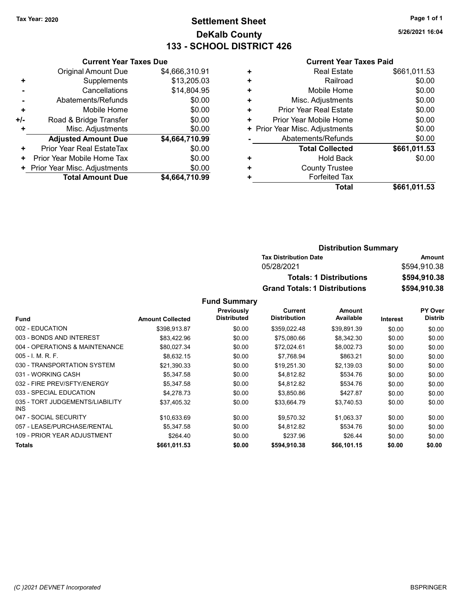### Tax Year: 2020 **Page 1 of 1 Settlement Sheet Constant Constant Constant Constant Constant Constant Constant Constant Constant Constant Constant Constant Page 1 of 1** DeKalb County 133 - SCHOOL DISTRICT 426

5/26/2021 16:04

#### Current Year Taxes Paid

|     | <b>Current Year Taxes Due</b> |                |  |  |  |  |
|-----|-------------------------------|----------------|--|--|--|--|
|     | <b>Original Amount Due</b>    | \$4,666,310.91 |  |  |  |  |
| ٠   | Supplements                   | \$13,205.03    |  |  |  |  |
|     | Cancellations                 | \$14,804.95    |  |  |  |  |
|     | Abatements/Refunds            | \$0.00         |  |  |  |  |
| ÷   | Mobile Home                   | \$0.00         |  |  |  |  |
| +/- | Road & Bridge Transfer        | \$0.00         |  |  |  |  |
| ٠   | Misc. Adjustments             | \$0.00         |  |  |  |  |
|     | <b>Adjusted Amount Due</b>    | \$4,664,710.99 |  |  |  |  |
| ٠   | Prior Year Real EstateTax     | \$0.00         |  |  |  |  |
| ٠   | Prior Year Mobile Home Tax    | \$0.00         |  |  |  |  |
|     | Prior Year Misc. Adjustments  | \$0.00         |  |  |  |  |
|     | <b>Total Amount Due</b>       | \$4,664,710.99 |  |  |  |  |

| ٠ | <b>Real Estate</b>             | \$661,011.53 |
|---|--------------------------------|--------------|
| ٠ | Railroad                       | \$0.00       |
| ٠ | Mobile Home                    | \$0.00       |
| ٠ | Misc. Adjustments              | \$0.00       |
| ٠ | Prior Year Real Estate         | \$0.00       |
| ٠ | Prior Year Mobile Home         | \$0.00       |
|   | + Prior Year Misc. Adjustments | \$0.00       |
|   | Abatements/Refunds             | \$0.00       |
|   | <b>Total Collected</b>         | \$661,011.53 |
| ٠ | <b>Hold Back</b>               | \$0.00       |
| ٠ | <b>County Trustee</b>          |              |
| ٠ | <b>Forfeited Tax</b>           |              |
|   | Total                          | \$661,011.53 |

| <b>Distribution Summary</b>          |              |  |  |  |
|--------------------------------------|--------------|--|--|--|
| <b>Tax Distribution Date</b>         | Amount       |  |  |  |
| 05/28/2021                           | \$594,910.38 |  |  |  |
| <b>Totals: 1 Distributions</b>       | \$594,910.38 |  |  |  |
| <b>Grand Totals: 1 Distributions</b> | \$594,910,38 |  |  |  |

|                                         |                         | Previously         | Current             | Amount      |                 | PY Over        |
|-----------------------------------------|-------------------------|--------------------|---------------------|-------------|-----------------|----------------|
| Fund                                    | <b>Amount Collected</b> | <b>Distributed</b> | <b>Distribution</b> | Available   | <b>Interest</b> | <b>Distrib</b> |
| 002 - EDUCATION                         | \$398,913.87            | \$0.00             | \$359,022.48        | \$39,891.39 | \$0.00          | \$0.00         |
| 003 - BONDS AND INTEREST                | \$83.422.96             | \$0.00             | \$75,080.66         | \$8,342.30  | \$0.00          | \$0.00         |
| 004 - OPERATIONS & MAINTENANCE          | \$80,027.34             | \$0.00             | \$72,024.61         | \$8,002.73  | \$0.00          | \$0.00         |
| $005 - 1$ , M, R, F,                    | \$8,632.15              | \$0.00             | \$7,768.94          | \$863.21    | \$0.00          | \$0.00         |
| 030 - TRANSPORTATION SYSTEM             | \$21,390.33             | \$0.00             | \$19,251.30         | \$2,139.03  | \$0.00          | \$0.00         |
| 031 - WORKING CASH                      | \$5,347.58              | \$0.00             | \$4,812.82          | \$534.76    | \$0.00          | \$0.00         |
| 032 - FIRE PREV/SFTY/ENERGY             | \$5,347.58              | \$0.00             | \$4,812.82          | \$534.76    | \$0.00          | \$0.00         |
| 033 - SPECIAL EDUCATION                 | \$4,278.73              | \$0.00             | \$3,850.86          | \$427.87    | \$0.00          | \$0.00         |
| 035 - TORT JUDGEMENTS/LIABILITY<br>INS. | \$37,405.32             | \$0.00             | \$33,664.79         | \$3,740.53  | \$0.00          | \$0.00         |
| 047 - SOCIAL SECURITY                   | \$10,633.69             | \$0.00             | \$9,570.32          | \$1,063.37  | \$0.00          | \$0.00         |
| 057 - LEASE/PURCHASE/RENTAL             | \$5.347.58              | \$0.00             | \$4.812.82          | \$534.76    | \$0.00          | \$0.00         |
| 109 - PRIOR YEAR ADJUSTMENT             | \$264.40                | \$0.00             | \$237.96            | \$26.44     | \$0.00          | \$0.00         |
| Totals                                  | \$661,011.53            | \$0.00             | \$594,910.38        | \$66,101.15 | \$0.00          | \$0.00         |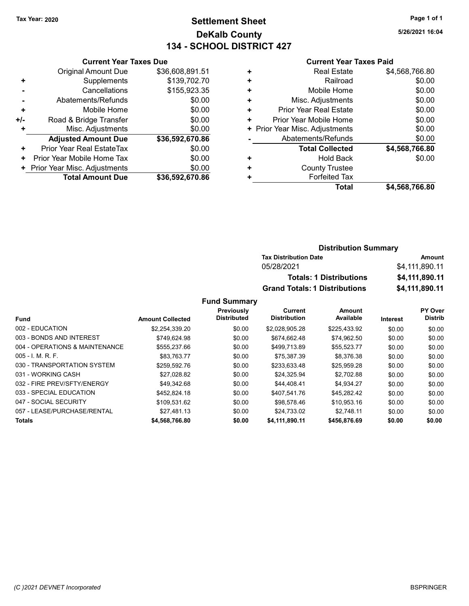### Tax Year: 2020 **Page 1 of 1 Settlement Sheet Constant Constant Constant Constant Constant Constant Constant Constant Constant Constant Constant Constant Page 1 of 1** DeKalb County 134 - SCHOOL DISTRICT 427

5/26/2021 16:04

#### Current Year Taxes Paid

| <b>Current Year Taxes Due</b> |                 |  |  |  |  |
|-------------------------------|-----------------|--|--|--|--|
| Original Amount Due           | \$36,608,891.51 |  |  |  |  |
| Supplements                   | \$139,702.70    |  |  |  |  |
| Cancellations                 | \$155,923.35    |  |  |  |  |
| Abatements/Refunds            | \$0.00          |  |  |  |  |
| Mobile Home                   | \$0.00          |  |  |  |  |
| Road & Bridge Transfer        | \$0.00          |  |  |  |  |
| Misc. Adjustments             | \$0.00          |  |  |  |  |
| <b>Adjusted Amount Due</b>    | \$36,592,670.86 |  |  |  |  |
| Prior Year Real EstateTax     | \$0.00          |  |  |  |  |
| Prior Year Mobile Home Tax    | \$0.00          |  |  |  |  |
| Prior Year Misc. Adjustments  | \$0.00          |  |  |  |  |
| <b>Total Amount Due</b>       | \$36,592,670.86 |  |  |  |  |
|                               |                 |  |  |  |  |

| \$0.00<br>\$0.00 |
|------------------|
|                  |
|                  |
| \$0.00           |
| \$0.00           |
| \$0.00           |
| \$0.00           |
| \$0.00           |
| \$4,568,766.80   |
| \$0.00           |
|                  |
|                  |
| \$4,568,766.80   |
|                  |

#### Distribution Summary Tax Distribution Date **Amount** 05/28/2021 \$4,111,890.11 Totals: 1 Distributions \$4,111,890.11 Grand Totals: 1 Distributions \$4,111,890.11

|                                |                         | Previously         | Current             | <b>Amount</b> |          | PY Over        |
|--------------------------------|-------------------------|--------------------|---------------------|---------------|----------|----------------|
| Fund                           | <b>Amount Collected</b> | <b>Distributed</b> | <b>Distribution</b> | Available     | Interest | <b>Distrib</b> |
| 002 - EDUCATION                | \$2,254,339.20          | \$0.00             | \$2.028.905.28      | \$225.433.92  | \$0.00   | \$0.00         |
| 003 - BONDS AND INTEREST       | \$749.624.98            | \$0.00             | \$674.662.48        | \$74,962.50   | \$0.00   | \$0.00         |
| 004 - OPERATIONS & MAINTENANCE | \$555.237.66            | \$0.00             | \$499.713.89        | \$55,523.77   | \$0.00   | \$0.00         |
| $005 - I$ , M, R, F,           | \$83.763.77             | \$0.00             | \$75.387.39         | \$8.376.38    | \$0.00   | \$0.00         |
| 030 - TRANSPORTATION SYSTEM    | \$259,592.76            | \$0.00             | \$233.633.48        | \$25.959.28   | \$0.00   | \$0.00         |
| 031 - WORKING CASH             | \$27.028.82             | \$0.00             | \$24.325.94         | \$2.702.88    | \$0.00   | \$0.00         |
| 032 - FIRE PREV/SFTY/ENERGY    | \$49.342.68             | \$0.00             | \$44,408.41         | \$4.934.27    | \$0.00   | \$0.00         |
| 033 - SPECIAL EDUCATION        | \$452,824.18            | \$0.00             | \$407.541.76        | \$45.282.42   | \$0.00   | \$0.00         |
| 047 - SOCIAL SECURITY          | \$109.531.62            | \$0.00             | \$98.578.46         | \$10.953.16   | \$0.00   | \$0.00         |
| 057 - LEASE/PURCHASE/RENTAL    | \$27.481.13             | \$0.00             | \$24.733.02         | \$2.748.11    | \$0.00   | \$0.00         |
| <b>Totals</b>                  | \$4,568,766.80          | \$0.00             | \$4.111.890.11      | \$456,876.69  | \$0.00   | \$0.00         |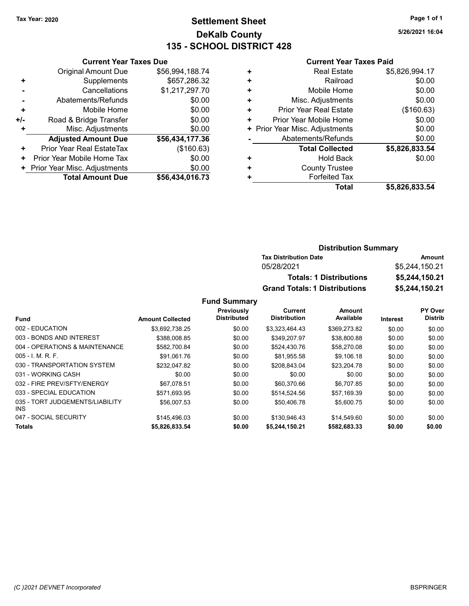### Tax Year: 2020 **Page 1 of 1 Settlement Sheet Constant Constant Constant Constant Constant Constant Constant Constant Constant Constant Constant Constant Page 1 of 1** DeKalb County 135 - SCHOOL DISTRICT 428

5/26/2021 16:04

#### Current Year Taxes Paid

|     | <b>Current Year Taxes Due</b> |                 |  |  |  |  |
|-----|-------------------------------|-----------------|--|--|--|--|
|     | <b>Original Amount Due</b>    | \$56,994,188.74 |  |  |  |  |
| ٠   | Supplements                   | \$657,286.32    |  |  |  |  |
|     | Cancellations                 | \$1,217,297.70  |  |  |  |  |
|     | Abatements/Refunds            | \$0.00          |  |  |  |  |
| ٠   | Mobile Home                   | \$0.00          |  |  |  |  |
| +/- | Road & Bridge Transfer        | \$0.00          |  |  |  |  |
| ٠   | Misc. Adjustments             | \$0.00          |  |  |  |  |
|     | <b>Adjusted Amount Due</b>    | \$56,434,177.36 |  |  |  |  |
| ÷   | Prior Year Real EstateTax     | (\$160.63)      |  |  |  |  |
| ٠   | Prior Year Mobile Home Tax    | \$0.00          |  |  |  |  |
|     | Prior Year Misc. Adjustments  | \$0.00          |  |  |  |  |
|     | <b>Total Amount Due</b>       | \$56.434.016.73 |  |  |  |  |

|   | Total                          | \$5,826,833.54 |
|---|--------------------------------|----------------|
| ٠ | <b>Forfeited Tax</b>           |                |
| ٠ | <b>County Trustee</b>          |                |
| ٠ | <b>Hold Back</b>               | \$0.00         |
|   | <b>Total Collected</b>         | \$5,826,833.54 |
|   | Abatements/Refunds             | \$0.00         |
|   | + Prior Year Misc. Adjustments | \$0.00         |
| ٠ | Prior Year Mobile Home         | \$0.00         |
| ٠ | <b>Prior Year Real Estate</b>  | (\$160.63)     |
| ٠ | Misc. Adjustments              | \$0.00         |
| ٠ | Mobile Home                    | \$0.00         |
| ٠ | Railroad                       | \$0.00         |
| ٠ | <b>Real Estate</b>             | \$5,826,994.17 |
|   |                                |                |

#### Distribution Summary Tax Distribution Date **Amount** 05/28/2021 \$5,244,150.21 Totals: 1 Distributions \$5,244,150.21 Grand Totals: 1 Distributions \$5,244,150.21

|                                               |                         | Previously         | Current             | Amount       |                 | PY Over        |
|-----------------------------------------------|-------------------------|--------------------|---------------------|--------------|-----------------|----------------|
| Fund                                          | <b>Amount Collected</b> | <b>Distributed</b> | <b>Distribution</b> | Available    | <b>Interest</b> | <b>Distrib</b> |
| 002 - EDUCATION                               | \$3,692,738.25          | \$0.00             | \$3,323,464.43      | \$369,273.82 | \$0.00          | \$0.00         |
| 003 - BONDS AND INTEREST                      | \$388.008.85            | \$0.00             | \$349.207.97        | \$38,800.88  | \$0.00          | \$0.00         |
| 004 - OPERATIONS & MAINTENANCE                | \$582,700.84            | \$0.00             | \$524.430.76        | \$58,270.08  | \$0.00          | \$0.00         |
| $005 - 1$ , M, R, F,                          | \$91.061.76             | \$0.00             | \$81.955.58         | \$9,106.18   | \$0.00          | \$0.00         |
| 030 - TRANSPORTATION SYSTEM                   | \$232,047.82            | \$0.00             | \$208,843.04        | \$23,204.78  | \$0.00          | \$0.00         |
| 031 - WORKING CASH                            | \$0.00                  | \$0.00             | \$0.00              | \$0.00       | \$0.00          | \$0.00         |
| 032 - FIRE PREV/SFTY/ENERGY                   | \$67.078.51             | \$0.00             | \$60,370.66         | \$6.707.85   | \$0.00          | \$0.00         |
| 033 - SPECIAL EDUCATION                       | \$571.693.95            | \$0.00             | \$514.524.56        | \$57.169.39  | \$0.00          | \$0.00         |
| 035 - TORT JUDGEMENTS/LIABILITY<br><b>INS</b> | \$56,007.53             | \$0.00             | \$50.406.78         | \$5,600.75   | \$0.00          | \$0.00         |
| 047 - SOCIAL SECURITY                         | \$145.496.03            | \$0.00             | \$130,946.43        | \$14,549.60  | \$0.00          | \$0.00         |
| <b>Totals</b>                                 | \$5,826,833.54          | \$0.00             | \$5,244,150.21      | \$582,683.33 | \$0.00          | \$0.00         |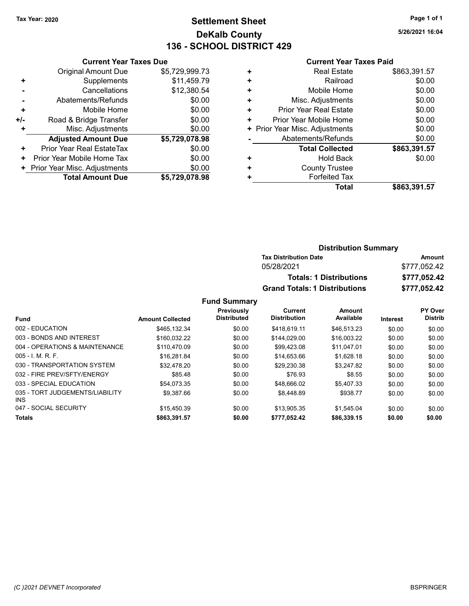### Tax Year: 2020 **Page 1 of 1 Settlement Sheet Constant Constant Constant Constant Constant Constant Constant Constant Constant Constant Constant Constant Page 1 of 1** DeKalb County 136 - SCHOOL DISTRICT 429

5/26/2021 16:04

#### Current Year Taxes Paid

| <b>Original Amount Due</b> | \$5,729,999.73                                                |
|----------------------------|---------------------------------------------------------------|
| Supplements                | \$11,459.79                                                   |
| Cancellations              | \$12,380.54                                                   |
| Abatements/Refunds         | \$0.00                                                        |
| Mobile Home                | \$0.00                                                        |
| Road & Bridge Transfer     | \$0.00                                                        |
| Misc. Adjustments          | \$0.00                                                        |
| <b>Adjusted Amount Due</b> | \$5,729,078.98                                                |
| Prior Year Real EstateTax  | \$0.00                                                        |
| Prior Year Mobile Home Tax | \$0.00                                                        |
|                            | \$0.00                                                        |
| <b>Total Amount Due</b>    | \$5,729,078.98                                                |
|                            | <b>Current Year Taxes Due</b><br>Prior Year Misc. Adjustments |

| \$0.00<br>Railroad<br>٠<br>\$0.00<br>Mobile Home<br>٠<br>\$0.00<br>Misc. Adjustments<br>٠<br>\$0.00<br>Prior Year Real Estate<br>٠<br>\$0.00<br>Prior Year Mobile Home<br>٠<br>\$0.00<br>+ Prior Year Misc. Adjustments<br>\$0.00<br>Abatements/Refunds<br>\$863,391.57<br><b>Total Collected</b><br>\$0.00<br>Hold Back<br>٠<br><b>County Trustee</b><br>٠<br><b>Forfeited Tax</b><br>٠<br>Total | <b>Real Estate</b> | \$863,391.57 |
|---------------------------------------------------------------------------------------------------------------------------------------------------------------------------------------------------------------------------------------------------------------------------------------------------------------------------------------------------------------------------------------------------|--------------------|--------------|
|                                                                                                                                                                                                                                                                                                                                                                                                   |                    |              |
|                                                                                                                                                                                                                                                                                                                                                                                                   |                    |              |
|                                                                                                                                                                                                                                                                                                                                                                                                   |                    |              |
|                                                                                                                                                                                                                                                                                                                                                                                                   |                    |              |
|                                                                                                                                                                                                                                                                                                                                                                                                   |                    |              |
|                                                                                                                                                                                                                                                                                                                                                                                                   |                    |              |
|                                                                                                                                                                                                                                                                                                                                                                                                   |                    |              |
|                                                                                                                                                                                                                                                                                                                                                                                                   |                    |              |
|                                                                                                                                                                                                                                                                                                                                                                                                   |                    |              |
|                                                                                                                                                                                                                                                                                                                                                                                                   |                    |              |
|                                                                                                                                                                                                                                                                                                                                                                                                   |                    |              |
|                                                                                                                                                                                                                                                                                                                                                                                                   |                    | \$863,391.57 |

| <b>Distribution Summary</b>          |              |
|--------------------------------------|--------------|
| <b>Tax Distribution Date</b>         | Amount       |
| 05/28/2021                           | \$777,052.42 |
| <b>Totals: 1 Distributions</b>       | \$777,052.42 |
| <b>Grand Totals: 1 Distributions</b> | \$777,052.42 |

|                                         |                         | Previously         | Current             | <b>Amount</b> |                 | PY Over        |
|-----------------------------------------|-------------------------|--------------------|---------------------|---------------|-----------------|----------------|
| <b>Fund</b>                             | <b>Amount Collected</b> | <b>Distributed</b> | <b>Distribution</b> | Available     | <b>Interest</b> | <b>Distrib</b> |
| 002 - EDUCATION                         | \$465.132.34            | \$0.00             | \$418.619.11        | \$46.513.23   | \$0.00          | \$0.00         |
| 003 - BONDS AND INTEREST                | \$160.032.22            | \$0.00             | \$144.029.00        | \$16,003.22   | \$0.00          | \$0.00         |
| 004 - OPERATIONS & MAINTENANCE          | \$110.470.09            | \$0.00             | \$99.423.08         | \$11.047.01   | \$0.00          | \$0.00         |
| $005 - 1$ , M, R, F,                    | \$16,281.84             | \$0.00             | \$14.653.66         | \$1.628.18    | \$0.00          | \$0.00         |
| 030 - TRANSPORTATION SYSTEM             | \$32.478.20             | \$0.00             | \$29.230.38         | \$3.247.82    | \$0.00          | \$0.00         |
| 032 - FIRE PREV/SFTY/ENERGY             | \$85.48                 | \$0.00             | \$76.93             | \$8.55        | \$0.00          | \$0.00         |
| 033 - SPECIAL EDUCATION                 | \$54.073.35             | \$0.00             | \$48.666.02         | \$5.407.33    | \$0.00          | \$0.00         |
| 035 - TORT JUDGEMENTS/LIABILITY<br>INS. | \$9.387.66              | \$0.00             | \$8,448.89          | \$938.77      | \$0.00          | \$0.00         |
| 047 - SOCIAL SECURITY                   | \$15,450.39             | \$0.00             | \$13.905.35         | \$1.545.04    | \$0.00          | \$0.00         |
| <b>Totals</b>                           | \$863,391.57            | \$0.00             | \$777,052.42        | \$86,339.15   | \$0.00          | \$0.00         |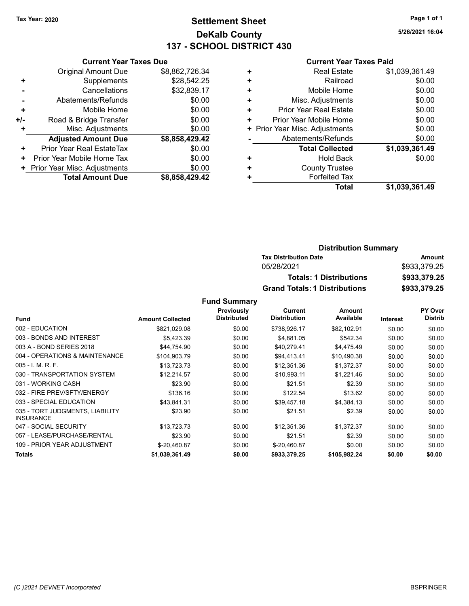### Tax Year: 2020 **Page 1 of 1 Settlement Sheet Constant Constant Constant Constant Constant Constant Constant Constant Constant Constant Constant Constant Page 1 of 1** DeKalb County 137 - SCHOOL DISTRICT 430

5/26/2021 16:04

#### Current Year Taxes Paid

|     | <b>Current Year Taxes Due</b> |                |
|-----|-------------------------------|----------------|
|     | <b>Original Amount Due</b>    | \$8,862,726.34 |
| ٠   | Supplements                   | \$28,542.25    |
|     | Cancellations                 | \$32,839.17    |
|     | Abatements/Refunds            | \$0.00         |
| ÷   | Mobile Home                   | \$0.00         |
| +/- | Road & Bridge Transfer        | \$0.00         |
| ÷   | Misc. Adjustments             | \$0.00         |
|     | <b>Adjusted Amount Due</b>    | \$8,858,429.42 |
| ٠   | Prior Year Real EstateTax     | \$0.00         |
| ٠   | Prior Year Mobile Home Tax    | \$0.00         |
|     | Prior Year Misc. Adjustments  | \$0.00         |
|     | <b>Total Amount Due</b>       | \$8,858,429.42 |

| <b>Real Estate</b>             | \$1,039,361.49 |
|--------------------------------|----------------|
| Railroad                       | \$0.00         |
| Mobile Home                    | \$0.00         |
| Misc. Adjustments              | \$0.00         |
| <b>Prior Year Real Estate</b>  | \$0.00         |
| Prior Year Mobile Home         | \$0.00         |
| + Prior Year Misc. Adjustments | \$0.00         |
| Abatements/Refunds             | \$0.00         |
| <b>Total Collected</b>         | \$1,039,361.49 |
| <b>Hold Back</b>               | \$0.00         |
| <b>County Trustee</b>          |                |
| <b>Forfeited Tax</b>           |                |
| Total                          | \$1,039,361.49 |
|                                |                |

| <b>Distribution Summary</b>          |              |
|--------------------------------------|--------------|
| <b>Tax Distribution Date</b>         | Amount       |
| 05/28/2021                           | \$933,379.25 |
| <b>Totals: 1 Distributions</b>       | \$933,379.25 |
| <b>Grand Totals: 1 Distributions</b> | \$933,379.25 |

|                                                     |                         | Previously         | Current             | Amount       |                 | <b>PY Over</b> |
|-----------------------------------------------------|-------------------------|--------------------|---------------------|--------------|-----------------|----------------|
| <b>Fund</b>                                         | <b>Amount Collected</b> | <b>Distributed</b> | <b>Distribution</b> | Available    | <b>Interest</b> | <b>Distrib</b> |
| 002 - EDUCATION                                     | \$821,029.08            | \$0.00             | \$738,926.17        | \$82,102.91  | \$0.00          | \$0.00         |
| 003 - BONDS AND INTEREST                            | \$5,423.39              | \$0.00             | \$4,881.05          | \$542.34     | \$0.00          | \$0.00         |
| 003 A - BOND SERIES 2018                            | \$44,754.90             | \$0.00             | \$40,279.41         | \$4,475.49   | \$0.00          | \$0.00         |
| 004 - OPERATIONS & MAINTENANCE                      | \$104,903.79            | \$0.00             | \$94.413.41         | \$10,490.38  | \$0.00          | \$0.00         |
| $005 - I. M. R. F.$                                 | \$13,723.73             | \$0.00             | \$12,351.36         | \$1,372.37   | \$0.00          | \$0.00         |
| 030 - TRANSPORTATION SYSTEM                         | \$12,214.57             | \$0.00             | \$10,993.11         | \$1,221.46   | \$0.00          | \$0.00         |
| 031 - WORKING CASH                                  | \$23.90                 | \$0.00             | \$21.51             | \$2.39       | \$0.00          | \$0.00         |
| 032 - FIRE PREV/SFTY/ENERGY                         | \$136.16                | \$0.00             | \$122.54            | \$13.62      | \$0.00          | \$0.00         |
| 033 - SPECIAL EDUCATION                             | \$43,841.31             | \$0.00             | \$39,457.18         | \$4,384.13   | \$0.00          | \$0.00         |
| 035 - TORT JUDGMENTS, LIABILITY<br><b>INSURANCE</b> | \$23.90                 | \$0.00             | \$21.51             | \$2.39       | \$0.00          | \$0.00         |
| 047 - SOCIAL SECURITY                               | \$13,723.73             | \$0.00             | \$12,351.36         | \$1,372.37   | \$0.00          | \$0.00         |
| 057 - LEASE/PURCHASE/RENTAL                         | \$23.90                 | \$0.00             | \$21.51             | \$2.39       | \$0.00          | \$0.00         |
| 109 - PRIOR YEAR ADJUSTMENT                         | \$-20,460.87            | \$0.00             | \$-20,460.87        | \$0.00       | \$0.00          | \$0.00         |
| <b>Totals</b>                                       | \$1,039,361.49          | \$0.00             | \$933,379.25        | \$105,982.24 | \$0.00          | \$0.00         |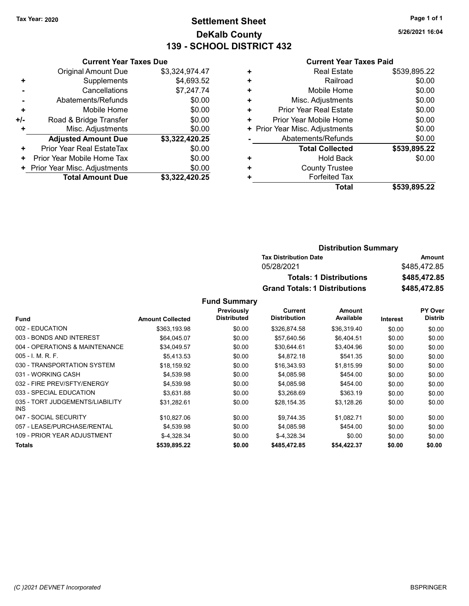### Tax Year: 2020 **Page 1 of 1 Settlement Sheet Constant Constant Constant Constant Constant Constant Constant Constant Constant Constant Constant Constant Page 1 of 1** DeKalb County 139 - SCHOOL DISTRICT 432

5/26/2021 16:04

#### Current Year Taxes Paid

| <b>Original Amount Due</b><br>Supplements<br>٠<br>Cancellations<br>Abatements/Refunds<br>Mobile Home<br>٠<br>Road & Bridge Transfer<br>+/-<br>Misc. Adjustments<br>٠<br><b>Adjusted Amount Due</b><br>Prior Year Real EstateTax<br>٠<br>Prior Year Mobile Home Tax<br>٠<br>Prior Year Misc. Adjustments<br>٠ | <b>Current Year Taxes Due</b> |                |
|--------------------------------------------------------------------------------------------------------------------------------------------------------------------------------------------------------------------------------------------------------------------------------------------------------------|-------------------------------|----------------|
|                                                                                                                                                                                                                                                                                                              |                               | \$3,324,974.47 |
|                                                                                                                                                                                                                                                                                                              |                               | \$4,693.52     |
|                                                                                                                                                                                                                                                                                                              |                               | \$7,247.74     |
|                                                                                                                                                                                                                                                                                                              |                               | \$0.00         |
|                                                                                                                                                                                                                                                                                                              |                               | \$0.00         |
|                                                                                                                                                                                                                                                                                                              |                               | \$0.00         |
|                                                                                                                                                                                                                                                                                                              |                               | \$0.00         |
|                                                                                                                                                                                                                                                                                                              |                               | \$3,322,420.25 |
|                                                                                                                                                                                                                                                                                                              |                               | \$0.00         |
|                                                                                                                                                                                                                                                                                                              |                               | \$0.00         |
|                                                                                                                                                                                                                                                                                                              |                               | \$0.00         |
| <b>Total Amount Due</b>                                                                                                                                                                                                                                                                                      |                               | \$3.322.420.25 |

| ٠ | <b>Real Estate</b>             | \$539,895.22 |
|---|--------------------------------|--------------|
| ٠ | Railroad                       | \$0.00       |
| ٠ | Mobile Home                    | \$0.00       |
| ٠ | Misc. Adjustments              | \$0.00       |
| ٠ | <b>Prior Year Real Estate</b>  | \$0.00       |
| ٠ | Prior Year Mobile Home         | \$0.00       |
|   | + Prior Year Misc. Adjustments | \$0.00       |
|   | Abatements/Refunds             | \$0.00       |
|   | <b>Total Collected</b>         | \$539,895.22 |
| ٠ | <b>Hold Back</b>               | \$0.00       |
| ٠ | <b>County Trustee</b>          |              |
|   | <b>Forfeited Tax</b>           |              |
|   | Total                          | \$539,895.22 |
|   |                                |              |

| <b>Distribution Summary</b>          |              |
|--------------------------------------|--------------|
| <b>Tax Distribution Date</b>         | Amount       |
| 05/28/2021                           | \$485,472,85 |
| <b>Totals: 1 Distributions</b>       | \$485,472.85 |
| <b>Grand Totals: 1 Distributions</b> | \$485,472.85 |

|                                               |                         | Previously         | Current             | Amount      |                 | <b>PY Over</b> |
|-----------------------------------------------|-------------------------|--------------------|---------------------|-------------|-----------------|----------------|
| <b>Fund</b>                                   | <b>Amount Collected</b> | <b>Distributed</b> | <b>Distribution</b> | Available   | <b>Interest</b> | <b>Distrib</b> |
| 002 - EDUCATION                               | \$363,193.98            | \$0.00             | \$326.874.58        | \$36,319.40 | \$0.00          | \$0.00         |
| 003 - BONDS AND INTEREST                      | \$64.045.07             | \$0.00             | \$57.640.56         | \$6.404.51  | \$0.00          | \$0.00         |
| 004 - OPERATIONS & MAINTENANCE                | \$34,049.57             | \$0.00             | \$30,644.61         | \$3,404.96  | \$0.00          | \$0.00         |
| 005 - I. M. R. F.                             | \$5.413.53              | \$0.00             | \$4,872.18          | \$541.35    | \$0.00          | \$0.00         |
| 030 - TRANSPORTATION SYSTEM                   | \$18,159.92             | \$0.00             | \$16,343.93         | \$1,815.99  | \$0.00          | \$0.00         |
| 031 - WORKING CASH                            | \$4,539.98              | \$0.00             | \$4,085.98          | \$454.00    | \$0.00          | \$0.00         |
| 032 - FIRE PREV/SFTY/ENERGY                   | \$4,539.98              | \$0.00             | \$4,085.98          | \$454.00    | \$0.00          | \$0.00         |
| 033 - SPECIAL EDUCATION                       | \$3,631.88              | \$0.00             | \$3,268.69          | \$363.19    | \$0.00          | \$0.00         |
| 035 - TORT JUDGEMENTS/LIABILITY<br><b>INS</b> | \$31,282.61             | \$0.00             | \$28,154.35         | \$3,128.26  | \$0.00          | \$0.00         |
| 047 - SOCIAL SECURITY                         | \$10,827.06             | \$0.00             | \$9.744.35          | \$1,082.71  | \$0.00          | \$0.00         |
| 057 - LEASE/PURCHASE/RENTAL                   | \$4.539.98              | \$0.00             | \$4.085.98          | \$454.00    | \$0.00          | \$0.00         |
| 109 - PRIOR YEAR ADJUSTMENT                   | $$-4.328.34$            | \$0.00             | $$-4.328.34$        | \$0.00      | \$0.00          | \$0.00         |
| <b>Totals</b>                                 | \$539,895.22            | \$0.00             | \$485,472.85        | \$54,422.37 | \$0.00          | \$0.00         |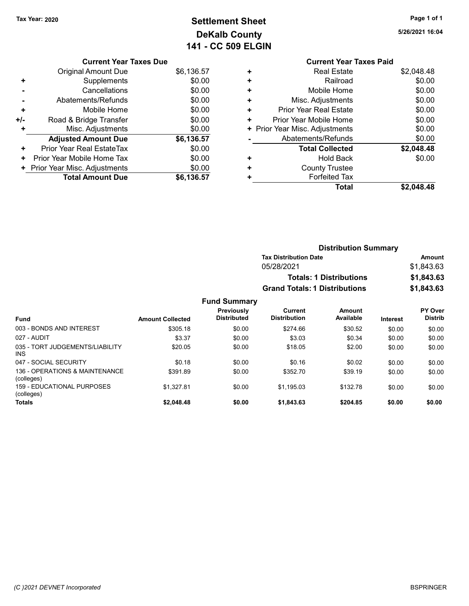(colleges)

# Tax Year: 2020 **Page 1 of 1 Settlement Sheet Constant Constant Constant Constant Constant Constant Constant Constant Constant Constant Constant Constant Page 1 of 1** DeKalb County 141 - CC 509 ELGIN

5/26/2021 16:04

# Current Year Taxes Due

|       | <b>Total Amount Due</b>          | \$6,136.57 |
|-------|----------------------------------|------------|
|       | + Prior Year Misc. Adjustments   | \$0.00     |
| ٠     | Prior Year Mobile Home Tax       | \$0.00     |
| ÷     | <b>Prior Year Real EstateTax</b> | \$0.00     |
|       | <b>Adjusted Amount Due</b>       | \$6,136.57 |
| ÷     | Misc. Adjustments                | \$0.00     |
| $+/-$ | Road & Bridge Transfer           | \$0.00     |
| ٠     | Mobile Home                      | \$0.00     |
|       | Abatements/Refunds               | \$0.00     |
|       | Cancellations                    | \$0.00     |
| ٠     | Supplements                      | \$0.00     |
|       | <b>Original Amount Due</b>       | \$6,136.57 |
|       |                                  |            |

|   | <b>Current Year Taxes Paid</b> |            |
|---|--------------------------------|------------|
| ٠ | <b>Real Estate</b>             | \$2,048.48 |
| ٠ | Railroad                       | \$0.00     |
| ٠ | Mobile Home                    | \$0.00     |
| ٠ | Misc. Adjustments              | \$0.00     |
| ÷ | Prior Year Real Estate         | \$0.00     |
| ٠ | Prior Year Mobile Home         | \$0.00     |
| ٠ | Prior Year Misc. Adjustments   | \$0.00     |
|   | Abatements/Refunds             | \$0.00     |
|   | <b>Total Collected</b>         | \$2,048.48 |
| ٠ | Hold Back                      | \$0.00     |
| ٠ | <b>County Trustee</b>          |            |
|   | <b>Forfeited Tax</b>           |            |
|   | Total                          | \$2.048.48 |
|   |                                |            |

|                                              |                         |                                  | <b>Distribution Summary</b>          |                                |                 |                           |
|----------------------------------------------|-------------------------|----------------------------------|--------------------------------------|--------------------------------|-----------------|---------------------------|
|                                              |                         |                                  | <b>Tax Distribution Date</b>         |                                |                 | Amount                    |
|                                              |                         |                                  | 05/28/2021                           |                                |                 | \$1,843.63                |
|                                              |                         |                                  |                                      | <b>Totals: 1 Distributions</b> |                 | \$1,843.63                |
|                                              |                         |                                  | <b>Grand Totals: 1 Distributions</b> |                                |                 | \$1,843.63                |
|                                              |                         | <b>Fund Summary</b>              |                                      |                                |                 |                           |
| <b>Fund</b>                                  | <b>Amount Collected</b> | Previously<br><b>Distributed</b> | Current<br><b>Distribution</b>       | Amount<br>Available            | <b>Interest</b> | PY Over<br><b>Distrib</b> |
| 003 - BONDS AND INTEREST                     | \$305.18                | \$0.00                           | \$274.66                             | \$30.52                        | \$0.00          | \$0.00                    |
| 027 - AUDIT                                  | \$3.37                  | \$0.00                           | \$3.03                               | \$0.34                         | \$0.00          | \$0.00                    |
| 035 - TORT JUDGEMENTS/LIABILITY<br>INS.      | \$20.05                 | \$0.00                           | \$18.05                              | \$2.00                         | \$0.00          | \$0.00                    |
| 047 - SOCIAL SECURITY                        | \$0.18                  | \$0.00                           | \$0.16                               | \$0.02                         | \$0.00          | \$0.00                    |
| 136 - OPERATIONS & MAINTENANCE<br>(colleges) | \$391.89                | \$0.00                           | \$352.70                             | \$39.19                        | \$0.00          | \$0.00                    |
| 159 - EDUCATIONAL PURPOSES                   | \$1.327.81              | \$0.00                           | \$1.195.03                           | \$132.78                       | \$0.00          | \$0.00                    |

Totals \$0.00 \$0.00 \$2,048.48 \$0.00 \$1,843.63 \$204.85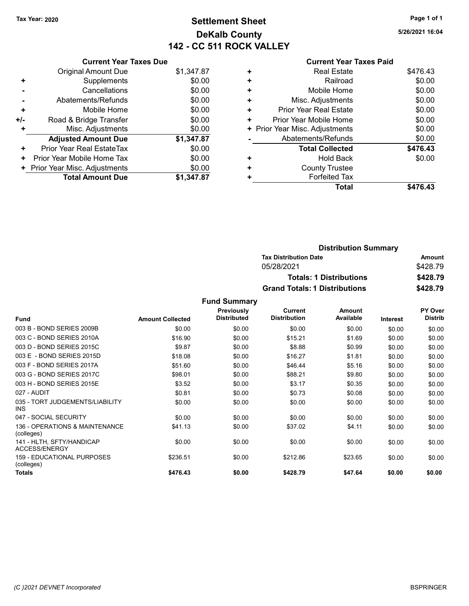# Tax Year: 2020 **Page 1 of 1 Settlement Sheet Constant Constant Constant Constant Constant Constant Constant Constant Constant Constant Constant Constant Page 1 of 1** DeKalb County 142 - CC 511 ROCK VALLEY

5/26/2021 16:04

|  | $\mathsf{C}$ |
|--|--------------|
|  |              |

|     | <b>Current Year Taxes Due</b>    |            |
|-----|----------------------------------|------------|
|     | <b>Original Amount Due</b>       | \$1,347.87 |
|     | Supplements                      | \$0.00     |
|     | Cancellations                    | \$0.00     |
|     | Abatements/Refunds               | \$0.00     |
| ٠   | Mobile Home                      | \$0.00     |
| +/- | Road & Bridge Transfer           | \$0.00     |
|     | Misc. Adjustments                | \$0.00     |
|     | <b>Adjusted Amount Due</b>       | \$1,347.87 |
| ٠   | <b>Prior Year Real EstateTax</b> | \$0.00     |
| ٠   | Prior Year Mobile Home Tax       | \$0.00     |
|     | Prior Year Misc. Adjustments     | \$0.00     |
|     | <b>Total Amount Due</b>          | \$1.347.87 |

| <b>Current Year Taxes Paid</b> |          |
|--------------------------------|----------|
| <b>Real Estate</b>             | \$476.43 |
| Railroad                       | \$0.00   |
| Mobile Home                    | \$0.00   |
| Misc. Adjustments              | \$0.00   |
| Prior Year Real Estate         | \$0.00   |
| Prior Year Mobile Home         | \$0.00   |
| Prior Year Misc. Adjustments   | \$0.00   |
| Abatements/Refunds             | \$0.00   |
| <b>Total Collected</b>         | \$476.43 |
| <b>Hold Back</b>               | \$0.00   |
| <b>County Trustee</b>          |          |
| <b>Forfeited Tax</b>           |          |
| Total                          | \$476.43 |
|                                |          |

| <b>Distribution Summary</b>          |          |  |
|--------------------------------------|----------|--|
| <b>Tax Distribution Date</b>         | Amount   |  |
| 05/28/2021                           | \$428.79 |  |
| <b>Totals: 1 Distributions</b>       | \$428.79 |  |
| <b>Grand Totals: 1 Distributions</b> | \$428.79 |  |

|                                              |                         | Previously         | <b>Current</b>      | Amount    |          | PY Over        |
|----------------------------------------------|-------------------------|--------------------|---------------------|-----------|----------|----------------|
| <b>Fund</b>                                  | <b>Amount Collected</b> | <b>Distributed</b> | <b>Distribution</b> | Available | Interest | <b>Distrib</b> |
| 003 B - BOND SERIES 2009B                    | \$0.00                  | \$0.00             | \$0.00              | \$0.00    | \$0.00   | \$0.00         |
| 003 C - BOND SERIES 2010A                    | \$16.90                 | \$0.00             | \$15.21             | \$1.69    | \$0.00   | \$0.00         |
| 003 D - BOND SERIES 2015C                    | \$9.87                  | \$0.00             | \$8.88              | \$0.99    | \$0.00   | \$0.00         |
| 003 E - BOND SERIES 2015D                    | \$18.08                 | \$0.00             | \$16.27             | \$1.81    | \$0.00   | \$0.00         |
| 003 F - BOND SERIES 2017A                    | \$51.60                 | \$0.00             | \$46.44             | \$5.16    | \$0.00   | \$0.00         |
| 003 G - BOND SERIES 2017C                    | \$98.01                 | \$0.00             | \$88.21             | \$9.80    | \$0.00   | \$0.00         |
| 003 H - BOND SERIES 2015E                    | \$3.52                  | \$0.00             | \$3.17              | \$0.35    | \$0.00   | \$0.00         |
| 027 - AUDIT                                  | \$0.81                  | \$0.00             | \$0.73              | \$0.08    | \$0.00   | \$0.00         |
| 035 - TORT JUDGEMENTS/LIABILITY<br>INS.      | \$0.00                  | \$0.00             | \$0.00              | \$0.00    | \$0.00   | \$0.00         |
| 047 - SOCIAL SECURITY                        | \$0.00                  | \$0.00             | \$0.00              | \$0.00    | \$0.00   | \$0.00         |
| 136 - OPERATIONS & MAINTENANCE<br>(colleges) | \$41.13                 | \$0.00             | \$37.02             | \$4.11    | \$0.00   | \$0.00         |
| 141 - HLTH, SFTY/HANDICAP<br>ACCESS/ENERGY   | \$0.00                  | \$0.00             | \$0.00              | \$0.00    | \$0.00   | \$0.00         |
| 159 - EDUCATIONAL PURPOSES<br>(colleges)     | \$236.51                | \$0.00             | \$212.86            | \$23.65   | \$0.00   | \$0.00         |
| Totals                                       | \$476.43                | \$0.00             | \$428.79            | \$47.64   | \$0.00   | \$0.00         |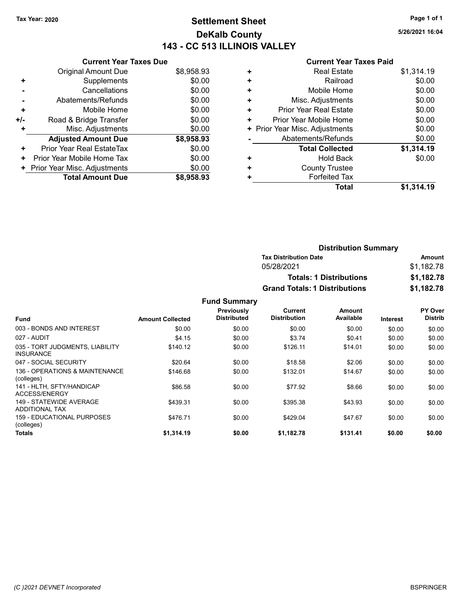### Tax Year: 2020 **Page 1 of 1 Settlement Sheet Constant Constant Constant Constant Constant Constant Constant Constant Constant Constant Constant Constant Page 1 of 1** DeKalb County 143 - CC 513 ILLINOIS VALLEY

5/26/2021 16:04

|     | <b>Current Year Taxes Due</b> |            |
|-----|-------------------------------|------------|
|     | Original Amount Due           | \$8,958.93 |
| ٠   | Supplements                   | \$0.00     |
|     | Cancellations                 | \$0.00     |
|     | Abatements/Refunds            | \$0.00     |
| ٠   | Mobile Home                   | \$0.00     |
| +/- | Road & Bridge Transfer        | \$0.00     |
| ٠   | Misc. Adjustments             | \$0.00     |
|     | <b>Adjusted Amount Due</b>    | \$8,958.93 |
| ٠   | Prior Year Real EstateTax     | \$0.00     |
| ٠   | Prior Year Mobile Home Tax    | \$0.00     |
|     | Prior Year Misc. Adjustments  | \$0.00     |
|     | <b>Total Amount Due</b>       | \$8,958,93 |

|   | Total                          | \$1,314.19 |
|---|--------------------------------|------------|
| ٠ | <b>Forfeited Tax</b>           |            |
| ٠ | <b>County Trustee</b>          |            |
| ٠ | <b>Hold Back</b>               | \$0.00     |
|   | <b>Total Collected</b>         | \$1,314.19 |
|   | Abatements/Refunds             | \$0.00     |
|   | + Prior Year Misc. Adjustments | \$0.00     |
| ٠ | Prior Year Mobile Home         | \$0.00     |
| ٠ | <b>Prior Year Real Estate</b>  | \$0.00     |
| ٠ | Misc. Adjustments              | \$0.00     |
| ٠ | Mobile Home                    | \$0.00     |
| ٠ | Railroad                       | \$0.00     |
| ٠ | <b>Real Estate</b>             | \$1,314.19 |
|   |                                |            |

|                     | <b>Distribution Summary</b>          |            |
|---------------------|--------------------------------------|------------|
|                     | <b>Tax Distribution Date</b>         | Amount     |
|                     | 05/28/2021                           | \$1,182.78 |
|                     | <b>Totals: 1 Distributions</b>       | \$1,182.78 |
|                     | <b>Grand Totals: 1 Distributions</b> | \$1,182.78 |
| <b>Fund Summary</b> |                                      |            |

|                                                     |                         | Previously<br><b>Distributed</b> | Current<br><b>Distribution</b> | Amount<br>Available |          | PY Over<br><b>Distrib</b> |
|-----------------------------------------------------|-------------------------|----------------------------------|--------------------------------|---------------------|----------|---------------------------|
| <b>Fund</b>                                         | <b>Amount Collected</b> |                                  |                                |                     | Interest |                           |
| 003 - BONDS AND INTEREST                            | \$0.00                  | \$0.00                           | \$0.00                         | \$0.00              | \$0.00   | \$0.00                    |
| 027 - AUDIT                                         | \$4.15                  | \$0.00                           | \$3.74                         | \$0.41              | \$0.00   | \$0.00                    |
| 035 - TORT JUDGMENTS, LIABILITY<br><b>INSURANCE</b> | \$140.12                | \$0.00                           | \$126.11                       | \$14.01             | \$0.00   | \$0.00                    |
| 047 - SOCIAL SECURITY                               | \$20.64                 | \$0.00                           | \$18.58                        | \$2.06              | \$0.00   | \$0.00                    |
| 136 - OPERATIONS & MAINTENANCE<br>(colleges)        | \$146.68                | \$0.00                           | \$132.01                       | \$14.67             | \$0.00   | \$0.00                    |
| 141 - HLTH, SFTY/HANDICAP<br>ACCESS/ENERGY          | \$86.58                 | \$0.00                           | \$77.92                        | \$8.66              | \$0.00   | \$0.00                    |
| 149 - STATEWIDE AVERAGE<br><b>ADDITIONAL TAX</b>    | \$439.31                | \$0.00                           | \$395.38                       | \$43.93             | \$0.00   | \$0.00                    |
| 159 - EDUCATIONAL PURPOSES<br>(colleges)            | \$476.71                | \$0.00                           | \$429.04                       | \$47.67             | \$0.00   | \$0.00                    |
| <b>Totals</b>                                       | \$1,314.19              | \$0.00                           | \$1,182.78                     | \$131.41            | \$0.00   | \$0.00                    |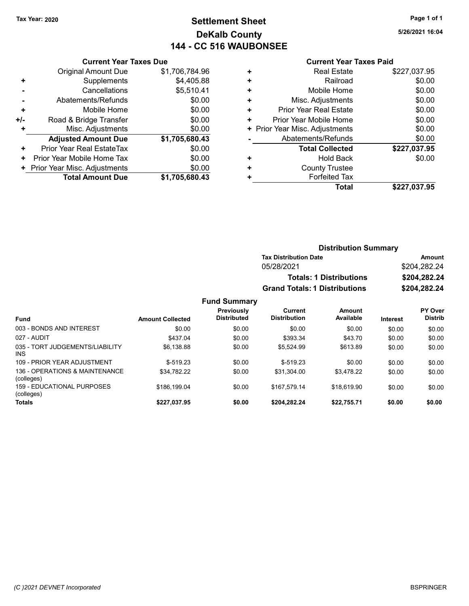## Tax Year: 2020 **Page 1 of 1 Settlement Sheet Constant Constant Constant Constant Constant Constant Constant Constant Constant Constant Constant Constant Page 1 of 1** DeKalb County 144 - CC 516 WAUBONSEE

5/26/2021 16:04

#### Current Year Taxes Paid

|     | <b>Current Year Taxes Due</b> |                |
|-----|-------------------------------|----------------|
|     | <b>Original Amount Due</b>    | \$1,706,784.96 |
| ٠   | Supplements                   | \$4,405.88     |
|     | Cancellations                 | \$5,510.41     |
|     | Abatements/Refunds            | \$0.00         |
| ÷   | Mobile Home                   | \$0.00         |
| +/- | Road & Bridge Transfer        | \$0.00         |
| ٠   | Misc. Adjustments             | \$0.00         |
|     | <b>Adjusted Amount Due</b>    | \$1,705,680.43 |
| ٠   | Prior Year Real EstateTax     | \$0.00         |
| ٠   | Prior Year Mobile Home Tax    | \$0.00         |
| ٠   | Prior Year Misc. Adjustments  | \$0.00         |
|     | <b>Total Amount Due</b>       | \$1,705,680.43 |

| <b>Distribution Summary</b>          |              |
|--------------------------------------|--------------|
| <b>Tax Distribution Date</b>         | Amount       |
| 05/28/2021                           | \$204,282.24 |
| <b>Totals: 1 Distributions</b>       | \$204,282.24 |
| <b>Grand Totals: 1 Distributions</b> | \$204,282.24 |

#### Fund Summary Fund Interest Amount Collected Distributed PY Over Distrib Amount Available Current **Distribution** Previously 003 - BONDS AND INTEREST  $$0.00$  \$0.00 \$0.00 \$0.00 \$0.00 \$0.00 \$0.00 \$0.00 027 - AUDIT \$437.04 \$0.00 \$393.34 \$43.70 \$0.00 \$0.00 035 - TORT JUDGEMENTS/LIABILITY INS  $$6,138.88$   $$0.00$   $$5,524.99$   $$613.89$   $$0.00$   $$0.00$ 109 - PRIOR YEAR ADJUSTMENT  $$-519.23$  \$0.00  $$-519.23$  \$0.00 \$0.00 \$0.00 \$0.00 136 - OPERATIONS & MAINTENANCE (colleges) \$34,782.22 \$0.00 \$31,304.00 \$3,478.22 \$0.00 \$0.00 159 - EDUCATIONAL PURPOSES (colleges)  $$186,199.04$   $$0.00$   $$167,579.14$   $$18,619.90$   $$0.00$   $$0.00$ Totals \$0.00 \$0.00 \$227,037.95 \$0.00 \$204,282.24 \$22,755.71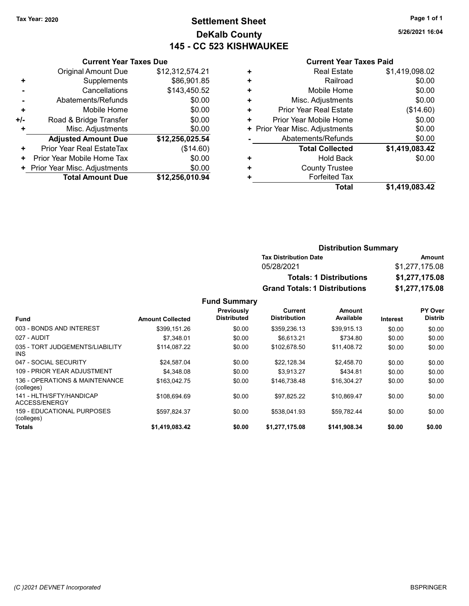### Tax Year: 2020 **Page 1 of 1 Settlement Sheet Constant Constant Constant Constant Constant Constant Constant Constant Constant Constant Constant Constant Page 1 of 1** DeKalb County 145 - CC 523 KISHWAUKEE

5/26/2021 16:04

#### Current Year Taxes Paid

|       | <b>Current Year Taxes Due</b>  |                 |
|-------|--------------------------------|-----------------|
|       | <b>Original Amount Due</b>     | \$12,312,574.21 |
| ٠     | Supplements                    | \$86,901.85     |
|       | Cancellations                  | \$143,450.52    |
|       | Abatements/Refunds             | \$0.00          |
| ٠     | Mobile Home                    | \$0.00          |
| $+/-$ | Road & Bridge Transfer         | \$0.00          |
| ÷     | Misc. Adjustments              | \$0.00          |
|       | <b>Adjusted Amount Due</b>     | \$12,256,025.54 |
| ٠     | Prior Year Real EstateTax      | (\$14.60)       |
| ٠     | Prior Year Mobile Home Tax     | \$0.00          |
|       | + Prior Year Misc. Adjustments | \$0.00          |
|       | <b>Total Amount Due</b>        | \$12,256,010.94 |

|   | <b>Total</b>                   | \$1,419,083.42 |
|---|--------------------------------|----------------|
| ٠ | <b>Forfeited Tax</b>           |                |
| ٠ | <b>County Trustee</b>          |                |
| ٠ | <b>Hold Back</b>               | \$0.00         |
|   | <b>Total Collected</b>         | \$1,419,083.42 |
|   | Abatements/Refunds             | \$0.00         |
|   | + Prior Year Misc. Adjustments | \$0.00         |
| ٠ | Prior Year Mobile Home         | \$0.00         |
| ٠ | <b>Prior Year Real Estate</b>  | (\$14.60)      |
| ٠ | Misc. Adjustments              | \$0.00         |
| ٠ | Mobile Home                    | \$0.00         |
| ÷ | Railroad                       | \$0.00         |
| ٠ | <b>Real Estate</b>             | \$1,419,098.02 |
|   |                                |                |

### Distribution Summary Tax Distribution Date **Amount** 05/28/2021 \$1,277,175.08 Totals: 1 Distributions \$1,277,175.08 Grand Totals: 1 Distributions \$1,277,175.08

|                                               |                         | Previously         | Current             | <b>Amount</b> |                 | PY Over        |
|-----------------------------------------------|-------------------------|--------------------|---------------------|---------------|-----------------|----------------|
| <b>Fund</b>                                   | <b>Amount Collected</b> | <b>Distributed</b> | <b>Distribution</b> | Available     | <b>Interest</b> | <b>Distrib</b> |
| 003 - BONDS AND INTEREST                      | \$399.151.26            | \$0.00             | \$359,236.13        | \$39.915.13   | \$0.00          | \$0.00         |
| 027 - AUDIT                                   | \$7.348.01              | \$0.00             | \$6.613.21          | \$734.80      | \$0.00          | \$0.00         |
| 035 - TORT JUDGEMENTS/LIABILITY<br><b>INS</b> | \$114.087.22            | \$0.00             | \$102.678.50        | \$11.408.72   | \$0.00          | \$0.00         |
| 047 - SOCIAL SECURITY                         | \$24.587.04             | \$0.00             | \$22.128.34         | \$2.458.70    | \$0.00          | \$0.00         |
| 109 - PRIOR YEAR ADJUSTMENT                   | \$4.348.08              | \$0.00             | \$3.913.27          | \$434.81      | \$0.00          | \$0.00         |
| 136 - OPERATIONS & MAINTENANCE<br>(colleges)  | \$163.042.75            | \$0.00             | \$146.738.48        | \$16,304.27   | \$0.00          | \$0.00         |
| 141 - HLTH/SFTY/HANDICAP<br>ACCESS/ENERGY     | \$108.694.69            | \$0.00             | \$97.825.22         | \$10.869.47   | \$0.00          | \$0.00         |
| 159 - EDUCATIONAL PURPOSES<br>(colleges)      | \$597.824.37            | \$0.00             | \$538.041.93        | \$59.782.44   | \$0.00          | \$0.00         |
| <b>Totals</b>                                 | \$1,419,083.42          | \$0.00             | \$1,277,175.08      | \$141,908.34  | \$0.00          | \$0.00         |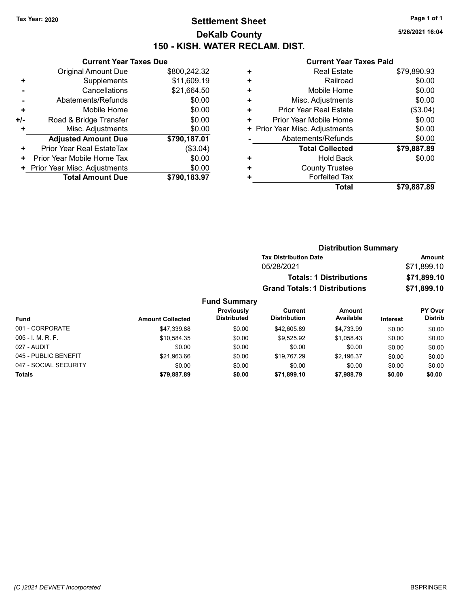# Tax Year: 2020 **Page 1 of 1 Settlement Sheet Constant Constant Constant Constant Constant Constant Constant Constant Constant Constant Constant Constant Page 1 of 1** DeKalb County 150 - KISH. WATER RECLAM. DIST.

027 - AUDIT \$0.00 \$0.00 \$0.00 \$0.00 \$0.00 \$0.00 045 - PUBLIC BENEFIT 60.00 \$21,963.66 \$19.00 \$19,767.29 \$2,196.37 \$0.00 \$0.00 047 - SOCIAL SECURITY 60.00 \$0.00 \$0.00 \$0.00 \$0.00 \$0.00 \$0.00 \$0.00 \$0.00 \$0.00 Totals \$0.00 \$0.00 \$79,887.89 \$0.00 \$71,899.10 \$7,988.79

5/26/2021 16:04

|     | <b>Current Year Taxes Due</b>  |              |
|-----|--------------------------------|--------------|
|     | <b>Original Amount Due</b>     | \$800,242.32 |
| ٠   | Supplements                    | \$11,609.19  |
|     | Cancellations                  | \$21,664.50  |
|     | Abatements/Refunds             | \$0.00       |
| ٠   | Mobile Home                    | \$0.00       |
| +/- | Road & Bridge Transfer         | \$0.00       |
| ٠   | Misc. Adjustments              | \$0.00       |
|     | <b>Adjusted Amount Due</b>     | \$790,187.01 |
| ٠   | Prior Year Real EstateTax      | (\$3.04)     |
| ٠   | Prior Year Mobile Home Tax     | \$0.00       |
|     | + Prior Year Misc. Adjustments | \$0.00       |
|     | <b>Total Amount Due</b>        | \$790,183,97 |
|     |                                |              |

|   | <b>Current Year Taxes Paid</b> |             |
|---|--------------------------------|-------------|
| ٠ | <b>Real Estate</b>             | \$79,890.93 |
| ٠ | Railroad                       | \$0.00      |
| ٠ | Mobile Home                    | \$0.00      |
| ٠ | Misc. Adjustments              | \$0.00      |
| ٠ | Prior Year Real Estate         | (\$3.04)    |
| ٠ | Prior Year Mobile Home         | \$0.00      |
| ٠ | Prior Year Misc. Adjustments   | \$0.00      |
|   | Abatements/Refunds             | \$0.00      |
|   | <b>Total Collected</b>         | \$79,887.89 |
| ٠ | <b>Hold Back</b>               | \$0.00      |
| ٠ | <b>County Trustee</b>          |             |
|   | <b>Forfeited Tax</b>           |             |
|   | <b>Total</b>                   | \$79,887.89 |
|   |                                |             |

|                   |                         |                                  |                                      | <b>Distribution Summary</b>    |                 |                           |
|-------------------|-------------------------|----------------------------------|--------------------------------------|--------------------------------|-----------------|---------------------------|
|                   |                         |                                  | <b>Tax Distribution Date</b>         |                                |                 | Amount                    |
|                   |                         |                                  | 05/28/2021                           |                                |                 | \$71,899.10               |
|                   |                         |                                  |                                      | <b>Totals: 1 Distributions</b> |                 | \$71,899.10               |
|                   |                         |                                  | <b>Grand Totals: 1 Distributions</b> |                                |                 | \$71,899.10               |
|                   |                         | <b>Fund Summary</b>              |                                      |                                |                 |                           |
| Fund              | <b>Amount Collected</b> | Previously<br><b>Distributed</b> | Current<br><b>Distribution</b>       | Amount<br>Available            | <b>Interest</b> | PY Over<br><b>Distrib</b> |
| 001 - CORPORATE   | \$47,339.88             | \$0.00                           | \$42,605.89                          | \$4,733.99                     | \$0.00          | \$0.00                    |
| 005 - I. M. R. F. | \$10.584.35             | \$0.00                           | \$9,525.92                           | \$1,058.43                     | \$0.00          | \$0.00                    |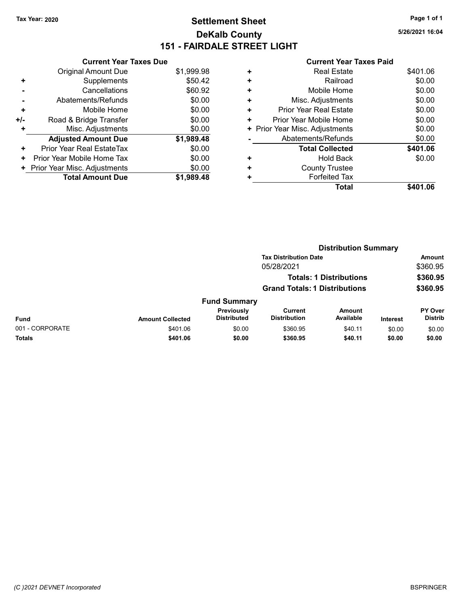# Tax Year: 2020 **Page 1 of 1 Settlement Sheet Constant Constant Constant Constant Constant Constant Constant Constant Constant Constant Constant Constant Page 1 of 1** DeKalb County 151 - FAIRDALE STREET LIGHT

5/26/2021 16:04

| <b>Current Year Taxes Paid</b> |  |  |
|--------------------------------|--|--|
|                                |  |  |

|     | <b>Current Year Taxes Due</b> |            |
|-----|-------------------------------|------------|
|     | Original Amount Due           | \$1,999.98 |
| ٠   | Supplements                   | \$50.42    |
|     | Cancellations                 | \$60.92    |
|     | Abatements/Refunds            | \$0.00     |
| ٠   | Mobile Home                   | \$0.00     |
| +/- | Road & Bridge Transfer        | \$0.00     |
| ٠   | Misc. Adjustments             | \$0.00     |
|     | <b>Adjusted Amount Due</b>    | \$1,989.48 |
| ÷   | Prior Year Real EstateTax     | \$0.00     |
| ٠   | Prior Year Mobile Home Tax    | \$0.00     |
| ٠   | Prior Year Misc. Adjustments  | \$0.00     |
|     | <b>Total Amount Due</b>       | \$1,989,48 |

| ٠ | <b>Real Estate</b>            | \$401.06 |
|---|-------------------------------|----------|
| ٠ | Railroad                      | \$0.00   |
| ٠ | Mobile Home                   | \$0.00   |
| ٠ | Misc. Adjustments             | \$0.00   |
| ÷ | <b>Prior Year Real Estate</b> | \$0.00   |
| ٠ | Prior Year Mobile Home        | \$0.00   |
| ٠ | Prior Year Misc. Adjustments  | \$0.00   |
|   | Abatements/Refunds            | \$0.00   |
|   | <b>Total Collected</b>        | \$401.06 |
| ٠ | <b>Hold Back</b>              | \$0.00   |
| ٠ | <b>County Trustee</b>         |          |
| ٠ | <b>Forfeited Tax</b>          |          |
|   | <b>Total</b>                  | \$401.06 |
|   |                               |          |

|                 |                         |                                  |                                      | <b>Distribution Summary</b>    |                 |                           |
|-----------------|-------------------------|----------------------------------|--------------------------------------|--------------------------------|-----------------|---------------------------|
|                 |                         |                                  | <b>Tax Distribution Date</b>         |                                |                 | Amount                    |
|                 |                         |                                  | 05/28/2021                           |                                |                 | \$360.95                  |
|                 |                         |                                  |                                      | <b>Totals: 1 Distributions</b> |                 | \$360.95                  |
|                 |                         |                                  | <b>Grand Totals: 1 Distributions</b> |                                |                 | \$360.95                  |
|                 |                         | <b>Fund Summary</b>              |                                      |                                |                 |                           |
| Fund            | <b>Amount Collected</b> | Previously<br><b>Distributed</b> | Current<br><b>Distribution</b>       | <b>Amount</b><br>Available     | <b>Interest</b> | PY Over<br><b>Distrib</b> |
| 001 - CORPORATE | \$401.06                | \$0.00                           | \$360.95                             | \$40.11                        | \$0.00          | \$0.00                    |
| Totals          | \$401.06                | \$0.00                           | \$360.95                             | \$40.11                        | \$0.00          | \$0.00                    |
|                 |                         |                                  |                                      |                                |                 |                           |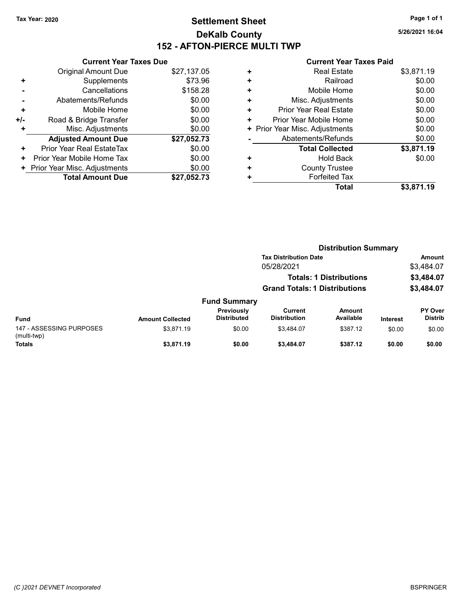### Tax Year: 2020 **Page 1 of 1 Settlement Sheet Constant Constant Constant Constant Constant Constant Constant Constant Constant Constant Constant Constant Page 1 of 1** DeKalb County 152 - AFTON-PIERCE MULTI TWP

5/26/2021 16:04

|     | <b>Current Year Taxes Due</b> |             |
|-----|-------------------------------|-------------|
|     | <b>Original Amount Due</b>    | \$27,137.05 |
| ٠   | Supplements                   | \$73.96     |
|     | Cancellations                 | \$158.28    |
|     | Abatements/Refunds            | \$0.00      |
| ٠   | Mobile Home                   | \$0.00      |
| +/- | Road & Bridge Transfer        | \$0.00      |
|     | Misc. Adjustments             | \$0.00      |
|     | <b>Adjusted Amount Due</b>    | \$27,052.73 |
| ٠   | Prior Year Real EstateTax     | \$0.00      |
| ٠   | Prior Year Mobile Home Tax    | \$0.00      |
|     | Prior Year Misc. Adjustments  | \$0.00      |
|     | <b>Total Amount Due</b>       | \$27.052.73 |

|   | <b>Real Estate</b>             | \$3,871.19 |
|---|--------------------------------|------------|
| ٠ | Railroad                       | \$0.00     |
| ٠ | Mobile Home                    | \$0.00     |
| ٠ | Misc. Adjustments              | \$0.00     |
| ٠ | Prior Year Real Estate         | \$0.00     |
| ٠ | Prior Year Mobile Home         | \$0.00     |
|   | + Prior Year Misc. Adjustments | \$0.00     |
|   | Abatements/Refunds             | \$0.00     |
|   | <b>Total Collected</b>         | \$3,871.19 |
| ٠ | <b>Hold Back</b>               | \$0.00     |
| ٠ | <b>County Trustee</b>          |            |
|   | <b>Forfeited Tax</b>           |            |
|   | Total                          | \$3,871.19 |

|                                         |                         |                                  | <b>Distribution Summary</b>          |                                |                 |                                  |
|-----------------------------------------|-------------------------|----------------------------------|--------------------------------------|--------------------------------|-----------------|----------------------------------|
|                                         |                         |                                  | <b>Tax Distribution Date</b>         |                                |                 | <b>Amount</b>                    |
|                                         |                         |                                  | 05/28/2021                           |                                |                 | \$3,484.07                       |
|                                         |                         |                                  |                                      | <b>Totals: 1 Distributions</b> |                 | \$3,484.07                       |
|                                         |                         |                                  | <b>Grand Totals: 1 Distributions</b> |                                |                 | \$3,484.07                       |
|                                         |                         | <b>Fund Summary</b>              |                                      |                                |                 |                                  |
| <b>Fund</b>                             | <b>Amount Collected</b> | Previously<br><b>Distributed</b> | Current<br><b>Distribution</b>       | Amount<br>Available            | <b>Interest</b> | <b>PY Over</b><br><b>Distrib</b> |
| 147 - ASSESSING PURPOSES<br>(multi-twp) | \$3.871.19              | \$0.00                           | \$3.484.07                           | \$387.12                       | \$0.00          | \$0.00                           |
| <b>Totals</b>                           | \$3,871.19              | \$0.00                           | \$3,484.07                           | \$387.12                       | \$0.00          | \$0.00                           |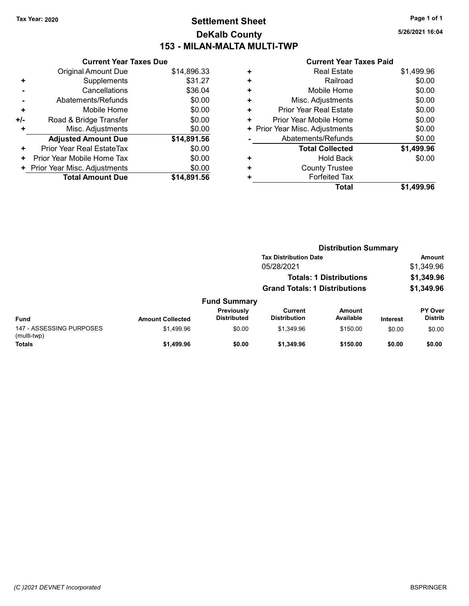### Tax Year: 2020 **Page 1 of 1 Settlement Sheet Constant Constant Constant Constant Constant Constant Constant Constant Constant Constant Constant Constant Page 1 of 1** DeKalb County 153 - MILAN-MALTA MULTI-TWP

5/26/2021 16:04

|     | <b>Current Year Taxes Due</b> |             |
|-----|-------------------------------|-------------|
|     | <b>Original Amount Due</b>    | \$14,896.33 |
| ٠   | Supplements                   | \$31.27     |
|     | Cancellations                 | \$36.04     |
|     | Abatements/Refunds            | \$0.00      |
| ٠   | Mobile Home                   | \$0.00      |
| +/- | Road & Bridge Transfer        | \$0.00      |
| ٠   | Misc. Adjustments             | \$0.00      |
|     | <b>Adjusted Amount Due</b>    | \$14,891.56 |
| ٠   | Prior Year Real EstateTax     | \$0.00      |
| ٠   | Prior Year Mobile Home Tax    | \$0.00      |
| ٠   | Prior Year Misc. Adjustments  | \$0.00      |
|     | <b>Total Amount Due</b>       | \$14.891.56 |

|   | <b>Total</b>                   | \$1,499.96 |
|---|--------------------------------|------------|
| ٠ | <b>Forfeited Tax</b>           |            |
| ٠ | <b>County Trustee</b>          |            |
| ٠ | Hold Back                      | \$0.00     |
|   | <b>Total Collected</b>         | \$1,499.96 |
|   | Abatements/Refunds             | \$0.00     |
|   | + Prior Year Misc. Adjustments | \$0.00     |
| ٠ | Prior Year Mobile Home         | \$0.00     |
| ٠ | <b>Prior Year Real Estate</b>  | \$0.00     |
| ÷ | Misc. Adjustments              | \$0.00     |
| ٠ | Mobile Home                    | \$0.00     |
| ÷ | Railroad                       | \$0.00     |
| ٠ | <b>Real Estate</b>             | \$1,499.96 |
|   |                                |            |

|                                         |                         |                                  | <b>Distribution Summary</b>          |                                |                 |                           |
|-----------------------------------------|-------------------------|----------------------------------|--------------------------------------|--------------------------------|-----------------|---------------------------|
|                                         |                         |                                  | <b>Tax Distribution Date</b>         |                                |                 | <b>Amount</b>             |
|                                         |                         |                                  | 05/28/2021                           |                                |                 | \$1,349.96                |
|                                         |                         |                                  |                                      | <b>Totals: 1 Distributions</b> |                 | \$1,349.96                |
|                                         |                         |                                  | <b>Grand Totals: 1 Distributions</b> |                                |                 | \$1,349.96                |
|                                         |                         | <b>Fund Summary</b>              |                                      |                                |                 |                           |
| <b>Fund</b>                             | <b>Amount Collected</b> | Previously<br><b>Distributed</b> | Current<br><b>Distribution</b>       | <b>Amount</b><br>Available     | <b>Interest</b> | PY Over<br><b>Distrib</b> |
| 147 - ASSESSING PURPOSES<br>(multi-twp) | \$1.499.96              | \$0.00                           | \$1,349.96                           | \$150.00                       | \$0.00          | \$0.00                    |
| <b>Totals</b>                           | \$1,499.96              | \$0.00                           | \$1,349.96                           | \$150.00                       | \$0.00          | \$0.00                    |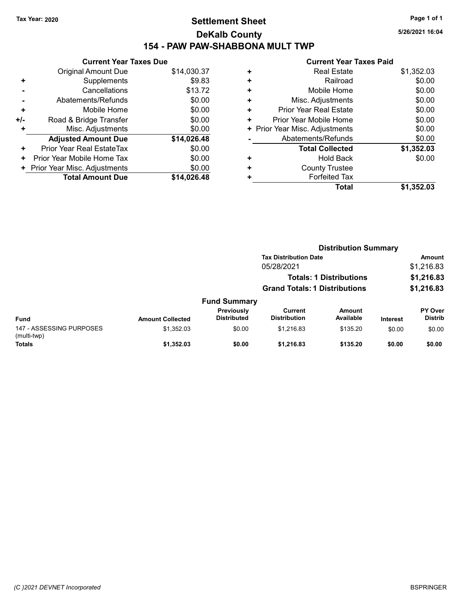### Tax Year: 2020 **Page 1 of 1 Settlement Sheet Constant Constant Constant Constant Constant Constant Constant Constant Constant Constant Constant Constant Page 1 of 1** DeKalb County 154 - PAW PAW-SHABBONA MULT TWP

5/26/2021 16:04

|     | <b>Current Year Taxes Due</b> |             |
|-----|-------------------------------|-------------|
|     | <b>Original Amount Due</b>    | \$14,030.37 |
| ٠   | Supplements                   | \$9.83      |
|     | Cancellations                 | \$13.72     |
|     | Abatements/Refunds            | \$0.00      |
| ÷   | Mobile Home                   | \$0.00      |
| +/- | Road & Bridge Transfer        | \$0.00      |
|     | Misc. Adjustments             | \$0.00      |
|     | <b>Adjusted Amount Due</b>    | \$14,026.48 |
| ÷   | Prior Year Real EstateTax     | \$0.00      |
| ÷   | Prior Year Mobile Home Tax    | \$0.00      |
| ٠   | Prior Year Misc. Adjustments  | \$0.00      |
|     | <b>Total Amount Due</b>       | \$14.026.48 |

|   | <b>Real Estate</b>             | \$1,352.03 |
|---|--------------------------------|------------|
| ٠ | Railroad                       | \$0.00     |
| ٠ | Mobile Home                    | \$0.00     |
| ٠ | Misc. Adjustments              | \$0.00     |
| ٠ | <b>Prior Year Real Estate</b>  | \$0.00     |
| ٠ | Prior Year Mobile Home         | \$0.00     |
|   | + Prior Year Misc. Adjustments | \$0.00     |
|   | Abatements/Refunds             | \$0.00     |
|   | <b>Total Collected</b>         | \$1,352.03 |
| ٠ | Hold Back                      | \$0.00     |
| ٠ | <b>County Trustee</b>          |            |
| ٠ | <b>Forfeited Tax</b>           |            |
|   | <b>Total</b>                   | \$1,352.03 |
|   |                                |            |

|                                         |                         |                                  | <b>Distribution Summary</b>          |                                |          |                           |
|-----------------------------------------|-------------------------|----------------------------------|--------------------------------------|--------------------------------|----------|---------------------------|
|                                         |                         |                                  | <b>Tax Distribution Date</b>         |                                |          | <b>Amount</b>             |
|                                         |                         |                                  | 05/28/2021                           |                                |          | \$1,216.83                |
|                                         |                         |                                  |                                      | <b>Totals: 1 Distributions</b> |          | \$1,216.83                |
|                                         |                         |                                  | <b>Grand Totals: 1 Distributions</b> |                                |          | \$1,216.83                |
|                                         |                         | <b>Fund Summary</b>              |                                      |                                |          |                           |
| <b>Fund</b>                             | <b>Amount Collected</b> | Previously<br><b>Distributed</b> | Current<br><b>Distribution</b>       | Amount<br>Available            | Interest | PY Over<br><b>Distrib</b> |
| 147 - ASSESSING PURPOSES<br>(multi-twp) | \$1,352.03              | \$0.00                           | \$1,216.83                           | \$135.20                       | \$0.00   | \$0.00                    |
| <b>Totals</b>                           | \$1,352.03              | \$0.00                           | \$1,216.83                           | \$135.20                       | \$0.00   | \$0.00                    |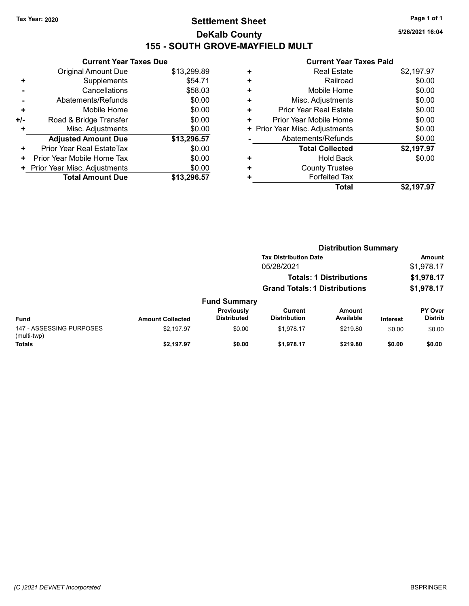# Tax Year: 2020 **Page 1 of 1 Settlement Sheet Constant Constant Constant Constant Constant Constant Constant Constant Constant Constant Constant Constant Page 1 of 1** DeKalb County 155 - SOUTH GROVE-MAYFIELD MULT

5/26/2021 16:04

|     | <b>Current Year Taxes Due</b> |             |
|-----|-------------------------------|-------------|
|     | Original Amount Due           | \$13,299.89 |
| ٠   | Supplements                   | \$54.71     |
|     | Cancellations                 | \$58.03     |
|     | Abatements/Refunds            | \$0.00      |
| ٠   | Mobile Home                   | \$0.00      |
| +/- | Road & Bridge Transfer        | \$0.00      |
| ٠   | Misc. Adjustments             | \$0.00      |
|     | <b>Adjusted Amount Due</b>    | \$13,296.57 |
| ÷   | Prior Year Real EstateTax     | \$0.00      |
| ÷   | Prior Year Mobile Home Tax    | \$0.00      |
| ٠   | Prior Year Misc. Adjustments  | \$0.00      |
|     | <b>Total Amount Due</b>       | \$13,296,57 |

|   | Total                          | \$2,197.97 |
|---|--------------------------------|------------|
| ٠ | <b>Forfeited Tax</b>           |            |
| ٠ | <b>County Trustee</b>          |            |
| ٠ | <b>Hold Back</b>               | \$0.00     |
|   | <b>Total Collected</b>         | \$2,197.97 |
|   | Abatements/Refunds             | \$0.00     |
|   | + Prior Year Misc. Adjustments | \$0.00     |
| ٠ | Prior Year Mobile Home         | \$0.00     |
| ٠ | <b>Prior Year Real Estate</b>  | \$0.00     |
| ÷ | Misc. Adjustments              | \$0.00     |
| ٠ | Mobile Home                    | \$0.00     |
| ٠ | Railroad                       | \$0.00     |
| ٠ | <b>Real Estate</b>             | \$2,197.97 |
|   |                                |            |

|                                         | <b>Distribution Summary</b> |                                  |                                                                              |                     |                 |                                  |  |
|-----------------------------------------|-----------------------------|----------------------------------|------------------------------------------------------------------------------|---------------------|-----------------|----------------------------------|--|
|                                         |                             |                                  | <b>Tax Distribution Date</b><br>05/28/2021<br><b>Totals: 1 Distributions</b> |                     |                 | <b>Amount</b>                    |  |
|                                         |                             |                                  |                                                                              |                     |                 | \$1,978.17<br>\$1,978.17         |  |
|                                         |                             |                                  |                                                                              |                     |                 |                                  |  |
|                                         |                             |                                  | <b>Grand Totals: 1 Distributions</b>                                         |                     |                 | \$1,978.17                       |  |
|                                         |                             | <b>Fund Summary</b>              |                                                                              |                     |                 |                                  |  |
| <b>Fund</b>                             | <b>Amount Collected</b>     | Previously<br><b>Distributed</b> | Current<br><b>Distribution</b>                                               | Amount<br>Available | <b>Interest</b> | <b>PY Over</b><br><b>Distrib</b> |  |
| 147 - ASSESSING PURPOSES<br>(multi-twp) | \$2,197.97                  | \$0.00                           | \$1.978.17                                                                   | \$219.80            | \$0.00          | \$0.00                           |  |
| <b>Totals</b>                           | \$2.197.97                  | \$0.00                           | \$1,978.17                                                                   | \$219.80            | \$0.00          | \$0.00                           |  |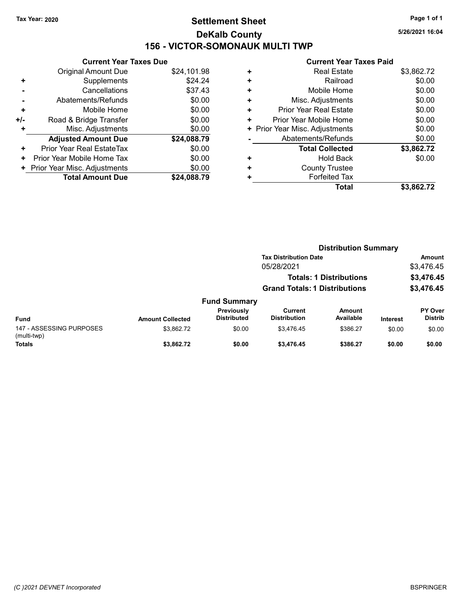# Tax Year: 2020 **Page 1 of 1 Settlement Sheet Constant Constant Constant Constant Constant Constant Constant Constant Constant Constant Constant Constant Page 1 of 1** DeKalb County 156 - VICTOR-SOMONAUK MULTI TWP

5/26/2021 16:04

|     | <b>Current Year Taxes Due</b> |             |  |  |  |  |  |  |
|-----|-------------------------------|-------------|--|--|--|--|--|--|
|     | Original Amount Due           | \$24,101.98 |  |  |  |  |  |  |
| ٠   | Supplements                   | \$24.24     |  |  |  |  |  |  |
|     | Cancellations                 | \$37.43     |  |  |  |  |  |  |
|     | Abatements/Refunds            | \$0.00      |  |  |  |  |  |  |
| ٠   | Mobile Home                   | \$0.00      |  |  |  |  |  |  |
| +/- | Road & Bridge Transfer        | \$0.00      |  |  |  |  |  |  |
|     | Misc. Adjustments             | \$0.00      |  |  |  |  |  |  |
|     | <b>Adjusted Amount Due</b>    | \$24,088.79 |  |  |  |  |  |  |
| ٠   | Prior Year Real EstateTax     | \$0.00      |  |  |  |  |  |  |
| ٠   | Prior Year Mobile Home Tax    | \$0.00      |  |  |  |  |  |  |
| ٠   | Prior Year Misc. Adjustments  | \$0.00      |  |  |  |  |  |  |
|     | <b>Total Amount Due</b>       | \$24,088.79 |  |  |  |  |  |  |

|   | Total                          | \$3,862.72 |
|---|--------------------------------|------------|
| ٠ | <b>Forfeited Tax</b>           |            |
| ٠ | <b>County Trustee</b>          |            |
| ٠ | <b>Hold Back</b>               | \$0.00     |
|   | <b>Total Collected</b>         | \$3,862.72 |
|   | Abatements/Refunds             | \$0.00     |
|   | + Prior Year Misc. Adjustments | \$0.00     |
| ٠ | Prior Year Mobile Home         | \$0.00     |
| ٠ | Prior Year Real Estate         | \$0.00     |
| ÷ | Misc. Adjustments              | \$0.00     |
| ٠ | Mobile Home                    | \$0.00     |
| ٠ | Railroad                       | \$0.00     |
| ٠ | <b>Real Estate</b>             | \$3,862.72 |
|   |                                |            |

|                                         | <b>Distribution Summary</b> |                                  |                                                                        |                     |                 |                           |
|-----------------------------------------|-----------------------------|----------------------------------|------------------------------------------------------------------------|---------------------|-----------------|---------------------------|
|                                         |                             | <b>Tax Distribution Date</b>     |                                                                        |                     |                 | <b>Amount</b>             |
| 05/28/2021                              |                             |                                  |                                                                        | \$3,476.45          |                 |                           |
|                                         |                             |                                  | <b>Totals: 1 Distributions</b><br><b>Grand Totals: 1 Distributions</b> |                     |                 | \$3,476.45<br>\$3,476.45  |
|                                         |                             |                                  |                                                                        |                     |                 |                           |
|                                         |                             | <b>Fund Summary</b>              |                                                                        |                     |                 |                           |
| <b>Fund</b>                             | <b>Amount Collected</b>     | Previously<br><b>Distributed</b> | Current<br><b>Distribution</b>                                         | Amount<br>Available | <b>Interest</b> | PY Over<br><b>Distrib</b> |
| 147 - ASSESSING PURPOSES<br>(multi-twp) | \$3,862.72                  | \$0.00                           | \$3.476.45                                                             | \$386.27            | \$0.00          | \$0.00                    |
| <b>Totals</b>                           | \$3,862.72                  | \$0.00                           | \$3,476.45                                                             | \$386.27            | \$0.00          | \$0.00                    |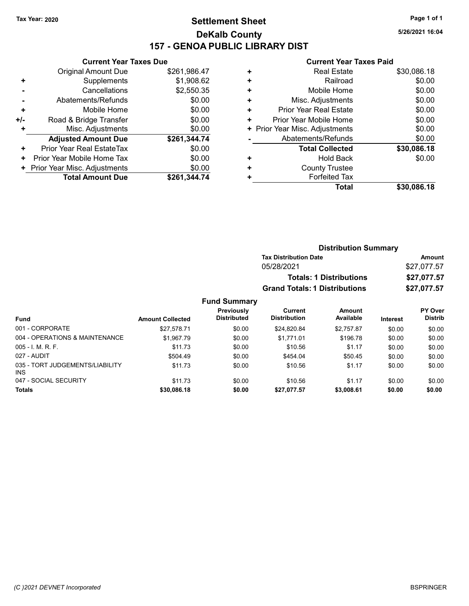INS

# Tax Year: 2020 **Page 1 of 1 Settlement Sheet Constant Constant Constant Constant Constant Constant Constant Constant Constant Constant Constant Constant Page 1 of 1** DeKalb County 157 - GENOA PUBLIC LIBRARY DIST

5/26/2021 16:04

#### Current Year Taxes Paid

|     | <b>Current Year Taxes Due</b> |              |
|-----|-------------------------------|--------------|
|     | <b>Original Amount Due</b>    | \$261,986.47 |
| ٠   | Supplements                   | \$1,908.62   |
|     | Cancellations                 | \$2,550.35   |
|     | Abatements/Refunds            | \$0.00       |
| ÷   | Mobile Home                   | \$0.00       |
| +/- | Road & Bridge Transfer        | \$0.00       |
|     | Misc. Adjustments             | \$0.00       |
|     | <b>Adjusted Amount Due</b>    | \$261,344.74 |
| ÷   | Prior Year Real EstateTax     | \$0.00       |
| ٠   | Prior Year Mobile Home Tax    | \$0.00       |
|     | Prior Year Misc. Adjustments  | \$0.00       |
|     | <b>Total Amount Due</b>       | \$261,344.74 |

| ٠ | <b>Real Estate</b>             | \$30,086.18 |
|---|--------------------------------|-------------|
| ٠ | Railroad                       | \$0.00      |
| ٠ | Mobile Home                    | \$0.00      |
| ٠ | Misc. Adjustments              | \$0.00      |
| ٠ | <b>Prior Year Real Estate</b>  | \$0.00      |
| ٠ | Prior Year Mobile Home         | \$0.00      |
|   | + Prior Year Misc. Adjustments | \$0.00      |
|   | Abatements/Refunds             | \$0.00      |
|   | <b>Total Collected</b>         | \$30,086.18 |
| ٠ | <b>Hold Back</b>               | \$0.00      |
| ٠ | <b>County Trustee</b>          |             |
|   | <b>Forfeited Tax</b>           |             |
|   | Total                          | \$30,086.18 |
|   |                                |             |

|                                 |                         | <b>Distribution Summary</b>      |                                      |                            |                                           |                           |
|---------------------------------|-------------------------|----------------------------------|--------------------------------------|----------------------------|-------------------------------------------|---------------------------|
|                                 |                         |                                  | <b>Tax Distribution Date</b>         |                            | Amount                                    |                           |
|                                 |                         |                                  | 05/28/2021                           |                            | \$27,077.57<br>\$27,077.57<br>\$27,077.57 |                           |
|                                 |                         |                                  | <b>Totals: 1 Distributions</b>       |                            |                                           |                           |
|                                 |                         |                                  | <b>Grand Totals: 1 Distributions</b> |                            |                                           |                           |
|                                 |                         | <b>Fund Summary</b>              |                                      |                            |                                           |                           |
| <b>Fund</b>                     | <b>Amount Collected</b> | Previously<br><b>Distributed</b> | Current<br><b>Distribution</b>       | <b>Amount</b><br>Available | <b>Interest</b>                           | PY Over<br><b>Distrib</b> |
| 001 - CORPORATE                 | \$27,578.71             | \$0.00                           | \$24,820.84                          | \$2,757.87                 | \$0.00                                    | \$0.00                    |
| 004 - OPERATIONS & MAINTENANCE  | \$1,967.79              | \$0.00                           | \$1.771.01                           | \$196.78                   | \$0.00                                    | \$0.00                    |
| $005 - I. M. R. F.$             | \$11.73                 | \$0.00                           | \$10.56                              | \$1.17                     | \$0.00                                    | \$0.00                    |
| 027 - AUDIT                     | \$504.49                | \$0.00                           | \$454.04                             | \$50.45                    | \$0.00                                    | \$0.00                    |
| 035 - TORT JUDGEMENTS/LIABILITY | \$11.73                 | \$0.00                           | \$10.56                              | \$1.17                     | \$0.00                                    | \$0.00                    |

047 - SOCIAL SECURITY 60.00 \$11.73 \$0.00 \$10.56 \$1.17 \$0.00 \$0.00 Totals \$0.00 \$0.00 \$30,086.18 \$0.00 \$27,077.57 \$3,008.61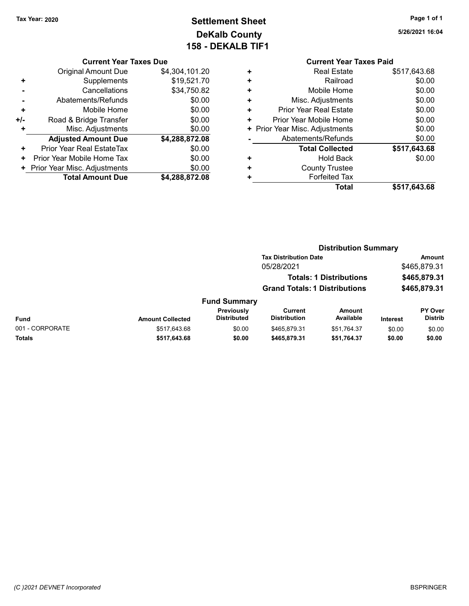# Tax Year: 2020 **Page 1 of 1 Settlement Sheet Constant Constant Constant Constant Constant Constant Constant Constant Constant Constant Constant Constant Page 1 of 1** DeKalb County 158 - DEKALB TIF1

Current Year Taxes Due

|     | <b>Original Amount Due</b>   | \$4,304,101.20 |
|-----|------------------------------|----------------|
| ٠   | Supplements                  | \$19,521.70    |
|     | Cancellations                | \$34,750.82    |
|     | Abatements/Refunds           | \$0.00         |
| ÷   | Mobile Home                  | \$0.00         |
| +/- | Road & Bridge Transfer       | \$0.00         |
| ٠   | Misc. Adjustments            | \$0.00         |
|     | <b>Adjusted Amount Due</b>   | \$4,288,872.08 |
| ÷   | Prior Year Real EstateTax    | \$0.00         |
| ٠   | Prior Year Mobile Home Tax   | \$0.00         |
| ٠   | Prior Year Misc. Adjustments | \$0.00         |
|     | <b>Total Amount Due</b>      | \$4,288,872.08 |
|     |                              |                |

|   | <b>Current Year Taxes Paid</b> |              |
|---|--------------------------------|--------------|
|   | <b>Real Estate</b>             | \$517,643.68 |
|   | Railroad                       | \$0.00       |
|   | Mobile Home                    | \$0.00       |
| ٠ | Misc. Adjustments              | \$0.00       |
| ٠ | Prior Year Real Estate         | \$0.00       |
| ÷ | Prior Year Mobile Home         | \$0.00       |
|   | + Prior Year Misc. Adjustments | \$0.00       |
|   | Abatements/Refunds             | \$0.00       |
|   | <b>Total Collected</b>         | \$517,643.68 |
|   | Hold Back                      | \$0.00       |
|   | <b>County Trustee</b>          |              |
|   | <b>Forfeited Tax</b>           |              |
|   | Total                          | \$517.643.68 |

|                     |                                      | <b>Distribution Summary</b>    |                |
|---------------------|--------------------------------------|--------------------------------|----------------|
|                     | <b>Tax Distribution Date</b>         |                                | Amount         |
|                     | 05/28/2021                           |                                | \$465,879.31   |
|                     |                                      | <b>Totals: 1 Distributions</b> | \$465,879.31   |
|                     | <b>Grand Totals: 1 Distributions</b> |                                | \$465,879.31   |
| <b>Fund Summary</b> |                                      |                                |                |
| Previously          | Current                              | <b>Amount</b>                  | <b>PY Over</b> |

|                 |                         | Previouslv         | Current             | Amount      |          | <b>PY Over</b> |
|-----------------|-------------------------|--------------------|---------------------|-------------|----------|----------------|
| Fund            | <b>Amount Collected</b> | <b>Distributed</b> | <b>Distribution</b> | Available   | Interest | Distrib        |
| 001 - CORPORATE | \$517.643.68            | \$0.00             | \$465.879.31        | \$51.764.37 | \$0.00   | \$0.00         |
| Totals          | \$517.643.68            | \$0.00             | \$465,879.31        | \$51.764.37 | \$0.00   | \$0.00         |

5/26/2021 16:04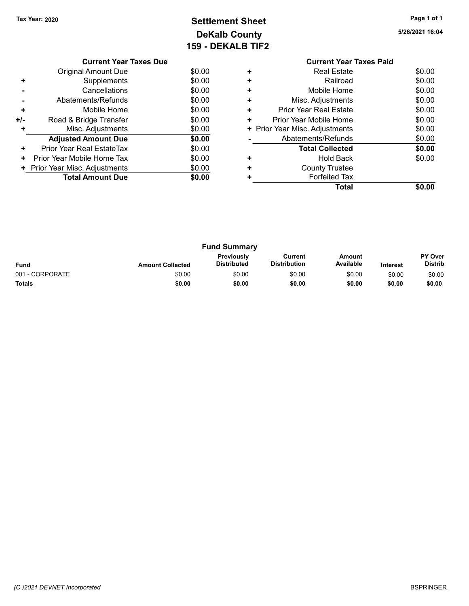# Tax Year: 2020 **Page 1 of 1 Settlement Sheet Constant Constant Constant Constant Constant Constant Constant Constant Constant Constant Constant Constant Page 1 of 1** DeKalb County 159 - DEKALB TIF2

5/26/2021 16:04

|     | <b>Current Year Taxes Due</b> |        |
|-----|-------------------------------|--------|
|     | Original Amount Due           | \$0.00 |
| ٠   | Supplements                   | \$0.00 |
|     | Cancellations                 | \$0.00 |
|     | Abatements/Refunds            | \$0.00 |
| ٠   | Mobile Home                   | \$0.00 |
| +/- | Road & Bridge Transfer        | \$0.00 |
|     | Misc. Adjustments             | \$0.00 |
|     | <b>Adjusted Amount Due</b>    | \$0.00 |
| ٠   | Prior Year Real EstateTax     | \$0.00 |
| ٠   | Prior Year Mobile Home Tax    | \$0.00 |
| ٠   | Prior Year Misc. Adjustments  | \$0.00 |
|     | <b>Total Amount Due</b>       | \$0.00 |
|     |                               |        |

#### Current Year Taxes Paid +<br>
+ Real Estate \$0.00<br>
+ Railroad \$0.00 + Railroad \$0.00 + Mobile Home \$0.00 + Misc. Adjustments \$0.00 + Prior Year Real Estate \$0.00 + Prior Year Mobile Home \$0.00<br>
+ Prior Year Misc. Adjustments \$0.00 + Prior Year Misc. Adjustments - Abatements/Refunds \$0.00 Total Collected \$0.00 + Hold Back \$0.00 + County Trustee + Forfeited Tax Total \$0.00

| <b>Fund Summary</b> |                         |                                  |                                |                     |                 |                                  |
|---------------------|-------------------------|----------------------------------|--------------------------------|---------------------|-----------------|----------------------------------|
| <b>Fund</b>         | <b>Amount Collected</b> | <b>Previously</b><br>Distributed | Current<br><b>Distribution</b> | Amount<br>Available | <b>Interest</b> | <b>PY Over</b><br><b>Distrib</b> |
| 001 - CORPORATE     | \$0.00                  | \$0.00                           | \$0.00                         | \$0.00              | \$0.00          | \$0.00                           |
| <b>Totals</b>       | \$0.00                  | \$0.00                           | \$0.00                         | \$0.00              | \$0.00          | \$0.00                           |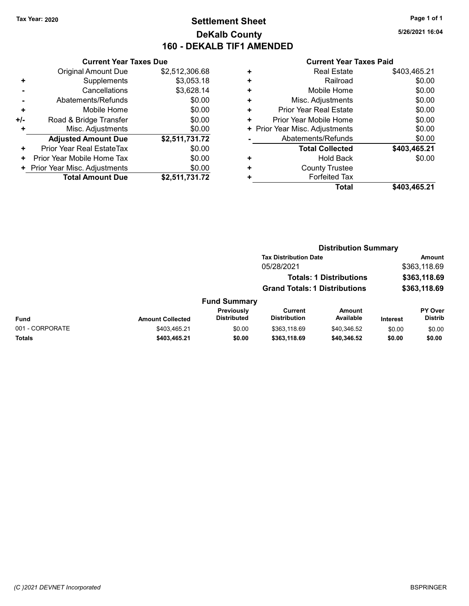# Tax Year: 2020 **Page 1 of 1 Settlement Sheet Constant Constant Constant Constant Constant Constant Constant Constant Constant Constant Constant Constant Page 1 of 1** DeKalb County 160 - DEKALB TIF1 AMENDED

5/26/2021 16:04

### Current Year Taxes Due

|     | Gullellt Teal Taxes Due        |                |  |  |  |
|-----|--------------------------------|----------------|--|--|--|
|     | <b>Original Amount Due</b>     | \$2,512,306.68 |  |  |  |
|     | Supplements                    | \$3,053.18     |  |  |  |
|     | Cancellations                  | \$3,628.14     |  |  |  |
|     | Abatements/Refunds             | \$0.00         |  |  |  |
| ٠   | Mobile Home                    | \$0.00         |  |  |  |
| +/- | Road & Bridge Transfer         | \$0.00         |  |  |  |
|     | Misc. Adjustments              | \$0.00         |  |  |  |
|     | <b>Adjusted Amount Due</b>     | \$2,511,731.72 |  |  |  |
| ٠   | Prior Year Real EstateTax      | \$0.00         |  |  |  |
| ٠   | Prior Year Mobile Home Tax     | \$0.00         |  |  |  |
|     | + Prior Year Misc. Adjustments | \$0.00         |  |  |  |
|     | <b>Total Amount Due</b>        | \$2,511,731.72 |  |  |  |

#### Current Year Taxes Paid

| ٠ | <b>Real Estate</b>             | \$403,465.21 |
|---|--------------------------------|--------------|
| ٠ | Railroad                       | \$0.00       |
| ٠ | Mobile Home                    | \$0.00       |
| ٠ | Misc. Adjustments              | \$0.00       |
| ٠ | <b>Prior Year Real Estate</b>  | \$0.00       |
| ٠ | Prior Year Mobile Home         | \$0.00       |
|   | + Prior Year Misc. Adjustments | \$0.00       |
|   | Abatements/Refunds             | \$0.00       |
|   | <b>Total Collected</b>         | \$403,465.21 |
| ٠ | <b>Hold Back</b>               | \$0.00       |
| ٠ | <b>County Trustee</b>          |              |
| ٠ | <b>Forfeited Tax</b>           |              |
|   | <b>Total</b>                   | \$403,465.21 |

#### Distribution Summary Tax Distribution Date **Amount** 05/28/2021 \$363,118.69 Totals: 1 Distributions \$363,118.69 Grand Totals: 1 Distributions \$363,118.69 Fund Summary Fund Interest Amount Collected Distributed PY Over Distrib Amount Available Current **Distribution** Previously 001 - CORPORATE 6000 \$403,465.21 \$0.00 \$363,118.69 \$40,346.52 \$0.00 \$0.00 Totals \$0.00 \$0.00 \$403,465.21 \$0.00 \$363,118.69 \$40,346.52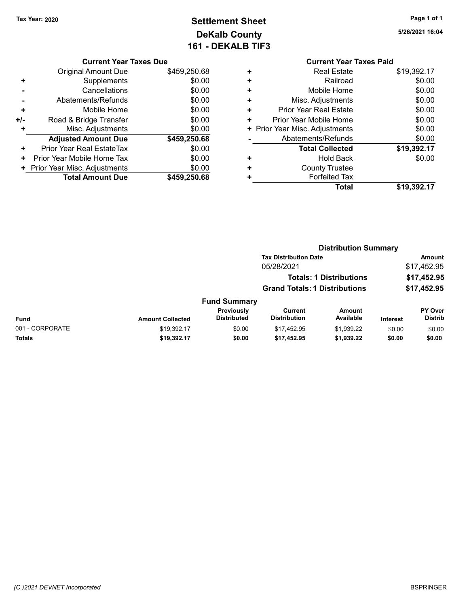# Tax Year: 2020 **Page 1 of 1 Settlement Sheet Constant Constant Constant Constant Constant Constant Constant Constant Constant Constant Constant Constant Page 1 of 1** DeKalb County 161 - DEKALB TIF3

5/26/2021 16:04

|     | <b>Current Year Taxes Due</b> |              |  |  |  |
|-----|-------------------------------|--------------|--|--|--|
|     | <b>Original Amount Due</b>    | \$459,250.68 |  |  |  |
| ٠   | Supplements                   | \$0.00       |  |  |  |
|     | Cancellations                 | \$0.00       |  |  |  |
|     | Abatements/Refunds            | \$0.00       |  |  |  |
| ٠   | Mobile Home                   | \$0.00       |  |  |  |
| +/- | Road & Bridge Transfer        | \$0.00       |  |  |  |
|     | Misc. Adjustments             | \$0.00       |  |  |  |
|     | <b>Adjusted Amount Due</b>    | \$459,250.68 |  |  |  |
| ٠   | Prior Year Real EstateTax     | \$0.00       |  |  |  |
| ٠   | Prior Year Mobile Home Tax    | \$0.00       |  |  |  |
|     | Prior Year Misc. Adjustments  | \$0.00       |  |  |  |
|     | <b>Total Amount Due</b>       | \$459,250.68 |  |  |  |
|     |                               |              |  |  |  |

| <b>Current Year Taxes Paid</b> |             |
|--------------------------------|-------------|
| <b>Real Estate</b><br>٠        | \$19,392.17 |
| Railroad<br>٠                  | \$0.00      |
| Mobile Home<br>٠               | \$0.00      |
| Misc. Adjustments<br>٠         | \$0.00      |
| Prior Year Real Estate<br>٠    | \$0.00      |
| Prior Year Mobile Home<br>٠    | \$0.00      |
| Prior Year Misc. Adjustments   | \$0.00      |
| Abatements/Refunds             | \$0.00      |
| <b>Total Collected</b>         | \$19,392.17 |
| Hold Back<br>٠                 | \$0.00      |
| <b>County Trustee</b>          |             |
| <b>Forfeited Tax</b>           |             |
| Total                          | \$19,392.17 |

|                                | <b>Distribution Summary</b>          |                                  |                                |                     |                 |                           |  |
|--------------------------------|--------------------------------------|----------------------------------|--------------------------------|---------------------|-----------------|---------------------------|--|
|                                |                                      | <b>Tax Distribution Date</b>     |                                | Amount              |                 |                           |  |
|                                |                                      |                                  | 05/28/2021                     |                     |                 | \$17,452.95               |  |
| <b>Totals: 1 Distributions</b> |                                      |                                  | \$17,452.95<br>\$17,452.95     |                     |                 |                           |  |
|                                | <b>Grand Totals: 1 Distributions</b> |                                  |                                |                     |                 |                           |  |
|                                |                                      | <b>Fund Summary</b>              |                                |                     |                 |                           |  |
| <b>Fund</b>                    | <b>Amount Collected</b>              | Previously<br><b>Distributed</b> | Current<br><b>Distribution</b> | Amount<br>Available | <b>Interest</b> | PY Over<br><b>Distrib</b> |  |
| 001 - CORPORATE                | \$19,392.17                          | \$0.00                           | \$17.452.95                    | \$1,939.22          | \$0.00          | \$0.00                    |  |
| Totals                         | \$19,392.17                          | \$0.00                           | \$17,452.95                    | \$1,939.22          | \$0.00          | \$0.00                    |  |
|                                |                                      |                                  |                                |                     |                 |                           |  |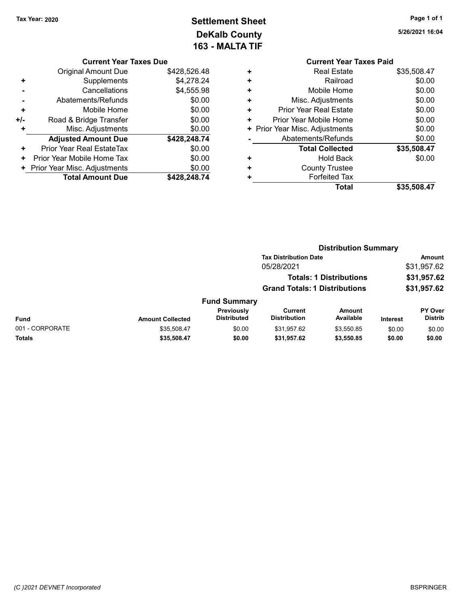# Tax Year: 2020 **Page 1 of 1 Settlement Sheet Constant Constant Constant Constant Constant Constant Constant Constant Constant Constant Constant Constant Page 1 of 1** DeKalb County 163 - MALTA TIF

5/26/2021 16:04

| Current Year Taxes Due |  |  |
|------------------------|--|--|

|                      | <b>Original Amount Due</b>   | \$428,526.48 |
|----------------------|------------------------------|--------------|
| ٠                    | Supplements                  | \$4,278.24   |
|                      | Cancellations                | \$4,555.98   |
|                      | Abatements/Refunds           | \$0.00       |
| ٠                    | Mobile Home                  | \$0.00       |
| +/-                  | Road & Bridge Transfer       | \$0.00       |
| ٠                    | Misc. Adjustments            | \$0.00       |
|                      | <b>Adjusted Amount Due</b>   | \$428,248.74 |
| ٠                    | Prior Year Real EstateTax    | \$0.00       |
| ٠                    | Prior Year Mobile Home Tax   | \$0.00       |
| $\ddot{\phantom{1}}$ | Prior Year Misc. Adjustments | \$0.00       |
|                      | <b>Total Amount Due</b>      | \$428,248.74 |
|                      |                              |              |

|   | <b>Current Year Taxes Paid</b> |             |
|---|--------------------------------|-------------|
| ٠ | <b>Real Estate</b>             | \$35,508.47 |
| ÷ | Railroad                       | \$0.00      |
|   | Mobile Home                    | \$0.00      |
| ٠ | Misc. Adjustments              | \$0.00      |
| ٠ | Prior Year Real Estate         | \$0.00      |
|   | Prior Year Mobile Home         | \$0.00      |
|   | + Prior Year Misc. Adjustments | \$0.00      |
|   | Abatements/Refunds             | \$0.00      |
|   | <b>Total Collected</b>         | \$35,508.47 |
|   | <b>Hold Back</b>               | \$0.00      |
|   | <b>County Trustee</b>          |             |
|   | <b>Forfeited Tax</b>           |             |
|   | Total                          | \$35.508.47 |
|   |                                |             |

|                 | <b>Distribution Summary</b> |                                  |                                      |                                |                 |                                  |
|-----------------|-----------------------------|----------------------------------|--------------------------------------|--------------------------------|-----------------|----------------------------------|
|                 |                             |                                  | <b>Tax Distribution Date</b>         |                                |                 | <b>Amount</b>                    |
|                 |                             |                                  | 05/28/2021                           |                                |                 | \$31,957.62                      |
|                 |                             |                                  |                                      | <b>Totals: 1 Distributions</b> |                 | \$31,957.62                      |
|                 |                             |                                  | <b>Grand Totals: 1 Distributions</b> |                                | \$31,957.62     |                                  |
|                 |                             | <b>Fund Summary</b>              |                                      |                                |                 |                                  |
| <b>Fund</b>     | <b>Amount Collected</b>     | Previously<br><b>Distributed</b> | Current<br><b>Distribution</b>       | <b>Amount</b><br>Available     | <b>Interest</b> | <b>PY Over</b><br><b>Distrib</b> |
| 001 - CORPORATE | \$35,508.47                 | \$0.00                           | \$31,957.62                          | \$3,550.85                     | \$0.00          | \$0.00                           |
| Totals          | \$35,508.47                 | \$0.00                           | \$31,957.62                          | \$3,550.85                     | \$0.00          | \$0.00                           |
|                 |                             |                                  |                                      |                                |                 |                                  |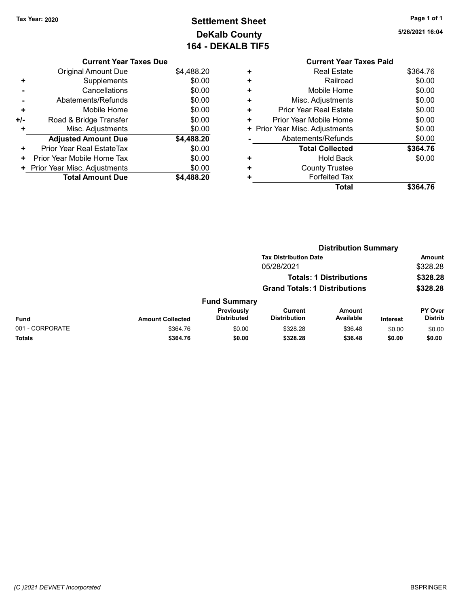# Tax Year: 2020 **Page 1 of 1 Settlement Sheet Constant Constant Constant Constant Constant Constant Constant Constant Constant Constant Constant Constant Page 1 of 1** DeKalb County 164 - DEKALB TIF5

5/26/2021 16:04

#### Current Year Taxes Due Original Amount Due \$4,488.20 + Supplements \$0.00 - Cancellations \$0.00 - Abatements/Refunds \$0.00 + Mobile Home \$0.00 +/- Road & Bridge Transfer \$0.00 + Misc. Adjustments \$0.00 Adjusted Amount Due \$4,488.20 + Prior Year Real EstateTax \$0.00 + Prior Year Mobile Home Tax \$0.00 + Prior Year Misc. Adjustments \$0.00<br>Total Amount Due \$4,488.20 Total Amount Due

|   | <b>Current Year Taxes Paid</b> |          |
|---|--------------------------------|----------|
| ٠ | <b>Real Estate</b>             | \$364.76 |
| ٠ | Railroad                       | \$0.00   |
| ٠ | Mobile Home                    | \$0.00   |
| ٠ | Misc. Adjustments              | \$0.00   |
| ٠ | <b>Prior Year Real Estate</b>  | \$0.00   |
| ٠ | Prior Year Mobile Home         | \$0.00   |
|   | + Prior Year Misc. Adjustments | \$0.00   |
|   | Abatements/Refunds             | \$0.00   |
|   | <b>Total Collected</b>         | \$364.76 |
| ٠ | <b>Hold Back</b>               | \$0.00   |
| ٠ | <b>County Trustee</b>          |          |
|   | <b>Forfeited Tax</b>           |          |
|   | Total                          | \$364.76 |
|   |                                |          |

|                 |                         |                                  |                                      | <b>Distribution Summary</b>    |                 |                           |
|-----------------|-------------------------|----------------------------------|--------------------------------------|--------------------------------|-----------------|---------------------------|
|                 |                         |                                  | <b>Tax Distribution Date</b>         |                                |                 | Amount                    |
|                 |                         |                                  | 05/28/2021                           |                                |                 | \$328.28                  |
|                 |                         |                                  |                                      | <b>Totals: 1 Distributions</b> |                 | \$328.28                  |
|                 |                         |                                  | <b>Grand Totals: 1 Distributions</b> |                                |                 | \$328.28                  |
|                 |                         | <b>Fund Summary</b>              |                                      |                                |                 |                           |
| <b>Fund</b>     | <b>Amount Collected</b> | Previously<br><b>Distributed</b> | Current<br><b>Distribution</b>       | Amount<br>Available            | <b>Interest</b> | PY Over<br><b>Distrib</b> |
| 001 - CORPORATE | \$364.76                | \$0.00                           | \$328.28                             | \$36.48                        | \$0.00          | \$0.00                    |
| Totals          | \$364.76                | \$0.00                           | \$328.28                             | \$36.48                        | \$0.00          | \$0.00                    |
|                 |                         |                                  |                                      |                                |                 |                           |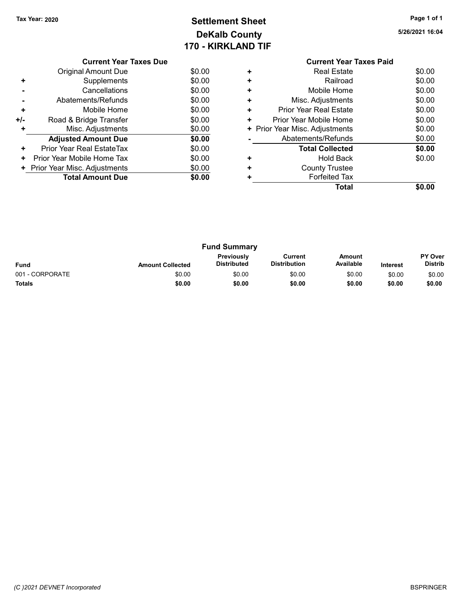# Tax Year: 2020 **Page 1 of 1 Settlement Sheet Constant Constant Constant Constant Constant Constant Constant Constant Constant Constant Constant Constant Page 1 of 1** DeKalb County 170 - KIRKLAND TIF

5/26/2021 16:04

|     | <b>Current Year Taxes Due</b>  |        |
|-----|--------------------------------|--------|
|     | Original Amount Due            | \$0.00 |
| ٠   | Supplements                    | \$0.00 |
|     | Cancellations                  | \$0.00 |
|     | Abatements/Refunds             | \$0.00 |
| ٠   | Mobile Home                    | \$0.00 |
| +/- | Road & Bridge Transfer         | \$0.00 |
|     | Misc. Adjustments              | \$0.00 |
|     | <b>Adjusted Amount Due</b>     | \$0.00 |
| ÷   | Prior Year Real EstateTax      | \$0.00 |
| ٠   | Prior Year Mobile Home Tax     | \$0.00 |
|     | + Prior Year Misc. Adjustments | \$0.00 |
|     | <b>Total Amount Due</b>        | \$0.00 |
|     |                                |        |

#### Current Year Taxes Paid +<br>
+ Real Estate \$0.00<br>
+ Railroad \$0.00 + Railroad \$0.00 + Mobile Home \$0.00 + Misc. Adjustments \$0.00 + Prior Year Real Estate \$0.00 + Prior Year Mobile Home \$0.00<br>
+ Prior Year Misc. Adjustments \$0.00 + Prior Year Misc. Adjustments - Abatements/Refunds \$0.00 Total Collected \$0.00 + Hold Back \$0.00 + County Trustee + Forfeited Tax Total \$0.00

|                 |                         | <b>Fund Summary</b>       |                                |                     |                 |                                  |
|-----------------|-------------------------|---------------------------|--------------------------------|---------------------|-----------------|----------------------------------|
| <b>Fund</b>     | <b>Amount Collected</b> | Previously<br>Distributed | Current<br><b>Distribution</b> | Amount<br>Available | <b>Interest</b> | <b>PY Over</b><br><b>Distrib</b> |
| 001 - CORPORATE | \$0.00                  | \$0.00                    | \$0.00                         | \$0.00              | \$0.00          | \$0.00                           |
| <b>Totals</b>   | \$0.00                  | \$0.00                    | \$0.00                         | \$0.00              | \$0.00          | \$0.00                           |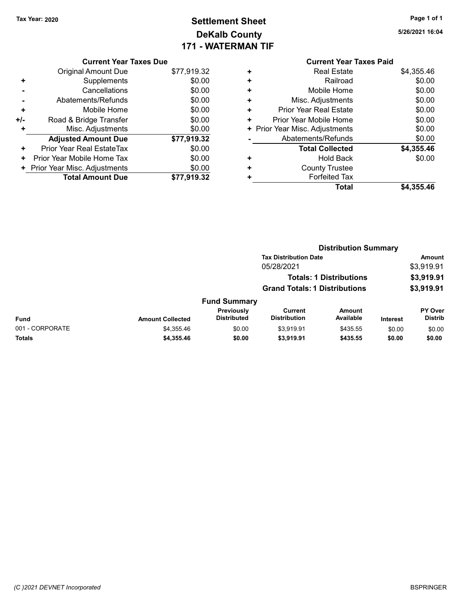# Tax Year: 2020 **Page 1 of 1 Settlement Sheet Constant Constant Constant Constant Constant Constant Constant Constant Constant Constant Constant Constant Page 1 of 1** DeKalb County 171 - WATERMAN TIF

5/26/2021 16:04

# Current Year Taxes Due

|     | <b>Original Amount Due</b>       | \$77,919.32 |
|-----|----------------------------------|-------------|
| ٠   | Supplements                      | \$0.00      |
|     | Cancellations                    | \$0.00      |
|     | Abatements/Refunds               | \$0.00      |
| ÷   | Mobile Home                      | \$0.00      |
| +/- | Road & Bridge Transfer           | \$0.00      |
| ٠   | Misc. Adjustments                | \$0.00      |
|     | <b>Adjusted Amount Due</b>       | \$77,919.32 |
| ٠   | <b>Prior Year Real EstateTax</b> | \$0.00      |
| ٠   | Prior Year Mobile Home Tax       | \$0.00      |
|     | + Prior Year Misc. Adjustments   | \$0.00      |
|     | <b>Total Amount Due</b>          | \$77,919.32 |

|   | <b>Current Year Taxes Paid</b> |            |
|---|--------------------------------|------------|
| ٠ | <b>Real Estate</b>             | \$4,355.46 |
| ٠ | Railroad                       | \$0.00     |
| ÷ | Mobile Home                    | \$0.00     |
| ٠ | Misc. Adjustments              | \$0.00     |
| ٠ | Prior Year Real Estate         | \$0.00     |
| ٠ | Prior Year Mobile Home         | \$0.00     |
|   | + Prior Year Misc. Adjustments | \$0.00     |
|   | Abatements/Refunds             | \$0.00     |
|   | <b>Total Collected</b>         | \$4,355.46 |
| ٠ | Hold Back                      | \$0.00     |
|   | <b>County Trustee</b>          |            |
|   | <b>Forfeited Tax</b>           |            |
|   | <b>Total</b>                   | \$4,355.46 |

|                 |                         |                                  |                                      | <b>Distribution Summary</b>    |                 |                           |
|-----------------|-------------------------|----------------------------------|--------------------------------------|--------------------------------|-----------------|---------------------------|
|                 |                         |                                  | <b>Tax Distribution Date</b>         |                                |                 | <b>Amount</b>             |
|                 |                         |                                  | 05/28/2021                           |                                |                 | \$3,919.91                |
|                 |                         |                                  |                                      | <b>Totals: 1 Distributions</b> |                 | \$3,919.91                |
|                 |                         |                                  | <b>Grand Totals: 1 Distributions</b> |                                |                 | \$3,919.91                |
|                 |                         | <b>Fund Summary</b>              |                                      |                                |                 |                           |
| Fund            | <b>Amount Collected</b> | Previously<br><b>Distributed</b> | Current<br><b>Distribution</b>       | Amount<br>Available            | <b>Interest</b> | PY Over<br><b>Distrib</b> |
| 001 - CORPORATE | \$4,355.46              | \$0.00                           | \$3,919.91                           | \$435.55                       | \$0.00          | \$0.00                    |
| Totals          | \$4,355.46              | \$0.00                           | \$3,919.91                           | \$435.55                       | \$0.00          | \$0.00                    |
|                 |                         |                                  |                                      |                                |                 |                           |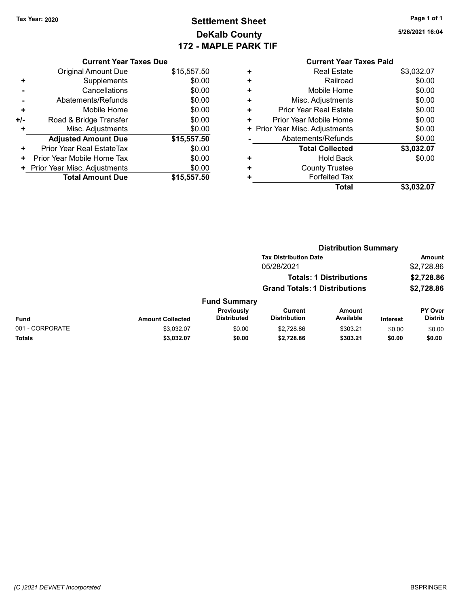# Tax Year: 2020 **Page 1 of 1 Settlement Sheet Constant Constant Constant Constant Constant Constant Constant Constant Constant Constant Constant Constant Page 1 of 1** DeKalb County 172 - MAPLE PARK TIF

5/26/2021 16:04

|     | <b>Current Year Taxes Due</b> |             |
|-----|-------------------------------|-------------|
|     | Original Amount Due           | \$15,557.50 |
| ٠   | Supplements                   | \$0.00      |
|     | Cancellations                 | \$0.00      |
|     | Abatements/Refunds            | \$0.00      |
| ٠   | Mobile Home                   | \$0.00      |
| +/- | Road & Bridge Transfer        | \$0.00      |
|     | Misc. Adjustments             | \$0.00      |
|     | <b>Adjusted Amount Due</b>    | \$15,557.50 |
| ٠   | Prior Year Real EstateTax     | \$0.00      |
| ÷   | Prior Year Mobile Home Tax    | \$0.00      |
|     | Prior Year Misc. Adjustments  | \$0.00      |
|     | <b>Total Amount Due</b>       | \$15.557.50 |

| ٠ | <b>Real Estate</b>             | \$3,032.07 |
|---|--------------------------------|------------|
| ٠ | Railroad                       | \$0.00     |
| ٠ | Mobile Home                    | \$0.00     |
| ٠ | Misc. Adjustments              | \$0.00     |
| ٠ | Prior Year Real Estate         | \$0.00     |
| ٠ | Prior Year Mobile Home         | \$0.00     |
|   | + Prior Year Misc. Adjustments | \$0.00     |
|   | Abatements/Refunds             | \$0.00     |
|   | <b>Total Collected</b>         | \$3,032.07 |
| ٠ | <b>Hold Back</b>               | \$0.00     |
| ٠ | <b>County Trustee</b>          |            |
|   | <b>Forfeited Tax</b>           |            |
|   | Total                          | \$3,032.07 |

|                 |                         |                                  |                                      | <b>Distribution Summary</b>    |                 |                           |
|-----------------|-------------------------|----------------------------------|--------------------------------------|--------------------------------|-----------------|---------------------------|
|                 |                         |                                  | <b>Tax Distribution Date</b>         |                                |                 | <b>Amount</b>             |
|                 |                         |                                  | 05/28/2021                           |                                |                 | \$2,728.86                |
|                 |                         |                                  |                                      | <b>Totals: 1 Distributions</b> |                 | \$2,728.86                |
|                 |                         |                                  | <b>Grand Totals: 1 Distributions</b> |                                |                 | \$2,728.86                |
|                 |                         | <b>Fund Summary</b>              |                                      |                                |                 |                           |
| <b>Fund</b>     | <b>Amount Collected</b> | Previously<br><b>Distributed</b> | Current<br><b>Distribution</b>       | Amount<br>Available            | <b>Interest</b> | PY Over<br><b>Distrib</b> |
| 001 - CORPORATE | \$3,032.07              | \$0.00                           | \$2,728.86                           | \$303.21                       | \$0.00          | \$0.00                    |
| <b>Totals</b>   | \$3,032.07              | \$0.00                           | \$2,728.86                           | \$303.21                       | \$0.00          | \$0.00                    |
|                 |                         |                                  |                                      |                                |                 |                           |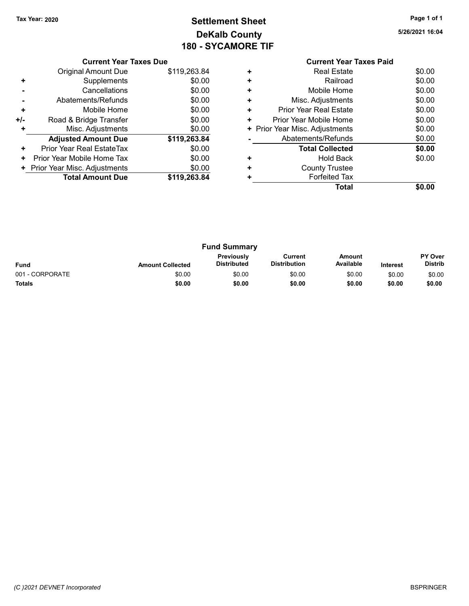# Tax Year: 2020 **Page 1 of 1 Settlement Sheet Constant Constant Constant Constant Constant Constant Constant Constant Constant Constant Constant Constant Page 1 of 1** DeKalb County 180 - SYCAMORE TIF

5/26/2021 16:04

#### Current Year Taxes Paid + Real Estate \$0.00 + Railroad \$0.00 + Mobile Home \$0.00 + Misc. Adjustments \$0.00 + Prior Year Real Estate \$0.00 + Prior Year Mobile Home \$0.00 + Prior Year Misc. Adjustments  $$0.00$ - Abatements/Refunds \$0.00 Total Collected \$0.00 + Hold Back \$0.00 + County Trustee + Forfeited Tax

Total \$0.00

Fund Summary Fund Interest Amount Collected Distributed PY Over Distrib Amount Available Current Distribution Previously 001 - CORPORATE 60.00 \$0.00 \$0.00 \$0.00 \$0.00 \$0.00 \$0.00 \$0.00 \$0.00 \$0.00 \$0.00 \$0.00 \$0.00 \$0.00 \$0.00 \$0.00 Totals \$0.00 \$0.00 \$0.00 \$0.00 \$0.00 \$0.00

(C )2021 DEVNET Incorporated BSPRINGER

### Current Year Taxes Due

|                | <b>Original Amount Due</b>     | \$119,263.84 |
|----------------|--------------------------------|--------------|
| ٠              | Supplements                    | \$0.00       |
|                | Cancellations                  | \$0.00       |
| $\blacksquare$ | Abatements/Refunds             | \$0.00       |
| ٠              | Mobile Home                    | \$0.00       |
| +/-            | Road & Bridge Transfer         | \$0.00       |
| ٠              | Misc. Adjustments              | \$0.00       |
|                | <b>Adjusted Amount Due</b>     | \$119,263.84 |
| ÷              | Prior Year Real EstateTax      | \$0.00       |
| ٠              | Prior Year Mobile Home Tax     | \$0.00       |
|                | + Prior Year Misc. Adjustments | \$0.00       |
|                | <b>Total Amount Due</b>        | \$119,263.84 |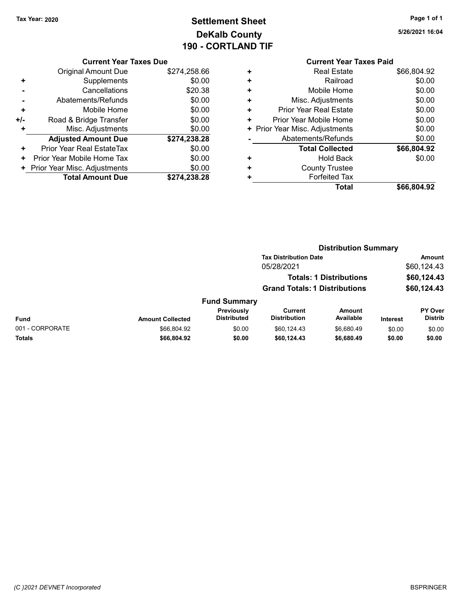# Tax Year: 2020 **Page 1 of 1 Settlement Sheet Constant Constant Constant Constant Constant Constant Constant Constant Constant Constant Constant Constant Page 1 of 1** DeKalb County 190 - CORTLAND TIF

5/26/2021 16:04

| <b>Current Year Taxes Due</b> |
|-------------------------------|
|-------------------------------|

|     | <b>Original Amount Due</b>   | \$274,258.66 |
|-----|------------------------------|--------------|
| ٠   | Supplements                  | \$0.00       |
|     | Cancellations                | \$20.38      |
|     | Abatements/Refunds           | \$0.00       |
| ٠   | Mobile Home                  | \$0.00       |
| +/- | Road & Bridge Transfer       | \$0.00       |
| ٠   | Misc. Adjustments            | \$0.00       |
|     | <b>Adjusted Amount Due</b>   | \$274,238.28 |
| ÷   | Prior Year Real EstateTax    | \$0.00       |
| ٠   | Prior Year Mobile Home Tax   | \$0.00       |
|     | Prior Year Misc. Adjustments | \$0.00       |
|     | <b>Total Amount Due</b>      | \$274.238.28 |

# Current Year Taxes Paid + Real Estate \$66,804.92

|   | Total                          | \$66,804.92 |
|---|--------------------------------|-------------|
|   | <b>Forfeited Tax</b>           |             |
| ÷ | <b>County Trustee</b>          |             |
| ٠ | <b>Hold Back</b>               | \$0.00      |
|   | <b>Total Collected</b>         | \$66,804.92 |
|   | Abatements/Refunds             | \$0.00      |
|   | + Prior Year Misc. Adjustments | \$0.00      |
| ٠ | Prior Year Mobile Home         | \$0.00      |
| ٠ | Prior Year Real Estate         | \$0.00      |
| ÷ | Misc. Adjustments              | \$0.00      |
| ÷ | Mobile Home                    | \$0.00      |
|   | Railroad                       | \$0.00      |

|                 |                         |                                  |                                                                              | <b>Distribution Summary</b> |                                             |                           |
|-----------------|-------------------------|----------------------------------|------------------------------------------------------------------------------|-----------------------------|---------------------------------------------|---------------------------|
|                 |                         |                                  | <b>Tax Distribution Date</b><br>05/28/2021<br><b>Totals: 1 Distributions</b> |                             | <b>Amount</b><br>\$60,124.43<br>\$60,124.43 |                           |
|                 |                         |                                  |                                                                              |                             |                                             |                           |
|                 |                         |                                  |                                                                              |                             |                                             |                           |
|                 |                         |                                  | <b>Grand Totals: 1 Distributions</b>                                         |                             |                                             | \$60,124.43               |
|                 |                         | <b>Fund Summary</b>              |                                                                              |                             |                                             |                           |
| Fund            | <b>Amount Collected</b> | Previously<br><b>Distributed</b> | <b>Current</b><br><b>Distribution</b>                                        | <b>Amount</b><br>Available  | <b>Interest</b>                             | PY Over<br><b>Distrib</b> |
| 001 - CORPORATE | \$66,804.92             | \$0.00                           | \$60.124.43                                                                  | \$6,680.49                  | \$0.00                                      | \$0.00                    |
| Totals          | \$66,804.92             | \$0.00                           | \$60,124.43                                                                  | \$6,680.49                  | \$0.00                                      | \$0.00                    |
|                 |                         |                                  |                                                                              |                             |                                             |                           |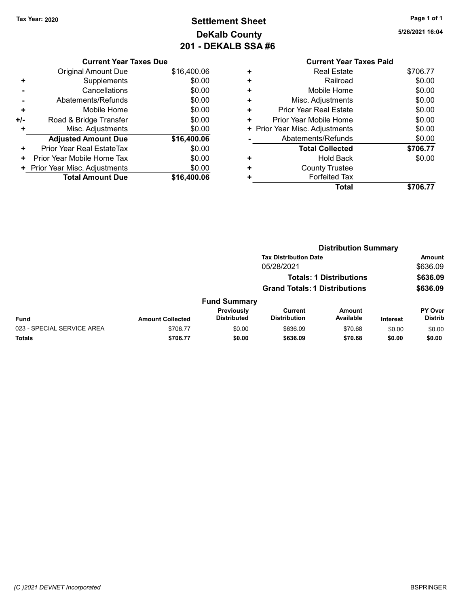Current Year Taxes Due Original Amount Due \$16,400.06

Adjusted Amount Due \$16,400.06

+ Supplements \$0.00 - Cancellations \$0.00 - Abatements/Refunds \$0.00 + Mobile Home \$0.00 +/- Road & Bridge Transfer \$0.00 + Misc. Adjustments \$0.00

+ Prior Year Real EstateTax \$0.00 + Prior Year Mobile Home Tax \$0.00 + Prior Year Misc. Adjustments \$0.00<br>Total Amount Due \$16,400.06

**Total Amount Due** 

# Tax Year: 2020 **Page 1 of 1 Settlement Sheet Constant Constant Constant Constant Constant Constant Constant Constant Constant Constant Constant Constant Page 1 of 1** DeKalb County 201 - DEKALB SSA #6

5/26/2021 16:04

#### Current Year Taxes Paid + Real Estate \$706.77 + Railroad \$0.00 + Mobile Home \$0.00 + Misc. Adjustments \$0.00 + Prior Year Real Estate \$0.00 + Prior Year Mobile Home \$0.00 + Prior Year Misc. Adjustments  $$0.00$ - Abatements/Refunds \$0.00 Total Collected  $$706.77$ + Hold Back \$0.00 + County Trustee + Forfeited Tax Total \$706.77

|                            |                                | <b>Distribution Summary</b>          |                                |                            |                 |                                  |  |
|----------------------------|--------------------------------|--------------------------------------|--------------------------------|----------------------------|-----------------|----------------------------------|--|
|                            |                                | <b>Tax Distribution Date</b>         |                                |                            | Amount          |                                  |  |
| 05/28/2021                 |                                |                                      | \$636.09                       |                            |                 |                                  |  |
|                            | <b>Totals: 1 Distributions</b> |                                      |                                |                            | \$636.09        |                                  |  |
|                            |                                | <b>Grand Totals: 1 Distributions</b> |                                |                            | \$636.09        |                                  |  |
|                            |                                | <b>Fund Summary</b>                  |                                |                            |                 |                                  |  |
| Fund                       | <b>Amount Collected</b>        | Previously<br><b>Distributed</b>     | Current<br><b>Distribution</b> | <b>Amount</b><br>Available | <b>Interest</b> | <b>PY Over</b><br><b>Distrib</b> |  |
| 023 - SPECIAL SERVICE AREA | \$706.77                       | \$0.00                               | \$636.09                       | \$70.68                    | \$0.00          | \$0.00                           |  |
| Totals                     | \$706.77                       | \$0.00                               | \$636.09                       | \$70.68                    | \$0.00          | \$0.00                           |  |
|                            |                                |                                      |                                |                            |                 |                                  |  |

#### (C )2021 DEVNET Incorporated BSPRINGER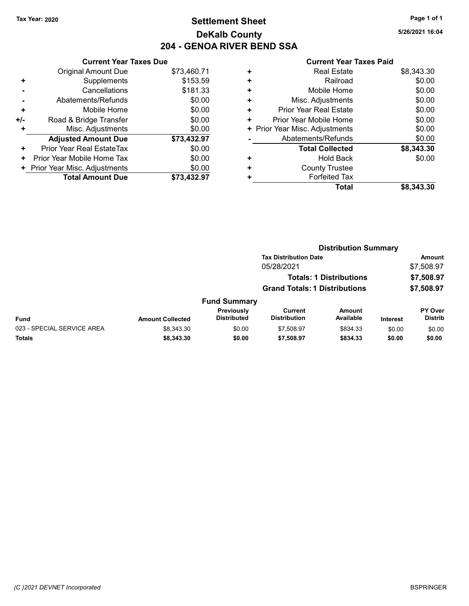# Tax Year: 2020 **Page 1 of 1 Settlement Sheet Constant Constant Constant Constant Constant Constant Constant Constant Constant Constant Constant Constant Page 1 of 1** DeKalb County 204 - GENOA RIVER BEND SSA

5/26/2021 16:04

|     | <b>Current Year Taxes Due</b> |             |
|-----|-------------------------------|-------------|
|     | <b>Original Amount Due</b>    | \$73,460.71 |
| ٠   | Supplements                   | \$153.59    |
|     | Cancellations                 | \$181.33    |
|     | Abatements/Refunds            | \$0.00      |
| ٠   | Mobile Home                   | \$0.00      |
| +/- | Road & Bridge Transfer        | \$0.00      |
| ٠   | Misc. Adjustments             | \$0.00      |
|     | <b>Adjusted Amount Due</b>    | \$73,432.97 |
| ÷   | Prior Year Real EstateTax     | \$0.00      |
| ٠   | Prior Year Mobile Home Tax    | \$0.00      |
| ٠   | Prior Year Misc. Adjustments  | \$0.00      |
|     | <b>Total Amount Due</b>       | \$73.432.97 |

|   | Total                          | \$8,343.30 |
|---|--------------------------------|------------|
| ٠ | <b>Forfeited Tax</b>           |            |
| ٠ | <b>County Trustee</b>          |            |
| ٠ | Hold Back                      | \$0.00     |
|   | <b>Total Collected</b>         | \$8,343.30 |
|   | Abatements/Refunds             | \$0.00     |
|   | + Prior Year Misc. Adjustments | \$0.00     |
| ٠ | Prior Year Mobile Home         | \$0.00     |
| ٠ | <b>Prior Year Real Estate</b>  | \$0.00     |
| ٠ | Misc. Adjustments              | \$0.00     |
| ٠ | Mobile Home                    | \$0.00     |
| ٠ | Railroad                       | \$0.00     |
| ٠ | <b>Real Estate</b>             | \$8,343.30 |
|   |                                |            |

|                            |                                | <b>Distribution Summary</b>      |                                      |                            |                 |                           |  |
|----------------------------|--------------------------------|----------------------------------|--------------------------------------|----------------------------|-----------------|---------------------------|--|
|                            |                                |                                  | <b>Tax Distribution Date</b>         |                            |                 | <b>Amount</b>             |  |
|                            |                                | 05/28/2021                       |                                      |                            | \$7,508.97      |                           |  |
|                            | <b>Totals: 1 Distributions</b> |                                  |                                      | \$7,508.97                 |                 |                           |  |
|                            |                                |                                  | <b>Grand Totals: 1 Distributions</b> |                            |                 | \$7,508.97                |  |
|                            |                                | <b>Fund Summary</b>              |                                      |                            |                 |                           |  |
| Fund                       | <b>Amount Collected</b>        | Previously<br><b>Distributed</b> | Current<br><b>Distribution</b>       | <b>Amount</b><br>Available | <b>Interest</b> | PY Over<br><b>Distrib</b> |  |
| 023 - SPECIAL SERVICE AREA | \$8,343.30                     | \$0.00                           | \$7,508.97                           | \$834.33                   | \$0.00          | \$0.00                    |  |
| Totals                     | \$8,343.30                     | \$0.00                           | \$7,508.97                           | \$834.33                   | \$0.00          | \$0.00                    |  |
|                            |                                |                                  |                                      |                            |                 |                           |  |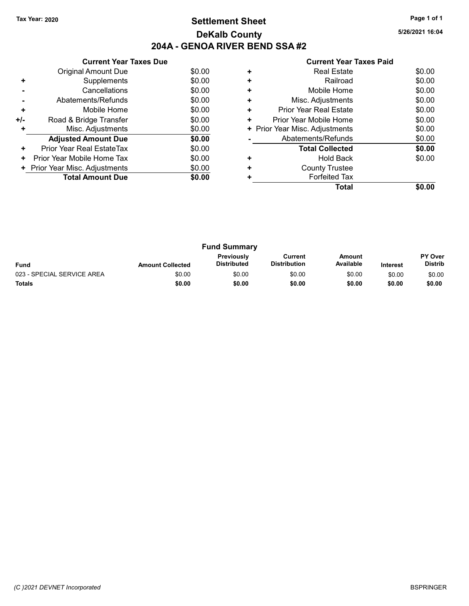## Tax Year: 2020 **Page 1 of 1 Settlement Sheet Constant Constant Constant Constant Constant Constant Constant Constant Constant Constant Constant Constant Page 1 of 1** DeKalb County 204A - GENOA RIVER BEND SSA #2

|  | <b>Current Year Taxes Paid</b> |  |  |  |
|--|--------------------------------|--|--|--|
|--|--------------------------------|--|--|--|

|     | <b>Current Year Taxes Due</b> |        |
|-----|-------------------------------|--------|
|     | Original Amount Due           | \$0.00 |
| ٠   | Supplements                   | \$0.00 |
|     | Cancellations                 | \$0.00 |
|     | Abatements/Refunds            | \$0.00 |
| ٠   | Mobile Home                   | \$0.00 |
| +/- | Road & Bridge Transfer        | \$0.00 |
| ٠   | Misc. Adjustments             | \$0.00 |
|     | <b>Adjusted Amount Due</b>    | \$0.00 |
| ÷   | Prior Year Real EstateTax     | \$0.00 |
| ٠   | Prior Year Mobile Home Tax    | \$0.00 |
|     | Prior Year Misc. Adjustments  | \$0.00 |
|     | <b>Total Amount Due</b>       | \$0.00 |
|     |                               |        |

|   | <b>Real Estate</b>             | \$0.00 |
|---|--------------------------------|--------|
|   | Railroad                       | \$0.00 |
| ٠ | Mobile Home                    | \$0.00 |
| ٠ | Misc. Adjustments              | \$0.00 |
| ٠ | Prior Year Real Estate         | \$0.00 |
| ٠ | Prior Year Mobile Home         | \$0.00 |
|   | + Prior Year Misc. Adjustments | \$0.00 |
|   | Abatements/Refunds             | \$0.00 |
|   | <b>Total Collected</b>         | \$0.00 |
|   | <b>Hold Back</b>               | \$0.00 |
| ٠ | <b>County Trustee</b>          |        |
|   | <b>Forfeited Tax</b>           |        |
|   | Total                          |        |
|   |                                |        |

|                            |                         | <b>Fund Summary</b>              |                                |                     |                 |                                  |
|----------------------------|-------------------------|----------------------------------|--------------------------------|---------------------|-----------------|----------------------------------|
| <b>Fund</b>                | <b>Amount Collected</b> | Previously<br><b>Distributed</b> | Current<br><b>Distribution</b> | Amount<br>Available | <b>Interest</b> | <b>PY Over</b><br><b>Distrib</b> |
| 023 - SPECIAL SERVICE AREA | \$0.00                  | \$0.00                           | \$0.00                         | \$0.00              | \$0.00          | \$0.00                           |
| <b>Totals</b>              | \$0.00                  | \$0.00                           | \$0.00                         | \$0.00              | \$0.00          | \$0.00                           |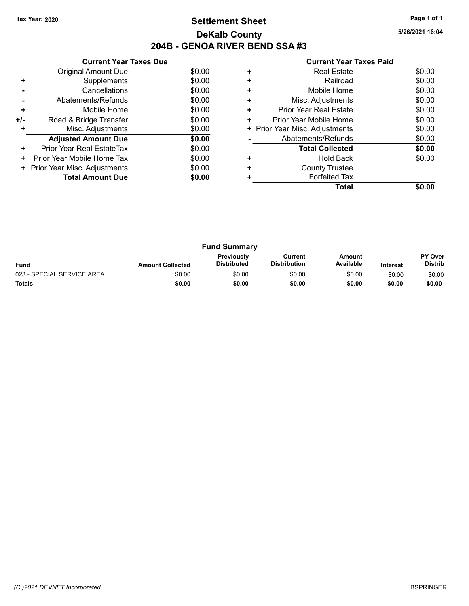## Tax Year: 2020 **Page 1 of 1 Settlement Sheet Constant Constant Constant Constant Constant Constant Constant Constant Constant Constant Constant Constant Page 1 of 1** DeKalb County 204B - GENOA RIVER BEND SSA #3

| <b>Current Year Taxes Paid</b> |  |  |
|--------------------------------|--|--|

|     | <b>Current Year Taxes Due</b> |        |
|-----|-------------------------------|--------|
|     | Original Amount Due           | \$0.00 |
| ٠   | Supplements                   | \$0.00 |
|     | Cancellations                 | \$0.00 |
|     | Abatements/Refunds            | \$0.00 |
| ÷   | Mobile Home                   | \$0.00 |
| +/- | Road & Bridge Transfer        | \$0.00 |
| ٠   | Misc. Adjustments             | \$0.00 |
|     | <b>Adjusted Amount Due</b>    | \$0.00 |
| ÷   | Prior Year Real EstateTax     | \$0.00 |
| ٠   | Prior Year Mobile Home Tax    | \$0.00 |
|     | Prior Year Misc. Adjustments  | \$0.00 |
|     | <b>Total Amount Due</b>       | \$0.00 |
|     |                               |        |

|   | Total                          |        |
|---|--------------------------------|--------|
|   | <b>Forfeited Tax</b>           |        |
|   | <b>County Trustee</b>          |        |
|   | <b>Hold Back</b>               | \$0.00 |
|   | <b>Total Collected</b>         | \$0.00 |
|   | Abatements/Refunds             | \$0.00 |
|   | + Prior Year Misc. Adjustments | \$0.00 |
| ٠ | Prior Year Mobile Home         | \$0.00 |
| ٠ | Prior Year Real Estate         | \$0.00 |
| ٠ | Misc. Adjustments              | \$0.00 |
| ٠ | Mobile Home                    | \$0.00 |
|   | Railroad                       | \$0.00 |
|   | <b>Real Estate</b>             | \$0.00 |
|   |                                |        |

|                            |                         | <b>Fund Summary</b>              |                                |                     |                 |                                  |
|----------------------------|-------------------------|----------------------------------|--------------------------------|---------------------|-----------------|----------------------------------|
| <b>Fund</b>                | <b>Amount Collected</b> | Previously<br><b>Distributed</b> | Current<br><b>Distribution</b> | Amount<br>Available | <b>Interest</b> | <b>PY Over</b><br><b>Distrib</b> |
| 023 - SPECIAL SERVICE AREA | \$0.00                  | \$0.00                           | \$0.00                         | \$0.00              | \$0.00          | \$0.00                           |
| Totals                     | \$0.00                  | \$0.00                           | \$0.00                         | \$0.00              | \$0.00          | \$0.00                           |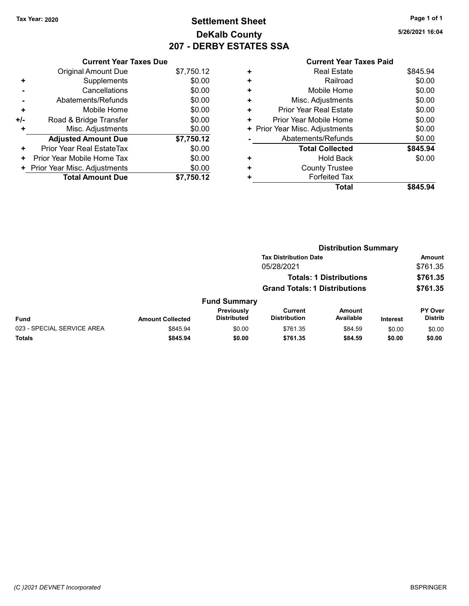# Tax Year: 2020 **Page 1 of 1 Settlement Sheet Constant Constant Constant Constant Constant Constant Constant Constant Constant Constant Constant Constant Page 1 of 1** DeKalb County 207 - DERBY ESTATES SSA

5/26/2021 16:04

|       | <b>Current Year Taxes Due</b>  |            |
|-------|--------------------------------|------------|
|       | <b>Original Amount Due</b>     | \$7,750.12 |
| ٠     | Supplements                    | \$0.00     |
|       | Cancellations                  | \$0.00     |
|       | Abatements/Refunds             | \$0.00     |
| ٠     | Mobile Home                    | \$0.00     |
| $+/-$ | Road & Bridge Transfer         | \$0.00     |
| ٠     | Misc. Adjustments              | \$0.00     |
|       | <b>Adjusted Amount Due</b>     | \$7,750.12 |
| ٠     | Prior Year Real EstateTax      | \$0.00     |
| ٠     | Prior Year Mobile Home Tax     | \$0.00     |
|       | + Prior Year Misc. Adjustments | \$0.00     |
|       | <b>Total Amount Due</b>        | \$7.750.12 |

| ٠ | <b>Real Estate</b>             | \$845.94 |
|---|--------------------------------|----------|
| ٠ | Railroad                       | \$0.00   |
| ÷ | Mobile Home                    | \$0.00   |
| ٠ | Misc. Adjustments              | \$0.00   |
| ٠ | Prior Year Real Estate         | \$0.00   |
| ٠ | Prior Year Mobile Home         | \$0.00   |
|   | + Prior Year Misc. Adjustments | \$0.00   |
|   | Abatements/Refunds             | \$0.00   |
|   | <b>Total Collected</b>         | \$845.94 |
| ٠ | <b>Hold Back</b>               | \$0.00   |
| ٠ | <b>County Trustee</b>          |          |
| ٠ | <b>Forfeited Tax</b>           |          |
|   | Total                          | \$845.94 |
|   |                                |          |

|                         | <b>Distribution Summary</b>      |                                       |                     |                                                                                                        |                           |
|-------------------------|----------------------------------|---------------------------------------|---------------------|--------------------------------------------------------------------------------------------------------|---------------------------|
|                         |                                  |                                       |                     |                                                                                                        | <b>Amount</b>             |
|                         |                                  | 05/28/2021                            |                     |                                                                                                        | \$761.35                  |
|                         |                                  |                                       |                     |                                                                                                        | \$761.35                  |
|                         |                                  |                                       |                     |                                                                                                        | \$761.35                  |
|                         |                                  |                                       |                     |                                                                                                        |                           |
| <b>Amount Collected</b> | Previously<br><b>Distributed</b> | <b>Current</b><br><b>Distribution</b> | Amount<br>Available | <b>Interest</b>                                                                                        | PY Over<br><b>Distrib</b> |
| \$845.94                | \$0.00                           | \$761.35                              | \$84.59             | \$0.00                                                                                                 | \$0.00                    |
| \$845.94                | \$0.00                           | \$761.35                              | \$84.59             | \$0.00                                                                                                 | \$0.00                    |
|                         |                                  | <b>Fund Summary</b>                   |                     | <b>Tax Distribution Date</b><br><b>Totals: 1 Distributions</b><br><b>Grand Totals: 1 Distributions</b> |                           |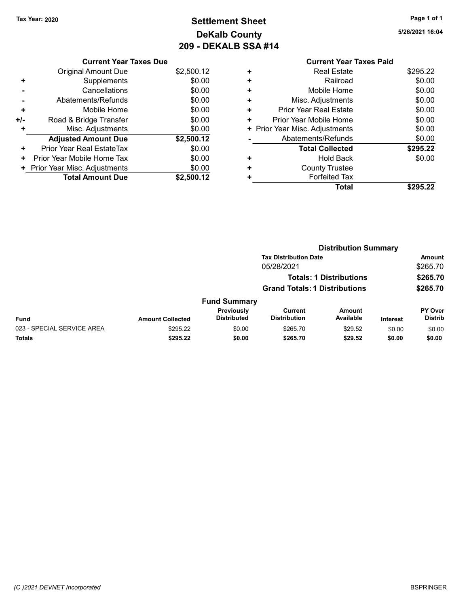# Tax Year: 2020 **Page 1 of 1 Settlement Sheet Constant Constant Constant Constant Constant Constant Constant Constant Constant Constant Constant Constant Page 1 of 1** DeKalb County 209 - DEKALB SSA #14

5/26/2021 16:04

Total \$295.22

|   | <b>Current Year Taxes Paid</b> |          |
|---|--------------------------------|----------|
| ٠ | <b>Real Estate</b>             | \$295.22 |
| ٠ | Railroad                       | \$0.00   |
| ٠ | Mobile Home                    | \$0.00   |
| ٠ | Misc. Adjustments              | \$0.00   |
| ٠ | <b>Prior Year Real Estate</b>  | \$0.00   |
| ٠ | Prior Year Mobile Home         | \$0.00   |
|   | + Prior Year Misc. Adjustments | \$0.00   |
|   | Abatements/Refunds             | \$0.00   |
|   | <b>Total Collected</b>         | \$295.22 |
| ٠ | <b>Hold Back</b>               | \$0.00   |
|   | <b>County Trustee</b>          |          |

+ Forfeited Tax

|     | <b>Current Year Taxes Due</b> |            |
|-----|-------------------------------|------------|
|     | <b>Original Amount Due</b>    | \$2,500.12 |
| ٠   | Supplements                   | \$0.00     |
|     | Cancellations                 | \$0.00     |
|     | Abatements/Refunds            | \$0.00     |
| ÷   | Mobile Home                   | \$0.00     |
| +/- | Road & Bridge Transfer        | \$0.00     |
|     | Misc. Adjustments             | \$0.00     |
|     | <b>Adjusted Amount Due</b>    | \$2,500.12 |
| ÷   | Prior Year Real EstateTax     | \$0.00     |
| ٠   | Prior Year Mobile Home Tax    | \$0.00     |
| ÷   | Prior Year Misc. Adjustments  | \$0.00     |
|     | <b>Total Amount Due</b>       | \$2,500.12 |
|     |                               |            |

|                            |                         |                                  | <b>Distribution Summary</b>           |                                |                 |                           |
|----------------------------|-------------------------|----------------------------------|---------------------------------------|--------------------------------|-----------------|---------------------------|
|                            |                         |                                  | <b>Tax Distribution Date</b>          |                                |                 | Amount                    |
|                            |                         |                                  | 05/28/2021                            |                                |                 | \$265.70                  |
|                            |                         |                                  |                                       | <b>Totals: 1 Distributions</b> |                 | \$265.70                  |
|                            |                         |                                  | <b>Grand Totals: 1 Distributions</b>  |                                |                 | \$265.70                  |
|                            |                         | <b>Fund Summary</b>              |                                       |                                |                 |                           |
| Fund                       | <b>Amount Collected</b> | Previously<br><b>Distributed</b> | <b>Current</b><br><b>Distribution</b> | <b>Amount</b><br>Available     | <b>Interest</b> | PY Over<br><b>Distrib</b> |
| 023 - SPECIAL SERVICE AREA | \$295.22                | \$0.00                           | \$265.70                              | \$29.52                        | \$0.00          | \$0.00                    |
| Totals                     | \$295.22                | \$0.00                           | \$265.70                              | \$29.52                        | \$0.00          | \$0.00                    |
|                            |                         |                                  |                                       |                                |                 |                           |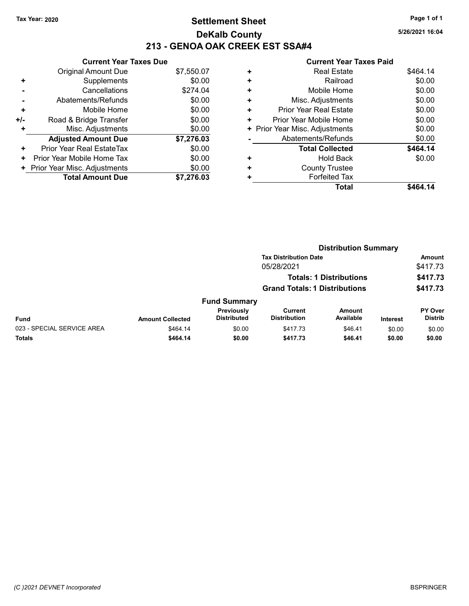## Tax Year: 2020 **Page 1 of 1 Settlement Sheet Constant Constant Constant Constant Constant Constant Constant Constant Constant Constant Constant Constant Page 1 of 1** DeKalb County 213 - GENOA OAK CREEK EST SSA#4

5/26/2021 16:04

|       | <b>Current Year Taxes Due</b> |            |
|-------|-------------------------------|------------|
|       | Original Amount Due           | \$7,550.07 |
| ٠     | Supplements                   | \$0.00     |
|       | Cancellations                 | \$274.04   |
|       | Abatements/Refunds            | \$0.00     |
| ٠     | Mobile Home                   | \$0.00     |
| $+/-$ | Road & Bridge Transfer        | \$0.00     |
|       | Misc. Adjustments             | \$0.00     |
|       | <b>Adjusted Amount Due</b>    | \$7,276.03 |
| ÷     | Prior Year Real EstateTax     | \$0.00     |
| ٠     | Prior Year Mobile Home Tax    | \$0.00     |
|       | Prior Year Misc. Adjustments  | \$0.00     |
|       | <b>Total Amount Due</b>       | \$7.276.03 |

|   | Gullellt I cal Taxes Falu      |          |
|---|--------------------------------|----------|
| ٠ | <b>Real Estate</b>             | \$464.14 |
| ÷ | Railroad                       | \$0.00   |
| ٠ | Mobile Home                    | \$0.00   |
| ٠ | Misc. Adjustments              | \$0.00   |
| ٠ | <b>Prior Year Real Estate</b>  | \$0.00   |
| ٠ | Prior Year Mobile Home         | \$0.00   |
|   | + Prior Year Misc. Adjustments | \$0.00   |
|   | Abatements/Refunds             | \$0.00   |
|   | <b>Total Collected</b>         | \$464.14 |
| ٠ | <b>Hold Back</b>               | \$0.00   |
| ٠ | <b>County Trustee</b>          |          |
| ٠ | <b>Forfeited Tax</b>           |          |
|   | <b>Total</b>                   | \$464.14 |
|   |                                |          |

| <b>Tax Distribution Date</b><br>05/28/2021<br><b>Totals: 1 Distributions</b><br><b>Grand Totals: 1 Distributions</b><br><b>Fund Summary</b><br>Previously<br>Current<br>Amount<br><b>Distributed</b><br>Available<br><b>Distribution</b><br>Fund<br><b>Amount Collected</b><br><b>Interest</b><br>023 - SPECIAL SERVICE AREA<br>\$464.14<br>\$0.00<br>\$417.73<br>\$46.41<br>\$0.00<br>Totals<br>\$464.14<br>\$0.00<br>\$417.73<br>\$46.41<br>\$0.00 |  | <b>Distribution Summary</b> |  |  |                           |
|------------------------------------------------------------------------------------------------------------------------------------------------------------------------------------------------------------------------------------------------------------------------------------------------------------------------------------------------------------------------------------------------------------------------------------------------------|--|-----------------------------|--|--|---------------------------|
|                                                                                                                                                                                                                                                                                                                                                                                                                                                      |  |                             |  |  | Amount                    |
|                                                                                                                                                                                                                                                                                                                                                                                                                                                      |  |                             |  |  | \$417.73                  |
|                                                                                                                                                                                                                                                                                                                                                                                                                                                      |  |                             |  |  | \$417.73                  |
|                                                                                                                                                                                                                                                                                                                                                                                                                                                      |  |                             |  |  | \$417.73                  |
|                                                                                                                                                                                                                                                                                                                                                                                                                                                      |  |                             |  |  |                           |
|                                                                                                                                                                                                                                                                                                                                                                                                                                                      |  |                             |  |  | PY Over<br><b>Distrib</b> |
|                                                                                                                                                                                                                                                                                                                                                                                                                                                      |  |                             |  |  | \$0.00                    |
|                                                                                                                                                                                                                                                                                                                                                                                                                                                      |  |                             |  |  | \$0.00                    |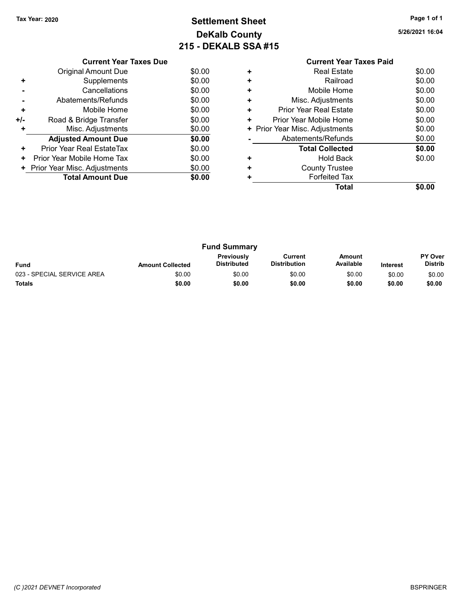# Tax Year: 2020 **Page 1 of 1 Settlement Sheet Constant Constant Constant Constant Constant Constant Constant Constant Constant Constant Constant Constant Page 1 of 1** DeKalb County 215 - DEKALB SSA #15

|     | <b>Current Year Taxes Due</b> |        |
|-----|-------------------------------|--------|
|     | <b>Original Amount Due</b>    | \$0.00 |
| ٠   | Supplements                   | \$0.00 |
|     | Cancellations                 | \$0.00 |
|     | Abatements/Refunds            | \$0.00 |
| ٠   | Mobile Home                   | \$0.00 |
| +/- | Road & Bridge Transfer        | \$0.00 |
| ٠   | Misc. Adjustments             | \$0.00 |
|     | <b>Adjusted Amount Due</b>    | \$0.00 |
| ٠   | Prior Year Real EstateTax     | \$0.00 |
| ٠   | Prior Year Mobile Home Tax    | \$0.00 |
|     | Prior Year Misc. Adjustments  | \$0.00 |
|     | <b>Total Amount Due</b>       | \$0.00 |
|     |                               |        |

|   | <b>Current Year Taxes Paid</b> |        |
|---|--------------------------------|--------|
| ٠ | Real Estate                    | \$0.00 |
| ٠ | Railroad                       | \$0.00 |
| ٠ | Mobile Home                    | \$0.00 |
|   | Misc. Adjustments              | \$0.00 |
| ٠ | Prior Year Real Estate         | \$0.00 |
| ٠ | Prior Year Mobile Home         | \$0.00 |
| ٠ | Prior Year Misc. Adjustments   | \$0.00 |
|   | Abatements/Refunds             | \$0.00 |
|   | <b>Total Collected</b>         | \$0.00 |
| ٠ | Hold Back                      | \$0.00 |
| ٠ | <b>County Trustee</b>          |        |
|   | <b>Forfeited Tax</b>           |        |
|   | Total                          |        |

| <b>Fund Summary</b>        |                         |                           |                                |                     |                 |                                  |
|----------------------------|-------------------------|---------------------------|--------------------------------|---------------------|-----------------|----------------------------------|
| <b>Fund</b>                | <b>Amount Collected</b> | Previously<br>Distributed | Current<br><b>Distribution</b> | Amount<br>Available | <b>Interest</b> | <b>PY Over</b><br><b>Distrib</b> |
| 023 - SPECIAL SERVICE AREA | \$0.00                  | \$0.00                    | \$0.00                         | \$0.00              | \$0.00          | \$0.00                           |
| <b>Totals</b>              | \$0.00                  | \$0.00                    | \$0.00                         | \$0.00              | \$0.00          | \$0.00                           |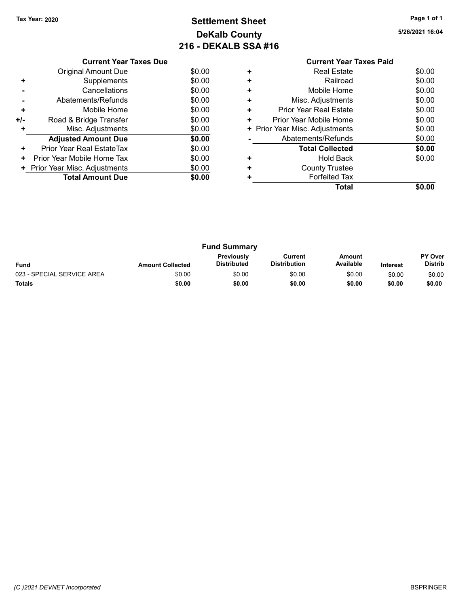# Tax Year: 2020 **Page 1 of 1 Settlement Sheet Constant Constant Constant Constant Constant Constant Constant Constant Constant Constant Constant Constant Page 1 of 1** DeKalb County 216 - DEKALB SSA #16

|     | <b>Current Year Taxes Due</b> |        |
|-----|-------------------------------|--------|
|     | <b>Original Amount Due</b>    | \$0.00 |
| ٠   | Supplements                   | \$0.00 |
|     | Cancellations                 | \$0.00 |
|     | Abatements/Refunds            | \$0.00 |
| ٠   | Mobile Home                   | \$0.00 |
| +/- | Road & Bridge Transfer        | \$0.00 |
| ٠   | Misc. Adjustments             | \$0.00 |
|     | <b>Adjusted Amount Due</b>    | \$0.00 |
| ÷   | Prior Year Real EstateTax     | \$0.00 |
| ٠   | Prior Year Mobile Home Tax    | \$0.00 |
|     | Prior Year Misc. Adjustments  | \$0.00 |
|     | <b>Total Amount Due</b>       | \$0.00 |
|     |                               |        |

|   | <b>Current Year Taxes Paid</b> |        |
|---|--------------------------------|--------|
| ٠ | <b>Real Estate</b>             | \$0.00 |
| ٠ | Railroad                       | \$0.00 |
| ٠ | Mobile Home                    | \$0.00 |
| ٠ | Misc. Adjustments              | \$0.00 |
| ٠ | Prior Year Real Estate         | \$0.00 |
| ٠ | Prior Year Mobile Home         | \$0.00 |
| ٠ | Prior Year Misc. Adjustments   | \$0.00 |
|   | Abatements/Refunds             | \$0.00 |
|   | <b>Total Collected</b>         | \$0.00 |
| ٠ | Hold Back                      | \$0.00 |
|   | <b>County Trustee</b>          |        |
|   | <b>Forfeited Tax</b>           |        |
|   | Total                          | \$0.00 |
|   |                                |        |

| <b>Fund Summary</b>        |                         |                                  |                                |                            |                 |                                  |
|----------------------------|-------------------------|----------------------------------|--------------------------------|----------------------------|-----------------|----------------------------------|
| <b>Fund</b>                | <b>Amount Collected</b> | Previously<br><b>Distributed</b> | Current<br><b>Distribution</b> | <b>Amount</b><br>Available | <b>Interest</b> | <b>PY Over</b><br><b>Distrib</b> |
| 023 - SPECIAL SERVICE AREA | \$0.00                  | \$0.00                           | \$0.00                         | \$0.00                     | \$0.00          | \$0.00                           |
| <b>Totals</b>              | \$0.00                  | \$0.00                           | \$0.00                         | \$0.00                     | \$0.00          | \$0.00                           |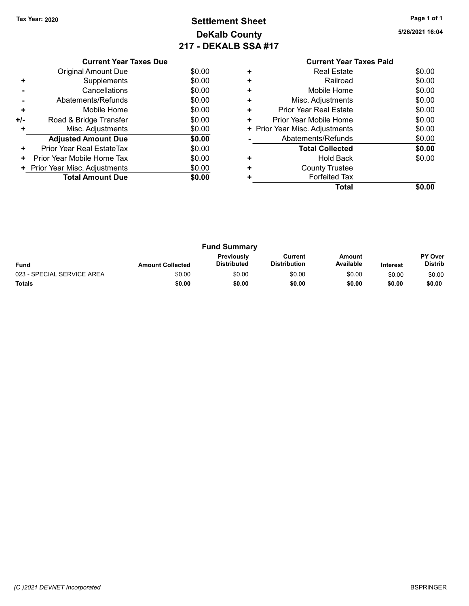# Tax Year: 2020 **Page 1 of 1 Settlement Sheet Constant Constant Constant Constant Constant Constant Constant Constant Constant Constant Constant Constant Page 1 of 1** DeKalb County 217 - DEKALB SSA #17

|     | <b>Current Year Taxes Due</b> |        |
|-----|-------------------------------|--------|
|     | Original Amount Due           | \$0.00 |
| ٠   | Supplements                   | \$0.00 |
|     | Cancellations                 | \$0.00 |
|     | Abatements/Refunds            | \$0.00 |
| ÷   | Mobile Home                   | \$0.00 |
| +/- | Road & Bridge Transfer        | \$0.00 |
| ٠   | Misc. Adjustments             | \$0.00 |
|     | <b>Adjusted Amount Due</b>    | \$0.00 |
| ٠   | Prior Year Real EstateTax     | \$0.00 |
| ÷   | Prior Year Mobile Home Tax    | \$0.00 |
| ٠   | Prior Year Misc. Adjustments  | \$0.00 |
|     | <b>Total Amount Due</b>       | \$0.00 |
|     |                               |        |

|   | <b>Current Year Taxes Paid</b> |        |
|---|--------------------------------|--------|
| ٠ | <b>Real Estate</b>             | \$0.00 |
| ٠ | Railroad                       | \$0.00 |
| ٠ | Mobile Home                    | \$0.00 |
| ٠ | Misc. Adjustments              | \$0.00 |
| ٠ | Prior Year Real Estate         | \$0.00 |
| ٠ | Prior Year Mobile Home         | \$0.00 |
|   | + Prior Year Misc. Adjustments | \$0.00 |
|   | Abatements/Refunds             | \$0.00 |
|   | <b>Total Collected</b>         | \$0.00 |
| ٠ | Hold Back                      | \$0.00 |
|   | <b>County Trustee</b>          |        |
|   | <b>Forfeited Tax</b>           |        |
|   | Total                          |        |
|   |                                |        |

| <b>Fund Summary</b>        |                         |                           |                                |                     |                 |                                  |
|----------------------------|-------------------------|---------------------------|--------------------------------|---------------------|-----------------|----------------------------------|
| <b>Fund</b>                | <b>Amount Collected</b> | Previously<br>Distributed | Current<br><b>Distribution</b> | Amount<br>Available | <b>Interest</b> | <b>PY Over</b><br><b>Distrib</b> |
| 023 - SPECIAL SERVICE AREA | \$0.00                  | \$0.00                    | \$0.00                         | \$0.00              | \$0.00          | \$0.00                           |
| <b>Totals</b>              | \$0.00                  | \$0.00                    | \$0.00                         | \$0.00              | \$0.00          | \$0.00                           |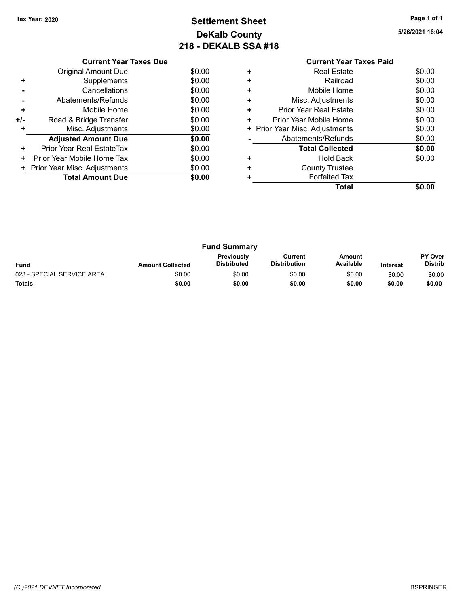# Tax Year: 2020 **Page 1 of 1 Settlement Sheet Constant Constant Constant Constant Constant Constant Constant Constant Constant Constant Constant Constant Page 1 of 1** DeKalb County 218 - DEKALB SSA #18

|     | <b>Current Year Taxes Due</b> |        |
|-----|-------------------------------|--------|
|     | <b>Original Amount Due</b>    | \$0.00 |
| ٠   | Supplements                   | \$0.00 |
|     | Cancellations                 | \$0.00 |
|     | Abatements/Refunds            | \$0.00 |
| ٠   | Mobile Home                   | \$0.00 |
| +/- | Road & Bridge Transfer        | \$0.00 |
| ٠   | Misc. Adjustments             | \$0.00 |
|     | <b>Adjusted Amount Due</b>    | \$0.00 |
| ٠   | Prior Year Real EstateTax     | \$0.00 |
| ÷   | Prior Year Mobile Home Tax    | \$0.00 |
| ٠   | Prior Year Misc. Adjustments  | \$0.00 |
|     | <b>Total Amount Due</b>       | \$0.00 |
|     |                               |        |

| <b>Current Year Taxes Paid</b> |                              |
|--------------------------------|------------------------------|
| <b>Real Estate</b>             | \$0.00                       |
| Railroad                       | \$0.00                       |
| Mobile Home                    | \$0.00                       |
| Misc. Adjustments              | \$0.00                       |
| Prior Year Real Estate         | \$0.00                       |
| Prior Year Mobile Home         | \$0.00                       |
|                                | \$0.00                       |
| Abatements/Refunds             | \$0.00                       |
| <b>Total Collected</b>         | \$0.00                       |
| Hold Back                      | \$0.00                       |
| <b>County Trustee</b>          |                              |
| <b>Forfeited Tax</b>           |                              |
| Total                          |                              |
|                                | Prior Year Misc. Adjustments |

| <b>Fund Summary</b>        |                         |                                  |                         |                     |                 |                                  |
|----------------------------|-------------------------|----------------------------------|-------------------------|---------------------|-----------------|----------------------------------|
| <b>Fund</b>                | <b>Amount Collected</b> | Previously<br><b>Distributed</b> | Current<br>Distribution | Amount<br>Available | <b>Interest</b> | <b>PY Over</b><br><b>Distrib</b> |
| 023 - SPECIAL SERVICE AREA | \$0.00                  | \$0.00                           | \$0.00                  | \$0.00              | \$0.00          | \$0.00                           |
| <b>Totals</b>              | \$0.00                  | \$0.00                           | \$0.00                  | \$0.00              | \$0.00          | \$0.00                           |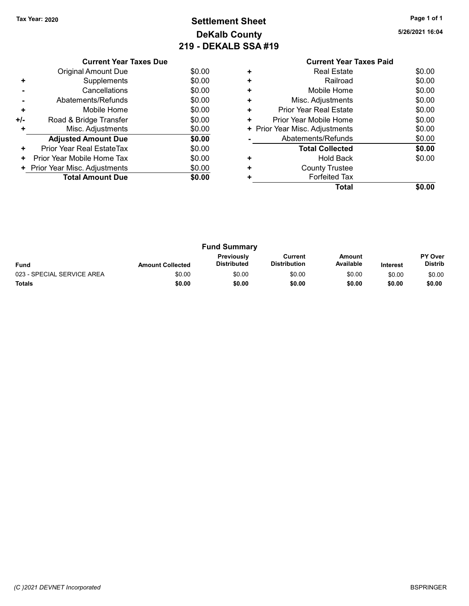# Tax Year: 2020 **Page 1 of 1 Settlement Sheet Constant Constant Constant Constant Constant Constant Constant Constant Constant Constant Constant Constant Page 1 of 1** DeKalb County 219 - DEKALB SSA #19

5/26/2021 16:04

|     | <b>Current Year Taxes Due</b> |        |
|-----|-------------------------------|--------|
|     | <b>Original Amount Due</b>    | \$0.00 |
| ٠   | Supplements                   | \$0.00 |
|     | Cancellations                 | \$0.00 |
|     | Abatements/Refunds            | \$0.00 |
| ٠   | Mobile Home                   | \$0.00 |
| +/- | Road & Bridge Transfer        | \$0.00 |
| ٠   | Misc. Adjustments             | \$0.00 |
|     | <b>Adjusted Amount Due</b>    | \$0.00 |
| ٠   | Prior Year Real EstateTax     | \$0.00 |
| ٠   | Prior Year Mobile Home Tax    | \$0.00 |
| ٠   | Prior Year Misc. Adjustments  | \$0.00 |
|     | <b>Total Amount Due</b>       | \$0.00 |
|     |                               |        |

## Current Year Taxes Paid +<br>
+ Real Estate \$0.00<br>
+ Railroad \$0.00 + Railroad \$0.00 + Mobile Home \$0.00 + Misc. Adjustments \$0.00 + Prior Year Real Estate \$0.00 + Prior Year Mobile Home \$0.00<br>
+ Prior Year Misc. Adjustments \$0.00 + Prior Year Misc. Adjustments - Abatements/Refunds \$0.00 Total Collected \$0.00 + Hold Back \$0.00 + County Trustee + Forfeited Tax Total \$0.00

| <b>Fund Summary</b>        |                         |                                  |                                |                     |                 |                                  |
|----------------------------|-------------------------|----------------------------------|--------------------------------|---------------------|-----------------|----------------------------------|
| <b>Fund</b>                | <b>Amount Collected</b> | Previously<br><b>Distributed</b> | Current<br><b>Distribution</b> | Amount<br>Available | <b>Interest</b> | <b>PY Over</b><br><b>Distrib</b> |
| 023 - SPECIAL SERVICE AREA | \$0.00                  | \$0.00                           | \$0.00                         | \$0.00              | \$0.00          | \$0.00                           |
| <b>Totals</b>              | \$0.00                  | \$0.00                           | \$0.00                         | \$0.00              | \$0.00          | \$0.00                           |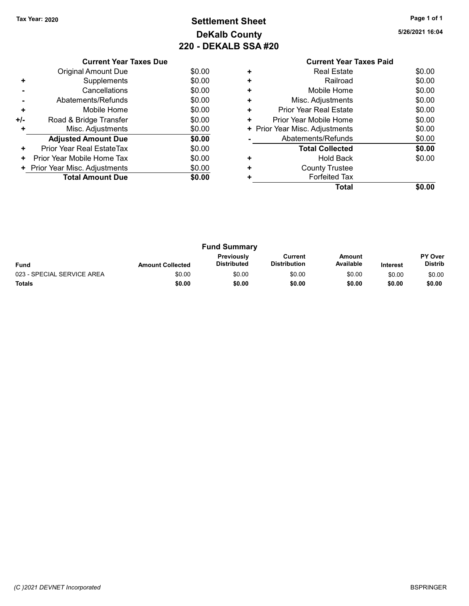# Tax Year: 2020 **Page 1 of 1 Settlement Sheet Constant Constant Constant Constant Constant Constant Constant Constant Constant Constant Constant Constant Page 1 of 1** DeKalb County 220 - DEKALB SSA #20

|     | <b>Current Year Taxes Due</b> |        |
|-----|-------------------------------|--------|
|     | <b>Original Amount Due</b>    | \$0.00 |
|     | Supplements                   | \$0.00 |
|     | Cancellations                 | \$0.00 |
|     | Abatements/Refunds            | \$0.00 |
| ٠   | Mobile Home                   | \$0.00 |
| +/- | Road & Bridge Transfer        | \$0.00 |
| ٠   | Misc. Adjustments             | \$0.00 |
|     | <b>Adjusted Amount Due</b>    | \$0.00 |
| ٠   | Prior Year Real EstateTax     | \$0.00 |
| ٠   | Prior Year Mobile Home Tax    | \$0.00 |
|     | Prior Year Misc. Adjustments  | \$0.00 |
|     | <b>Total Amount Due</b>       | \$0.00 |
|     |                               |        |

|   | <b>Current Year Taxes Paid</b> |        |
|---|--------------------------------|--------|
| ٠ | Real Estate                    | \$0.00 |
| ÷ | Railroad                       | \$0.00 |
| ÷ | Mobile Home                    | \$0.00 |
|   | Misc. Adjustments              | \$0.00 |
|   | Prior Year Real Estate         | \$0.00 |
| ٠ | Prior Year Mobile Home         | \$0.00 |
| ٠ | Prior Year Misc. Adjustments   | \$0.00 |
|   | Abatements/Refunds             | \$0.00 |
|   | <b>Total Collected</b>         | \$0.00 |
|   | Hold Back                      | \$0.00 |
| ÷ | <b>County Trustee</b>          |        |
|   | <b>Forfeited Tax</b>           |        |
|   | Total                          |        |

| <b>Fund Summary</b>        |                         |                           |                                |                     |                 |                                  |
|----------------------------|-------------------------|---------------------------|--------------------------------|---------------------|-----------------|----------------------------------|
| <b>Fund</b>                | <b>Amount Collected</b> | Previously<br>Distributed | Current<br><b>Distribution</b> | Amount<br>Available | <b>Interest</b> | <b>PY Over</b><br><b>Distrib</b> |
| 023 - SPECIAL SERVICE AREA | \$0.00                  | \$0.00                    | \$0.00                         | \$0.00              | \$0.00          | \$0.00                           |
| <b>Totals</b>              | \$0.00                  | \$0.00                    | \$0.00                         | \$0.00              | \$0.00          | \$0.00                           |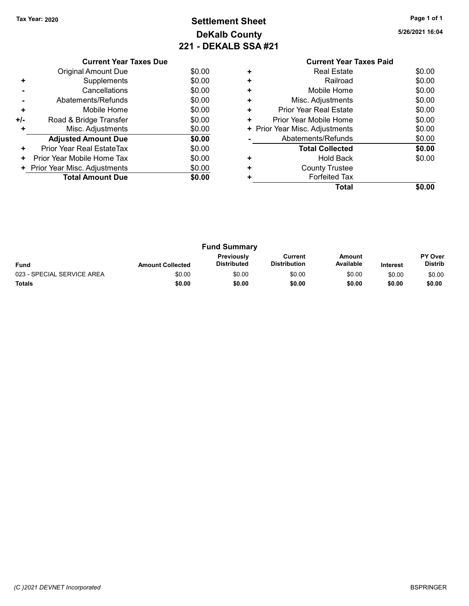# Tax Year: 2020 **Page 1 of 1 Settlement Sheet Constant Constant Constant Constant Constant Constant Constant Constant Constant Constant Constant Constant Page 1 of 1** DeKalb County 221 - DEKALB SSA #21

| t Year Taxes Paid |       |
|-------------------|-------|
| Estate            | \$0.0 |

|     | <b>Current Year Taxes Due</b>  |        |
|-----|--------------------------------|--------|
|     | <b>Original Amount Due</b>     | \$0.00 |
| ٠   | Supplements                    | \$0.00 |
|     | Cancellations                  | \$0.00 |
|     | Abatements/Refunds             | \$0.00 |
| ٠   | Mobile Home                    | \$0.00 |
| +/- | Road & Bridge Transfer         | \$0.00 |
| ٠   | Misc. Adjustments              | \$0.00 |
|     | <b>Adjusted Amount Due</b>     | \$0.00 |
| ٠   | Prior Year Real EstateTax      | \$0.00 |
| ٠   | Prior Year Mobile Home Tax     | \$0.00 |
|     | + Prior Year Misc. Adjustments | \$0.00 |
|     | <b>Total Amount Due</b>        | \$0.00 |
|     |                                |        |

|   | <b>Current Year Taxes Paid</b> |        |
|---|--------------------------------|--------|
| ٠ | <b>Real Estate</b>             | \$0.00 |
| ٠ | Railroad                       | \$0.00 |
| ٠ | Mobile Home                    | \$0.00 |
| ٠ | Misc. Adjustments              | \$0.00 |
| ٠ | Prior Year Real Estate         | \$0.00 |
| ٠ | Prior Year Mobile Home         | \$0.00 |
|   | + Prior Year Misc. Adjustments | \$0.00 |
|   | Abatements/Refunds             | \$0.00 |
|   | <b>Total Collected</b>         | \$0.00 |
|   | Hold Back                      | \$0.00 |
|   | <b>County Trustee</b>          |        |
|   | <b>Forfeited Tax</b>           |        |
|   | Total                          |        |

| <b>Fund Summary</b>        |                         |                                         |                                |                     |                 |                                  |
|----------------------------|-------------------------|-----------------------------------------|--------------------------------|---------------------|-----------------|----------------------------------|
| <b>Fund</b>                | <b>Amount Collected</b> | <b>Previously</b><br><b>Distributed</b> | Current<br><b>Distribution</b> | Amount<br>Available | <b>Interest</b> | <b>PY Over</b><br><b>Distrib</b> |
| 023 - SPECIAL SERVICE AREA | \$0.00                  | \$0.00                                  | \$0.00                         | \$0.00              | \$0.00          | \$0.00                           |
| <b>Totals</b>              | \$0.00                  | \$0.00                                  | \$0.00                         | \$0.00              | \$0.00          | \$0.00                           |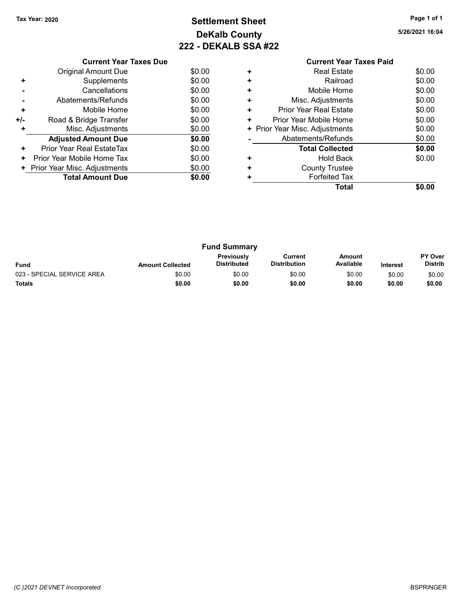# Tax Year: 2020 **Page 1 of 1 Settlement Sheet Constant Constant Constant Constant Constant Constant Constant Constant Constant Constant Constant Constant Page 1 of 1** DeKalb County 222 - DEKALB SSA #22

|     | <b>Current Year Taxes Due</b> |        |  |  |  |  |  |
|-----|-------------------------------|--------|--|--|--|--|--|
|     | <b>Original Amount Due</b>    | \$0.00 |  |  |  |  |  |
| ٠   | Supplements                   | \$0.00 |  |  |  |  |  |
|     | Cancellations                 | \$0.00 |  |  |  |  |  |
|     | Abatements/Refunds            | \$0.00 |  |  |  |  |  |
| ٠   | Mobile Home                   | \$0.00 |  |  |  |  |  |
| +/- | Road & Bridge Transfer        | \$0.00 |  |  |  |  |  |
|     | Misc. Adjustments             | \$0.00 |  |  |  |  |  |
|     | <b>Adjusted Amount Due</b>    | \$0.00 |  |  |  |  |  |
| ٠   | Prior Year Real EstateTax     | \$0.00 |  |  |  |  |  |
| ٠   | Prior Year Mobile Home Tax    | \$0.00 |  |  |  |  |  |
|     | Prior Year Misc. Adjustments  | \$0.00 |  |  |  |  |  |
|     | <b>Total Amount Due</b>       | \$0.00 |  |  |  |  |  |
|     |                               |        |  |  |  |  |  |

|   | <b>Current Year Taxes Paid</b> |        |
|---|--------------------------------|--------|
| ٠ | <b>Real Estate</b>             | \$0.00 |
| ÷ | Railroad                       | \$0.00 |
| ÷ | Mobile Home                    | \$0.00 |
|   | Misc. Adjustments              | \$0.00 |
| ٠ | Prior Year Real Estate         | \$0.00 |
| ٠ | Prior Year Mobile Home         | \$0.00 |
| ٠ | Prior Year Misc. Adjustments   | \$0.00 |
|   | Abatements/Refunds             | \$0.00 |
|   | <b>Total Collected</b>         | \$0.00 |
|   | Hold Back                      | \$0.00 |
|   | <b>County Trustee</b>          |        |
|   | <b>Forfeited Tax</b>           |        |
|   | Total                          |        |

| <b>Fund Summary</b>        |                         |                                         |                         |                     |                 |                                  |
|----------------------------|-------------------------|-----------------------------------------|-------------------------|---------------------|-----------------|----------------------------------|
| <b>Fund</b>                | <b>Amount Collected</b> | <b>Previously</b><br><b>Distributed</b> | Current<br>Distribution | Amount<br>Available | <b>Interest</b> | <b>PY Over</b><br><b>Distrib</b> |
| 023 - SPECIAL SERVICE AREA | \$0.00                  | \$0.00                                  | \$0.00                  | \$0.00              | \$0.00          | \$0.00                           |
| <b>Totals</b>              | \$0.00                  | \$0.00                                  | \$0.00                  | \$0.00              | \$0.00          | \$0.00                           |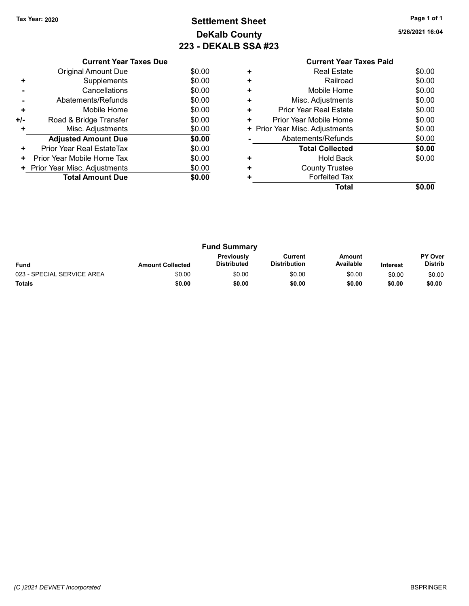# Tax Year: 2020 **Page 1 of 1 Settlement Sheet Constant Constant Constant Constant Constant Constant Constant Constant Constant Constant Constant Constant Page 1 of 1** DeKalb County 223 - DEKALB SSA #23

|     | <b>Current Year Taxes Due</b> |        |  |  |  |  |  |
|-----|-------------------------------|--------|--|--|--|--|--|
|     | <b>Original Amount Due</b>    | \$0.00 |  |  |  |  |  |
| ÷   | Supplements                   | \$0.00 |  |  |  |  |  |
|     | Cancellations                 | \$0.00 |  |  |  |  |  |
|     | Abatements/Refunds            | \$0.00 |  |  |  |  |  |
| ٠   | Mobile Home                   | \$0.00 |  |  |  |  |  |
| +/- | Road & Bridge Transfer        | \$0.00 |  |  |  |  |  |
|     | Misc. Adjustments             | \$0.00 |  |  |  |  |  |
|     | <b>Adjusted Amount Due</b>    | \$0.00 |  |  |  |  |  |
| ٠   | Prior Year Real EstateTax     | \$0.00 |  |  |  |  |  |
| ٠   | Prior Year Mobile Home Tax    | \$0.00 |  |  |  |  |  |
|     | Prior Year Misc. Adjustments  | \$0.00 |  |  |  |  |  |
|     | <b>Total Amount Due</b>       | \$0.00 |  |  |  |  |  |
|     |                               |        |  |  |  |  |  |

|   | <b>Current Year Taxes Paid</b> |        |
|---|--------------------------------|--------|
| ٠ | <b>Real Estate</b>             | \$0.00 |
| ÷ | Railroad                       | \$0.00 |
| ÷ | Mobile Home                    | \$0.00 |
|   | Misc. Adjustments              | \$0.00 |
| ٠ | Prior Year Real Estate         | \$0.00 |
| ٠ | Prior Year Mobile Home         | \$0.00 |
| ٠ | Prior Year Misc. Adjustments   | \$0.00 |
|   | Abatements/Refunds             | \$0.00 |
|   | <b>Total Collected</b>         | \$0.00 |
|   | Hold Back                      | \$0.00 |
|   | <b>County Trustee</b>          |        |
|   | <b>Forfeited Tax</b>           |        |
|   | Total                          |        |

| <b>Fund Summary</b>        |                         |                                  |                         |                     |                 |                                  |
|----------------------------|-------------------------|----------------------------------|-------------------------|---------------------|-----------------|----------------------------------|
| <b>Fund</b>                | <b>Amount Collected</b> | Previously<br><b>Distributed</b> | Current<br>Distribution | Amount<br>Available | <b>Interest</b> | <b>PY Over</b><br><b>Distrib</b> |
| 023 - SPECIAL SERVICE AREA | \$0.00                  | \$0.00                           | \$0.00                  | \$0.00              | \$0.00          | \$0.00                           |
| <b>Totals</b>              | \$0.00                  | \$0.00                           | \$0.00                  | \$0.00              | \$0.00          | \$0.00                           |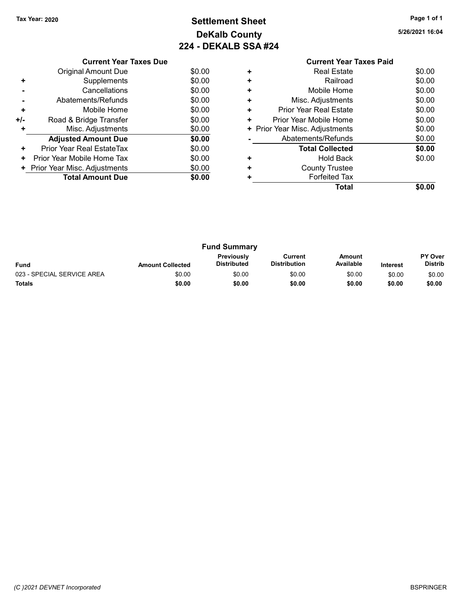# Tax Year: 2020 **Page 1 of 1 Settlement Sheet Constant Constant Constant Constant Constant Constant Constant Constant Constant Constant Constant Constant Page 1 of 1** DeKalb County 224 - DEKALB SSA #24

|     | <b>Current Year Taxes Due</b> |        |  |  |  |  |  |
|-----|-------------------------------|--------|--|--|--|--|--|
|     | Original Amount Due           | \$0.00 |  |  |  |  |  |
| ٠   | Supplements                   | \$0.00 |  |  |  |  |  |
|     | Cancellations                 | \$0.00 |  |  |  |  |  |
|     | Abatements/Refunds            | \$0.00 |  |  |  |  |  |
| ٠   | Mobile Home                   | \$0.00 |  |  |  |  |  |
| +/- | Road & Bridge Transfer        | \$0.00 |  |  |  |  |  |
|     | Misc. Adjustments             | \$0.00 |  |  |  |  |  |
|     | <b>Adjusted Amount Due</b>    | \$0.00 |  |  |  |  |  |
| ٠   | Prior Year Real EstateTax     | \$0.00 |  |  |  |  |  |
| ٠   | Prior Year Mobile Home Tax    | \$0.00 |  |  |  |  |  |
|     | Prior Year Misc. Adjustments  | \$0.00 |  |  |  |  |  |
|     | <b>Total Amount Due</b>       | \$0.00 |  |  |  |  |  |
|     |                               |        |  |  |  |  |  |

|   | <b>Current Year Taxes Paid</b> |        |
|---|--------------------------------|--------|
| ٠ | Real Estate                    | \$0.00 |
| ٠ | Railroad                       | \$0.00 |
| ÷ | Mobile Home                    | \$0.00 |
|   | Misc. Adjustments              | \$0.00 |
| ٠ | Prior Year Real Estate         | \$0.00 |
| ÷ | Prior Year Mobile Home         | \$0.00 |
| ٠ | Prior Year Misc. Adjustments   | \$0.00 |
|   | Abatements/Refunds             | \$0.00 |
|   | <b>Total Collected</b>         | \$0.00 |
|   | <b>Hold Back</b>               | \$0.00 |
|   | <b>County Trustee</b>          |        |
|   | <b>Forfeited Tax</b>           |        |
|   | Total                          | \$0.00 |
|   |                                |        |

| <b>Fund Summary</b>        |                         |                                  |                                |                     |                 |                                  |
|----------------------------|-------------------------|----------------------------------|--------------------------------|---------------------|-----------------|----------------------------------|
| <b>Fund</b>                | <b>Amount Collected</b> | Previously<br><b>Distributed</b> | Current<br><b>Distribution</b> | Amount<br>Available | <b>Interest</b> | <b>PY Over</b><br><b>Distrib</b> |
| 023 - SPECIAL SERVICE AREA | \$0.00                  | \$0.00                           | \$0.00                         | \$0.00              | \$0.00          | \$0.00                           |
| <b>Totals</b>              | \$0.00                  | \$0.00                           | \$0.00                         | \$0.00              | \$0.00          | \$0.00                           |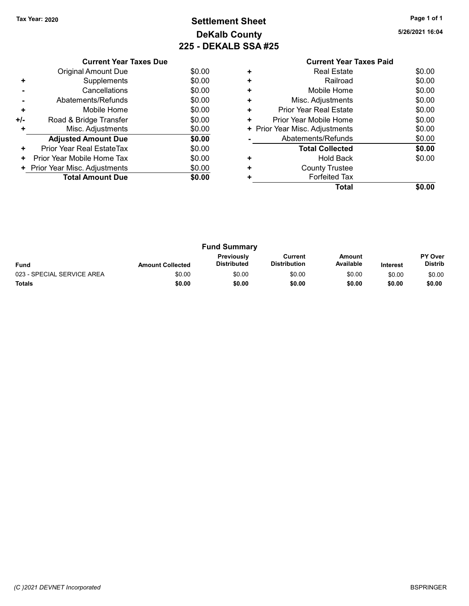# Tax Year: 2020 **Page 1 of 1 Settlement Sheet Constant Constant Constant Constant Constant Constant Constant Constant Constant Constant Constant Constant Page 1 of 1** DeKalb County 225 - DEKALB SSA #25

|     | <b>Current Year Taxes Due</b> |        |
|-----|-------------------------------|--------|
|     | <b>Original Amount Due</b>    | \$0.00 |
| ÷   | Supplements                   | \$0.00 |
|     | Cancellations                 | \$0.00 |
|     | Abatements/Refunds            | \$0.00 |
| ٠   | Mobile Home                   | \$0.00 |
| +/- | Road & Bridge Transfer        | \$0.00 |
|     | Misc. Adjustments             | \$0.00 |
|     | <b>Adjusted Amount Due</b>    | \$0.00 |
| ٠   | Prior Year Real EstateTax     | \$0.00 |
| ٠   | Prior Year Mobile Home Tax    | \$0.00 |
|     | Prior Year Misc. Adjustments  | \$0.00 |
|     | <b>Total Amount Due</b>       | \$0.00 |
|     |                               |        |

|   | <b>Current Year Taxes Paid</b> |        |
|---|--------------------------------|--------|
|   | Real Estate                    | \$0.00 |
|   | Railroad                       | \$0.00 |
|   | Mobile Home                    | \$0.00 |
| ٠ | Misc. Adjustments              | \$0.00 |
| ÷ | <b>Prior Year Real Estate</b>  | \$0.00 |
| ÷ | Prior Year Mobile Home         | \$0.00 |
| ٠ | Prior Year Misc. Adjustments   | \$0.00 |
|   | Abatements/Refunds             | \$0.00 |
|   | <b>Total Collected</b>         | \$0.00 |
|   | Hold Back                      | \$0.00 |
|   | <b>County Trustee</b>          |        |
|   | <b>Forfeited Tax</b>           |        |
|   | Total                          |        |

|                            |                         | <b>Fund Summary</b>              |                                |                     |                 |                                  |
|----------------------------|-------------------------|----------------------------------|--------------------------------|---------------------|-----------------|----------------------------------|
| <b>Fund</b>                | <b>Amount Collected</b> | Previously<br><b>Distributed</b> | Current<br><b>Distribution</b> | Amount<br>Available | <b>Interest</b> | <b>PY Over</b><br><b>Distrib</b> |
| 023 - SPECIAL SERVICE AREA | \$0.00                  | \$0.00                           | \$0.00                         | \$0.00              | \$0.00          | \$0.00                           |
| <b>Totals</b>              | \$0.00                  | \$0.00                           | \$0.00                         | \$0.00              | \$0.00          | \$0.00                           |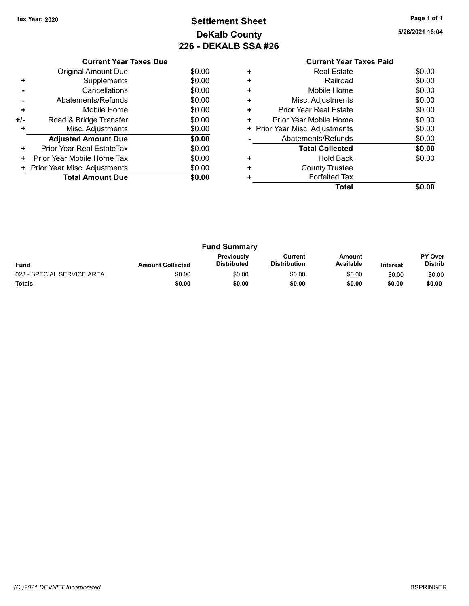# Tax Year: 2020 **Page 1 of 1 Settlement Sheet Constant Constant Constant Constant Constant Constant Constant Constant Constant Constant Constant Constant Page 1 of 1** DeKalb County 226 - DEKALB SSA #26

|     | <b>Current Year Taxes Due</b> |        |
|-----|-------------------------------|--------|
|     | <b>Original Amount Due</b>    | \$0.00 |
| ٠   | Supplements                   | \$0.00 |
|     | Cancellations                 | \$0.00 |
|     | Abatements/Refunds            | \$0.00 |
| ÷   | Mobile Home                   | \$0.00 |
| +/- | Road & Bridge Transfer        | \$0.00 |
|     | Misc. Adjustments             | \$0.00 |
|     | <b>Adjusted Amount Due</b>    | \$0.00 |
| ÷   | Prior Year Real EstateTax     | \$0.00 |
| ٠   | Prior Year Mobile Home Tax    | \$0.00 |
|     | Prior Year Misc. Adjustments  | \$0.00 |
|     | <b>Total Amount Due</b>       | \$0.00 |
|     |                               |        |

|   | <b>Current Year Taxes Paid</b> |        |
|---|--------------------------------|--------|
|   | <b>Real Estate</b>             | \$0.00 |
|   | Railroad                       | \$0.00 |
|   | Mobile Home                    | \$0.00 |
| ٠ | Misc. Adjustments              | \$0.00 |
| ÷ | Prior Year Real Estate         | \$0.00 |
| ÷ | Prior Year Mobile Home         | \$0.00 |
| ٠ | Prior Year Misc. Adjustments   | \$0.00 |
|   | Abatements/Refunds             | \$0.00 |
|   | <b>Total Collected</b>         | \$0.00 |
|   | Hold Back                      | \$0.00 |
|   | <b>County Trustee</b>          |        |
|   | <b>Forfeited Tax</b>           |        |
|   | Total                          |        |

|                            |                         | <b>Fund Summary</b>              |                                |                     |                 |                                  |
|----------------------------|-------------------------|----------------------------------|--------------------------------|---------------------|-----------------|----------------------------------|
| <b>Fund</b>                | <b>Amount Collected</b> | Previously<br><b>Distributed</b> | Current<br><b>Distribution</b> | Amount<br>Available | <b>Interest</b> | <b>PY Over</b><br><b>Distrib</b> |
| 023 - SPECIAL SERVICE AREA | \$0.00                  | \$0.00                           | \$0.00                         | \$0.00              | \$0.00          | \$0.00                           |
| <b>Totals</b>              | \$0.00                  | \$0.00                           | \$0.00                         | \$0.00              | \$0.00          | \$0.00                           |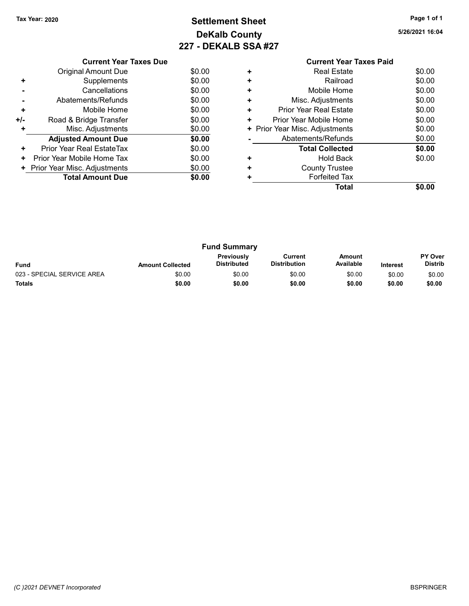# Tax Year: 2020 **Page 1 of 1 Settlement Sheet Constant Constant Constant Constant Constant Constant Constant Constant Constant Constant Constant Constant Page 1 of 1** DeKalb County 227 - DEKALB SSA #27

| Current Year Taxes Paid |              |
|-------------------------|--------------|
| <b>Real Estate</b>      | \$0.0        |
| Railroad                | \$0.0        |
|                         | . . <i>.</i> |

|     | <b>Current Year Taxes Due</b> |        |
|-----|-------------------------------|--------|
|     | <b>Original Amount Due</b>    | \$0.00 |
| ٠   | Supplements                   | \$0.00 |
|     | Cancellations                 | \$0.00 |
|     | Abatements/Refunds            | \$0.00 |
| ٠   | Mobile Home                   | \$0.00 |
| +/- | Road & Bridge Transfer        | \$0.00 |
| ٠   | Misc. Adjustments             | \$0.00 |
|     | <b>Adjusted Amount Due</b>    | \$0.00 |
| ٠   | Prior Year Real EstateTax     | \$0.00 |
| ٠   | Prior Year Mobile Home Tax    | \$0.00 |
| ٠   | Prior Year Misc. Adjustments  | \$0.00 |
|     | <b>Total Amount Due</b>       | \$0.00 |
|     |                               |        |

| \$0.00<br><b>Real Estate</b><br>٠  |        |
|------------------------------------|--------|
| Railroad<br>٠                      | \$0.00 |
| Mobile Home<br>٠                   | \$0.00 |
| Misc. Adjustments<br>٠             | \$0.00 |
| <b>Prior Year Real Estate</b><br>٠ | \$0.00 |
| Prior Year Mobile Home<br>٠        | \$0.00 |
| + Prior Year Misc. Adjustments     | \$0.00 |
| Abatements/Refunds                 | \$0.00 |
| <b>Total Collected</b>             | \$0.00 |
| Hold Back<br>٠                     | \$0.00 |
| <b>County Trustee</b><br>٠         |        |
| <b>Forfeited Tax</b><br>٠          |        |
| Total                              | \$0.00 |

| <b>Fund Summary</b>        |                         |                                         |                                |                     |                 |                                  |
|----------------------------|-------------------------|-----------------------------------------|--------------------------------|---------------------|-----------------|----------------------------------|
| <b>Fund</b>                | <b>Amount Collected</b> | <b>Previously</b><br><b>Distributed</b> | Current<br><b>Distribution</b> | Amount<br>Available | <b>Interest</b> | <b>PY Over</b><br><b>Distrib</b> |
| 023 - SPECIAL SERVICE AREA | \$0.00                  | \$0.00                                  | \$0.00                         | \$0.00              | \$0.00          | \$0.00                           |
| <b>Totals</b>              | \$0.00                  | \$0.00                                  | \$0.00                         | \$0.00              | \$0.00          | \$0.00                           |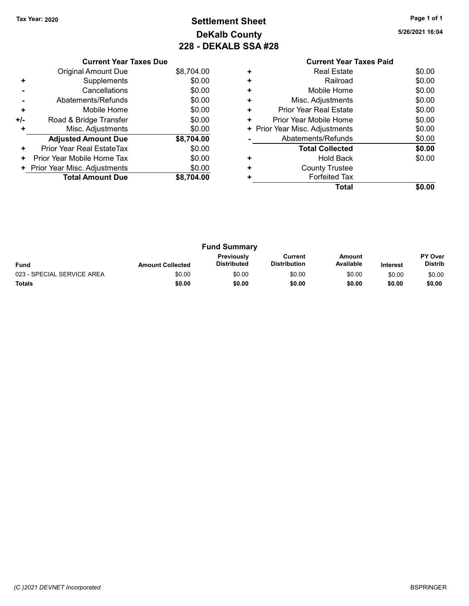Current Year Taxes Due Original Amount Due \$8,704.00

Adjusted Amount Due \$8,704.00

+ Supplements \$0.00 - Cancellations \$0.00 - Abatements/Refunds \$0.00 + Mobile Home \$0.00 +/- Road & Bridge Transfer \$0.00 + Misc. Adjustments \$0.00

+ Prior Year Real EstateTax \$0.00 + Prior Year Mobile Home Tax \$0.00 + Prior Year Misc. Adjustments \$0.00<br>Total Amount Due \$8,704.00

**Total Amount Due** 

# Tax Year: 2020 **Page 1 of 1 Settlement Sheet Constant Constant Constant Constant Constant Constant Constant Constant Constant Constant Constant Constant Page 1 of 1** DeKalb County 228 - DEKALB SSA #28

5/26/2021 16:04

|   | Total                          | \$0.00 |
|---|--------------------------------|--------|
| ÷ | <b>Forfeited Tax</b>           |        |
| ÷ | <b>County Trustee</b>          |        |
| ٠ | <b>Hold Back</b>               | \$0.00 |
|   | <b>Total Collected</b>         | \$0.00 |
|   | Abatements/Refunds             | \$0.00 |
|   | + Prior Year Misc. Adjustments | \$0.00 |
| ٠ | Prior Year Mobile Home         | \$0.00 |
| ÷ | <b>Prior Year Real Estate</b>  | \$0.00 |
| ÷ | Misc. Adjustments              | \$0.00 |
| ÷ | Mobile Home                    | \$0.00 |
| ÷ | Railroad                       | \$0.00 |
| ÷ | <b>Real Estate</b>             | \$0.00 |
|   | <b>Current Year Taxes Paid</b> |        |
|   |                                |        |

Fund Summary Fund Interest Amount Collected Distributed PY Over Distrib Amount Available Current Distribution Previously 023 - SPECIAL SERVICE AREA  $$0.00$   $$0.00$   $$0.00$   $$0.00$   $$0.00$   $$0.00$   $$0.00$   $$0.00$ Totals \$0.00 \$0.00 \$0.00 \$0.00 \$0.00 \$0.00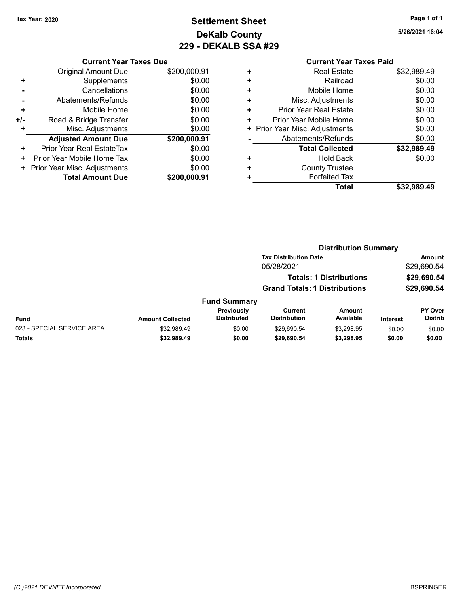# Tax Year: 2020 **Page 1 of 1 Settlement Sheet Constant Constant Constant Constant Constant Constant Constant Constant Constant Constant Constant Constant Page 1 of 1** DeKalb County 229 - DEKALB SSA #29

5/26/2021 16:04

## Current Year Taxes Paid + Real Estate \$32,989.49 + Railroad \$0.00 + Mobile Home \$0.00 + Misc. Adjustments \$0.00 + Prior Year Real Estate \$0.00 + Prior Year Mobile Home \$0.00 + Prior Year Misc. Adjustments  $$0.00$ - Abatements/Refunds \$0.00 Total Collected \$32,989.49 + Hold Back \$0.00 + County Trustee + Forfeited Tax Total \$32,989.49

|     | <b>Current Year Taxes Due</b> |              |
|-----|-------------------------------|--------------|
|     | Original Amount Due           | \$200,000.91 |
| ٠   | Supplements                   | \$0.00       |
|     | Cancellations                 | \$0.00       |
|     | Abatements/Refunds            | \$0.00       |
| ٠   | Mobile Home                   | \$0.00       |
| +/- | Road & Bridge Transfer        | \$0.00       |
|     | Misc. Adjustments             | \$0.00       |
|     | <b>Adjusted Amount Due</b>    | \$200,000.91 |
| ٠   | Prior Year Real EstateTax     | \$0.00       |
| ÷   | Prior Year Mobile Home Tax    | \$0.00       |
| ٠   | Prior Year Misc. Adjustments  | \$0.00       |
|     | <b>Total Amount Due</b>       | \$200.000.91 |

|                            | <b>Distribution Summary</b> |                                  |                                       |                                |                 |                           |  |
|----------------------------|-----------------------------|----------------------------------|---------------------------------------|--------------------------------|-----------------|---------------------------|--|
|                            |                             |                                  | <b>Tax Distribution Date</b>          |                                |                 | Amount                    |  |
|                            |                             |                                  | 05/28/2021                            |                                |                 | \$29,690.54               |  |
|                            |                             |                                  |                                       | <b>Totals: 1 Distributions</b> |                 | \$29,690.54               |  |
|                            |                             |                                  | <b>Grand Totals: 1 Distributions</b>  |                                |                 | \$29,690.54               |  |
|                            |                             | <b>Fund Summary</b>              |                                       |                                |                 |                           |  |
| Fund                       | <b>Amount Collected</b>     | Previously<br><b>Distributed</b> | <b>Current</b><br><b>Distribution</b> | Amount<br>Available            | <b>Interest</b> | PY Over<br><b>Distrib</b> |  |
| 023 - SPECIAL SERVICE AREA | \$32.989.49                 | \$0.00                           | \$29.690.54                           | \$3.298.95                     | \$0.00          | \$0.00                    |  |
| Totals                     | \$32,989.49                 | \$0.00                           | \$29,690.54                           | \$3,298.95                     | \$0.00          | \$0.00                    |  |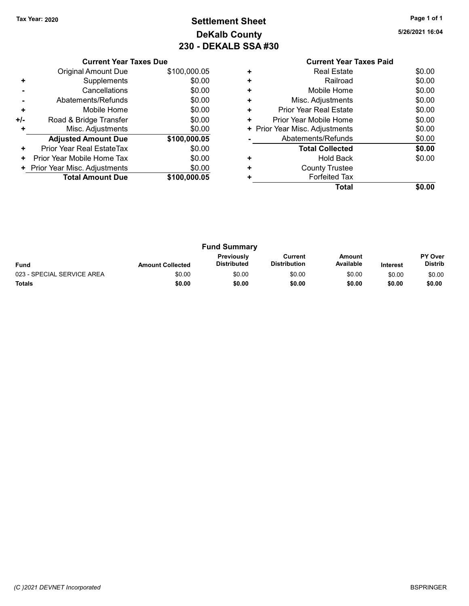# Tax Year: 2020 **Page 1 of 1 Settlement Sheet Constant Constant Constant Constant Constant Constant Constant Constant Constant Constant Constant Constant Page 1 of 1** DeKalb County 230 - DEKALB SSA #30

5/26/2021 16:04

|     | <b>Current Year Taxes Due</b> |              |  |  |  |  |
|-----|-------------------------------|--------------|--|--|--|--|
|     | <b>Original Amount Due</b>    | \$100,000.05 |  |  |  |  |
| ٠   | Supplements                   | \$0.00       |  |  |  |  |
|     | Cancellations                 | \$0.00       |  |  |  |  |
|     | Abatements/Refunds            | \$0.00       |  |  |  |  |
| ÷   | Mobile Home                   | \$0.00       |  |  |  |  |
| +/- | Road & Bridge Transfer        | \$0.00       |  |  |  |  |
| ٠   | Misc. Adjustments             | \$0.00       |  |  |  |  |
|     | <b>Adjusted Amount Due</b>    | \$100,000.05 |  |  |  |  |
| ٠   | Prior Year Real EstateTax     | \$0.00       |  |  |  |  |
| ٠   | Prior Year Mobile Home Tax    | \$0.00       |  |  |  |  |
| ٠   | Prior Year Misc. Adjustments  | \$0.00       |  |  |  |  |
|     | <b>Total Amount Due</b>       | \$100,000.05 |  |  |  |  |
|     |                               |              |  |  |  |  |

## Current Year Taxes Paid +<br>
+ Real Estate \$0.00<br>
+ Railroad \$0.00 + Railroad \$0.00 + Mobile Home \$0.00 + Misc. Adjustments \$0.00 + Prior Year Real Estate \$0.00 + Prior Year Mobile Home \$0.00<br>
+ Prior Year Misc. Adjustments \$0.00 + Prior Year Misc. Adjustments - Abatements/Refunds \$0.00 Total Collected \$0.00 + Hold Back \$0.00 + County Trustee + Forfeited Tax Total \$0.00

| <b>Fund Summary</b>        |                         |                                  |                                |                            |                 |                                  |
|----------------------------|-------------------------|----------------------------------|--------------------------------|----------------------------|-----------------|----------------------------------|
| <b>Fund</b>                | <b>Amount Collected</b> | Previously<br><b>Distributed</b> | Current<br><b>Distribution</b> | <b>Amount</b><br>Available | <b>Interest</b> | <b>PY Over</b><br><b>Distrib</b> |
| 023 - SPECIAL SERVICE AREA | \$0.00                  | \$0.00                           | \$0.00                         | \$0.00                     | \$0.00          | \$0.00                           |
| <b>Totals</b>              | \$0.00                  | \$0.00                           | \$0.00                         | \$0.00                     | \$0.00          | \$0.00                           |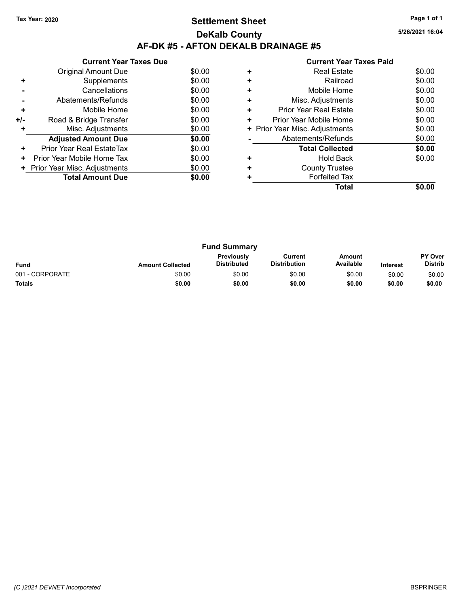## Tax Year: 2020 **Page 1 of 1 Settlement Sheet Constant Constant Constant Constant Constant Constant Constant Constant Constant Constant Constant Constant Page 1 of 1** DeKalb County AF-DK #5 - AFTON DEKALB DRAINAGE #5

5/26/2021 16:04

|     | <b>Current Year Taxes Due</b> |        |
|-----|-------------------------------|--------|
|     | Original Amount Due           | \$0.00 |
| ٠   | Supplements                   | \$0.00 |
|     | Cancellations                 | \$0.00 |
|     | Abatements/Refunds            | \$0.00 |
| ÷   | Mobile Home                   | \$0.00 |
| +/- | Road & Bridge Transfer        | \$0.00 |
| ٠   | Misc. Adjustments             | \$0.00 |
|     | <b>Adjusted Amount Due</b>    | \$0.00 |
| ٠   | Prior Year Real EstateTax     | \$0.00 |
| ٠   | Prior Year Mobile Home Tax    | \$0.00 |
|     | Prior Year Misc. Adjustments  | \$0.00 |
|     | <b>Total Amount Due</b>       | \$0.00 |
|     |                               |        |

|   | OUITCHL TCUL TUACS LUIU        |        |
|---|--------------------------------|--------|
|   | <b>Real Estate</b>             | \$0.00 |
| ٠ | Railroad                       | \$0.00 |
|   | Mobile Home                    | \$0.00 |
| ٠ | Misc. Adjustments              | \$0.00 |
| ٠ | Prior Year Real Estate         | \$0.00 |
| ٠ | Prior Year Mobile Home         | \$0.00 |
|   | + Prior Year Misc. Adjustments | \$0.00 |
|   | Abatements/Refunds             | \$0.00 |
|   | <b>Total Collected</b>         | \$0.00 |
|   | <b>Hold Back</b>               | \$0.00 |
| ٠ | <b>County Trustee</b>          |        |
|   | <b>Forfeited Tax</b>           |        |
|   | Total                          |        |
|   |                                |        |

| <b>Fund Summary</b> |                         |                                         |                                |                     |                 |                                  |
|---------------------|-------------------------|-----------------------------------------|--------------------------------|---------------------|-----------------|----------------------------------|
| <b>Fund</b>         | <b>Amount Collected</b> | <b>Previously</b><br><b>Distributed</b> | Current<br><b>Distribution</b> | Amount<br>Available | <b>Interest</b> | <b>PY Over</b><br><b>Distrib</b> |
| 001 - CORPORATE     | \$0.00                  | \$0.00                                  | \$0.00                         | \$0.00              | \$0.00          | \$0.00                           |
| <b>Totals</b>       | \$0.00                  | \$0.00                                  | \$0.00                         | \$0.00              | \$0.00          | \$0.00                           |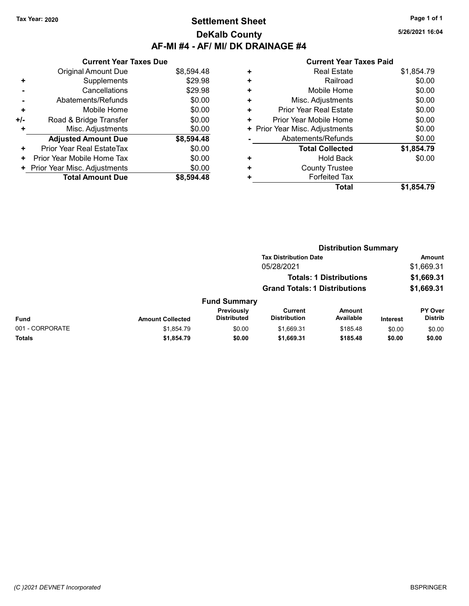## Tax Year: 2020 **Page 1 of 1 Settlement Sheet Constant Constant Constant Constant Constant Constant Constant Constant Constant Constant Constant Constant Page 1 of 1** DeKalb County AF-MI #4 - AF/ MI/ DK DRAINAGE #4

5/26/2021 16:04

|     | <b>Current Year Taxes Due</b> |            |
|-----|-------------------------------|------------|
|     | <b>Original Amount Due</b>    | \$8,594.48 |
| ٠   | Supplements                   | \$29.98    |
|     | Cancellations                 | \$29.98    |
|     | Abatements/Refunds            | \$0.00     |
| ÷   | Mobile Home                   | \$0.00     |
| +/- | Road & Bridge Transfer        | \$0.00     |
|     | Misc. Adjustments             | \$0.00     |
|     | <b>Adjusted Amount Due</b>    | \$8,594.48 |
| ٠   | Prior Year Real EstateTax     | \$0.00     |
| ٠   | Prior Year Mobile Home Tax    | \$0.00     |
|     | Prior Year Misc. Adjustments  | \$0.00     |
|     | <b>Total Amount Due</b>       | \$8.594.48 |

| ٠ | <b>Real Estate</b>            | \$1,854.79 |
|---|-------------------------------|------------|
| ٠ | Railroad                      | \$0.00     |
| ٠ | Mobile Home                   | \$0.00     |
| ٠ | Misc. Adjustments             | \$0.00     |
| ٠ | <b>Prior Year Real Estate</b> | \$0.00     |
| ٠ | Prior Year Mobile Home        | \$0.00     |
|   | Prior Year Misc. Adjustments  | \$0.00     |
|   | Abatements/Refunds            | \$0.00     |
|   | <b>Total Collected</b>        | \$1,854.79 |
| ٠ | <b>Hold Back</b>              | \$0.00     |
| ٠ | <b>County Trustee</b>         |            |
|   | <b>Forfeited Tax</b>          |            |
|   | Total                         | \$1,854.79 |
|   |                               |            |

|                 |                         | <b>Distribution Summary</b>      |                                       |                                |                 |                           |  |
|-----------------|-------------------------|----------------------------------|---------------------------------------|--------------------------------|-----------------|---------------------------|--|
|                 |                         |                                  | <b>Tax Distribution Date</b>          |                                |                 | <b>Amount</b>             |  |
|                 |                         |                                  | 05/28/2021                            |                                |                 | \$1,669.31                |  |
|                 |                         |                                  |                                       | <b>Totals: 1 Distributions</b> |                 | \$1,669.31                |  |
|                 |                         |                                  | <b>Grand Totals: 1 Distributions</b>  |                                |                 | \$1,669.31                |  |
|                 |                         | <b>Fund Summary</b>              |                                       |                                |                 |                           |  |
| Fund            | <b>Amount Collected</b> | Previously<br><b>Distributed</b> | <b>Current</b><br><b>Distribution</b> | <b>Amount</b><br>Available     | <b>Interest</b> | PY Over<br><b>Distrib</b> |  |
| 001 - CORPORATE | \$1,854.79              | \$0.00                           | \$1,669.31                            | \$185.48                       | \$0.00          | \$0.00                    |  |
| Totals          | \$1,854.79              | \$0.00                           | \$1,669.31                            | \$185.48                       | \$0.00          | \$0.00                    |  |
|                 |                         |                                  |                                       |                                |                 |                           |  |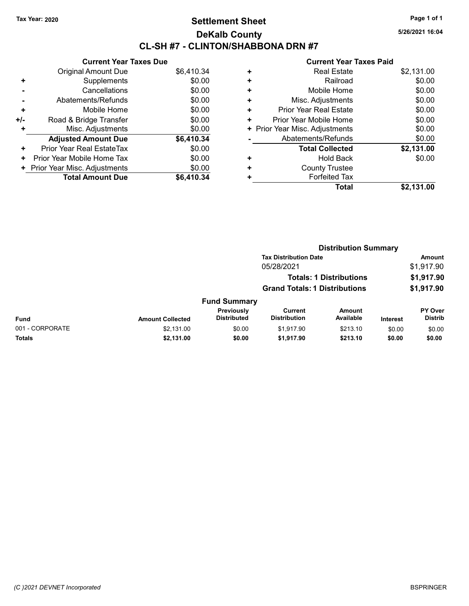## Tax Year: 2020 **Page 1 of 1 Settlement Sheet Constant Constant Constant Constant Constant Constant Constant Constant Constant Constant Constant Constant Page 1 of 1** DeKalb County CL-SH #7 - CLINTON/SHABBONA DRN #7

5/26/2021 16:04

|     | <b>Current Year Taxes Due</b> |            |
|-----|-------------------------------|------------|
|     | Original Amount Due           | \$6,410.34 |
| ÷   | Supplements                   | \$0.00     |
|     | Cancellations                 | \$0.00     |
|     | Abatements/Refunds            | \$0.00     |
| ٠   | Mobile Home                   | \$0.00     |
| +/- | Road & Bridge Transfer        | \$0.00     |
|     | Misc. Adjustments             | \$0.00     |
|     | <b>Adjusted Amount Due</b>    | \$6,410.34 |
| ÷   | Prior Year Real EstateTax     | \$0.00     |
| ٠   | Prior Year Mobile Home Tax    | \$0.00     |
|     | Prior Year Misc. Adjustments  | \$0.00     |
|     | <b>Total Amount Due</b>       | \$6.410.34 |

|   | OUITGIIL I GAI TAAGS TAIW      |            |
|---|--------------------------------|------------|
| ٠ | <b>Real Estate</b>             | \$2,131.00 |
| ÷ | Railroad                       | \$0.00     |
| ٠ | Mobile Home                    | \$0.00     |
| ÷ | Misc. Adjustments              | \$0.00     |
| ÷ | <b>Prior Year Real Estate</b>  | \$0.00     |
| ٠ | Prior Year Mobile Home         | \$0.00     |
|   | + Prior Year Misc. Adjustments | \$0.00     |
|   | Abatements/Refunds             | \$0.00     |
|   | <b>Total Collected</b>         | \$2,131.00 |
| ٠ | <b>Hold Back</b>               | \$0.00     |
| ٠ | <b>County Trustee</b>          |            |
| ٠ | <b>Forfeited Tax</b>           |            |
|   | Total                          | \$2,131.00 |
|   |                                |            |

|                 |                         | <b>Distribution Summary</b>      |                                       |                                |                 |                                  |  |
|-----------------|-------------------------|----------------------------------|---------------------------------------|--------------------------------|-----------------|----------------------------------|--|
|                 |                         |                                  | <b>Tax Distribution Date</b>          |                                |                 | Amount                           |  |
|                 |                         |                                  | 05/28/2021                            |                                |                 | \$1,917.90                       |  |
|                 |                         |                                  |                                       | <b>Totals: 1 Distributions</b> |                 | \$1,917.90                       |  |
|                 |                         |                                  | <b>Grand Totals: 1 Distributions</b>  |                                |                 | \$1,917.90                       |  |
|                 |                         | <b>Fund Summary</b>              |                                       |                                |                 |                                  |  |
| <b>Fund</b>     | <b>Amount Collected</b> | Previously<br><b>Distributed</b> | <b>Current</b><br><b>Distribution</b> | <b>Amount</b><br>Available     | <b>Interest</b> | <b>PY Over</b><br><b>Distrib</b> |  |
| 001 - CORPORATE | \$2,131.00              | \$0.00                           | \$1,917.90                            | \$213.10                       | \$0.00          | \$0.00                           |  |
| Totals          | \$2,131.00              | \$0.00                           | \$1,917.90                            | \$213.10                       | \$0.00          | \$0.00                           |  |
|                 |                         |                                  |                                       |                                |                 |                                  |  |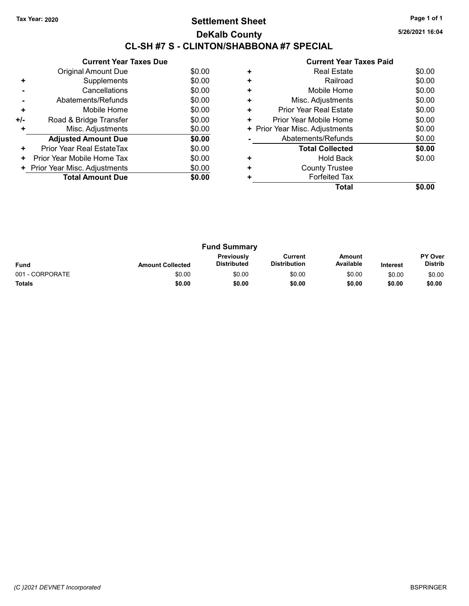## Tax Year: 2020 **Page 1 of 1 Settlement Sheet Constant Constant Constant Constant Constant Constant Constant Constant Constant Constant Constant Constant Page 1 of 1** DeKalb County CL-SH #7 S - CLINTON/SHABBONA #7 SPECIAL

5/26/2021 16:04

|     | <b>Current Year Taxes Due</b> |        |
|-----|-------------------------------|--------|
|     | Original Amount Due           | \$0.00 |
| ٠   | Supplements                   | \$0.00 |
|     | Cancellations                 | \$0.00 |
|     | Abatements/Refunds            | \$0.00 |
| ÷   | Mobile Home                   | \$0.00 |
| +/- | Road & Bridge Transfer        | \$0.00 |
| ٠   | Misc. Adjustments             | \$0.00 |
|     | <b>Adjusted Amount Due</b>    | \$0.00 |
| ٠   | Prior Year Real EstateTax     | \$0.00 |
| ٠   | Prior Year Mobile Home Tax    | \$0.00 |
|     | Prior Year Misc. Adjustments  | \$0.00 |
|     | <b>Total Amount Due</b>       | \$0.00 |
|     |                               |        |

| ٠ | <b>Real Estate</b>             | \$0.00 |
|---|--------------------------------|--------|
| ٠ | Railroad                       | \$0.00 |
| ٠ | Mobile Home                    | \$0.00 |
| ٠ | Misc. Adjustments              | \$0.00 |
| ٠ | <b>Prior Year Real Estate</b>  | \$0.00 |
| ٠ | Prior Year Mobile Home         | \$0.00 |
|   | + Prior Year Misc. Adjustments | \$0.00 |
|   | Abatements/Refunds             | \$0.00 |
|   | <b>Total Collected</b>         | \$0.00 |
| ٠ | Hold Back                      | \$0.00 |
| ٠ | <b>County Trustee</b>          |        |
|   | <b>Forfeited Tax</b>           |        |
|   | Total                          |        |
|   |                                |        |

|                 |                         | <b>Fund Summary</b>              |                                |                     |                 |                                  |
|-----------------|-------------------------|----------------------------------|--------------------------------|---------------------|-----------------|----------------------------------|
| <b>Fund</b>     | <b>Amount Collected</b> | Previously<br><b>Distributed</b> | Current<br><b>Distribution</b> | Amount<br>Available | <b>Interest</b> | <b>PY Over</b><br><b>Distrib</b> |
| 001 - CORPORATE | \$0.00                  | \$0.00                           | \$0.00                         | \$0.00              | \$0.00          | \$0.00                           |
| <b>Totals</b>   | \$0.00                  | \$0.00                           | \$0.00                         | \$0.00              | \$0.00          | \$0.00                           |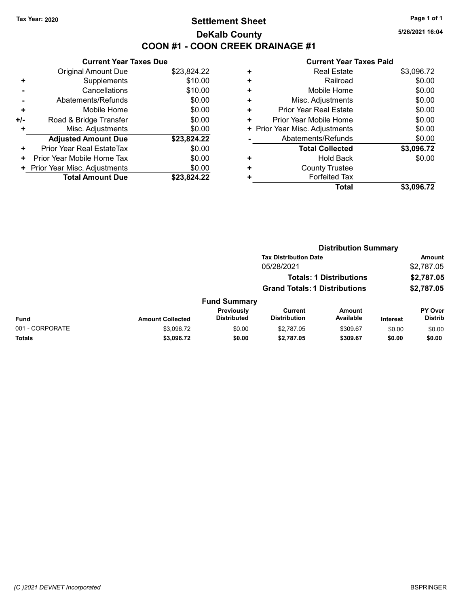## Tax Year: 2020 **Page 1 of 1 Settlement Sheet Constant Constant Constant Constant Constant Constant Constant Constant Constant Constant Constant Constant Page 1 of 1** DeKalb County COON #1 - COON CREEK DRAINAGE #1

5/26/2021 16:04

|     | <b>Current Year Taxes Due</b> |             |
|-----|-------------------------------|-------------|
|     | Original Amount Due           | \$23,824.22 |
| ٠   | Supplements                   | \$10.00     |
|     | Cancellations                 | \$10.00     |
|     | Abatements/Refunds            | \$0.00      |
| ٠   | Mobile Home                   | \$0.00      |
| +/- | Road & Bridge Transfer        | \$0.00      |
|     | Misc. Adjustments             | \$0.00      |
|     | <b>Adjusted Amount Due</b>    | \$23,824.22 |
| ÷   | Prior Year Real EstateTax     | \$0.00      |
| ٠   | Prior Year Mobile Home Tax    | \$0.00      |
| ٠   | Prior Year Misc. Adjustments  | \$0.00      |
|     | <b>Total Amount Due</b>       | \$23,824.22 |

|   | Total                          | \$3,096.72 |
|---|--------------------------------|------------|
| ٠ | <b>Forfeited Tax</b>           |            |
| ٠ | <b>County Trustee</b>          |            |
| ٠ | Hold Back                      | \$0.00     |
|   | <b>Total Collected</b>         | \$3,096.72 |
|   | Abatements/Refunds             | \$0.00     |
|   | + Prior Year Misc. Adjustments | \$0.00     |
| ٠ | Prior Year Mobile Home         | \$0.00     |
| ٠ | <b>Prior Year Real Estate</b>  | \$0.00     |
| ٠ | Misc. Adjustments              | \$0.00     |
| ٠ | Mobile Home                    | \$0.00     |
| ٠ | Railroad                       | \$0.00     |
| ٠ | <b>Real Estate</b>             | \$3,096.72 |
|   |                                |            |

|                 |                         |                                  |                                       | <b>Distribution Summary</b>    |                 |                           |
|-----------------|-------------------------|----------------------------------|---------------------------------------|--------------------------------|-----------------|---------------------------|
|                 |                         |                                  | <b>Tax Distribution Date</b>          |                                |                 | <b>Amount</b>             |
|                 |                         |                                  | 05/28/2021                            |                                |                 | \$2,787.05                |
|                 |                         |                                  |                                       | <b>Totals: 1 Distributions</b> |                 | \$2,787.05                |
|                 |                         |                                  | <b>Grand Totals: 1 Distributions</b>  |                                |                 | \$2,787.05                |
|                 |                         | <b>Fund Summary</b>              |                                       |                                |                 |                           |
| Fund            | <b>Amount Collected</b> | Previously<br><b>Distributed</b> | <b>Current</b><br><b>Distribution</b> | <b>Amount</b><br>Available     | <b>Interest</b> | PY Over<br><b>Distrib</b> |
| 001 - CORPORATE | \$3,096.72              | \$0.00                           | \$2,787.05                            | \$309.67                       | \$0.00          | \$0.00                    |
| <b>Totals</b>   | \$3,096.72              | \$0.00                           | \$2,787.05                            | \$309.67                       | \$0.00          | \$0.00                    |
|                 |                         |                                  |                                       |                                |                 |                           |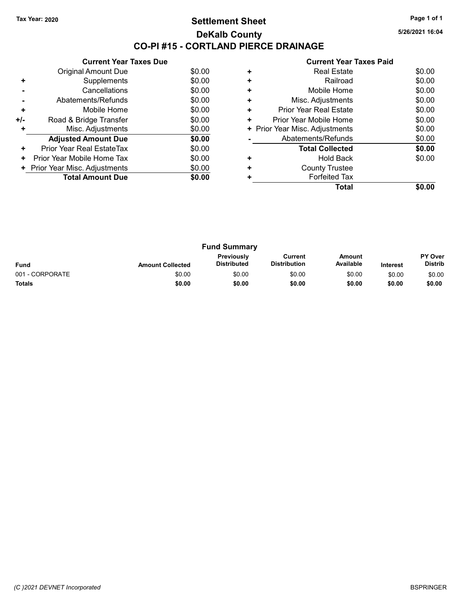## Tax Year: 2020 **Page 1 of 1 Settlement Sheet Constant Constant Constant Constant Constant Constant Constant Constant Constant Constant Constant Constant Page 1 of 1** DeKalb County CO-PI #15 - CORTLAND PIERCE DRAINAGE

5/26/2021 16:04

| \$0.00<br>Original Amount Due<br>\$0.00<br>Supplements<br>÷<br>\$0.00<br>Cancellations<br>\$0.00<br>Abatements/Refunds<br>\$0.00<br>Mobile Home<br>٠<br>\$0.00<br>Road & Bridge Transfer<br>+/-<br>\$0.00<br>Misc. Adjustments<br>٠<br>\$0.00<br><b>Adjusted Amount Due</b><br>\$0.00<br>Prior Year Real EstateTax<br>٠<br>\$0.00<br>Prior Year Mobile Home Tax<br>٠ | <b>Current Year Taxes Due</b> |        |
|----------------------------------------------------------------------------------------------------------------------------------------------------------------------------------------------------------------------------------------------------------------------------------------------------------------------------------------------------------------------|-------------------------------|--------|
|                                                                                                                                                                                                                                                                                                                                                                      |                               |        |
|                                                                                                                                                                                                                                                                                                                                                                      |                               |        |
|                                                                                                                                                                                                                                                                                                                                                                      |                               |        |
|                                                                                                                                                                                                                                                                                                                                                                      |                               |        |
|                                                                                                                                                                                                                                                                                                                                                                      |                               |        |
|                                                                                                                                                                                                                                                                                                                                                                      |                               |        |
|                                                                                                                                                                                                                                                                                                                                                                      |                               |        |
|                                                                                                                                                                                                                                                                                                                                                                      |                               |        |
|                                                                                                                                                                                                                                                                                                                                                                      |                               |        |
|                                                                                                                                                                                                                                                                                                                                                                      |                               |        |
|                                                                                                                                                                                                                                                                                                                                                                      | Prior Year Misc. Adjustments  | \$0.00 |
| <b>Total Amount Due</b><br>\$0.00                                                                                                                                                                                                                                                                                                                                    |                               |        |

| ٠ | <b>Real Estate</b>             | \$0.00 |
|---|--------------------------------|--------|
| ٠ | Railroad                       | \$0.00 |
| ٠ | Mobile Home                    | \$0.00 |
| ٠ | Misc. Adjustments              | \$0.00 |
| ٠ | <b>Prior Year Real Estate</b>  | \$0.00 |
| ٠ | Prior Year Mobile Home         | \$0.00 |
|   | + Prior Year Misc. Adjustments | \$0.00 |
|   | Abatements/Refunds             | \$0.00 |
|   | <b>Total Collected</b>         | \$0.00 |
| ٠ | <b>Hold Back</b>               | \$0.00 |
| ٠ | <b>County Trustee</b>          |        |
|   | <b>Forfeited Tax</b>           |        |
|   | Total                          |        |
|   |                                |        |

|                 |                         | <b>Fund Summary</b>                     |                                |                            |                 |                                  |
|-----------------|-------------------------|-----------------------------------------|--------------------------------|----------------------------|-----------------|----------------------------------|
| <b>Fund</b>     | <b>Amount Collected</b> | <b>Previously</b><br><b>Distributed</b> | Current<br><b>Distribution</b> | <b>Amount</b><br>Available | <b>Interest</b> | <b>PY Over</b><br><b>Distrib</b> |
| 001 - CORPORATE | \$0.00                  | \$0.00                                  | \$0.00                         | \$0.00                     | \$0.00          | \$0.00                           |
| <b>Totals</b>   | \$0.00                  | \$0.00                                  | \$0.00                         | \$0.00                     | \$0.00          | \$0.00                           |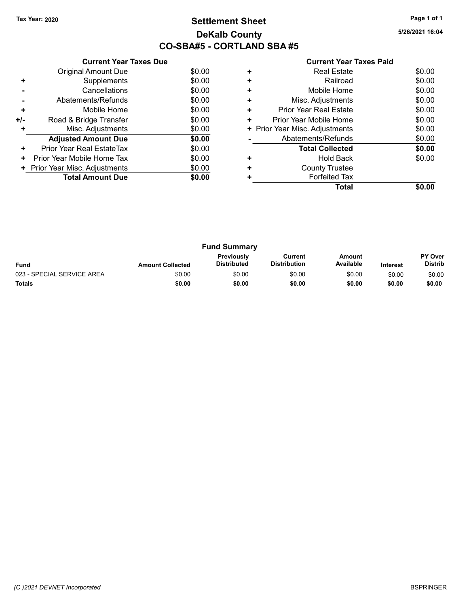## Tax Year: 2020 **Page 1 of 1 Settlement Sheet Constant Constant Constant Constant Constant Constant Constant Constant Constant Constant Constant Constant Page 1 of 1** DeKalb County CO-SBA#5 - CORTLAND SBA #5

5/26/2021 16:04

|       | <b>Current Year Taxes Due</b> |        |
|-------|-------------------------------|--------|
|       | Original Amount Due           | \$0.00 |
| ٠     | Supplements                   | \$0.00 |
|       | Cancellations                 | \$0.00 |
|       | Abatements/Refunds            | \$0.00 |
| ÷     | Mobile Home                   | \$0.00 |
| $+/-$ | Road & Bridge Transfer        | \$0.00 |
| ٠     | Misc. Adjustments             | \$0.00 |
|       | <b>Adjusted Amount Due</b>    | \$0.00 |
| ٠     | Prior Year Real EstateTax     | \$0.00 |
| ÷     | Prior Year Mobile Home Tax    | \$0.00 |
|       | Prior Year Misc. Adjustments  | \$0.00 |
|       | <b>Total Amount Due</b>       | \$0.00 |
|       |                               |        |

|   | Real Estate                    | \$0.00 |
|---|--------------------------------|--------|
| ٠ | Railroad                       | \$0.00 |
| ٠ | Mobile Home                    | \$0.00 |
| ٠ | Misc. Adjustments              | \$0.00 |
| ٠ | Prior Year Real Estate         | \$0.00 |
| ٠ | Prior Year Mobile Home         | \$0.00 |
|   | + Prior Year Misc. Adjustments | \$0.00 |
|   | Abatements/Refunds             | \$0.00 |
|   | <b>Total Collected</b>         | \$0.00 |
| ٠ | <b>Hold Back</b>               | \$0.00 |
|   | <b>County Trustee</b>          |        |
|   | <b>Forfeited Tax</b>           |        |
|   | Total                          | \$0.00 |
|   |                                |        |

|                            |                         | <b>Fund Summary</b>                     |                                |                     |                 |                                  |
|----------------------------|-------------------------|-----------------------------------------|--------------------------------|---------------------|-----------------|----------------------------------|
| <b>Fund</b>                | <b>Amount Collected</b> | <b>Previously</b><br><b>Distributed</b> | Current<br><b>Distribution</b> | Amount<br>Available | <b>Interest</b> | <b>PY Over</b><br><b>Distrib</b> |
| 023 - SPECIAL SERVICE AREA | \$0.00                  | \$0.00                                  | \$0.00                         | \$0.00              | \$0.00          | \$0.00                           |
| Totals                     | \$0.00                  | \$0.00                                  | \$0.00                         | \$0.00              | \$0.00          | \$0.00                           |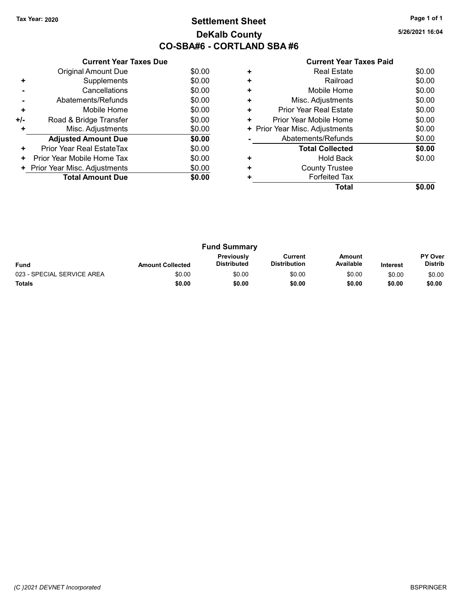## Tax Year: 2020 **Page 1 of 1 Settlement Sheet Constant Constant Constant Constant Constant Constant Constant Constant Constant Constant Constant Constant Page 1 of 1** DeKalb County CO-SBA#6 - CORTLAND SBA #6

5/26/2021 16:04

|     | <b>Current Year Taxes Due</b> |        |  |  |
|-----|-------------------------------|--------|--|--|
|     | <b>Original Amount Due</b>    | \$0.00 |  |  |
| ٠   | Supplements                   | \$0.00 |  |  |
|     | Cancellations                 | \$0.00 |  |  |
|     | Abatements/Refunds            | \$0.00 |  |  |
| ٠   | Mobile Home                   | \$0.00 |  |  |
| +/- | Road & Bridge Transfer        | \$0.00 |  |  |
| ٠   | Misc. Adjustments<br>\$0.00   |        |  |  |
|     | <b>Adjusted Amount Due</b>    | \$0.00 |  |  |
| ٠   | Prior Year Real EstateTax     | \$0.00 |  |  |
| ٠   | Prior Year Mobile Home Tax    | \$0.00 |  |  |
| ÷.  | Prior Year Misc. Adjustments  | \$0.00 |  |  |
|     | <b>Total Amount Due</b>       | \$0.00 |  |  |
|     |                               |        |  |  |

## Current Year Taxes Paid +<br>
+ Real Estate \$0.00<br>
+ Railroad \$0.00 + Railroad \$0.00 + Mobile Home \$0.00 + Misc. Adjustments \$0.00 + Prior Year Real Estate \$0.00 + Prior Year Mobile Home \$0.00<br>
+ Prior Year Misc. Adjustments \$0.00 + Prior Year Misc. Adjustments - Abatements/Refunds \$0.00 Total Collected \$0.00 + Hold Back \$0.00 + County Trustee + Forfeited Tax Total \$0.00

| <b>Fund Summary</b>        |                         |                                         |                                |                     |                 |                                  |
|----------------------------|-------------------------|-----------------------------------------|--------------------------------|---------------------|-----------------|----------------------------------|
| <b>Fund</b>                | <b>Amount Collected</b> | <b>Previously</b><br><b>Distributed</b> | Current<br><b>Distribution</b> | Amount<br>Available | <b>Interest</b> | <b>PY Over</b><br><b>Distrib</b> |
| 023 - SPECIAL SERVICE AREA | \$0.00                  | \$0.00                                  | \$0.00                         | \$0.00              | \$0.00          | \$0.00                           |
| <b>Totals</b>              | \$0.00                  | \$0.00                                  | \$0.00                         | \$0.00              | \$0.00          | \$0.00                           |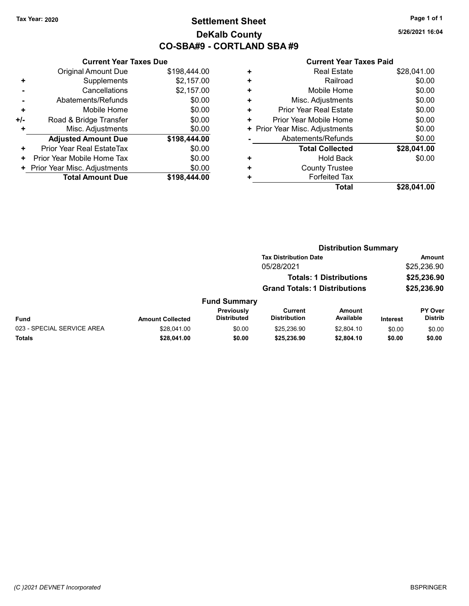## Tax Year: 2020 **Page 1 of 1 Settlement Sheet Constant Constant Constant Constant Constant Constant Constant Constant Constant Constant Constant Constant Page 1 of 1** DeKalb County CO-SBA#9 - CORTLAND SBA #9

5/26/2021 16:04

|     | <b>Current Year Taxes Due</b>          |              |  |  |  |  |
|-----|----------------------------------------|--------------|--|--|--|--|
|     | <b>Original Amount Due</b>             | \$198,444.00 |  |  |  |  |
| ٠   | Supplements                            | \$2,157.00   |  |  |  |  |
|     | Cancellations                          | \$2,157.00   |  |  |  |  |
|     | \$0.00<br>Abatements/Refunds           |              |  |  |  |  |
| ٠   | \$0.00<br>Mobile Home                  |              |  |  |  |  |
| +/- | Road & Bridge Transfer                 | \$0.00       |  |  |  |  |
|     | \$0.00<br>Misc. Adjustments            |              |  |  |  |  |
|     | <b>Adjusted Amount Due</b>             | \$198,444.00 |  |  |  |  |
| ٠   | Prior Year Real EstateTax              | \$0.00       |  |  |  |  |
| ٠   | Prior Year Mobile Home Tax             | \$0.00       |  |  |  |  |
| ٠   | \$0.00<br>Prior Year Misc. Adjustments |              |  |  |  |  |
|     | <b>Total Amount Due</b>                | \$198.444.00 |  |  |  |  |

|   | Total                          | \$28,041.00 |
|---|--------------------------------|-------------|
| ٠ | <b>Forfeited Tax</b>           |             |
| ٠ | <b>County Trustee</b>          |             |
| ٠ | <b>Hold Back</b>               | \$0.00      |
|   | <b>Total Collected</b>         | \$28,041.00 |
|   | Abatements/Refunds             | \$0.00      |
|   | + Prior Year Misc. Adjustments | \$0.00      |
| ٠ | Prior Year Mobile Home         | \$0.00      |
| ٠ | Prior Year Real Estate         | \$0.00      |
| ÷ | Misc. Adjustments              | \$0.00      |
| ٠ | Mobile Home                    | \$0.00      |
| ٠ | Railroad                       | \$0.00      |
| ٠ | <b>Real Estate</b>             | \$28,041.00 |
|   |                                |             |

|                            |                         |                                  | <b>Distribution Summary</b>                                            |                     |                            |                                  |  |
|----------------------------|-------------------------|----------------------------------|------------------------------------------------------------------------|---------------------|----------------------------|----------------------------------|--|
|                            |                         |                                  | <b>Tax Distribution Date</b>                                           |                     |                            | <b>Amount</b>                    |  |
|                            |                         |                                  | 05/28/2021                                                             |                     |                            | \$25,236.90                      |  |
|                            |                         |                                  | <b>Totals: 1 Distributions</b><br><b>Grand Totals: 1 Distributions</b> |                     | \$25,236.90<br>\$25,236.90 |                                  |  |
|                            |                         |                                  |                                                                        |                     |                            |                                  |  |
|                            |                         | <b>Fund Summary</b>              |                                                                        |                     |                            |                                  |  |
| Fund                       | <b>Amount Collected</b> | Previously<br><b>Distributed</b> | Current<br><b>Distribution</b>                                         | Amount<br>Available | Interest                   | <b>PY Over</b><br><b>Distrib</b> |  |
| 023 - SPECIAL SERVICE AREA | \$28,041.00             | \$0.00                           | \$25,236.90                                                            | \$2,804.10          | \$0.00                     | \$0.00                           |  |
| Totals                     | \$28,041.00             | \$0.00                           | \$25,236.90                                                            | \$2,804.10          | \$0.00                     | \$0.00                           |  |
|                            |                         |                                  |                                                                        |                     |                            |                                  |  |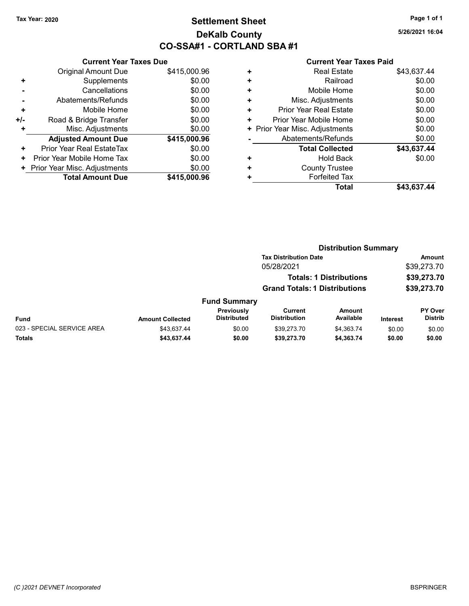## Tax Year: 2020 **Page 1 of 1 Settlement Sheet Constant Constant Constant Constant Constant Constant Constant Constant Constant Constant Constant Constant Page 1 of 1** DeKalb County CO-SSA#1 - CORTLAND SBA #1

5/26/2021 16:04

|     | <b>Current Year Taxes Due</b> |              |  |  |  |  |
|-----|-------------------------------|--------------|--|--|--|--|
|     | <b>Original Amount Due</b>    | \$415,000.96 |  |  |  |  |
| ٠   | Supplements                   | \$0.00       |  |  |  |  |
|     | Cancellations                 | \$0.00       |  |  |  |  |
|     | Abatements/Refunds            | \$0.00       |  |  |  |  |
| ÷   | Mobile Home                   | \$0.00       |  |  |  |  |
| +/- | Road & Bridge Transfer        | \$0.00       |  |  |  |  |
| ٠   | Misc. Adjustments             | \$0.00       |  |  |  |  |
|     | <b>Adjusted Amount Due</b>    | \$415,000.96 |  |  |  |  |
| ٠   | Prior Year Real EstateTax     | \$0.00       |  |  |  |  |
| ٠   | Prior Year Mobile Home Tax    | \$0.00       |  |  |  |  |
|     | Prior Year Misc. Adjustments  | \$0.00       |  |  |  |  |
|     | <b>Total Amount Due</b>       | \$415,000,96 |  |  |  |  |

|   | Total                          | \$43,637.44 |
|---|--------------------------------|-------------|
| ٠ | <b>Forfeited Tax</b>           |             |
| ٠ | <b>County Trustee</b>          |             |
| ٠ | <b>Hold Back</b>               | \$0.00      |
|   | <b>Total Collected</b>         | \$43,637.44 |
|   | Abatements/Refunds             | \$0.00      |
|   | + Prior Year Misc. Adjustments | \$0.00      |
| ٠ | Prior Year Mobile Home         | \$0.00      |
| ٠ | Prior Year Real Estate         | \$0.00      |
| ÷ | Misc. Adjustments              | \$0.00      |
| ÷ | Mobile Home                    | \$0.00      |
| ٠ | Railroad                       | \$0.00      |
| ٠ | <b>Real Estate</b>             | \$43,637.44 |
|   |                                |             |

|                            |                              |                                  | <b>Distribution Summary</b>          |                                |                 |                           |
|----------------------------|------------------------------|----------------------------------|--------------------------------------|--------------------------------|-----------------|---------------------------|
|                            | <b>Tax Distribution Date</b> |                                  |                                      |                                | Amount          |                           |
|                            |                              |                                  | 05/28/2021                           |                                |                 | \$39,273.70               |
|                            |                              |                                  |                                      | <b>Totals: 1 Distributions</b> |                 | \$39,273.70               |
|                            |                              |                                  | <b>Grand Totals: 1 Distributions</b> |                                | \$39,273.70     |                           |
|                            |                              | <b>Fund Summary</b>              |                                      |                                |                 |                           |
| Fund                       | <b>Amount Collected</b>      | Previously<br><b>Distributed</b> | Current<br><b>Distribution</b>       | <b>Amount</b><br>Available     | <b>Interest</b> | PY Over<br><b>Distrib</b> |
| 023 - SPECIAL SERVICE AREA | \$43.637.44                  | \$0.00                           | \$39.273.70                          | \$4,363.74                     | \$0.00          | \$0.00                    |
| Totals                     | \$43,637.44                  | \$0.00                           | \$39,273.70                          | \$4,363.74                     | \$0.00          | \$0.00                    |
|                            |                              |                                  |                                      |                                |                 |                           |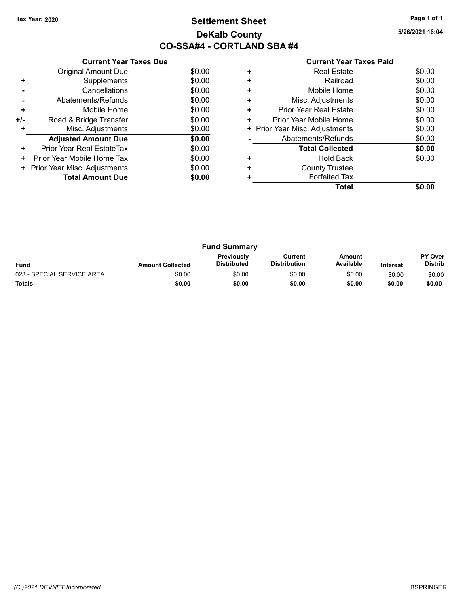## Tax Year: 2020 **Page 1 of 1 Settlement Sheet Constant Constant Constant Constant Constant Constant Constant Constant Constant Constant Constant Constant Page 1 of 1** DeKalb County CO-SSA#4 - CORTLAND SBA #4

| <b>Current Year Taxes Paid</b> |  |  |
|--------------------------------|--|--|
|                                |  |  |

| <b>Current Year Taxes Due</b> |                              |  |  |  |  |  |
|-------------------------------|------------------------------|--|--|--|--|--|
| Original Amount Due           | \$0.00                       |  |  |  |  |  |
| Supplements                   | \$0.00                       |  |  |  |  |  |
| Cancellations                 | \$0.00                       |  |  |  |  |  |
| Abatements/Refunds            | \$0.00                       |  |  |  |  |  |
| Mobile Home                   | \$0.00                       |  |  |  |  |  |
| Road & Bridge Transfer        | \$0.00                       |  |  |  |  |  |
| Misc. Adjustments             | \$0.00                       |  |  |  |  |  |
| <b>Adjusted Amount Due</b>    | \$0.00                       |  |  |  |  |  |
| Prior Year Real EstateTax     | \$0.00                       |  |  |  |  |  |
| Prior Year Mobile Home Tax    | \$0.00                       |  |  |  |  |  |
|                               | \$0.00                       |  |  |  |  |  |
| <b>Total Amount Due</b>       | \$0.00                       |  |  |  |  |  |
|                               | Prior Year Misc. Adjustments |  |  |  |  |  |

|   | <b>Real Estate</b>             | \$0.00 |
|---|--------------------------------|--------|
|   | Railroad                       | \$0.00 |
| ٠ | Mobile Home                    | \$0.00 |
| ٠ | Misc. Adjustments              | \$0.00 |
| ٠ | <b>Prior Year Real Estate</b>  | \$0.00 |
| ٠ | Prior Year Mobile Home         | \$0.00 |
|   | + Prior Year Misc. Adjustments | \$0.00 |
|   | Abatements/Refunds             | \$0.00 |
|   | <b>Total Collected</b>         | \$0.00 |
|   | <b>Hold Back</b>               | \$0.00 |
| ÷ | <b>County Trustee</b>          |        |
|   | <b>Forfeited Tax</b>           |        |
|   | Total                          |        |
|   |                                |        |

| <b>Fund Summary</b>        |                         |                                         |                                |                     |                 |                                  |
|----------------------------|-------------------------|-----------------------------------------|--------------------------------|---------------------|-----------------|----------------------------------|
| <b>Fund</b>                | <b>Amount Collected</b> | <b>Previously</b><br><b>Distributed</b> | Current<br><b>Distribution</b> | Amount<br>Available | <b>Interest</b> | <b>PY Over</b><br><b>Distrib</b> |
| 023 - SPECIAL SERVICE AREA | \$0.00                  | \$0.00                                  | \$0.00                         | \$0.00              | \$0.00          | \$0.00                           |
| <b>Totals</b>              | \$0.00                  | \$0.00                                  | \$0.00                         | \$0.00              | \$0.00          | \$0.00                           |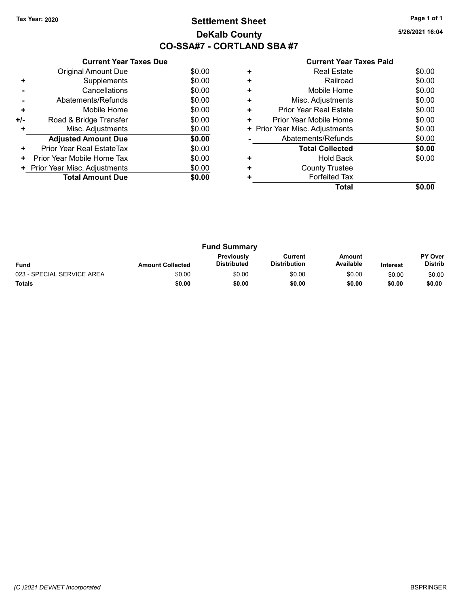## Tax Year: 2020 **Page 1 of 1 Settlement Sheet Constant Constant Constant Constant Constant Constant Constant Constant Constant Constant Constant Constant Page 1 of 1** DeKalb County CO-SSA#7 - CORTLAND SBA #7

5/26/2021 16:04

|       | <b>Current Year Taxes Due</b> |        |
|-------|-------------------------------|--------|
|       | Original Amount Due           | \$0.00 |
| ٠     | Supplements                   | \$0.00 |
|       | Cancellations                 | \$0.00 |
|       | Abatements/Refunds            | \$0.00 |
| ÷     | Mobile Home                   | \$0.00 |
| $+/-$ | Road & Bridge Transfer        | \$0.00 |
| ٠     | Misc. Adjustments             | \$0.00 |
|       | <b>Adjusted Amount Due</b>    | \$0.00 |
| ٠     | Prior Year Real EstateTax     | \$0.00 |
| ÷     | Prior Year Mobile Home Tax    | \$0.00 |
|       | Prior Year Misc. Adjustments  | \$0.00 |
|       | <b>Total Amount Due</b>       | \$0.00 |
|       |                               |        |

| ٠ | Railroad                       | \$0.00 |
|---|--------------------------------|--------|
| ٠ | Mobile Home                    | \$0.00 |
| ٠ | Misc. Adjustments              | \$0.00 |
| ٠ | Prior Year Real Estate         | \$0.00 |
| ٠ | Prior Year Mobile Home         | \$0.00 |
|   | + Prior Year Misc. Adjustments | \$0.00 |
|   | Abatements/Refunds             | \$0.00 |
|   | <b>Total Collected</b>         | \$0.00 |
| ٠ | <b>Hold Back</b>               | \$0.00 |
|   | <b>County Trustee</b>          |        |
|   | <b>Forfeited Tax</b>           |        |
|   | Total                          | \$0.00 |
|   |                                |        |

| <b>Fund Summary</b>        |                         |                                         |                                |                     |                 |                                  |
|----------------------------|-------------------------|-----------------------------------------|--------------------------------|---------------------|-----------------|----------------------------------|
| <b>Fund</b>                | <b>Amount Collected</b> | <b>Previously</b><br><b>Distributed</b> | Current<br><b>Distribution</b> | Amount<br>Available | <b>Interest</b> | <b>PY Over</b><br><b>Distrib</b> |
| 023 - SPECIAL SERVICE AREA | \$0.00                  | \$0.00                                  | \$0.00                         | \$0.00              | \$0.00          | \$0.00                           |
| Totals                     | \$0.00                  | \$0.00                                  | \$0.00                         | \$0.00              | \$0.00          | \$0.00                           |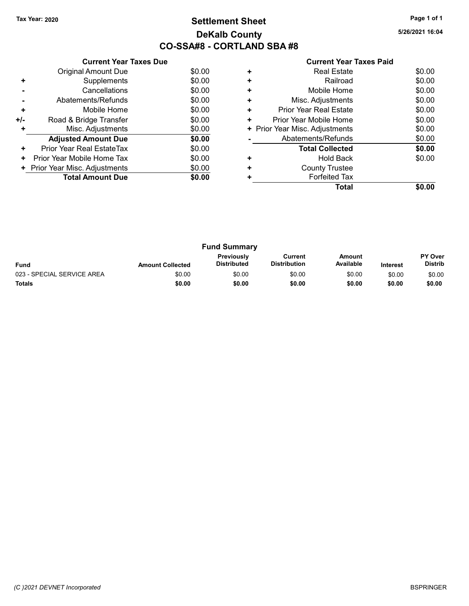## Tax Year: 2020 **Page 1 of 1 Settlement Sheet Constant Constant Constant Constant Constant Constant Constant Constant Constant Constant Constant Constant Page 1 of 1** DeKalb County CO-SSA#8 - CORTLAND SBA #8

5/26/2021 16:04

|       | <b>Current Year Taxes Due</b> |        |
|-------|-------------------------------|--------|
|       | Original Amount Due           | \$0.00 |
| ÷     | Supplements                   | \$0.00 |
|       | Cancellations                 | \$0.00 |
|       | Abatements/Refunds            | \$0.00 |
| ٠     | Mobile Home                   | \$0.00 |
| $+/-$ | Road & Bridge Transfer        | \$0.00 |
|       | Misc. Adjustments             | \$0.00 |
|       | <b>Adjusted Amount Due</b>    | \$0.00 |
| ÷     | Prior Year Real EstateTax     | \$0.00 |
| ÷     | Prior Year Mobile Home Tax    | \$0.00 |
|       | Prior Year Misc. Adjustments  | \$0.00 |
|       | <b>Total Amount Due</b>       | \$0.00 |
|       |                               |        |

| ٠ | <b>Real Estate</b>             | \$0.00 |
|---|--------------------------------|--------|
| ٠ | Railroad                       | \$0.00 |
| ٠ | Mobile Home                    | \$0.00 |
| ٠ | Misc. Adjustments              | \$0.00 |
| ٠ | <b>Prior Year Real Estate</b>  | \$0.00 |
| ٠ | Prior Year Mobile Home         | \$0.00 |
|   | + Prior Year Misc. Adjustments | \$0.00 |
|   | Abatements/Refunds             | \$0.00 |
|   | <b>Total Collected</b>         | \$0.00 |
| ٠ | <b>Hold Back</b>               | \$0.00 |
| ٠ | <b>County Trustee</b>          |        |
|   | <b>Forfeited Tax</b>           |        |
|   | Total                          |        |
|   |                                |        |

| <b>Fund Summary</b>        |                         |                                         |                                |                     |                 |                                  |
|----------------------------|-------------------------|-----------------------------------------|--------------------------------|---------------------|-----------------|----------------------------------|
| <b>Fund</b>                | <b>Amount Collected</b> | <b>Previously</b><br><b>Distributed</b> | Current<br><b>Distribution</b> | Amount<br>Available | <b>Interest</b> | <b>PY Over</b><br><b>Distrib</b> |
| 023 - SPECIAL SERVICE AREA | \$0.00                  | \$0.00                                  | \$0.00                         | \$0.00              | \$0.00          | \$0.00                           |
| <b>Totals</b>              | \$0.00                  | \$0.00                                  | \$0.00                         | \$0.00              | \$0.00          | \$0.00                           |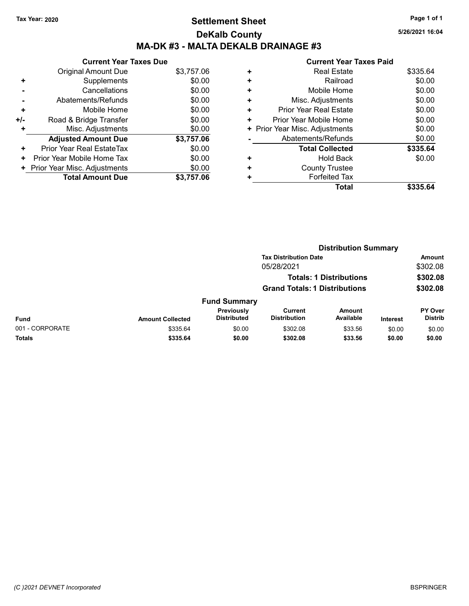# Tax Year: 2020 **Page 1 of 1 Settlement Sheet Constant Constant Constant Constant Constant Constant Constant Constant Constant Constant Constant Constant Page 1 of 1** DeKalb County MA-DK #3 - MALTA DEKALB DRAINAGE #3

|     | <b>Current Year Taxes Due</b> |            |
|-----|-------------------------------|------------|
|     | <b>Original Amount Due</b>    | \$3,757.06 |
| ٠   | Supplements                   | \$0.00     |
|     | Cancellations                 | \$0.00     |
|     | Abatements/Refunds            | \$0.00     |
| ٠   | Mobile Home                   | \$0.00     |
| +/- | Road & Bridge Transfer        | \$0.00     |
| ٠   | Misc. Adjustments             | \$0.00     |
|     | <b>Adjusted Amount Due</b>    | \$3,757.06 |
| ٠   | Prior Year Real EstateTax     | \$0.00     |
| ٠   | Prior Year Mobile Home Tax    | \$0.00     |
| ٠.  | Prior Year Misc. Adjustments  | \$0.00     |
|     | <b>Total Amount Due</b>       | \$3,757.06 |

|   | <b>Current Year Taxes Paid</b> |          |
|---|--------------------------------|----------|
| ٠ | <b>Real Estate</b>             | \$335.64 |
| ٠ | Railroad                       | \$0.00   |
| ٠ | Mobile Home                    | \$0.00   |
| ٠ | Misc. Adjustments              | \$0.00   |
| ٠ | Prior Year Real Estate         | \$0.00   |
| ٠ | Prior Year Mobile Home         | \$0.00   |
|   | + Prior Year Misc. Adjustments | \$0.00   |
|   | Abatements/Refunds             | \$0.00   |
|   | <b>Total Collected</b>         | \$335.64 |
| ٠ | Hold Back                      | \$0.00   |
| ٠ | <b>County Trustee</b>          |          |
|   | <b>Forfeited Tax</b>           |          |
|   | Total                          | \$335.   |

|                 | <b>Distribution Summary</b> |                                      |                                |                                |          |                           |
|-----------------|-----------------------------|--------------------------------------|--------------------------------|--------------------------------|----------|---------------------------|
|                 |                             |                                      | <b>Tax Distribution Date</b>   |                                |          | Amount                    |
|                 |                             | 05/28/2021                           |                                |                                |          | \$302.08                  |
|                 |                             |                                      |                                | <b>Totals: 1 Distributions</b> |          | \$302.08                  |
|                 |                             | <b>Grand Totals: 1 Distributions</b> |                                |                                | \$302.08 |                           |
|                 |                             | <b>Fund Summary</b>                  |                                |                                |          |                           |
| Fund            | <b>Amount Collected</b>     | Previously<br><b>Distributed</b>     | Current<br><b>Distribution</b> | Amount<br>Available            | Interest | PY Over<br><b>Distrib</b> |
| 001 - CORPORATE | \$335.64                    | \$0.00                               | \$302.08                       | \$33.56                        | \$0.00   | \$0.00                    |
| Totals          | \$335.64                    | \$0.00                               | \$302.08                       | \$33.56                        | \$0.00   | \$0.00                    |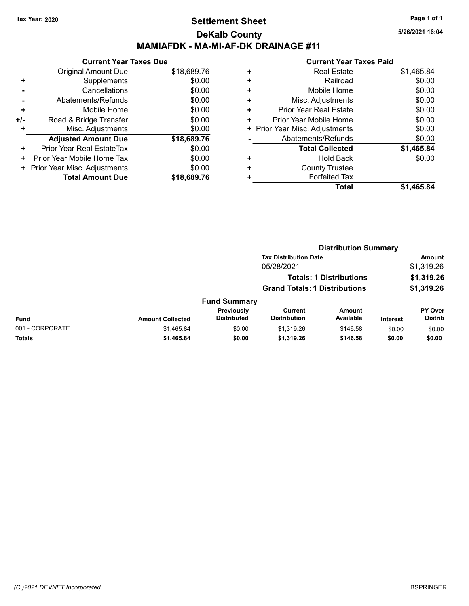## Tax Year: 2020 **Page 1 of 1 Settlement Sheet Constant Constant Constant Constant Constant Constant Constant Constant Constant Constant Constant Constant Page 1 of 1** DeKalb County MAMIAFDK - MA-MI-AF-DK DRAINAGE #11

5/26/2021 16:04

|     | <b>Current Year Taxes Due</b> |             |
|-----|-------------------------------|-------------|
|     | Original Amount Due           | \$18,689.76 |
| ٠   | Supplements                   | \$0.00      |
|     | Cancellations                 | \$0.00      |
|     | Abatements/Refunds            | \$0.00      |
| ٠   | Mobile Home                   | \$0.00      |
| +/- | Road & Bridge Transfer        | \$0.00      |
|     | Misc. Adjustments             | \$0.00      |
|     | <b>Adjusted Amount Due</b>    | \$18,689.76 |
| ٠   | Prior Year Real EstateTax     | \$0.00      |
| ٠   | Prior Year Mobile Home Tax    | \$0.00      |
| ٠   | Prior Year Misc. Adjustments  | \$0.00      |
|     | <b>Total Amount Due</b>       | \$18,689.76 |

|   | <b>Total</b>                   | \$1,465.84 |
|---|--------------------------------|------------|
|   | <b>Forfeited Tax</b>           |            |
| ٠ | <b>County Trustee</b>          |            |
| ٠ | <b>Hold Back</b>               | \$0.00     |
|   | <b>Total Collected</b>         | \$1,465.84 |
|   | Abatements/Refunds             | \$0.00     |
|   | + Prior Year Misc. Adjustments | \$0.00     |
| ٠ | Prior Year Mobile Home         | \$0.00     |
| ٠ | Prior Year Real Estate         | \$0.00     |
| ٠ | Misc. Adjustments              | \$0.00     |
| ÷ | Mobile Home                    | \$0.00     |
| ٠ | Railroad                       | \$0.00     |
| ٠ | <b>Real Estate</b>             | \$1,465.84 |
|   |                                |            |

|                 |                         | <b>Distribution Summary</b>          |                                |                                |                 |                           |  |
|-----------------|-------------------------|--------------------------------------|--------------------------------|--------------------------------|-----------------|---------------------------|--|
|                 |                         |                                      | <b>Tax Distribution Date</b>   |                                |                 | <b>Amount</b>             |  |
|                 |                         |                                      | 05/28/2021                     |                                |                 | \$1,319.26                |  |
|                 |                         |                                      |                                | <b>Totals: 1 Distributions</b> |                 | \$1,319.26                |  |
|                 |                         | <b>Grand Totals: 1 Distributions</b> |                                | \$1,319.26                     |                 |                           |  |
|                 |                         | <b>Fund Summary</b>                  |                                |                                |                 |                           |  |
| <b>Fund</b>     | <b>Amount Collected</b> | Previously<br><b>Distributed</b>     | Current<br><b>Distribution</b> | <b>Amount</b><br>Available     | <b>Interest</b> | PY Over<br><b>Distrib</b> |  |
| 001 - CORPORATE | \$1,465.84              | \$0.00                               | \$1,319.26                     | \$146.58                       | \$0.00          | \$0.00                    |  |
| Totals          | \$1,465.84              | \$0.00                               | \$1,319.26                     | \$146.58                       | \$0.00          | \$0.00                    |  |
|                 |                         |                                      |                                |                                |                 |                           |  |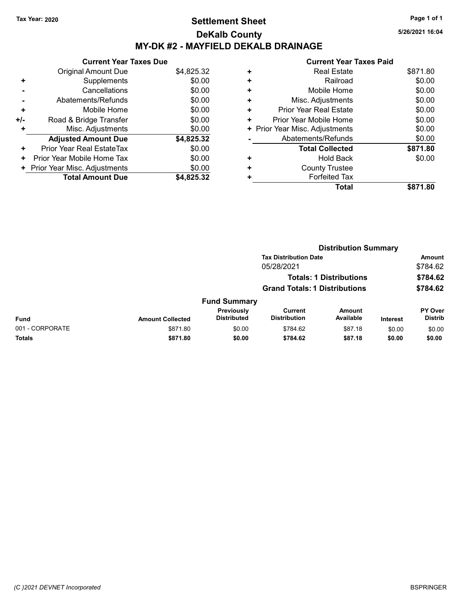# Tax Year: 2020 **Page 1 of 1 Settlement Sheet Constant Constant Constant Constant Constant Constant Constant Constant Constant Constant Constant Constant Page 1 of 1** DeKalb County MY-DK #2 - MAYFIELD DEKALB DRAINAGE

5/26/2021 16:04

|     | <b>Current Year Taxes Due</b> |            |  |  |  |  |
|-----|-------------------------------|------------|--|--|--|--|
|     | Original Amount Due           | \$4,825.32 |  |  |  |  |
| ÷   | Supplements                   | \$0.00     |  |  |  |  |
|     | Cancellations                 | \$0.00     |  |  |  |  |
|     | Abatements/Refunds            | \$0.00     |  |  |  |  |
| ٠   | Mobile Home                   | \$0.00     |  |  |  |  |
| +/- | Road & Bridge Transfer        | \$0.00     |  |  |  |  |
|     | Misc. Adjustments             | \$0.00     |  |  |  |  |
|     | <b>Adjusted Amount Due</b>    | \$4,825.32 |  |  |  |  |
| ÷   | Prior Year Real EstateTax     | \$0.00     |  |  |  |  |
| ٠   | Prior Year Mobile Home Tax    | \$0.00     |  |  |  |  |
|     | Prior Year Misc. Adjustments  | \$0.00     |  |  |  |  |
|     | <b>Total Amount Due</b>       | \$4.825.32 |  |  |  |  |

| ٠ | <b>Real Estate</b>             | \$871.80 |
|---|--------------------------------|----------|
| ٠ | Railroad                       | \$0.00   |
| ٠ | Mobile Home                    | \$0.00   |
| ٠ | Misc. Adjustments              | \$0.00   |
| ٠ | <b>Prior Year Real Estate</b>  | \$0.00   |
| ٠ | Prior Year Mobile Home         | \$0.00   |
|   | + Prior Year Misc. Adjustments | \$0.00   |
|   | Abatements/Refunds             | \$0.00   |
|   | <b>Total Collected</b>         | \$871.80 |
| ٠ | <b>Hold Back</b>               | \$0.00   |
| ٠ | <b>County Trustee</b>          |          |
| ٠ | <b>Forfeited Tax</b>           |          |
|   | Total                          | \$871.80 |
|   |                                |          |

|                 | <b>Distribution Summary</b> |                                         |                                |                                |                 |                           |
|-----------------|-----------------------------|-----------------------------------------|--------------------------------|--------------------------------|-----------------|---------------------------|
|                 |                             |                                         | <b>Tax Distribution Date</b>   |                                |                 | <b>Amount</b>             |
|                 |                             |                                         | 05/28/2021                     |                                |                 | \$784.62                  |
|                 |                             |                                         |                                | <b>Totals: 1 Distributions</b> |                 | \$784.62                  |
|                 |                             | <b>Grand Totals: 1 Distributions</b>    |                                |                                |                 | \$784.62                  |
|                 |                             | <b>Fund Summary</b>                     |                                |                                |                 |                           |
| Fund            | <b>Amount Collected</b>     | <b>Previously</b><br><b>Distributed</b> | Current<br><b>Distribution</b> | <b>Amount</b><br>Available     | <b>Interest</b> | PY Over<br><b>Distrib</b> |
| 001 - CORPORATE | \$871.80                    | \$0.00                                  | \$784.62                       | \$87.18                        | \$0.00          | \$0.00                    |
| Totals          | \$871.80                    | \$0.00                                  | \$784.62                       | \$87.18                        | \$0.00          | \$0.00                    |
|                 |                             |                                         |                                |                                |                 |                           |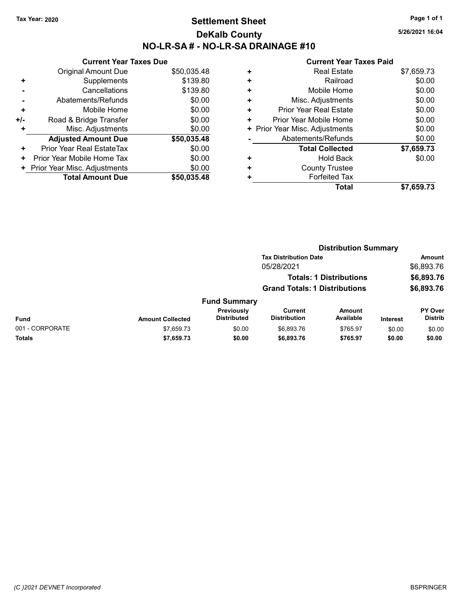# Tax Year: 2020 **Page 1 of 1 Settlement Sheet Constant Constant Constant Constant Constant Constant Constant Constant Constant Constant Constant Constant Page 1 of 1** DeKalb County NO-LR-SA # - NO-LR-SA DRAINAGE #10

5/26/2021 16:04

|                | <b>Current Year Taxes Due</b> |             |  |  |  |  |
|----------------|-------------------------------|-------------|--|--|--|--|
|                | <b>Original Amount Due</b>    | \$50,035.48 |  |  |  |  |
| ٠              | Supplements                   | \$139.80    |  |  |  |  |
|                | Cancellations                 | \$139.80    |  |  |  |  |
| $\blacksquare$ | Abatements/Refunds            | \$0.00      |  |  |  |  |
| ٠              | Mobile Home                   | \$0.00      |  |  |  |  |
| +/-            | Road & Bridge Transfer        | \$0.00      |  |  |  |  |
| ٠              | Misc. Adjustments             | \$0.00      |  |  |  |  |
|                | <b>Adjusted Amount Due</b>    | \$50,035.48 |  |  |  |  |
| ٠              | Prior Year Real EstateTax     | \$0.00      |  |  |  |  |
| ٠              | Prior Year Mobile Home Tax    | \$0.00      |  |  |  |  |
|                | Prior Year Misc. Adjustments  | \$0.00      |  |  |  |  |
|                | <b>Total Amount Due</b>       | \$50,035,48 |  |  |  |  |

| ٠ | <b>Real Estate</b>             | \$7,659.73 |
|---|--------------------------------|------------|
| ٠ | Railroad                       | \$0.00     |
| ٠ | Mobile Home                    | \$0.00     |
| ٠ | Misc. Adjustments              | \$0.00     |
| ٠ | <b>Prior Year Real Estate</b>  | \$0.00     |
| ٠ | Prior Year Mobile Home         | \$0.00     |
|   | + Prior Year Misc. Adjustments | \$0.00     |
|   | Abatements/Refunds             | \$0.00     |
|   | <b>Total Collected</b>         | \$7,659.73 |
| ٠ | <b>Hold Back</b>               | \$0.00     |
| ٠ | <b>County Trustee</b>          |            |
| ٠ | <b>Forfeited Tax</b>           |            |
|   | <b>Total</b>                   | \$7,659.73 |
|   |                                |            |

|                 |                         |                                  | <b>Distribution Summary</b>          |                                |                 |                           |  |
|-----------------|-------------------------|----------------------------------|--------------------------------------|--------------------------------|-----------------|---------------------------|--|
|                 |                         |                                  | <b>Tax Distribution Date</b>         |                                |                 | Amount                    |  |
|                 |                         |                                  | 05/28/2021                           |                                |                 | \$6,893.76                |  |
|                 |                         |                                  |                                      | <b>Totals: 1 Distributions</b> |                 | \$6,893.76                |  |
|                 |                         |                                  | <b>Grand Totals: 1 Distributions</b> |                                |                 | \$6,893.76                |  |
|                 |                         | <b>Fund Summary</b>              |                                      |                                |                 |                           |  |
| <b>Fund</b>     | <b>Amount Collected</b> | Previously<br><b>Distributed</b> | Current<br><b>Distribution</b>       | <b>Amount</b><br>Available     | <b>Interest</b> | PY Over<br><b>Distrib</b> |  |
| 001 - CORPORATE | \$7,659.73              | \$0.00                           | \$6,893.76                           | \$765.97                       | \$0.00          | \$0.00                    |  |
| Totals          | \$7,659.73              | \$0.00                           | \$6,893.76                           | \$765.97                       | \$0.00          | \$0.00                    |  |
|                 |                         |                                  |                                      |                                |                 |                           |  |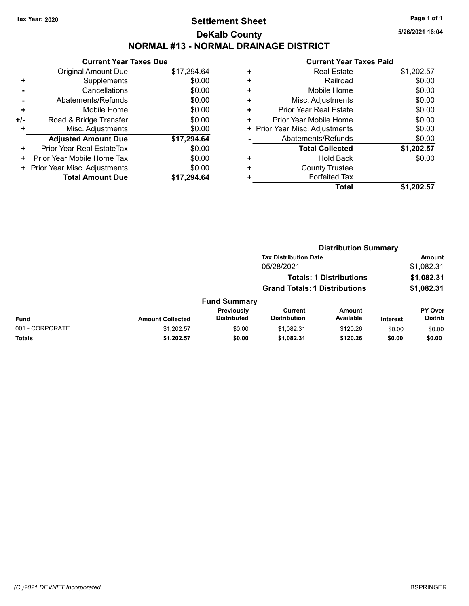## Tax Year: 2020 **Page 1 of 1 Settlement Sheet Constant Constant Constant Constant Constant Constant Constant Constant Constant Constant Constant Constant Page 1 of 1** DeKalb County NORMAL #13 - NORMAL DRAINAGE DISTRICT

5/26/2021 16:04

|     | <b>Current Year Taxes Due</b> |             |  |  |  |  |
|-----|-------------------------------|-------------|--|--|--|--|
|     | <b>Original Amount Due</b>    | \$17,294.64 |  |  |  |  |
| ٠   | Supplements                   | \$0.00      |  |  |  |  |
|     | Cancellations                 | \$0.00      |  |  |  |  |
|     | Abatements/Refunds            | \$0.00      |  |  |  |  |
| ٠   | Mobile Home                   | \$0.00      |  |  |  |  |
| +/- | Road & Bridge Transfer        | \$0.00      |  |  |  |  |
| ٠   | Misc. Adjustments             | \$0.00      |  |  |  |  |
|     | <b>Adjusted Amount Due</b>    | \$17,294.64 |  |  |  |  |
| ٠   | Prior Year Real EstateTax     | \$0.00      |  |  |  |  |
| ٠   | Prior Year Mobile Home Tax    | \$0.00      |  |  |  |  |
|     | Prior Year Misc. Adjustments  | \$0.00      |  |  |  |  |
|     | <b>Total Amount Due</b>       | \$17.294.64 |  |  |  |  |
|     |                               |             |  |  |  |  |

|   | OUITUIL TUUT TUAUJ LUIU        |            |
|---|--------------------------------|------------|
| ٠ | <b>Real Estate</b>             | \$1,202.57 |
| ٠ | Railroad                       | \$0.00     |
| ٠ | Mobile Home                    | \$0.00     |
| ٠ | Misc. Adjustments              | \$0.00     |
| ٠ | <b>Prior Year Real Estate</b>  | \$0.00     |
| ٠ | Prior Year Mobile Home         | \$0.00     |
|   | + Prior Year Misc. Adjustments | \$0.00     |
|   | Abatements/Refunds             | \$0.00     |
|   | <b>Total Collected</b>         | \$1,202.57 |
| ٠ | <b>Hold Back</b>               | \$0.00     |
| ٠ | <b>County Trustee</b>          |            |
| ٠ | <b>Forfeited Tax</b>           |            |
|   | Total                          | \$1,202.57 |
|   |                                |            |

|                 | <b>Distribution Summary</b> |                                  |                                      |                                |          |                                  |  |
|-----------------|-----------------------------|----------------------------------|--------------------------------------|--------------------------------|----------|----------------------------------|--|
|                 |                             |                                  | <b>Tax Distribution Date</b>         |                                |          | <b>Amount</b>                    |  |
|                 |                             |                                  | 05/28/2021                           |                                |          | \$1,082.31                       |  |
|                 |                             |                                  |                                      | <b>Totals: 1 Distributions</b> |          | \$1,082.31                       |  |
|                 |                             |                                  | <b>Grand Totals: 1 Distributions</b> |                                |          | \$1,082.31                       |  |
|                 |                             | <b>Fund Summary</b>              |                                      |                                |          |                                  |  |
| <b>Fund</b>     | <b>Amount Collected</b>     | Previously<br><b>Distributed</b> | Current<br><b>Distribution</b>       | <b>Amount</b><br>Available     | Interest | <b>PY Over</b><br><b>Distrib</b> |  |
| 001 - CORPORATE | \$1,202.57                  | \$0.00                           | \$1,082.31                           | \$120.26                       | \$0.00   | \$0.00                           |  |
| Totals          | \$1,202.57                  | \$0.00                           | \$1,082.31                           | \$120.26                       | \$0.00   | \$0.00                           |  |
|                 |                             |                                  |                                      |                                |          |                                  |  |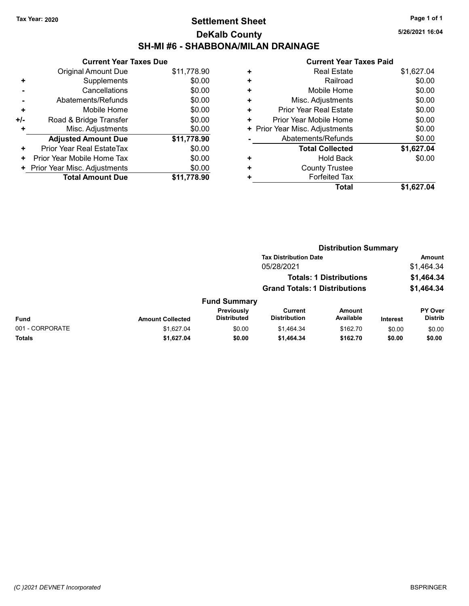# Tax Year: 2020 **Page 1 of 1 Settlement Sheet Constant Constant Constant Constant Constant Constant Constant Constant Constant Constant Constant Constant Page 1 of 1** DeKalb County SH-MI #6 - SHABBONA/MILAN DRAINAGE

5/26/2021 16:04

|     | <b>Current Year Taxes Due</b> |             |  |  |  |  |
|-----|-------------------------------|-------------|--|--|--|--|
|     | Original Amount Due           | \$11,778.90 |  |  |  |  |
| ٠   | Supplements                   | \$0.00      |  |  |  |  |
|     | Cancellations                 | \$0.00      |  |  |  |  |
|     | Abatements/Refunds            | \$0.00      |  |  |  |  |
| ٠   | Mobile Home                   | \$0.00      |  |  |  |  |
| +/- | Road & Bridge Transfer        | \$0.00      |  |  |  |  |
|     | Misc. Adjustments             | \$0.00      |  |  |  |  |
|     | <b>Adjusted Amount Due</b>    | \$11,778.90 |  |  |  |  |
| ÷   | Prior Year Real EstateTax     | \$0.00      |  |  |  |  |
| ٠   | Prior Year Mobile Home Tax    | \$0.00      |  |  |  |  |
| ٠   | Prior Year Misc. Adjustments  | \$0.00      |  |  |  |  |
|     | <b>Total Amount Due</b>       | \$11,778,90 |  |  |  |  |

| ٠ | <b>Real Estate</b>             | \$1,627.04 |
|---|--------------------------------|------------|
| ٠ | Railroad                       | \$0.00     |
| ٠ | Mobile Home                    | \$0.00     |
| ÷ | Misc. Adjustments              | \$0.00     |
| ÷ | Prior Year Real Estate         | \$0.00     |
| ٠ | Prior Year Mobile Home         | \$0.00     |
|   | + Prior Year Misc. Adjustments | \$0.00     |
|   | Abatements/Refunds             | \$0.00     |
|   | <b>Total Collected</b>         | \$1,627.04 |
| ٠ | <b>Hold Back</b>               | \$0.00     |
| ٠ | <b>County Trustee</b>          |            |
| ٠ | <b>Forfeited Tax</b>           |            |
|   | Total                          | \$1,627.04 |
|   |                                |            |

|                 |                         |                                  | <b>Distribution Summary</b><br><b>Tax Distribution Date</b> |                                |                 |                           |  |
|-----------------|-------------------------|----------------------------------|-------------------------------------------------------------|--------------------------------|-----------------|---------------------------|--|
|                 |                         |                                  |                                                             |                                |                 | <b>Amount</b>             |  |
|                 |                         |                                  | 05/28/2021                                                  |                                |                 | \$1,464.34                |  |
|                 |                         |                                  |                                                             | <b>Totals: 1 Distributions</b> |                 | \$1,464.34                |  |
|                 |                         |                                  | <b>Grand Totals: 1 Distributions</b>                        |                                |                 | \$1,464.34                |  |
|                 |                         | <b>Fund Summary</b>              |                                                             |                                |                 |                           |  |
| Fund            | <b>Amount Collected</b> | Previously<br><b>Distributed</b> | Current<br><b>Distribution</b>                              | <b>Amount</b><br>Available     | <b>Interest</b> | PY Over<br><b>Distrib</b> |  |
| 001 - CORPORATE | \$1,627.04              | \$0.00                           | \$1,464.34                                                  | \$162.70                       | \$0.00          | \$0.00                    |  |
| Totals          | \$1,627.04              | \$0.00                           | \$1,464.34                                                  | \$162.70                       | \$0.00          | \$0.00                    |  |
|                 |                         |                                  |                                                             |                                |                 |                           |  |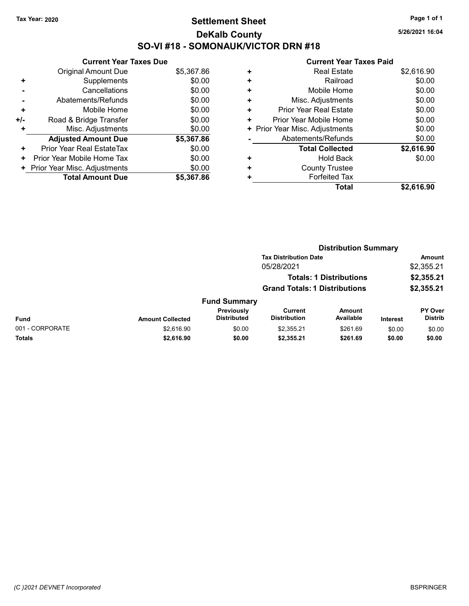# Tax Year: 2020 **Page 1 of 1 Settlement Sheet Constant Constant Constant Constant Constant Constant Constant Constant Constant Constant Constant Constant Page 1 of 1** DeKalb County SO-VI #18 - SOMONAUK/VICTOR DRN #18

5/26/2021 16:04

|     | <b>Current Year Taxes Due</b> |            |  |  |  |  |
|-----|-------------------------------|------------|--|--|--|--|
|     | Original Amount Due           | \$5,367.86 |  |  |  |  |
| ٠   | Supplements                   | \$0.00     |  |  |  |  |
|     | Cancellations                 | \$0.00     |  |  |  |  |
|     | Abatements/Refunds            | \$0.00     |  |  |  |  |
| ٠   | Mobile Home                   | \$0.00     |  |  |  |  |
| +/- | Road & Bridge Transfer        | \$0.00     |  |  |  |  |
|     | Misc. Adjustments             | \$0.00     |  |  |  |  |
|     | <b>Adjusted Amount Due</b>    | \$5,367.86 |  |  |  |  |
| ÷   | Prior Year Real EstateTax     | \$0.00     |  |  |  |  |
| ٠   | Prior Year Mobile Home Tax    | \$0.00     |  |  |  |  |
|     | Prior Year Misc. Adjustments  | \$0.00     |  |  |  |  |
|     | <b>Total Amount Due</b>       | \$5.367.86 |  |  |  |  |

|   | Total                          | \$2,616.90 |
|---|--------------------------------|------------|
| ٠ | <b>Forfeited Tax</b>           |            |
| ٠ | <b>County Trustee</b>          |            |
| ٠ | <b>Hold Back</b>               | \$0.00     |
|   | <b>Total Collected</b>         | \$2,616.90 |
|   | Abatements/Refunds             | \$0.00     |
|   | + Prior Year Misc. Adjustments | \$0.00     |
| ٠ | Prior Year Mobile Home         | \$0.00     |
| ٠ | Prior Year Real Estate         | \$0.00     |
| ÷ | Misc. Adjustments              | \$0.00     |
| ÷ | Mobile Home                    | \$0.00     |
| ٠ | Railroad                       | \$0.00     |
| ٠ | <b>Real Estate</b>             | \$2,616.90 |
|   |                                |            |

|                 | <b>Distribution Summary</b> |                                  |                                                                        |                            |                 |                           |  |
|-----------------|-----------------------------|----------------------------------|------------------------------------------------------------------------|----------------------------|-----------------|---------------------------|--|
|                 |                             |                                  | <b>Tax Distribution Date</b>                                           |                            |                 | <b>Amount</b>             |  |
|                 |                             |                                  | 05/28/2021                                                             |                            |                 | \$2,355.21                |  |
|                 |                             |                                  | <b>Totals: 1 Distributions</b><br><b>Grand Totals: 1 Distributions</b> |                            |                 | \$2,355.21                |  |
|                 |                             |                                  |                                                                        |                            |                 | \$2,355.21                |  |
|                 |                             | <b>Fund Summary</b>              |                                                                        |                            |                 |                           |  |
| <b>Fund</b>     | <b>Amount Collected</b>     | Previously<br><b>Distributed</b> | <b>Current</b><br><b>Distribution</b>                                  | <b>Amount</b><br>Available | <b>Interest</b> | PY Over<br><b>Distrib</b> |  |
| 001 - CORPORATE | \$2,616.90                  | \$0.00                           | \$2,355.21                                                             | \$261.69                   | \$0.00          | \$0.00                    |  |
| Totals          | \$2,616.90                  | \$0.00                           | \$2,355.21                                                             | \$261.69                   | \$0.00          | \$0.00                    |  |
|                 |                             |                                  |                                                                        |                            |                 |                           |  |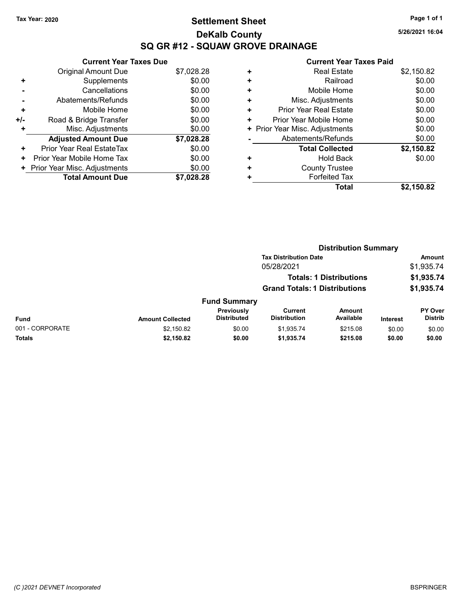# Tax Year: 2020 **Page 1 of 1 Settlement Sheet Constant Constant Constant Constant Constant Constant Constant Constant Constant Constant Constant Constant Page 1 of 1** DeKalb County SQ GR #12 - SQUAW GROVE DRAINAGE

5/26/2021 16:04

|     | <b>Current Year Taxes Due</b> |            |  |  |  |  |
|-----|-------------------------------|------------|--|--|--|--|
|     | Original Amount Due           | \$7,028.28 |  |  |  |  |
|     | Supplements                   | \$0.00     |  |  |  |  |
|     | Cancellations                 | \$0.00     |  |  |  |  |
|     | Abatements/Refunds            | \$0.00     |  |  |  |  |
| ÷   | Mobile Home                   | \$0.00     |  |  |  |  |
| +/- | Road & Bridge Transfer        | \$0.00     |  |  |  |  |
|     | Misc. Adjustments             | \$0.00     |  |  |  |  |
|     | <b>Adjusted Amount Due</b>    | \$7,028.28 |  |  |  |  |
| ٠   | Prior Year Real EstateTax     | \$0.00     |  |  |  |  |
| ٠   | Prior Year Mobile Home Tax    | \$0.00     |  |  |  |  |
|     | Prior Year Misc. Adjustments  | \$0.00     |  |  |  |  |
|     | <b>Total Amount Due</b>       | \$7.028.28 |  |  |  |  |

| ٠ | <b>Real Estate</b>             | \$2,150.82 |
|---|--------------------------------|------------|
| ٠ | Railroad                       | \$0.00     |
| ٠ | Mobile Home                    | \$0.00     |
| ٠ | Misc. Adjustments              | \$0.00     |
| ٠ | <b>Prior Year Real Estate</b>  | \$0.00     |
| ٠ | Prior Year Mobile Home         | \$0.00     |
|   | + Prior Year Misc. Adjustments | \$0.00     |
|   | Abatements/Refunds             | \$0.00     |
|   | <b>Total Collected</b>         | \$2,150.82 |
| ٠ | <b>Hold Back</b>               | \$0.00     |
| ٠ | <b>County Trustee</b>          |            |
|   | <b>Forfeited Tax</b>           |            |
|   | Total                          | \$2,150.82 |
|   |                                |            |

|                 |                         |                                  | <b>Distribution Summary</b><br><b>Tax Distribution Date</b> |                                |                 |                           |  |
|-----------------|-------------------------|----------------------------------|-------------------------------------------------------------|--------------------------------|-----------------|---------------------------|--|
|                 |                         |                                  |                                                             |                                |                 | <b>Amount</b>             |  |
|                 |                         |                                  | 05/28/2021                                                  |                                |                 | \$1,935.74                |  |
|                 |                         |                                  |                                                             | <b>Totals: 1 Distributions</b> |                 | \$1,935.74                |  |
|                 |                         |                                  | <b>Grand Totals: 1 Distributions</b>                        |                                |                 | \$1,935.74                |  |
|                 |                         | <b>Fund Summary</b>              |                                                             |                                |                 |                           |  |
| Fund            | <b>Amount Collected</b> | Previously<br><b>Distributed</b> | <b>Current</b><br><b>Distribution</b>                       | <b>Amount</b><br>Available     | <b>Interest</b> | PY Over<br><b>Distrib</b> |  |
| 001 - CORPORATE | \$2,150.82              | \$0.00                           | \$1,935.74                                                  | \$215.08                       | \$0.00          | \$0.00                    |  |
| Totals          | \$2,150.82              | \$0.00                           | \$1,935.74                                                  | \$215.08                       | \$0.00          | \$0.00                    |  |
|                 |                         |                                  |                                                             |                                |                 |                           |  |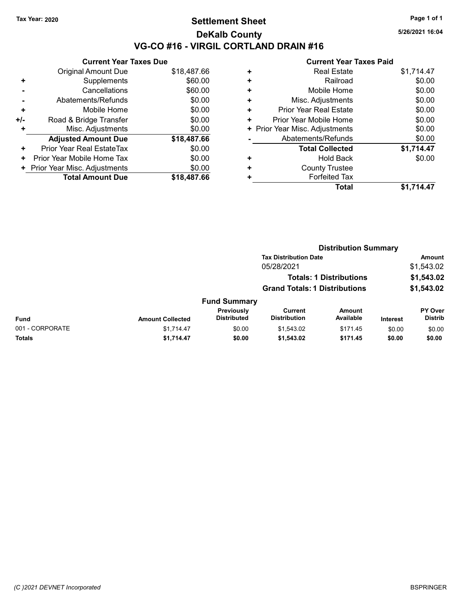# Tax Year: 2020 **Page 1 of 1 Settlement Sheet Constant Constant Constant Constant Constant Constant Constant Constant Constant Constant Constant Constant Page 1 of 1** DeKalb County VG-CO #16 - VIRGIL CORTLAND DRAIN #16

5/26/2021 16:04

|     | <b>Current Year Taxes Due</b> |             |  |  |  |  |
|-----|-------------------------------|-------------|--|--|--|--|
|     | Original Amount Due           | \$18,487.66 |  |  |  |  |
| ٠   | Supplements                   | \$60.00     |  |  |  |  |
|     | Cancellations                 | \$60.00     |  |  |  |  |
|     | Abatements/Refunds            | \$0.00      |  |  |  |  |
| ٠   | Mobile Home                   | \$0.00      |  |  |  |  |
| +/- | Road & Bridge Transfer        | \$0.00      |  |  |  |  |
|     | Misc. Adjustments             | \$0.00      |  |  |  |  |
|     | <b>Adjusted Amount Due</b>    | \$18,487.66 |  |  |  |  |
| ٠   | Prior Year Real EstateTax     | \$0.00      |  |  |  |  |
| ٠   | Prior Year Mobile Home Tax    | \$0.00      |  |  |  |  |
| ٠   | Prior Year Misc. Adjustments  | \$0.00      |  |  |  |  |
|     | <b>Total Amount Due</b>       | \$18,487.66 |  |  |  |  |

|   | Total                          | \$1.714.47 |
|---|--------------------------------|------------|
| ٠ | <b>Forfeited Tax</b>           |            |
| ٠ | <b>County Trustee</b>          |            |
| ٠ | <b>Hold Back</b>               | \$0.00     |
|   | <b>Total Collected</b>         | \$1,714.47 |
|   | Abatements/Refunds             | \$0.00     |
|   | + Prior Year Misc. Adjustments | \$0.00     |
| ٠ | Prior Year Mobile Home         | \$0.00     |
| ٠ | Prior Year Real Estate         | \$0.00     |
| ÷ | Misc. Adjustments              | \$0.00     |
| ٠ | Mobile Home                    | \$0.00     |
| ٠ | Railroad                       | \$0.00     |
| ٠ | <b>Real Estate</b>             | \$1,714.47 |
|   |                                |            |

|                 |                         |                                  | <b>Distribution Summary</b><br><b>Tax Distribution Date</b>            |                            |                 |                           |  |
|-----------------|-------------------------|----------------------------------|------------------------------------------------------------------------|----------------------------|-----------------|---------------------------|--|
|                 |                         |                                  |                                                                        |                            |                 | <b>Amount</b>             |  |
|                 |                         |                                  | 05/28/2021                                                             |                            |                 | \$1,543.02                |  |
|                 |                         |                                  | <b>Totals: 1 Distributions</b><br><b>Grand Totals: 1 Distributions</b> |                            |                 | \$1,543.02                |  |
|                 |                         |                                  |                                                                        |                            |                 | \$1,543.02                |  |
|                 |                         | <b>Fund Summary</b>              |                                                                        |                            |                 |                           |  |
| <b>Fund</b>     | <b>Amount Collected</b> | Previously<br><b>Distributed</b> | <b>Current</b><br><b>Distribution</b>                                  | <b>Amount</b><br>Available | <b>Interest</b> | PY Over<br><b>Distrib</b> |  |
| 001 - CORPORATE | \$1,714.47              | \$0.00                           | \$1,543.02                                                             | \$171.45                   | \$0.00          | \$0.00                    |  |
| Totals          | \$1,714.47              | \$0.00                           | \$1,543.02                                                             | \$171.45                   | \$0.00          | \$0.00                    |  |
|                 |                         |                                  |                                                                        |                            |                 |                           |  |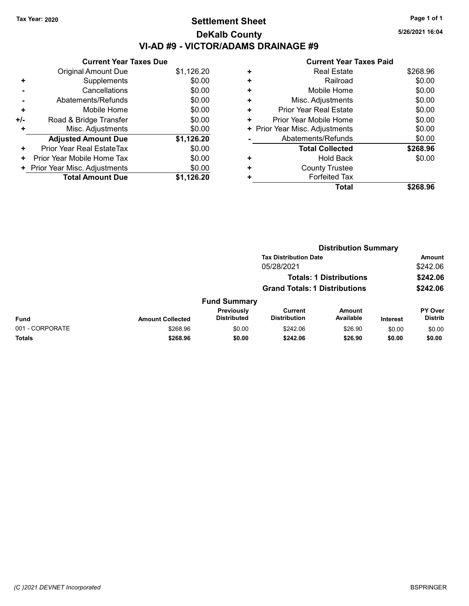# Tax Year: 2020 **Page 1 of 1 Settlement Sheet Constant Constant Constant Constant Constant Constant Constant Constant Constant Constant Constant Constant Page 1 of 1** DeKalb County VI-AD #9 - VICTOR/ADAMS DRAINAGE #9

5/26/2021 16:04

|     | <b>Current Year Taxes Due</b> |            |  |  |  |  |
|-----|-------------------------------|------------|--|--|--|--|
|     | Original Amount Due           | \$1,126.20 |  |  |  |  |
| ٠   | Supplements                   | \$0.00     |  |  |  |  |
|     | Cancellations                 | \$0.00     |  |  |  |  |
|     | Abatements/Refunds            | \$0.00     |  |  |  |  |
| ٠   | Mobile Home                   | \$0.00     |  |  |  |  |
| +/- | Road & Bridge Transfer        | \$0.00     |  |  |  |  |
| ٠   | Misc. Adjustments             | \$0.00     |  |  |  |  |
|     | <b>Adjusted Amount Due</b>    | \$1,126.20 |  |  |  |  |
| ٠   | Prior Year Real EstateTax     | \$0.00     |  |  |  |  |
| ٠   | Prior Year Mobile Home Tax    | \$0.00     |  |  |  |  |
|     | Prior Year Misc. Adjustments  | \$0.00     |  |  |  |  |
|     | <b>Total Amount Due</b>       | \$1.126.20 |  |  |  |  |
|     |                               |            |  |  |  |  |

|   | GUITEIIL TEAL TAXES FAIU       |          |
|---|--------------------------------|----------|
| ٠ | <b>Real Estate</b>             | \$268.96 |
| ÷ | Railroad                       | \$0.00   |
| ٠ | Mobile Home                    | \$0.00   |
| ٠ | Misc. Adjustments              | \$0.00   |
| ٠ | <b>Prior Year Real Estate</b>  | \$0.00   |
| ٠ | Prior Year Mobile Home         | \$0.00   |
|   | + Prior Year Misc. Adjustments | \$0.00   |
|   | Abatements/Refunds             | \$0.00   |
|   | <b>Total Collected</b>         | \$268.96 |
| ٠ | <b>Hold Back</b>               | \$0.00   |
| ٠ | <b>County Trustee</b>          |          |
| ٠ | <b>Forfeited Tax</b>           |          |
|   | <b>Total</b>                   | \$268.96 |
|   |                                |          |

|                 | <b>Distribution Summary</b>          |                                  |                                |                                |                 |                                  |
|-----------------|--------------------------------------|----------------------------------|--------------------------------|--------------------------------|-----------------|----------------------------------|
|                 |                                      |                                  | <b>Tax Distribution Date</b>   |                                |                 | <b>Amount</b>                    |
|                 |                                      |                                  | 05/28/2021                     |                                |                 | \$242.06                         |
|                 |                                      |                                  |                                | <b>Totals: 1 Distributions</b> |                 | \$242.06                         |
|                 | <b>Grand Totals: 1 Distributions</b> |                                  |                                |                                | \$242.06        |                                  |
|                 |                                      | <b>Fund Summary</b>              |                                |                                |                 |                                  |
| Fund            | <b>Amount Collected</b>              | Previously<br><b>Distributed</b> | Current<br><b>Distribution</b> | <b>Amount</b><br>Available     | <b>Interest</b> | <b>PY Over</b><br><b>Distrib</b> |
| 001 - CORPORATE | \$268.96                             | \$0.00                           | \$242.06                       | \$26.90                        | \$0.00          | \$0.00                           |
| Totals          | \$268.96                             | \$0.00                           | \$242.06                       | \$26.90                        | \$0.00          | \$0.00                           |
|                 |                                      |                                  |                                |                                |                 |                                  |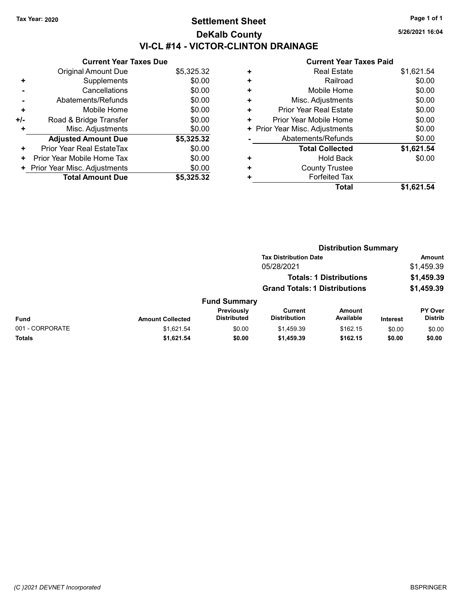# Tax Year: 2020 **Page 1 of 1 Settlement Sheet Constant Constant Constant Constant Constant Constant Constant Constant Constant Constant Constant Constant Page 1 of 1** DeKalb County VI-CL #14 - VICTOR-CLINTON DRAINAGE

Current Year Taxes Due Original Amount Due \$5,325.32 + Supplements \$0.00 - Cancellations \$0.00 - Abatements/Refunds \$0.00 + Mobile Home \$0.00 +/- Road & Bridge Transfer \$0.00 + Misc. Adjustments \$0.00 Adjusted Amount Due \$5,325.32 + Prior Year Real EstateTax \$0.00 + Prior Year Mobile Home Tax \$0.00 + Prior Year Misc. Adjustments \$0.00<br>
Total Amount Due \$5,325.32 **Total Amount Due** 

#### Current Year Taxes Paid + Real Estate \$1,621.54 + Railroad \$0.00 + Mobile Home \$0.00 + Misc. Adjustments \$0.00 + Prior Year Real Estate \$0.00 + Prior Year Mobile Home \$0.00 + Prior Year Misc. Adjustments  $$0.00$ - Abatements/Refunds \$0.00 Total Collected \$1,621.54 + Hold Back \$0.00 + County Trustee + Forfeited Tax Total \$1,621.54

|                 |                         |                                         | <b>Distribution Summary</b>                                            |                     |                 |                           |  |
|-----------------|-------------------------|-----------------------------------------|------------------------------------------------------------------------|---------------------|-----------------|---------------------------|--|
|                 |                         |                                         | <b>Tax Distribution Date</b>                                           |                     |                 | Amount                    |  |
|                 | 05/28/2021              |                                         |                                                                        | \$1,459.39          |                 |                           |  |
|                 |                         |                                         | <b>Totals: 1 Distributions</b><br><b>Grand Totals: 1 Distributions</b> |                     |                 | \$1,459.39                |  |
|                 |                         |                                         |                                                                        |                     |                 | \$1,459.39                |  |
|                 |                         | <b>Fund Summary</b>                     |                                                                        |                     |                 |                           |  |
| Fund            | <b>Amount Collected</b> | <b>Previously</b><br><b>Distributed</b> | <b>Current</b><br><b>Distribution</b>                                  | Amount<br>Available | <b>Interest</b> | PY Over<br><b>Distrib</b> |  |
| 001 - CORPORATE | \$1.621.54              | \$0.00                                  | \$1,459.39                                                             | \$162.15            | \$0.00          | \$0.00                    |  |
| Totals          | \$1,621.54              | \$0.00                                  | \$1,459.39                                                             | \$162.15            | \$0.00          | \$0.00                    |  |